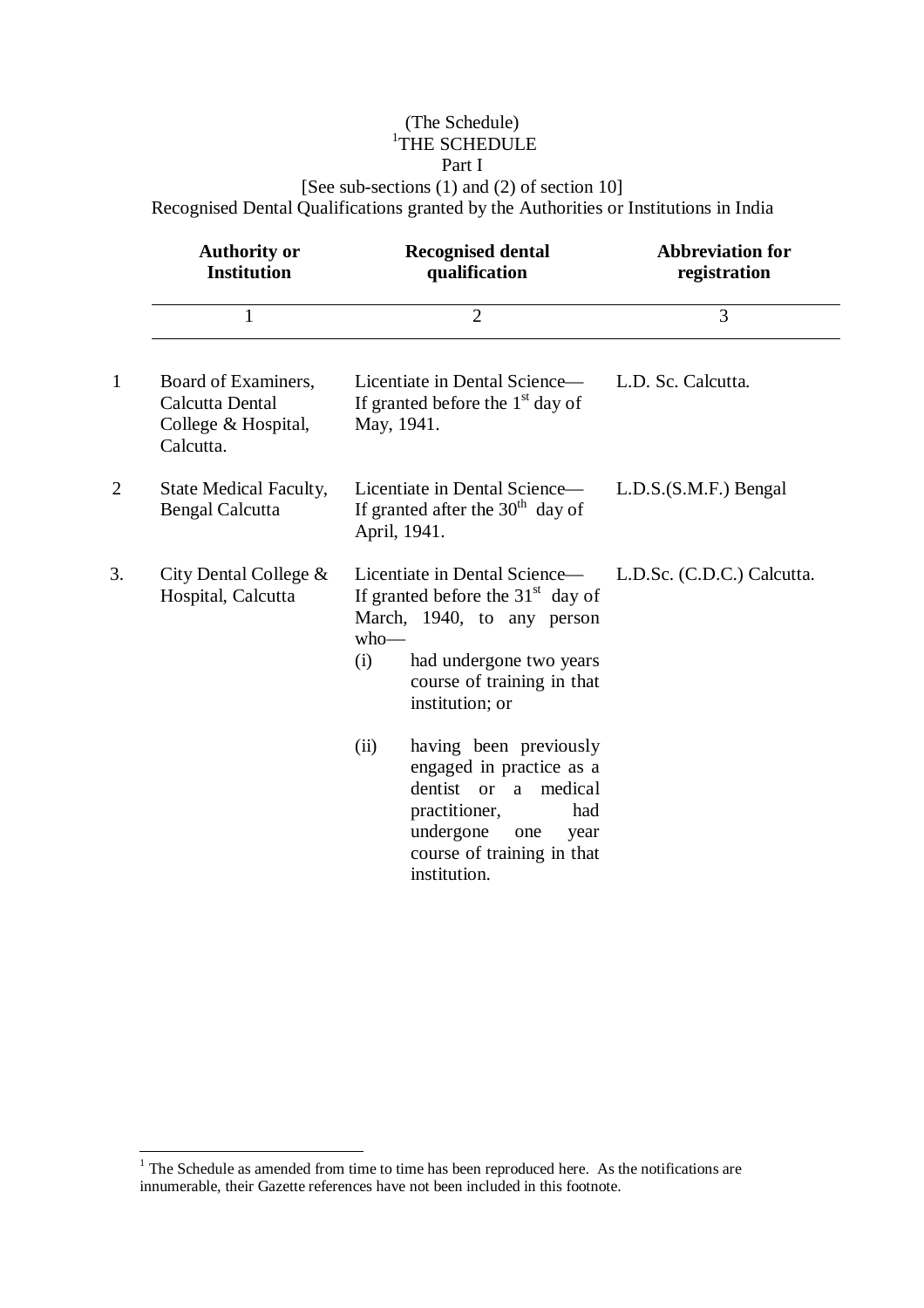## (The Schedule) 1 THE SCHEDULE

## Part I

[See sub-sections (1) and (2) of section 10] Recognised Dental Qualifications granted by the Authorities or Institutions in India

|                | <b>Authority or</b><br><b>Institution</b>                                  | <b>Recognised dental</b><br>qualification                                                                                                                                                        | <b>Abbreviation for</b><br>registration |
|----------------|----------------------------------------------------------------------------|--------------------------------------------------------------------------------------------------------------------------------------------------------------------------------------------------|-----------------------------------------|
|                | $\mathbf{1}$                                                               | $\overline{2}$                                                                                                                                                                                   | 3                                       |
| $\mathbf{1}$   | Board of Examiners,<br>Calcutta Dental<br>College & Hospital,<br>Calcutta. | Licentiate in Dental Science—<br>If granted before the $1st$ day of<br>May, 1941.                                                                                                                | L.D. Sc. Calcutta.                      |
| $\overline{2}$ | <b>State Medical Faculty,</b><br><b>Bengal Calcutta</b>                    | Licentiate in Dental Science—<br>If granted after the $30th$ day of<br>April, 1941.                                                                                                              | $L.D.S.(S.M.F.)$ Bengal                 |
| 3.             | City Dental College $\&$<br>Hospital, Calcutta                             | Licentiate in Dental Science—<br>If granted before the $31st$ day of<br>March, 1940, to any person<br>$who$ —<br>(i)<br>had undergone two years<br>course of training in that<br>institution; or | L.D.Sc. (C.D.C.) Calcutta.              |
|                |                                                                            | having been previously<br>(ii)<br>engaged in practice as a<br>dentist or a medical<br>practitioner,<br>had<br>undergone<br>one<br>year<br>course of training in that<br>institution.             |                                         |

 $\overline{a}$ 

 $1$ <sup>1</sup> The Schedule as amended from time to time has been reproduced here. As the notifications are innumerable, their Gazette references have not been included in this footnote.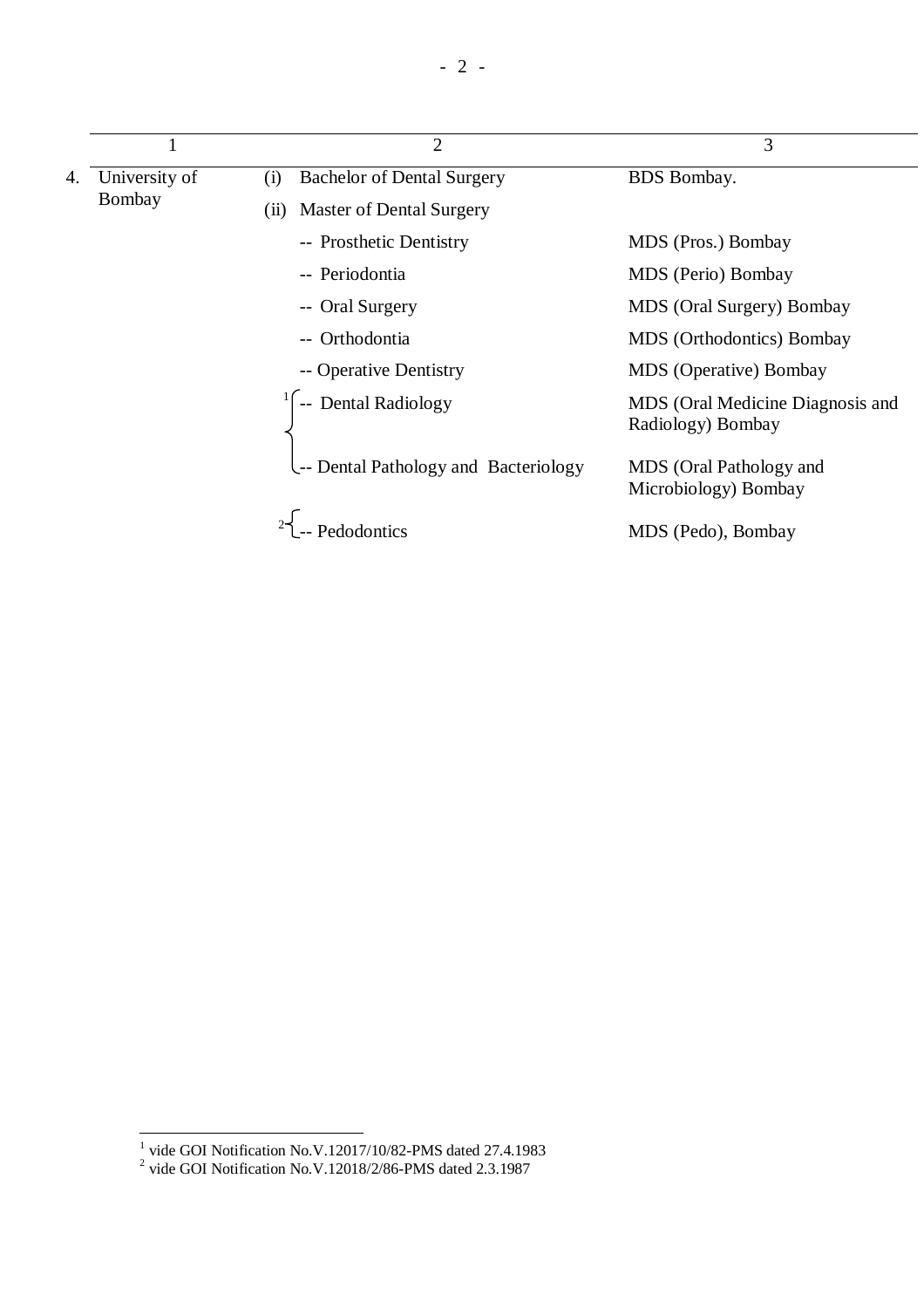|    |               | $\overline{2}$                           | 3                                                     |
|----|---------------|------------------------------------------|-------------------------------------------------------|
| 4. | University of | <b>Bachelor of Dental Surgery</b><br>(i) | <b>BDS</b> Bombay.                                    |
|    | Bombay        | <b>Master of Dental Surgery</b><br>(11)  |                                                       |
|    |               | -- Prosthetic Dentistry                  | MDS (Pros.) Bombay                                    |
|    |               | -- Periodontia                           | MDS (Perio) Bombay                                    |
|    |               | -- Oral Surgery                          | MDS (Oral Surgery) Bombay                             |
|    |               | -- Orthodontia                           | MDS (Orthodontics) Bombay                             |
|    |               | -- Operative Dentistry                   | <b>MDS</b> (Operative) Bombay                         |
|    |               | $\int$ -- Dental Radiology               | MDS (Oral Medicine Diagnosis and<br>Radiology) Bombay |
|    |               | L-- Dental Pathology and Bacteriology    | MDS (Oral Pathology and<br>Microbiology) Bombay       |
|    |               |                                          | MDS (Pedo), Bombay                                    |

 1 vide GOI Notification No.V.12017/10/82-PMS dated 27.4.1983 2 vide GOI Notification No.V.12018/2/86-PMS dated 2.3.1987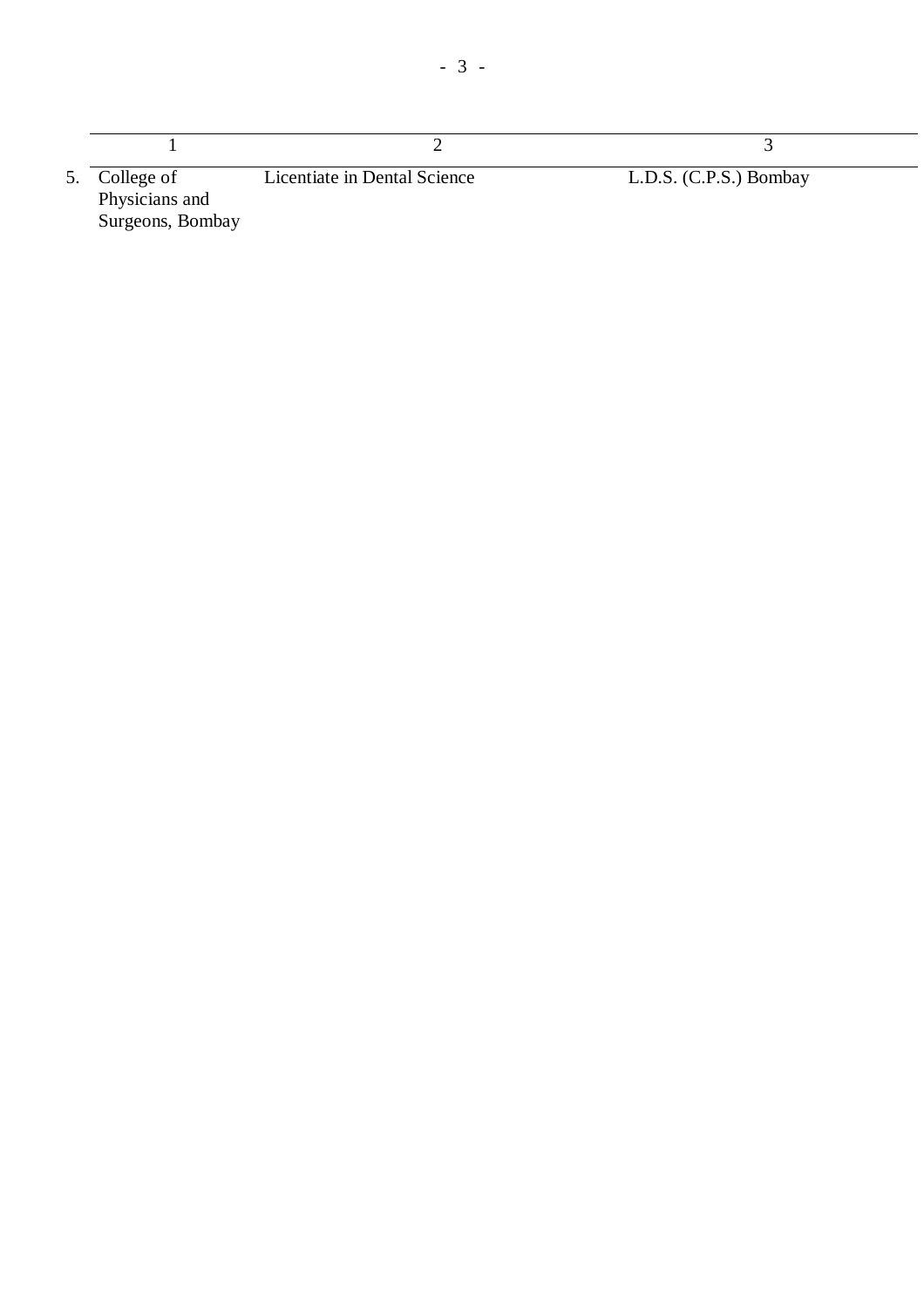| 5. College of<br>Physicians and<br>Surgeons, Bombay | Licentiate in Dental Science | L.D.S. (C.P.S.) Bombay |
|-----------------------------------------------------|------------------------------|------------------------|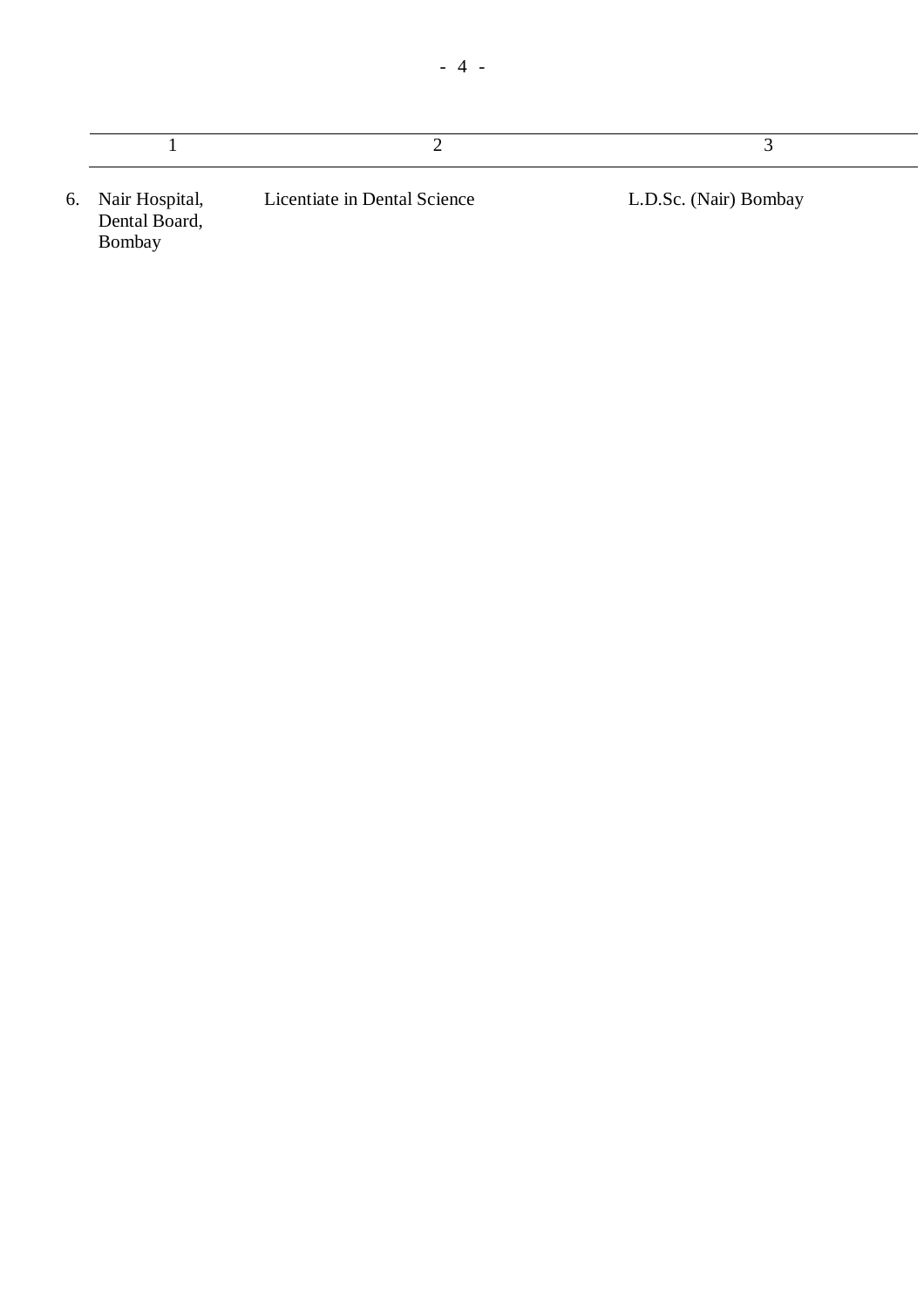| 6. Nair Hospital,<br>Dental Board,<br>Bombay | Licentiate in Dental Science | L.D.Sc. (Nair) Bombay |
|----------------------------------------------|------------------------------|-----------------------|

 $\overline{\phantom{a}}$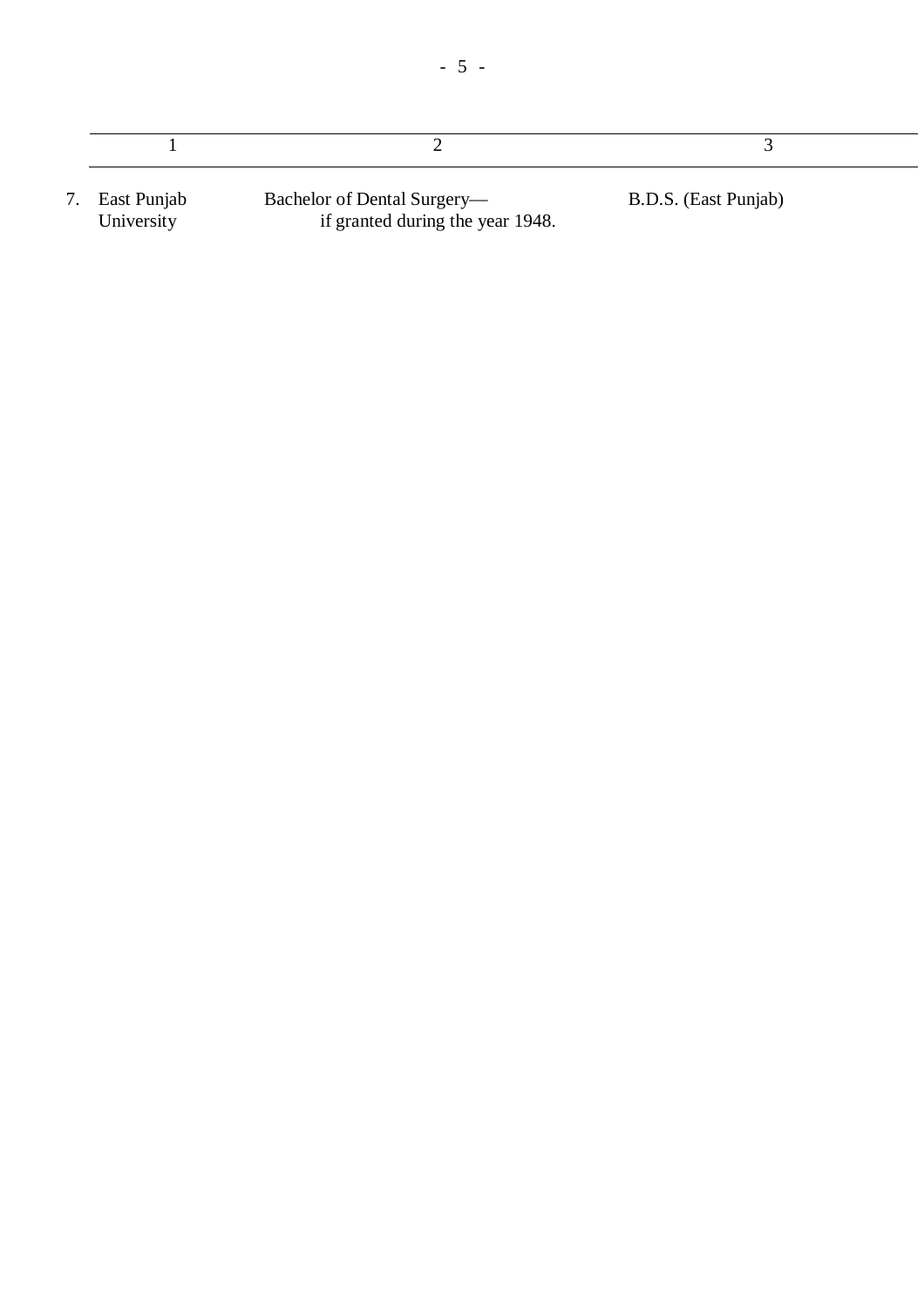| East Punjab | Bachelor of Dental Surgery—      | B.D.S. (East Punjab) |  |
|-------------|----------------------------------|----------------------|--|
| University  | if granted during the year 1948. |                      |  |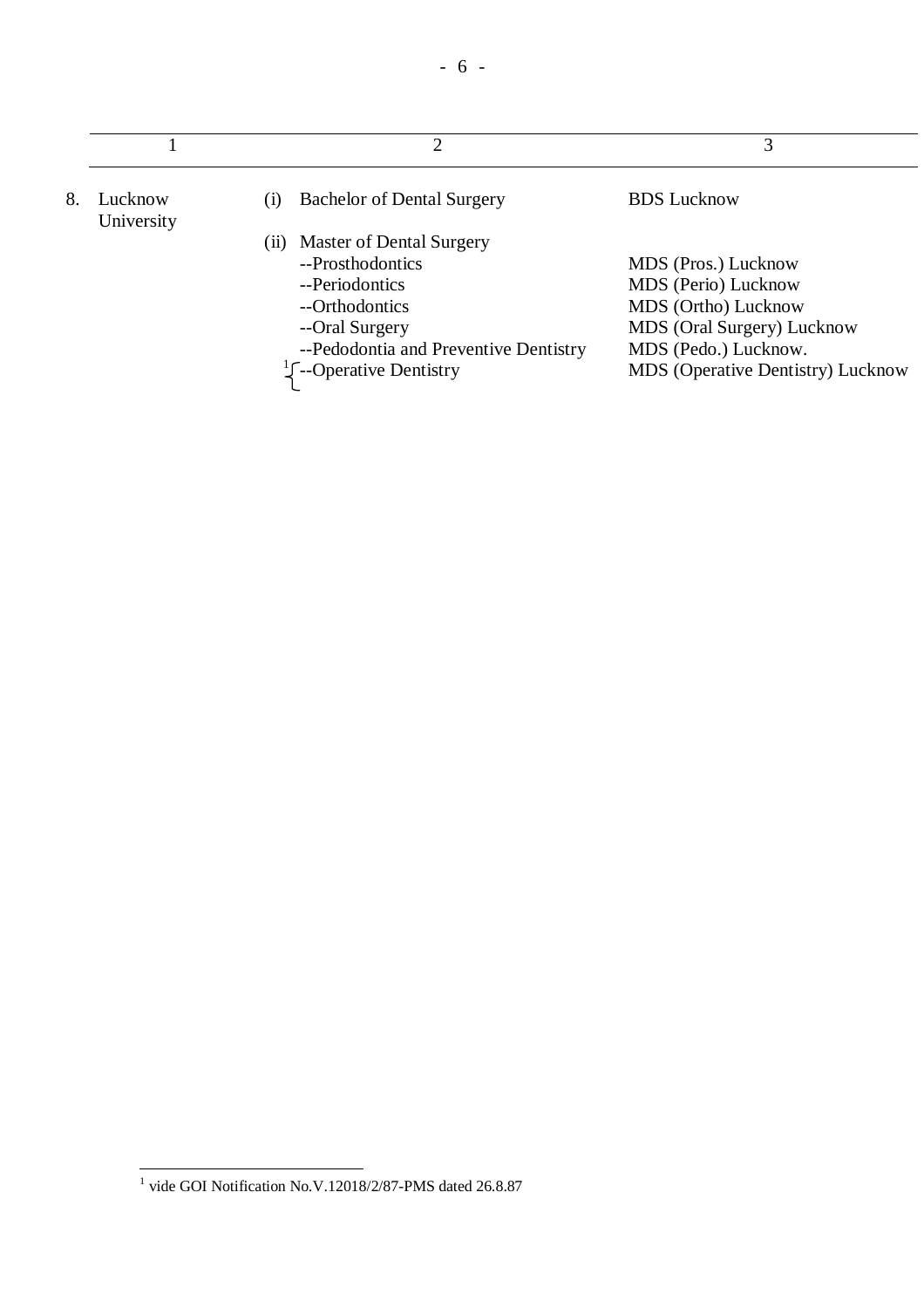|    |                       | ◠                                        | 3                                        |
|----|-----------------------|------------------------------------------|------------------------------------------|
| 8. | Lucknow<br>University | <b>Bachelor of Dental Surgery</b><br>(1) | <b>BDS</b> Lucknow                       |
|    |                       | Master of Dental Surgery<br>(11)         |                                          |
|    |                       | --Prosthodontics                         | MDS (Pros.) Lucknow                      |
|    |                       | --Periodontics                           | MDS (Perio) Lucknow                      |
|    |                       | --Orthodontics                           | MDS (Ortho) Lucknow                      |
|    |                       | --Oral Surgery                           | MDS (Oral Surgery) Lucknow               |
|    |                       | --Pedodontia and Preventive Dentistry    | MDS (Pedo.) Lucknow.                     |
|    |                       | $\frac{1}{2}$ --Operative Dentistry      | <b>MDS</b> (Operative Dentistry) Lucknow |

 1 vide GOI Notification No.V.12018/2/87-PMS dated 26.8.87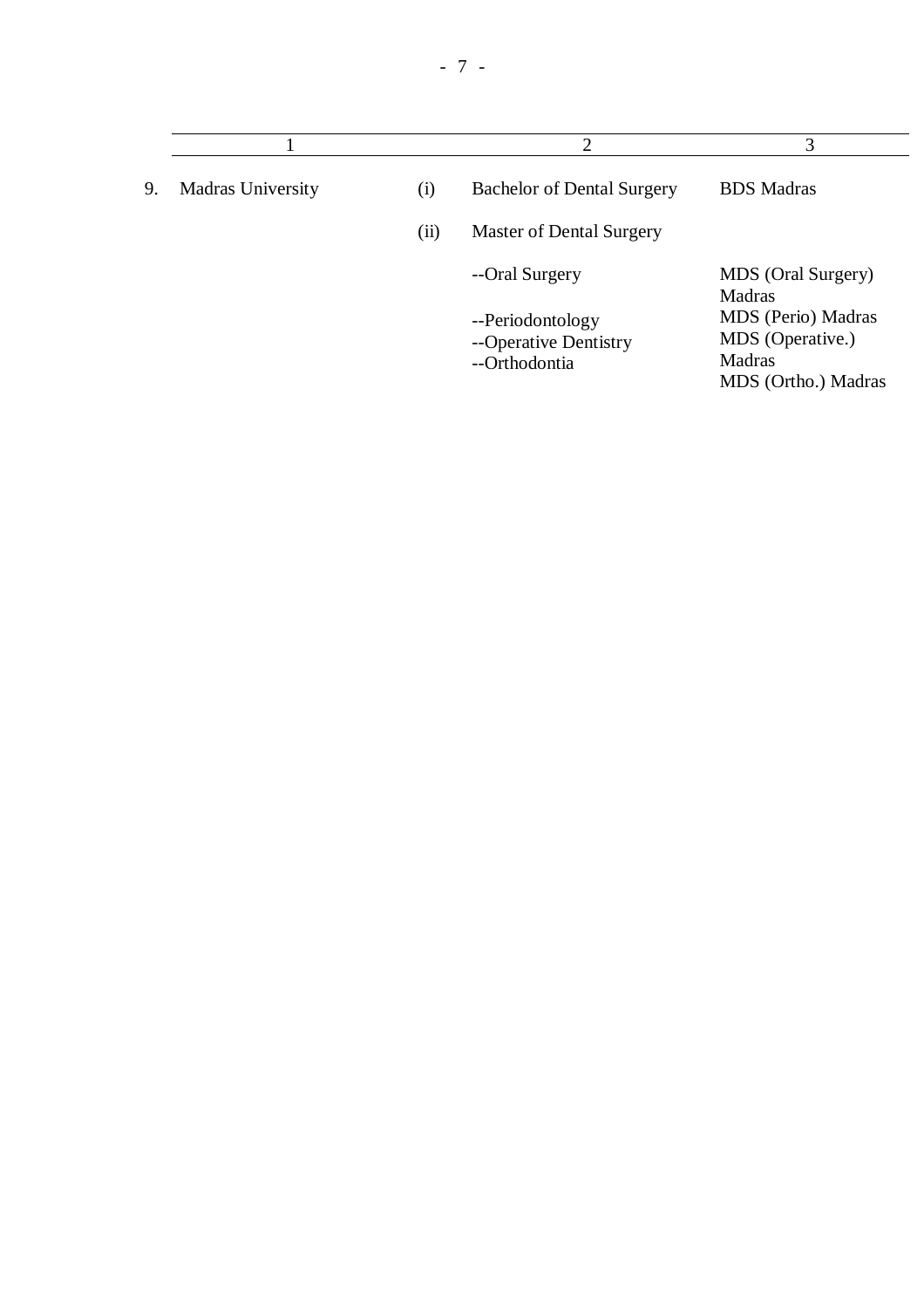|    |                          |      | $\overline{2}$                                             | 3                                                                       |
|----|--------------------------|------|------------------------------------------------------------|-------------------------------------------------------------------------|
| 9. | <b>Madras University</b> | (i)  | <b>Bachelor of Dental Surgery</b>                          | <b>BDS</b> Madras                                                       |
|    |                          | (ii) | Master of Dental Surgery                                   |                                                                         |
|    |                          |      | --Oral Surgery                                             | MDS (Oral Surgery)<br>Madras                                            |
|    |                          |      | --Periodontology<br>--Operative Dentistry<br>--Orthodontia | MDS (Perio) Madras<br>MDS (Operative.)<br>Madras<br>MDS (Ortho.) Madras |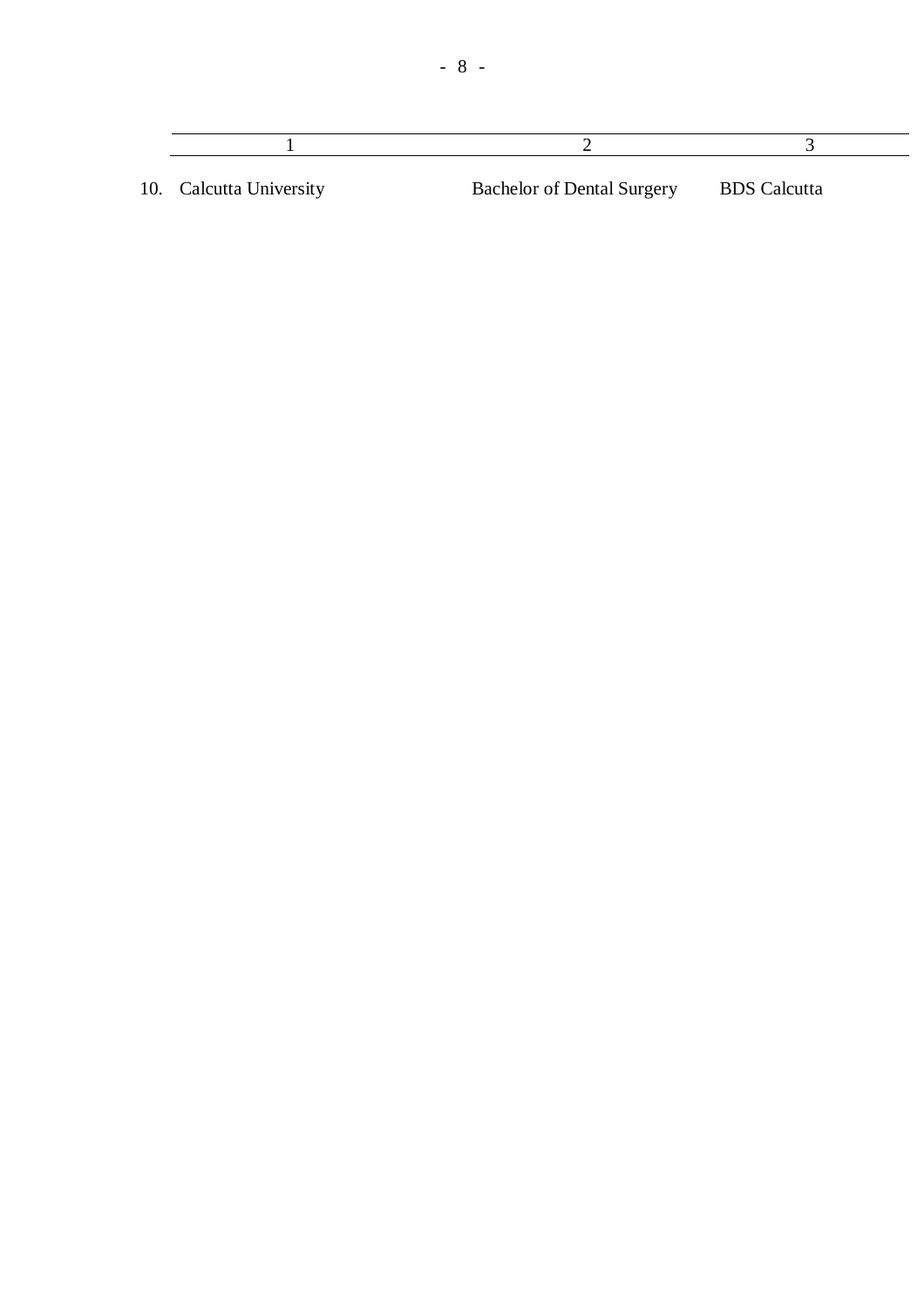10. Calcutta University Bachelor of Dental Surgery BDS Calcutta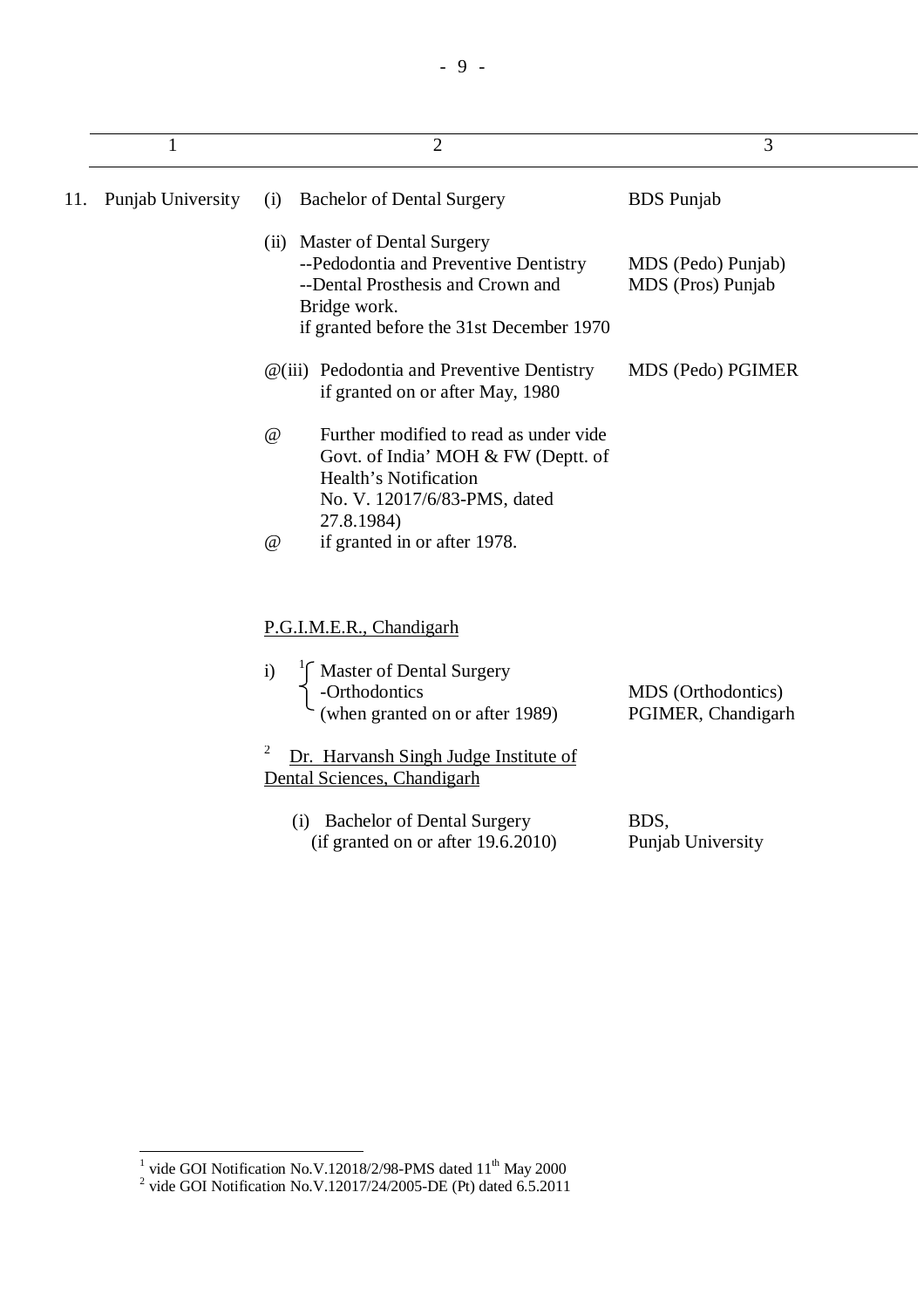|     | 1                 | $\overline{2}$                                                                                                                                                          | 3                                        |
|-----|-------------------|-------------------------------------------------------------------------------------------------------------------------------------------------------------------------|------------------------------------------|
| 11. | Punjab University | <b>Bachelor of Dental Surgery</b><br>(i)                                                                                                                                | <b>BDS</b> Punjab                        |
|     |                   | (ii) Master of Dental Surgery<br>--Pedodontia and Preventive Dentistry<br>--Dental Prosthesis and Crown and<br>Bridge work.<br>if granted before the 31st December 1970 | MDS (Pedo) Punjab)<br>MDS (Pros) Punjab  |
|     |                   | $@(iii)$ Pedodontia and Preventive Dentistry<br>if granted on or after May, 1980                                                                                        | MDS (Pedo) PGIMER                        |
|     |                   | Further modified to read as under vide<br>$\omega$<br>Govt. of India' MOH & FW (Deptt. of<br>Health's Notification<br>No. V. 12017/6/83-PMS, dated<br>27.8.1984)        |                                          |
|     |                   | if granted in or after 1978.<br>$\omega$                                                                                                                                |                                          |
|     |                   | P.G.I.M.E.R., Chandigarh<br>Master of Dental Surgery<br>$\mathbf{i}$<br>-Orthodontics<br>(when granted on or after 1989)<br>$\overline{\mathbf{c}}$                     | MDS (Orthodontics)<br>PGIMER, Chandigarh |
|     |                   | Dr. Harvansh Singh Judge Institute of<br>Dental Sciences, Chandigarh                                                                                                    |                                          |
|     |                   | (i) Bachelor of Dental Surgery<br>(if granted on or after 19.6.2010)                                                                                                    | BDS,<br>Punjab University                |

<sup>&</sup>lt;sup>1</sup> vide GOI Notification No.V.12018/2/98-PMS dated 11<sup>th</sup> May 2000<br><sup>2</sup> vide GOI Notification No.V.12017/24/2005-DE (Pt) dated 6.5.2011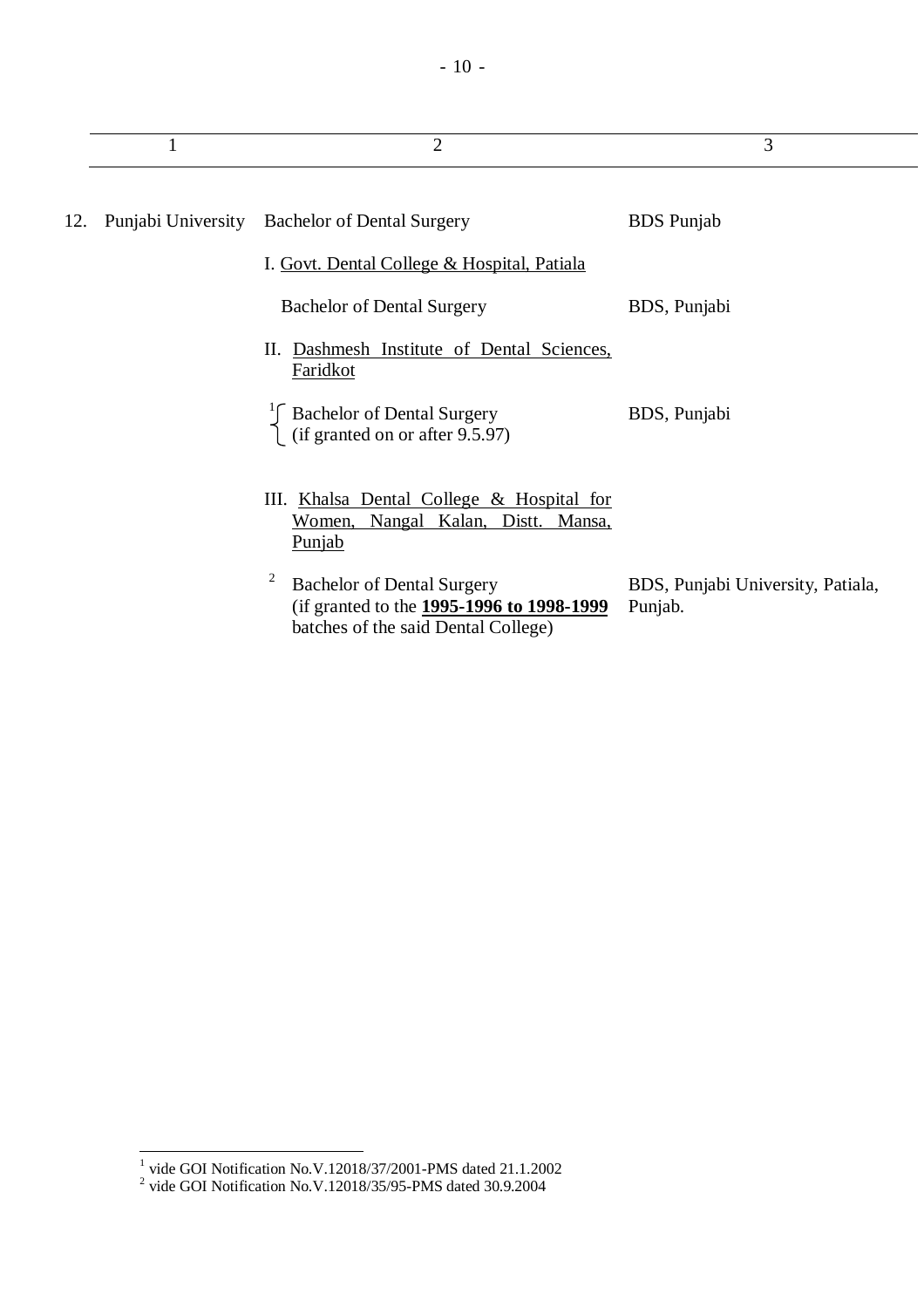|     | 1 | $\overline{2}$                                                                                                              | 3                                            |
|-----|---|-----------------------------------------------------------------------------------------------------------------------------|----------------------------------------------|
| 12. |   | Punjabi University Bachelor of Dental Surgery                                                                               | <b>BDS</b> Punjab                            |
|     |   | I. Govt. Dental College & Hospital, Patiala                                                                                 |                                              |
|     |   | <b>Bachelor of Dental Surgery</b>                                                                                           | BDS, Punjabi                                 |
|     |   | Dashmesh Institute of Dental Sciences,<br>П.<br>Faridkot                                                                    |                                              |
|     |   | $\int_{1}^{1}$ Bachelor of Dental Surgery<br>(if granted on or after 9.5.97)                                                | BDS, Punjabi                                 |
|     |   | III. Khalsa Dental College & Hospital for<br>Nangal Kalan, Distt. Mansa,<br>Women,<br><b>Punjab</b>                         |                                              |
|     |   | 2<br><b>Bachelor of Dental Surgery</b><br>(if granted to the 1995-1996 to 1998-1999)<br>batches of the said Dental College) | BDS, Punjabi University, Patiala,<br>Punjab. |

 1 vide GOI Notification No.V.12018/37/2001-PMS dated 21.1.2002 2 vide GOI Notification No.V.12018/35/95-PMS dated 30.9.2004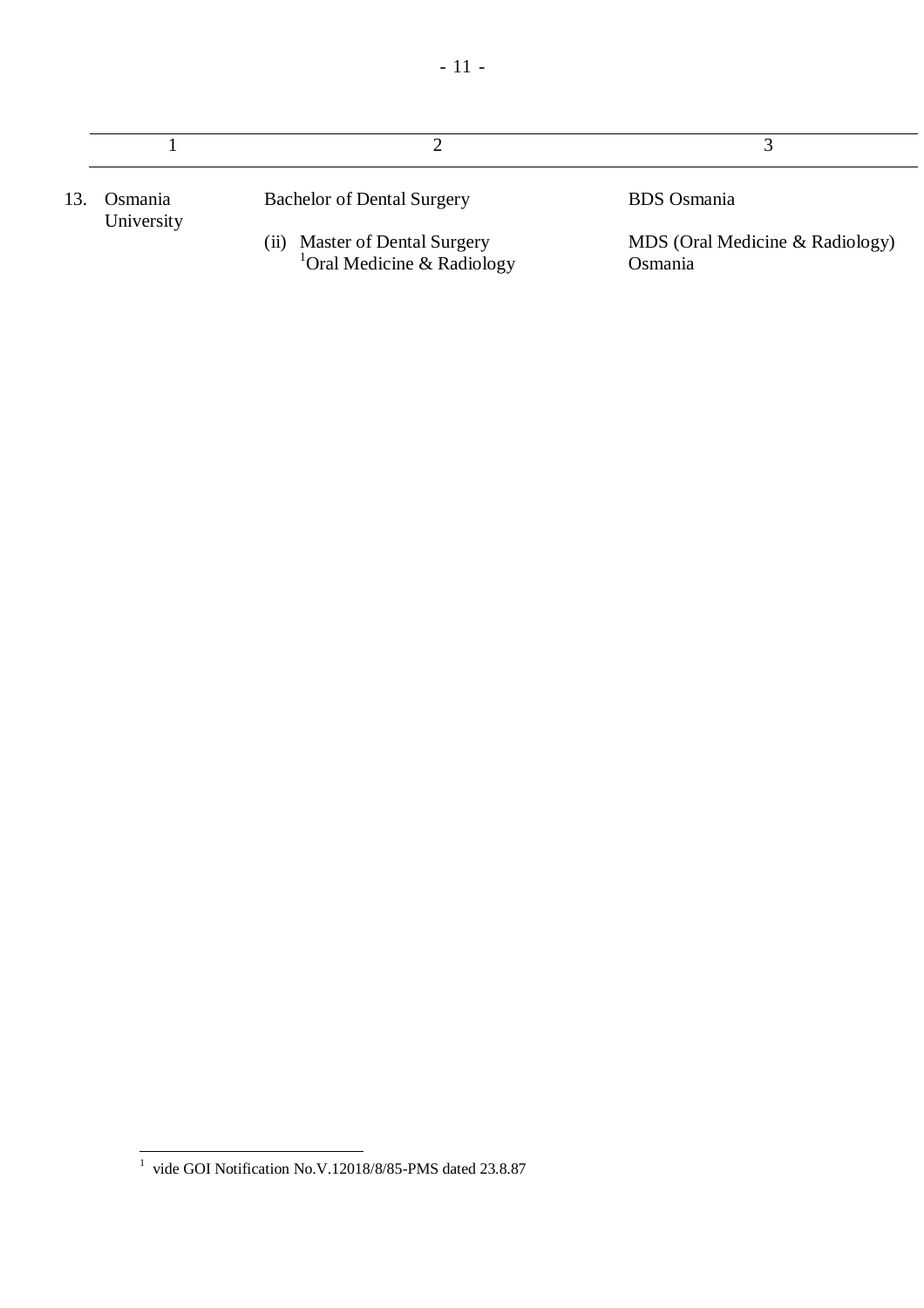| Osmania<br>University | <b>Bachelor of Dental Surgery</b>                                          | <b>BDS</b> Osmania                         |
|-----------------------|----------------------------------------------------------------------------|--------------------------------------------|
|                       | Master of Dental Surgery<br><sup>1</sup> Oral Medicine & Radiology<br>(ii) | MDS (Oral Medicine & Radiology)<br>Osmania |

 $\overline{a}$  $1$  vide GOI Notification No.V.12018/8/85-PMS dated 23.8.87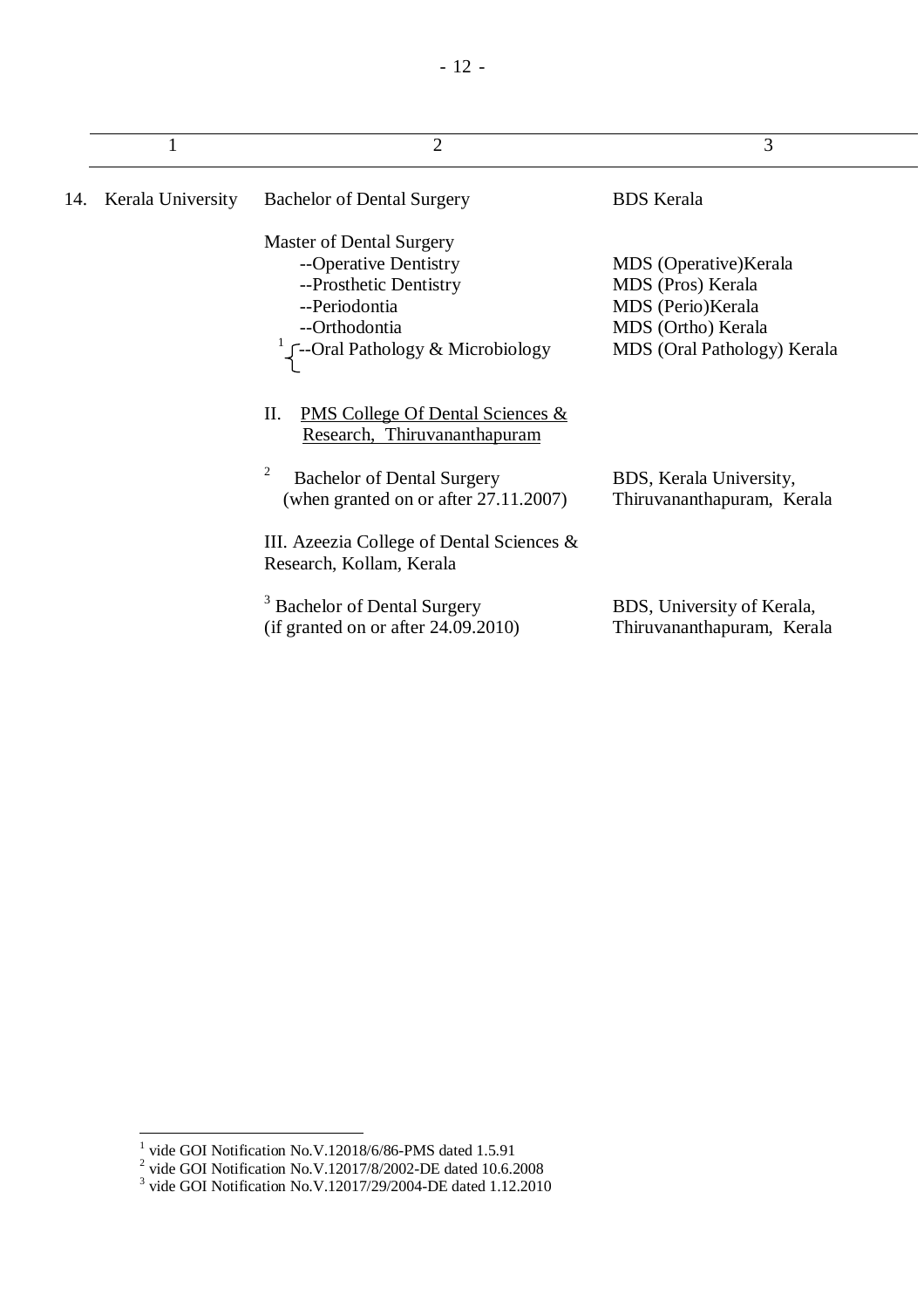|     | 1                 | $\overline{2}$                                                                                                                                                           | 3                                                                                                                     |
|-----|-------------------|--------------------------------------------------------------------------------------------------------------------------------------------------------------------------|-----------------------------------------------------------------------------------------------------------------------|
| 14. | Kerala University | <b>Bachelor of Dental Surgery</b>                                                                                                                                        | <b>BDS</b> Kerala                                                                                                     |
|     |                   | <b>Master of Dental Surgery</b><br>--Operative Dentistry<br>--Prosthetic Dentistry<br>--Periodontia<br>--Orthodontia<br>$\int$ --Oral Pathology & Microbiology           | MDS (Operative) Kerala<br>MDS (Pros) Kerala<br>MDS (Perio)Kerala<br>MDS (Ortho) Kerala<br>MDS (Oral Pathology) Kerala |
|     |                   | II.<br><b>PMS College Of Dental Sciences &amp;</b><br>Research, Thiruvananthapuram<br>2<br><b>Bachelor of Dental Surgery</b><br>(when granted on or after $27.11.2007$ ) | BDS, Kerala University,<br>Thiruvananthapuram, Kerala                                                                 |
|     |                   | III. Azeezia College of Dental Sciences $\&$<br>Research, Kollam, Kerala                                                                                                 |                                                                                                                       |
|     |                   | <b>Bachelor of Dental Surgery</b><br>(if granted on or after $24.09.2010$ )                                                                                              | BDS, University of Kerala,<br>Thiruvananthapuram, Kerala                                                              |

<sup>&</sup>lt;sup>1</sup> vide GOI Notification No.V.12018/6/86-PMS dated 1.5.91<br><sup>2</sup> vide GOI Notification No.V.12017/8/2002-DE dated 10.6.2008<br><sup>3</sup> vide GOI Notification No.V.12017/29/2004-DE dated 1.12.2010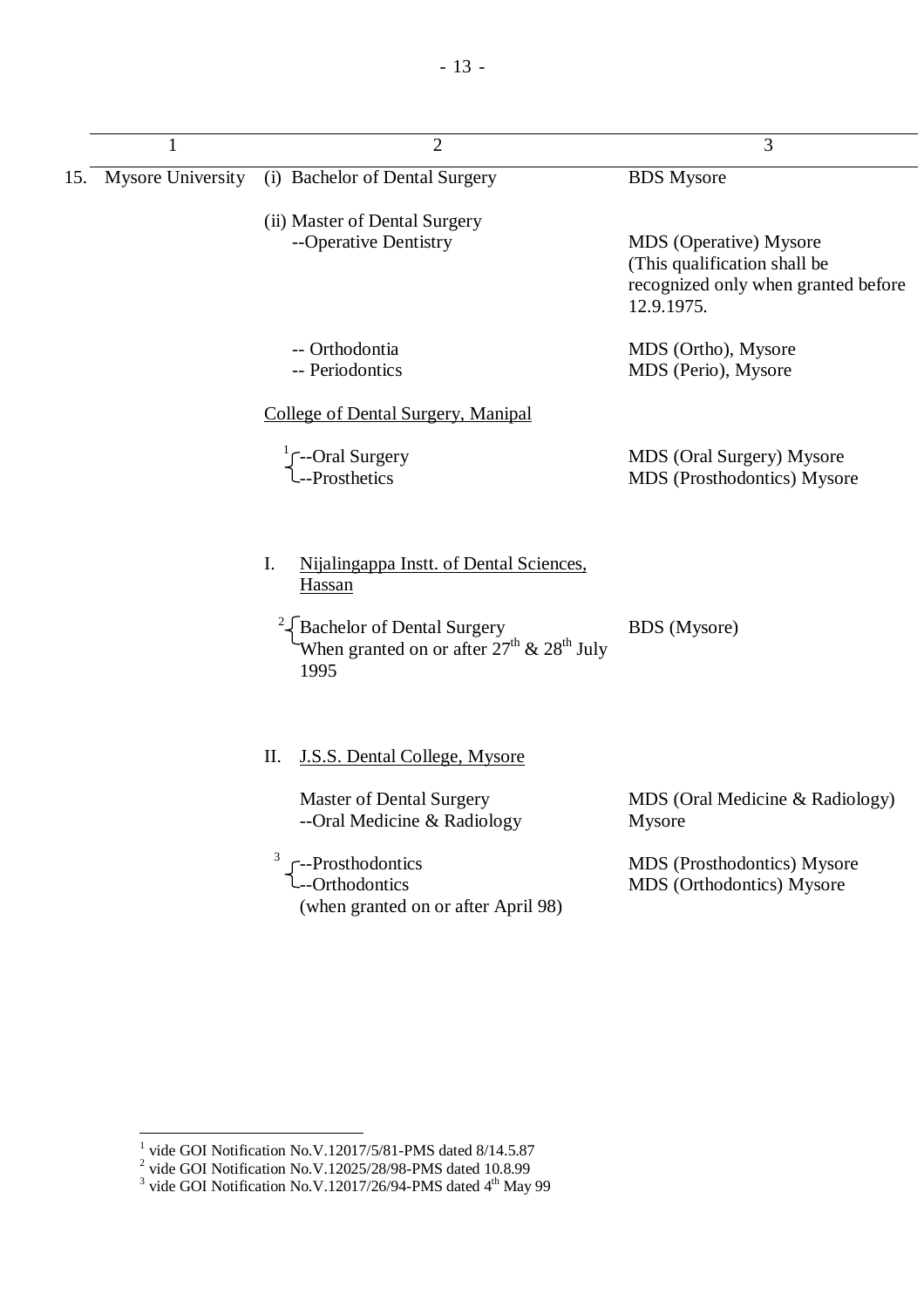| 1 | $\overline{2}$                                                                                                                                                                   | 3                                                                                                           |  |
|---|----------------------------------------------------------------------------------------------------------------------------------------------------------------------------------|-------------------------------------------------------------------------------------------------------------|--|
|   | 15. Mysore University (i) Bachelor of Dental Surgery                                                                                                                             | <b>BDS</b> Mysore                                                                                           |  |
|   | (ii) Master of Dental Surgery<br>--Operative Dentistry                                                                                                                           | MDS (Operative) Mysore<br>(This qualification shall be<br>recognized only when granted before<br>12.9.1975. |  |
|   | -- Orthodontia<br>-- Periodontics                                                                                                                                                | MDS (Ortho), Mysore<br>MDS (Perio), Mysore                                                                  |  |
|   | <b>College of Dental Surgery, Manipal</b>                                                                                                                                        |                                                                                                             |  |
|   | $\int_{-P}^{1}$ -Oral Surgery                                                                                                                                                    | MDS (Oral Surgery) Mysore<br>MDS (Prosthodontics) Mysore                                                    |  |
|   | I.<br>Nijalingappa Instt. of Dental Sciences,<br>Hassan<br><sup>2</sup> {Bachelor of Dental Surgery<br>When granted on or after $27^{\text{th}}$ & $28^{\text{th}}$ July<br>1995 | <b>BDS</b> (Mysore)                                                                                         |  |
|   | II.<br><b>J.S.S. Dental College, Mysore</b>                                                                                                                                      |                                                                                                             |  |
|   | <b>Master of Dental Surgery</b><br>--Oral Medicine & Radiology                                                                                                                   | MDS (Oral Medicine & Radiology)<br>Mysore                                                                   |  |
|   | --Prosthodontics<br>---Orthodontics<br>(when granted on or after April 98)                                                                                                       | MDS (Prosthodontics) Mysore<br>MDS (Orthodontics) Mysore                                                    |  |

<sup>&</sup>lt;sup>1</sup> vide GOI Notification No.V.12017/5/81-PMS dated 8/14.5.87<br><sup>2</sup> vide GOI Notification No.V.12025/28/98-PMS dated 10.8.99<br><sup>3</sup> vide GOI Notification No.V.12017/26/94-PMS dated 4<sup>th</sup> May 99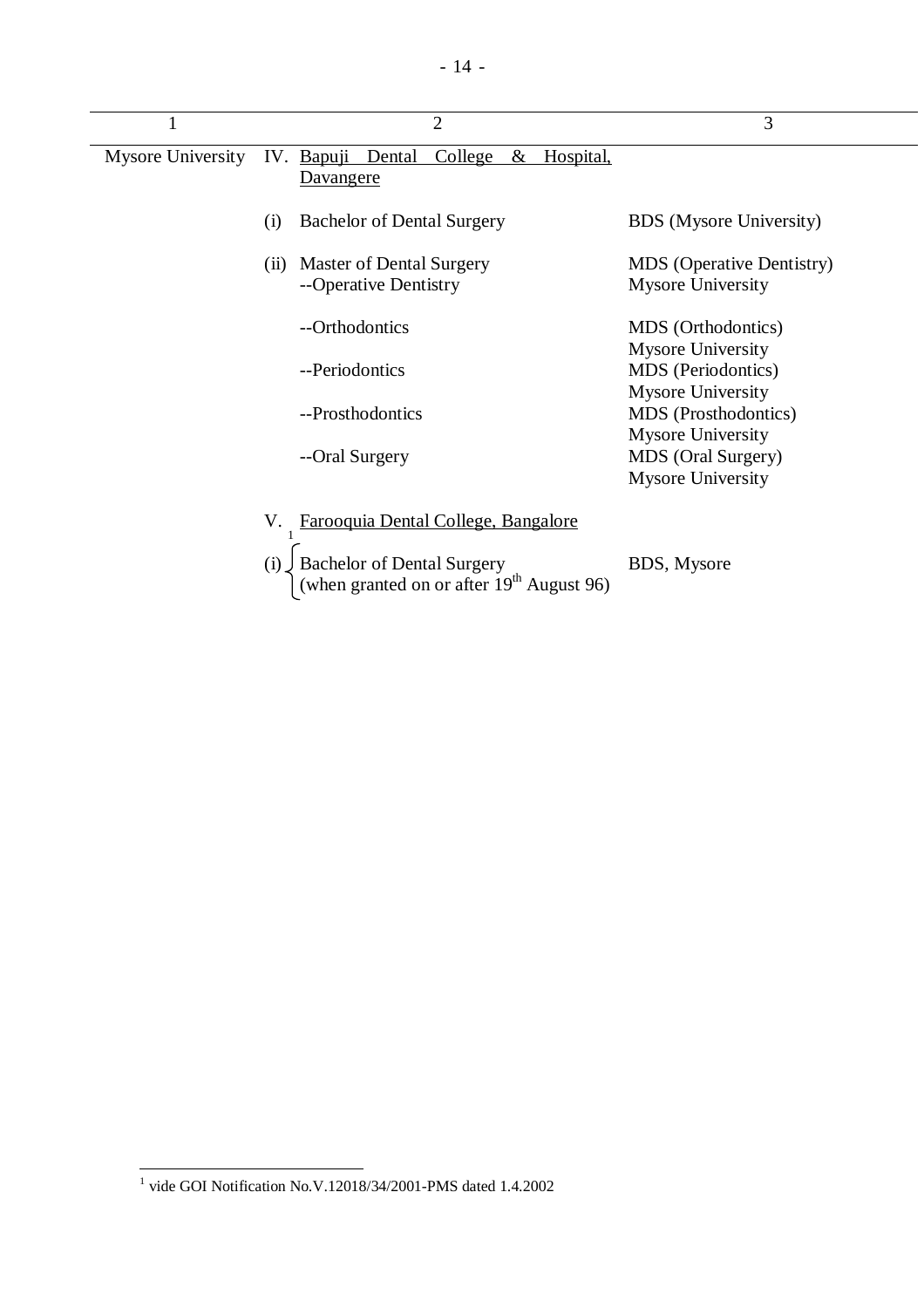| $\mathbf{I}$      | $\overline{2}$                                                                   | 3                                                            |
|-------------------|----------------------------------------------------------------------------------|--------------------------------------------------------------|
| Mysore University | IV. Bapuji Dental<br>College<br>Hospital,<br>$\&$<br><u>Davangere</u>            |                                                              |
|                   | <b>Bachelor of Dental Surgery</b><br>(i)                                         | <b>BDS</b> (Mysore University)                               |
|                   | Master of Dental Surgery<br>(i)<br>--Operative Dentistry                         | <b>MDS</b> (Operative Dentistry)<br><b>Mysore University</b> |
|                   | --Orthodontics                                                                   | MDS (Orthodontics)<br><b>Mysore University</b>               |
|                   | --Periodontics                                                                   | MDS (Periodontics)<br><b>Mysore University</b>               |
|                   | --Prosthodontics                                                                 | MDS (Prosthodontics)<br><b>Mysore University</b>             |
|                   | --Oral Surgery                                                                   | MDS (Oral Surgery)<br><b>Mysore University</b>               |
|                   | V.<br><u>Farooquia Dental College, Bangalore</u>                                 |                                                              |
|                   | Bachelor of Dental Surgery<br>(when granted on or after $19th$ August 96)<br>(i) | BDS, Mysore                                                  |

 1 vide GOI Notification No.V.12018/34/2001-PMS dated 1.4.2002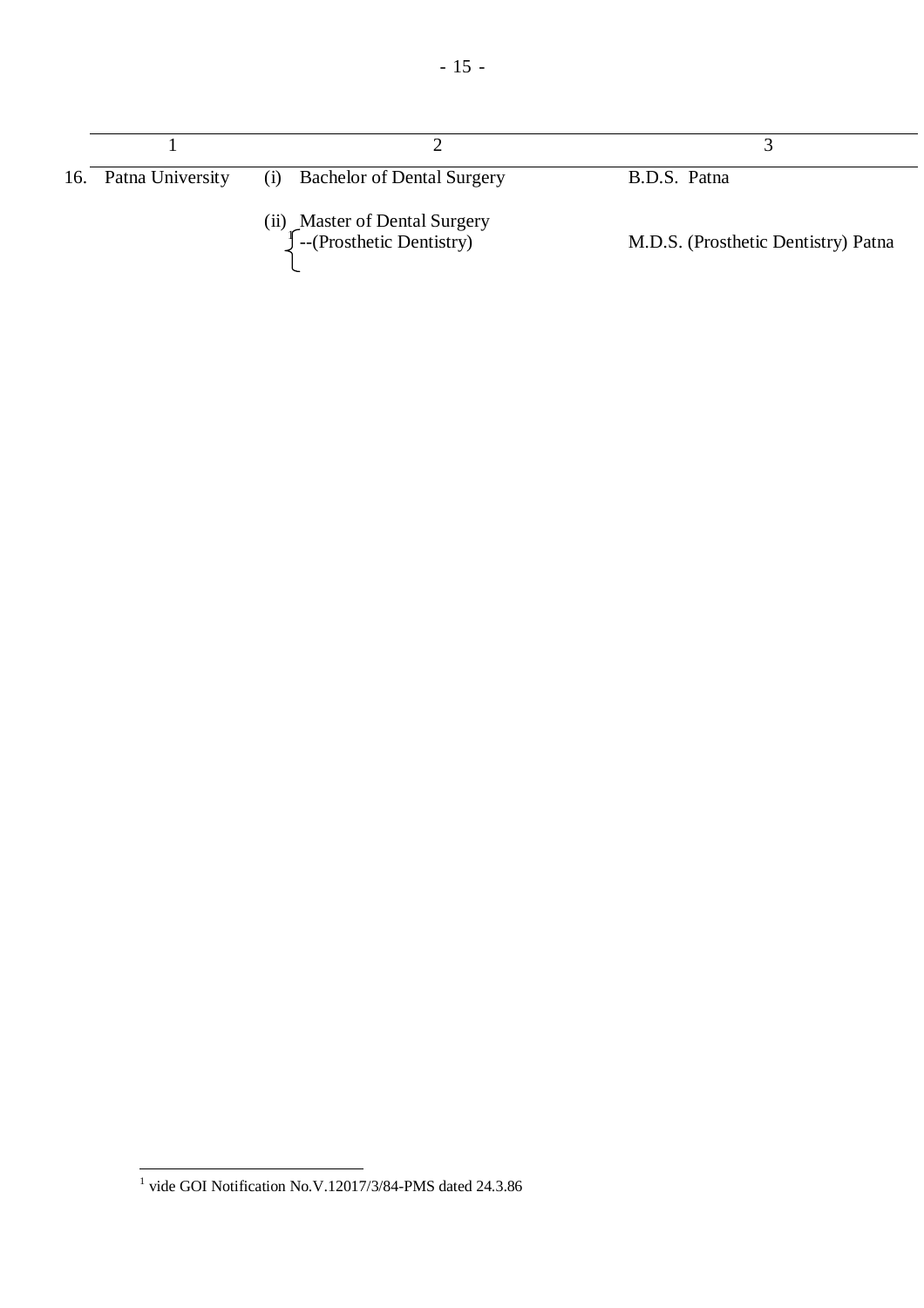| 16. Patna University | <b>Bachelor of Dental Surgery</b><br>(i)                         | B.D.S. Patna                        |
|----------------------|------------------------------------------------------------------|-------------------------------------|
|                      | (ii) Master of Dental Surgery<br>$\int$ --(Prosthetic Dentistry) | M.D.S. (Prosthetic Dentistry) Patna |

 1 vide GOI Notification No.V.12017/3/84-PMS dated 24.3.86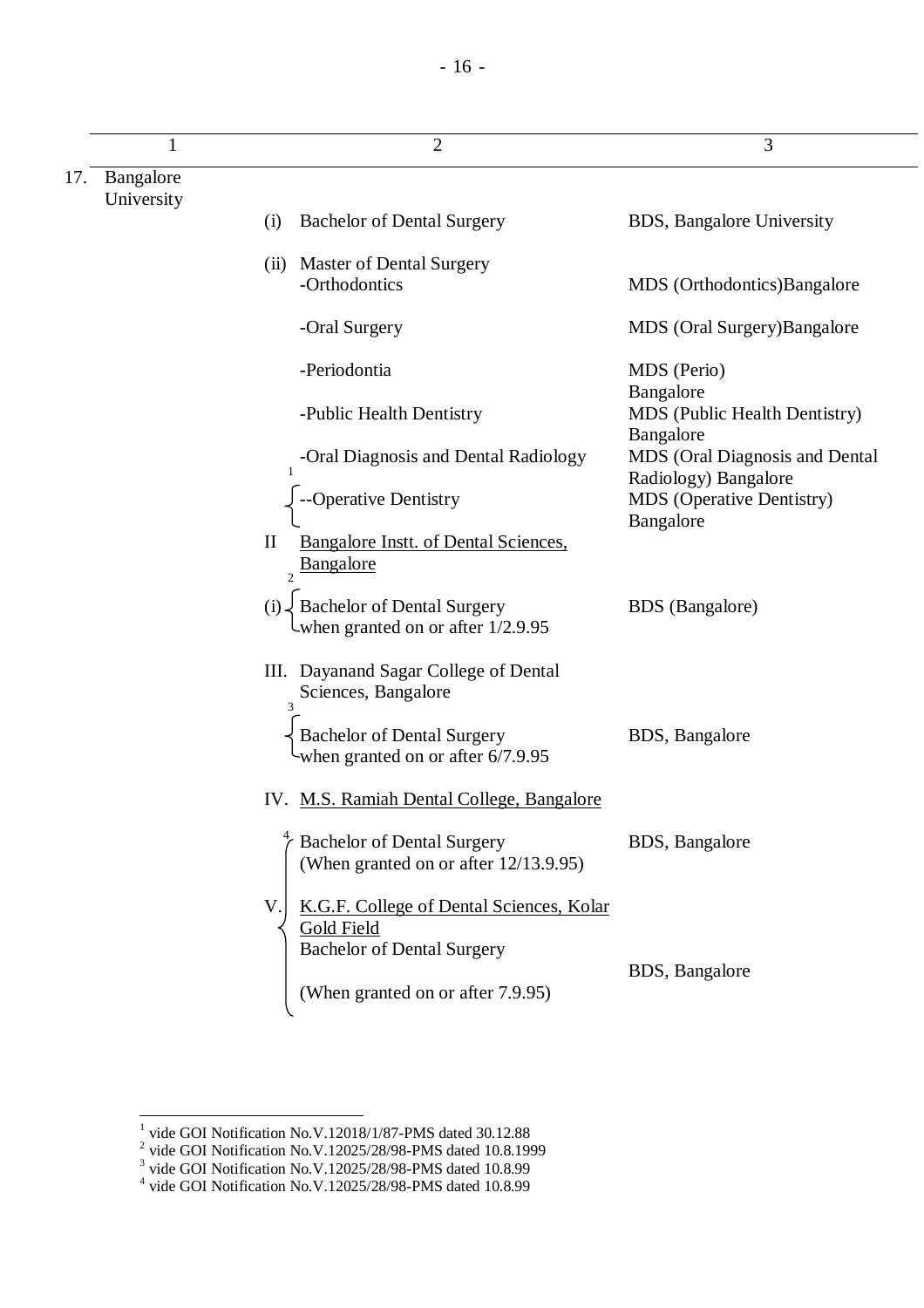| 1                       | $\overline{2}$                                                                                       | 3                                                                   |
|-------------------------|------------------------------------------------------------------------------------------------------|---------------------------------------------------------------------|
| Bangalore<br>University |                                                                                                      |                                                                     |
|                         | <b>Bachelor of Dental Surgery</b><br>(i)                                                             | BDS, Bangalore University                                           |
|                         | (ii) Master of Dental Surgery                                                                        |                                                                     |
|                         | -Orthodontics                                                                                        | MDS (Orthodontics)Bangalore                                         |
|                         | -Oral Surgery                                                                                        | MDS (Oral Surgery)Bangalore                                         |
|                         | -Periodontia                                                                                         | MDS (Perio)                                                         |
|                         | -Public Health Dentistry                                                                             | Bangalore<br>MDS (Public Health Dentistry)                          |
|                         | -Oral Diagnosis and Dental Radiology                                                                 | Bangalore<br>MDS (Oral Diagnosis and Dental<br>Radiology) Bangalore |
|                         | -Operative Dentistry                                                                                 | <b>MDS</b> (Operative Dentistry)<br>Bangalore                       |
|                         | $\mathbf{I}$<br><b>Bangalore Instt. of Dental Sciences,</b><br>Bangalore<br>$\overline{\mathcal{L}}$ |                                                                     |
|                         | $(i)$ Bachelor of Dental Surgery<br>Uwhen granted on or after $1/2.9.95$                             | <b>BDS</b> (Bangalore)                                              |
|                         | III. Dayanand Sagar College of Dental<br>Sciences, Bangalore<br>3                                    |                                                                     |
|                         | <b>Bachelor of Dental Surgery</b><br>-when granted on or after 6/7.9.95                              | BDS, Bangalore                                                      |
|                         | IV. M.S. Ramiah Dental College, Bangalore                                                            |                                                                     |
|                         | <b>Bachelor of Dental Surgery</b><br>(When granted on or after 12/13.9.95)                           | BDS, Bangalore                                                      |
|                         | V<br>K.G.F. College of Dental Sciences, Kolar<br>Gold Field<br><b>Bachelor of Dental Surgery</b>     |                                                                     |
|                         |                                                                                                      | BDS, Bangalore                                                      |
|                         | (When granted on or after 7.9.95)                                                                    |                                                                     |

<sup>&</sup>lt;sup>1</sup> vide GOI Notification No.V.12018/1/87-PMS dated 30.12.88<br><sup>2</sup> vide GOI Notification No.V.12025/28/98-PMS dated 10.8.1999<br><sup>3</sup> vide GOI Notification No.V.12025/28/98-PMS dated 10.8.99<br><sup>4</sup> vide GOI Notification No.V.12025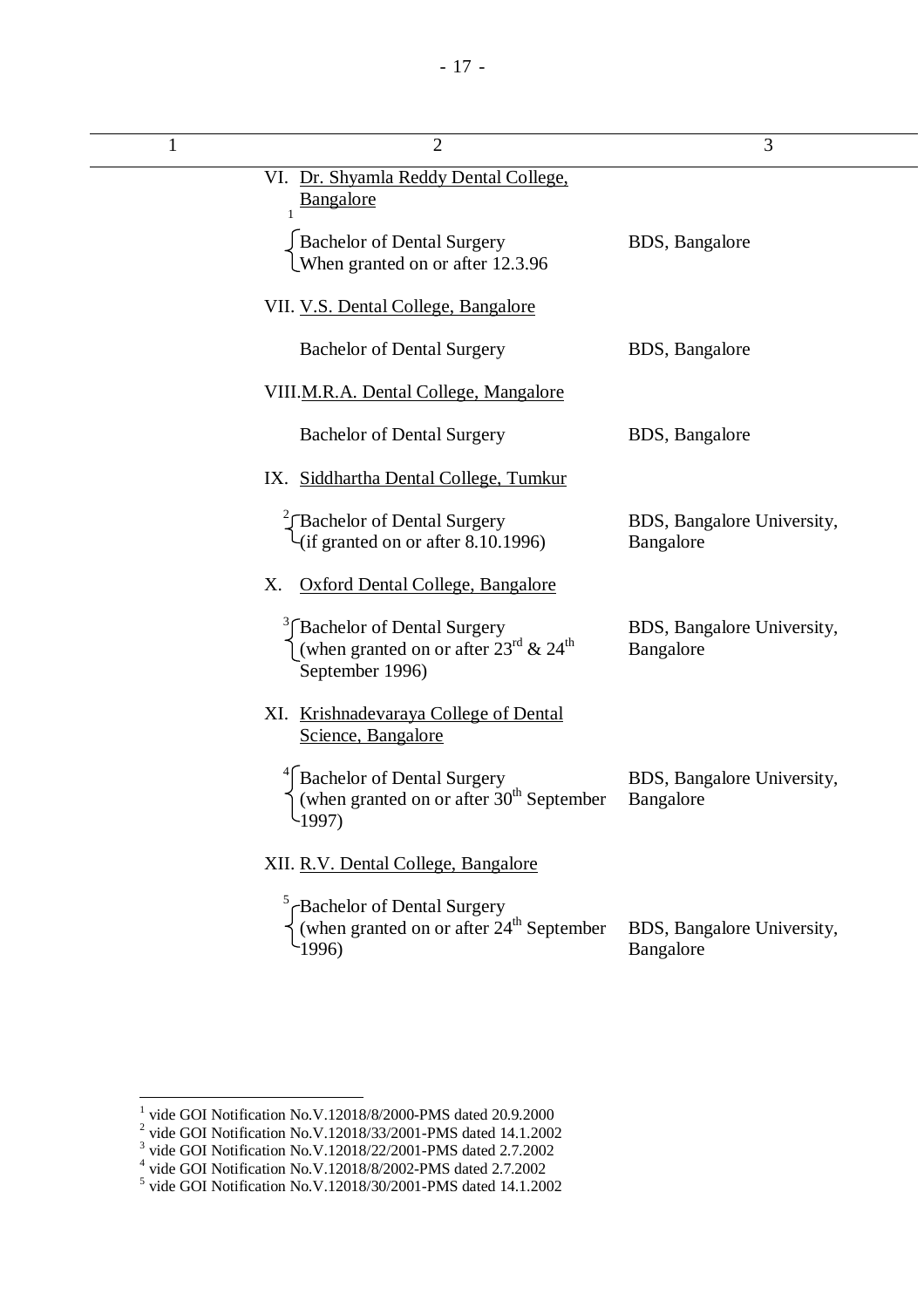| 1 | $\overline{2}$                                                                                                              | 3                                       |
|---|-----------------------------------------------------------------------------------------------------------------------------|-----------------------------------------|
|   | VI. Dr. Shyamla Reddy Dental College,<br>Bangalore                                                                          |                                         |
|   | Bachelor of Dental Surgery<br>When granted on or after 12.3.96                                                              | BDS, Bangalore                          |
|   | VII. V.S. Dental College, Bangalore                                                                                         |                                         |
|   | <b>Bachelor of Dental Surgery</b>                                                                                           | BDS, Bangalore                          |
|   | VIII.M.R.A. Dental College, Mangalore                                                                                       |                                         |
|   | <b>Bachelor of Dental Surgery</b>                                                                                           | BDS, Bangalore                          |
|   | IX. Siddhartha Dental College, Tumkur                                                                                       |                                         |
|   | Bachelor of Dental Surgery<br>(if granted on or after 8.10.1996)                                                            | BDS, Bangalore University,<br>Bangalore |
|   | Oxford Dental College, Bangalore<br>Χ.                                                                                      |                                         |
|   | <sup>3</sup> Bachelor of Dental Surgery<br>(when granted on or after $23^{\text{rd}}$ & $24^{\text{th}}$<br>September 1996) | BDS, Bangalore University,<br>Bangalore |
|   | XI. Krishnadevaraya College of Dental<br>Science, Bangalore                                                                 |                                         |
|   | Bachelor of Dental Surgery<br>(when granted on or after 30 <sup>th</sup> September<br>$\sim$ 1997)                          | BDS, Bangalore University,<br>Bangalore |
|   | XII. R.V. Dental College, Bangalore                                                                                         |                                         |
|   | $5$ <sub>C</sub> Bachelor of Dental Surgery<br>(when granted on or after $24^{\text{th}}$ September<br>1996                 | BDS, Bangalore University,<br>Bangalore |
|   |                                                                                                                             |                                         |

<sup>&</sup>lt;sup>1</sup> vide GOI Notification No.V.12018/8/2000-PMS dated 20.9.2000<br>
<sup>2</sup> vide GOI Notification No.V.12018/33/2001-PMS dated 14.1.2002<br>
<sup>3</sup> vide GOI Notification No.V.12018/22/2001-PMS dated 2.7.2002<br>
<sup>4</sup> vide GOI Notification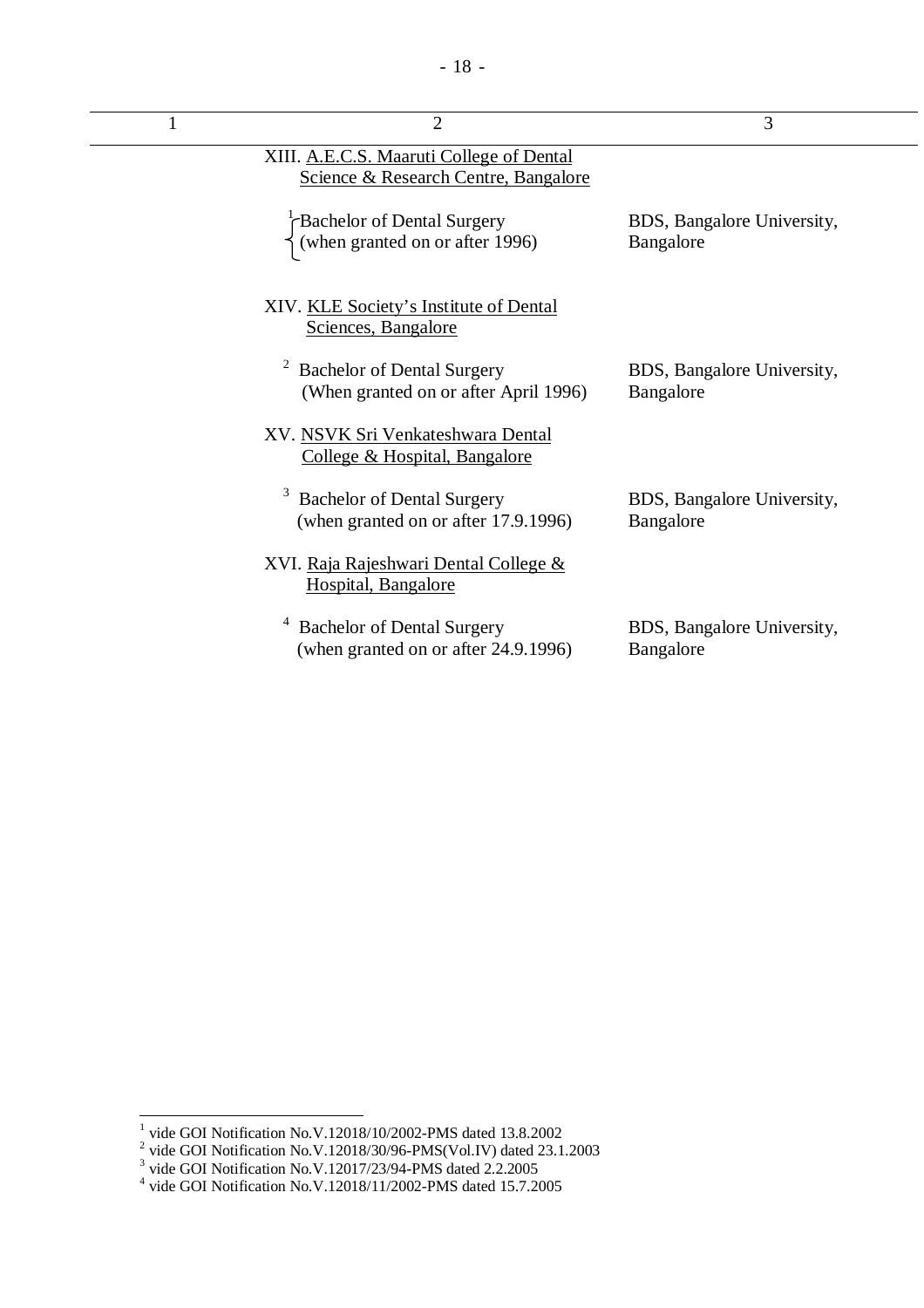| $\overline{2}$                                                                   | 3                                       |
|----------------------------------------------------------------------------------|-----------------------------------------|
| XIII. A.E.C.S. Maaruti College of Dental<br>Science & Research Centre, Bangalore |                                         |
| <b>Bachelor of Dental Surgery</b><br>(when granted on or after 1996)             | BDS, Bangalore University,<br>Bangalore |
| XIV. KLE Society's Institute of Dental<br>Sciences, Bangalore                    |                                         |
| <b>Bachelor of Dental Surgery</b><br>(When granted on or after April 1996)       | BDS, Bangalore University,<br>Bangalore |
| XV. NSVK Sri Venkateshwara Dental<br>College & Hospital, Bangalore               |                                         |
| <b>Bachelor of Dental Surgery</b><br>(when granted on or after 17.9.1996)        | BDS, Bangalore University,<br>Bangalore |
| XVI. Raja Rajeshwari Dental College &<br>Hospital, Bangalore                     |                                         |
| <b>Bachelor of Dental Surgery</b><br>(when granted on or after 24.9.1996)        | BDS, Bangalore University,<br>Bangalore |

<sup>&</sup>lt;sup>1</sup> vide GOI Notification No.V.12018/10/2002-PMS dated 13.8.2002<br><sup>2</sup> vide GOI Notification No.V.12018/30/96-PMS(Vol.IV) dated 23.1.2003<br><sup>3</sup> vide GOI Notification No.V.12017/23/94-PMS dated 2.2.2005<br><sup>4</sup> vide GOI Notificati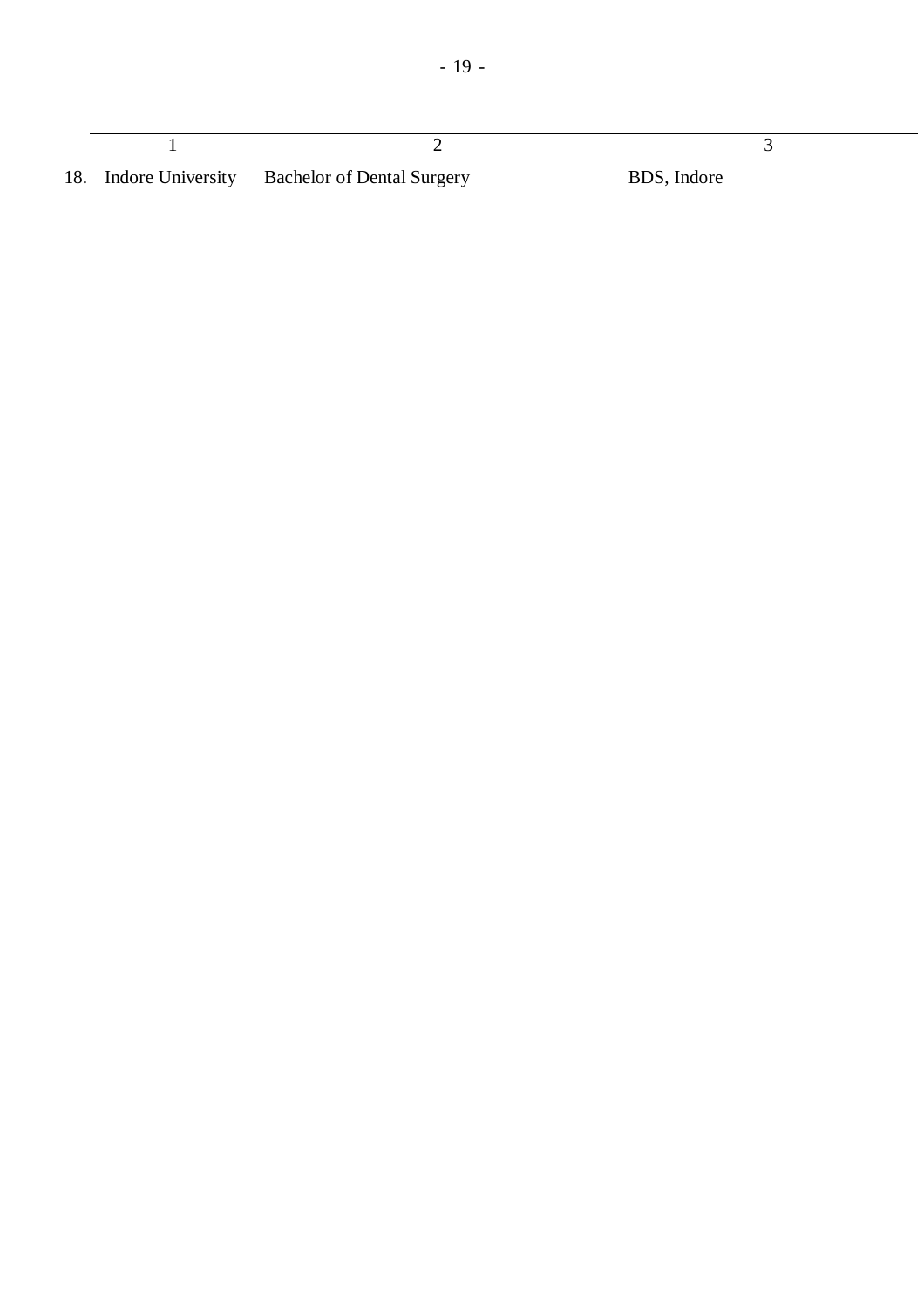|  |  | $\alpha$ it is the function of $\alpha$ in the $\alpha$ | $P_{\text{max}}$ $\sim$ |
|--|--|---------------------------------------------------------|-------------------------|

|  | 18. Indore University | <b>Bachelor of Dental Surgery</b> | BDS, Indore |
|--|-----------------------|-----------------------------------|-------------|
|--|-----------------------|-----------------------------------|-------------|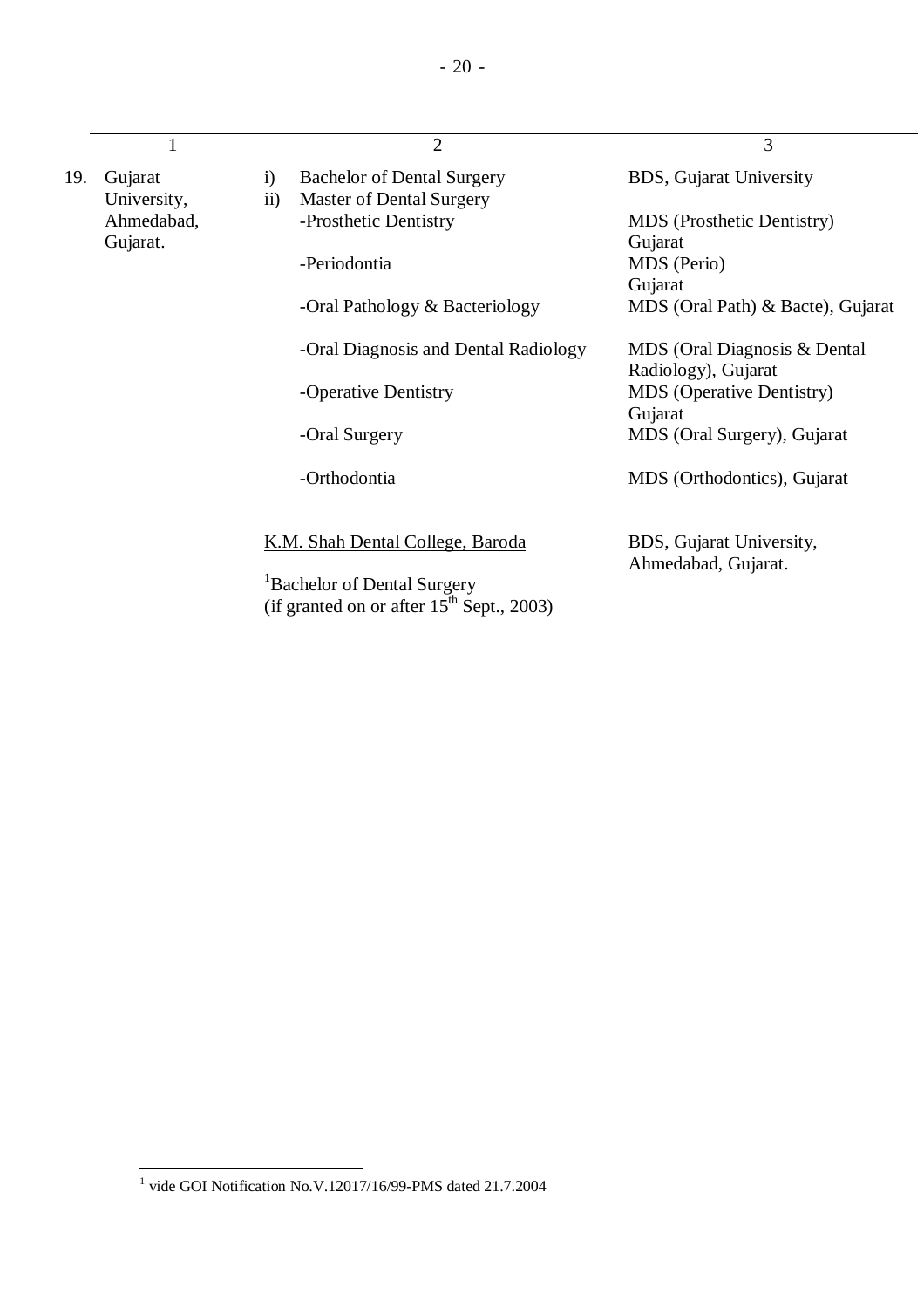|     | $\mathbf{1}$ |               | $\overline{2}$                                                                            | 3                                                   |
|-----|--------------|---------------|-------------------------------------------------------------------------------------------|-----------------------------------------------------|
| 19. | Gujarat      | $\mathbf{i}$  | <b>Bachelor of Dental Surgery</b>                                                         | <b>BDS</b> , Gujarat University                     |
|     | University,  | $\mathbf{ii}$ | <b>Master of Dental Surgery</b>                                                           |                                                     |
|     | Ahmedabad,   |               | -Prosthetic Dentistry                                                                     | <b>MDS</b> (Prosthetic Dentistry)                   |
|     | Gujarat.     |               |                                                                                           | Gujarat                                             |
|     |              |               | -Periodontia                                                                              | MDS (Perio)                                         |
|     |              |               |                                                                                           | Gujarat                                             |
|     |              |               | -Oral Pathology & Bacteriology                                                            | MDS (Oral Path) & Bacte), Gujarat                   |
|     |              |               | -Oral Diagnosis and Dental Radiology                                                      | MDS (Oral Diagnosis & Dental<br>Radiology), Gujarat |
|     |              |               | -Operative Dentistry                                                                      | <b>MDS</b> (Operative Dentistry)<br>Gujarat         |
|     |              |               | -Oral Surgery                                                                             | MDS (Oral Surgery), Gujarat                         |
|     |              |               | -Orthodontia                                                                              | MDS (Orthodontics), Gujarat                         |
|     |              |               | K.M. Shah Dental College, Baroda                                                          | BDS, Gujarat University,                            |
|     |              |               | <sup>1</sup> Bachelor of Dental Surgery<br>(if granted on or after $15^{th}$ Sept., 2003) | Ahmedabad, Gujarat.                                 |

 1 vide GOI Notification No.V.12017/16/99-PMS dated 21.7.2004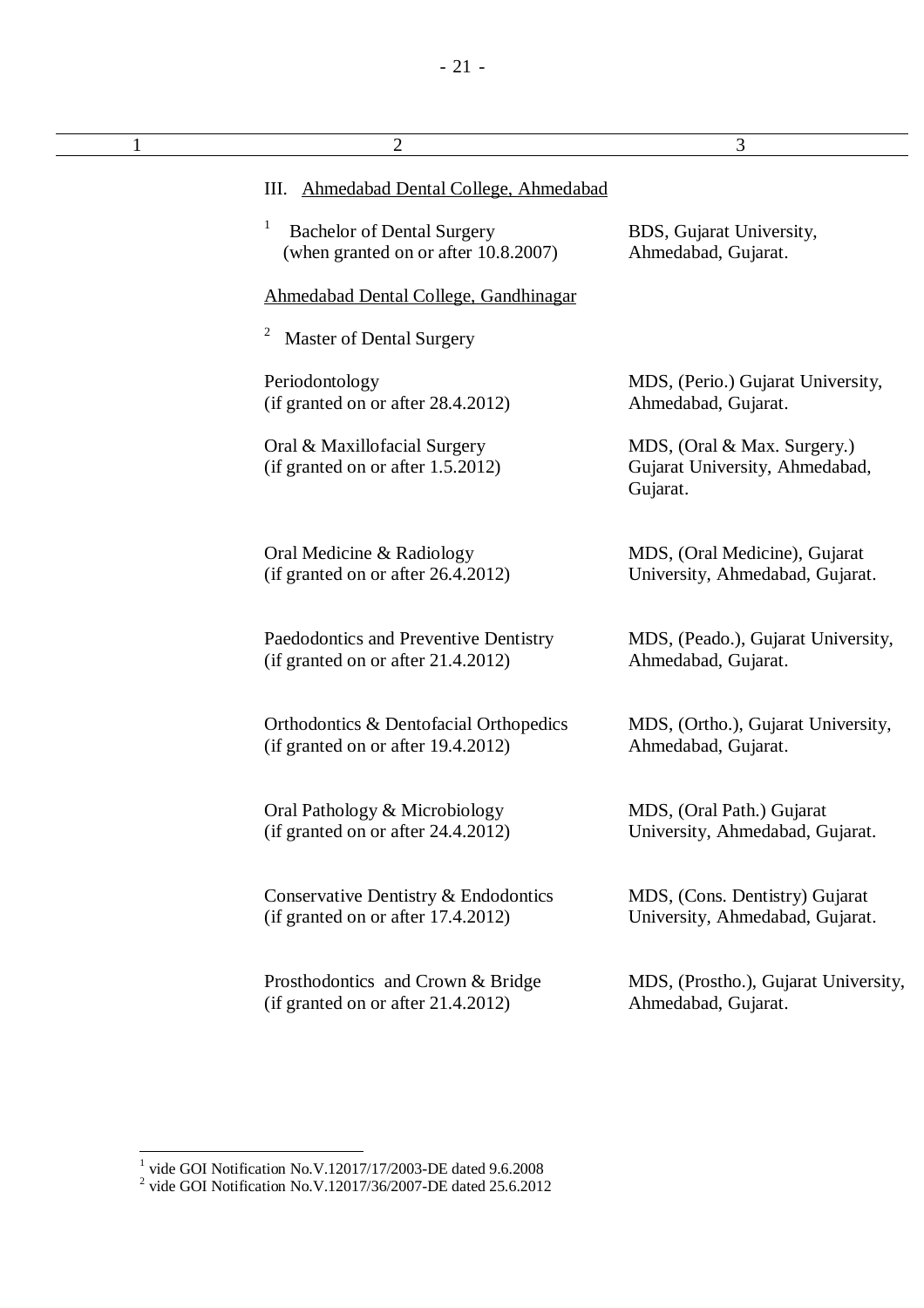| $\overline{2}$                                                                 | 3                                                                         |
|--------------------------------------------------------------------------------|---------------------------------------------------------------------------|
| III. Ahmedabad Dental College, Ahmedabad                                       |                                                                           |
| 1<br><b>Bachelor of Dental Surgery</b><br>(when granted on or after 10.8.2007) | BDS, Gujarat University,<br>Ahmedabad, Gujarat.                           |
| Ahmedabad Dental College, Gandhinagar                                          |                                                                           |
| <b>Master of Dental Surgery</b>                                                |                                                                           |
| Periodontology<br>(if granted on or after 28.4.2012)                           | MDS, (Perio.) Gujarat University,<br>Ahmedabad, Gujarat.                  |
| Oral & Maxillofacial Surgery<br>(if granted on or after 1.5.2012)              | MDS, (Oral & Max. Surgery.)<br>Gujarat University, Ahmedabad,<br>Gujarat. |
| Oral Medicine & Radiology<br>(if granted on or after 26.4.2012)                | MDS, (Oral Medicine), Gujarat<br>University, Ahmedabad, Gujarat.          |
| Paedodontics and Preventive Dentistry<br>(if granted on or after 21.4.2012)    | MDS, (Peado.), Gujarat University,<br>Ahmedabad, Gujarat.                 |
| Orthodontics & Dentofacial Orthopedics<br>(if granted on or after 19.4.2012)   | MDS, (Ortho.), Gujarat University,<br>Ahmedabad, Gujarat.                 |
| Oral Pathology & Microbiology<br>(if granted on or after $24.4.2012$ )         | MDS, (Oral Path.) Gujarat<br>University, Ahmedabad, Gujarat.              |
| Conservative Dentistry & Endodontics<br>(if granted on or after 17.4.2012)     | MDS, (Cons. Dentistry) Gujarat<br>University, Ahmedabad, Gujarat.         |
| Prosthodontics and Crown & Bridge<br>(if granted on or after $21.4.2012$ )     | MDS, (Prostho.), Gujarat University,<br>Ahmedabad, Gujarat.               |
|                                                                                |                                                                           |

 1 vide GOI Notification No.V.12017/17/2003-DE dated 9.6.2008 2 vide GOI Notification No.V.12017/36/2007-DE dated 25.6.2012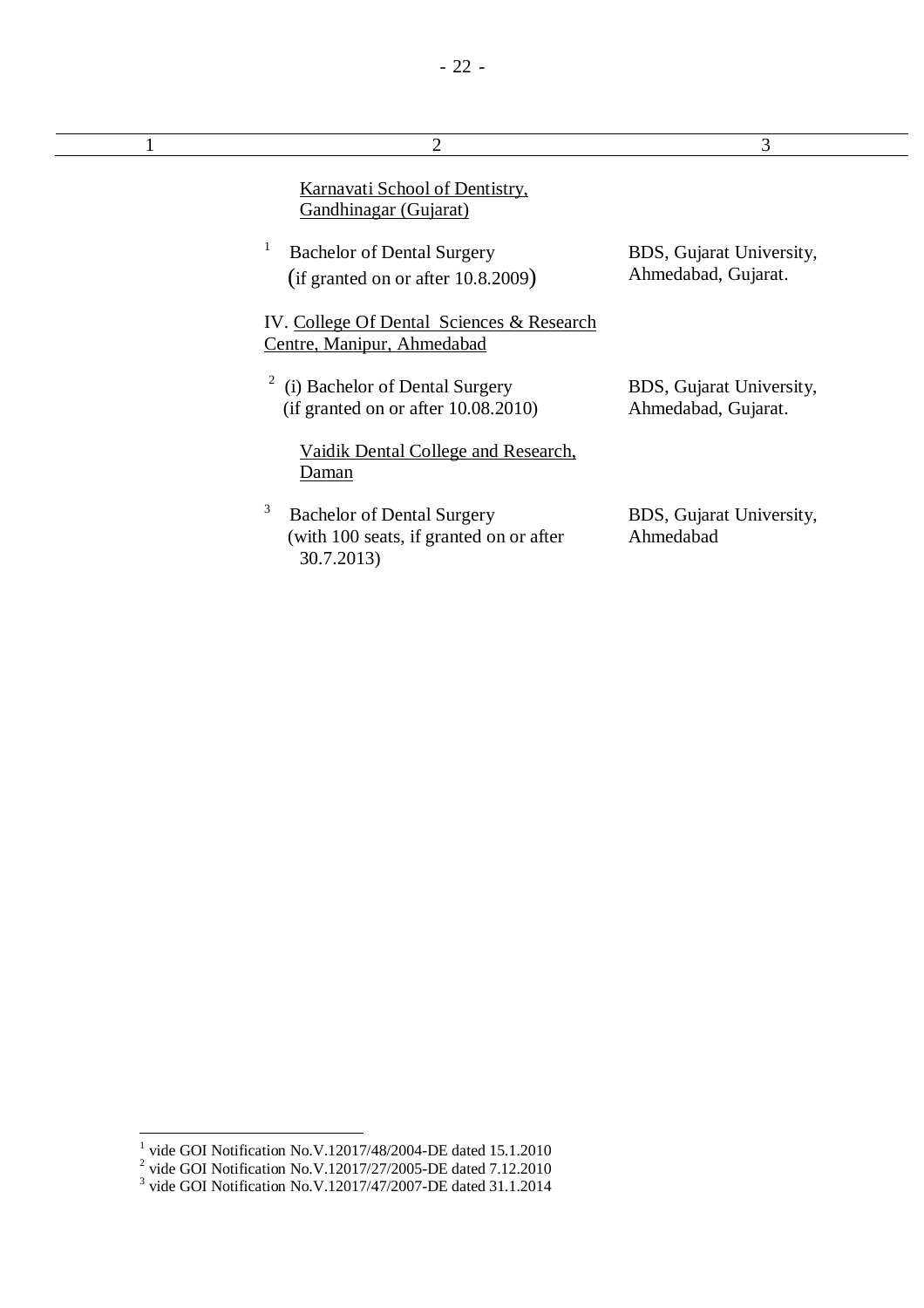| 2                                                                                               | 3                                               |
|-------------------------------------------------------------------------------------------------|-------------------------------------------------|
| Karnavati School of Dentistry,<br>Gandhinagar (Gujarat)                                         |                                                 |
| <b>Bachelor of Dental Surgery</b><br>(if granted on or after 10.8.2009)                         | BDS, Gujarat University,<br>Ahmedabad, Gujarat. |
| IV. College Of Dental Sciences & Research<br>Centre, Manipur, Ahmedabad                         |                                                 |
| (i) Bachelor of Dental Surgery<br>(if granted on or after $10.08.2010$ )                        | BDS, Gujarat University,<br>Ahmedabad, Gujarat. |
| Vaidik Dental College and Research,<br>Daman                                                    |                                                 |
| 3<br><b>Bachelor of Dental Surgery</b><br>(with 100 seats, if granted on or after<br>30.7.2013) | BDS, Gujarat University,<br>Ahmedabad           |

<sup>&</sup>lt;sup>1</sup> vide GOI Notification No.V.12017/48/2004-DE dated 15.1.2010<br>
<sup>2</sup> vide GOI Notification No.V.12017/27/2005-DE dated 7.12.2010<br>
<sup>3</sup> vide GOI Notification No.V.12017/47/2007-DE dated 31.1.2014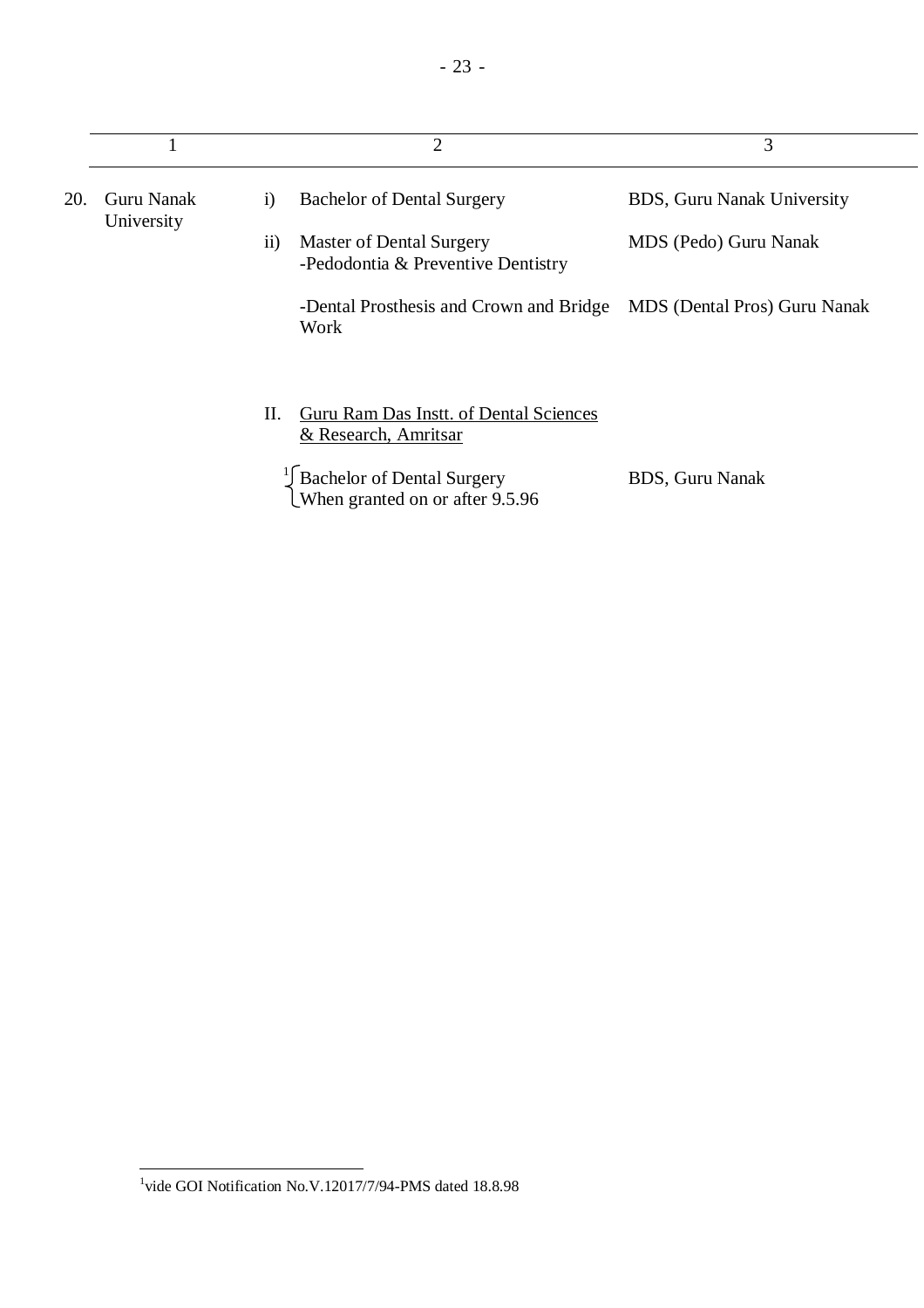|     |                          |              | $\overline{2}$                                                 | 3                                   |
|-----|--------------------------|--------------|----------------------------------------------------------------|-------------------------------------|
| 20. | Guru Nanak<br>University | $\mathbf{i}$ | <b>Bachelor of Dental Surgery</b>                              | BDS, Guru Nanak University          |
|     |                          | $\rm ii)$    | Master of Dental Surgery<br>-Pedodontia & Preventive Dentistry | MDS (Pedo) Guru Nanak               |
|     |                          |              | -Dental Prosthesis and Crown and Bridge<br>Work                | <b>MDS</b> (Dental Pros) Guru Nanak |
|     |                          | П.           | Guru Ram Das Instt. of Dental Sciences<br>& Research, Amritsar |                                     |
|     |                          |              | Bachelor of Dental Surgery<br>Uwhen granted on or after 9.5.96 | <b>BDS, Guru Nanak</b>              |

 1 vide GOI Notification No.V.12017/7/94-PMS dated 18.8.98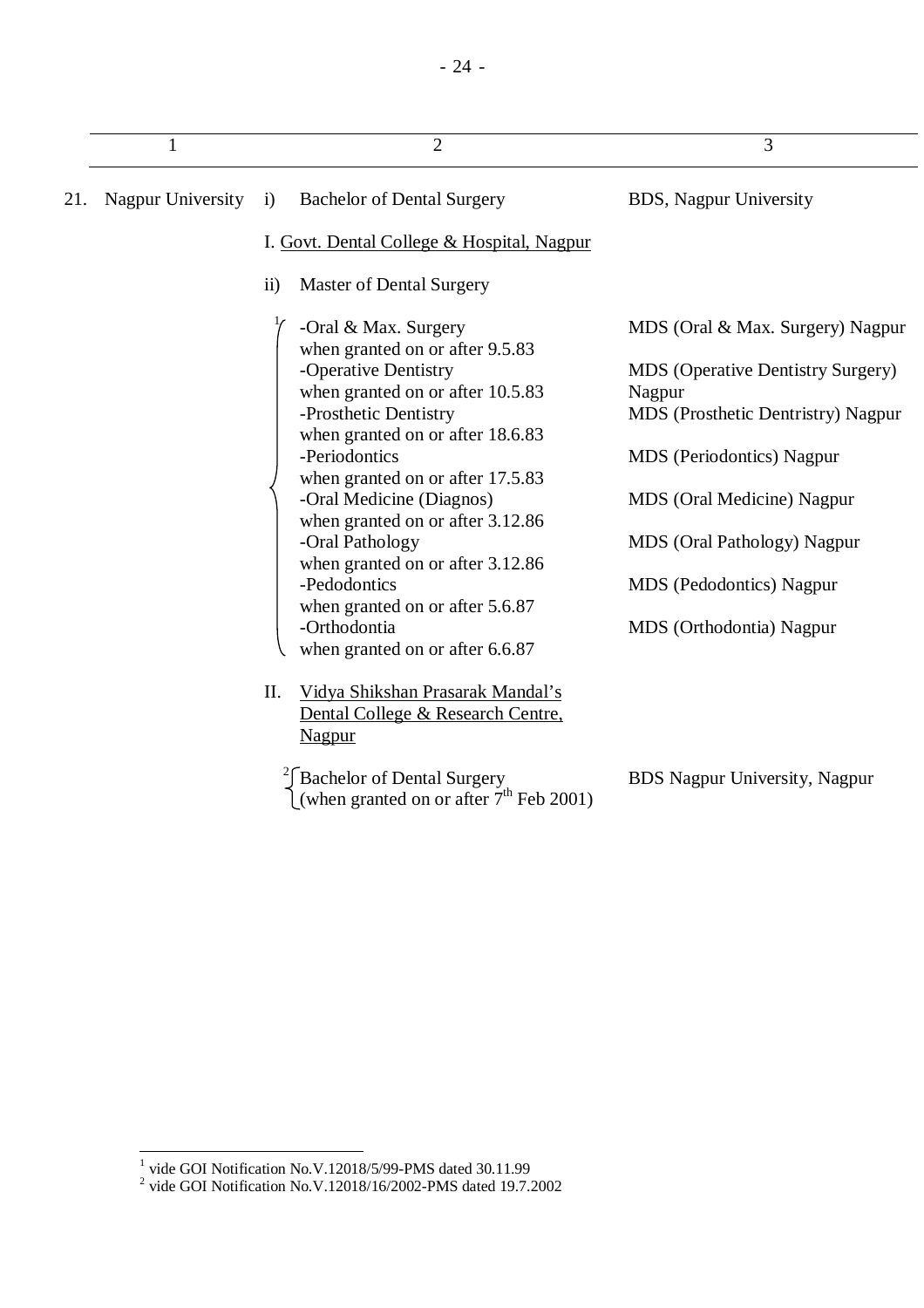|     | 1                 | $\overline{2}$                                                                                                                                                                                                                                                                                                                                                                                                                                                     | 3                                                                                                                                                                                                                                                                                            |
|-----|-------------------|--------------------------------------------------------------------------------------------------------------------------------------------------------------------------------------------------------------------------------------------------------------------------------------------------------------------------------------------------------------------------------------------------------------------------------------------------------------------|----------------------------------------------------------------------------------------------------------------------------------------------------------------------------------------------------------------------------------------------------------------------------------------------|
| 21. | Nagpur University | <b>Bachelor of Dental Surgery</b><br>$\ddot{1}$                                                                                                                                                                                                                                                                                                                                                                                                                    | <b>BDS, Nagpur University</b>                                                                                                                                                                                                                                                                |
|     |                   | I. Govt. Dental College & Hospital, Nagpur                                                                                                                                                                                                                                                                                                                                                                                                                         |                                                                                                                                                                                                                                                                                              |
|     |                   | <b>Master of Dental Surgery</b><br>$\rm ii)$                                                                                                                                                                                                                                                                                                                                                                                                                       |                                                                                                                                                                                                                                                                                              |
|     |                   | -Oral & Max. Surgery<br>when granted on or after 9.5.83<br>-Operative Dentistry<br>when granted on or after 10.5.83<br>-Prosthetic Dentistry<br>when granted on or after 18.6.83<br>-Periodontics<br>when granted on or after 17.5.83<br>-Oral Medicine (Diagnos)<br>when granted on or after 3.12.86<br>-Oral Pathology<br>when granted on or after 3.12.86<br>-Pedodontics<br>when granted on or after 5.6.87<br>-Orthodontia<br>when granted on or after 6.6.87 | MDS (Oral & Max. Surgery) Nagpur<br><b>MDS</b> (Operative Dentistry Surgery)<br>Nagpur<br><b>MDS</b> (Prosthetic Dentristry) Nagpur<br><b>MDS</b> (Periodontics) Nagpur<br>MDS (Oral Medicine) Nagpur<br>MDS (Oral Pathology) Nagpur<br>MDS (Pedodontics) Nagpur<br>MDS (Orthodontia) Nagpur |
|     |                   | II.<br>Vidya Shikshan Prasarak Mandal's<br>Dental College & Research Centre,<br>Nagpur                                                                                                                                                                                                                                                                                                                                                                             |                                                                                                                                                                                                                                                                                              |
|     |                   | Bachelor of Dental Surgery<br>(when granted on or after $7th$ Feb 2001)                                                                                                                                                                                                                                                                                                                                                                                            | <b>BDS</b> Nagpur University, Nagpur                                                                                                                                                                                                                                                         |

 1 vide GOI Notification No.V.12018/5/99-PMS dated 30.11.99 2 vide GOI Notification No.V.12018/16/2002-PMS dated 19.7.2002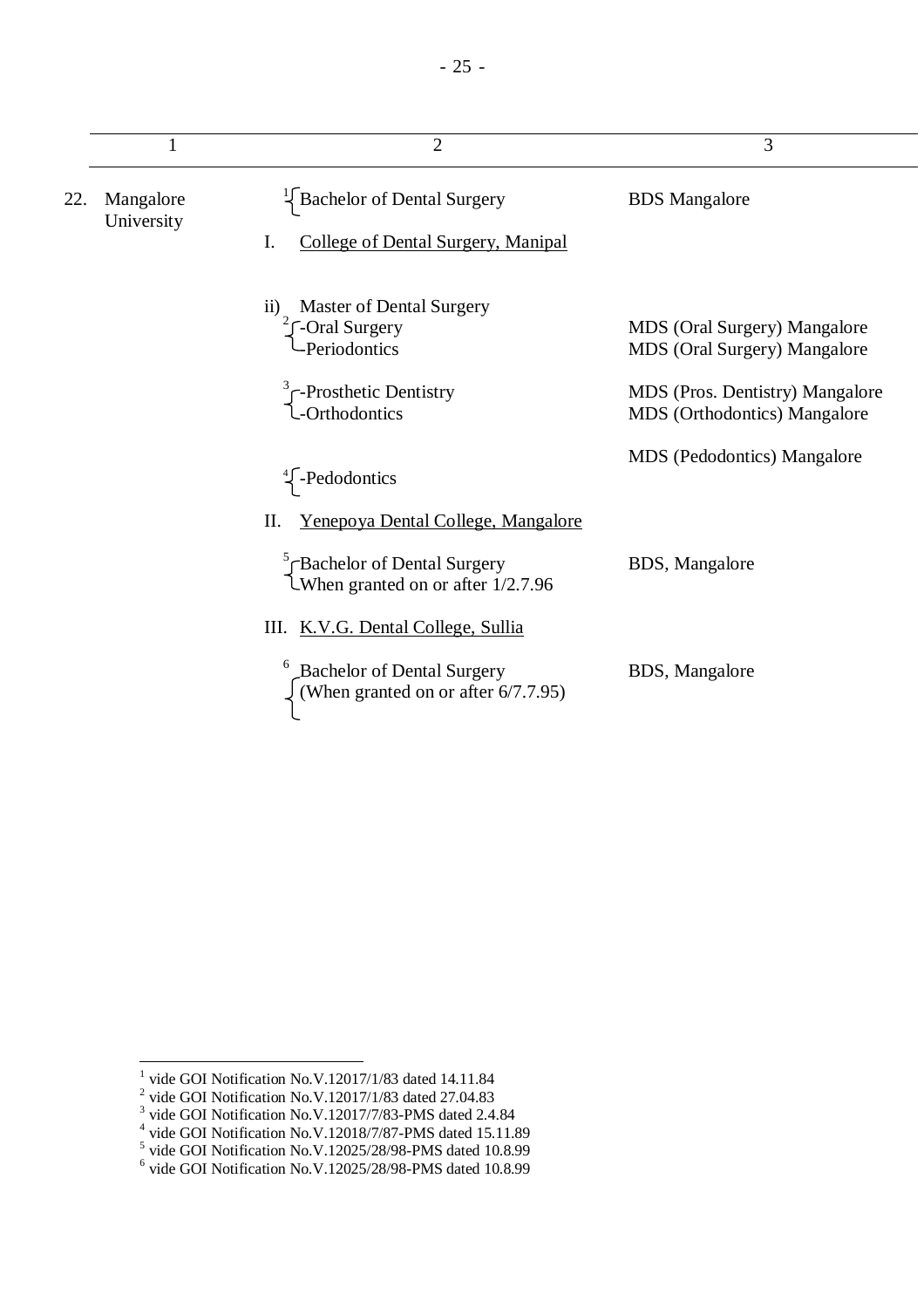|     | 1                       | $\overline{2}$                                                                               | 3                                                               |
|-----|-------------------------|----------------------------------------------------------------------------------------------|-----------------------------------------------------------------|
| 22. | Mangalore<br>University | <b>Bachelor of Dental Surgery</b><br>College of Dental Surgery, Manipal<br>I.                | <b>BDS</b> Mangalore                                            |
|     |                         | <b>Master of Dental Surgery</b><br>$\overline{11}$<br><b>-Oral Surgery</b><br>- Periodontics | MDS (Oral Surgery) Mangalore<br>MDS (Oral Surgery) Mangalore    |
|     |                         | $\int$ -Prosthetic Dentistry<br>-Orthodontics                                                | MDS (Pros. Dentistry) Mangalore<br>MDS (Orthodontics) Mangalore |
|     |                         | $\frac{4}{5}$ -Pedodontics                                                                   | <b>MDS</b> (Pedodontics) Mangalore                              |
|     |                         | <u>Yenepoya Dental College, Mangalore</u><br>II.                                             |                                                                 |
|     |                         | $\int_{\text{When granted on or after 1/2.7.96}}^5$                                          | BDS, Mangalore                                                  |
|     |                         | III. K.V.G. Dental College, Sullia                                                           |                                                                 |
|     |                         | <b>Bachelor of Dental Surgery</b><br>(When granted on or after 6/7.7.95)                     | BDS, Mangalore                                                  |

- 25 -

<sup>&</sup>lt;sup>1</sup> vide GOI Notification No.V.12017/1/83 dated 14.11.84<br>
<sup>2</sup> vide GOI Notification No.V.12017/1/83 dated 27.04.83<br>
<sup>3</sup> vide GOI Notification No.V.12017/7/83-PMS dated 2.4.84<br>
<sup>4</sup> vide GOI Notification No.V.12018/7/87-PMS

<sup>6</sup> vide GOI Notification No.V.12025/28/98-PMS dated 10.8.99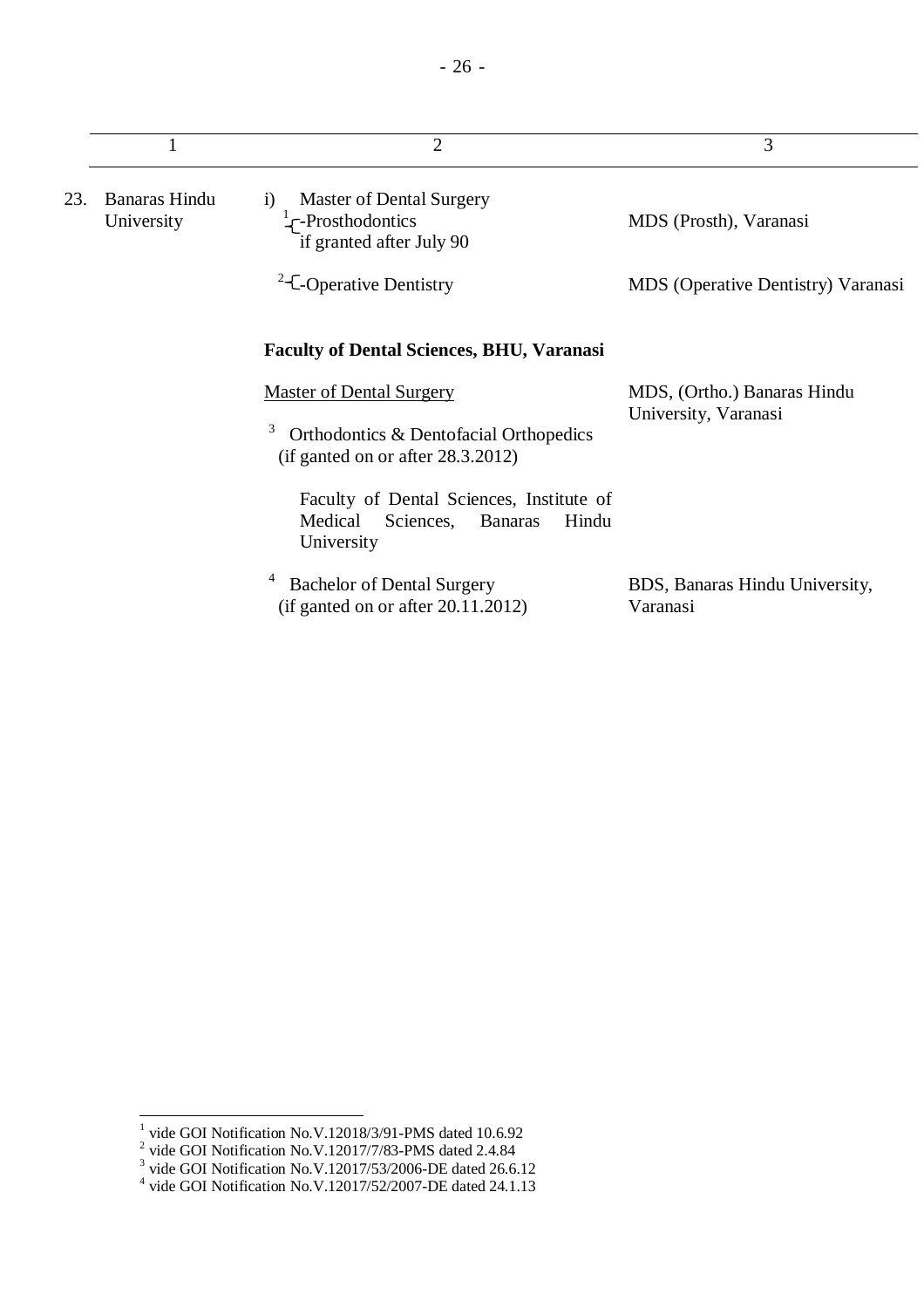|     |                                    | $\overline{2}$                                                                                            | 3                                                   |
|-----|------------------------------------|-----------------------------------------------------------------------------------------------------------|-----------------------------------------------------|
| 23. | <b>Banaras Hindu</b><br>University | <b>Master of Dental Surgery</b><br>$\bf{1)}$<br>$\frac{1}{2}$ -Prosthodontics<br>if granted after July 90 | MDS (Prosth), Varanasi                              |
|     |                                    | <sup>2</sup> -C-Operative Dentistry                                                                       | <b>MDS</b> (Operative Dentistry) Varanasi           |
|     |                                    | <b>Faculty of Dental Sciences, BHU, Varanasi</b>                                                          |                                                     |
|     |                                    | <b>Master of Dental Surgery</b>                                                                           | MDS, (Ortho.) Banaras Hindu<br>University, Varanasi |
|     |                                    | 3<br>Orthodontics & Dentofacial Orthopedics<br>(if ganted on or after $28.3.2012$ )                       |                                                     |
|     |                                    | Faculty of Dental Sciences, Institute of<br>Medical<br>Sciences,<br><b>Banaras</b><br>Hindu<br>University |                                                     |
|     |                                    | <b>Bachelor of Dental Surgery</b><br>(if ganted on or after $20.11.2012$ )                                | BDS, Banaras Hindu University,<br>Varanasi          |

<sup>&</sup>lt;sup>1</sup> vide GOI Notification No.V.12018/3/91-PMS dated 10.6.92<br><sup>2</sup> vide GOI Notification No.V.12017/7/83-PMS dated 2.4.84<br><sup>3</sup> vide GOI Notification No.V.12017/53/2006-DE dated 26.6.12<br><sup>4</sup> vide GOI Notification No.V.12017/52/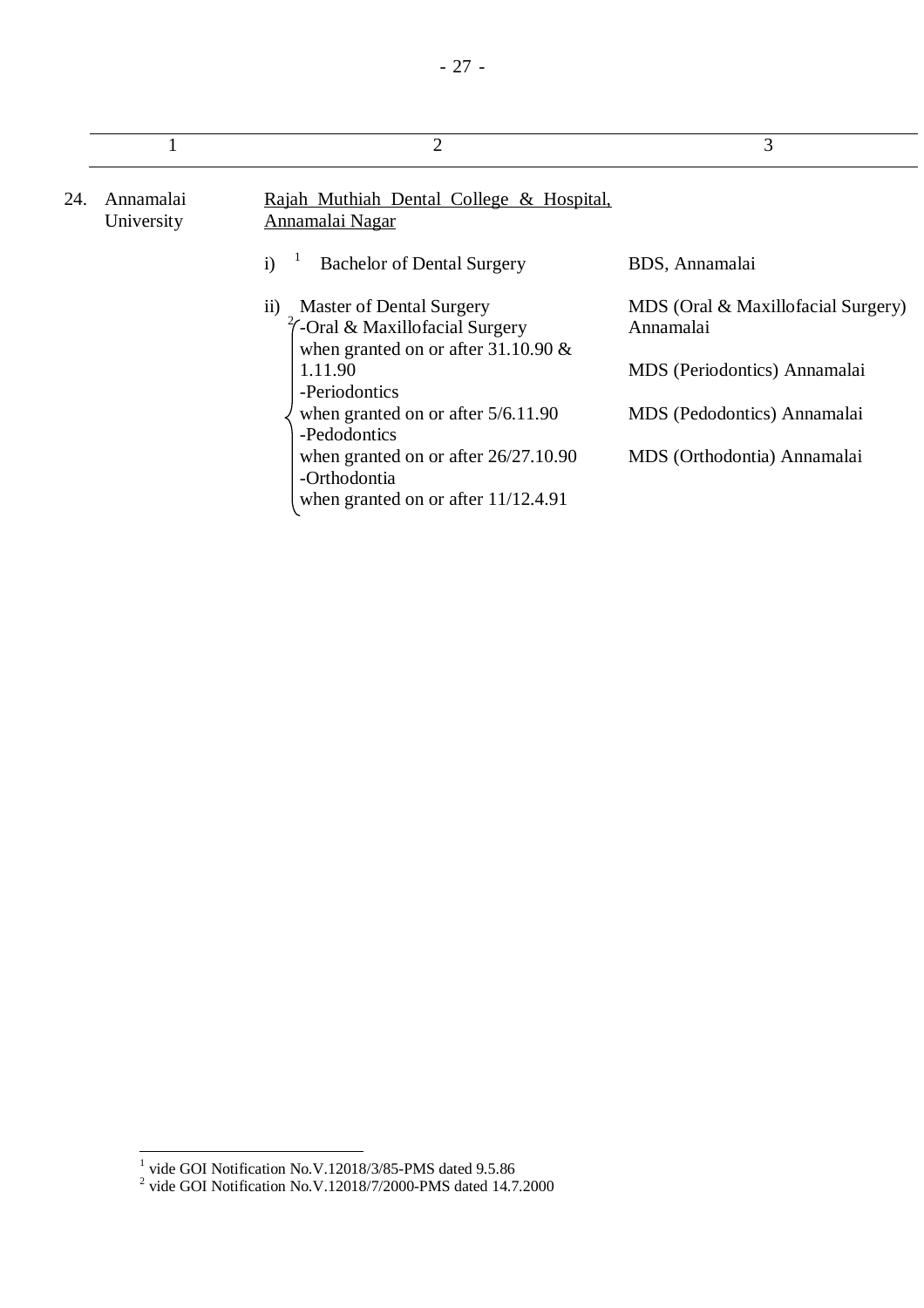|     |                         | $\overline{2}$                                                                                                                              | 3                                               |
|-----|-------------------------|---------------------------------------------------------------------------------------------------------------------------------------------|-------------------------------------------------|
| 24. | Annamalai<br>University | Rajah Muthiah Dental College & Hospital,<br>Annamalai Nagar                                                                                 |                                                 |
|     |                         | $\mathbf{i}$<br><b>Bachelor of Dental Surgery</b>                                                                                           | BDS, Annamalai                                  |
|     |                         | <b>Master of Dental Surgery</b><br>$\overline{11}$<br>$\frac{2}{7}$ -Oral & Maxillofacial Surgery<br>when granted on or after $31.10.90 \&$ | MDS (Oral & Maxillofacial Surgery)<br>Annamalai |
|     |                         | 1.11.90<br>-Periodontics                                                                                                                    | MDS (Periodontics) Annamalai                    |
|     |                         | when granted on or after $5/6.11.90$<br>-Pedodontics                                                                                        | MDS (Pedodontics) Annamalai                     |
|     |                         | when granted on or after $26/27.10.90$<br>-Orthodontia                                                                                      | MDS (Orthodontia) Annamalai                     |
|     |                         | when granted on or after $11/12.4.91$                                                                                                       |                                                 |

<sup>&</sup>lt;sup>1</sup> vide GOI Notification No.V.12018/3/85-PMS dated 9.5.86<br><sup>2</sup> vide GOI Notification No.V.12018/7/2000-PMS dated 14.7.2000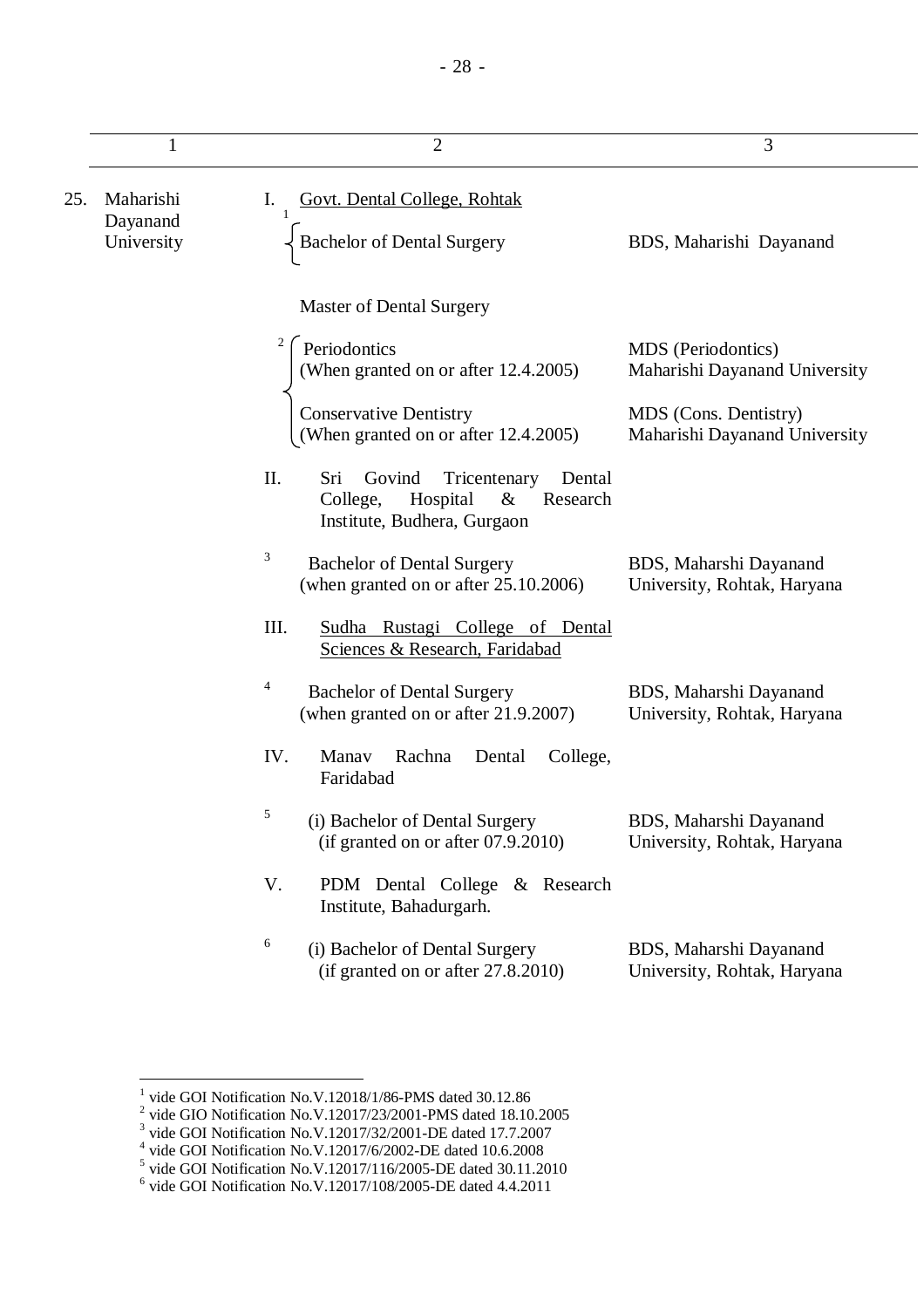|     | 1                      | $\overline{2}$                                                                                                            | 3                                                      |
|-----|------------------------|---------------------------------------------------------------------------------------------------------------------------|--------------------------------------------------------|
| 25. | Maharishi              | Ι.<br>Govt. Dental College, Rohtak                                                                                        |                                                        |
|     | Dayanand<br>University | <b>Bachelor of Dental Surgery</b>                                                                                         | BDS, Maharishi Dayanand                                |
|     |                        | <b>Master of Dental Surgery</b>                                                                                           |                                                        |
|     |                        | Periodontics<br>(When granted on or after 12.4.2005)                                                                      | MDS (Periodontics)<br>Maharishi Dayanand University    |
|     |                        | <b>Conservative Dentistry</b><br>(When granted on or after 12.4.2005)                                                     | MDS (Cons. Dentistry)<br>Maharishi Dayanand University |
|     |                        | II.<br>Sri<br>Govind<br>Tricentenary<br>Dental<br>College,<br>Hospital<br>$\&$<br>Research<br>Institute, Budhera, Gurgaon |                                                        |
|     |                        | 3<br><b>Bachelor of Dental Surgery</b><br>(when granted on or after 25.10.2006)                                           | BDS, Maharshi Dayanand<br>University, Rohtak, Haryana  |
|     |                        | III.<br>Sudha Rustagi College of Dental<br>Sciences & Research, Faridabad                                                 |                                                        |
|     |                        | 4<br><b>Bachelor of Dental Surgery</b><br>(when granted on or after 21.9.2007)                                            | BDS, Maharshi Dayanand<br>University, Rohtak, Haryana  |
|     |                        | IV.<br>Manav<br>Rachna<br>College,<br>Dental<br>Faridabad                                                                 |                                                        |
|     |                        | 5<br>(i) Bachelor of Dental Surgery<br>(if granted on or after $07.9.2010$ )                                              | BDS, Maharshi Dayanand<br>University, Rohtak, Haryana  |
|     |                        | V.<br>PDM Dental College & Research<br>Institute, Bahadurgarh.                                                            |                                                        |
|     |                        | 6<br>(i) Bachelor of Dental Surgery<br>(if granted on or after 27.8.2010)                                                 | BDS, Maharshi Dayanand<br>University, Rohtak, Haryana  |

<sup>&</sup>lt;sup>1</sup> vide GOI Notification No.V.12018/1/86-PMS dated 30.12.86<br>
<sup>2</sup> vide GIO Notification No.V.12017/23/2001-PMS dated 18.10.2005<br>
<sup>3</sup> vide GOI Notification No.V.12017/32/2001-DE dated 17.7.2007<br>
<sup>4</sup> vide GOI Notification N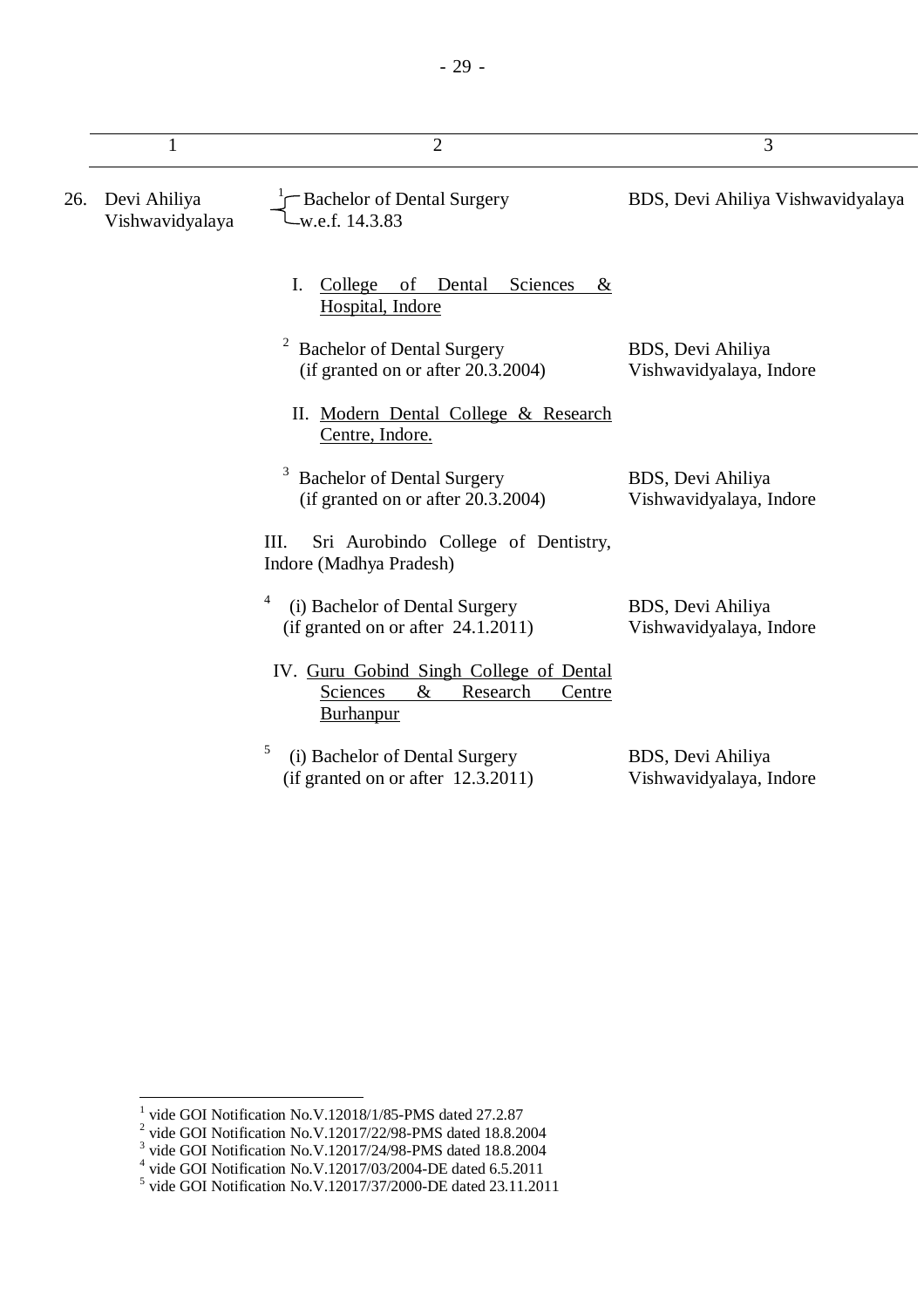|     | 1                               | $\overline{2}$                                                                                          | 3                                            |
|-----|---------------------------------|---------------------------------------------------------------------------------------------------------|----------------------------------------------|
| 26. | Devi Ahiliya<br>Vishwavidyalaya | -Bachelor of Dental Surgery<br>w.e.f. 14.3.83                                                           | BDS, Devi Ahiliya Vishwavidyalaya            |
|     |                                 | I.<br>$\frac{\text{Collect}}{\text{} }$<br>Dental<br>Sciences<br><sub>of</sub><br>&<br>Hospital, Indore |                                              |
|     |                                 | $\overline{\mathbf{c}}$<br><b>Bachelor of Dental Surgery</b><br>(if granted on or after 20.3.2004)      | BDS, Devi Ahiliya<br>Vishwavidyalaya, Indore |
|     |                                 | II. Modern Dental College & Research<br>Centre, Indore.                                                 |                                              |
|     |                                 | 3<br><b>Bachelor of Dental Surgery</b><br>(if granted on or after 20.3.2004)                            | BDS, Devi Ahiliya<br>Vishwavidyalaya, Indore |
|     |                                 | Sri Aurobindo College of Dentistry,<br>III.<br>Indore (Madhya Pradesh)                                  |                                              |
|     |                                 | 4<br>(i) Bachelor of Dental Surgery<br>(if granted on or after $24.1.2011$ )                            | BDS, Devi Ahiliya<br>Vishwavidyalaya, Indore |
|     |                                 | IV. Guru Gobind Singh College of Dental<br>$\&$<br>Sciences<br>Research<br>Centre<br><b>Burhanpur</b>   |                                              |
|     |                                 | 5<br>(i) Bachelor of Dental Surgery<br>(if granted on or after 12.3.2011)                               | BDS, Devi Ahiliya<br>Vishwavidyalaya, Indore |

<sup>&</sup>lt;sup>1</sup> vide GOI Notification No.V.12018/1/85-PMS dated 27.2.87<br>
<sup>2</sup> vide GOI Notification No.V.12017/22/98-PMS dated 18.8.2004<br>
<sup>3</sup> vide GOI Notification No.V.12017/24/98-PMS dated 18.8.2004<br>
<sup>4</sup> vide GOI Notification No.V.1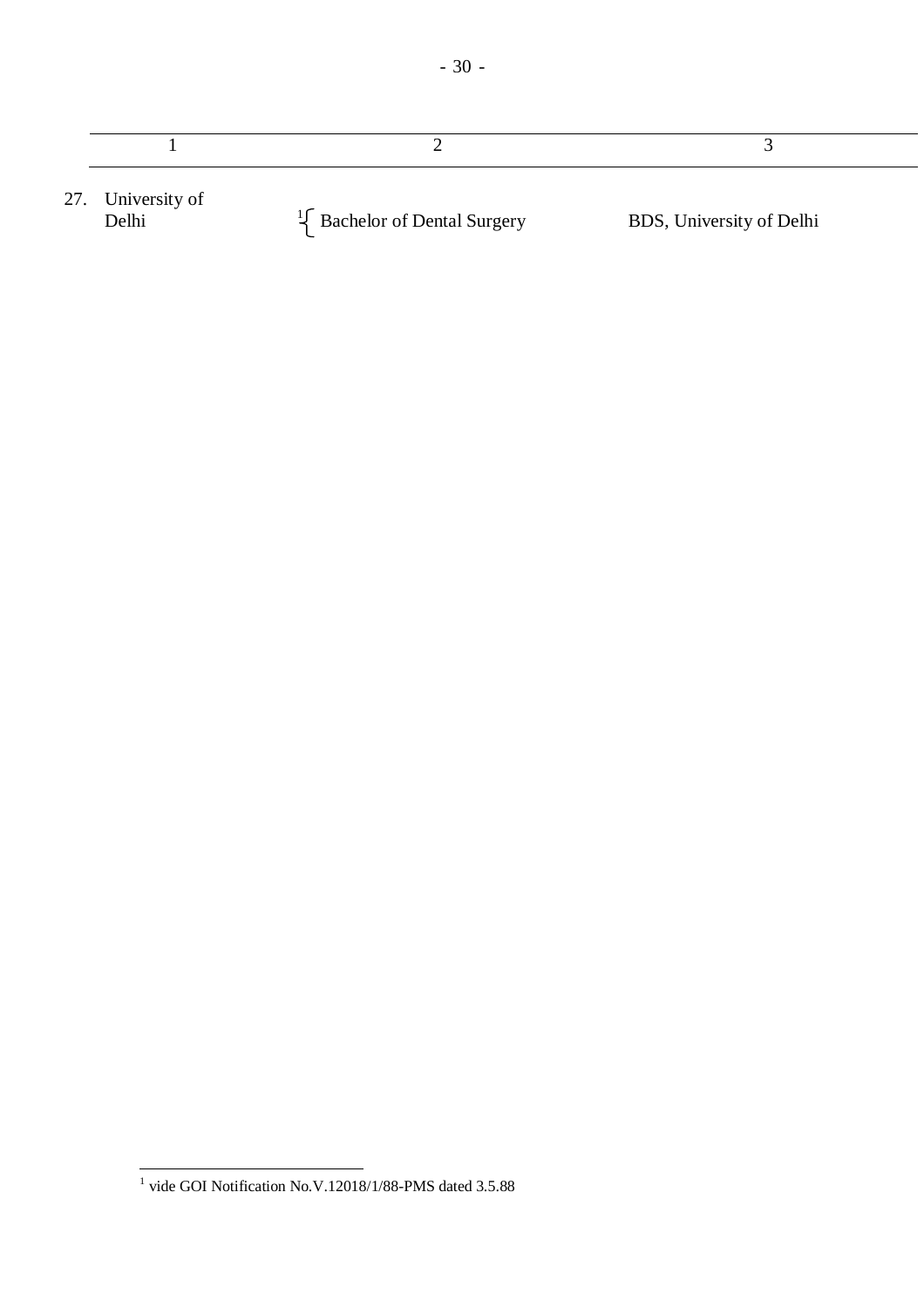| 27. University of<br>Delhi | $\frac{1}{2}$ Bachelor of Dental Surgery | BDS, University of Delhi |
|----------------------------|------------------------------------------|--------------------------|

 1 vide GOI Notification No.V.12018/1/88-PMS dated 3.5.88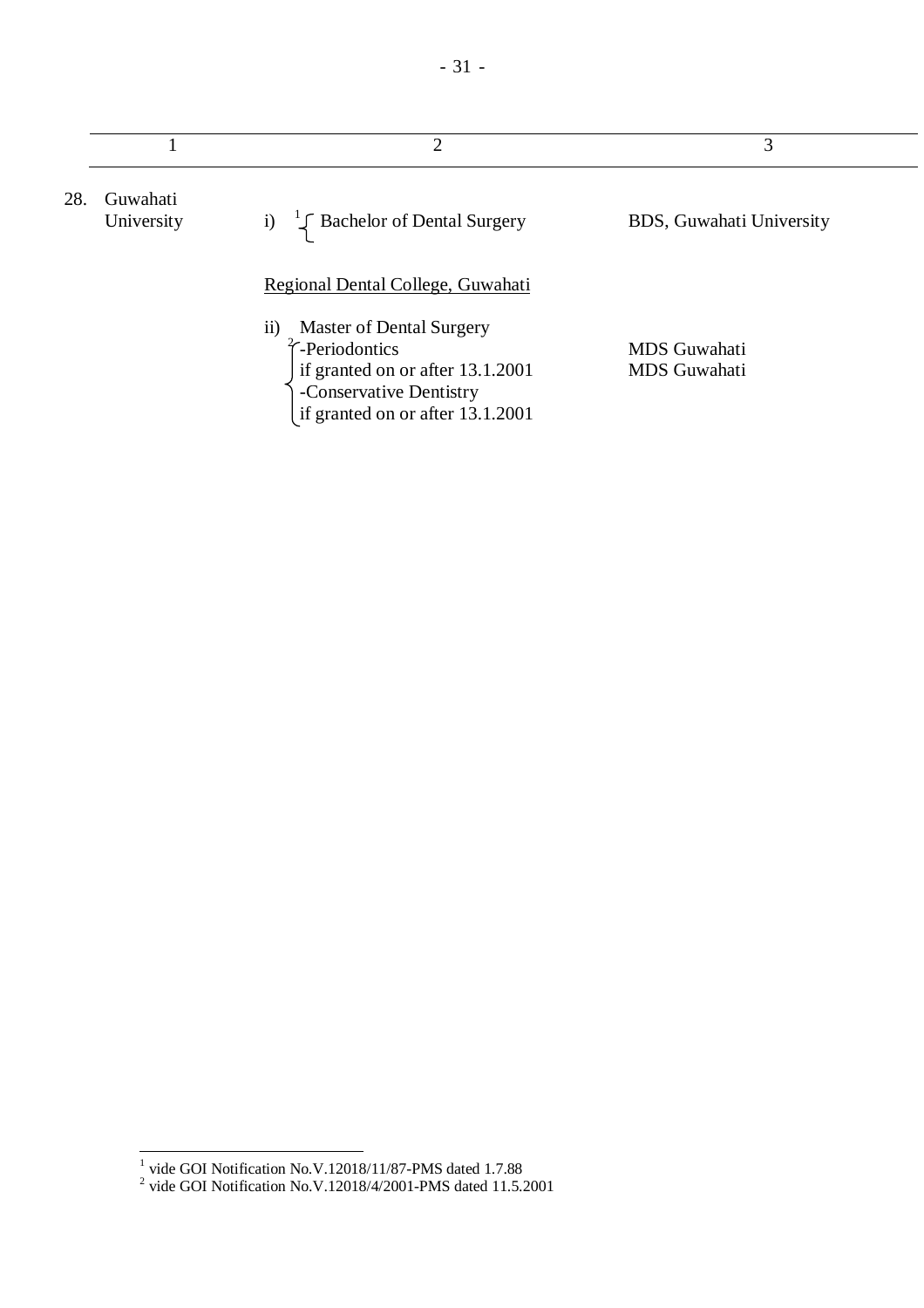|     |                        | $\overline{2}$                                                                                                                                                                                              | 3                                          |
|-----|------------------------|-------------------------------------------------------------------------------------------------------------------------------------------------------------------------------------------------------------|--------------------------------------------|
| 28. | Guwahati<br>University | $\frac{1}{2}$ Bachelor of Dental Surgery<br>i)                                                                                                                                                              | BDS, Guwahati University                   |
|     |                        | Regional Dental College, Guwahati<br><b>Master of Dental Surgery</b><br>$\overline{11}$<br>-Periodontics<br>if granted on or after 13.1.2001<br>-Conservative Dentistry<br>if granted on or after 13.1.2001 | <b>MDS</b> Guwahati<br><b>MDS</b> Guwahati |

 1 vide GOI Notification No.V.12018/11/87-PMS dated 1.7.88 2 vide GOI Notification No.V.12018/4/2001-PMS dated 11.5.2001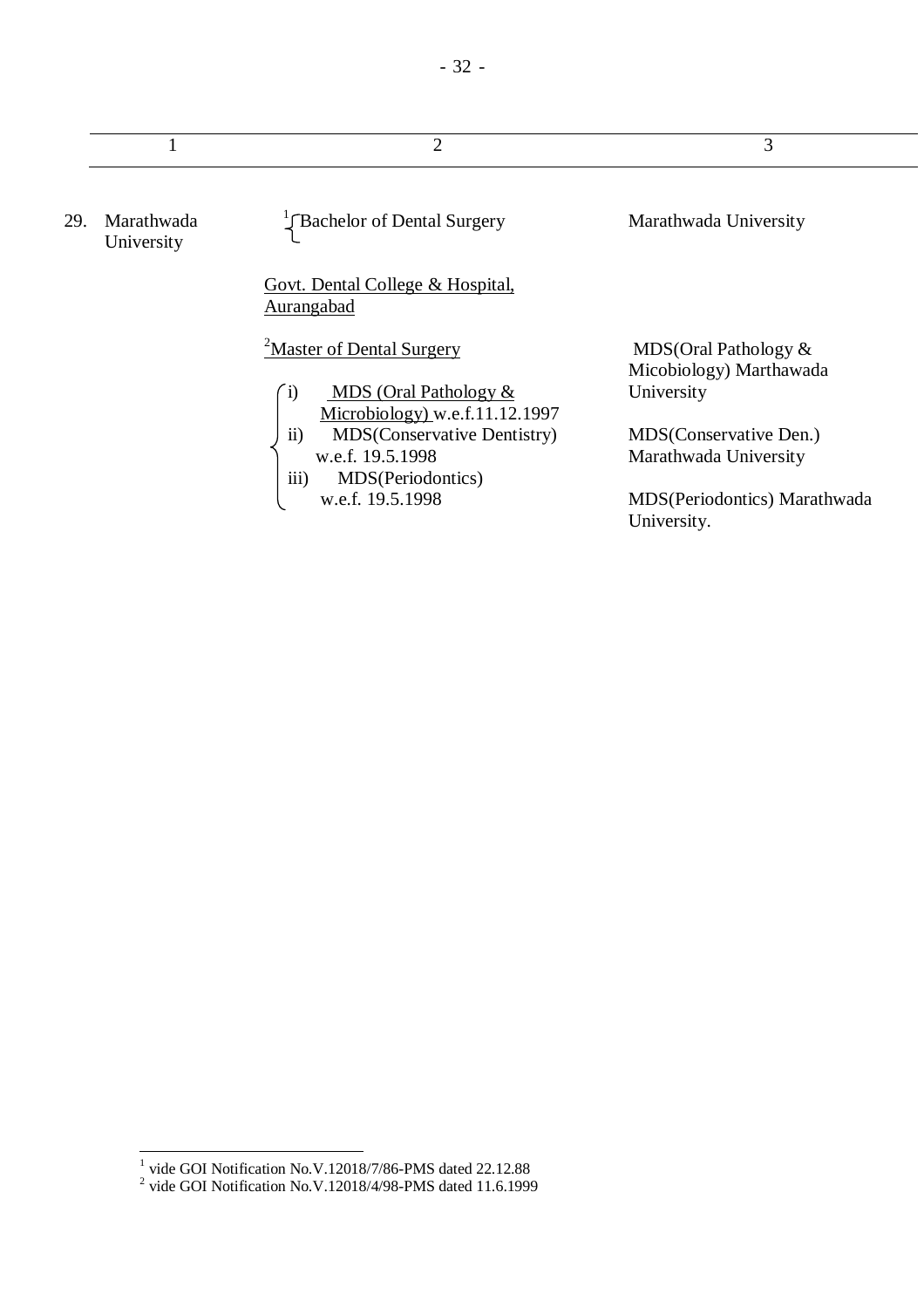|     |                          | 2                                                                                                              | 3                                                 |
|-----|--------------------------|----------------------------------------------------------------------------------------------------------------|---------------------------------------------------|
| 29. | Marathwada<br>University | Rachelor of Dental Surgery                                                                                     | Marathwada University                             |
|     |                          | <u>Govt. Dental College &amp; Hospital.</u><br>Aurangabad                                                      |                                                   |
|     |                          | <sup>2</sup> Master of Dental Surgery                                                                          | MDS(Oral Pathology $&$<br>Micobiology) Marthawada |
|     |                          | <b>MDS</b> (Oral Pathology $&$<br>$\left( i\right)$<br>Microbiology) w.e.f.11.12.1997                          | University                                        |
|     |                          | $\ddot{i}$<br><b>MDS</b> (Conservative Dentistry)<br>w.e.f. 19.5.1998<br>$\overline{iii}$<br>MDS(Periodontics) | MDS(Conservative Den.)<br>Marathwada University   |
|     |                          | w.e.f. 19.5.1998                                                                                               | MDS(Periodontics) Marathwada<br>University.       |

 1 vide GOI Notification No.V.12018/7/86-PMS dated 22.12.88 2 vide GOI Notification No.V.12018/4/98-PMS dated 11.6.1999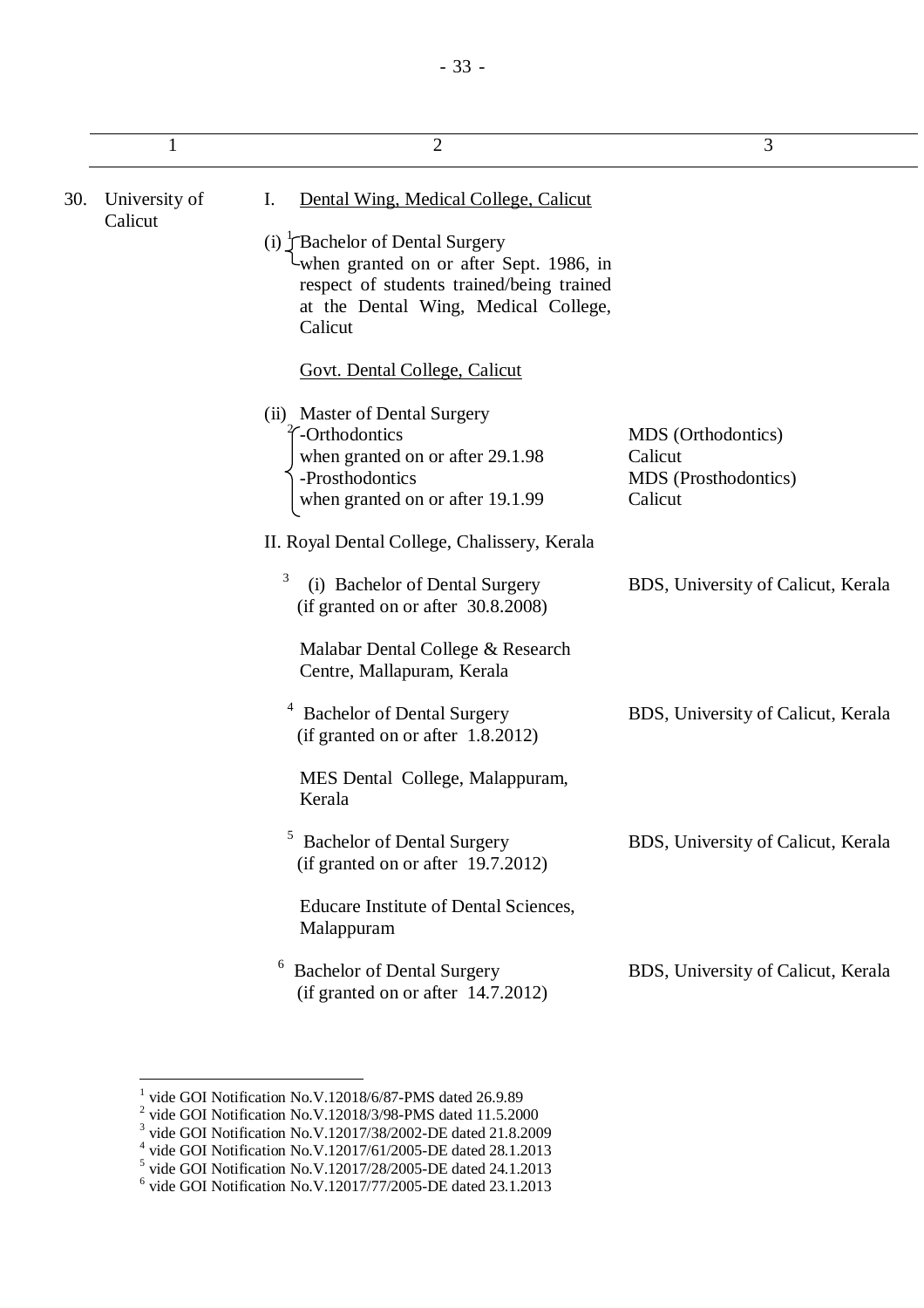| 1                        | $\overline{2}$                                                                                                                                                             | 3                                                                |
|--------------------------|----------------------------------------------------------------------------------------------------------------------------------------------------------------------------|------------------------------------------------------------------|
| University of<br>Calicut | Dental Wing, Medical College, Calicut<br>Ι.                                                                                                                                |                                                                  |
|                          | (i) Flachelor of Dental Surgery<br>when granted on or after Sept. 1986, in<br>respect of students trained/being trained<br>at the Dental Wing, Medical College,<br>Calicut |                                                                  |
|                          | <b>Govt. Dental College, Calicut</b>                                                                                                                                       |                                                                  |
|                          | (ii) Master of Dental Surgery<br>-Orthodontics<br>when granted on or after 29.1.98<br>-Prosthodontics<br>when granted on or after 19.1.99                                  | MDS (Orthodontics)<br>Calicut<br>MDS (Prosthodontics)<br>Calicut |
|                          | II. Royal Dental College, Chalissery, Kerala                                                                                                                               |                                                                  |
|                          | 3<br>(i) Bachelor of Dental Surgery<br>(if granted on or after 30.8.2008)                                                                                                  | BDS, University of Calicut, Kerala                               |
|                          | Malabar Dental College & Research<br>Centre, Mallapuram, Kerala                                                                                                            |                                                                  |
|                          | <b>Bachelor of Dental Surgery</b><br>(if granted on or after 1.8.2012)                                                                                                     | BDS, University of Calicut, Kerala                               |
|                          | MES Dental College, Malappuram,<br>Kerala                                                                                                                                  |                                                                  |
|                          | <b>Bachelor of Dental Surgery</b><br>(if granted on or after 19.7.2012)                                                                                                    | BDS, University of Calicut, Kerala                               |
|                          | Educare Institute of Dental Sciences,<br>Malappuram                                                                                                                        |                                                                  |

<sup>6</sup> Bachelor of Dental Surgery (if granted on or after 14.7.2012) BDS, University of Calicut, Kerala

 $30.$ 

<sup>&</sup>lt;sup>1</sup> vide GOI Notification No.V.12018/6/87-PMS dated 26.9.89<br>
<sup>2</sup> vide GOI Notification No.V.12018/3/98-PMS dated 11.5.2000<br>
<sup>3</sup> vide GOI Notification No.V.12017/38/2002-DE dated 21.8.2009<br>
<sup>4</sup> vide GOI Notification No.V.1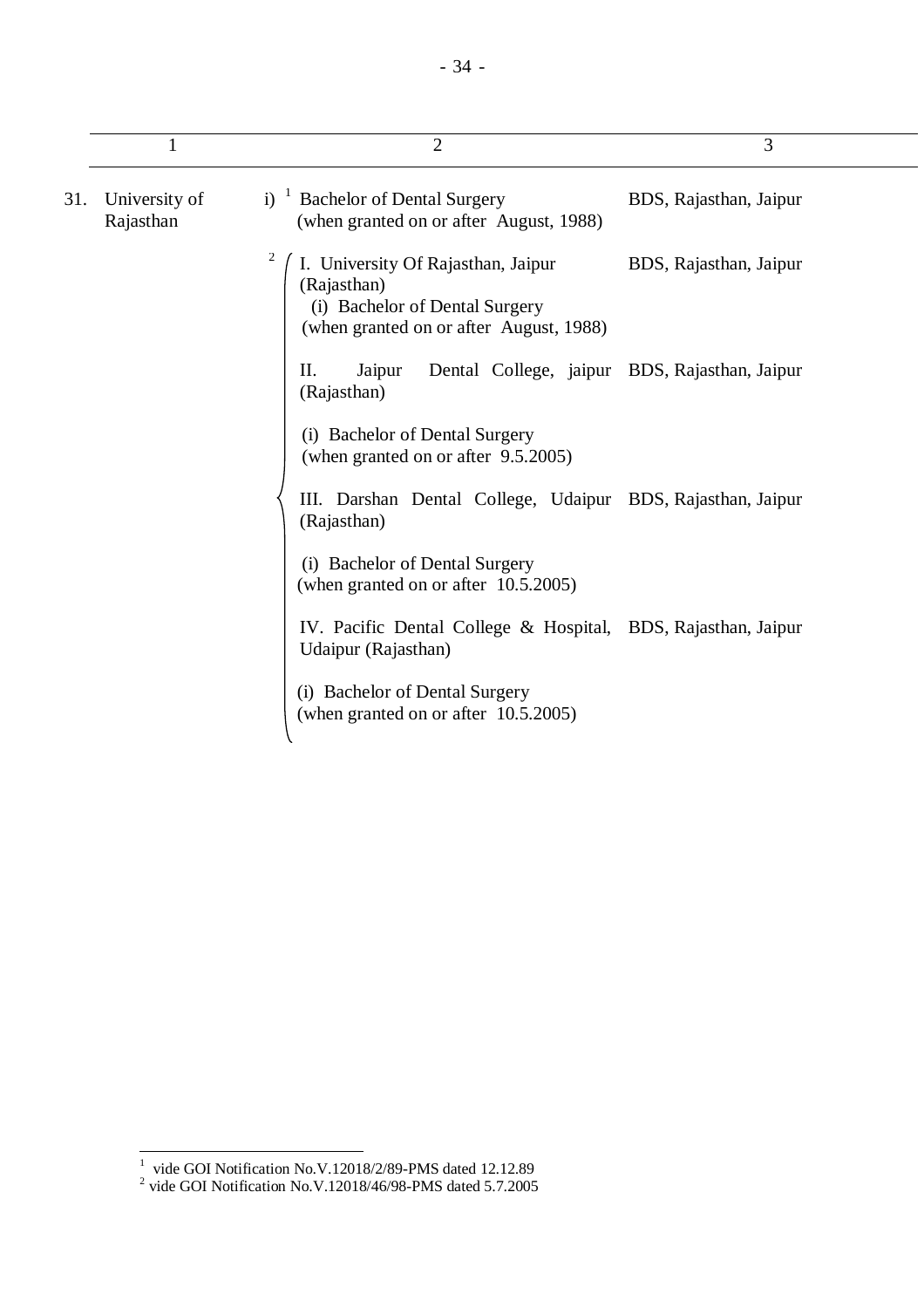|     |                            | $\overline{2}$                                                                                                                 | 3                      |
|-----|----------------------------|--------------------------------------------------------------------------------------------------------------------------------|------------------------|
| 31. | University of<br>Rajasthan | i) $\frac{1}{2}$ Bachelor of Dental Surgery<br>(when granted on or after August, 1988)                                         | BDS, Rajasthan, Jaipur |
|     |                            | I. University Of Rajasthan, Jaipur<br>(Rajasthan)<br>(i) Bachelor of Dental Surgery<br>(when granted on or after August, 1988) | BDS, Rajasthan, Jaipur |
|     |                            | Dental College, jaipur BDS, Rajasthan, Jaipur<br>П.<br>Jaipur<br>(Rajasthan)                                                   |                        |
|     |                            | (i) Bachelor of Dental Surgery<br>(when granted on or after 9.5.2005)                                                          |                        |
|     |                            | III. Darshan Dental College, Udaipur BDS, Rajasthan, Jaipur<br>(Rajasthan)                                                     |                        |
|     |                            | (i) Bachelor of Dental Surgery<br>(when granted on or after 10.5.2005)                                                         |                        |
|     |                            | IV. Pacific Dental College & Hospital, BDS, Rajasthan, Jaipur<br>Udaipur (Rajasthan)                                           |                        |
|     |                            | (i) Bachelor of Dental Surgery<br>(when granted on or after 10.5.2005)                                                         |                        |

 1 vide GOI Notification No.V.12018/2/89-PMS dated 12.12.89 2 vide GOI Notification No.V.12018/46/98-PMS dated 5.7.2005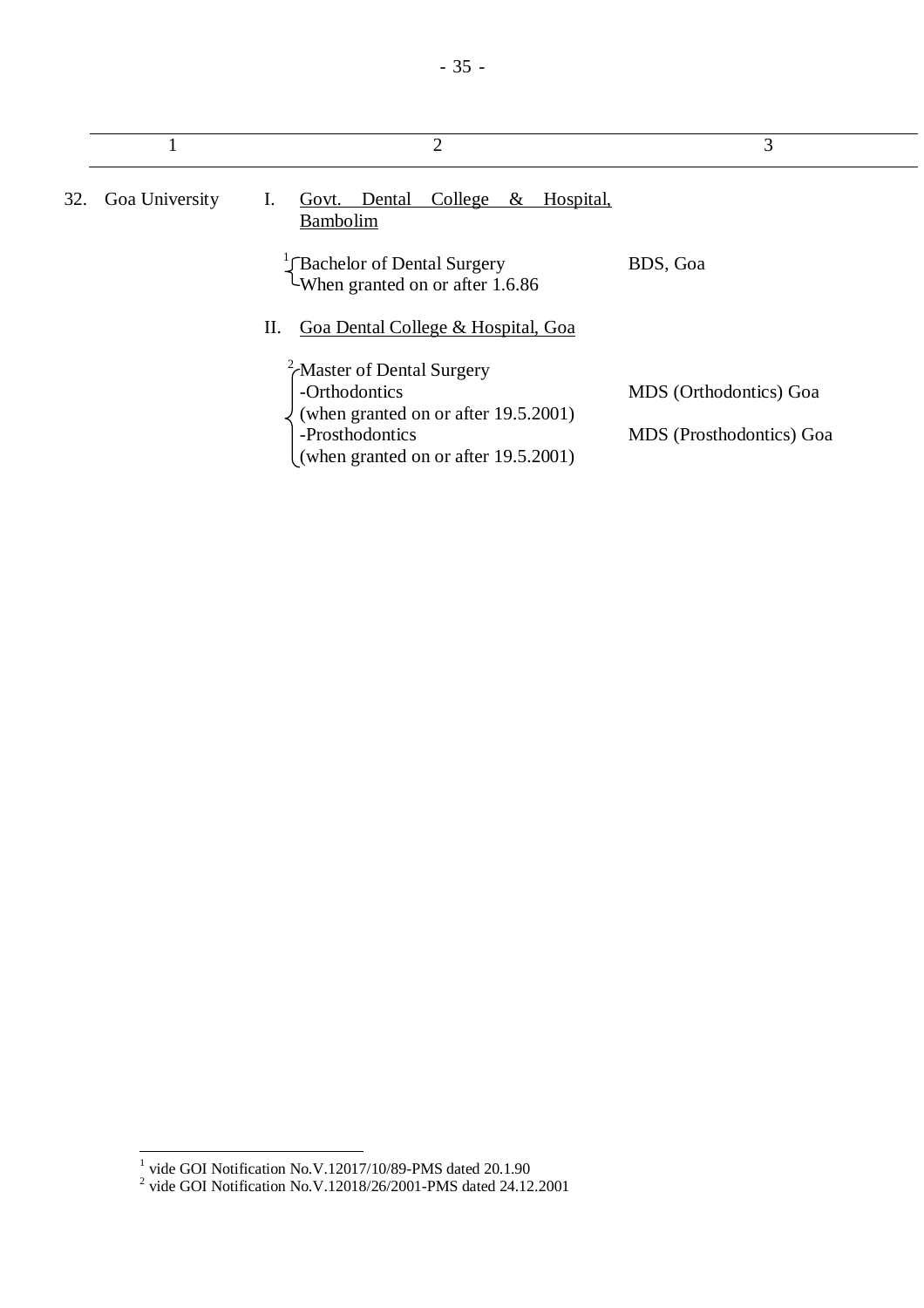|     |                | 2                                                                                          | 3                        |
|-----|----------------|--------------------------------------------------------------------------------------------|--------------------------|
| 32. | Goa University | Hospital,<br>Govt. Dental<br>College<br>$\&$<br>1.<br>Bambolim                             |                          |
|     |                | Bachelor of Dental Surgery<br>When granted on or after 1.6.86                              | BDS, Goa                 |
|     |                | Goa Dental College & Hospital, Goa<br>П.                                                   |                          |
|     |                | $\chi^2$ Master of Dental Surgery<br>-Orthodontics<br>(when granted on or after 19.5.2001) | MDS (Orthodontics) Goa   |
|     |                | -Prosthodontics<br>(when granted on or after 19.5.2001)                                    | MDS (Prosthodontics) Goa |

 1 vide GOI Notification No.V.12017/10/89-PMS dated 20.1.90 2 vide GOI Notification No.V.12018/26/2001-PMS dated 24.12.2001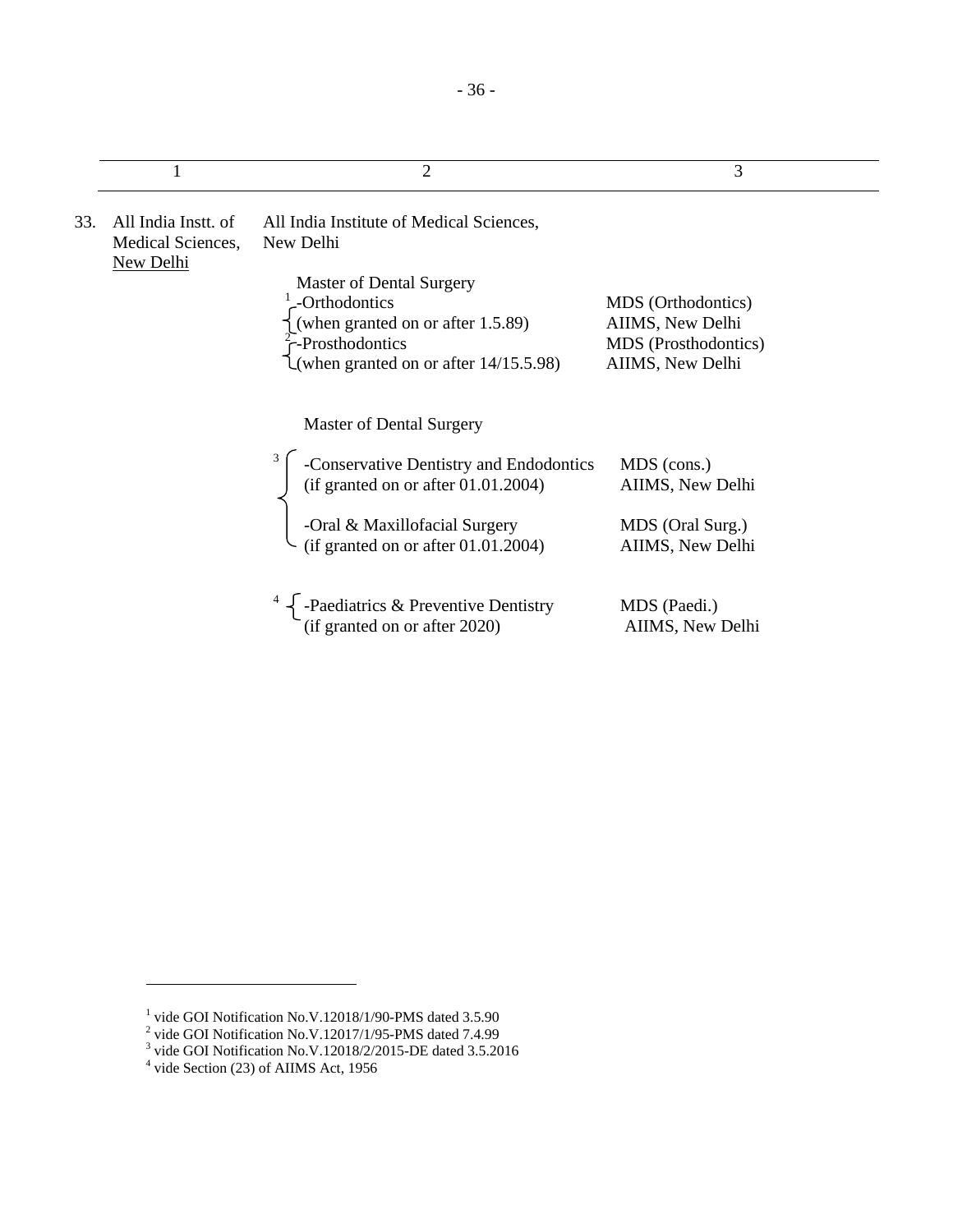|     |                                                       | $\overline{2}$                                                                                                                                       | 3                                                                                  |
|-----|-------------------------------------------------------|------------------------------------------------------------------------------------------------------------------------------------------------------|------------------------------------------------------------------------------------|
| 33. | All India Instt. of<br>Medical Sciences,<br>New Delhi | All India Institute of Medical Sciences,<br>New Delhi                                                                                                |                                                                                    |
|     |                                                       | Master of Dental Surgery<br>-Orthodontics<br>(when granted on or after 1.5.89)<br>$\int$ -Prosthodontics<br>(when granted on or after $14/15.5.98$ ) | MDS (Orthodontics)<br>AIIMS, New Delhi<br>MDS (Prosthodontics)<br>AIIMS, New Delhi |
|     |                                                       | <b>Master of Dental Surgery</b>                                                                                                                      |                                                                                    |
|     |                                                       | -Conservative Dentistry and Endodontics<br>(if granted on or after $01.01.2004$ )                                                                    | MDS (cons.)<br>AIIMS, New Delhi                                                    |
|     |                                                       | -Oral & Maxillofacial Surgery<br>(if granted on or after $01.01.2004$ )                                                                              | MDS (Oral Surg.)<br>AIIMS, New Delhi                                               |
|     |                                                       | -Paediatrics & Preventive Dentistry<br>(if granted on or after 2020)                                                                                 | MDS (Paedi.)<br>AIIMS, New Delhi                                                   |

-

<sup>&</sup>lt;sup>1</sup> vide GOI Notification No.V.12018/1/90-PMS dated 3.5.90<br>
<sup>2</sup> vide GOI Notification No.V.12017/1/95-PMS dated 7.4.99<br>
<sup>3</sup> vide GOI Notification No.V.12018/2/2015-DE dated 3.5.2016<br>
<sup>4</sup> vide Section (23) of AIIMS Act, 19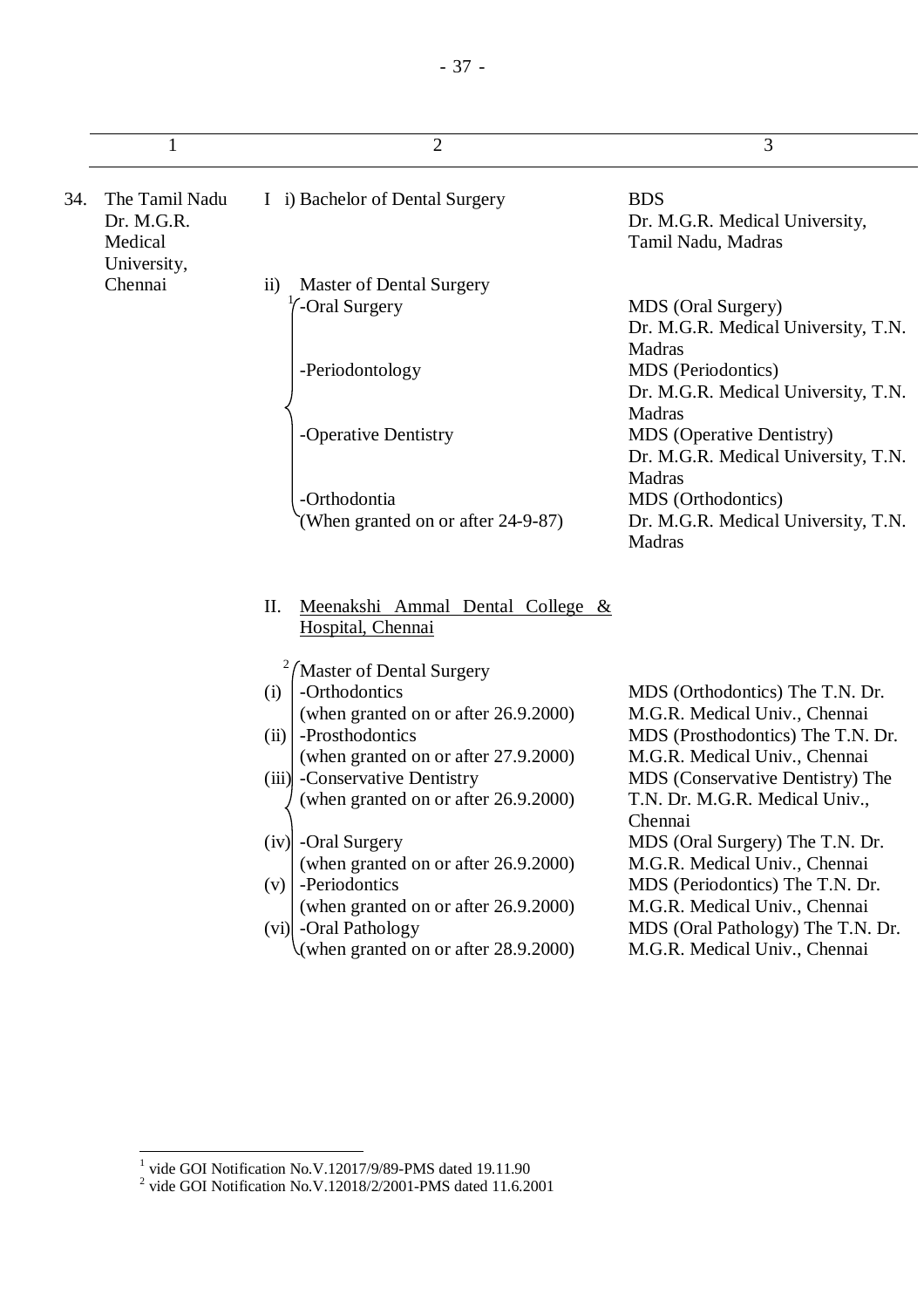|     | 1                                                      | $\overline{2}$                                                | 3                                                                                 |
|-----|--------------------------------------------------------|---------------------------------------------------------------|-----------------------------------------------------------------------------------|
| 34. | The Tamil Nadu<br>Dr. M.G.R.<br>Medical<br>University, | I i) Bachelor of Dental Surgery                               | <b>BDS</b><br>Dr. M.G.R. Medical University,<br>Tamil Nadu, Madras                |
|     | Chennai                                                | <b>Master of Dental Surgery</b><br>$\rm ii)$                  |                                                                                   |
|     |                                                        | -Oral Surgery                                                 | MDS (Oral Surgery)<br>Dr. M.G.R. Medical University, T.N.<br>Madras               |
|     |                                                        | -Periodontology                                               | MDS (Periodontics)<br>Dr. M.G.R. Medical University, T.N.<br>Madras               |
|     |                                                        | -Operative Dentistry                                          | <b>MDS</b> (Operative Dentistry)<br>Dr. M.G.R. Medical University, T.N.<br>Madras |
|     |                                                        | -Orthodontia                                                  | MDS (Orthodontics)                                                                |
|     |                                                        | (When granted on or after 24-9-87)                            | Dr. M.G.R. Medical University, T.N.<br>Madras                                     |
|     |                                                        | Meenakshi Ammal Dental College &<br>П.<br>Hospital, Chennai   |                                                                                   |
|     |                                                        | Master of Dental Surgery                                      |                                                                                   |
|     |                                                        | -Orthodontics<br>(i)                                          | MDS (Orthodontics) The T.N. Dr.                                                   |
|     |                                                        | (when granted on or after 26.9.2000)                          | M.G.R. Medical Univ., Chennai                                                     |
|     |                                                        | -Prosthodontics<br>(ii)                                       | MDS (Prosthodontics) The T.N. Dr.                                                 |
|     |                                                        | (when granted on or after 27.9.2000)                          | M.G.R. Medical Univ., Chennai                                                     |
|     |                                                        | (iii) - Conservative Dentistry                                | MDS (Conservative Dentistry) The                                                  |
|     |                                                        | (when granted on or after 26.9.2000)                          | T.N. Dr. M.G.R. Medical Univ.,<br>Chennai                                         |
|     |                                                        | $(iv)$ -Oral Surgery                                          | MDS (Oral Surgery) The T.N. Dr.                                                   |
|     |                                                        | (when granted on or after 26.9.2000)                          | M.G.R. Medical Univ., Chennai                                                     |
|     |                                                        | -Periodontics<br>(v)                                          | MDS (Periodontics) The T.N. Dr.                                                   |
|     |                                                        | (when granted on or after 26.9.2000)<br>(vi) - Oral Pathology | M.G.R. Medical Univ., Chennai<br>MDS (Oral Pathology) The T.N. Dr.                |
|     |                                                        | (when granted on or after 28.9.2000)                          | M.G.R. Medical Univ., Chennai                                                     |

 1 vide GOI Notification No.V.12017/9/89-PMS dated 19.11.90 2 vide GOI Notification No.V.12018/2/2001-PMS dated 11.6.2001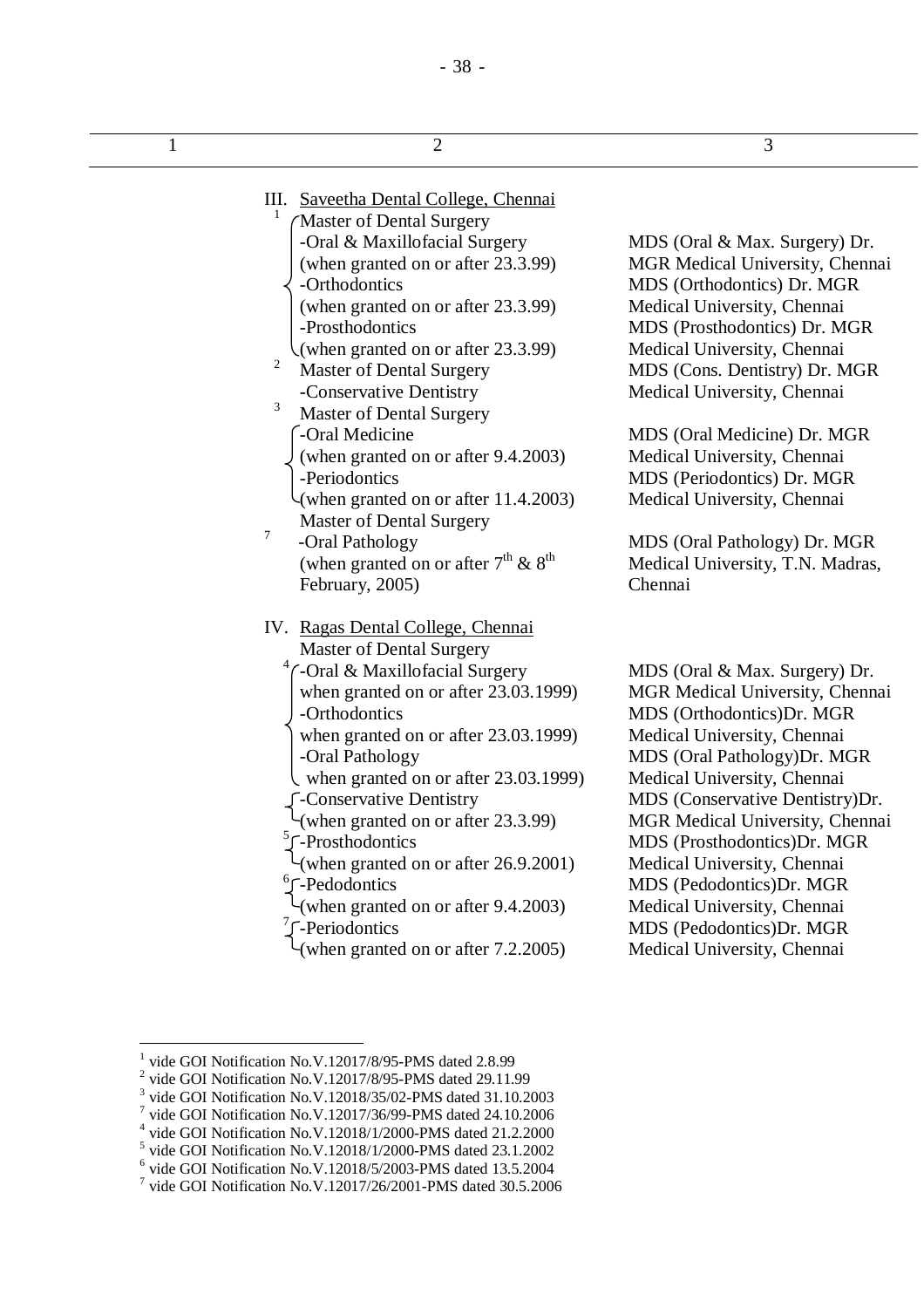| 1 | $\overline{2}$                                    | 3                                |
|---|---------------------------------------------------|----------------------------------|
|   | III. Saveetha Dental College, Chennai             |                                  |
|   | Master of Dental Surgery                          |                                  |
|   | -Oral & Maxillofacial Surgery                     | MDS (Oral & Max. Surgery) Dr.    |
|   | (when granted on or after 23.3.99)                | MGR Medical University, Chennai  |
|   | -Orthodontics                                     | MDS (Orthodontics) Dr. MGR       |
|   | (when granted on or after 23.3.99)                | Medical University, Chennai      |
|   | -Prosthodontics                                   | MDS (Prosthodontics) Dr. MGR     |
|   | (when granted on or after 23.3.99)                | Medical University, Chennai      |
|   | $\overline{c}$<br><b>Master of Dental Surgery</b> | MDS (Cons. Dentistry) Dr. MGR    |
|   | -Conservative Dentistry                           | Medical University, Chennai      |
|   | 3<br><b>Master of Dental Surgery</b>              |                                  |
|   | -Oral Medicine                                    | MDS (Oral Medicine) Dr. MGR      |
|   | (when granted on or after 9.4.2003)               | Medical University, Chennai      |
|   | -Periodontics                                     | MDS (Periodontics) Dr. MGR       |
|   | (when granted on or after $11.4.2003$ )           | Medical University, Chennai      |
|   | <b>Master of Dental Surgery</b>                   |                                  |
|   | $\overline{7}$<br>-Oral Pathology                 | MDS (Oral Pathology) Dr. MGR     |
|   | (when granted on or after $7th$ & $8th$           | Medical University, T.N. Madras, |
|   | February, 2005)                                   | Chennai                          |
|   | IV. Ragas Dental College, Chennai                 |                                  |
|   | <b>Master of Dental Surgery</b>                   |                                  |
|   | -Oral & Maxillofacial Surgery                     | MDS (Oral & Max. Surgery) Dr.    |
|   | when granted on or after 23.03.1999)              | MGR Medical University, Chennai  |
|   | -Orthodontics                                     | MDS (Orthodontics)Dr. MGR        |
|   | when granted on or after 23.03.1999)              | Medical University, Chennai      |
|   | -Oral Pathology                                   | MDS (Oral Pathology) Dr. MGR     |
|   | when granted on or after 23.03.1999)              | Medical University, Chennai      |
|   | -Conservative Dentistry                           | MDS (Conservative Dentistry)Dr.  |
|   | (when granted on or after 23.3.99)                | MGR Medical University, Chennai  |
|   | $\int$ -Prosthodontics                            | MDS (Prosthodontics) Dr. MGR     |
|   | (when granted on or after 26.9.2001)              | Medical University, Chennai      |
|   | <sup>6</sup> F-Pedodontics                        | MDS (Pedodontics)Dr. MGR         |
|   | (when granted on or after 9.4.2003)               | Medical University, Chennai      |
|   | -Periodontics                                     | MDS (Pedodontics)Dr. MGR         |
|   | (when granted on or after 7.2.2005)               | Medical University, Chennai      |

 1 vide GOI Notification No.V.12017/8/95-PMS dated 2.8.99

<sup>&</sup>lt;sup>2</sup> vide GOI Notification No.V.12017/8/95-PMS dated 29.11.99

<sup>&</sup>lt;sup>3</sup> vide GOI Notification No.V.12018/35/02-PMS dated 31.10.2003<br><sup>7</sup> vide GOI Notification No.V.12017/36/99-PMS dated 24.10.2006<br><sup>4</sup> vide GOI Notification No.V.12018/1/2000-PMS dated 21.2.2000<br><sup>5</sup> vide GOI Notification No.

 $^6$  vide GOI Notification No.V.12018/5/2003-PMS dated 13.5.2004<br>
<sup>7</sup> vide GOI Notification No.V.12017/26/2001-PMS dated 30.5.2006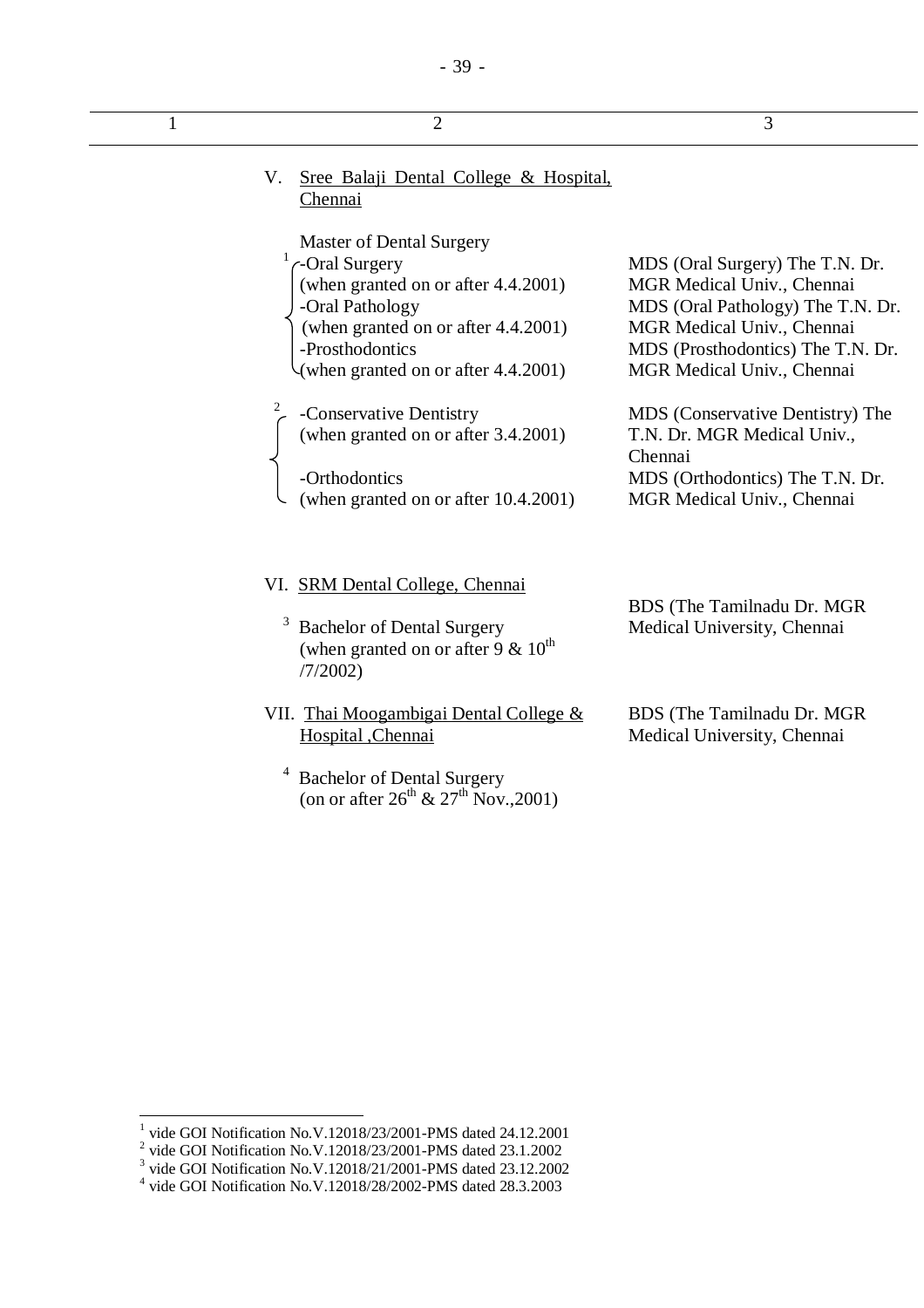| 1 | $\overline{2}$                                                                                                                                                                                                                                                                                                                          | 3                                                                                                                                                                                                                                                                                                                                                  |
|---|-----------------------------------------------------------------------------------------------------------------------------------------------------------------------------------------------------------------------------------------------------------------------------------------------------------------------------------------|----------------------------------------------------------------------------------------------------------------------------------------------------------------------------------------------------------------------------------------------------------------------------------------------------------------------------------------------------|
|   | Sree Balaji Dental College & Hospital,<br>V.<br>Chennai                                                                                                                                                                                                                                                                                 |                                                                                                                                                                                                                                                                                                                                                    |
|   | <b>Master of Dental Surgery</b><br>C-Oral Surgery<br>(when granted on or after 4.4.2001)<br>-Oral Pathology<br>(when granted on or after 4.4.2001)<br>-Prosthodontics<br>(when granted on or after 4.4.2001)<br>-Conservative Dentistry<br>(when granted on or after 3.4.2001)<br>-Orthodontics<br>(when granted on or after 10.4.2001) | MDS (Oral Surgery) The T.N. Dr.<br>MGR Medical Univ., Chennai<br>MDS (Oral Pathology) The T.N. Dr.<br>MGR Medical Univ., Chennai<br>MDS (Prosthodontics) The T.N. Dr.<br>MGR Medical Univ., Chennai<br>MDS (Conservative Dentistry) The<br>T.N. Dr. MGR Medical Univ.,<br>Chennai<br>MDS (Orthodontics) The T.N. Dr.<br>MGR Medical Univ., Chennai |
|   | VI. SRM Dental College, Chennai<br>3<br><b>Bachelor of Dental Surgery</b><br>(when granted on or after 9 $\&$ 10 <sup>th</sup><br>/7/2002                                                                                                                                                                                               | BDS (The Tamilnadu Dr. MGR)<br>Medical University, Chennai                                                                                                                                                                                                                                                                                         |
|   | VII. Thai Moogambigai Dental College &<br>Hospital ,Chennai<br><b>Bachelor of Dental Surgery</b>                                                                                                                                                                                                                                        | BDS (The Tamilnadu Dr. MGR<br>Medical University, Chennai                                                                                                                                                                                                                                                                                          |

- 39 -

(on or after  $26^{th}$  &  $27^{th}$  Nov., 2001)

<sup>&</sup>lt;sup>1</sup> vide GOI Notification No.V.12018/23/2001-PMS dated 24.12.2001<br>
<sup>2</sup> vide GOI Notification No.V.12018/23/2001-PMS dated 23.1.2002<br>
<sup>3</sup> vide GOI Notification No.V.12018/21/2001-PMS dated 23.12.2002<br>
<sup>4</sup> vide GOI Notifica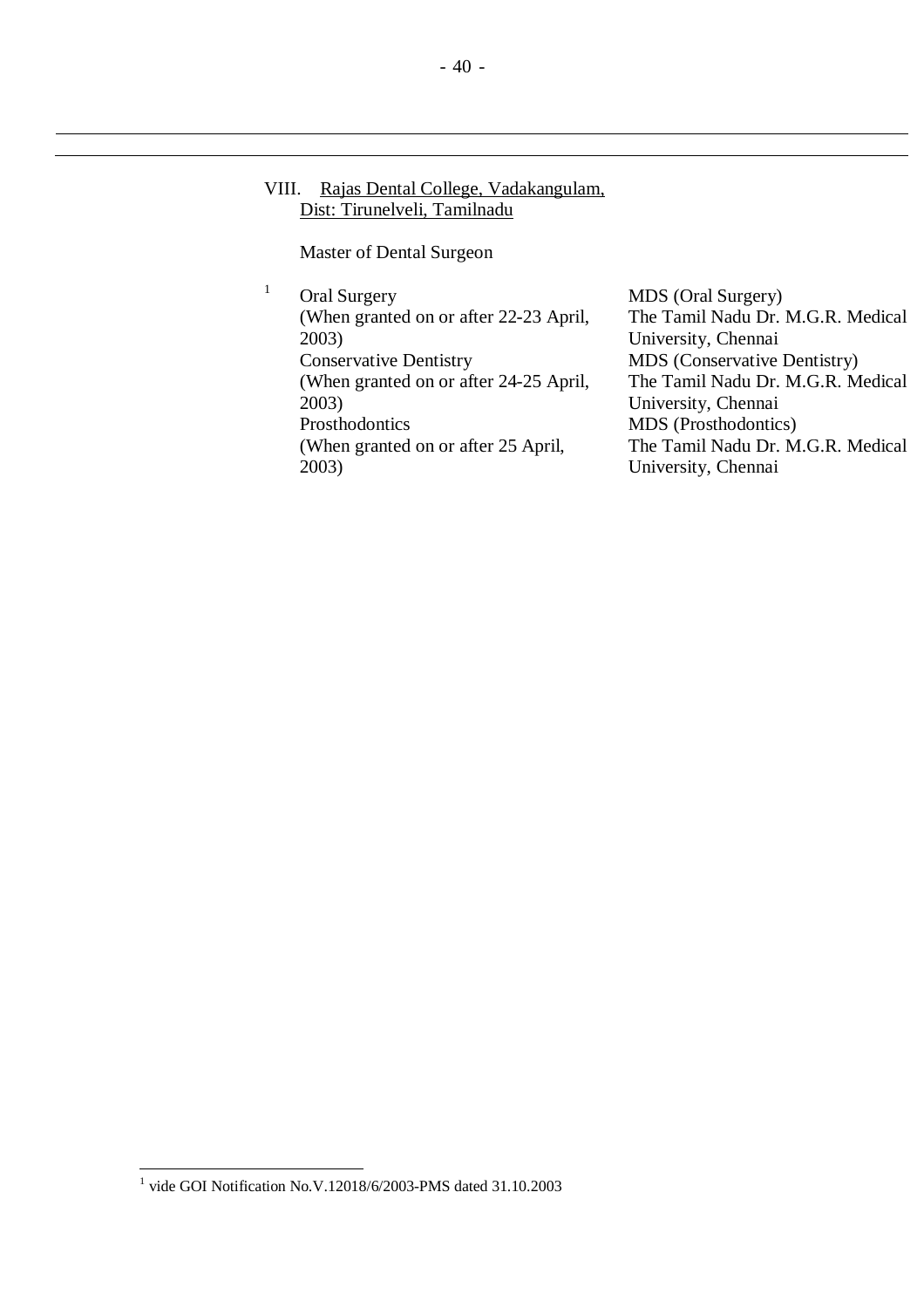## VIII. Rajas Dental College, Vadakangulam, Dist: Tirunelveli, Tamilnadu

Master of Dental Surgeon

<sup>1</sup> Oral Surgery (When granted on or after 22-23 April, 2003) Conservative Dentistry (When granted on or after 24-25 April, 2003) Prosthodontics (When granted on or after 25 April, 2003)

MDS (Oral Surgery) The Tamil Nadu Dr. M.G.R. Medical University, Chennai MDS (Conservative Dentistry) The Tamil Nadu Dr. M.G.R. Medical University, Chennai MDS (Prosthodontics) The Tamil Nadu Dr. M.G.R. Medical University, Chennai

 1 vide GOI Notification No.V.12018/6/2003-PMS dated 31.10.2003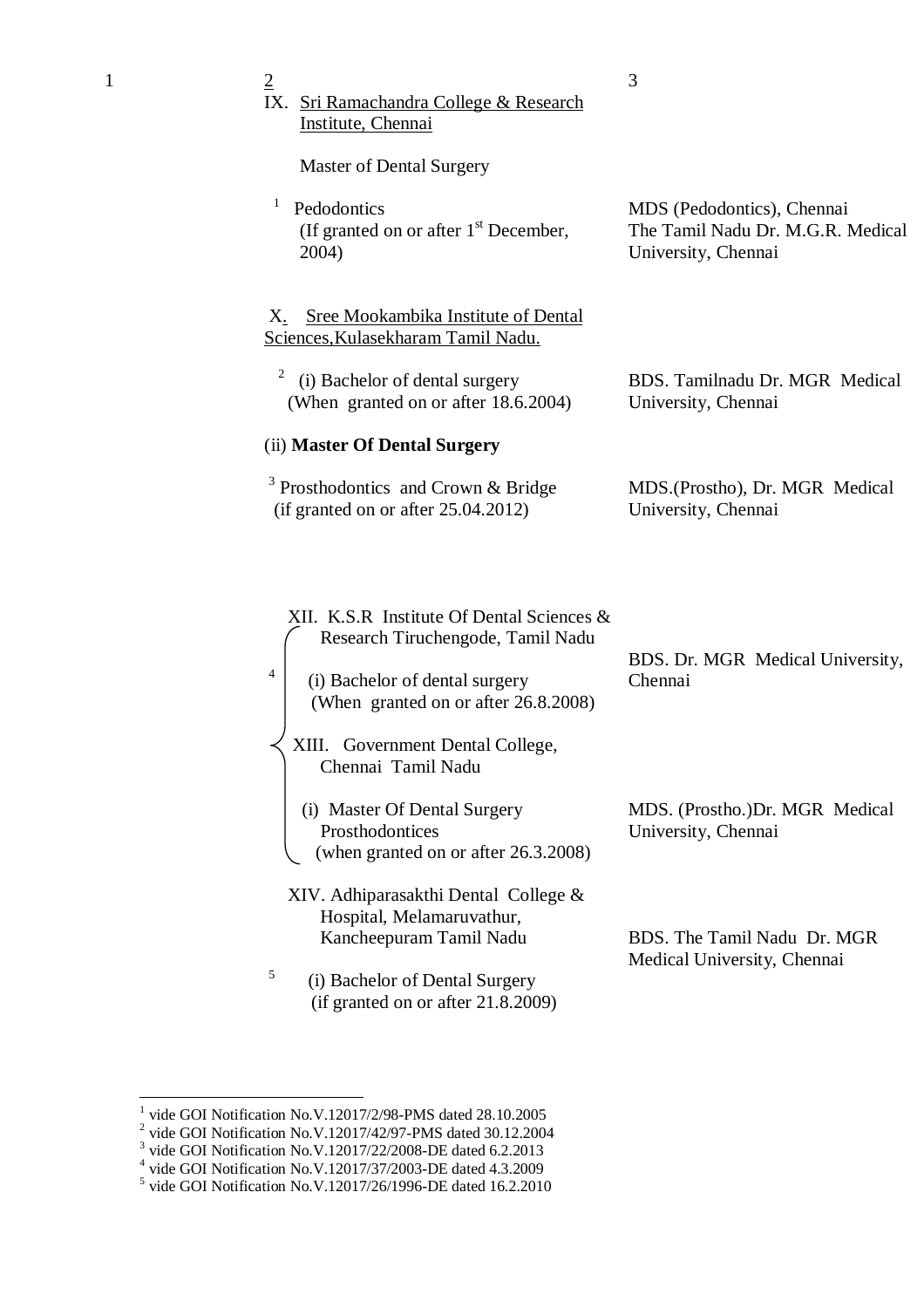| 1 | $\overline{2}$<br>IX. Sri Ramachandra College & Research                                                                                                                                                                   | 3                                                                                      |
|---|----------------------------------------------------------------------------------------------------------------------------------------------------------------------------------------------------------------------------|----------------------------------------------------------------------------------------|
|   | Institute, Chennai<br><b>Master of Dental Surgery</b><br>$\mathbf{1}$<br>Pedodontics<br>(If granted on or after $1st$ December,<br>2004)                                                                                   | MDS (Pedodontics), Chennai<br>The Tamil Nadu Dr. M.G.R. Medical<br>University, Chennai |
|   | <b>Sree Mookambika Institute of Dental</b><br>Х.<br>Sciences, Kulasekharam Tamil Nadu.<br>2<br>(i) Bachelor of dental surgery<br>(When granted on or after 18.6.2004)                                                      | BDS. Tamilnadu Dr. MGR Medical<br>University, Chennai                                  |
|   | (ii) Master Of Dental Surgery<br>$3$ Prosthodontics and Crown & Bridge<br>(if granted on or after $25.04.2012$ )                                                                                                           | MDS. (Prostho), Dr. MGR Medical<br>University, Chennai                                 |
|   | XII. K.S.R Institute Of Dental Sciences &<br>Research Tiruchengode, Tamil Nadu<br>4<br>(i) Bachelor of dental surgery<br>(When granted on or after 26.8.2008)<br>XIII.<br>Government Dental College,<br>Chennai Tamil Nadu | BDS. Dr. MGR Medical University,<br>Chennai                                            |
|   | (i) Master Of Dental Surgery<br>Prosthodontices<br>(when granted on or after 26.3.2008)<br>XIV. Adhiparasakthi Dental College &                                                                                            | MDS. (Prostho.)Dr. MGR Medical<br>University, Chennai                                  |

BDS. The Tamil Nadu Dr. MGR Medical University, Chennai

5

Hospital, Melamaruvathur, Kancheepuram Tamil Nadu

 (i) Bachelor of Dental Surgery (if granted on or after 21.8.2009)

<sup>&</sup>lt;sup>1</sup> vide GOI Notification No.V.12017/2/98-PMS dated 28.10.2005<br>
<sup>2</sup> vide GOI Notification No.V.12017/42/97-PMS dated 30.12.2004<br>
<sup>3</sup> vide GOI Notification No.V.12017/22/2008-DE dated 6.2.2013<br>
<sup>4</sup> vide GOI Notification No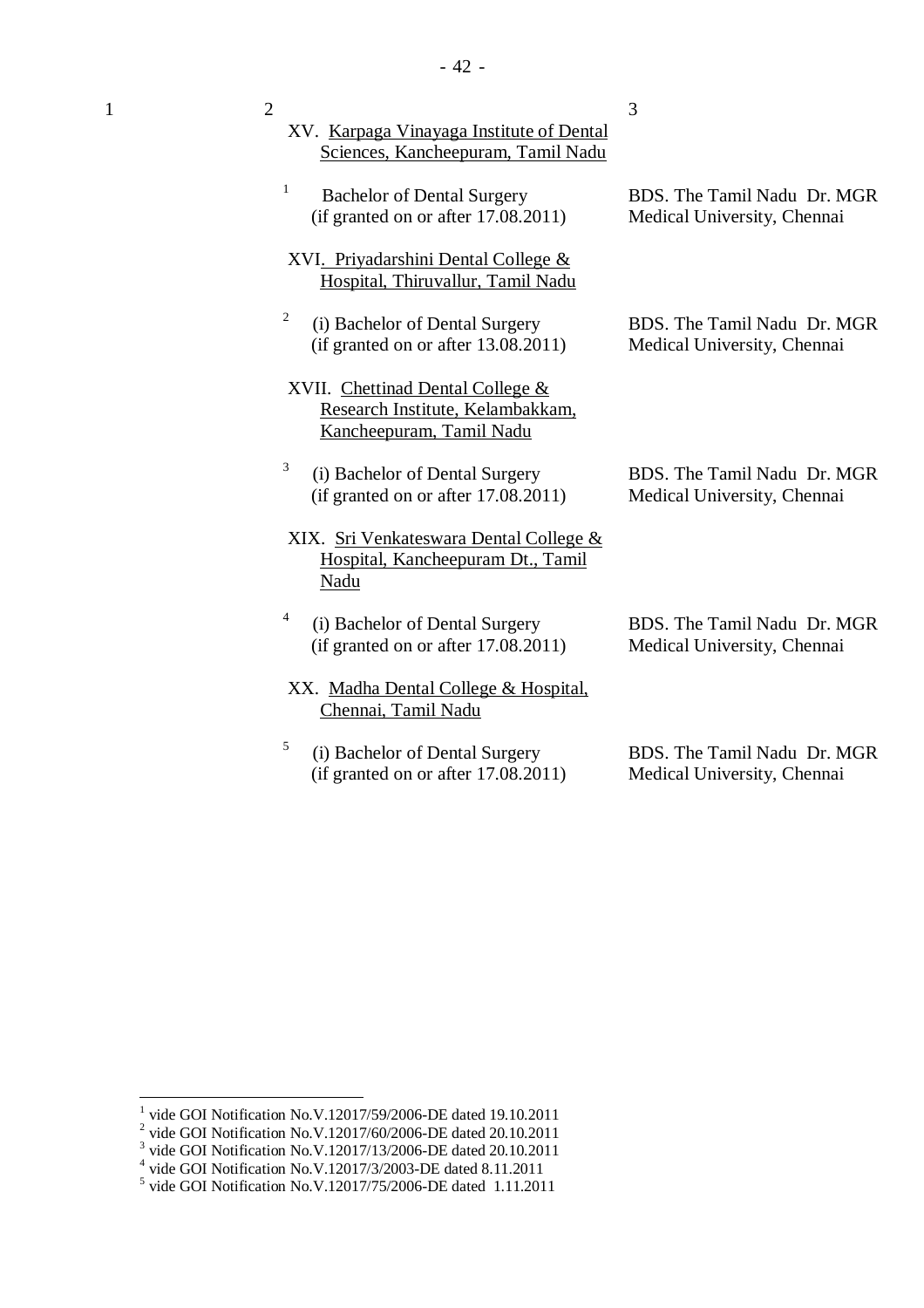| 1 | $\overline{2}$<br>XV. Karpaga Vinayaga Institute of Dental<br>Sciences, Kancheepuram, Tamil Nadu | 3                                                          |
|---|--------------------------------------------------------------------------------------------------|------------------------------------------------------------|
|   | 1<br><b>Bachelor of Dental Surgery</b><br>(if granted on or after $17.08.2011$ )                 | BDS. The Tamil Nadu Dr. MGR<br>Medical University, Chennai |
|   | XVI. Priyadarshini Dental College &<br>Hospital, Thiruvallur, Tamil Nadu                         |                                                            |
|   | 2<br>(i) Bachelor of Dental Surgery<br>(if granted on or after $13.08.2011$ )                    | BDS. The Tamil Nadu Dr. MGR<br>Medical University, Chennai |
|   | XVII. Chettinad Dental College &<br>Research Institute, Kelambakkam,<br>Kancheepuram, Tamil Nadu |                                                            |
|   | 3<br>(i) Bachelor of Dental Surgery<br>(if granted on or after $17.08.2011$ )                    | BDS. The Tamil Nadu Dr. MGR<br>Medical University, Chennai |
|   | XIX. Sri Venkateswara Dental College &<br>Hospital, Kancheepuram Dt., Tamil<br><b>Nadu</b>       |                                                            |
|   | 4<br>(i) Bachelor of Dental Surgery<br>(if granted on or after $17.08.2011$ )                    | BDS. The Tamil Nadu Dr. MGR<br>Medical University, Chennai |
|   | XX. Madha Dental College & Hospital,<br>Chennai, Tamil Nadu                                      |                                                            |
|   | 5<br>(i) Bachelor of Dental Surgery<br>(if granted on or after $17.08.2011$ )                    | BDS. The Tamil Nadu Dr. MGR<br>Medical University, Chennai |

<sup>&</sup>lt;sup>1</sup> vide GOI Notification No.V.12017/59/2006-DE dated 19.10.2011<br>
<sup>2</sup> vide GOI Notification No.V.12017/60/2006-DE dated 20.10.2011<br>
<sup>3</sup> vide GOI Notification No.V.12017/13/2006-DE dated 20.10.2011<br>
<sup>4</sup> vide GOI Notificati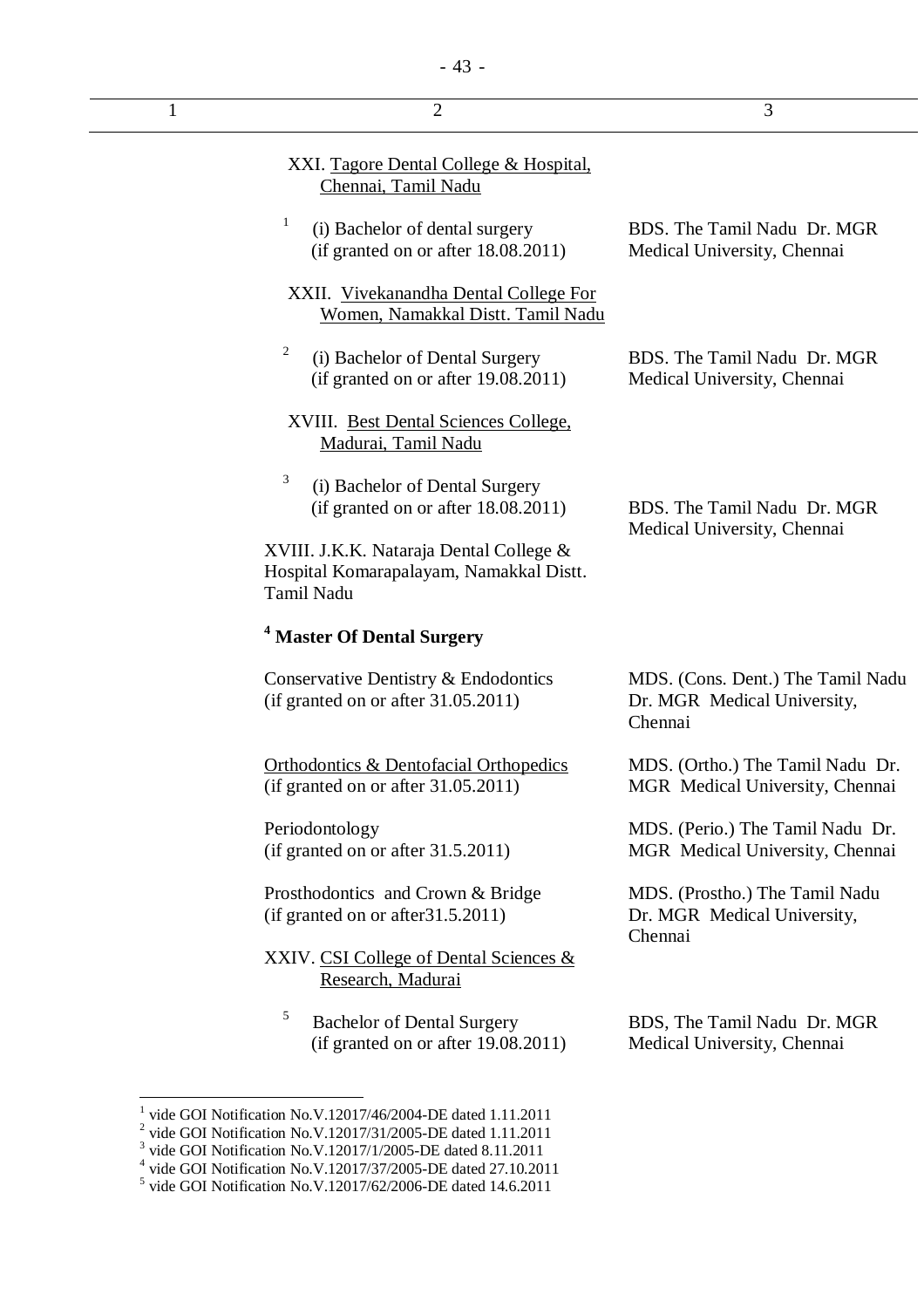|                                                                                                                                                                                                                                                                                                                                                  | 3                                                                           |
|--------------------------------------------------------------------------------------------------------------------------------------------------------------------------------------------------------------------------------------------------------------------------------------------------------------------------------------------------|-----------------------------------------------------------------------------|
|                                                                                                                                                                                                                                                                                                                                                  |                                                                             |
|                                                                                                                                                                                                                                                                                                                                                  | BDS. The Tamil Nadu Dr. MGR<br>Medical University, Chennai                  |
|                                                                                                                                                                                                                                                                                                                                                  |                                                                             |
|                                                                                                                                                                                                                                                                                                                                                  | BDS. The Tamil Nadu Dr. MGR<br>Medical University, Chennai                  |
|                                                                                                                                                                                                                                                                                                                                                  |                                                                             |
|                                                                                                                                                                                                                                                                                                                                                  | BDS. The Tamil Nadu Dr. MGR<br>Medical University, Chennai                  |
| XVIII. J.K.K. Nataraja Dental College &<br>Hospital Komarapalayam, Namakkal Distt.<br>Tamil Nadu                                                                                                                                                                                                                                                 |                                                                             |
| <sup>4</sup> Master Of Dental Surgery                                                                                                                                                                                                                                                                                                            |                                                                             |
| Conservative Dentistry & Endodontics<br>(if granted on or after 31.05.2011)                                                                                                                                                                                                                                                                      | MDS. (Cons. Dent.) The Tamil Nadu<br>Dr. MGR Medical University,<br>Chennai |
| <b>Orthodontics &amp; Dentofacial Orthopedics</b><br>(if granted on or after 31.05.2011)                                                                                                                                                                                                                                                         | MDS. (Ortho.) The Tamil Nadu Dr.<br>MGR Medical University, Chennai         |
| Periodontology<br>(if granted on or after 31.5.2011)                                                                                                                                                                                                                                                                                             | MDS. (Perio.) The Tamil Nadu Dr.<br>MGR Medical University, Chennai         |
| Prosthodontics and Crown & Bridge<br>(if granted on or after 31.5.2011)                                                                                                                                                                                                                                                                          | MDS. (Prostho.) The Tamil Nadu<br>Dr. MGR Medical University,               |
| XXIV. CSI College of Dental Sciences &                                                                                                                                                                                                                                                                                                           | Chennai                                                                     |
|                                                                                                                                                                                                                                                                                                                                                  | BDS, The Tamil Nadu Dr. MGR<br>Medical University, Chennai                  |
| vide GOI Notification No.V.12017/46/2004-DE dated 1.11.2011<br>$2$ vide GOI Notification No.V.12017/31/2005-DE dated 1.11.2011<br><sup>3</sup> vide GOI Notification No.V.12017/1/2005-DE dated 8.11.2011<br>$4$ vide GOI Notification No.V.12017/37/2005-DE dated 27.10.2011<br>$5$ vide GOI Notification No.V.12017/62/2006-DE dated 14.6.2011 |                                                                             |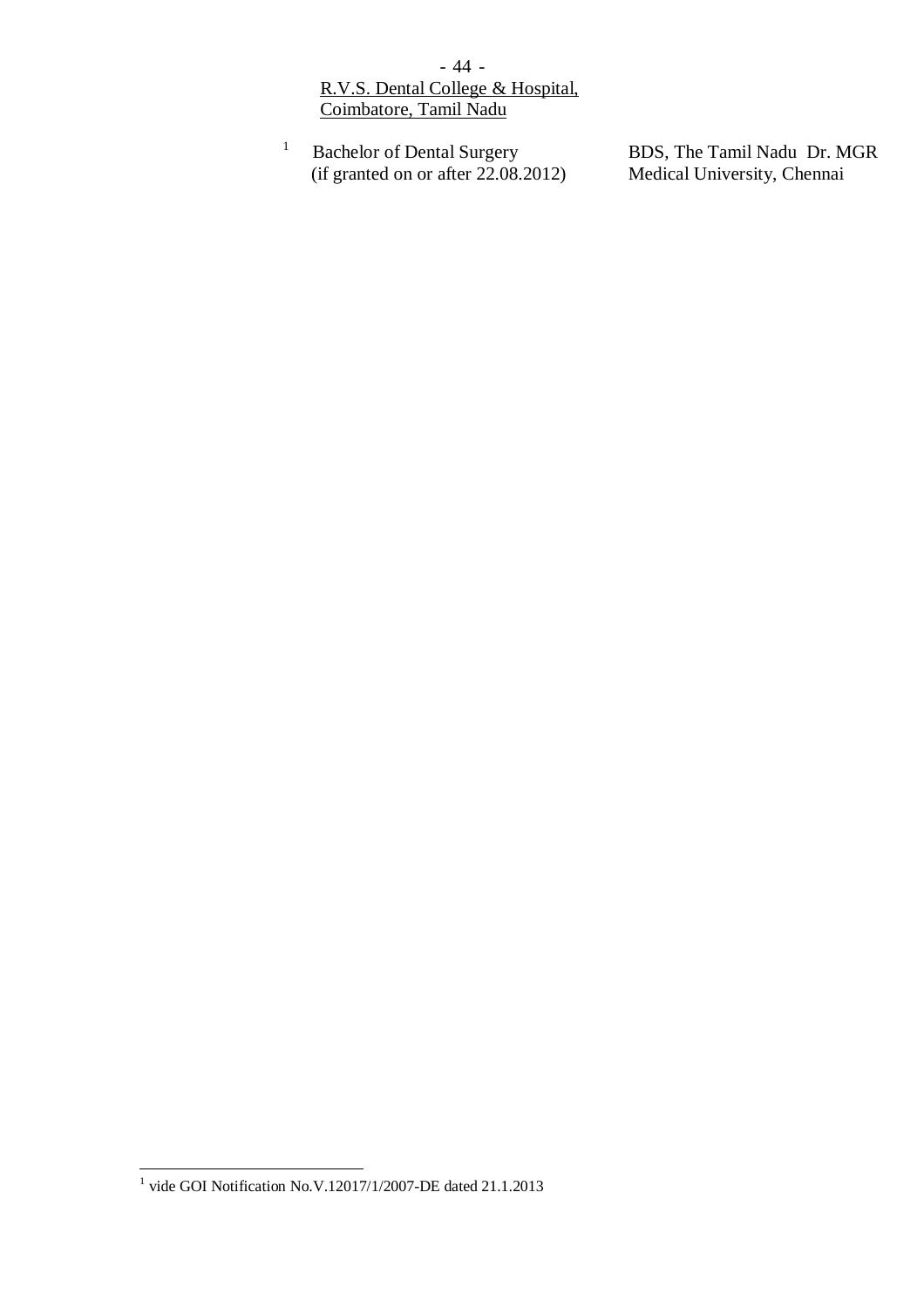- 44 - R.V.S. Dental College & Hospital, Coimbatore, Tamil Nadu

1 Bachelor of Dental Surgery (if granted on or after 22.08.2012)

BDS, The Tamil Nadu Dr. MGR Medical University, Chennai

 1 vide GOI Notification No.V.12017/1/2007-DE dated 21.1.2013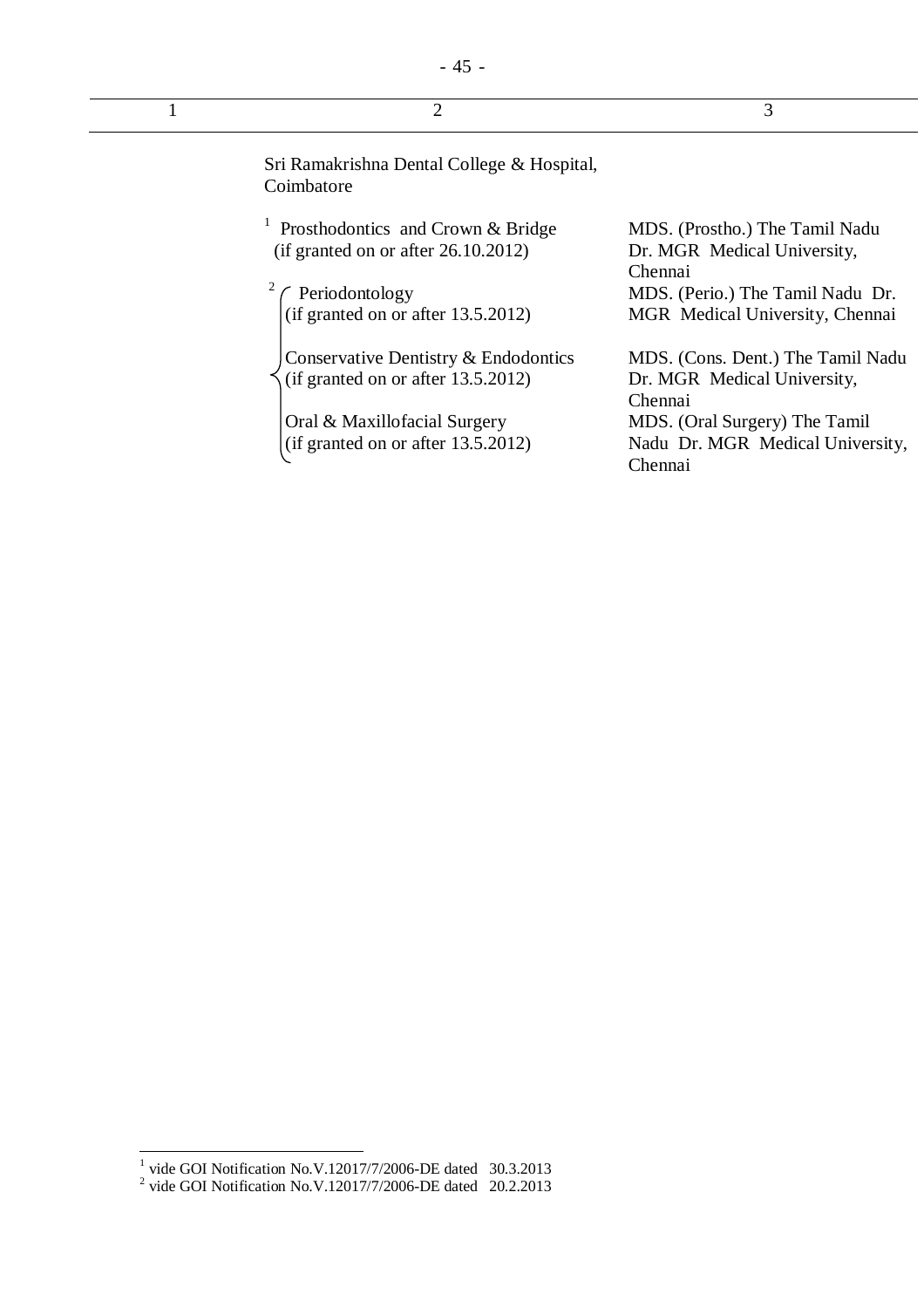| Sri Ramakrishna Dental College & Hospital,<br>Coimbatore |  |
|----------------------------------------------------------|--|

- 45 -

| <sup>1</sup> Prosthodontics and Crown & Bridge |
|------------------------------------------------|
| (if granted on or after $26.10.2012$ )         |

2 Periodontology (if granted on or after 13.5.2012)

Conservative Dentistry & Endodontics (if granted on or after 13.5.2012)

Oral & Maxillofacial Surgery (if granted on or after 13.5.2012) MDS. (Prostho.) The Tamil Nadu Dr. MGR Medical University, Chennai MDS. (Perio.) The Tamil Nadu Dr. MGR Medical University, Chennai

MDS. (Cons. Dent.) The Tamil Nadu Dr. MGR Medical University, Chennai MDS. (Oral Surgery) The Tamil Nadu Dr. MGR Medical University, Chennai

<sup>&</sup>lt;sup>1</sup> vide GOI Notification No.V.12017/7/2006-DE dated 30.3.2013<br><sup>2</sup> vide GOI Notification No.V.12017/7/2006-DE dated 20.2.2013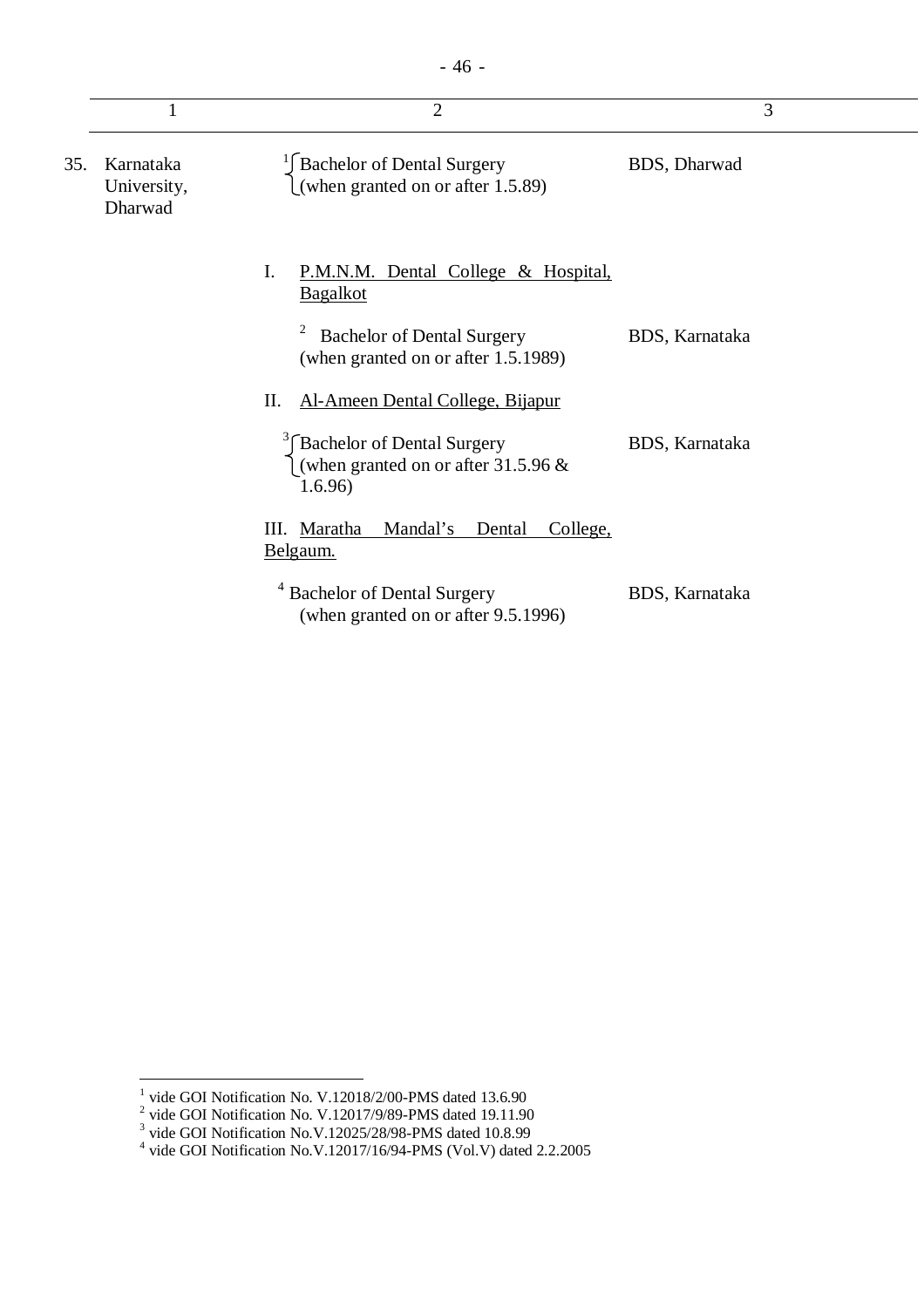|     |                                     | $\overline{2}$                                                                 |                | 3 |
|-----|-------------------------------------|--------------------------------------------------------------------------------|----------------|---|
| 35. | Karnataka<br>University,<br>Dharwad | <sup>1</sup> Bachelor of Dental Surgery<br>(when granted on or after 1.5.89)   | BDS, Dharwad   |   |
|     |                                     | Ι.<br><u>P.M.N.M. Dental College &amp; Hospital,</u><br><b>Bagalkot</b>        |                |   |
|     |                                     | <b>Bachelor of Dental Surgery</b><br>(when granted on or after 1.5.1989)       | BDS, Karnataka |   |
|     |                                     | Al-Ameen Dental College, Bijapur<br>П.                                         |                |   |
|     |                                     | Bachelor of Dental Surgery<br>(when granted on or after $31.5.96 \&$<br>1.6.96 | BDS, Karnataka |   |
|     |                                     | Mandal's<br>III. Maratha<br>College,<br>Dental<br><u>Belgaum.</u>              |                |   |
|     |                                     | <sup>4</sup> Bachelor of Dental Surgery<br>(when granted on or after 9.5.1996) | BDS, Karnataka |   |

<sup>&</sup>lt;sup>1</sup> vide GOI Notification No. V.12018/2/00-PMS dated 13.6.90<br><sup>2</sup> vide GOI Notification No. V.12017/9/89-PMS dated 19.11.90<br><sup>3</sup> vide GOI Notification No.V.12025/28/98-PMS dated 10.8.99<br><sup>4</sup> vide GOI Notification No.V.12017/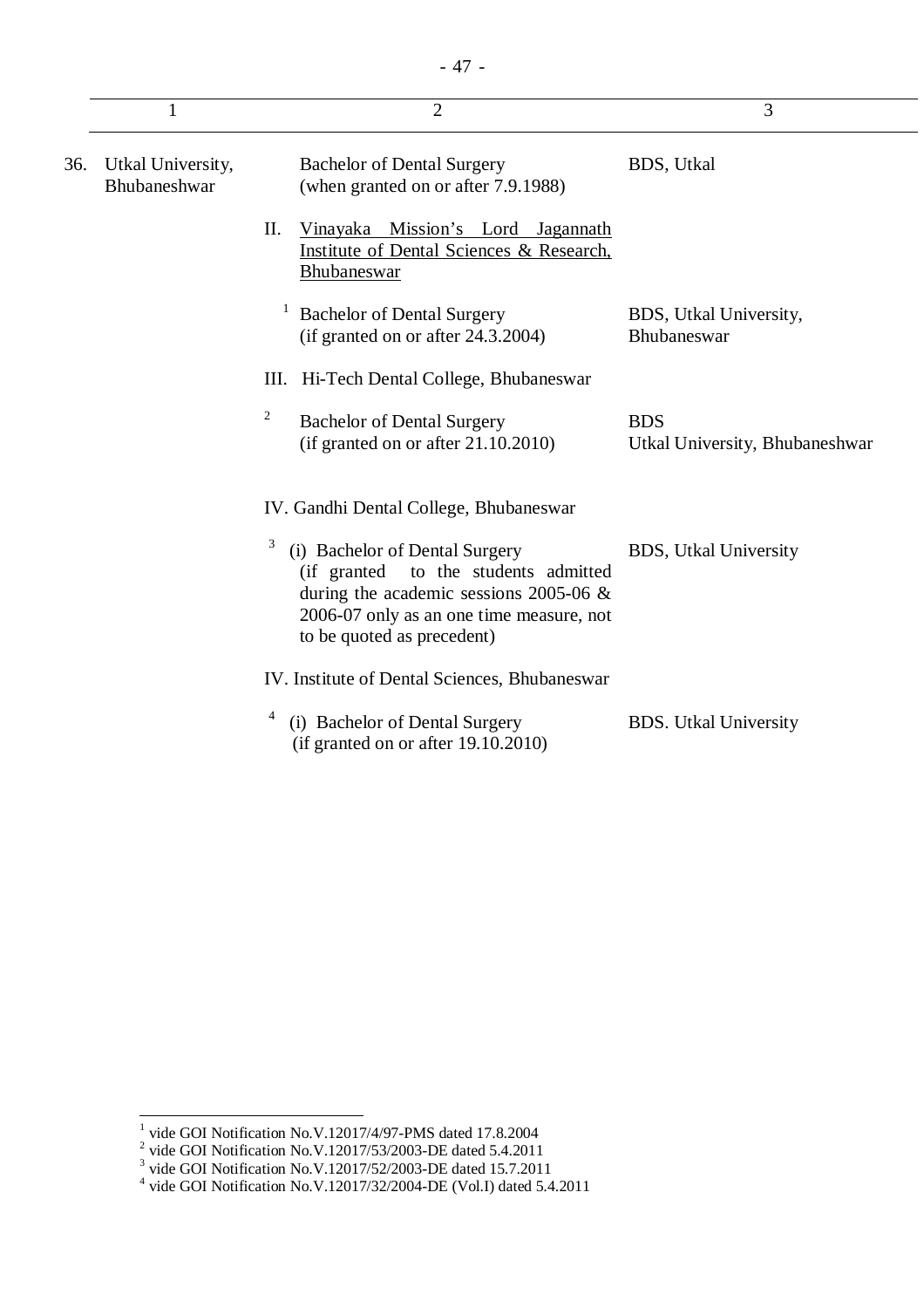|     | 1                                 | $\overline{2}$                                                                                                                                                                                     | 3                                            |
|-----|-----------------------------------|----------------------------------------------------------------------------------------------------------------------------------------------------------------------------------------------------|----------------------------------------------|
| 36. | Utkal University,<br>Bhubaneshwar | <b>Bachelor of Dental Surgery</b><br>(when granted on or after 7.9.1988)                                                                                                                           | <b>BDS</b> , Utkal                           |
|     |                                   | II.<br>Vinayaka Mission's Lord Jagannath<br>Institute of Dental Sciences & Research,<br>Bhubaneswar                                                                                                |                                              |
|     |                                   | <b>Bachelor of Dental Surgery</b><br>(if granted on or after 24.3.2004)                                                                                                                            | BDS, Utkal University,<br>Bhubaneswar        |
|     |                                   | III. Hi-Tech Dental College, Bhubaneswar                                                                                                                                                           |                                              |
|     |                                   | $\overline{c}$<br><b>Bachelor of Dental Surgery</b><br>(if granted on or after $21.10.2010$ )                                                                                                      | <b>BDS</b><br>Utkal University, Bhubaneshwar |
|     |                                   | IV. Gandhi Dental College, Bhubaneswar                                                                                                                                                             |                                              |
|     |                                   | 3<br>(i) Bachelor of Dental Surgery<br>(if granted to the students admitted<br>during the academic sessions 2005-06 $\&$<br>2006-07 only as an one time measure, not<br>to be quoted as precedent) | <b>BDS</b> , Utkal University                |
|     |                                   | IV. Institute of Dental Sciences, Bhubaneswar                                                                                                                                                      |                                              |
|     |                                   | 4<br>(i) Bachelor of Dental Surgery<br>(if granted on or after $19.10.2010$ )                                                                                                                      | <b>BDS.</b> Utkal University                 |

<sup>&</sup>lt;sup>1</sup> vide GOI Notification No.V.12017/4/97-PMS dated 17.8.2004<br><sup>2</sup> vide GOI Notification No.V.12017/53/2003-DE dated 5.4.2011<br><sup>3</sup> vide GOI Notification No.V.12017/52/2003-DE dated 15.7.2011<br><sup>4</sup> vide GOI Notification No.V.1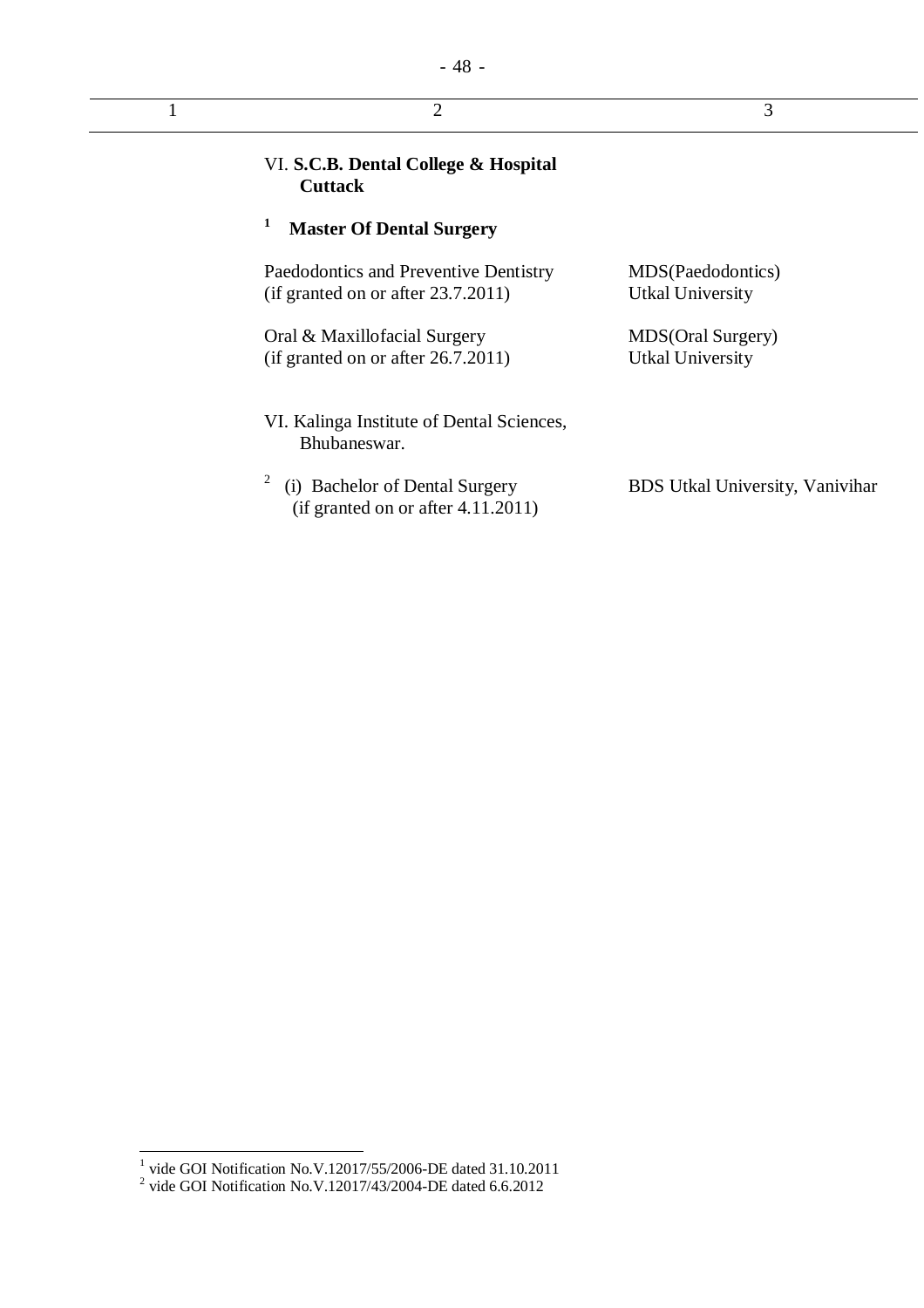| $\overline{2}$                                                                                                 | 3                                                          |
|----------------------------------------------------------------------------------------------------------------|------------------------------------------------------------|
| VI. S.C.B. Dental College & Hospital<br><b>Cuttack</b>                                                         |                                                            |
| 1<br><b>Master Of Dental Surgery</b>                                                                           |                                                            |
| Paedodontics and Preventive Dentistry<br>(if granted on or after $23.7.2011$ )<br>Oral & Maxillofacial Surgery | MDS(Paedodontics)<br>Utkal University<br>MDS(Oral Surgery) |
| (if granted on or after $26.7.2011$ )                                                                          | <b>Utkal University</b>                                    |
| VI. Kalinga Institute of Dental Sciences,<br>Bhubaneswar.                                                      |                                                            |
| 2<br>(i) Bachelor of Dental Surgery<br>$(if$ granted on or after 4.11.2011)                                    | BDS Utkal University, Vanivihar                            |

 1 vide GOI Notification No.V.12017/55/2006-DE dated 31.10.2011 2 vide GOI Notification No.V.12017/43/2004-DE dated 6.6.2012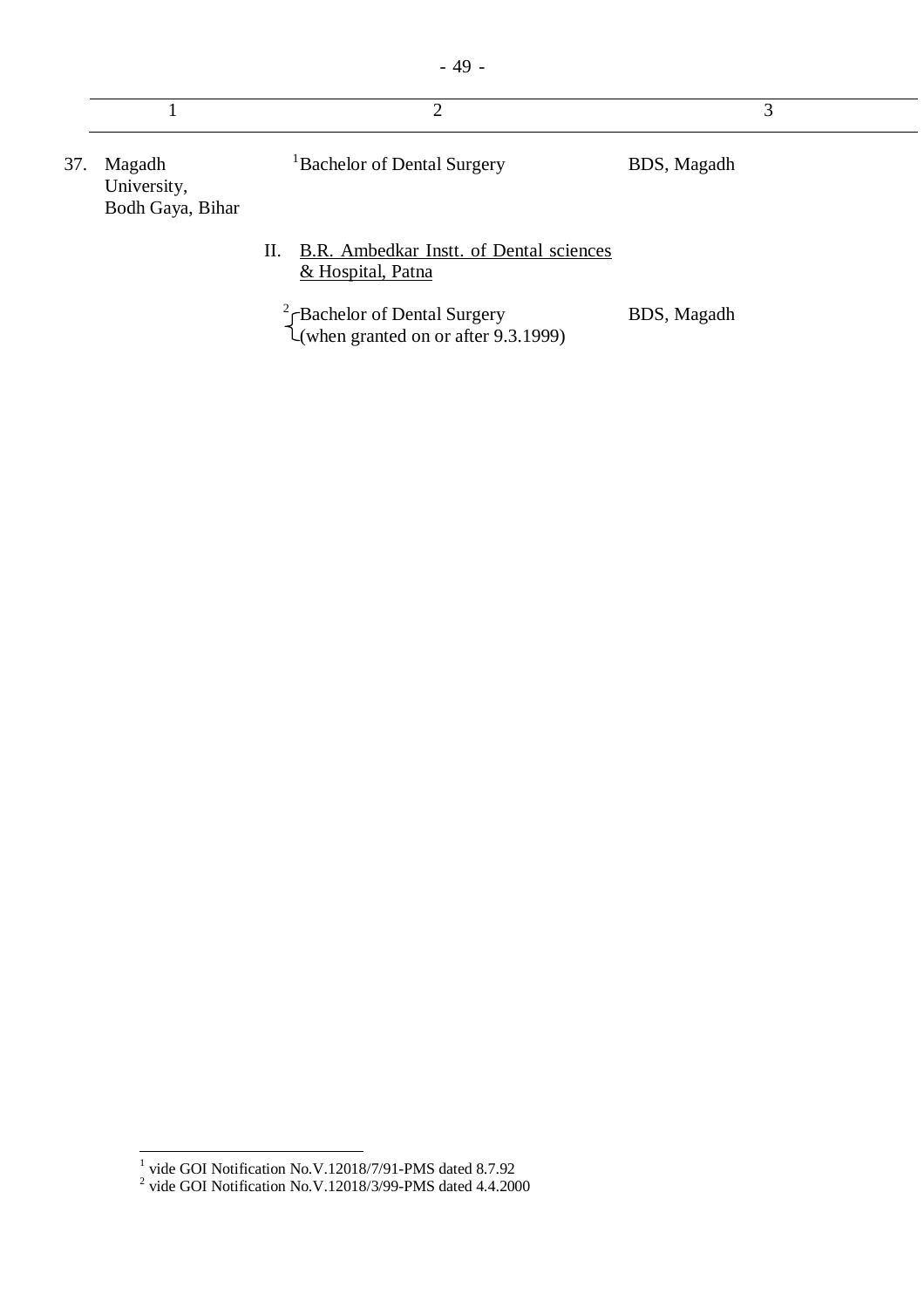| 37. | Magadh<br>University,<br>Bodh Gaya, Bihar |    | <sup>1</sup> Bachelor of Dental Surgery                             | BDS, Magadh |  |
|-----|-------------------------------------------|----|---------------------------------------------------------------------|-------------|--|
|     |                                           | П. | <b>B.R.</b> Ambedkar Instt. of Dental sciences<br>& Hospital, Patna |             |  |

 $2 \int$ Bachelor of Dental Surgery (when granted on or after 9.3.1999) BDS, Magadh

 1 vide GOI Notification No.V.12018/7/91-PMS dated 8.7.92 2 vide GOI Notification No.V.12018/3/99-PMS dated 4.4.2000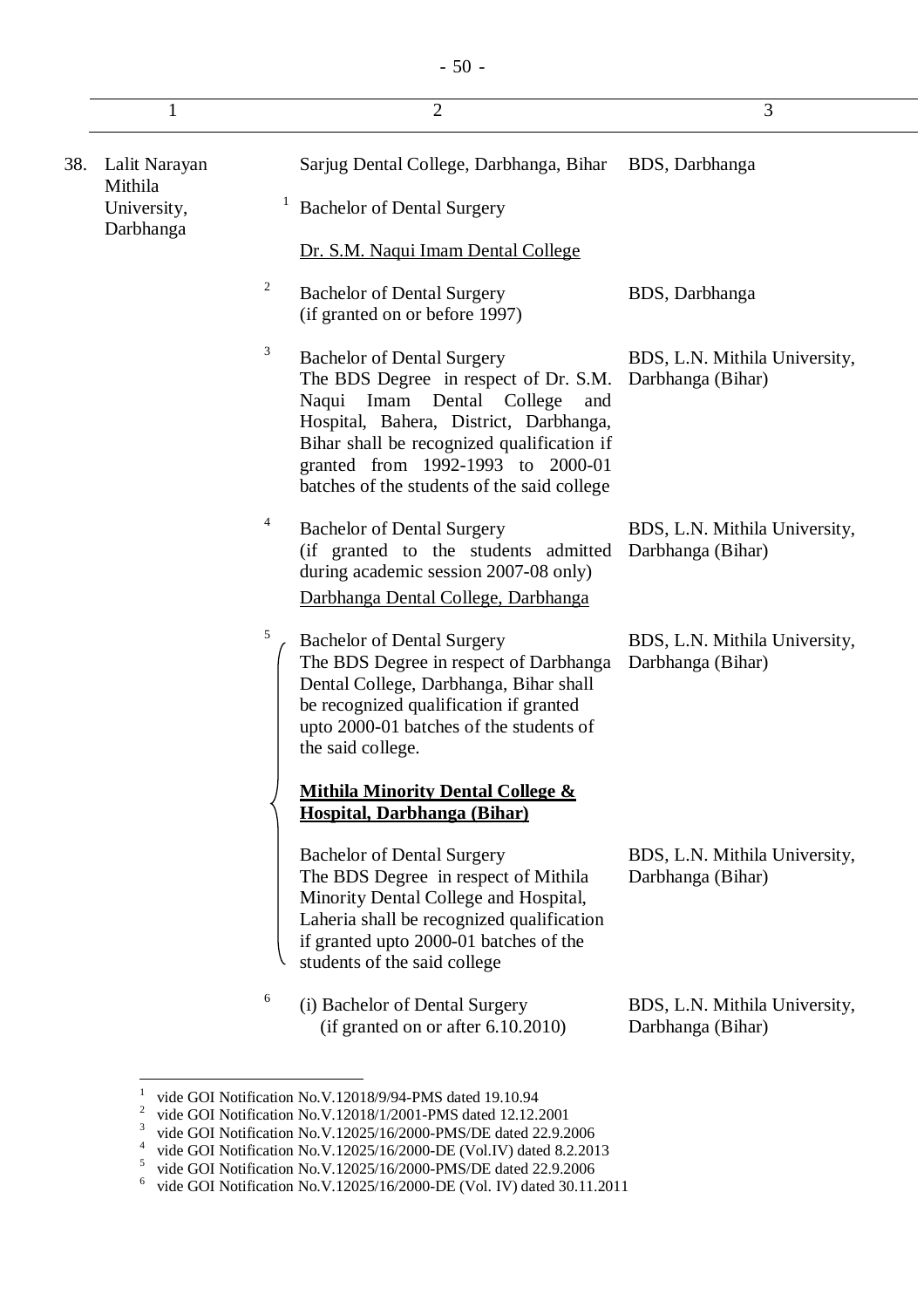|     |                          |         | $\overline{2}$                                                                                                                                                                                                                                                                                | 3                                                  |
|-----|--------------------------|---------|-----------------------------------------------------------------------------------------------------------------------------------------------------------------------------------------------------------------------------------------------------------------------------------------------|----------------------------------------------------|
| 38. | Lalit Narayan<br>Mithila |         | Sarjug Dental College, Darbhanga, Bihar                                                                                                                                                                                                                                                       | BDS, Darbhanga                                     |
|     | University,<br>Darbhanga | $\perp$ | <b>Bachelor of Dental Surgery</b>                                                                                                                                                                                                                                                             |                                                    |
|     |                          |         | Dr. S.M. Naqui Imam Dental College                                                                                                                                                                                                                                                            |                                                    |
|     |                          | 2       | <b>Bachelor of Dental Surgery</b><br>(if granted on or before 1997)                                                                                                                                                                                                                           | BDS, Darbhanga                                     |
|     |                          | 3       | <b>Bachelor of Dental Surgery</b><br>The BDS Degree in respect of Dr. S.M.<br>Naqui<br>Imam Dental College<br>and<br>Hospital, Bahera, District, Darbhanga,<br>Bihar shall be recognized qualification if<br>granted from 1992-1993 to 2000-01<br>batches of the students of the said college | BDS, L.N. Mithila University,<br>Darbhanga (Bihar) |
|     |                          | 4       | <b>Bachelor of Dental Surgery</b><br>(if granted to the students admitted<br>during academic session 2007-08 only)<br>Darbhanga Dental College, Darbhanga                                                                                                                                     | BDS, L.N. Mithila University,<br>Darbhanga (Bihar) |
|     |                          | 5       | <b>Bachelor of Dental Surgery</b><br>The BDS Degree in respect of Darbhanga<br>Dental College, Darbhanga, Bihar shall<br>be recognized qualification if granted<br>upto 2000-01 batches of the students of<br>the said college.                                                               | BDS, L.N. Mithila University,<br>Darbhanga (Bihar) |
|     |                          |         | Mithila Minority Dental College &<br>Hospital, Darbhanga (Bihar)                                                                                                                                                                                                                              |                                                    |
|     |                          |         | <b>Bachelor of Dental Surgery</b><br>The BDS Degree in respect of Mithila<br>Minority Dental College and Hospital,<br>Laheria shall be recognized qualification<br>if granted upto 2000-01 batches of the<br>students of the said college                                                     | BDS, L.N. Mithila University,<br>Darbhanga (Bihar) |
|     |                          | 6       | (i) Bachelor of Dental Surgery<br>(if granted on or after 6.10.2010)                                                                                                                                                                                                                          | BDS, L.N. Mithila University,<br>Darbhanga (Bihar) |

 1 vide GOI Notification No.V.12018/9/94-PMS dated 19.10.94

 $2^2$  vide GOI Notification No.V.12018/1/2001-PMS dated 12.12.2001

<sup>&</sup>lt;sup>3</sup> vide GOI Notification No.V.12025/16/2000-PMS/DE dated 22.9.2006

<sup>&</sup>lt;sup>4</sup> vide GOI Notification No.V.12025/16/2000-DE (Vol.IV) dated 8.2.2013

<sup>&</sup>lt;sup>5</sup> vide GOI Notification No.V.12025/16/2000-PMS/DE dated 22.9.2006

<sup>&</sup>lt;sup>6</sup> vide GOI Notification No.V.12025/16/2000-DE (Vol. IV) dated 30.11.2011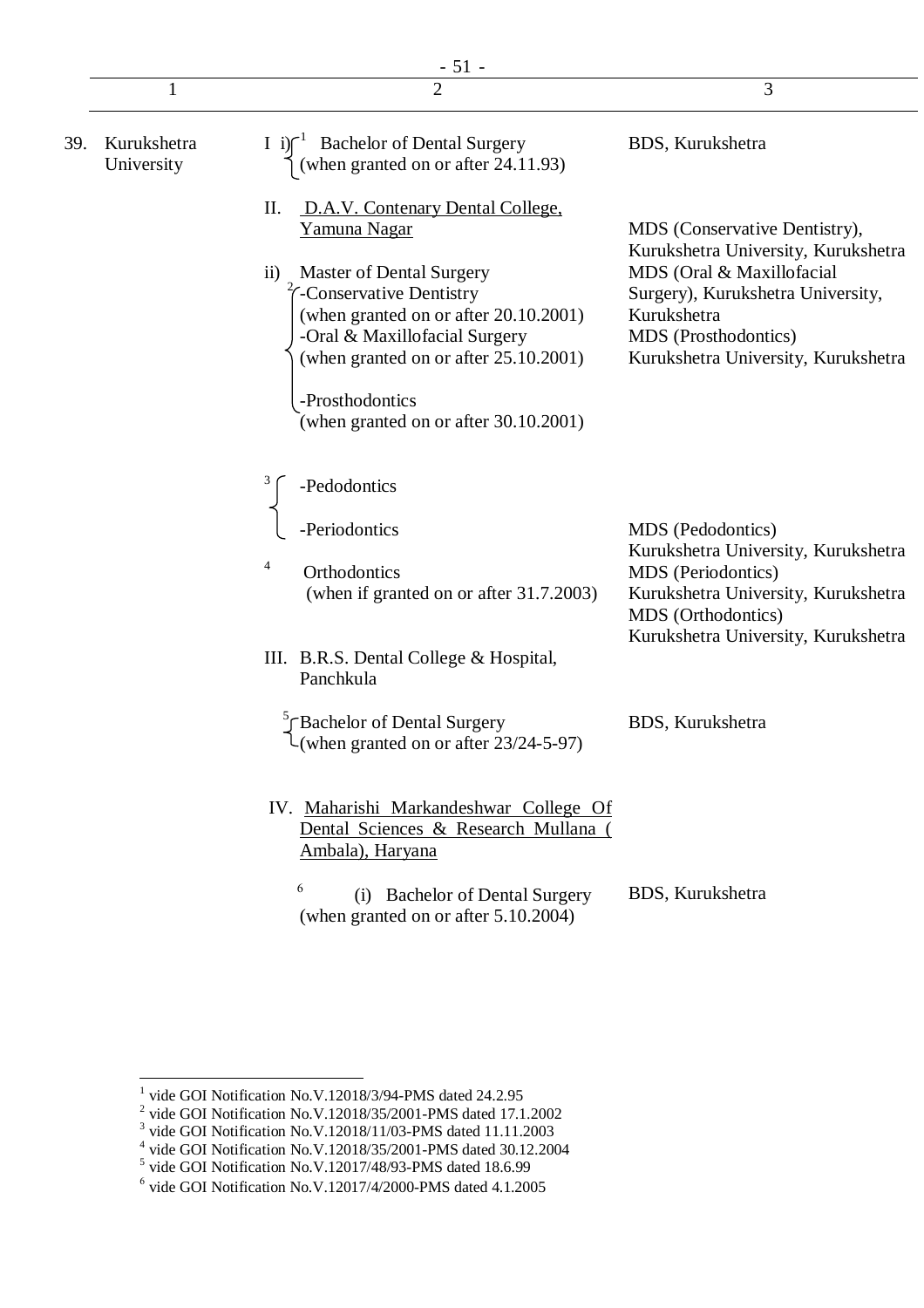|     |                           | $-51 -$                                                                                                                                                                                                                                                              |                                                                                                                                                               |
|-----|---------------------------|----------------------------------------------------------------------------------------------------------------------------------------------------------------------------------------------------------------------------------------------------------------------|---------------------------------------------------------------------------------------------------------------------------------------------------------------|
|     | 1                         |                                                                                                                                                                                                                                                                      | 3                                                                                                                                                             |
| 39. | Kurukshetra<br>University | <sup>-1</sup> Bachelor of Dental Surgery<br>(when granted on or after $24.11.93$ )<br>$I \in \mathbb{R}$                                                                                                                                                             | BDS, Kurukshetra                                                                                                                                              |
|     |                           | П.<br>D.A.V. Contenary Dental College,<br>Yamuna Nagar                                                                                                                                                                                                               | MDS (Conservative Dentistry),<br>Kurukshetra University, Kurukshetra                                                                                          |
|     |                           | <b>Master of Dental Surgery</b><br>$\rm ii)$<br>$\frac{1}{2}$ -Conservative Dentistry<br>(when granted on or after 20.10.2001)<br>-Oral & Maxillofacial Surgery<br>(when granted on or after 25.10.2001)<br>-Prosthodontics<br>(when granted on or after 30.10.2001) | MDS (Oral & Maxillofacial<br>Surgery), Kurukshetra University,<br>Kurukshetra<br>MDS (Prosthodontics)<br>Kurukshetra University, Kurukshetra                  |
|     |                           | -Pedodontics<br>-Periodontics                                                                                                                                                                                                                                        | MDS (Pedodontics)                                                                                                                                             |
|     |                           | 4<br>Orthodontics<br>(when if granted on or after 31.7.2003)                                                                                                                                                                                                         | Kurukshetra University, Kurukshetra<br>MDS (Periodontics)<br>Kurukshetra University, Kurukshetra<br>MDS (Orthodontics)<br>Kurukshetra University, Kurukshetra |
|     |                           | III. B.R.S. Dental College & Hospital,<br>Panchkula                                                                                                                                                                                                                  |                                                                                                                                                               |
|     |                           | <sup>3</sup> Bachelor of Dental Surgery<br>$\mathcal{L}$ (when granted on or after 23/24-5-97)                                                                                                                                                                       | BDS, Kurukshetra                                                                                                                                              |
|     |                           | IV. Maharishi Markandeshwar College Of<br>Dental Sciences & Research Mullana (<br>Ambala), Haryana                                                                                                                                                                   |                                                                                                                                                               |
|     |                           | 6<br><b>Bachelor of Dental Surgery</b><br>(1)<br>(when granted on or after 5.10.2004)                                                                                                                                                                                | BDS, Kurukshetra                                                                                                                                              |

 1 vide GOI Notification No.V.12018/3/94-PMS dated 24.2.95

<sup>&</sup>lt;sup>2</sup> vide GOI Notification No.V.12018/35/2001-PMS dated 17.1.2002<br><sup>3</sup> vide GOI Notification No.V.12018/11/03-PMS dated 11.11.2003<br><sup>4</sup> vide GOI Notification No.V.12018/35/2001-PMS dated 30.12.2004

<sup>&</sup>lt;sup>5</sup> vide GOI Notification No.V.12017/48/93-PMS dated 18.6.99

 $6$  vide GOI Notification No.V.12017/4/2000-PMS dated 4.1.2005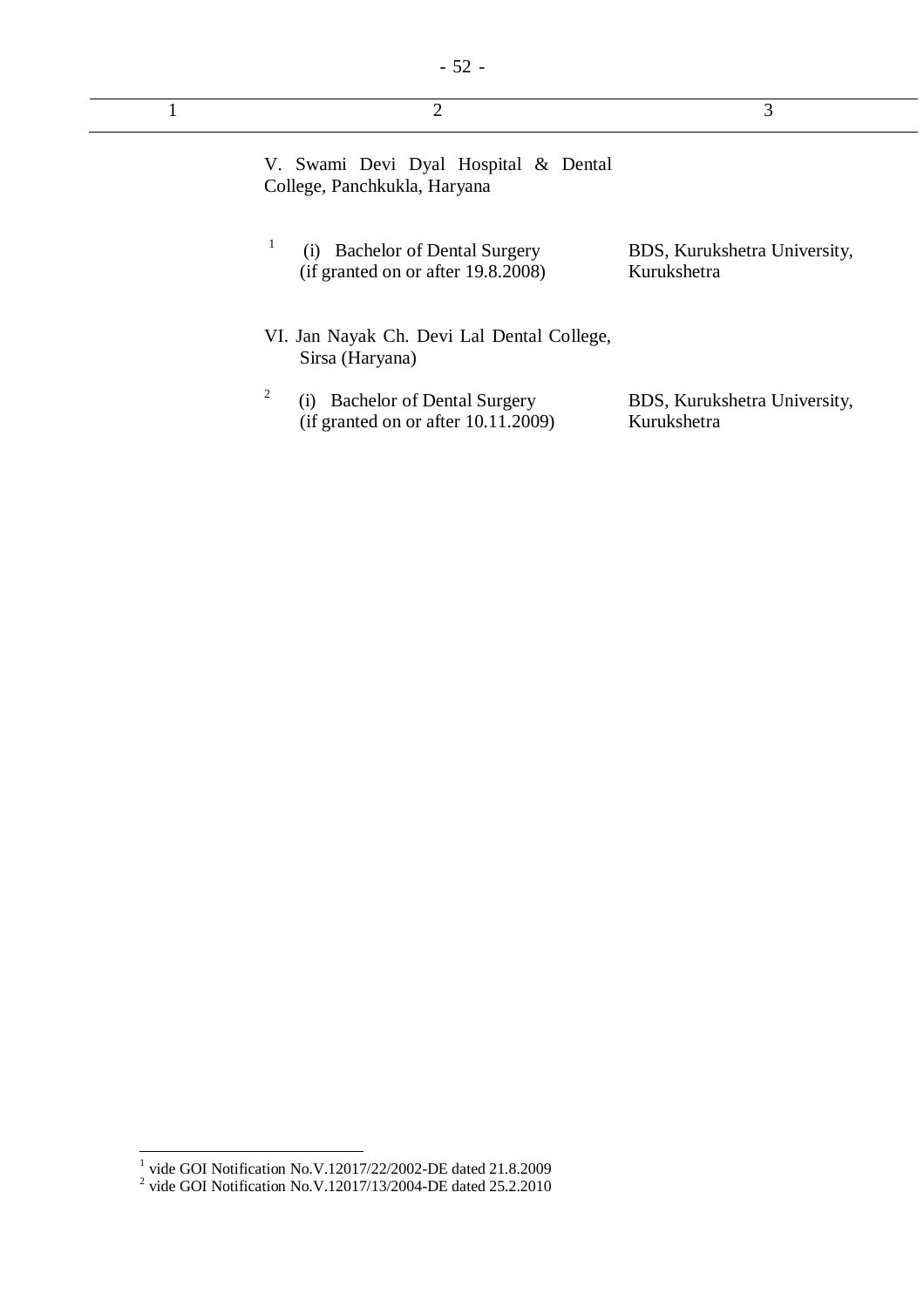| 2                                                                                       | 3                                           |
|-----------------------------------------------------------------------------------------|---------------------------------------------|
| V. Swami Devi Dyal Hospital & Dental<br>College, Panchkukla, Haryana                    |                                             |
| 1<br><b>Bachelor of Dental Surgery</b><br>(i)<br>(if granted on or after 19.8.2008)     | BDS, Kurukshetra University,<br>Kurukshetra |
| VI. Jan Nayak Ch. Devi Lal Dental College,<br>Sirsa (Haryana)                           |                                             |
| 2<br><b>Bachelor of Dental Surgery</b><br>(1)<br>(if granted on or after $10.11.2009$ ) | BDS, Kurukshetra University,<br>Kurukshetra |

 1 vide GOI Notification No.V.12017/22/2002-DE dated 21.8.2009 2 vide GOI Notification No.V.12017/13/2004-DE dated 25.2.2010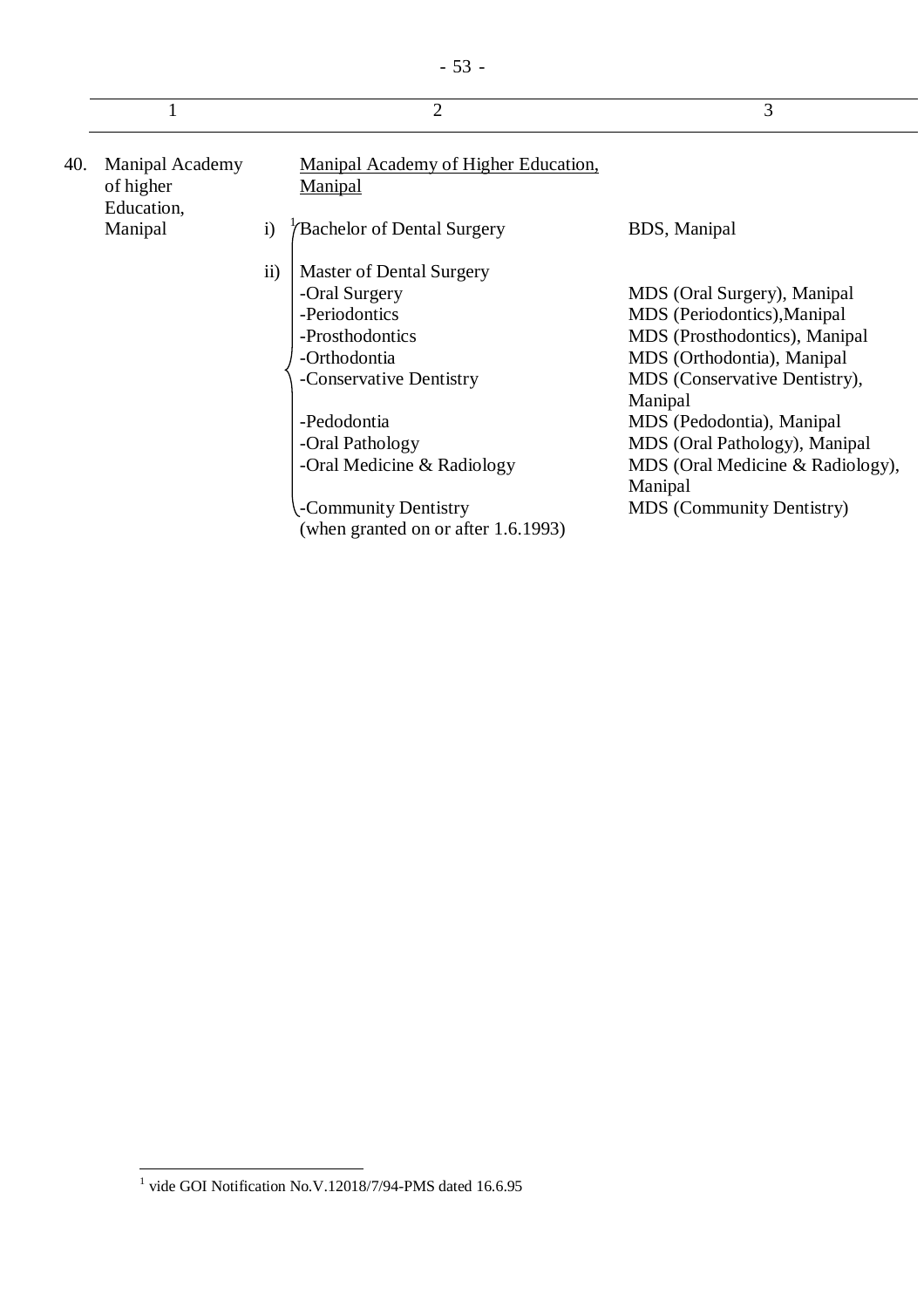|     |                                                   |              | $\overline{2}$                                                                                                           | 3                                                                                                                                                                     |
|-----|---------------------------------------------------|--------------|--------------------------------------------------------------------------------------------------------------------------|-----------------------------------------------------------------------------------------------------------------------------------------------------------------------|
| 40. | <b>Manipal Academy</b><br>of higher<br>Education, |              | Manipal Academy of Higher Education,<br><b>Manipal</b>                                                                   |                                                                                                                                                                       |
|     | Manipal                                           | $\mathbf{i}$ | Bachelor of Dental Surgery                                                                                               | BDS, Manipal                                                                                                                                                          |
|     |                                                   | ii)          | Master of Dental Surgery<br>-Oral Surgery<br>-Periodontics<br>-Prosthodontics<br>-Orthodontia<br>-Conservative Dentistry | MDS (Oral Surgery), Manipal<br>MDS (Periodontics), Manipal<br>MDS (Prosthodontics), Manipal<br>MDS (Orthodontia), Manipal<br>MDS (Conservative Dentistry),<br>Manipal |
|     |                                                   |              | -Pedodontia<br>-Oral Pathology<br>-Oral Medicine & Radiology<br>-Community Dentistry                                     | MDS (Pedodontia), Manipal<br>MDS (Oral Pathology), Manipal<br>MDS (Oral Medicine & Radiology),<br>Manipal<br><b>MDS</b> (Community Dentistry)                         |

 1 vide GOI Notification No.V.12018/7/94-PMS dated 16.6.95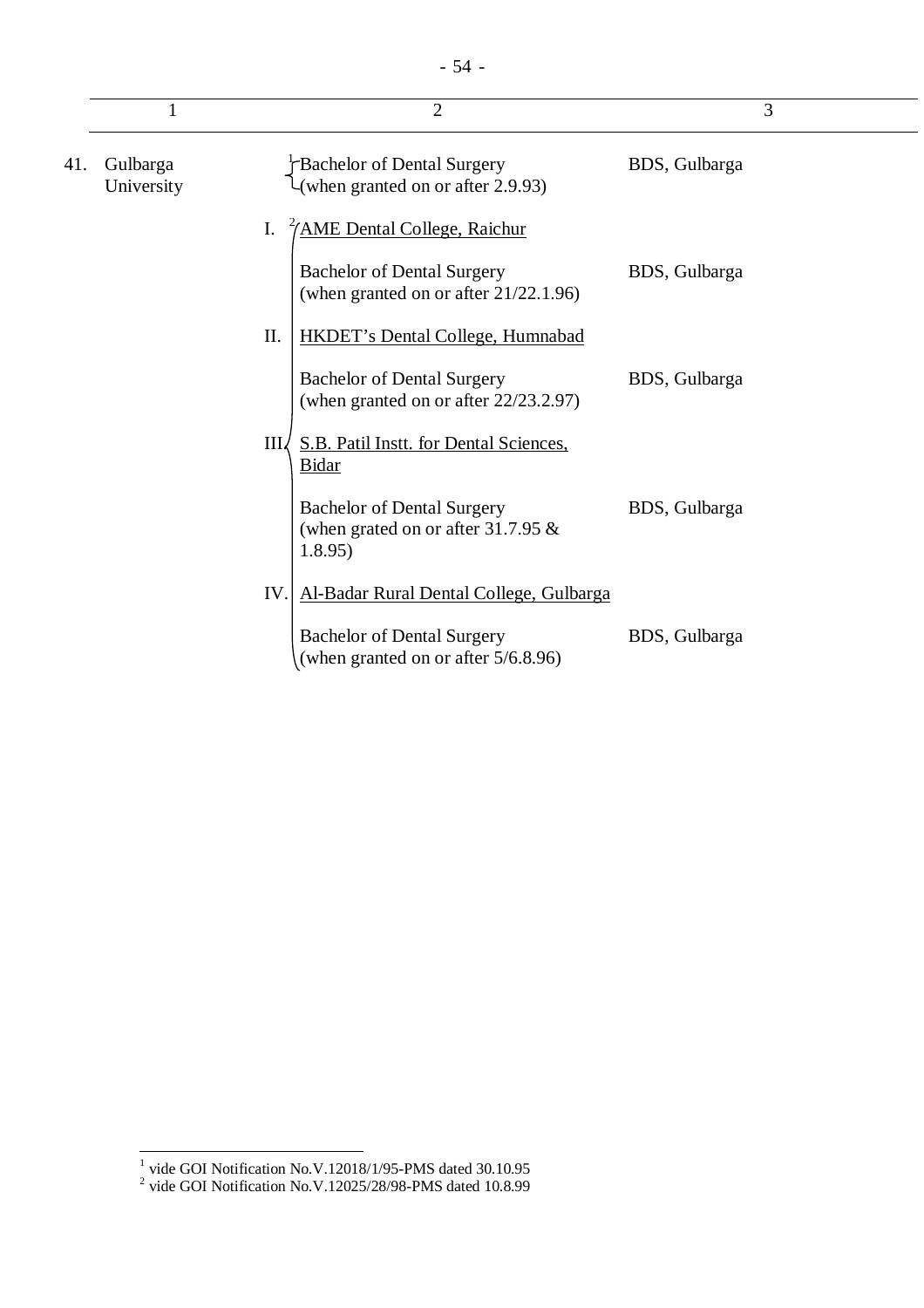|     |                        | $\overline{2}$                                                                        | 3             |
|-----|------------------------|---------------------------------------------------------------------------------------|---------------|
| 41. | Gulbarga<br>University | Bachelor of Dental Surgery<br>(when granted on or after 2.9.93)                       | BDS, Gulbarga |
|     |                        | <u> '/AME Dental College, Raichur</u><br>Ι.                                           |               |
|     |                        | <b>Bachelor of Dental Surgery</b><br>(when granted on or after $21/22.1.96$ )         | BDS, Gulbarga |
|     |                        | II.<br><b>HKDET's Dental College, Humnabad</b>                                        |               |
|     |                        | <b>Bachelor of Dental Surgery</b><br>(when granted on or after 22/23.2.97)            | BDS, Gulbarga |
|     |                        | III S.B. Patil Inst. for Dental Sciences.<br><b>Bidar</b>                             |               |
|     |                        | <b>Bachelor of Dental Surgery</b><br>(when grated on or after 31.7.95 $\&$<br>1.8.95) | BDS, Gulbarga |
|     |                        | IV.<br>Al-Badar Rural Dental College, Gulbarga                                        |               |
|     |                        | <b>Bachelor of Dental Surgery</b><br>(when granted on or after 5/6.8.96)              | BDS, Gulbarga |

 1 vide GOI Notification No.V.12018/1/95-PMS dated 30.10.95 2 vide GOI Notification No.V.12025/28/98-PMS dated 10.8.99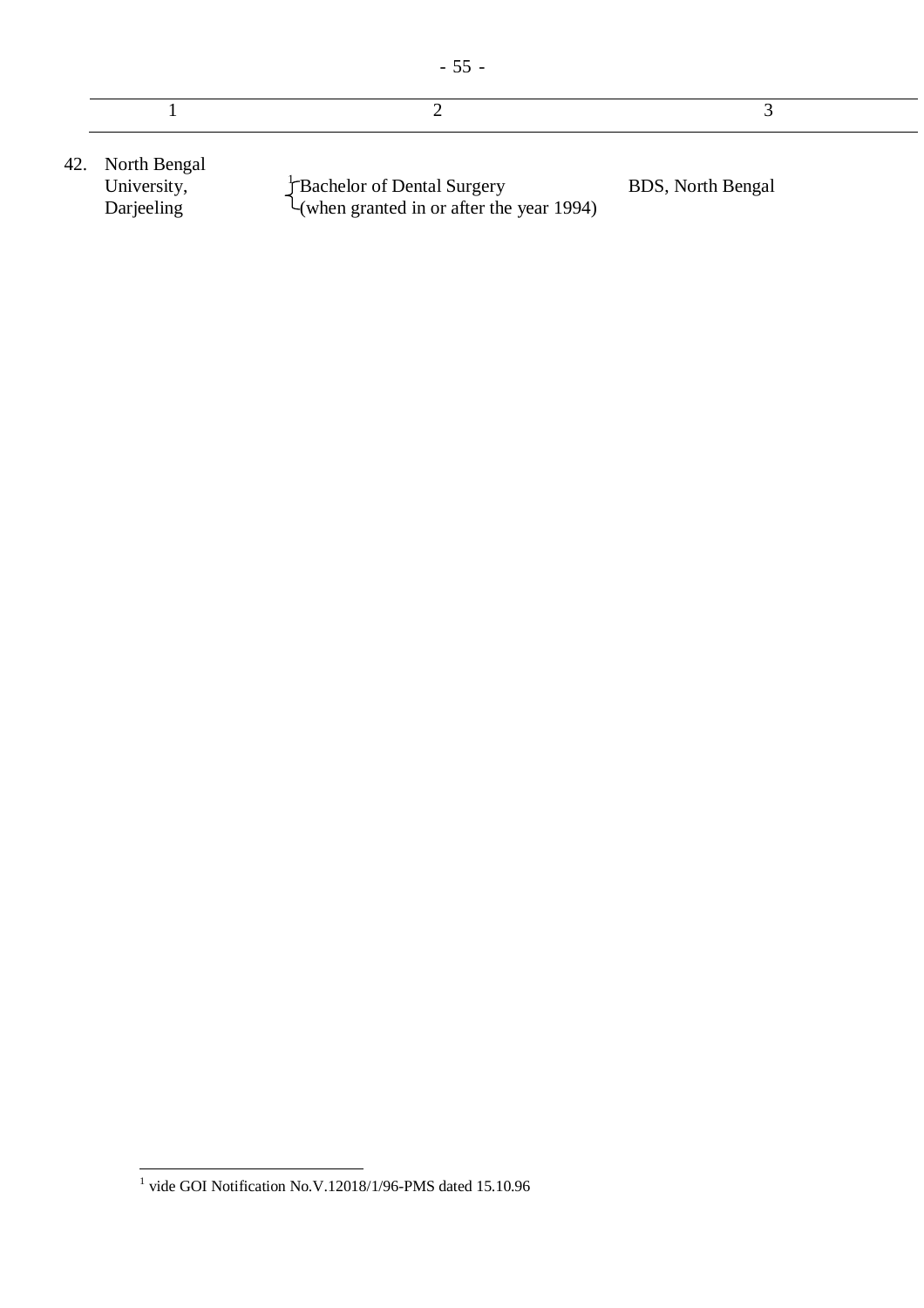- 55 -

42. North Bengal University, Darjeeling Bachelor of Dental Surgery (when granted in or after the year 1994) BDS, North Bengal

 1 vide GOI Notification No.V.12018/1/96-PMS dated 15.10.96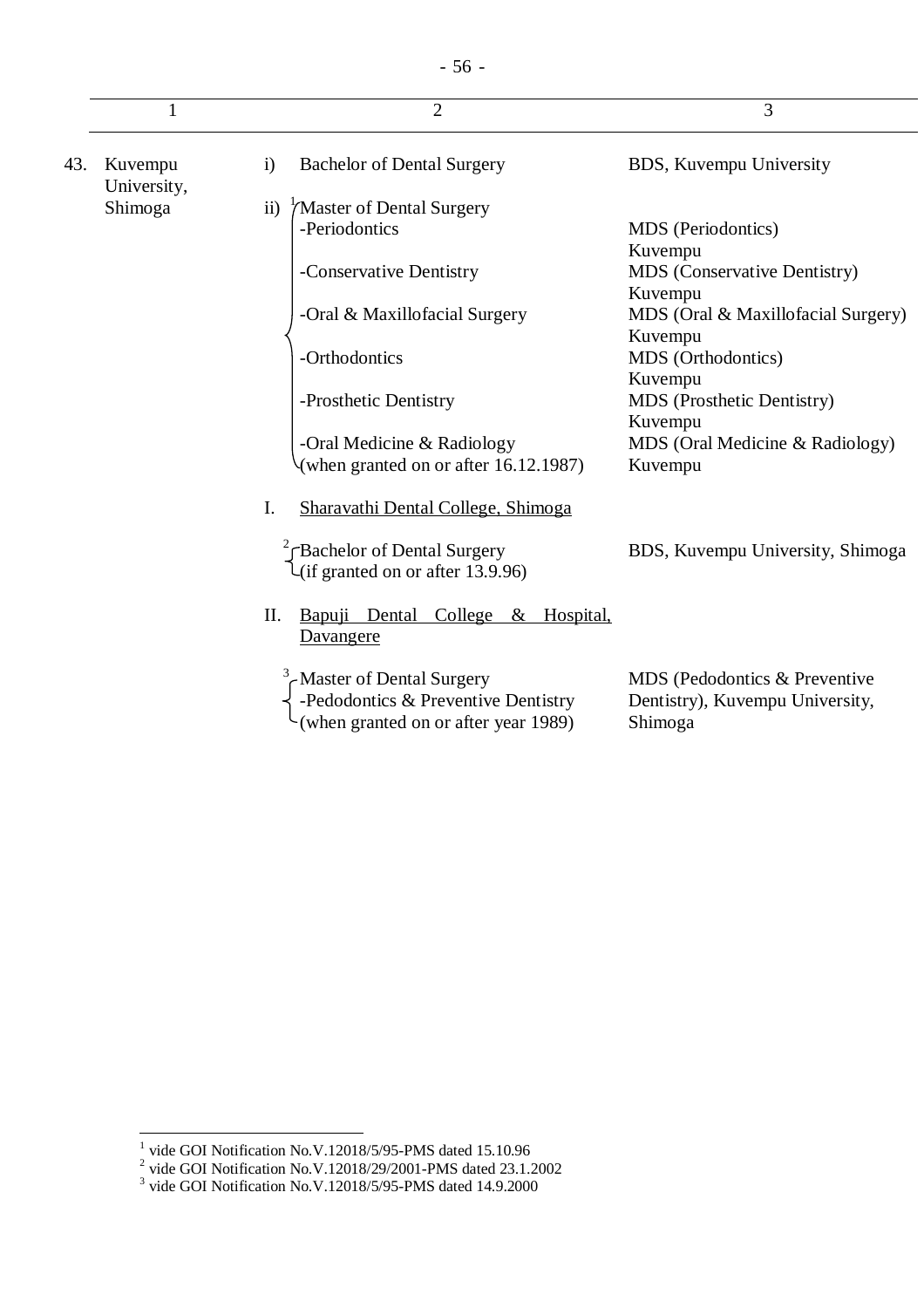|     | $\mathbf{1}$           | $\overline{2}$                                                                                          | 3                                                                           |
|-----|------------------------|---------------------------------------------------------------------------------------------------------|-----------------------------------------------------------------------------|
| 43. | Kuvempu<br>University, | <b>Bachelor of Dental Surgery</b><br>$\mathbf{i}$                                                       | BDS, Kuvempu University                                                     |
|     | Shimoga                | 'Master of Dental Surgery<br>$\mathbf{ii}$                                                              |                                                                             |
|     |                        | -Periodontics                                                                                           | MDS (Periodontics)<br>Kuvempu                                               |
|     |                        | -Conservative Dentistry                                                                                 | <b>MDS</b> (Conservative Dentistry)<br>Kuvempu                              |
|     |                        | -Oral & Maxillofacial Surgery                                                                           | MDS (Oral & Maxillofacial Surgery)<br>Kuvempu                               |
|     |                        | -Orthodontics                                                                                           | MDS (Orthodontics)<br>Kuvempu                                               |
|     |                        | -Prosthetic Dentistry                                                                                   | MDS (Prosthetic Dentistry)<br>Kuvempu                                       |
|     |                        | -Oral Medicine & Radiology<br>(when granted on or after 16.12.1987)                                     | MDS (Oral Medicine & Radiology)<br>Kuvempu                                  |
|     |                        | I.<br>Sharavathi Dental College, Shimoga                                                                |                                                                             |
|     |                        | $\int_{0}^{2}$ Gachelor of Dental Surgery<br>$\mathcal{L}$ (if granted on or after 13.9.96)             | BDS, Kuvempu University, Shimoga                                            |
|     |                        | Bapuji Dental<br>College & Hospital,<br>II.<br>Davangere                                                |                                                                             |
|     |                        | Master of Dental Surgery<br>-Pedodontics & Preventive Dentistry<br>(when granted on or after year 1989) | MDS (Pedodontics & Preventive<br>Dentistry), Kuvempu University,<br>Shimoga |

<sup>&</sup>lt;sup>1</sup> vide GOI Notification No.V.12018/5/95-PMS dated 15.10.96<br>
<sup>2</sup> vide GOI Notification No.V.12018/29/2001-PMS dated 23.1.2002<br>
<sup>3</sup> vide GOI Notification No.V.12018/5/95-PMS dated 14.9.2000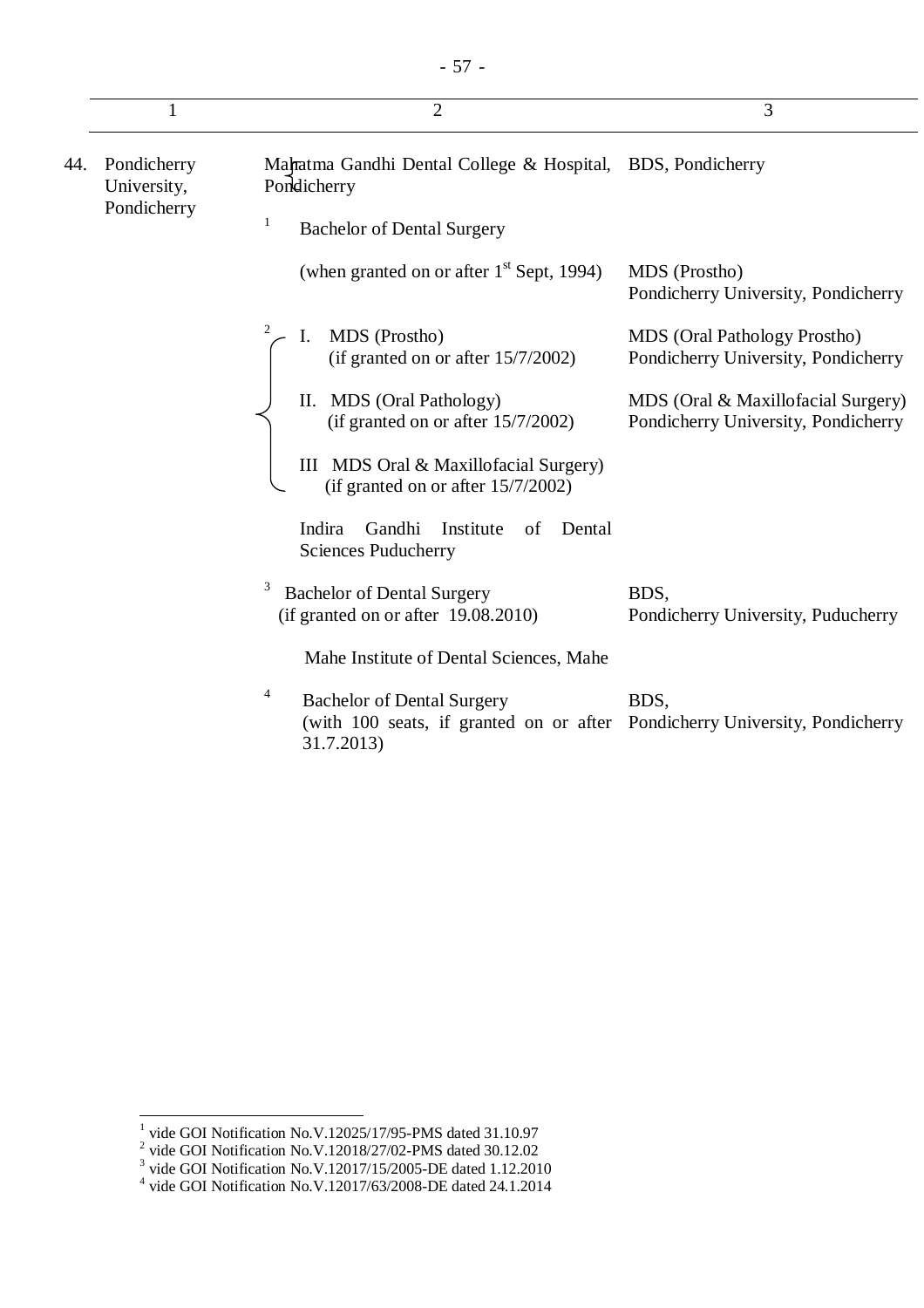|     |                                                                                                         | $\overline{2}$                                                                                                                      | 3                                                                          |
|-----|---------------------------------------------------------------------------------------------------------|-------------------------------------------------------------------------------------------------------------------------------------|----------------------------------------------------------------------------|
| 44. | Mahatma Gandhi Dental College & Hospital, BDS, Pondicherry<br>Pondicherry<br>Pondicherry<br>University, |                                                                                                                                     |                                                                            |
|     | Pondicherry                                                                                             | 1<br><b>Bachelor of Dental Surgery</b>                                                                                              |                                                                            |
|     |                                                                                                         | (when granted on or after $1st$ Sept, 1994)                                                                                         | MDS (Prostho)<br>Pondicherry University, Pondicherry                       |
|     |                                                                                                         | MDS (Prostho)<br>1.<br>(if granted on or after 15/7/2002)                                                                           | <b>MDS</b> (Oral Pathology Prostho)<br>Pondicherry University, Pondicherry |
|     |                                                                                                         | II. MDS (Oral Pathology)<br>(if granted on or after $15/7/2002$ )                                                                   | MDS (Oral & Maxillofacial Surgery)<br>Pondicherry University, Pondicherry  |
|     |                                                                                                         | III MDS Oral & Maxillofacial Surgery)<br>(if granted on or after $15/7/2002$ )                                                      |                                                                            |
|     |                                                                                                         | Indira<br>Gandhi<br>Institute<br>of<br>Dental<br><b>Sciences Puducherry</b>                                                         |                                                                            |
|     |                                                                                                         | <b>Bachelor of Dental Surgery</b><br>(if granted on or after $19.08.2010$ )                                                         | BDS,<br>Pondicherry University, Puducherry                                 |
|     |                                                                                                         | Mahe Institute of Dental Sciences, Mahe                                                                                             |                                                                            |
|     |                                                                                                         | 4<br><b>Bachelor of Dental Surgery</b><br>(with 100 seats, if granted on or after Pondicherry University, Pondicherry<br>31.7.2013) | BDS,                                                                       |

<sup>&</sup>lt;sup>1</sup> vide GOI Notification No.V.12025/17/95-PMS dated 31.10.97<br><sup>2</sup> vide GOI Notification No.V.12018/27/02-PMS dated 30.12.02<br><sup>3</sup> vide GOI Notification No.V.12017/15/2005-DE dated 1.12.2010<br><sup>4</sup> vide GOI Notification No.V.12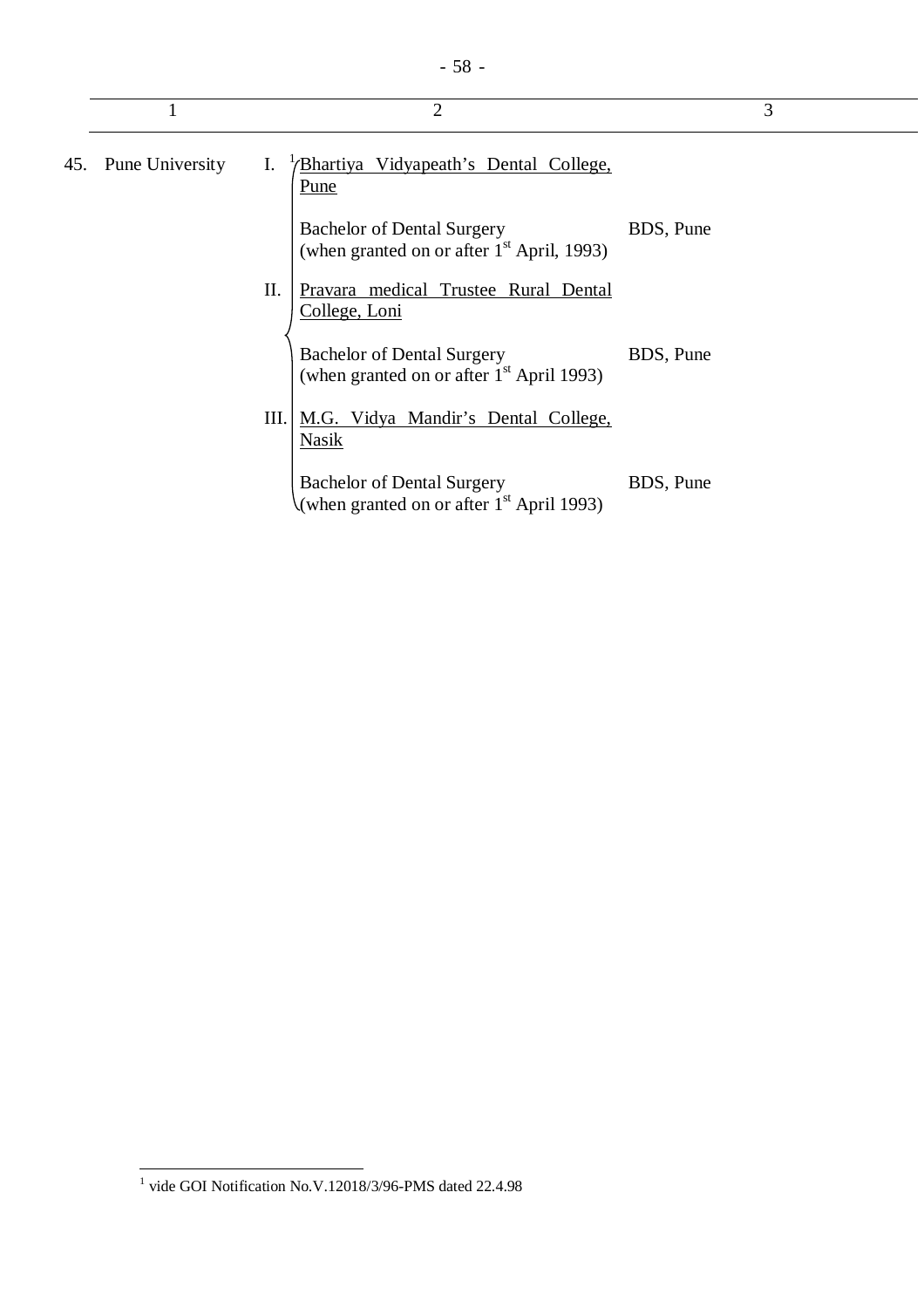|                     |      | $\overline{2}$                                                                    |           | 3 |
|---------------------|------|-----------------------------------------------------------------------------------|-----------|---|
| 45. Pune University | I.   | <u>Bhartiya Vidyapeath's Dental College,</u><br>Pune                              |           |   |
|                     |      | <b>Bachelor of Dental Surgery</b><br>(when granted on or after $1st$ April, 1993) | BDS, Pune |   |
|                     | Π.   | Pravara medical Trustee Rural Dental<br>College, Loni                             |           |   |
|                     |      | <b>Bachelor of Dental Surgery</b><br>(when granted on or after $1st$ April 1993)  | BDS, Pune |   |
|                     | III. | M.G. Vidya Mandir's Dental College,<br>Nasik                                      |           |   |
|                     |      | <b>Bachelor of Dental Surgery</b><br>(when granted on or after $1st$ April 1993)  | BDS, Pune |   |

 1 vide GOI Notification No.V.12018/3/96-PMS dated 22.4.98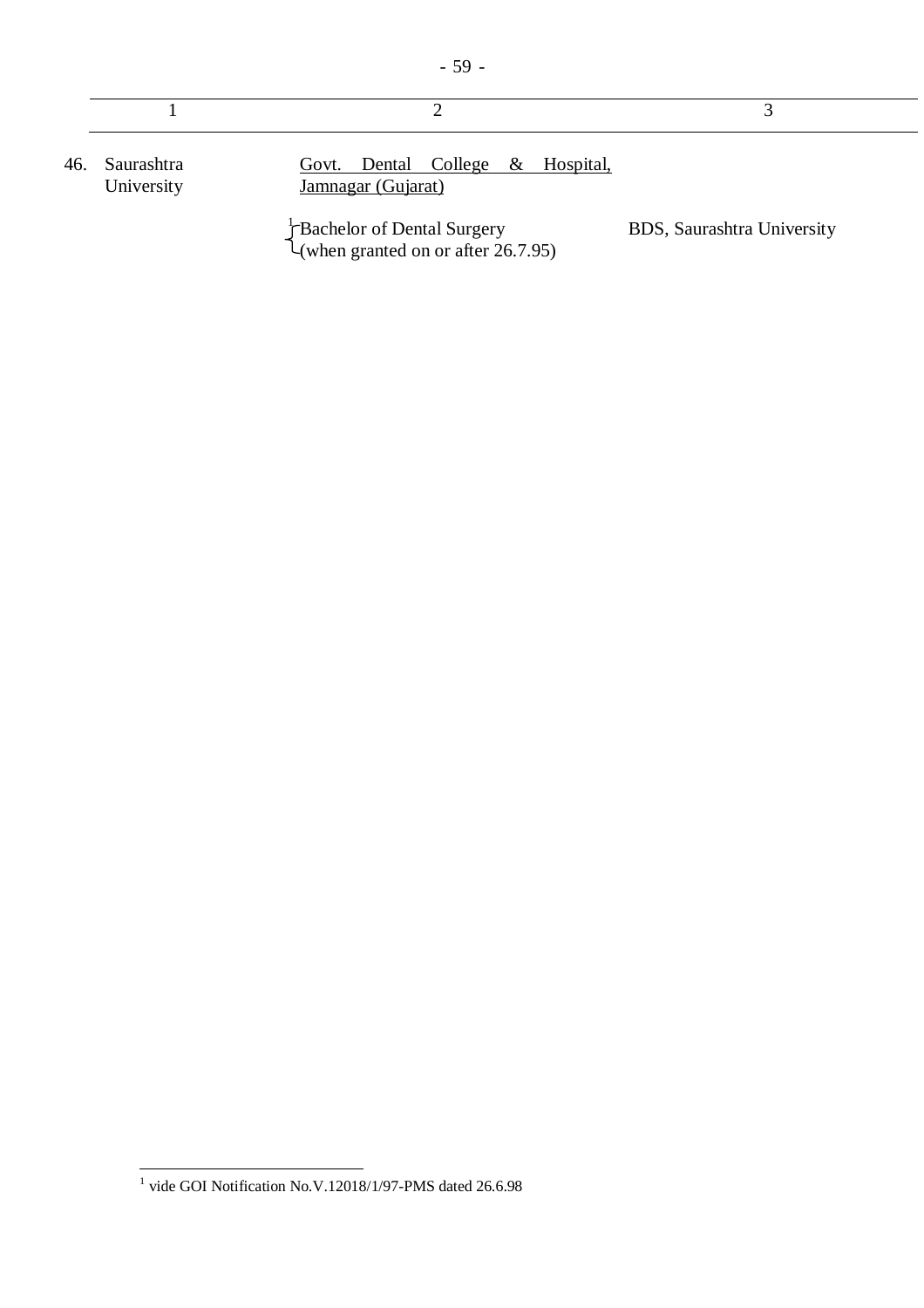| 46. Saurashtra<br>University | Govt. Dental College & Hospital,<br>Jamnagar (Gujarat) |                            |
|------------------------------|--------------------------------------------------------|----------------------------|
|                              | Bachelor of Dental Surgery                             | BDS, Saurashtra University |

(when granted on or after 26.7.95)

 1 vide GOI Notification No.V.12018/1/97-PMS dated 26.6.98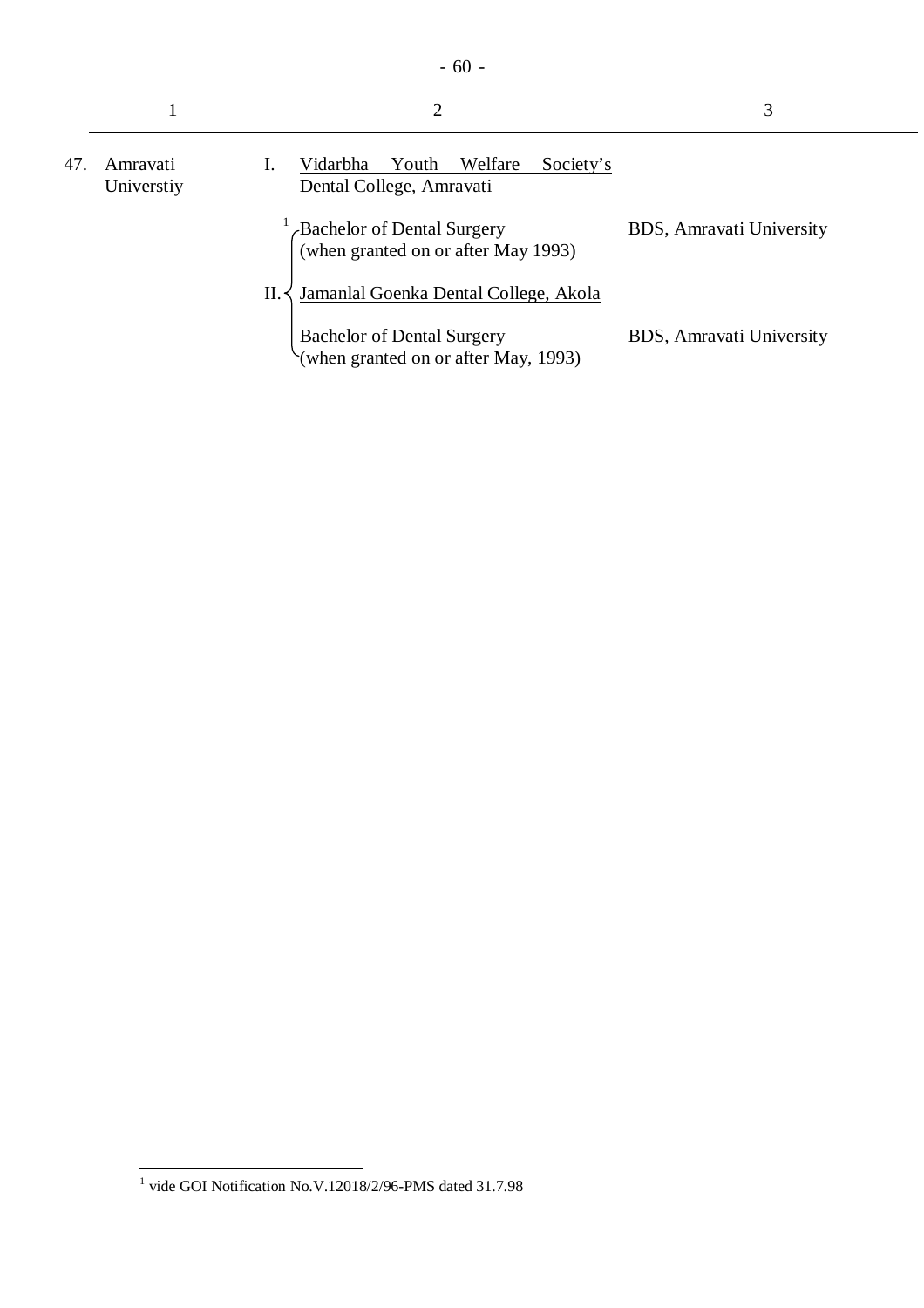| v<br>×<br>w<br>۰. |
|-------------------|
|-------------------|

|     |                        | 2                                                                         | 3                        |
|-----|------------------------|---------------------------------------------------------------------------|--------------------------|
| 47. | Amravati<br>Universtiy | Welfare<br>Vidarbha<br>Youth<br>Society's<br>Dental College, Amravati     |                          |
|     |                        | Bachelor of Dental Surgery<br>(when granted on or after May 1993)         | BDS, Amravati University |
|     |                        | Jamanlal Goenka Dental College, Akola<br>$\Pi$ .                          |                          |
|     |                        | <b>Bachelor of Dental Surgery</b><br>(when granted on or after May, 1993) | BDS, Amravati University |

 1 vide GOI Notification No.V.12018/2/96-PMS dated 31.7.98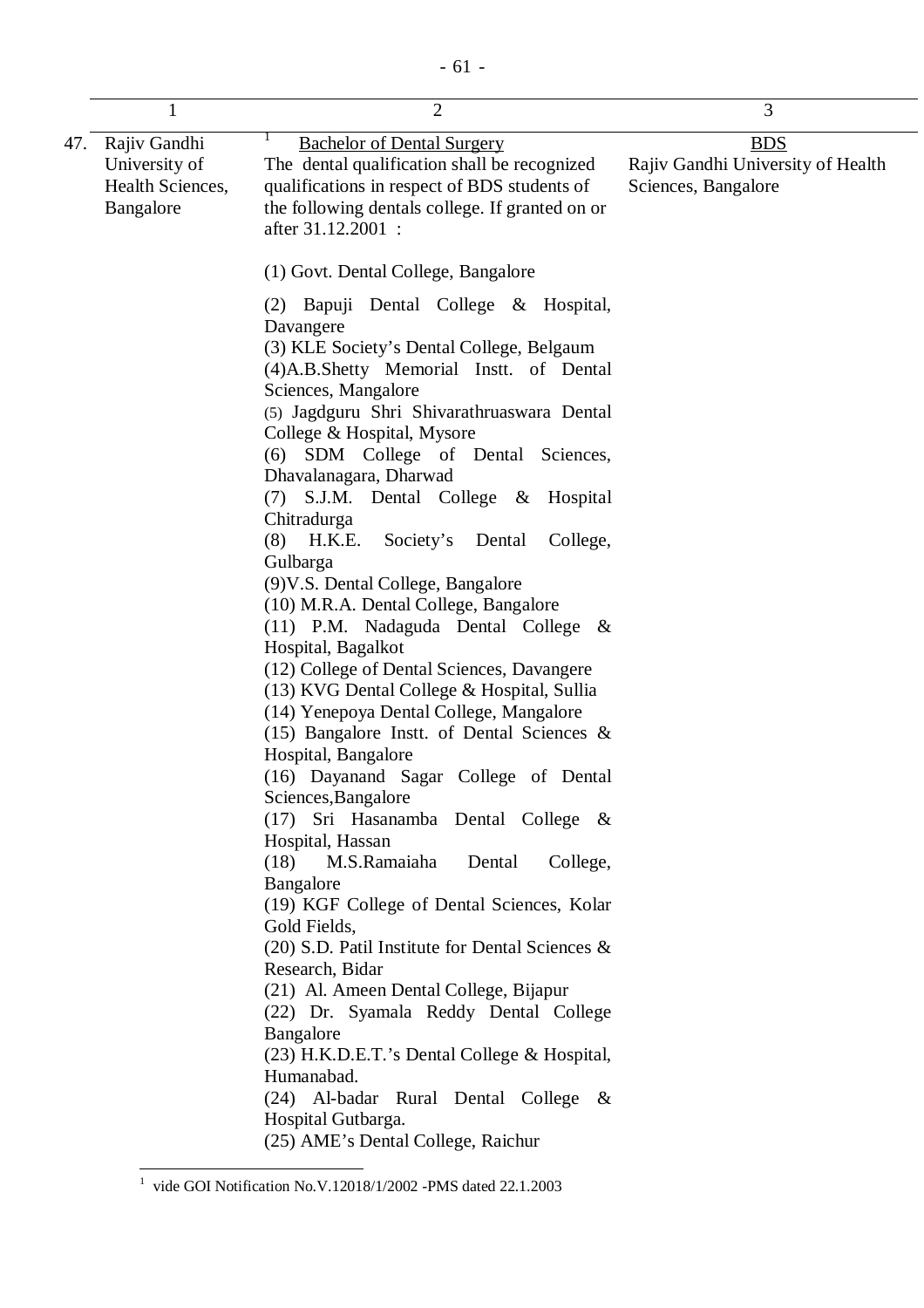|     | 1                                                              | $\overline{2}$                                                                                                                                                                                                                                                                                                                                                                                                                                                                                                                                                                                                                                                                                                                                                                                                                                                                                                                                                                                                                                                                                                                                                                                                                                                                                                                                                             | 3                                                                      |
|-----|----------------------------------------------------------------|----------------------------------------------------------------------------------------------------------------------------------------------------------------------------------------------------------------------------------------------------------------------------------------------------------------------------------------------------------------------------------------------------------------------------------------------------------------------------------------------------------------------------------------------------------------------------------------------------------------------------------------------------------------------------------------------------------------------------------------------------------------------------------------------------------------------------------------------------------------------------------------------------------------------------------------------------------------------------------------------------------------------------------------------------------------------------------------------------------------------------------------------------------------------------------------------------------------------------------------------------------------------------------------------------------------------------------------------------------------------------|------------------------------------------------------------------------|
| 47. | Rajiv Gandhi<br>University of<br>Health Sciences,<br>Bangalore | <b>Bachelor of Dental Surgery</b><br>The dental qualification shall be recognized<br>qualifications in respect of BDS students of<br>the following dentals college. If granted on or<br>after 31.12.2001 :                                                                                                                                                                                                                                                                                                                                                                                                                                                                                                                                                                                                                                                                                                                                                                                                                                                                                                                                                                                                                                                                                                                                                                 | <b>BDS</b><br>Rajiv Gandhi University of Health<br>Sciences, Bangalore |
|     |                                                                | (1) Govt. Dental College, Bangalore<br>(2) Bapuji Dental College & Hospital,<br>Davangere<br>(3) KLE Society's Dental College, Belgaum<br>(4)A.B.Shetty Memorial Instt. of Dental<br>Sciences, Mangalore<br>(5) Jagdguru Shri Shivarathruaswara Dental<br>College & Hospital, Mysore<br>(6) SDM College of Dental Sciences,<br>Dhavalanagara, Dharwad<br>S.J.M. Dental College & Hospital<br>(7)<br>Chitradurga<br>$(8)$ H.K.E.<br>Society's Dental<br>College,<br>Gulbarga<br>(9) V.S. Dental College, Bangalore<br>(10) M.R.A. Dental College, Bangalore<br>$(11)$ P.M. Nadaguda Dental College &<br>Hospital, Bagalkot<br>(12) College of Dental Sciences, Davangere<br>(13) KVG Dental College & Hospital, Sullia<br>(14) Yenepoya Dental College, Mangalore<br>(15) Bangalore Instt. of Dental Sciences $\&$<br>Hospital, Bangalore<br>(16) Dayanand Sagar College of Dental<br>Sciences, Bangalore<br>(17) Sri Hasanamba Dental College &<br>Hospital, Hassan<br>(18)<br>M.S.Ramaiaha<br>Dental<br>College,<br>Bangalore<br>(19) KGF College of Dental Sciences, Kolar<br>Gold Fields,<br>$(20)$ S.D. Patil Institute for Dental Sciences &<br>Research, Bidar<br>(21) Al. Ameen Dental College, Bijapur<br>(22) Dr. Syamala Reddy Dental College<br>Bangalore<br>(23) H.K.D.E.T.'s Dental College & Hospital,<br>Humanabad.<br>(24) Al-badar Rural Dental College & |                                                                        |
|     |                                                                | Hospital Gutbarga.<br>(25) AME's Dental College, Raichur                                                                                                                                                                                                                                                                                                                                                                                                                                                                                                                                                                                                                                                                                                                                                                                                                                                                                                                                                                                                                                                                                                                                                                                                                                                                                                                   |                                                                        |

 1 vide GOI Notification No.V.12018/1/2002 -PMS dated 22.1.2003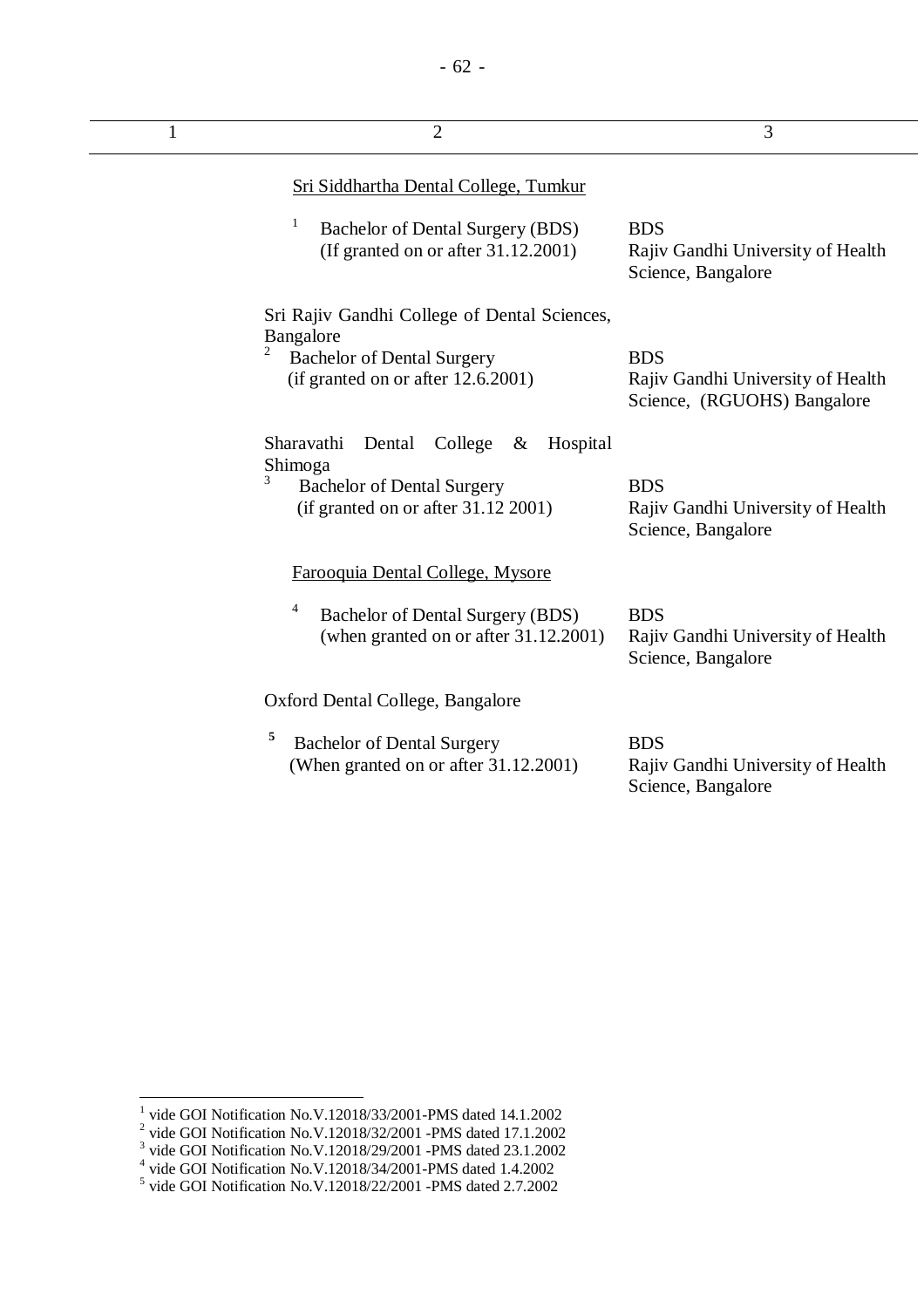| 1 | $\overline{2}$                                                                                                                                    | 3                                                                              |
|---|---------------------------------------------------------------------------------------------------------------------------------------------------|--------------------------------------------------------------------------------|
|   | Sri Siddhartha Dental College, Tumkur                                                                                                             |                                                                                |
|   | Bachelor of Dental Surgery (BDS)<br>(If granted on or after $31.12.2001$ )                                                                        | <b>BDS</b><br>Rajiv Gandhi University of Health<br>Science, Bangalore          |
|   | Sri Rajiv Gandhi College of Dental Sciences,<br>Bangalore<br>2                                                                                    |                                                                                |
|   | <b>Bachelor of Dental Surgery</b><br>(if granted on or after 12.6.2001)                                                                           | <b>BDS</b><br>Rajiv Gandhi University of Health<br>Science, (RGUOHS) Bangalore |
|   | Sharavathi<br>Dental<br>College<br>Hospital<br>$\&$<br>Shimoga<br>3<br><b>Bachelor of Dental Surgery</b><br>(if granted on or after $31.12$ 2001) | <b>BDS</b><br>Rajiv Gandhi University of Health<br>Science, Bangalore          |
|   | Farooquia Dental College, Mysore                                                                                                                  |                                                                                |
|   | Bachelor of Dental Surgery (BDS)<br>(when granted on or after 31.12.2001)                                                                         | <b>BDS</b><br>Rajiv Gandhi University of Health<br>Science, Bangalore          |
|   | Oxford Dental College, Bangalore                                                                                                                  |                                                                                |
|   | 5<br><b>Bachelor of Dental Surgery</b><br>(When granted on or after 31.12.2001)                                                                   | <b>BDS</b><br>Rajiv Gandhi University of Health<br>Science, Bangalore          |

<sup>&</sup>lt;sup>1</sup> vide GOI Notification No.V.12018/33/2001-PMS dated 14.1.2002<br>
<sup>2</sup> vide GOI Notification No.V.12018/32/2001 -PMS dated 17.1.2002<br>
<sup>3</sup> vide GOI Notification No.V.12018/29/2001 -PMS dated 23.1.2002<br>
<sup>4</sup> vide GOI Notifica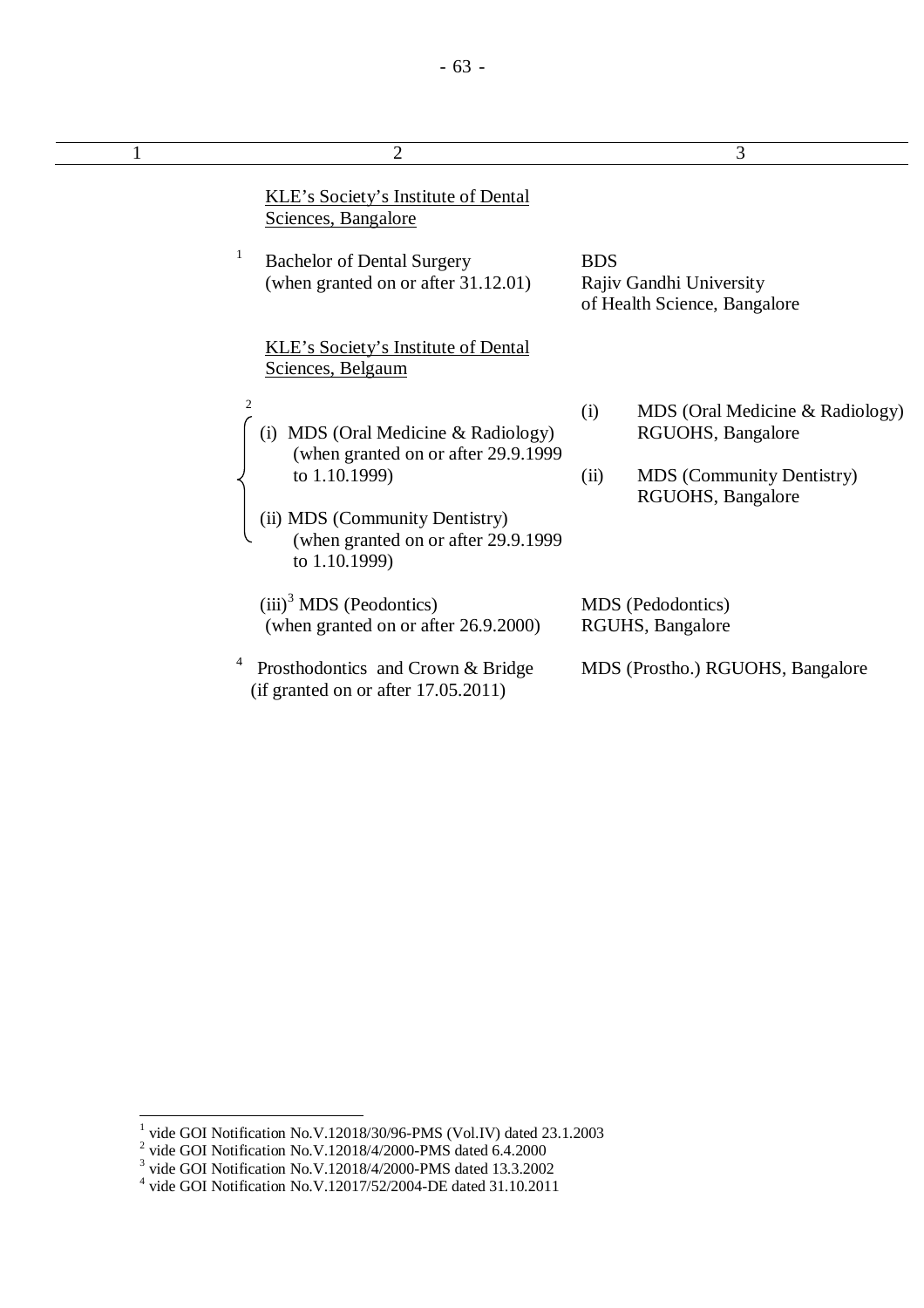L.

| $\overline{2}$                                                                         | 3                                                                     |
|----------------------------------------------------------------------------------------|-----------------------------------------------------------------------|
| <b>KLE's Society's Institute of Dental</b><br>Sciences, Bangalore                      |                                                                       |
| <b>Bachelor of Dental Surgery</b><br>(when granted on or after 31.12.01)               | <b>BDS</b><br>Rajiv Gandhi University<br>of Health Science, Bangalore |
| <b>KLE's Society's Institute of Dental</b><br>Sciences, Belgaum                        |                                                                       |
| 2<br>MDS (Oral Medicine & Radiology)<br>(i)<br>(when granted on or after 29.9.1999     | MDS (Oral Medicine & Radiology)<br>(i)<br>RGUOHS, Bangalore           |
| to 1.10.1999)                                                                          | <b>MDS</b> (Community Dentistry)<br>(ii)<br>RGUOHS, Bangalore         |
| (ii) MDS (Community Dentistry)<br>(when granted on or after 29.9.1999<br>to 1.10.1999) |                                                                       |
| $(iii)^3$ MDS (Peodontics)<br>(when granted on or after 26.9.2000)                     | MDS (Pedodontics)<br>RGUHS, Bangalore                                 |
| Prosthodontics and Crown & Bridge<br>(if granted on or after 17.05.2011)               | MDS (Prostho.) RGUOHS, Bangalore                                      |

<sup>&</sup>lt;sup>1</sup> vide GOI Notification No.V.12018/30/96-PMS (Vol.IV) dated 23.1.2003<br><sup>2</sup> vide GOI Notification No.V.12018/4/2000-PMS dated 6.4.2000<br><sup>3</sup> vide GOI Notification No.V.12018/4/2000-PMS dated 13.3.2002<br><sup>4</sup> vide GOI Notificat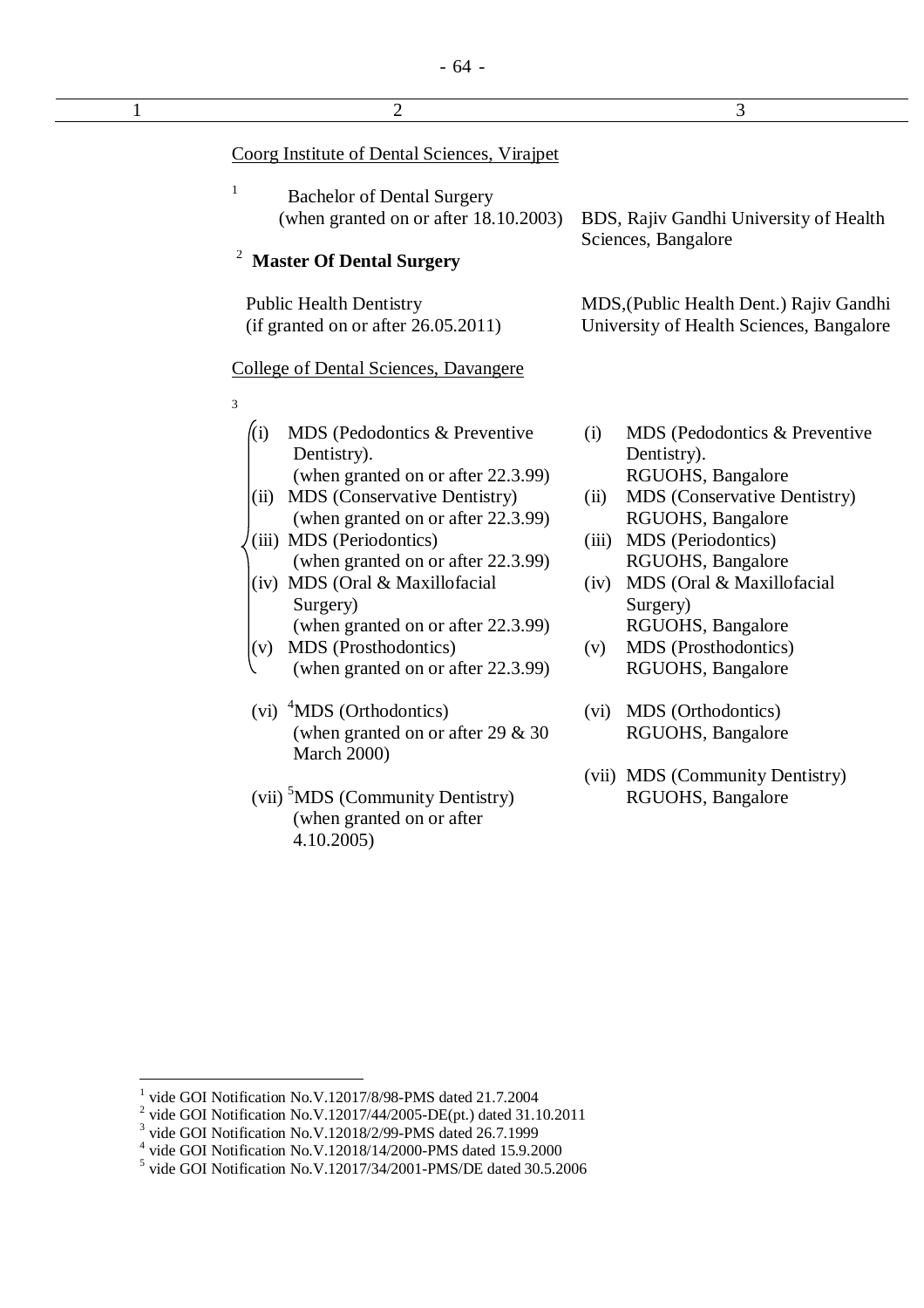| $\mathbf{1}$ | $\overline{2}$                                                                                                                                                                                                                                                                                                                                                                                            | 3                                                                                                                                                                                                                                                                                                                   |
|--------------|-----------------------------------------------------------------------------------------------------------------------------------------------------------------------------------------------------------------------------------------------------------------------------------------------------------------------------------------------------------------------------------------------------------|---------------------------------------------------------------------------------------------------------------------------------------------------------------------------------------------------------------------------------------------------------------------------------------------------------------------|
|              | Coorg Institute of Dental Sciences, Virajpet                                                                                                                                                                                                                                                                                                                                                              |                                                                                                                                                                                                                                                                                                                     |
|              | $\,1$<br><b>Bachelor of Dental Surgery</b><br>(when granted on or after 18.10.2003)<br>$\overline{\mathbf{c}}$<br><b>Master Of Dental Surgery</b>                                                                                                                                                                                                                                                         | BDS, Rajiv Gandhi University of Health<br>Sciences, Bangalore                                                                                                                                                                                                                                                       |
|              | <b>Public Health Dentistry</b><br>(if granted on or after 26.05.2011)                                                                                                                                                                                                                                                                                                                                     | MDS, (Public Health Dent.) Rajiv Gandhi<br>University of Health Sciences, Bangalore                                                                                                                                                                                                                                 |
|              | <b>College of Dental Sciences, Davangere</b>                                                                                                                                                                                                                                                                                                                                                              |                                                                                                                                                                                                                                                                                                                     |
|              | 3                                                                                                                                                                                                                                                                                                                                                                                                         |                                                                                                                                                                                                                                                                                                                     |
|              | (i)<br>MDS (Pedodontics & Preventive<br>Dentistry).<br>(when granted on or after 22.3.99)<br><b>MDS</b> (Conservative Dentistry)<br>(ii)<br>(when granted on or after 22.3.99)<br>(iii) MDS (Periodontics)<br>(when granted on or after 22.3.99)<br>(iv) MDS (Oral & Maxillofacial<br>Surgery)<br>(when granted on or after 22.3.99)<br>MDS (Prosthodontics)<br>(v)<br>(when granted on or after 22.3.99) | (i)<br>MDS (Pedodontics & Preventive<br>Dentistry).<br>RGUOHS, Bangalore<br>MDS (Conservative Dentistry)<br>(ii)<br>RGUOHS, Bangalore<br>MDS (Periodontics)<br>(iii)<br>RGUOHS, Bangalore<br>MDS (Oral & Maxillofacial<br>(iv)<br>Surgery)<br>RGUOHS, Bangalore<br>MDS (Prosthodontics)<br>(v)<br>RGUOHS, Bangalore |
|              | <sup>4</sup> MDS (Orthodontics)<br>(vi)<br>(when granted on or after 29 $& 30$<br>March 2000)                                                                                                                                                                                                                                                                                                             | MDS (Orthodontics)<br>(vi)<br>RGUOHS, Bangalore                                                                                                                                                                                                                                                                     |
|              | (vii) <sup>5</sup> MDS (Community Dentistry)<br>(when granted on or after<br>4.10.2005                                                                                                                                                                                                                                                                                                                    | (vii) MDS (Community Dentistry)<br>RGUOHS, Bangalore                                                                                                                                                                                                                                                                |

<sup>&</sup>lt;sup>1</sup> vide GOI Notification No.V.12017/8/98-PMS dated 21.7.2004<br>
<sup>2</sup> vide GOI Notification No.V.12017/44/2005-DE(pt.) dated 31.10.2011<br>
<sup>3</sup> vide GOI Notification No.V.12018/2/99-PMS dated 26.7.1999<br>
<sup>4</sup> vide GOI Notificatio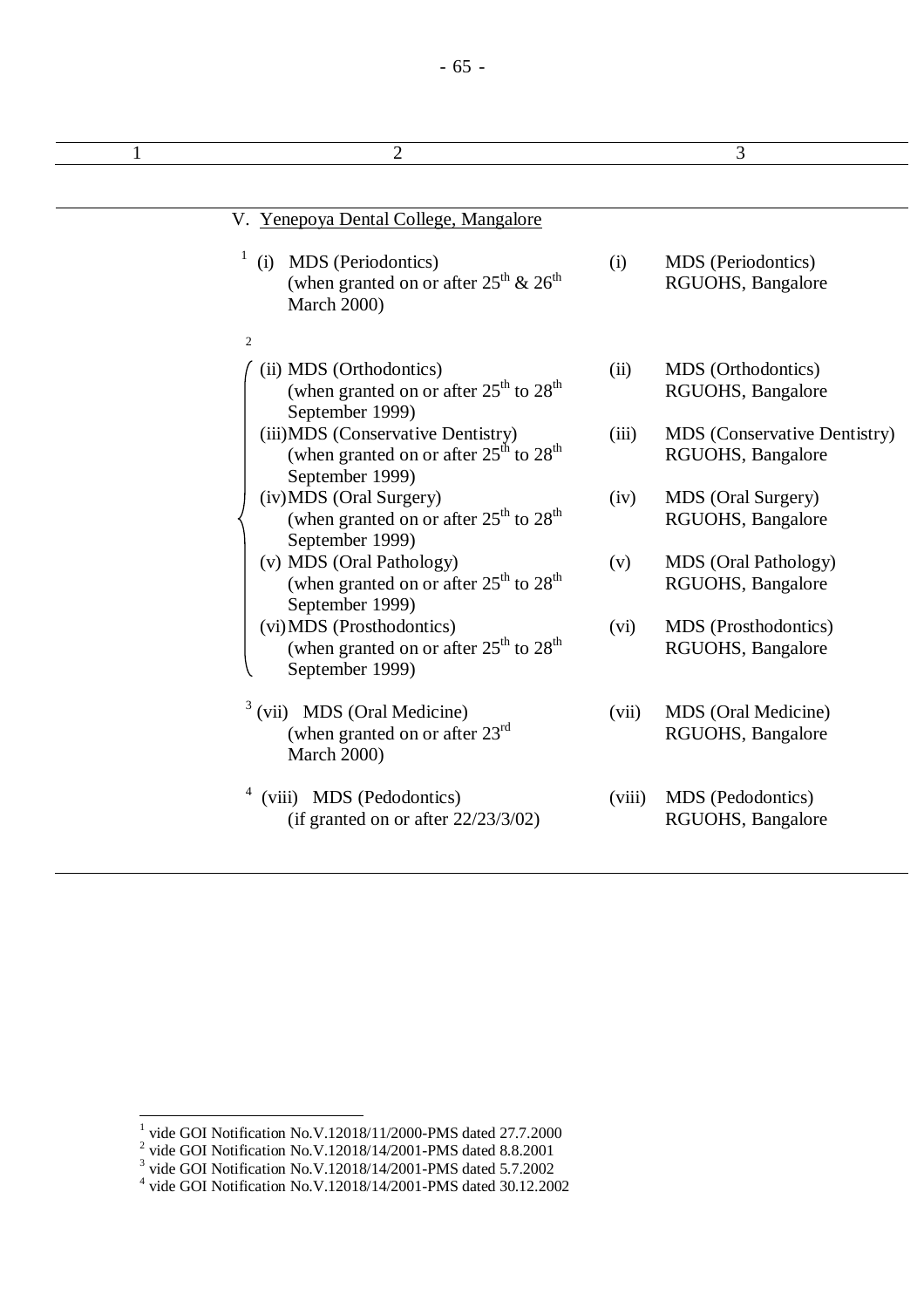## - 65 -

|                | V. Yenepoya Dental College, Mangalore                                                                            |        |                                                   |  |  |
|----------------|------------------------------------------------------------------------------------------------------------------|--------|---------------------------------------------------|--|--|
| $\mathbf{1}$   | MDS (Periodontics)<br>(i)<br>(when granted on or after $25^{\text{th}}$ & $26^{\text{th}}$<br><b>March 2000)</b> | (i)    | MDS (Periodontics)<br>RGUOHS, Bangalore           |  |  |
| $\overline{2}$ |                                                                                                                  |        |                                                   |  |  |
|                | (ii) MDS (Orthodontics)<br>(when granted on or after $25th$ to $28th$<br>September 1999)                         | (ii)   | MDS (Orthodontics)<br>RGUOHS, Bangalore           |  |  |
|                | (iii)MDS (Conservative Dentistry)<br>(when granted on or after $25th$ to $28th$<br>September 1999)               | (iii)  | MDS (Conservative Dentistry)<br>RGUOHS, Bangalore |  |  |
|                | (iv) MDS (Oral Surgery)<br>(when granted on or after $25th$ to $28th$<br>September 1999)                         | (iv)   | MDS (Oral Surgery)<br>RGUOHS, Bangalore           |  |  |
|                | (v) MDS (Oral Pathology)<br>(when granted on or after $25th$ to $28th$<br>September 1999)                        | (v)    | <b>MDS</b> (Oral Pathology)<br>RGUOHS, Bangalore  |  |  |
|                | (vi) MDS (Prosthodontics)<br>(when granted on or after $25^{\text{th}}$ to $28^{\text{th}}$<br>September 1999)   | (vi)   | MDS (Prosthodontics)<br>RGUOHS, Bangalore         |  |  |
| $\mathfrak{Z}$ | (vii) MDS (Oral Medicine)<br>(when granted on or after $23^{\text{rd}}$<br><b>March 2000)</b>                    | (vii)  | MDS (Oral Medicine)<br>RGUOHS, Bangalore          |  |  |
|                | (viii) MDS (Pedodontics)<br>(if granted on or after $22/23/3/02$ )                                               | (viii) | MDS (Pedodontics)<br>RGUOHS, Bangalore            |  |  |

<sup>&</sup>lt;sup>1</sup> vide GOI Notification No.V.12018/11/2000-PMS dated 27.7.2000<br>
<sup>2</sup> vide GOI Notification No.V.12018/14/2001-PMS dated 8.8.2001<br>
<sup>3</sup> vide GOI Notification No.V.12018/14/2001-PMS dated 5.7.2002<br>
<sup>4</sup> vide GOI Notification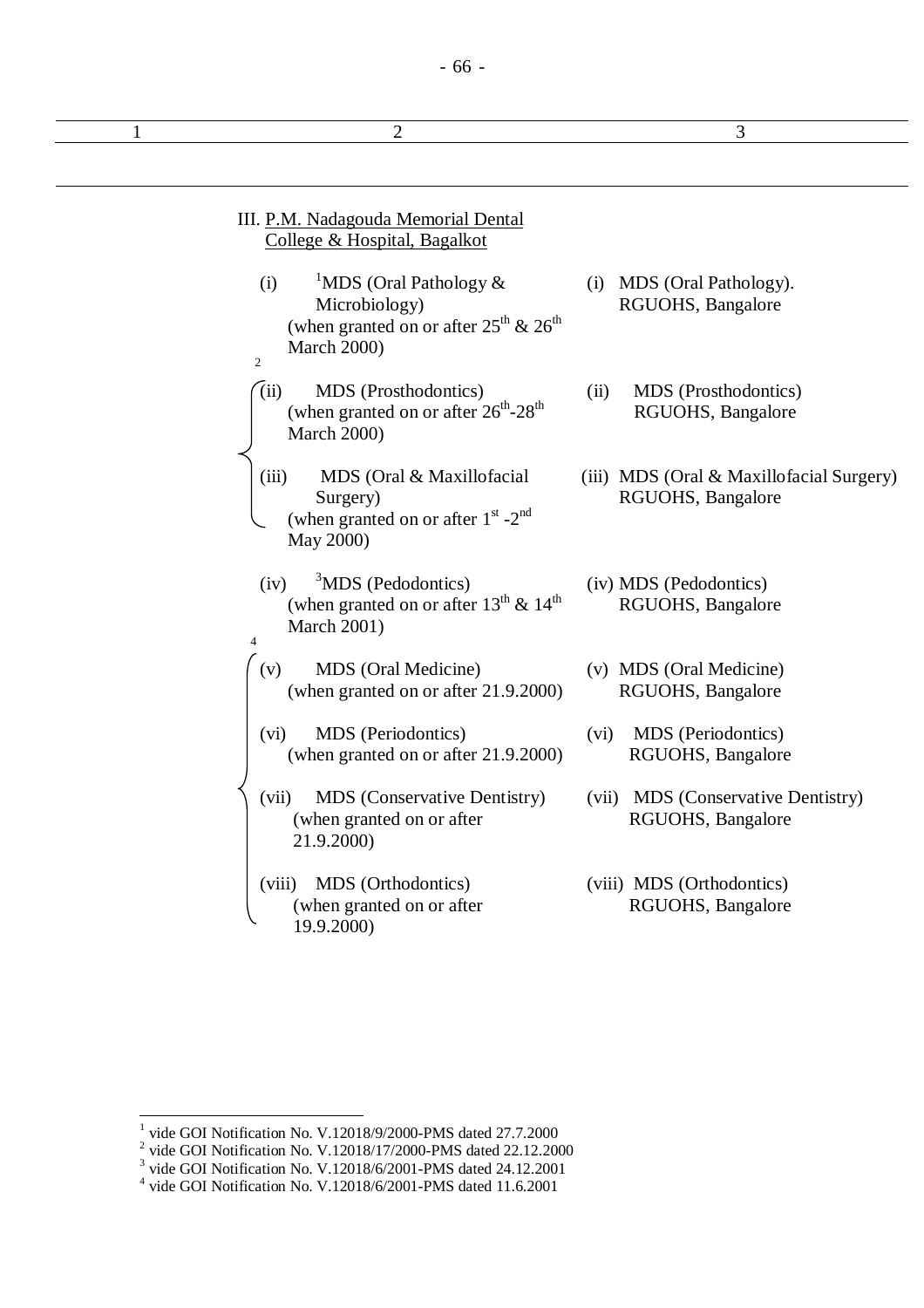## - 66 -

| 2                                                                                                                                                                      | 3                                                             |
|------------------------------------------------------------------------------------------------------------------------------------------------------------------------|---------------------------------------------------------------|
|                                                                                                                                                                        |                                                               |
| III. P.M. Nadagouda Memorial Dental<br>College & Hospital, Bagalkot                                                                                                    |                                                               |
| <sup>1</sup> MDS (Oral Pathology $\&$<br>(i)<br>Microbiology)<br>(when granted on or after $25^{\text{th}}$ & $26^{\text{th}}$<br><b>March 2000)</b><br>$\overline{2}$ | (i) MDS (Oral Pathology).<br>RGUOHS, Bangalore                |
| (iii)<br>MDS (Prosthodontics)<br>(when granted on or after $26^{th}$ - $28^{th}$<br><b>March 2000)</b>                                                                 | MDS (Prosthodontics)<br>(ii)<br>RGUOHS, Bangalore             |
| (iii)<br>MDS (Oral & Maxillofacial<br>Surgery)<br>(when granted on or after $1^{\text{st}}$ -2 <sup>nd</sup><br>May 2000)                                              | (iii) MDS (Oral & Maxillofacial Surgery)<br>RGUOHS, Bangalore |
| $3^3$ MDS (Pedodontics)<br>(iv)<br>(when granted on or after $13^{th}$ & $14^{th}$<br><b>March 2001)</b><br>$\overline{4}$                                             | (iv) MDS (Pedodontics)<br>RGUOHS, Bangalore                   |
| MDS (Oral Medicine)<br>(v)<br>(when granted on or after 21.9.2000)                                                                                                     | (v) MDS (Oral Medicine)<br>RGUOHS, Bangalore                  |
| MDS (Periodontics)<br>(vi)<br>(when granted on or after 21.9.2000)                                                                                                     | MDS (Periodontics)<br>(vi)<br>RGUOHS, Bangalore               |
| <b>MDS</b> (Conservative Dentistry)<br>(vii)<br>(when granted on or after<br>21.9.2000)                                                                                | (vii) MDS (Conservative Dentistry)<br>RGUOHS, Bangalore       |
| MDS (Orthodontics)<br>(viii)<br>(when granted on or after<br>19.9.2000)                                                                                                | (viii) MDS (Orthodontics)<br>RGUOHS, Bangalore                |

<sup>&</sup>lt;sup>1</sup> vide GOI Notification No. V.12018/9/2000-PMS dated 27.7.2000<br>
<sup>2</sup> vide GOI Notification No. V.12018/17/2000-PMS dated 22.12.2000<br>
<sup>3</sup> vide GOI Notification No. V.12018/6/2001-PMS dated 24.12.2001<br>
<sup>4</sup> vide GOI Notific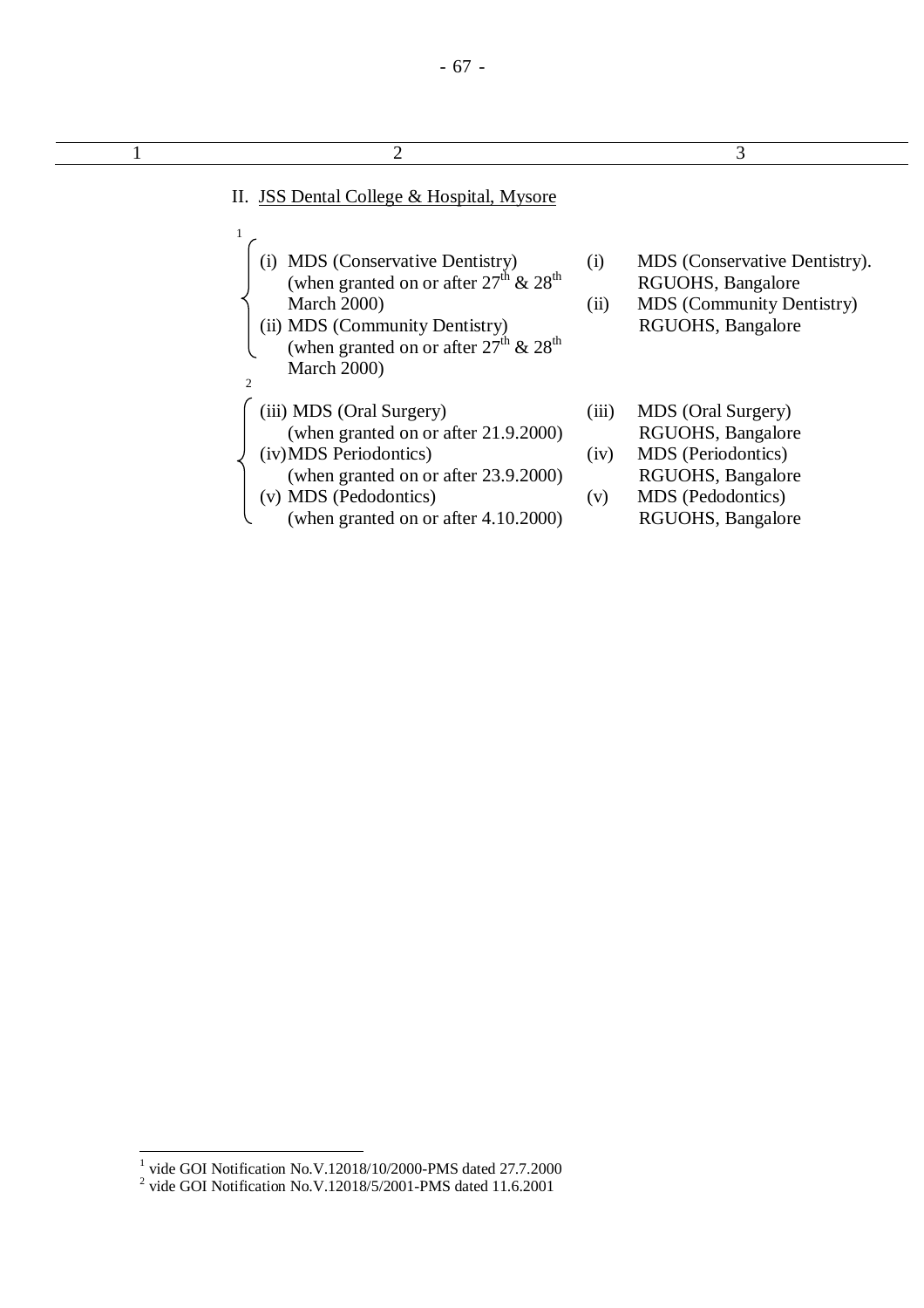| 2                                                                                                                                                                                                                                                               |                      | 3                                                                                                                            |
|-----------------------------------------------------------------------------------------------------------------------------------------------------------------------------------------------------------------------------------------------------------------|----------------------|------------------------------------------------------------------------------------------------------------------------------|
| II. JSS Dental College & Hospital, Mysore                                                                                                                                                                                                                       |                      |                                                                                                                              |
| <b>MDS</b> (Conservative Dentistry)<br>(i)<br>(when granted on or after $27^{\text{th}}$ & $28^{\text{th}}$<br><b>March 2000)</b><br>(ii) MDS (Community Dentistry)<br>(when granted on or after $27^{\text{th}}$ & $28^{\text{th}}$<br><b>March 2000)</b><br>2 | (i)<br>(ii)          | MDS (Conservative Dentistry).<br>RGUOHS, Bangalore<br>MDS (Community Dentistry)<br>RGUOHS, Bangalore                         |
| (iii) MDS (Oral Surgery)<br>(when granted on or after 21.9.2000)<br>(iv) MDS Periodontics)<br>(when granted on or after 23.9.2000)<br>(v) MDS (Pedodontics)<br>(when granted on or after 4.10.2000)                                                             | (iii)<br>(iv)<br>(v) | MDS (Oral Surgery)<br>RGUOHS, Bangalore<br>MDS (Periodontics)<br>RGUOHS, Bangalore<br>MDS (Pedodontics)<br>RGUOHS, Bangalore |

 1 vide GOI Notification No.V.12018/10/2000-PMS dated 27.7.2000 2 vide GOI Notification No.V.12018/5/2001-PMS dated 11.6.2001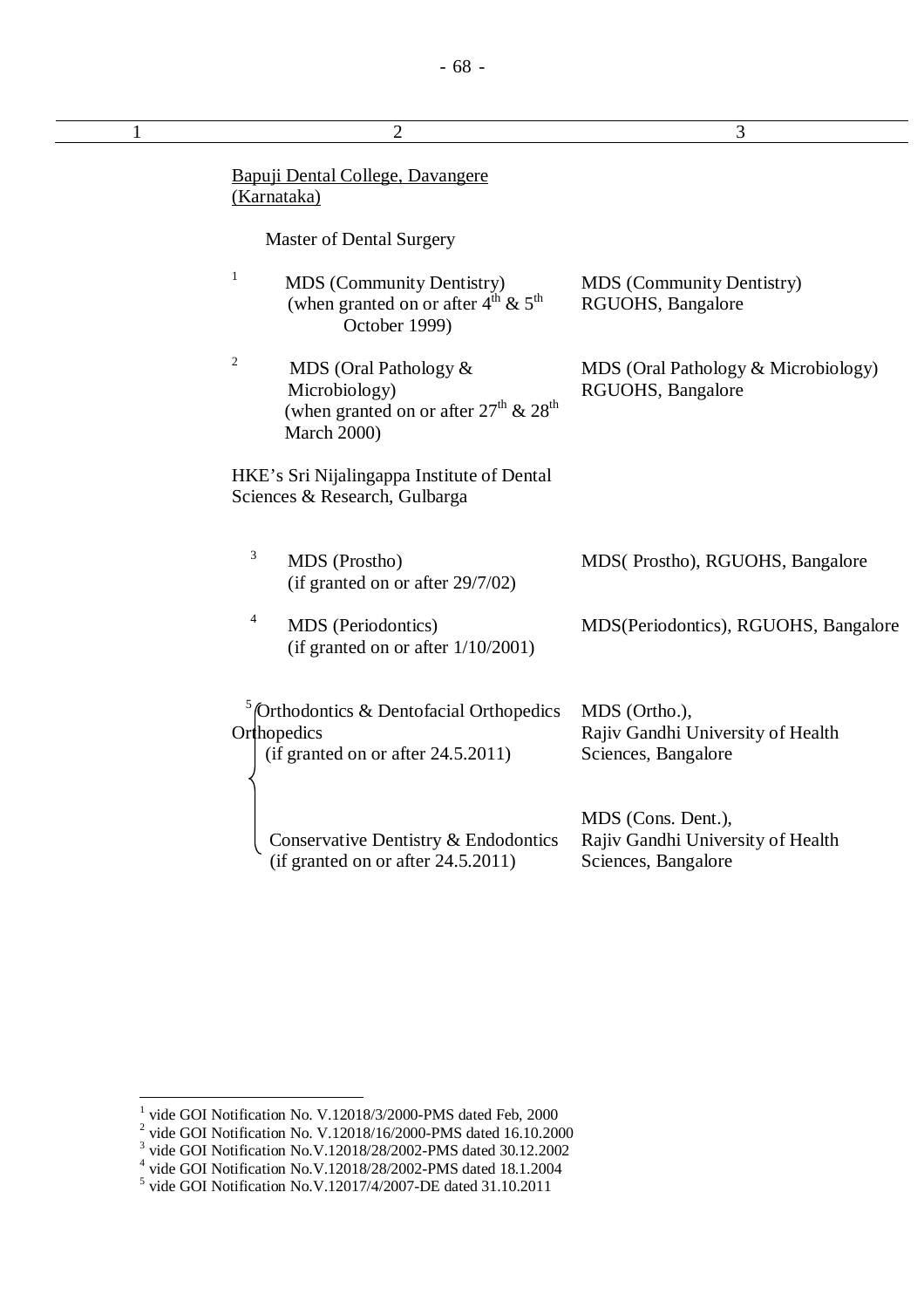| $\overline{c}$                                                                                                                                    | 3                                                                              |
|---------------------------------------------------------------------------------------------------------------------------------------------------|--------------------------------------------------------------------------------|
| Bapuji Dental College, Davangere<br>(Karnataka)                                                                                                   |                                                                                |
| Master of Dental Surgery                                                                                                                          |                                                                                |
| $\mathbf{1}$<br><b>MDS</b> (Community Dentistry)<br>(when granted on or after $4^{\text{th}}$ & $5^{\text{th}}$<br>October 1999)                  | <b>MDS</b> (Community Dentistry)<br>RGUOHS, Bangalore                          |
| $\boldsymbol{2}$<br>MDS (Oral Pathology &<br>Microbiology)<br>(when granted on or after $27^{\text{th}}$ & $28^{\text{th}}$<br><b>March 2000)</b> | MDS (Oral Pathology & Microbiology)<br>RGUOHS, Bangalore                       |
| HKE's Sri Nijalingappa Institute of Dental<br>Sciences & Research, Gulbarga                                                                       |                                                                                |
| 3<br>MDS (Prostho)<br>(if granted on or after 29/7/02)                                                                                            | MDS(Prostho), RGUOHS, Bangalore                                                |
| 4<br>MDS (Periodontics)<br>(if granted on or after $1/10/2001$ )                                                                                  | MDS (Periodontics), RGUOHS, Bangalore                                          |
| $\frac{5}{2}$ (Orthodontics & Dentofacial Orthopedics<br>Orthopedics<br>(if granted on or after 24.5.2011)                                        | MDS (Ortho.),<br>Rajiv Gandhi University of Health<br>Sciences, Bangalore      |
| Conservative Dentistry & Endodontics<br>(if granted on or after $24.5.2011$ )                                                                     | MDS (Cons. Dent.),<br>Rajiv Gandhi University of Health<br>Sciences, Bangalore |

<sup>&</sup>lt;sup>1</sup> vide GOI Notification No. V.12018/3/2000-PMS dated Feb, 2000<br>
<sup>2</sup> vide GOI Notification No. V.12018/16/2000-PMS dated 16.10.2000<br>
<sup>3</sup> vide GOI Notification No. V.12018/28/2002-PMS dated 30.12.2002<br>
<sup>4</sup> vide GOI Notifi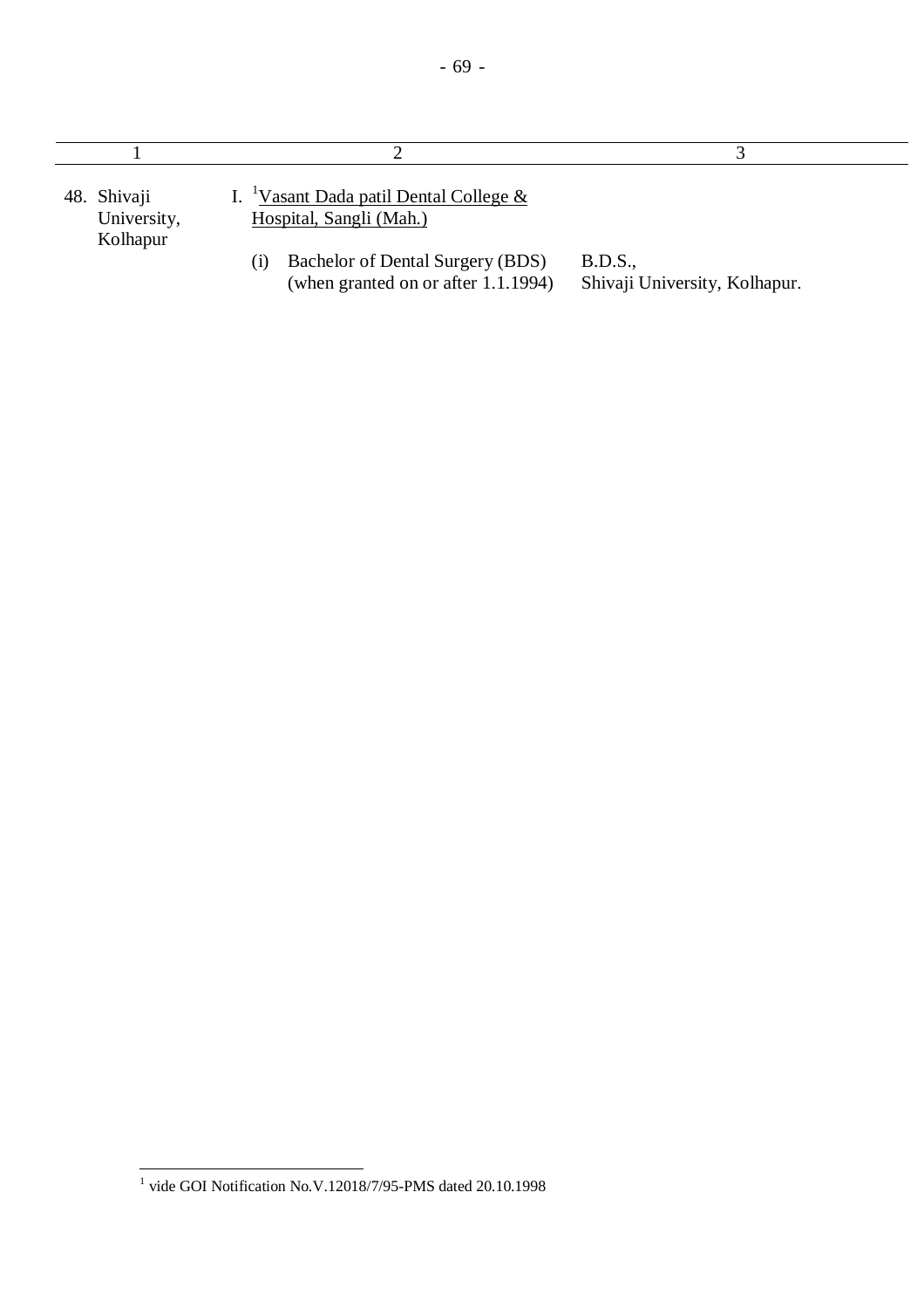| 48. Shivaji<br>University,<br>Kolhapur | I. <sup>1</sup> Vasant Dada patil Dental College &<br>Hospital, Sangli (Mah.)<br>Bachelor of Dental Surgery (BDS)<br>$\rm(i)$<br>(when granted on or after 1.1.1994) | B.D.S.,<br>Shivaji University, Kolhapur. |
|----------------------------------------|----------------------------------------------------------------------------------------------------------------------------------------------------------------------|------------------------------------------|

 1 vide GOI Notification No.V.12018/7/95-PMS dated 20.10.1998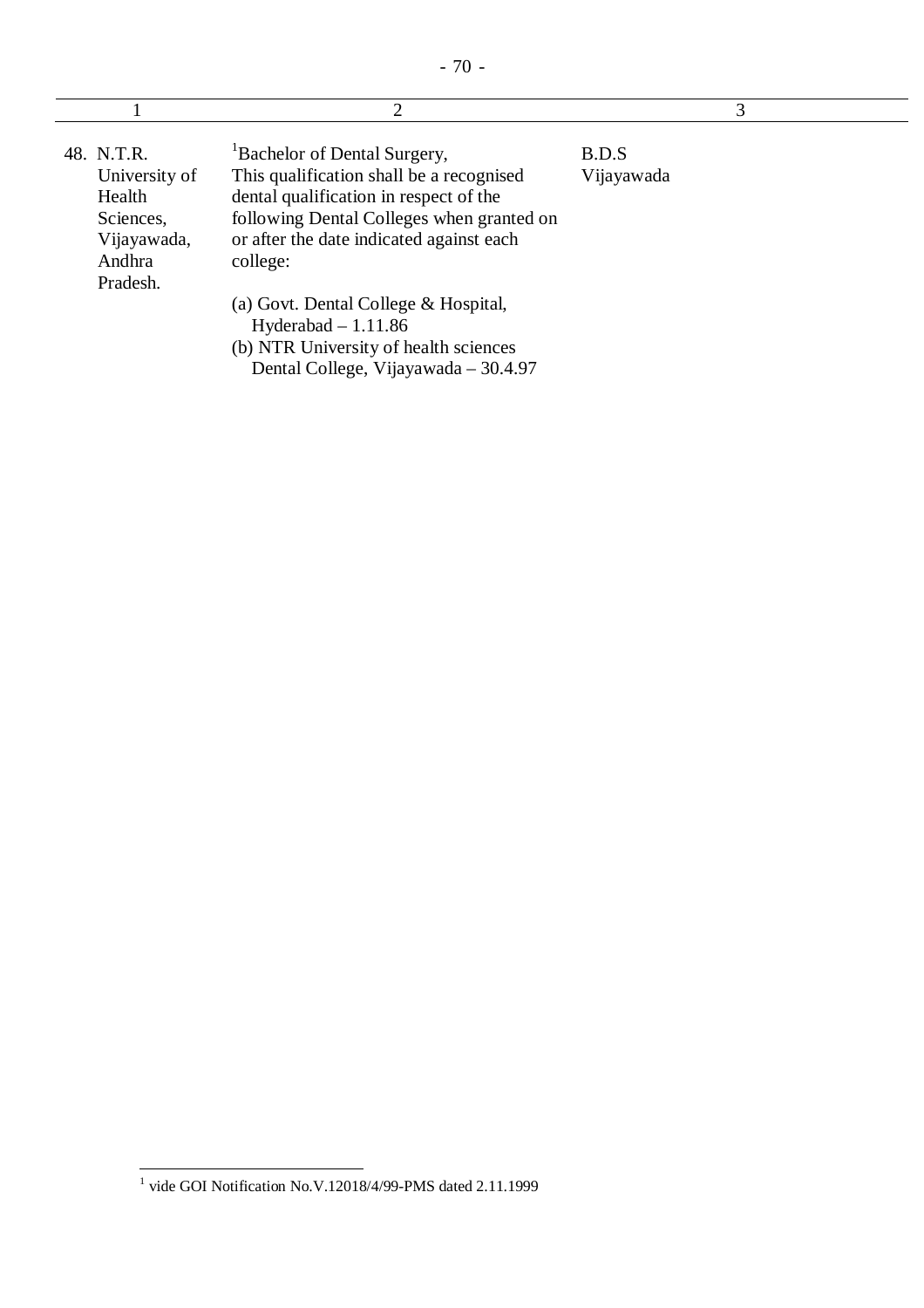|                                                                                         | $\overline{2}$                                                                                                                                                                                                                      | 3                   |  |
|-----------------------------------------------------------------------------------------|-------------------------------------------------------------------------------------------------------------------------------------------------------------------------------------------------------------------------------------|---------------------|--|
| 48. N.T.R.<br>University of<br>Health<br>Sciences,<br>Vijayawada,<br>Andhra<br>Pradesh. | <sup>1</sup> Bachelor of Dental Surgery,<br>This qualification shall be a recognised<br>dental qualification in respect of the<br>following Dental Colleges when granted on<br>or after the date indicated against each<br>college: | B.D.S<br>Vijayawada |  |
|                                                                                         | (a) Govt. Dental College & Hospital,<br>Hyderabad $-1.11.86$<br>(b) NTR University of health sciences<br>Dental College, Vijayawada - 30.4.97                                                                                       |                     |  |

 1 vide GOI Notification No.V.12018/4/99-PMS dated 2.11.1999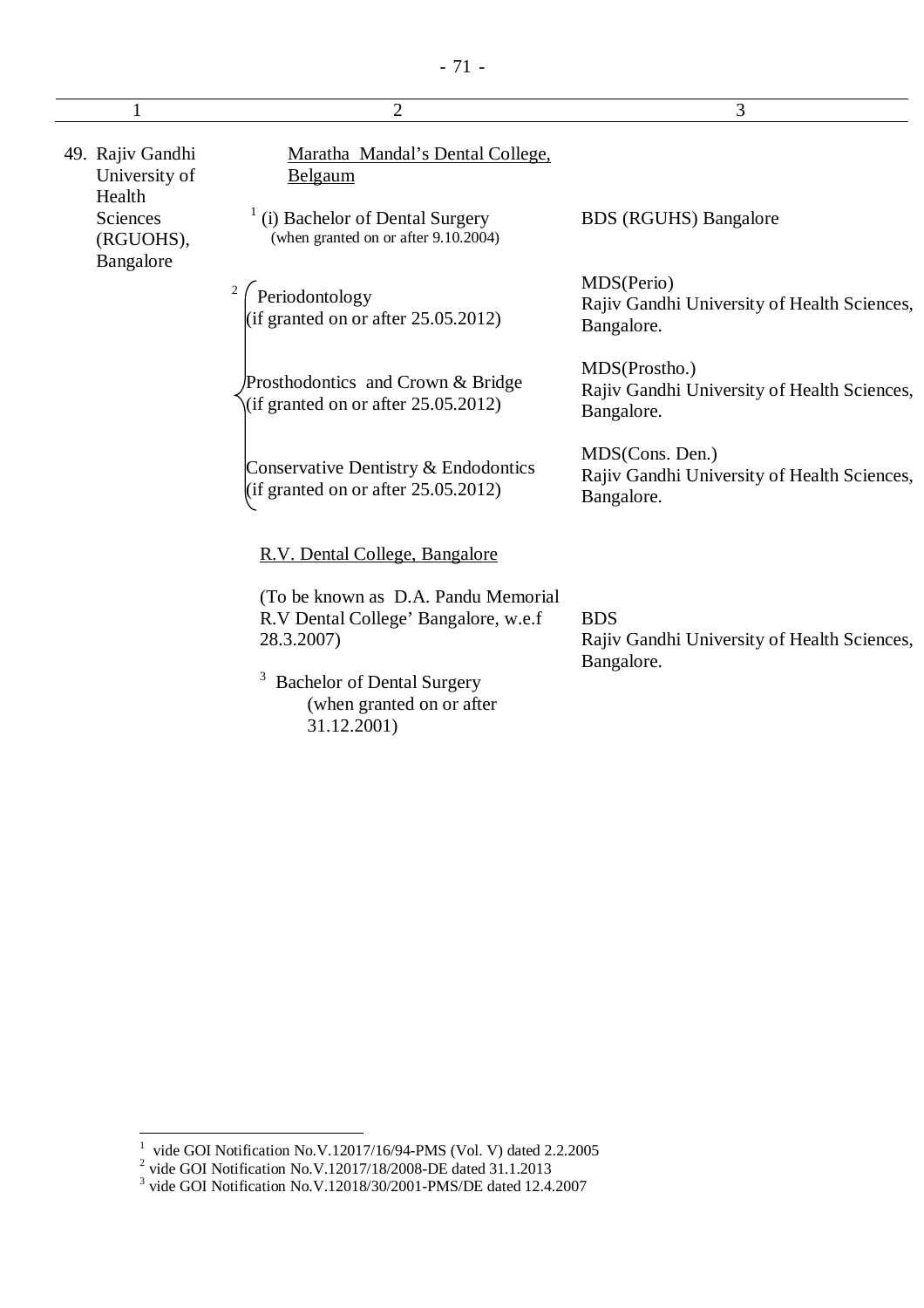|                                             | $\overline{2}$                                                                            | 3                                                                            |
|---------------------------------------------|-------------------------------------------------------------------------------------------|------------------------------------------------------------------------------|
| 49. Rajiv Gandhi<br>University of<br>Health | Maratha Mandal's Dental College,<br>Belgaum                                               |                                                                              |
| <b>Sciences</b><br>(RGUOHS),<br>Bangalore   | (i) Bachelor of Dental Surgery<br>(when granted on or after 9.10.2004)                    | <b>BDS</b> (RGUHS) Bangalore                                                 |
|                                             | Periodontology<br>(if granted on or after $25.05.2012$ )                                  | MDS(Perio)<br>Rajiv Gandhi University of Health Sciences,<br>Bangalore.      |
|                                             | Prosthodontics and Crown & Bridge<br>(if granted on or after $25.05.2012$ )               | MDS(Prostho.)<br>Rajiv Gandhi University of Health Sciences,<br>Bangalore.   |
|                                             | Conservative Dentistry & Endodontics<br>(if granted on or after $25.05.2012$ )            | MDS(Cons. Den.)<br>Rajiv Gandhi University of Health Sciences,<br>Bangalore. |
|                                             | R.V. Dental College, Bangalore                                                            |                                                                              |
|                                             | (To be known as D.A. Pandu Memorial<br>R.V Dental College' Bangalore, w.e.f<br>28.3.2007) | <b>BDS</b><br>Rajiv Gandhi University of Health Sciences,<br>Bangalore.      |
|                                             | <b>Bachelor of Dental Surgery</b><br>(when granted on or after                            |                                                                              |

31.12.2001)

<sup>&</sup>lt;sup>1</sup> vide GOI Notification No.V.12017/16/94-PMS (Vol. V) dated 2.2.2005<br>
<sup>2</sup> vide GOI Notification No.V.12017/18/2008-DE dated 31.1.2013<br>
<sup>3</sup> vide GOI Notification No.V.12018/30/2001-PMS/DE dated 12.4.2007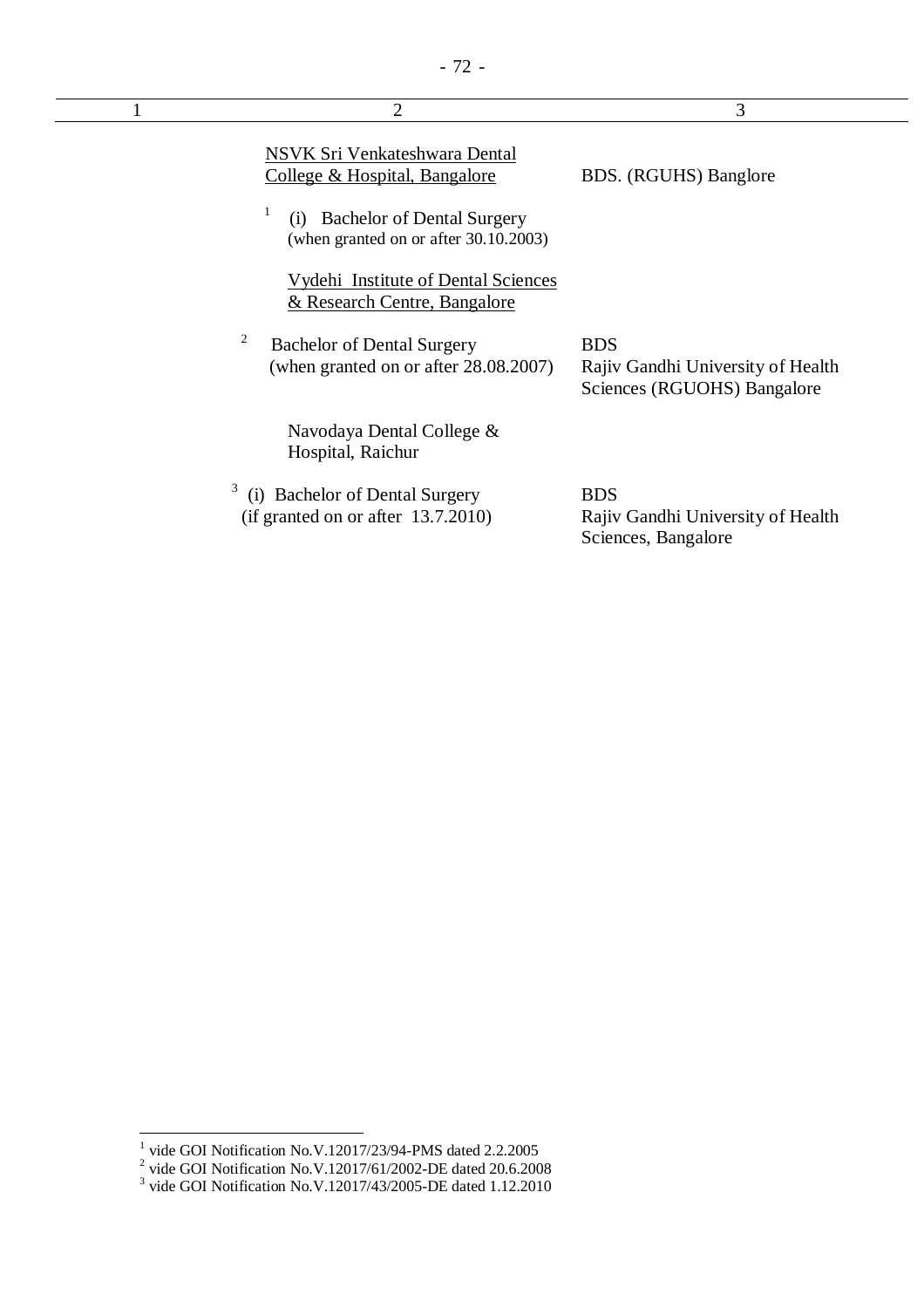| $\overline{2}$                                                                    | 3                                                                              |
|-----------------------------------------------------------------------------------|--------------------------------------------------------------------------------|
| NSVK Sri Venkateshwara Dental<br>College & Hospital, Bangalore                    | BDS. (RGUHS) Banglore                                                          |
| <b>Bachelor of Dental Surgery</b><br>(1)<br>(when granted on or after 30.10.2003) |                                                                                |
| <b>Vydehi Institute of Dental Sciences</b><br>& Research Centre, Bangalore        |                                                                                |
| 2<br><b>Bachelor of Dental Surgery</b><br>(when granted on or after 28.08.2007)   | <b>BDS</b><br>Rajiv Gandhi University of Health<br>Sciences (RGUOHS) Bangalore |
| Navodaya Dental College &<br>Hospital, Raichur                                    |                                                                                |
| <b>Bachelor of Dental Surgery</b><br>(if granted on or after 13.7.2010)           | <b>BDS</b><br>Rajiv Gandhi University of Health<br>Sciences, Bangalore         |

<sup>&</sup>lt;sup>1</sup> vide GOI Notification No.V.12017/23/94-PMS dated 2.2.2005<br>
<sup>2</sup> vide GOI Notification No.V.12017/61/2002-DE dated 20.6.2008<br>
<sup>3</sup> vide GOI Notification No.V.12017/43/2005-DE dated 1.12.2010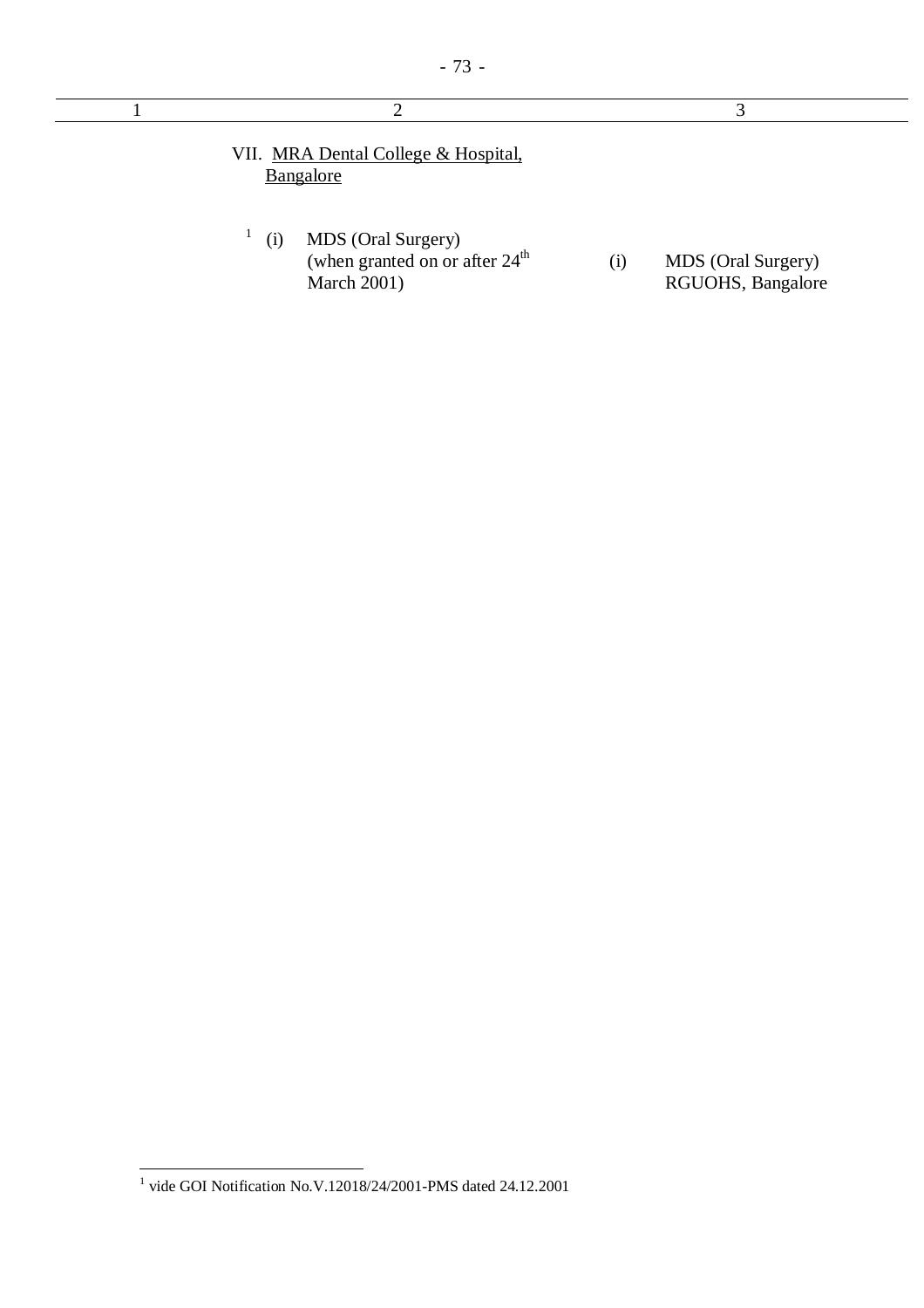| ◠                                                                                   | 3                                              |
|-------------------------------------------------------------------------------------|------------------------------------------------|
| VII. MRA Dental College & Hospital,<br>Bangalore                                    |                                                |
| MDS (Oral Surgery)<br>(i)<br>(when granted on or after $24th$<br><b>March 2001)</b> | MDS (Oral Surgery)<br>(i)<br>RGUOHS, Bangalore |

 1 vide GOI Notification No.V.12018/24/2001-PMS dated 24.12.2001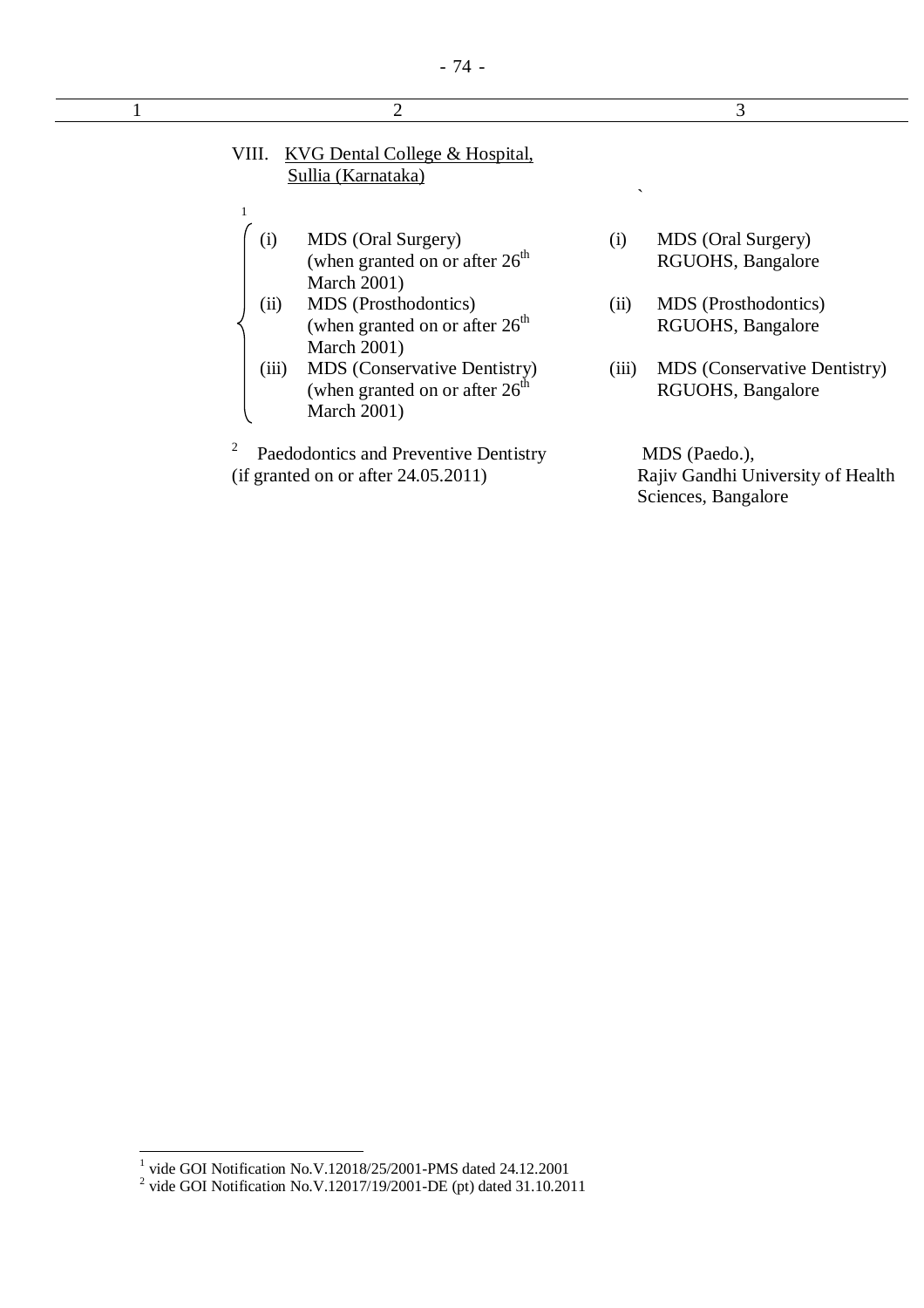|              | 3                                                                                                                                                                                                                                                                                                                                                                                                                                                    |
|--------------|------------------------------------------------------------------------------------------------------------------------------------------------------------------------------------------------------------------------------------------------------------------------------------------------------------------------------------------------------------------------------------------------------------------------------------------------------|
| $\checkmark$ |                                                                                                                                                                                                                                                                                                                                                                                                                                                      |
| (i)          | MDS (Oral Surgery)<br>RGUOHS, Bangalore                                                                                                                                                                                                                                                                                                                                                                                                              |
| (ii)         | MDS (Prosthodontics)<br>RGUOHS, Bangalore                                                                                                                                                                                                                                                                                                                                                                                                            |
| (iii)        | <b>MDS</b> (Conservative Dentistry)<br>RGUOHS, Bangalore                                                                                                                                                                                                                                                                                                                                                                                             |
|              | MDS (Paedo.),<br>Rajiv Gandhi University of Health                                                                                                                                                                                                                                                                                                                                                                                                   |
|              | $\overline{2}$<br><b>KVG Dental College &amp; Hospital,</b><br>Sullia (Karnataka)<br>MDS (Oral Surgery)<br>(when granted on or after $26th$<br><b>March 2001)</b><br>MDS (Prosthodontics)<br>(when granted on or after $26th$<br><b>March 2001)</b><br>MDS (Conservative Dentistry)<br>(when granted on or after $26th$<br><b>March 2001)</b><br>Paedodontics and Preventive Dentistry<br>(if granted on or after 24.05.2011)<br>Sciences, Bangalore |

<sup>&</sup>lt;sup>1</sup> vide GOI Notification No.V.12018/25/2001-PMS dated 24.12.2001<br>
<sup>2</sup> vide GOI Notification No.V.12017/19/2001-DE (pt) dated 31.10.2011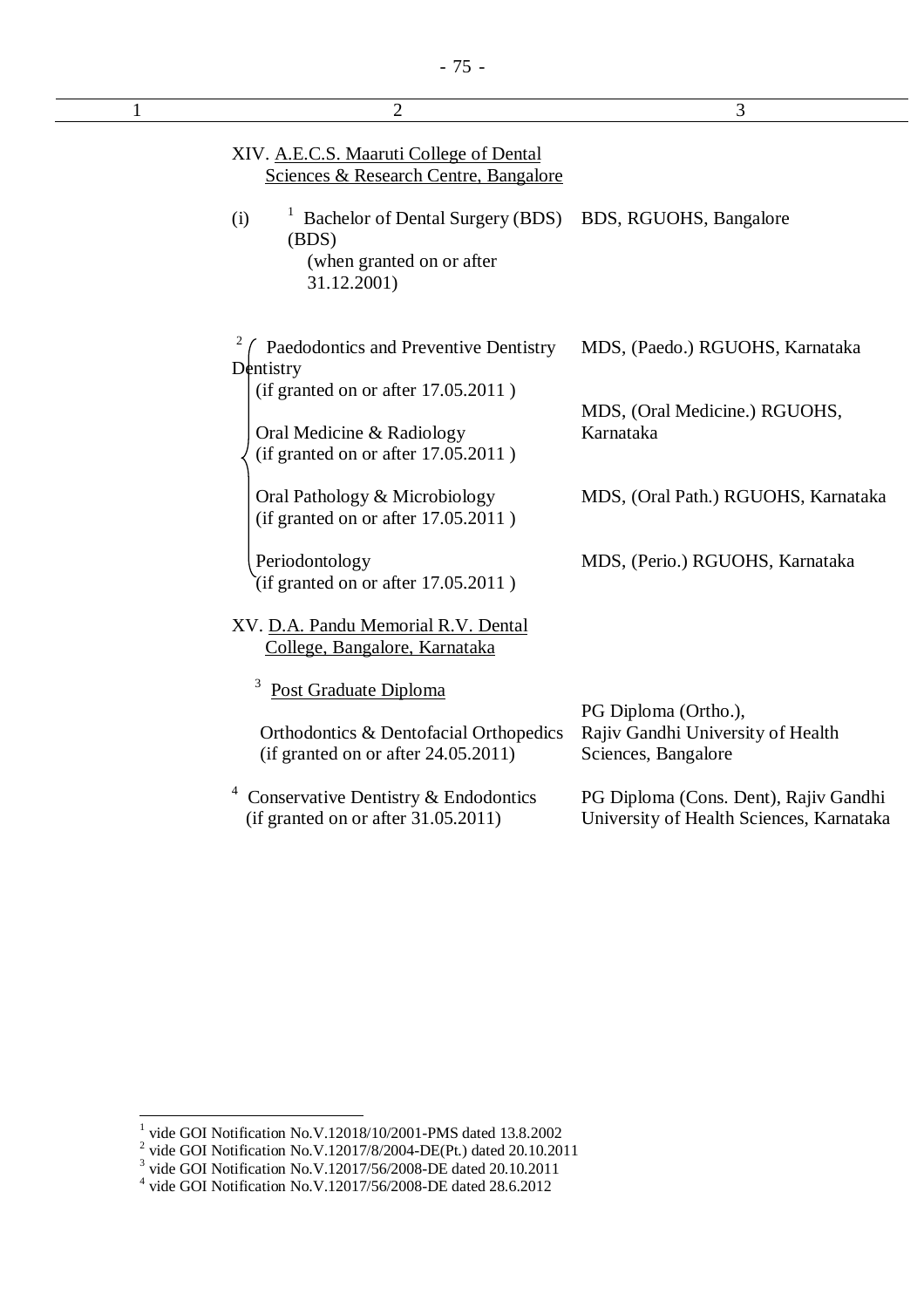| 1 | $\overline{2}$                                                                               | 3                                                                                 |
|---|----------------------------------------------------------------------------------------------|-----------------------------------------------------------------------------------|
|   | XIV. A.E.C.S. Maaruti College of Dental<br>Sciences & Research Centre, Bangalore             |                                                                                   |
|   | Bachelor of Dental Surgery (BDS)<br>(i)<br>(BDS)<br>(when granted on or after<br>31.12.2001) | BDS, RGUOHS, Bangalore                                                            |
|   | Paedodontics and Preventive Dentistry<br>Dentistry<br>(if granted on or after 17.05.2011)    | MDS, (Paedo.) RGUOHS, Karnataka                                                   |
|   | Oral Medicine & Radiology<br>(if granted on or after 17.05.2011)                             | MDS, (Oral Medicine.) RGUOHS,<br>Karnataka                                        |
|   | Oral Pathology & Microbiology<br>(if granted on or after 17.05.2011)                         | MDS, (Oral Path.) RGUOHS, Karnataka                                               |
|   | Periodontology<br>(if granted on or after $17.05.2011$ )                                     | MDS, (Perio.) RGUOHS, Karnataka                                                   |
|   | XV. D.A. Pandu Memorial R.V. Dental<br>College, Bangalore, Karnataka                         |                                                                                   |
|   | 3<br>Post Graduate Diploma                                                                   | PG Diploma (Ortho.),                                                              |
|   | Orthodontics & Dentofacial Orthopedics<br>(if granted on or after 24.05.2011)                | Rajiv Gandhi University of Health<br>Sciences, Bangalore                          |
|   | Conservative Dentistry & Endodontics<br>(if granted on or after $31.05.2011$ )               | PG Diploma (Cons. Dent), Rajiv Gandhi<br>University of Health Sciences, Karnataka |
|   |                                                                                              |                                                                                   |

<sup>&</sup>lt;sup>1</sup> vide GOI Notification No.V.12018/10/2001-PMS dated 13.8.2002<br>
<sup>2</sup> vide GOI Notification No.V.12017/8/2004-DE(Pt.) dated 20.10.2011<br>
<sup>3</sup> vide GOI Notification No.V.12017/56/2008-DE dated 20.10.2011<br>
<sup>4</sup> vide GOI Notifi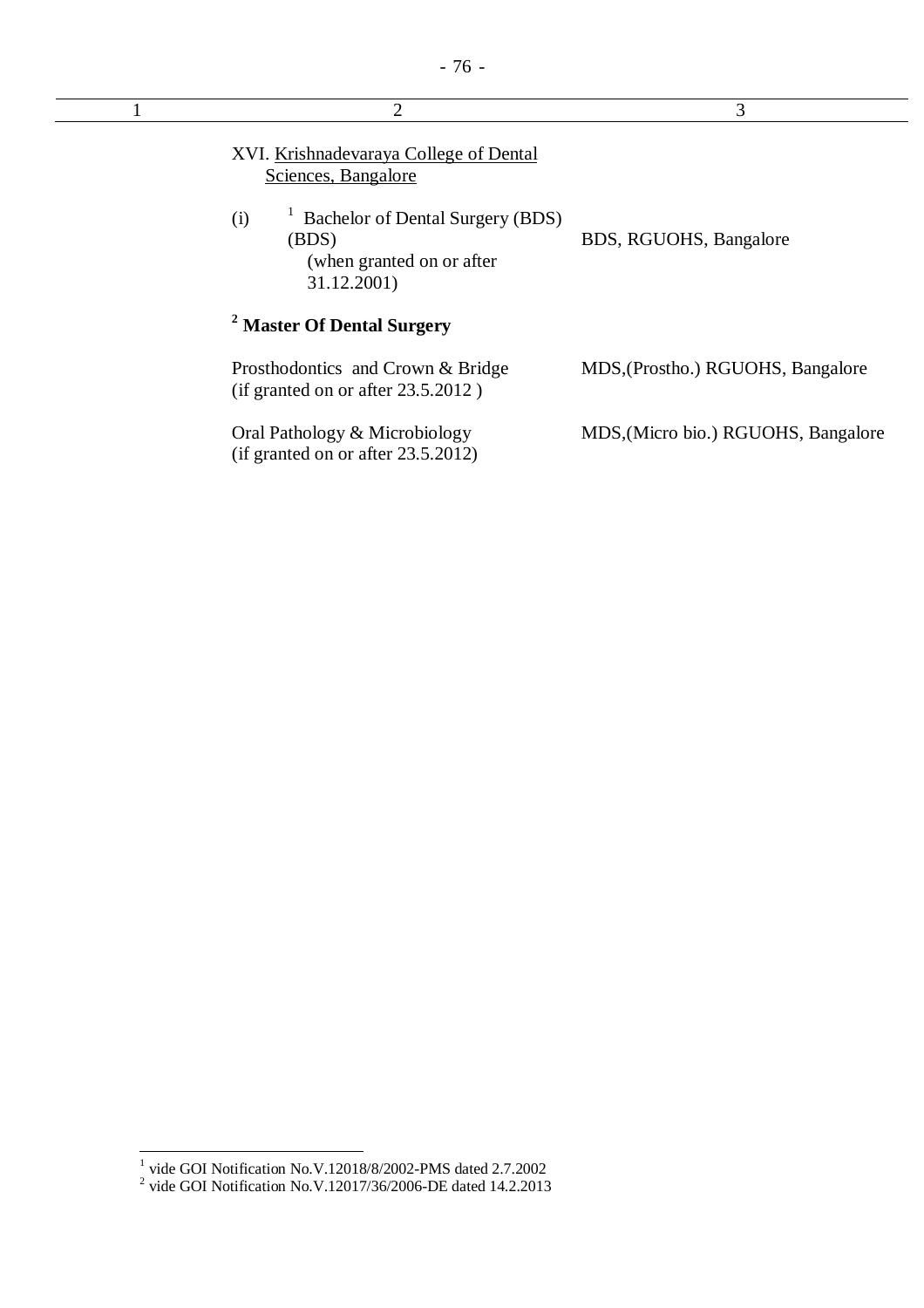| $\overline{2}$                                                                                | 3                                   |
|-----------------------------------------------------------------------------------------------|-------------------------------------|
| XVI. Krishnadevaraya College of Dental<br>Sciences, Bangalore                                 |                                     |
| Bachelor of Dental Surgery (BDS)<br>(i)<br>(BDS)<br>(when granted on or after)<br>31.12.2001) | BDS, RGUOHS, Bangalore              |
| <sup>2</sup> Master Of Dental Surgery                                                         |                                     |
| Prosthodontics and Crown & Bridge<br>(if granted on or after $23.5.2012$ )                    | MDS, (Prostho.) RGUOHS, Bangalore   |
| Oral Pathology & Microbiology<br>(if granted on or after $23.5.2012$ )                        | MDS, (Micro bio.) RGUOHS, Bangalore |

 1 vide GOI Notification No.V.12018/8/2002-PMS dated 2.7.2002 2 vide GOI Notification No.V.12017/36/2006-DE dated 14.2.2013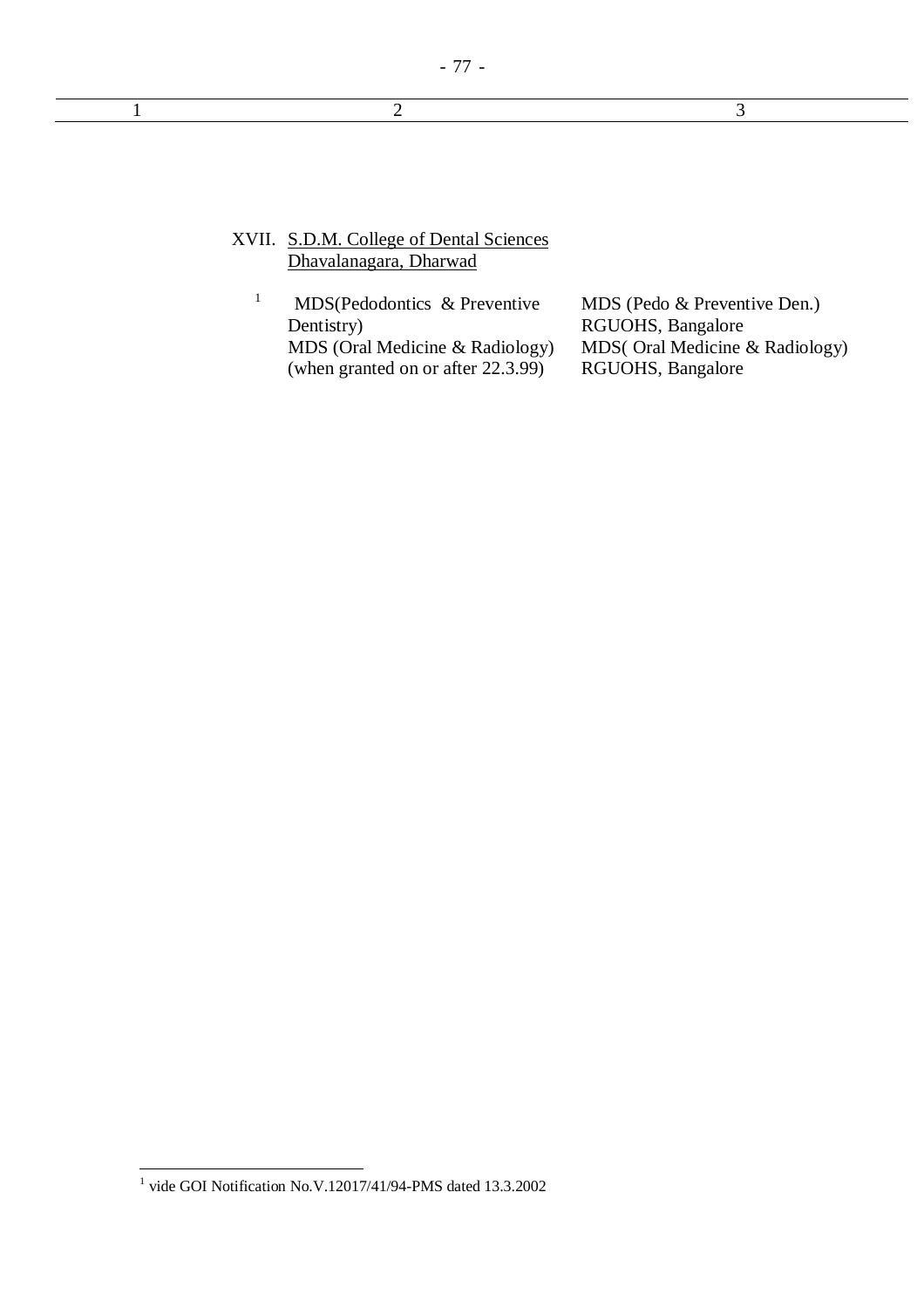$1$  2 3

## XVII. S.D.M. College of Dental Sciences Dhavalanagara, Dharwad

1 MDS(Pedodontics & Preventive Dentistry) MDS (Oral Medicine & Radiology) (when granted on or after 22.3.99)

MDS (Pedo & Preventive Den.) RGUOHS, Bangalore MDS( Oral Medicine & Radiology) RGUOHS, Bangalore

 1 vide GOI Notification No.V.12017/41/94-PMS dated 13.3.2002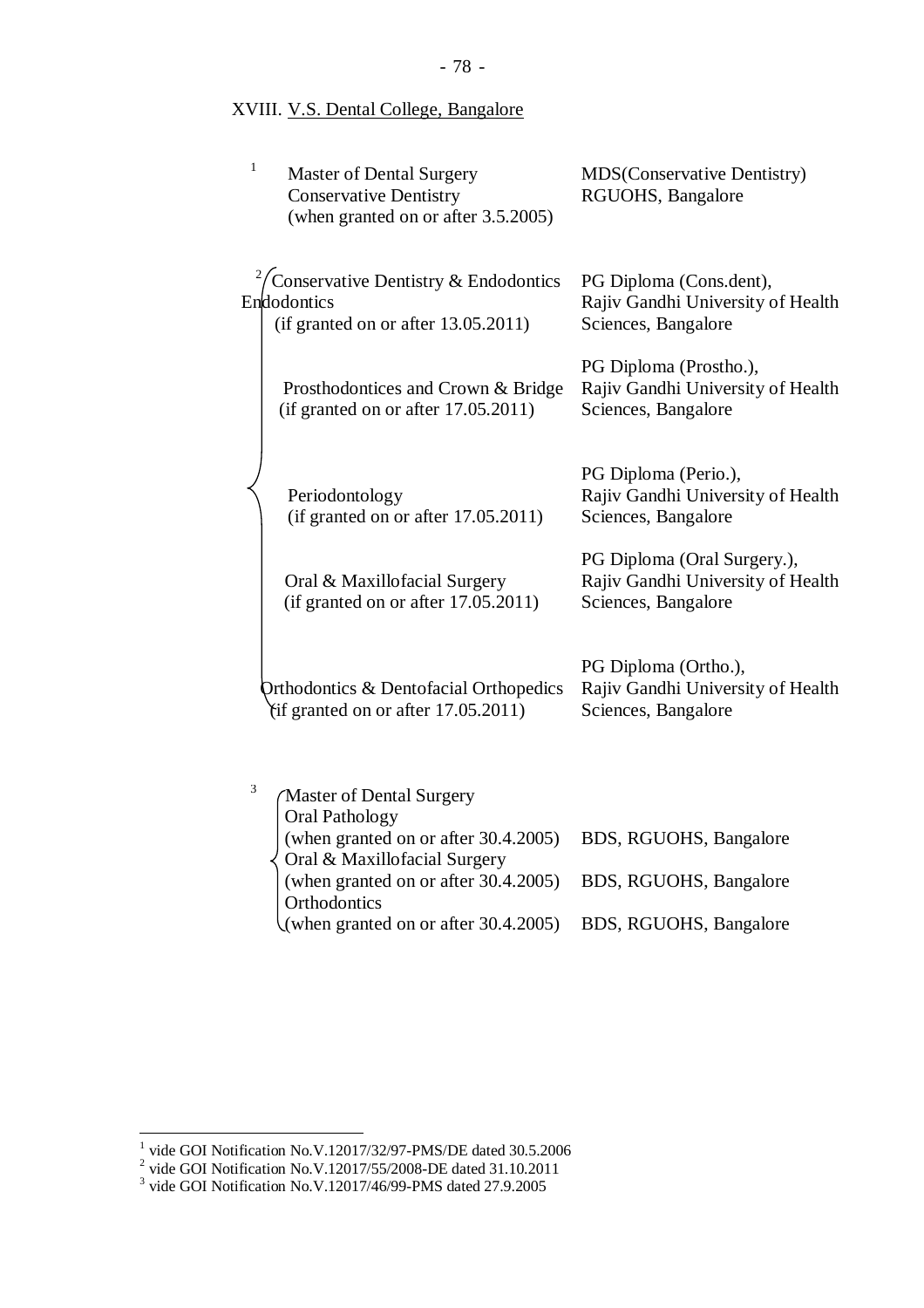## XVIII. V.S. Dental College, Bangalore

| $\mathbf{1}$ | <b>Master of Dental Surgery</b><br><b>Conservative Dentistry</b><br>(when granted on or after 3.5.2005) | <b>MDS</b> (Conservative Dentistry)<br>RGUOHS, Bangalore                                |
|--------------|---------------------------------------------------------------------------------------------------------|-----------------------------------------------------------------------------------------|
|              | Conservative Dentistry & Endodontics<br>Endodontics<br>(if granted on or after 13.05.2011)              | PG Diploma (Cons.dent),<br>Rajiv Gandhi University of Health<br>Sciences, Bangalore     |
|              | Prosthodontices and Crown & Bridge<br>(if granted on or after 17.05.2011)                               | PG Diploma (Prostho.),<br>Rajiv Gandhi University of Health<br>Sciences, Bangalore      |
|              | Periodontology<br>(if granted on or after 17.05.2011)                                                   | PG Diploma (Perio.),<br>Rajiv Gandhi University of Health<br>Sciences, Bangalore        |
|              | Oral & Maxillofacial Surgery<br>(if granted on or after 17.05.2011)                                     | PG Diploma (Oral Surgery.),<br>Rajiv Gandhi University of Health<br>Sciences, Bangalore |
|              | <b>Orthodontics &amp; Dentofacial Orthopedics</b><br>(if granted on or after 17.05.2011)                | PG Diploma (Ortho.),<br>Rajiv Gandhi University of Health<br>Sciences, Bangalore        |
| 3            | <b>Master of Dental Surgery</b><br><b>Oral Pathology</b>                                                |                                                                                         |
|              | (when granted on or after 30.4.2005)<br>Oral & Maxillofacial Surgery                                    | BDS, RGUOHS, Bangalore                                                                  |
|              | (when granted on or after 30.4.2005)<br>Orthodontics                                                    | BDS, RGUOHS, Bangalore                                                                  |

(when granted on or after 30.4.2005) BDS, RGUOHS, Bangalore

<sup>&</sup>lt;sup>1</sup> vide GOI Notification No.V.12017/32/97-PMS/DE dated 30.5.2006<br>
<sup>2</sup> vide GOI Notification No.V.12017/55/2008-DE dated 31.10.2011<br>
<sup>3</sup> vide GOI Notification No.V.12017/46/99-PMS dated 27.9.2005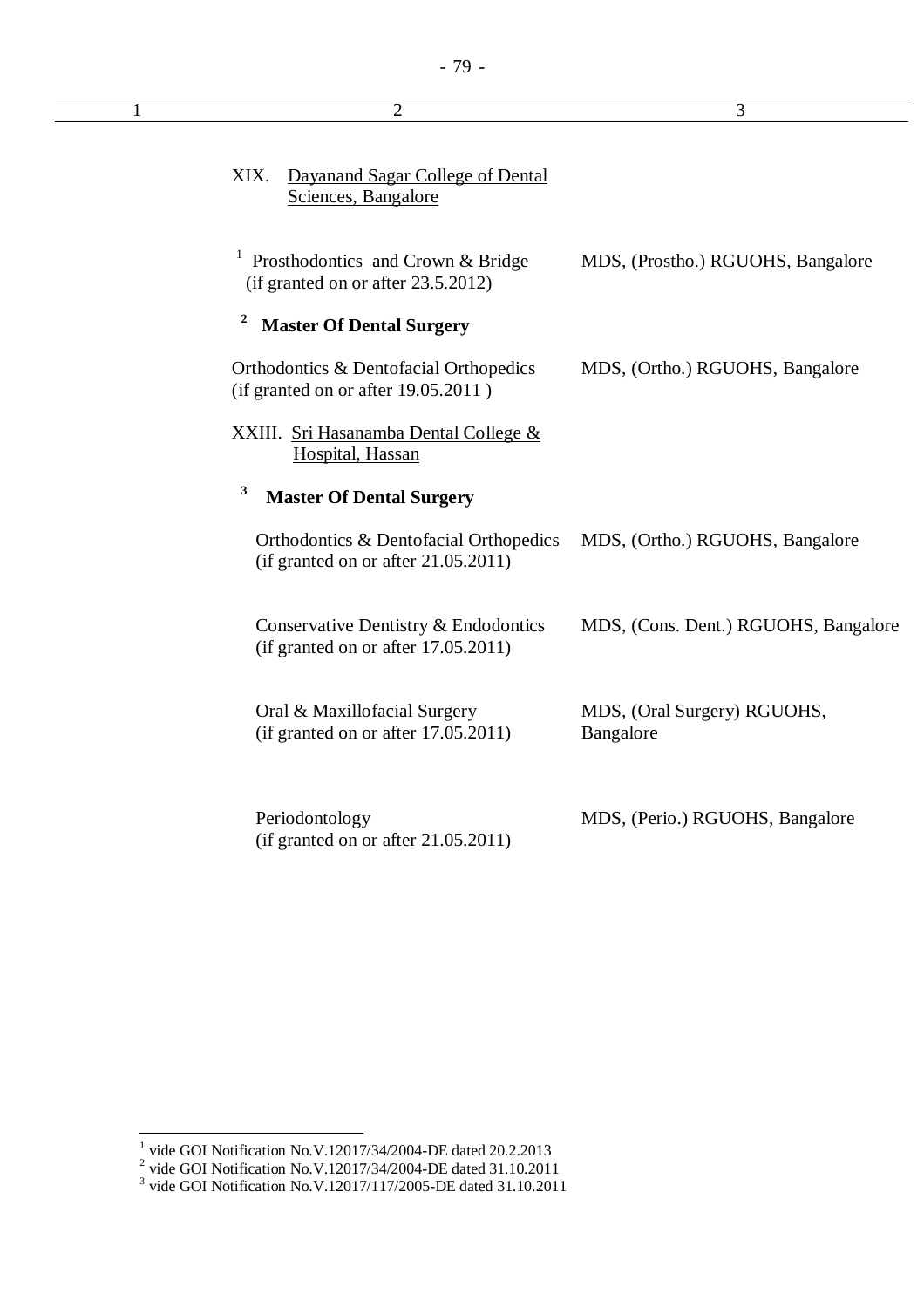| $\mathbf{1}$ | $\overline{2}$                                                                          | 3                                        |
|--------------|-----------------------------------------------------------------------------------------|------------------------------------------|
|              | Dayanand Sagar College of Dental<br>XIX.<br>Sciences, Bangalore                         |                                          |
|              | <sup>1</sup> Prosthodontics and Crown & Bridge<br>(if granted on or after $23.5.2012$ ) | MDS, (Prostho.) RGUOHS, Bangalore        |
|              | $\mathbf{z}$<br><b>Master Of Dental Surgery</b>                                         |                                          |
|              | Orthodontics & Dentofacial Orthopedics<br>(if granted on or after 19.05.2011)           | MDS, (Ortho.) RGUOHS, Bangalore          |
|              | XXIII. Sri Hasanamba Dental College &<br>Hospital, Hassan                               |                                          |
|              | 3<br><b>Master Of Dental Surgery</b>                                                    |                                          |
|              | Orthodontics & Dentofacial Orthopedics<br>(if granted on or after $21.05.2011$ )        | MDS, (Ortho.) RGUOHS, Bangalore          |
|              | Conservative Dentistry & Endodontics<br>(if granted on or after $17.05.2011$ )          | MDS, (Cons. Dent.) RGUOHS, Bangalore     |
|              | Oral & Maxillofacial Surgery<br>(if granted on or after $17.05.2011$ )                  | MDS, (Oral Surgery) RGUOHS,<br>Bangalore |
|              | Periodontology<br>(if granted on or after $21.05.2011$ )                                | MDS, (Perio.) RGUOHS, Bangalore          |

<sup>&</sup>lt;sup>1</sup> vide GOI Notification No.V.12017/34/2004-DE dated 20.2.2013<br>
<sup>2</sup> vide GOI Notification No.V.12017/34/2004-DE dated 31.10.2011<br>
<sup>3</sup> vide GOI Notification No.V.12017/117/2005-DE dated 31.10.2011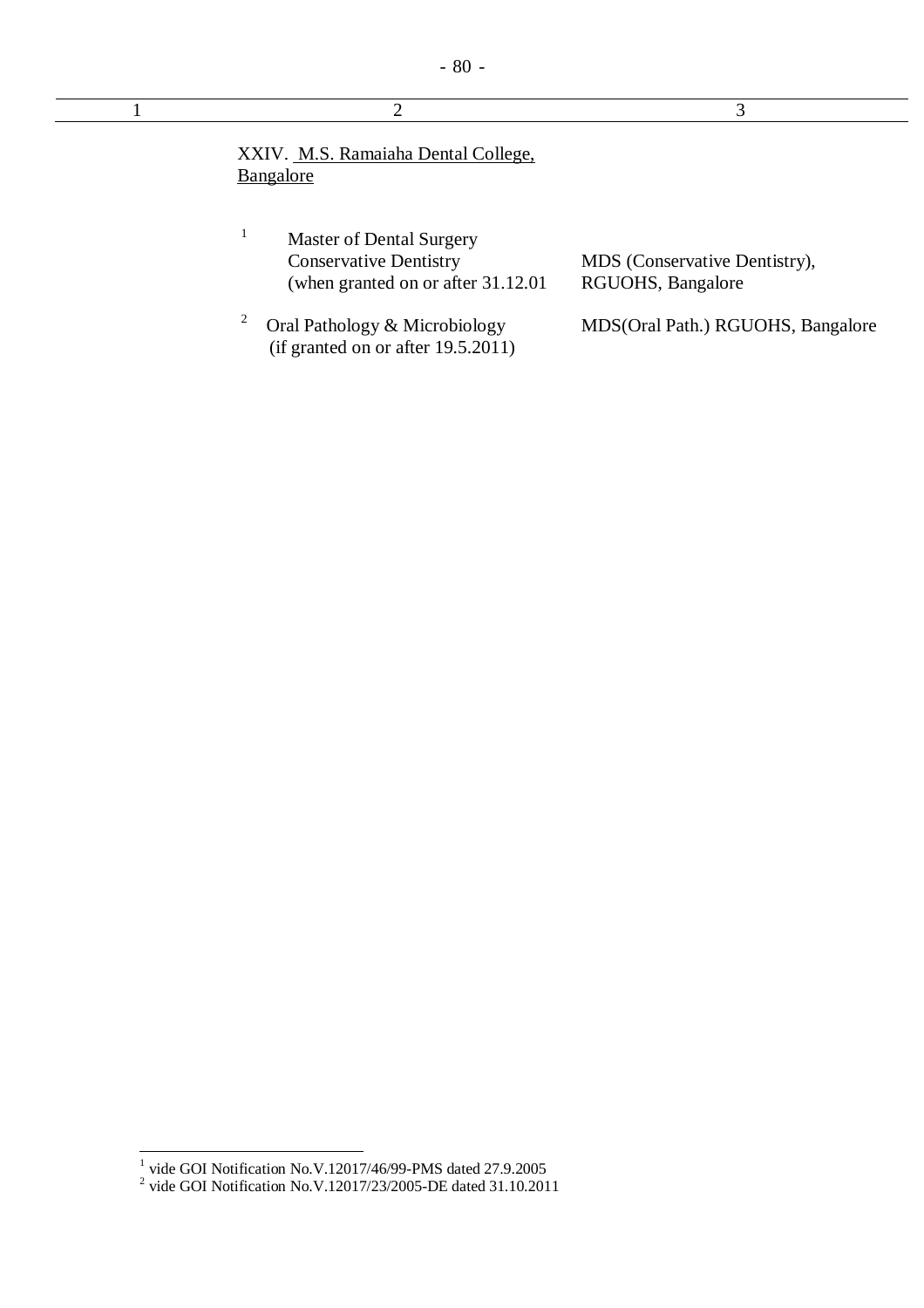(if granted on or after 19.5.2011)

| 2                                                                                                       |                                                    |
|---------------------------------------------------------------------------------------------------------|----------------------------------------------------|
| XXIV. M.S. Ramaiaha Dental College,<br>Bangalore                                                        |                                                    |
| <b>Master of Dental Surgery</b><br><b>Conservative Dentistry</b><br>(when granted on or after 31.12.01) | MDS (Conservative Dentistry),<br>RGUOHS, Bangalore |
| 2<br>Oral Pathology & Microbiology                                                                      | MDS(Oral Path.) RGUOHS, Bangalore                  |

 1 vide GOI Notification No.V.12017/46/99-PMS dated 27.9.2005 2 vide GOI Notification No.V.12017/23/2005-DE dated 31.10.2011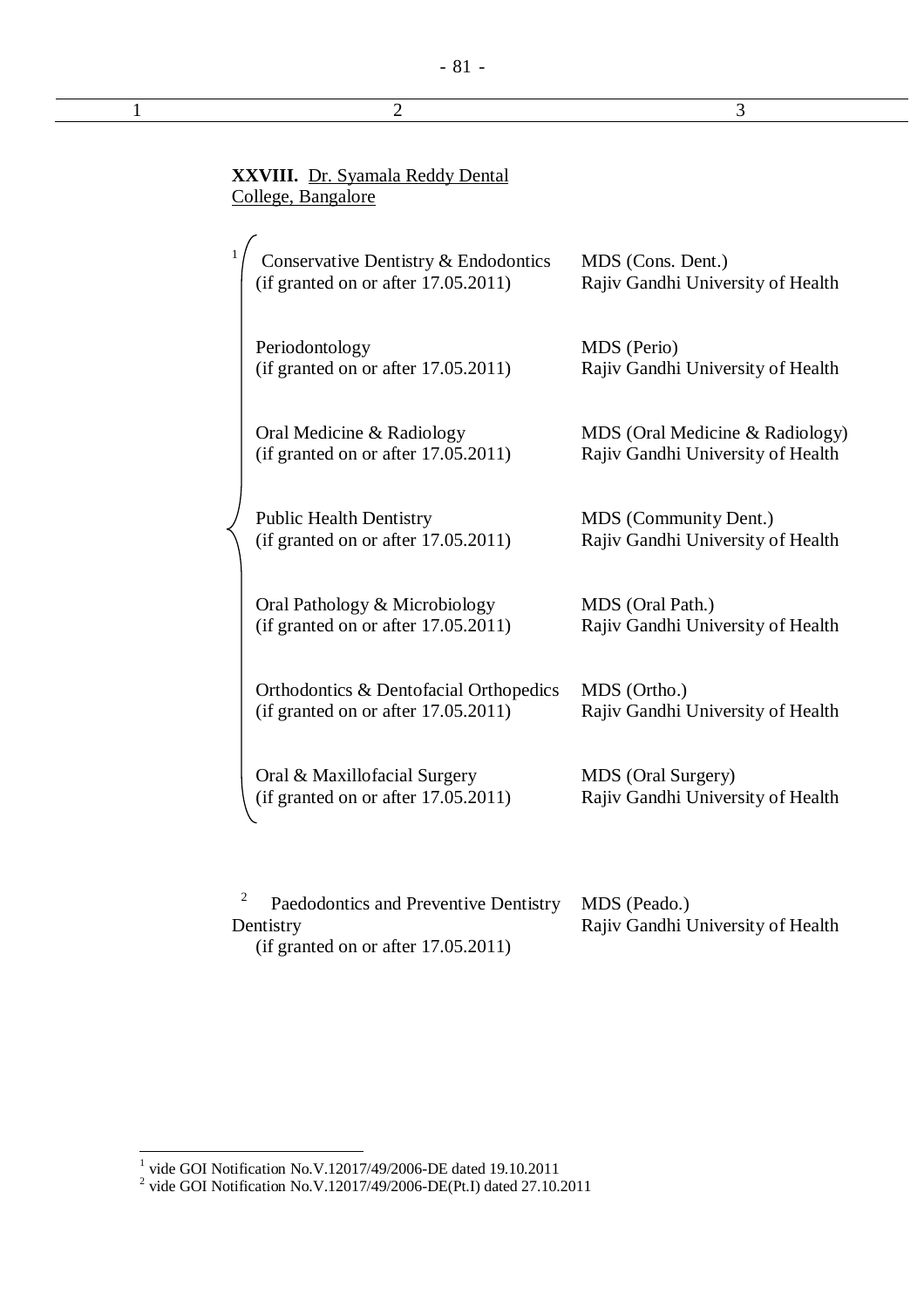## - 81 -

|                    | <b>XXVIII.</b> Dr. Syamala Reddy Dental |  |
|--------------------|-----------------------------------------|--|
| College, Bangalore |                                         |  |

1

| $\int$ Conservative Dentistry & Endodontics | MDS (Cons. Dent.)                 |
|---------------------------------------------|-----------------------------------|
| (if granted on or after $17.05.2011$ )      | Rajiv Gandhi University of Health |

MDS (Perio)

Periodontology (if granted on or after 17.05.2011)

Oral Medicine & Radiology (if granted on or after 17.05.2011)

Public Health Dentistry (if granted on or after 17.05.2011)

Oral Pathology & Microbiology (if granted on or after 17.05.2011)

Orthodontics & Dentofacial Orthopedics (if granted on or after 17.05.2011)

MDS (Ortho.) Rajiv Gandhi University of Health

Rajiv Gandhi University of Health

MDS (Oral Medicine & Radiology) Rajiv Gandhi University of Health

Rajiv Gandhi University of Health

Rajiv Gandhi University of Health

MDS (Community Dent.)

MDS (Oral Path.)

Oral & Maxillofacial Surgery (if granted on or after 17.05.2011) MDS (Oral Surgery) Rajiv Gandhi University of Health

2 Paedodontics and Preventive Dentistry Dentistry (if granted on or after 17.05.2011) MDS (Peado.) Rajiv Gandhi University of Health

 $\overline{a}$ 

<sup>&</sup>lt;sup>1</sup> vide GOI Notification No.V.12017/49/2006-DE dated 19.10.2011

<sup>&</sup>lt;sup>2</sup> vide GOI Notification No.V.12017/49/2006-DE(Pt.I) dated 27.10.2011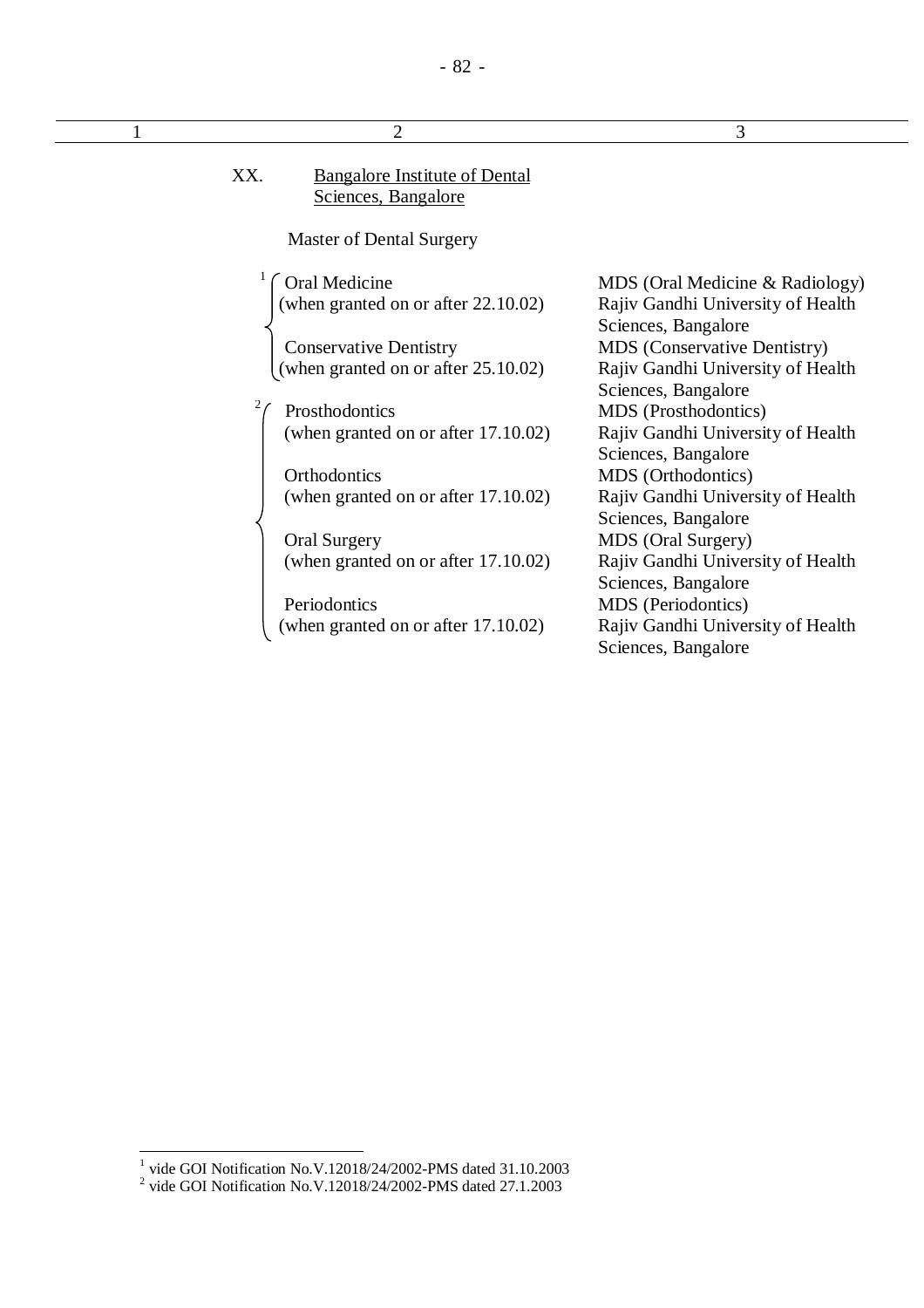| XX. | <b>Bangalore Institute of Dental</b> |  |
|-----|--------------------------------------|--|
|     | Sciences, Bangalore                  |  |

Master of Dental Surgery

**Oral Medicine** (when granted on or after 22.10.02)

Conservative Dentistry (when granted on or after 25.10.02)

 Prosthodontics (when granted on or after 17.10.02)

2

**Orthodontics** (when granted on or after 17.10.02)

Oral Surgery (when granted on or after 17.10.02)

Periodontics (when granted on or after 17.10.02) MDS (Oral Medicine & Radiology) Rajiv Gandhi University of Health Sciences, Bangalore MDS (Conservative Dentistry) Rajiv Gandhi University of Health Sciences, Bangalore MDS (Prosthodontics) Rajiv Gandhi University of Health Sciences, Bangalore MDS (Orthodontics) Rajiv Gandhi University of Health Sciences, Bangalore MDS (Oral Surgery) Rajiv Gandhi University of Health Sciences, Bangalore MDS (Periodontics) Rajiv Gandhi University of Health Sciences, Bangalore

 $\overline{a}$ 

 $1$  2 3

<sup>&</sup>lt;sup>1</sup> vide GOI Notification No.V.12018/24/2002-PMS dated 31.10.2003

<sup>&</sup>lt;sup>2</sup> vide GOI Notification No.V.12018/24/2002-PMS dated 27.1.2003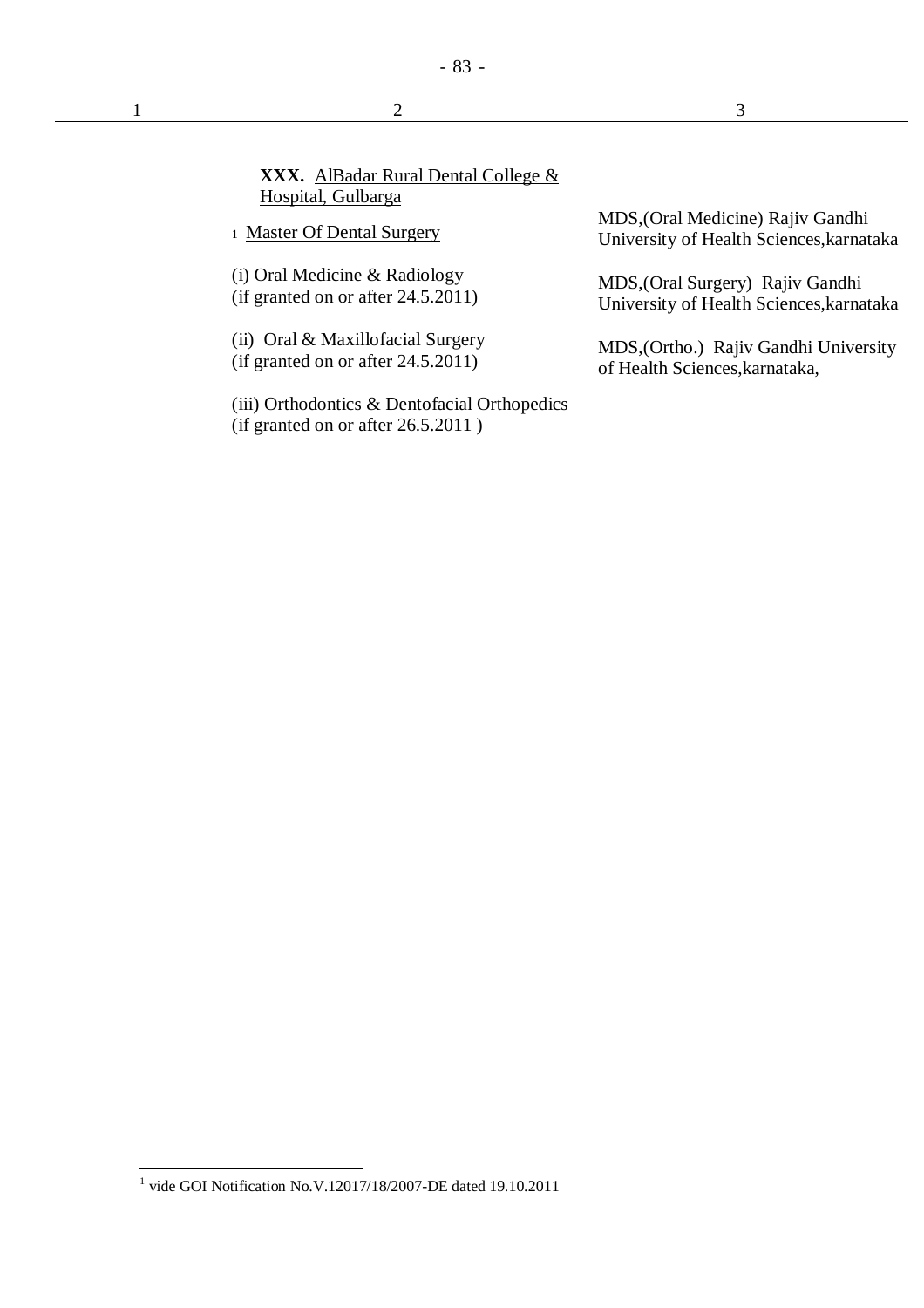| <b>XXX.</b> AlBadar Rural Dental College &<br>Hospital, Gulbarga       |
|------------------------------------------------------------------------|
| 1 Master Of Dental Surgery                                             |
| (i) Oral Medicine & Radiology<br>(if granted on or after $24.5.2011$ ) |

(ii) Oral & Maxillofacial Surgery (if granted on or after 24.5.2011)

(iii) Orthodontics & Dentofacial Orthopedics (if granted on or after 26.5.2011 )

MDS,(Oral Medicine) Rajiv Gandhi University of Health Sciences,karnataka

MDS,(Oral Surgery) Rajiv Gandhi University of Health Sciences,karnataka

MDS,(Ortho.) Rajiv Gandhi University of Health Sciences,karnataka,

 1 vide GOI Notification No.V.12017/18/2007-DE dated 19.10.2011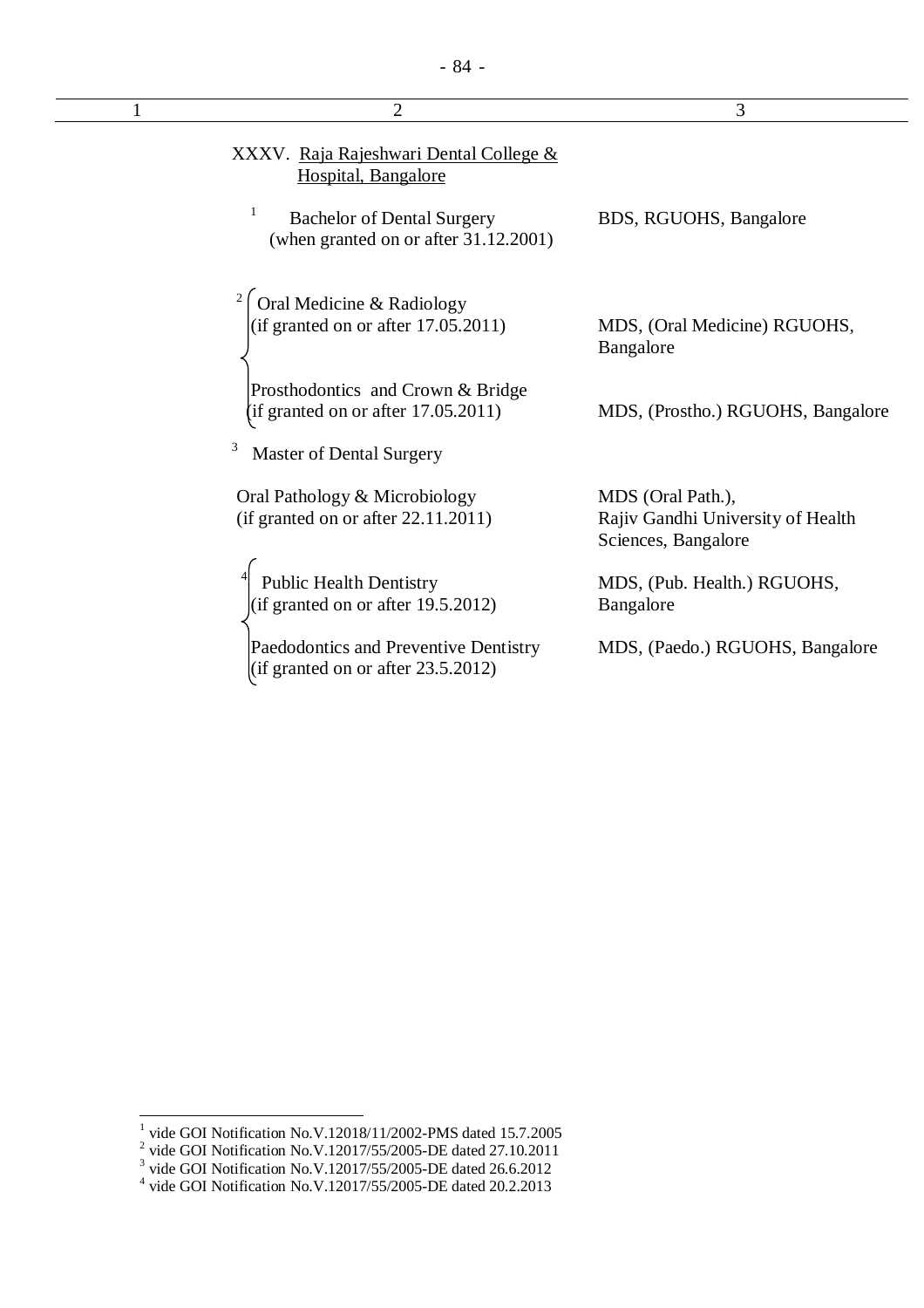| $\overline{2}$                                                                  | 3                                                                             |
|---------------------------------------------------------------------------------|-------------------------------------------------------------------------------|
| XXXV. Raja Rajeshwari Dental College &<br>Hospital, Bangalore                   |                                                                               |
| 1<br><b>Bachelor of Dental Surgery</b><br>(when granted on or after 31.12.2001) | BDS, RGUOHS, Bangalore                                                        |
| Oral Medicine & Radiology                                                       |                                                                               |
| (if granted on or after $17.05.2011$ )                                          | MDS, (Oral Medicine) RGUOHS,<br>Bangalore                                     |
| Prosthodontics and Crown & Bridge                                               |                                                                               |
| (if granted on or after $17.05.2011$ )                                          | MDS, (Prostho.) RGUOHS, Bangalore                                             |
| 3<br><b>Master of Dental Surgery</b>                                            |                                                                               |
| Oral Pathology & Microbiology<br>(if granted on or after $22.11.2011$ )         | MDS (Oral Path.),<br>Rajiv Gandhi University of Health<br>Sciences, Bangalore |
| <b>Public Health Dentistry</b>                                                  | MDS, (Pub. Health.) RGUOHS,                                                   |
| (if granted on or after 19.5.2012)                                              | Bangalore                                                                     |
| Paedodontics and Preventive Dentistry<br>(if granted on or after $23.5.2012$ )  | MDS, (Paedo.) RGUOHS, Bangalore                                               |

<sup>&</sup>lt;sup>1</sup> vide GOI Notification No.V.12018/11/2002-PMS dated 15.7.2005<br>
<sup>2</sup> vide GOI Notification No.V.12017/55/2005-DE dated 27.10.2011<br>
<sup>3</sup> vide GOI Notification No.V.12017/55/2005-DE dated 26.6.2012<br>
<sup>4</sup> vide GOI Notificatio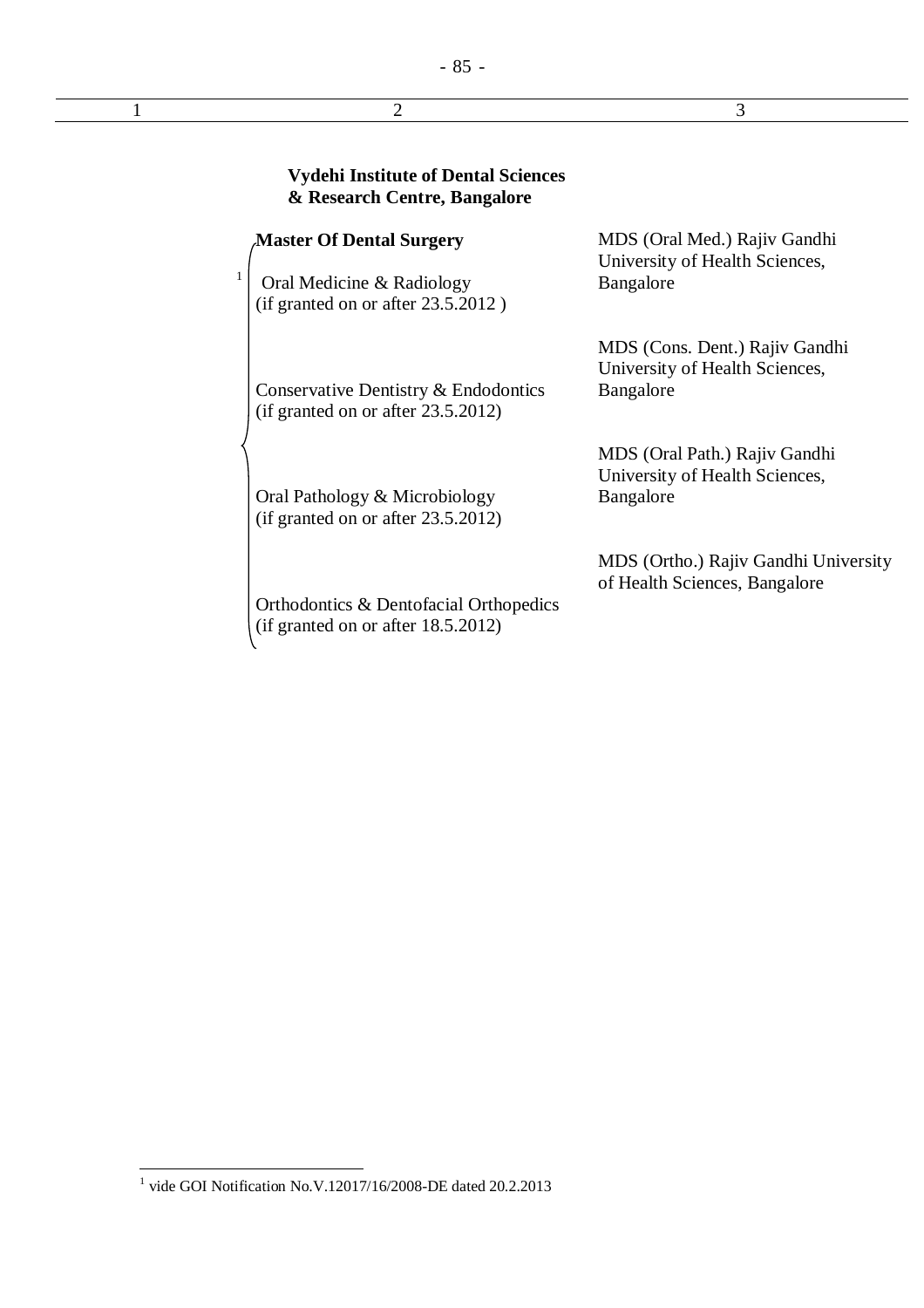$1$  2 3

|   | <b>Vydehi Institute of Dental Sciences</b><br>& Research Centre, Bangalore    |                                                                               |
|---|-------------------------------------------------------------------------------|-------------------------------------------------------------------------------|
|   | <b>Master Of Dental Surgery</b>                                               | MDS (Oral Med.) Rajiv Gandhi                                                  |
| 1 | Oral Medicine & Radiology<br>$(if$ granted on or after 23.5.2012)             | University of Health Sciences,<br>Bangalore                                   |
|   | Conservative Dentistry & Endodontics<br>(if granted on or after $23.5.2012$ ) | MDS (Cons. Dent.) Rajiv Gandhi<br>University of Health Sciences,<br>Bangalore |
|   | Oral Pathology & Microbiology<br>(if granted on or after $23.5.2012$ )        | MDS (Oral Path.) Rajiv Gandhi<br>University of Health Sciences,<br>Bangalore  |
|   | Orthodontics & Dentofacial Orthopedics<br>(if granted on or after 18.5.2012)  | MDS (Ortho.) Rajiv Gandhi University<br>of Health Sciences, Bangalore         |

 1 vide GOI Notification No.V.12017/16/2008-DE dated 20.2.2013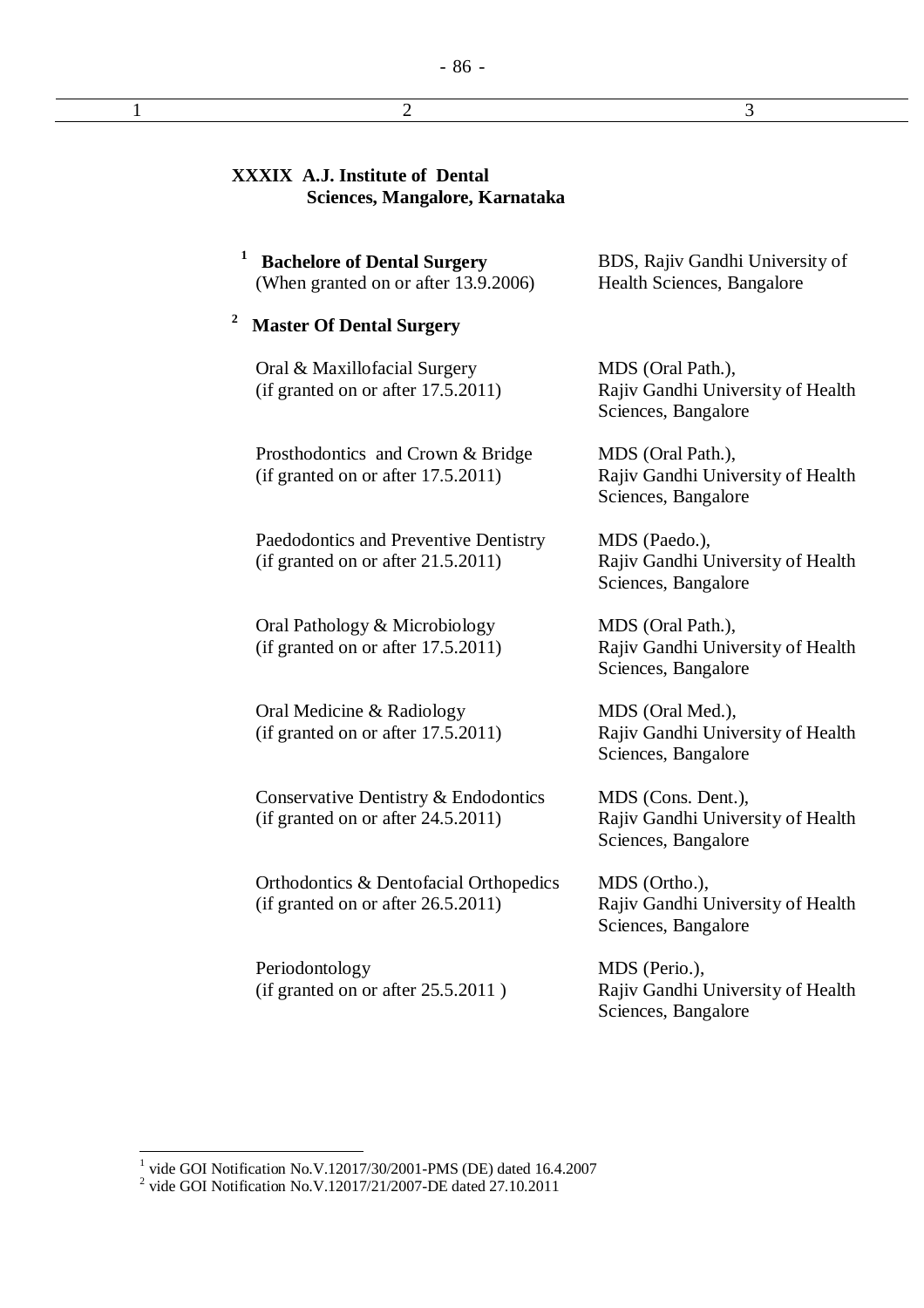| <b>XXXIX A.J. Institute of Dental</b><br>Sciences, Mangalore, Karnataka         |                                                                                |  |
|---------------------------------------------------------------------------------|--------------------------------------------------------------------------------|--|
| 1<br><b>Bachelore of Dental Surgery</b><br>(When granted on or after 13.9.2006) | BDS, Rajiv Gandhi University of<br>Health Sciences, Bangalore                  |  |
| $\boldsymbol{2}$<br><b>Master Of Dental Surgery</b>                             |                                                                                |  |
| Oral & Maxillofacial Surgery<br>(if granted on or after 17.5.2011)              | MDS (Oral Path.),<br>Rajiv Gandhi University of Health<br>Sciences, Bangalore  |  |
| Prosthodontics and Crown & Bridge<br>(if granted on or after 17.5.2011)         | MDS (Oral Path.),<br>Rajiv Gandhi University of Health<br>Sciences, Bangalore  |  |
| Paedodontics and Preventive Dentistry<br>(if granted on or after 21.5.2011)     | MDS (Paedo.),<br>Rajiv Gandhi University of Health<br>Sciences, Bangalore      |  |
| Oral Pathology & Microbiology<br>(if granted on or after 17.5.2011)             | MDS (Oral Path.),<br>Rajiv Gandhi University of Health<br>Sciences, Bangalore  |  |
| Oral Medicine & Radiology<br>(if granted on or after 17.5.2011)                 | MDS (Oral Med.),<br>Rajiv Gandhi University of Health<br>Sciences, Bangalore   |  |
| Conservative Dentistry & Endodontics<br>(if granted on or after $24.5.2011$ )   | MDS (Cons. Dent.),<br>Rajiv Gandhi University of Health<br>Sciences, Bangalore |  |
| Orthodontics & Dentofacial Orthopedics<br>(if granted on or after 26.5.2011)    | MDS (Ortho.),<br>Rajiv Gandhi University of Health<br>Sciences, Bangalore      |  |

- 86 -

 $1$  2 3

Periodontology (if granted on or after 25.5.2011 )

MDS (Perio.), Rajiv Gandhi University of Health Sciences, Bangalore

<sup>&</sup>lt;sup>1</sup> vide GOI Notification No.V.12017/30/2001-PMS (DE) dated 16.4.2007<br><sup>2</sup> vide GOI Notification No.V.12017/21/2007-DE dated 27.10.2011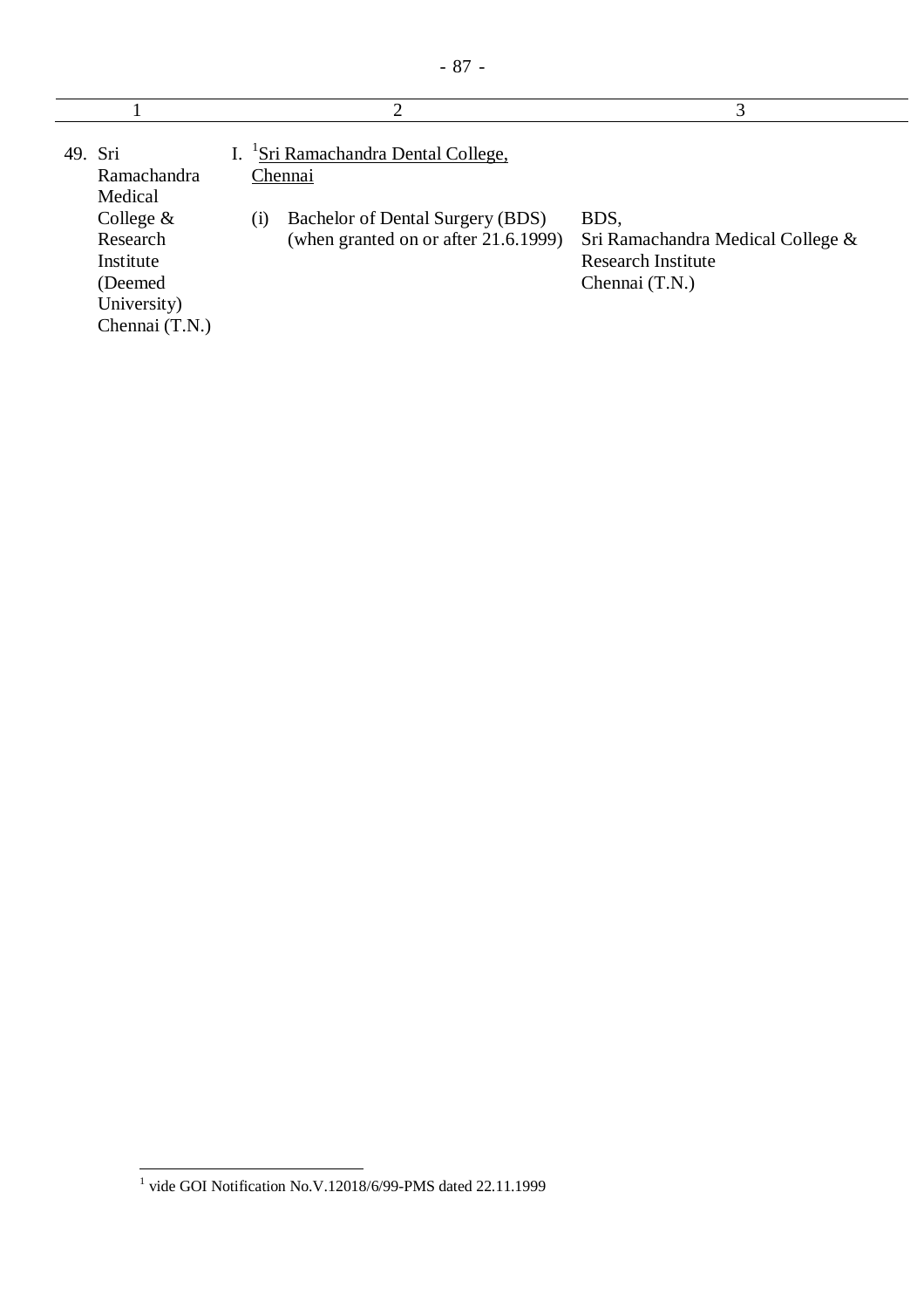| 49. Sri<br>Ramachandra<br>Medical<br>College $&$<br>Research<br>Institute<br>(Deemed<br>University)<br>Chennai (T.N.) | I. Sri Ramachandra Dental College,<br>Chennai<br>Bachelor of Dental Surgery (BDS)<br>(1)<br>(when granted on or after 21.6.1999) | BDS,<br>Sri Ramachandra Medical College &<br><b>Research Institute</b><br>Chennai (T.N.) |
|-----------------------------------------------------------------------------------------------------------------------|----------------------------------------------------------------------------------------------------------------------------------|------------------------------------------------------------------------------------------|

 1 vide GOI Notification No.V.12018/6/99-PMS dated 22.11.1999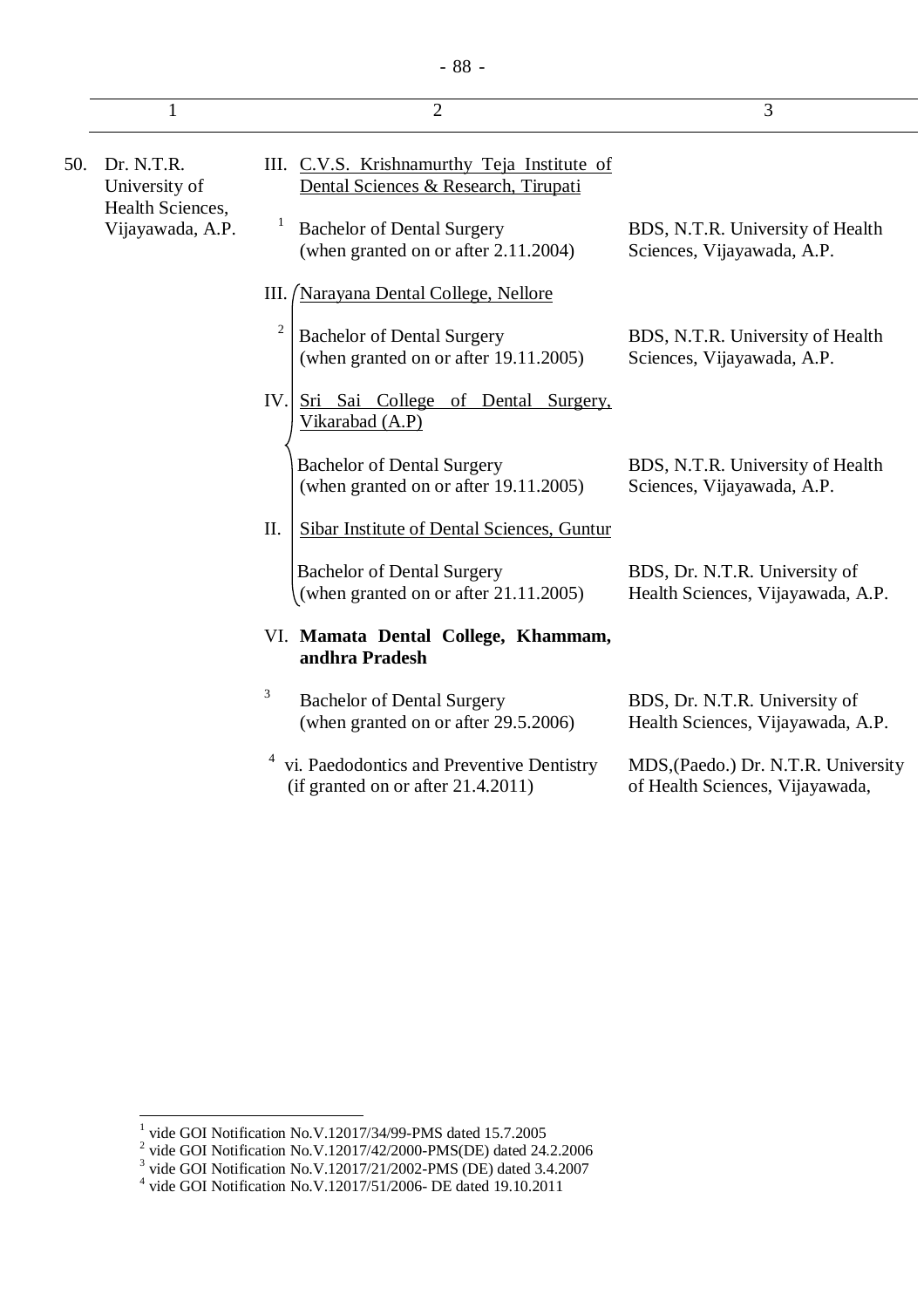|     |                                      | $\overline{2}$                                                                               | 3                                                                      |
|-----|--------------------------------------|----------------------------------------------------------------------------------------------|------------------------------------------------------------------------|
| 50. | Dr. N.T.R.<br>University of          | III. C.V.S. Krishnamurthy Teja Institute of<br>Dental Sciences & Research, Tirupati          |                                                                        |
|     | Health Sciences,<br>Vijayawada, A.P. | <b>Bachelor of Dental Surgery</b><br>(when granted on or after 2.11.2004)                    | BDS, N.T.R. University of Health<br>Sciences, Vijayawada, A.P.         |
|     |                                      | <i><u><b>Narayana Dental College, Nellore</b></u></i><br>Ш.                                  |                                                                        |
|     |                                      | $\overline{c}$<br><b>Bachelor of Dental Surgery</b><br>(when granted on or after 19.11.2005) | BDS, N.T.R. University of Health<br>Sciences, Vijayawada, A.P.         |
|     |                                      | IV.<br>Sri Sai College of Dental Surgery,<br>Vikarabad (A.P)                                 |                                                                        |
|     |                                      | <b>Bachelor of Dental Surgery</b><br>(when granted on or after 19.11.2005)                   | BDS, N.T.R. University of Health<br>Sciences, Vijayawada, A.P.         |
|     |                                      | II.<br>Sibar Institute of Dental Sciences, Guntur                                            |                                                                        |
|     |                                      | <b>Bachelor of Dental Surgery</b><br>(when granted on or after 21.11.2005)                   | BDS, Dr. N.T.R. University of<br>Health Sciences, Vijayawada, A.P.     |
|     |                                      | VI. Mamata Dental College, Khammam,<br>andhra Pradesh                                        |                                                                        |
|     |                                      | 3<br><b>Bachelor of Dental Surgery</b><br>(when granted on or after 29.5.2006)               | BDS, Dr. N.T.R. University of<br>Health Sciences, Vijayawada, A.P.     |
|     |                                      | vi. Paedodontics and Preventive Dentistry<br>(if granted on or after $21.4.2011$ )           | MDS, (Paedo.) Dr. N.T.R. University<br>of Health Sciences, Vijayawada, |

<sup>&</sup>lt;sup>1</sup> vide GOI Notification No.V.12017/34/99-PMS dated 15.7.2005<br>
<sup>2</sup> vide GOI Notification No.V.12017/42/2000-PMS(DE) dated 24.2.2006<br>
<sup>3</sup> vide GOI Notification No.V.12017/21/2002-PMS (DE) dated 3.4.2007<br>
<sup>4</sup> vide GOI Noti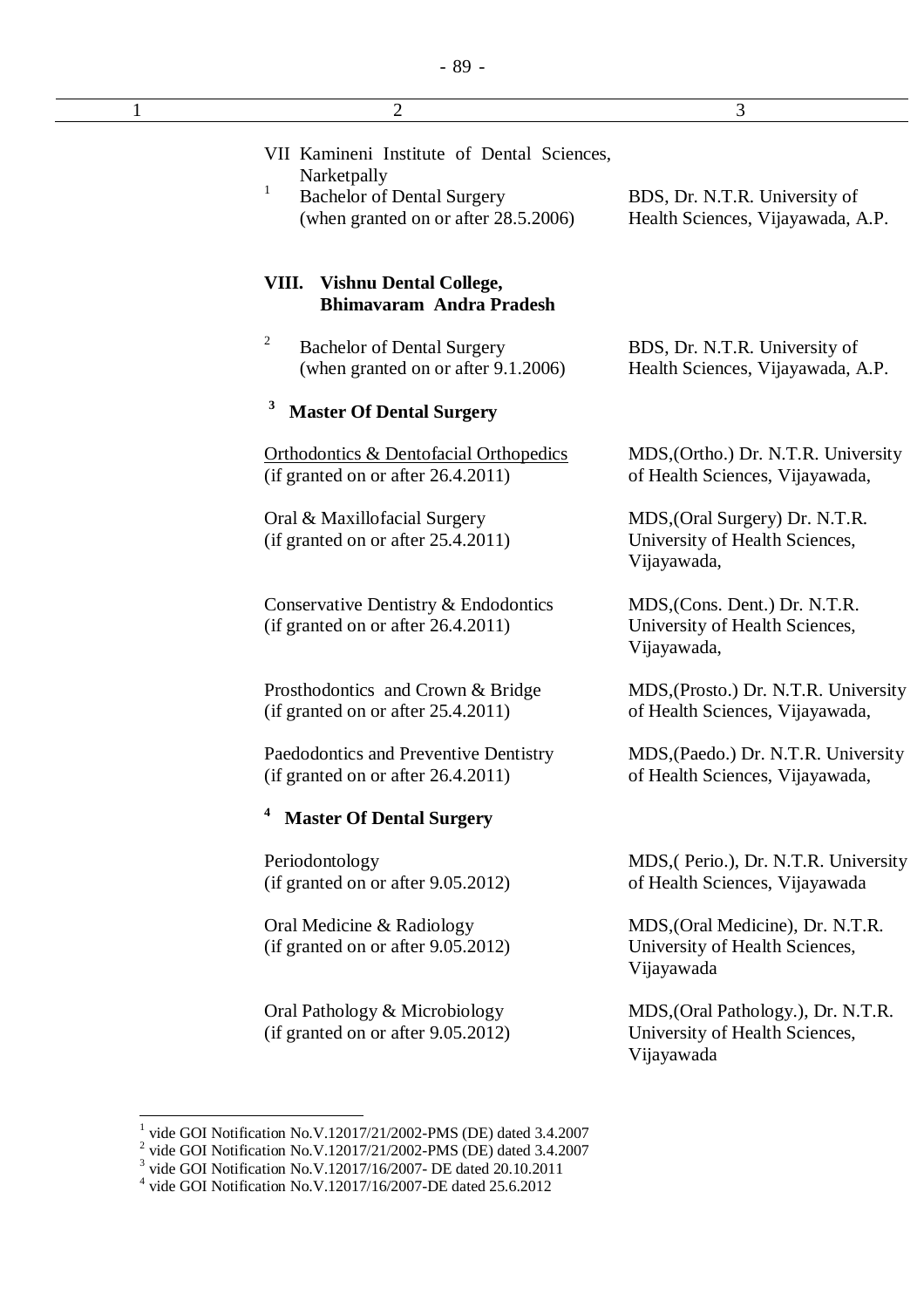| 1 | $\overline{2}$                                                                                                                                         | 3                                                                                  |
|---|--------------------------------------------------------------------------------------------------------------------------------------------------------|------------------------------------------------------------------------------------|
|   | VII Kamineni Institute of Dental Sciences,<br>Narketpally<br>$\mathbf{1}$<br><b>Bachelor of Dental Surgery</b><br>(when granted on or after 28.5.2006) | BDS, Dr. N.T.R. University of<br>Health Sciences, Vijayawada, A.P.                 |
|   | <b>Vishnu Dental College,</b><br>VIII.<br><b>Bhimavaram Andra Pradesh</b>                                                                              |                                                                                    |
|   | 2<br><b>Bachelor of Dental Surgery</b><br>(when granted on or after 9.1.2006)                                                                          | BDS, Dr. N.T.R. University of<br>Health Sciences, Vijayawada, A.P.                 |
|   | 3<br><b>Master Of Dental Surgery</b>                                                                                                                   |                                                                                    |
|   | <b>Orthodontics &amp; Dentofacial Orthopedics</b><br>(if granted on or after 26.4.2011)                                                                | MDS, (Ortho.) Dr. N.T.R. University<br>of Health Sciences, Vijayawada,             |
|   | Oral & Maxillofacial Surgery<br>(if granted on or after $25.4.2011$ )                                                                                  | MDS, (Oral Surgery) Dr. N.T.R.<br>University of Health Sciences,<br>Vijayawada,    |
|   | Conservative Dentistry & Endodontics<br>(if granted on or after 26.4.2011)                                                                             | MDS, (Cons. Dent.) Dr. N.T.R.<br>University of Health Sciences,<br>Vijayawada,     |
|   | Prosthodontics and Crown & Bridge<br>(if granted on or after 25.4.2011)                                                                                | MDS, (Prosto.) Dr. N.T.R. University<br>of Health Sciences, Vijayawada,            |
|   | Paedodontics and Preventive Dentistry<br>(if granted on or after $26.4.2011$ )                                                                         | MDS, (Paedo.) Dr. N.T.R. University<br>of Health Sciences, Vijayawada,             |
|   | 4<br><b>Master Of Dental Surgery</b>                                                                                                                   |                                                                                    |
|   | Periodontology<br>(if granted on or after 9.05.2012)                                                                                                   | MDS, (Perio.), Dr. N.T.R. University<br>of Health Sciences, Vijayawada             |
|   | Oral Medicine & Radiology<br>(if granted on or after 9.05.2012)                                                                                        | MDS, (Oral Medicine), Dr. N.T.R.<br>University of Health Sciences,<br>Vijayawada   |
|   | Oral Pathology & Microbiology<br>(if granted on or after 9.05.2012)                                                                                    | MDS, (Oral Pathology.), Dr. N.T.R.<br>University of Health Sciences,<br>Vijayawada |

<sup>&</sup>lt;sup>1</sup> vide GOI Notification No.V.12017/21/2002-PMS (DE) dated 3.4.2007<br><sup>2</sup> vide GOI Notification No.V.12017/21/2002-PMS (DE) dated 3.4.2007<br><sup>3</sup> vide GOI Notification No.V.12017/16/2007- DE dated 20.10.2011<br><sup>4</sup> vide GOI Noti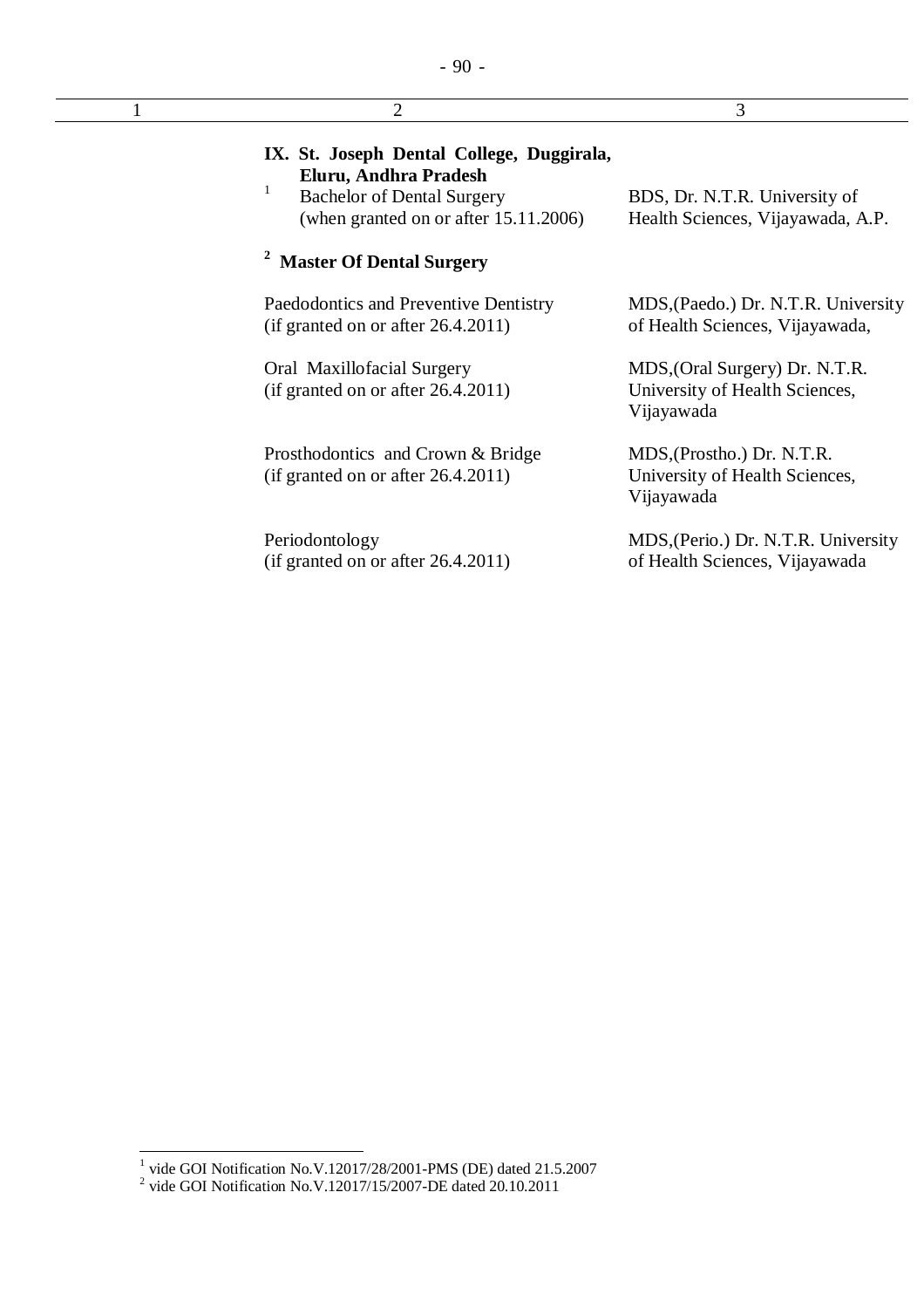| $\overline{2}$                                                                                                                                      | 3                                                                              |
|-----------------------------------------------------------------------------------------------------------------------------------------------------|--------------------------------------------------------------------------------|
| IX. St. Joseph Dental College, Duggirala,<br>Eluru, Andhra Pradesh<br><b>Bachelor of Dental Surgery</b><br>(when granted on or after $15.11.2006$ ) | BDS, Dr. N.T.R. University of<br>Health Sciences, Vijayawada, A.P.             |
| <sup>2</sup> Master Of Dental Surgery                                                                                                               |                                                                                |
| Paedodontics and Preventive Dentistry<br>(if granted on or after 26.4.2011)                                                                         | MDS, (Paedo.) Dr. N.T.R. University<br>of Health Sciences, Vijayawada,         |
| Oral Maxillofacial Surgery<br>(if granted on or after 26.4.2011)                                                                                    | MDS, (Oral Surgery) Dr. N.T.R.<br>University of Health Sciences,<br>Vijayawada |
| Prosthodontics and Crown & Bridge<br>(if granted on or after 26.4.2011)                                                                             | MDS, (Prostho.) Dr. N.T.R.<br>University of Health Sciences,<br>Vijayawada     |
| Periodontology<br>(if granted on or after 26.4.2011)                                                                                                | MDS, (Perio.) Dr. N.T.R. University<br>of Health Sciences, Vijayawada          |

<sup>&</sup>lt;sup>1</sup> vide GOI Notification No.V.12017/28/2001-PMS (DE) dated 21.5.2007<br><sup>2</sup> vide GOI Notification No.V.12017/15/2007-DE dated 20.10.2011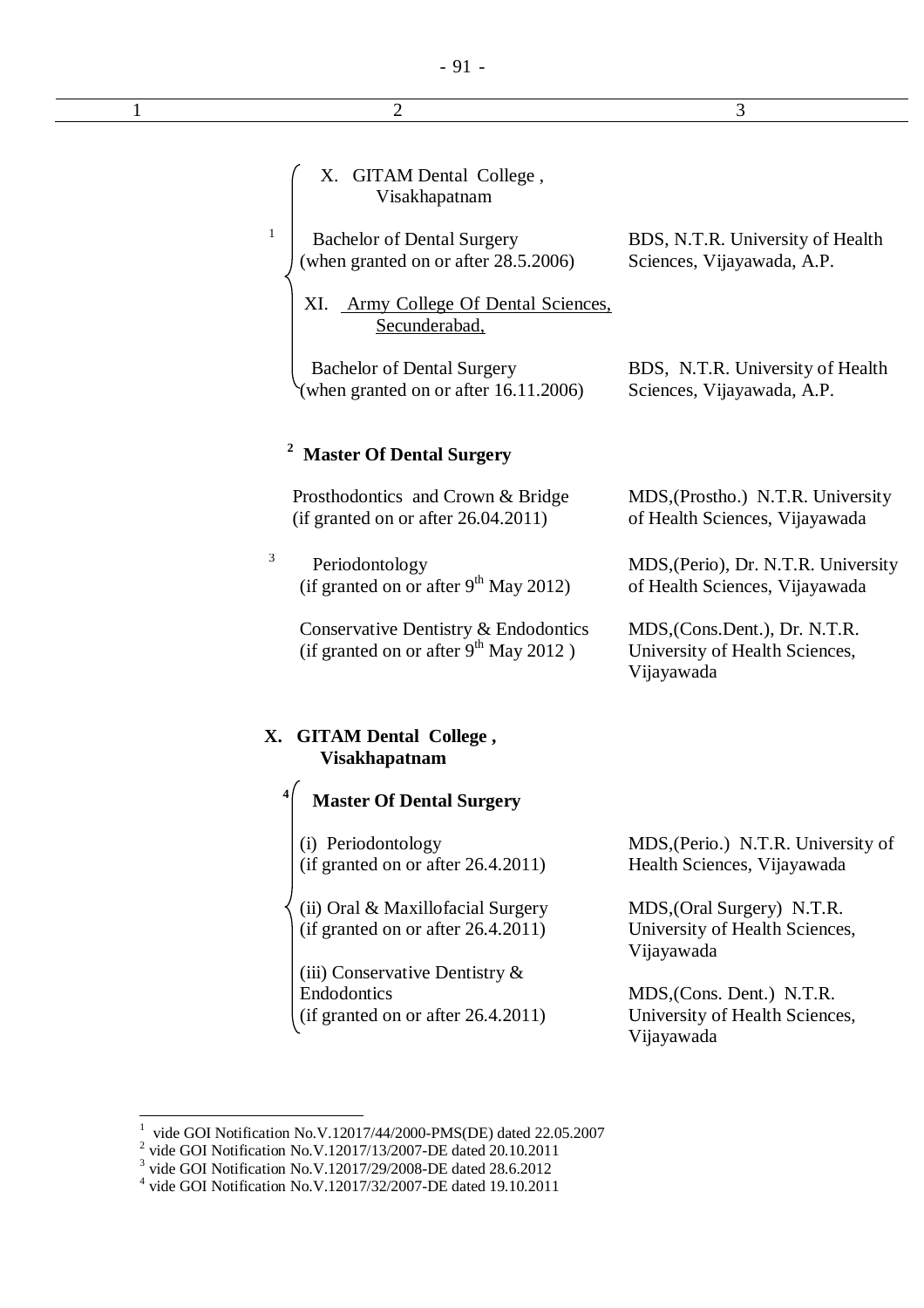| 2                                                                                      | 3                                                                             |
|----------------------------------------------------------------------------------------|-------------------------------------------------------------------------------|
|                                                                                        |                                                                               |
| X. GITAM Dental College,<br>Visakhapatnam                                              |                                                                               |
| 1<br><b>Bachelor of Dental Surgery</b><br>(when granted on or after 28.5.2006)         | BDS, N.T.R. University of Health<br>Sciences, Vijayawada, A.P.                |
| XI. Army College Of Dental Sciences,<br>Secunderabad,                                  |                                                                               |
| <b>Bachelor of Dental Surgery</b><br>(when granted on or after 16.11.2006)             | BDS, N.T.R. University of Health<br>Sciences, Vijayawada, A.P.                |
| <b>Master Of Dental Surgery</b>                                                        |                                                                               |
| Prosthodontics and Crown & Bridge<br>(if granted on or after $26.04.2011$ )            | MDS, (Prostho.) N.T.R. University<br>of Health Sciences, Vijayawada           |
| 3<br>Periodontology<br>(if granted on or after 9 <sup>th</sup> May 2012)               | MDS, (Perio), Dr. N.T.R. University<br>of Health Sciences, Vijayawada         |
| Conservative Dentistry & Endodontics<br>(if granted on or after $9^{th}$ May 2012)     | MDS, (Cons.Dent.), Dr. N.T.R.<br>University of Health Sciences,<br>Vijayawada |
| X. GITAM Dental College,<br><b>Visakhapatnam</b>                                       |                                                                               |
| $\sqrt{4}$<br><b>Master Of Dental Surgery</b>                                          |                                                                               |
| (i) Periodontology<br>(if granted on or after 26.4.2011)                               | MDS, (Perio.) N.T.R. University of<br>Health Sciences, Vijayawada             |
| (ii) Oral & Maxillofacial Surgery<br>(if granted on or after 26.4.2011)                | MDS, (Oral Surgery) N.T.R.<br>University of Health Sciences,<br>Vijayawada    |
| (iii) Conservative Dentistry $\&$<br>Endodontics<br>(if granted on or after 26.4.2011) | MDS, (Cons. Dent.) N.T.R.<br>University of Health Sciences,                   |

Vijayawada

<sup>&</sup>lt;sup>1</sup> vide GOI Notification No.V.12017/44/2000-PMS(DE) dated 22.05.2007<br><sup>2</sup> vide GOI Notification No.V.12017/13/2007-DE dated 20.10.2011<br><sup>3</sup> vide GOI Notification No.V.12017/29/2008-DE dated 28.6.2012<br><sup>4</sup> vide GOI Notificat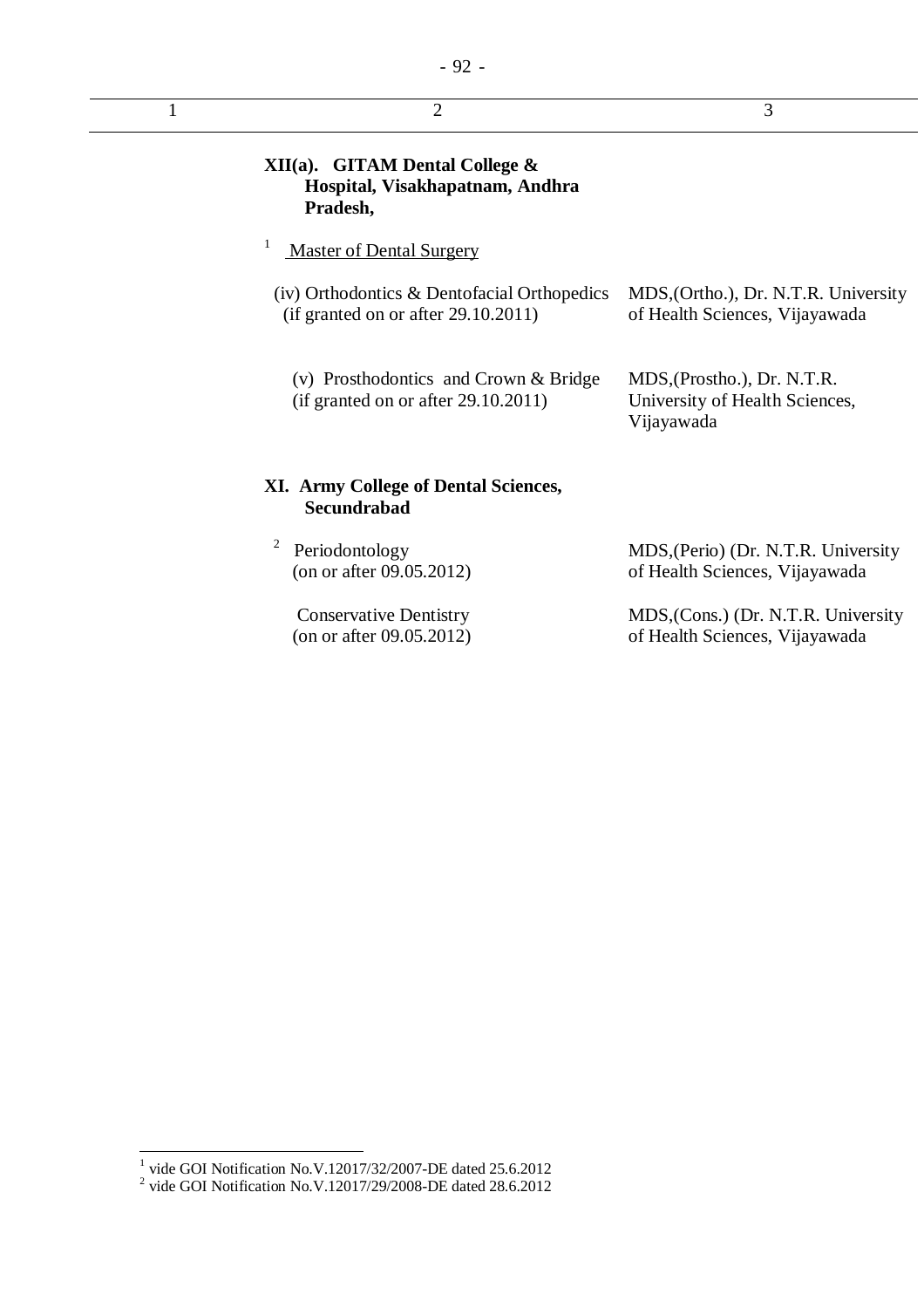| <b>XII(a).</b> GITAM Dental College $\&$<br>Hospital, Visakhapatnam, Andhra<br>Pradesh, |                                                                             |
|-----------------------------------------------------------------------------------------|-----------------------------------------------------------------------------|
| 1<br><b>Master of Dental Surgery</b>                                                    |                                                                             |
| (iv) Orthodontics & Dentofacial Orthopedics<br>(if granted on or after 29.10.2011)      | MDS, (Ortho.), Dr. N.T.R. University<br>of Health Sciences, Vijayawada      |
| (v) Prosthodontics and Crown $&$ Bridge<br>(if granted on or after 29.10.2011)          | MDS, (Prostho.), Dr. N.T.R.<br>University of Health Sciences,<br>Vijayawada |
| <b>XI. Army College of Dental Sciences,</b><br><b>Secundrabad</b>                       |                                                                             |
| 2<br>Periodontology<br>(on or after $09.05.2012$ )                                      | MDS, (Perio) (Dr. N.T.R. University<br>of Health Sciences, Vijayawada       |
| <b>Conservative Dentistry</b><br>(on or after 09.05.2012)                               | MDS, (Cons.) (Dr. N.T.R. University<br>of Health Sciences, Vijayawada       |

 1 vide GOI Notification No.V.12017/32/2007-DE dated 25.6.2012 2 vide GOI Notification No.V.12017/29/2008-DE dated 28.6.2012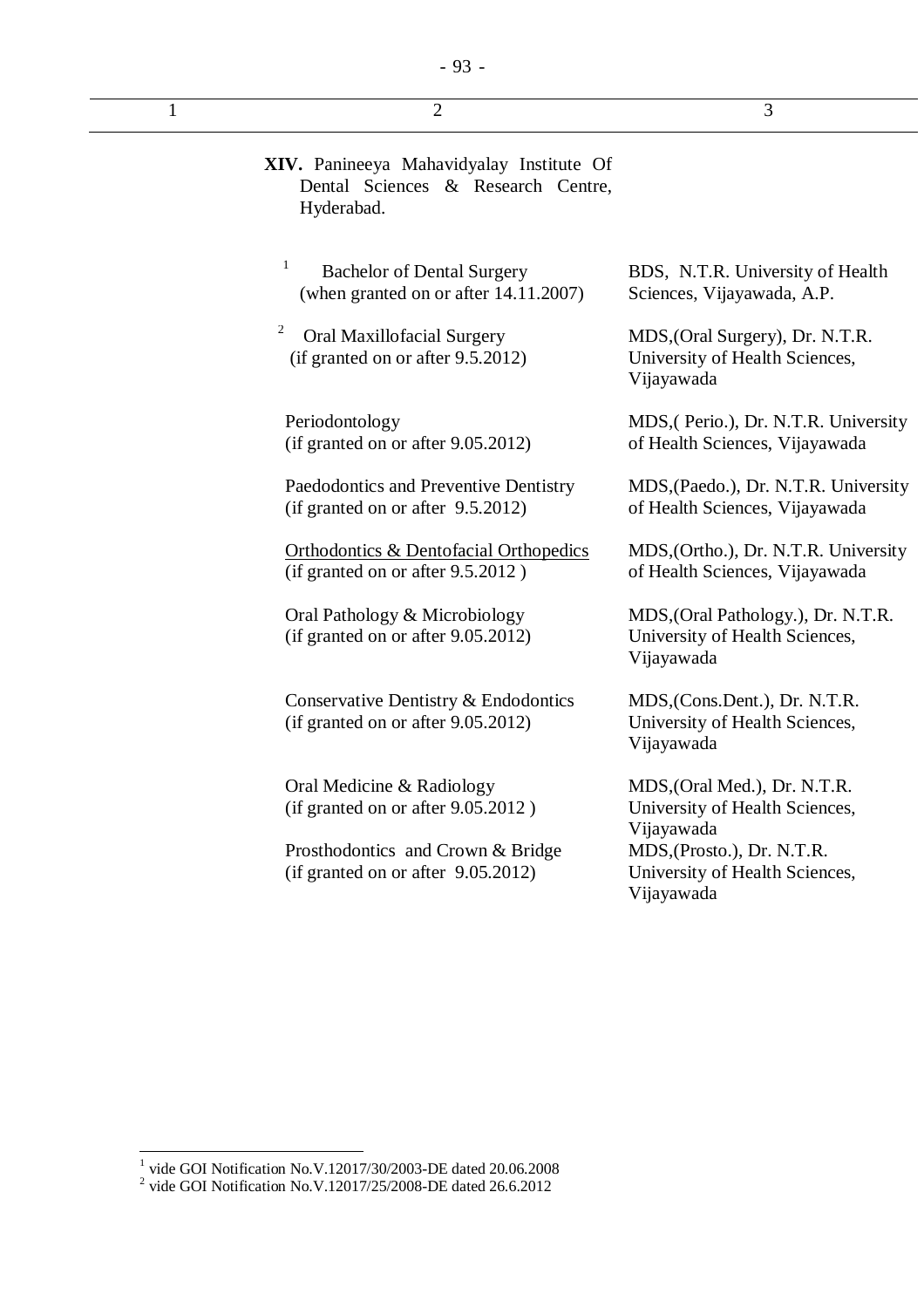| 1 | $\overline{2}$                                                                               | 3                                                                                  |
|---|----------------------------------------------------------------------------------------------|------------------------------------------------------------------------------------|
|   | XIV. Panineeya Mahavidyalay Institute Of<br>Dental Sciences & Research Centre,<br>Hyderabad. |                                                                                    |
|   | $\mathbf{1}$<br><b>Bachelor of Dental Surgery</b><br>(when granted on or after 14.11.2007)   | BDS, N.T.R. University of Health<br>Sciences, Vijayawada, A.P.                     |
|   | $\overline{c}$<br><b>Oral Maxillofacial Surgery</b><br>(if granted on or after 9.5.2012)     | MDS, (Oral Surgery), Dr. N.T.R.<br>University of Health Sciences,<br>Vijayawada    |
|   | Periodontology<br>(if granted on or after 9.05.2012)                                         | MDS, (Perio.), Dr. N.T.R. University<br>of Health Sciences, Vijayawada             |
|   | Paedodontics and Preventive Dentistry<br>(if granted on or after 9.5.2012)                   | MDS, (Paedo.), Dr. N.T.R. University<br>of Health Sciences, Vijayawada             |
|   | <b>Orthodontics &amp; Dentofacial Orthopedics</b><br>(if granted on or after 9.5.2012)       | MDS, (Ortho.), Dr. N.T.R. University<br>of Health Sciences, Vijayawada             |
|   | Oral Pathology & Microbiology<br>(if granted on or after 9.05.2012)                          | MDS, (Oral Pathology.), Dr. N.T.R.<br>University of Health Sciences,<br>Vijayawada |
|   | Conservative Dentistry & Endodontics<br>(if granted on or after 9.05.2012)                   | MDS, (Cons.Dent.), Dr. N.T.R.<br>University of Health Sciences,<br>Vijayawada      |
|   | Oral Medicine & Radiology<br>(if granted on or after 9.05.2012)                              | MDS, (Oral Med.), Dr. N.T.R.<br>University of Health Sciences,<br>Vijayawada       |
|   | Prosthodontics and Crown & Bridge<br>(if granted on or after $9.05.2012$ )                   | MDS, (Prosto.), Dr. N.T.R.<br>University of Health Sciences,                       |

Vijayawada

 1 vide GOI Notification No.V.12017/30/2003-DE dated 20.06.2008 2 vide GOI Notification No.V.12017/25/2008-DE dated 26.6.2012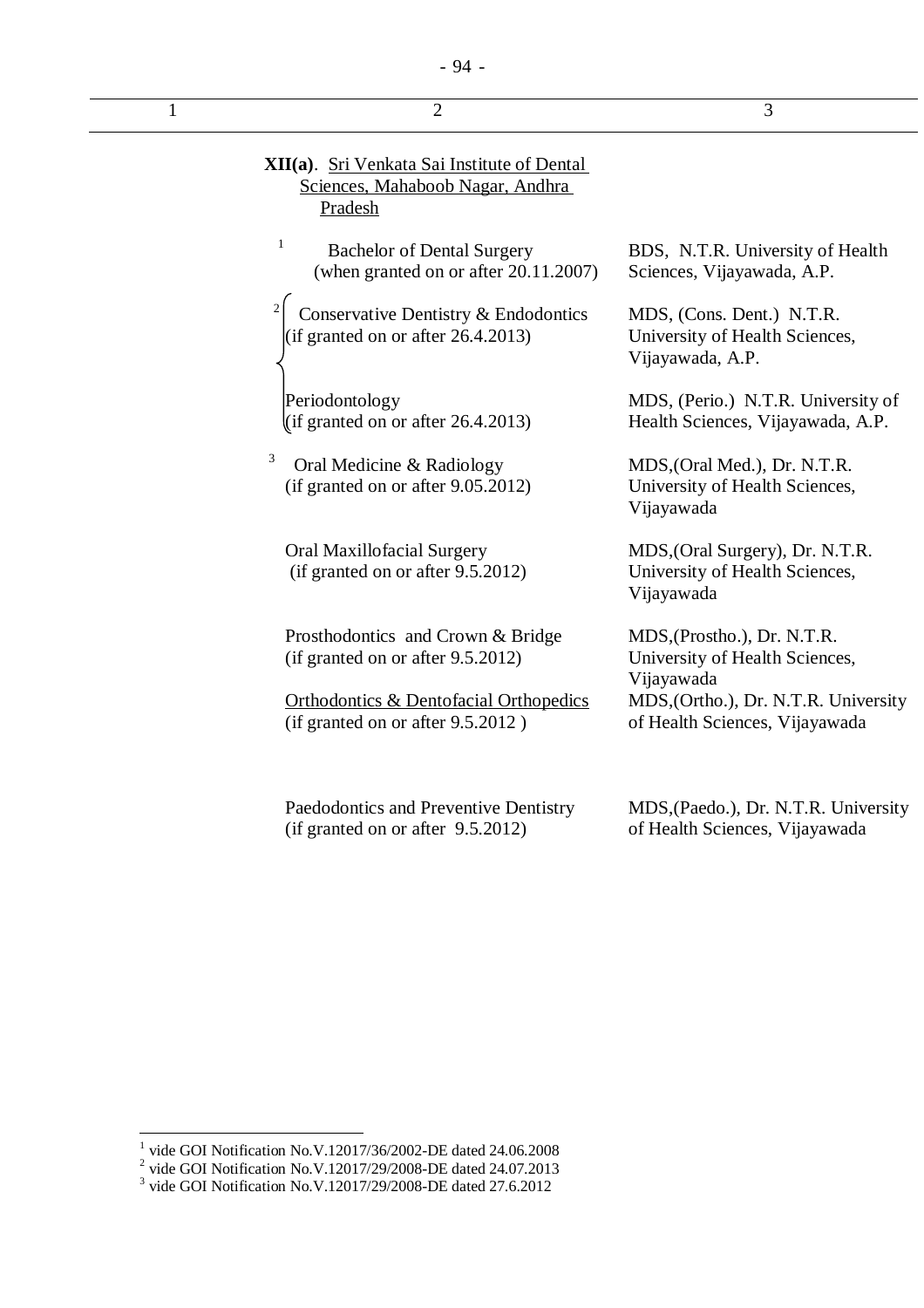| 1 | $\overline{2}$                                                                             | 3                                                                               |
|---|--------------------------------------------------------------------------------------------|---------------------------------------------------------------------------------|
|   | XII(a). Sri Venkata Sai Institute of Dental<br>Sciences, Mahaboob Nagar, Andhra<br>Pradesh |                                                                                 |
|   | 1<br><b>Bachelor of Dental Surgery</b><br>(when granted on or after 20.11.2007)            | BDS, N.T.R. University of Health<br>Sciences, Vijayawada, A.P.                  |
|   | Conservative Dentistry & Endodontics<br>(if granted on or after $26.4.2013$ )              | MDS, (Cons. Dent.) N.T.R.<br>University of Health Sciences,<br>Vijayawada, A.P. |
|   | Periodontology<br>(if granted on or after $26.4.2013$ )                                    | MDS, (Perio.) N.T.R. University of<br>Health Sciences, Vijayawada, A.P.         |
|   | 3<br>Oral Medicine & Radiology<br>(if granted on or after 9.05.2012)                       | MDS, (Oral Med.), Dr. N.T.R.<br>University of Health Sciences,<br>Vijayawada    |
|   | Oral Maxillofacial Surgery<br>(if granted on or after 9.5.2012)                            | MDS, (Oral Surgery), Dr. N.T.R.<br>University of Health Sciences,<br>Vijayawada |
|   | Prosthodontics and Crown & Bridge<br>(if granted on or after 9.5.2012)                     | MDS, (Prostho.), Dr. N.T.R.<br>University of Health Sciences,<br>Vijayawada     |
|   | <b>Orthodontics &amp; Dentofacial Orthopedics</b><br>(if granted on or after $9.5.2012$ )  | MDS, (Ortho.), Dr. N.T.R. University<br>of Health Sciences, Vijayawada          |

Paedodontics and Preventive Dentistry (if granted on or after 9.5.2012)

MDS,(Paedo.), Dr. N.T.R. University of Health Sciences, Vijayawada

<sup>&</sup>lt;sup>1</sup> vide GOI Notification No.V.12017/36/2002-DE dated 24.06.2008<br>
<sup>2</sup> vide GOI Notification No.V.12017/29/2008-DE dated 24.07.2013<br>
<sup>3</sup> vide GOI Notification No.V.12017/29/2008-DE dated 27.6.2012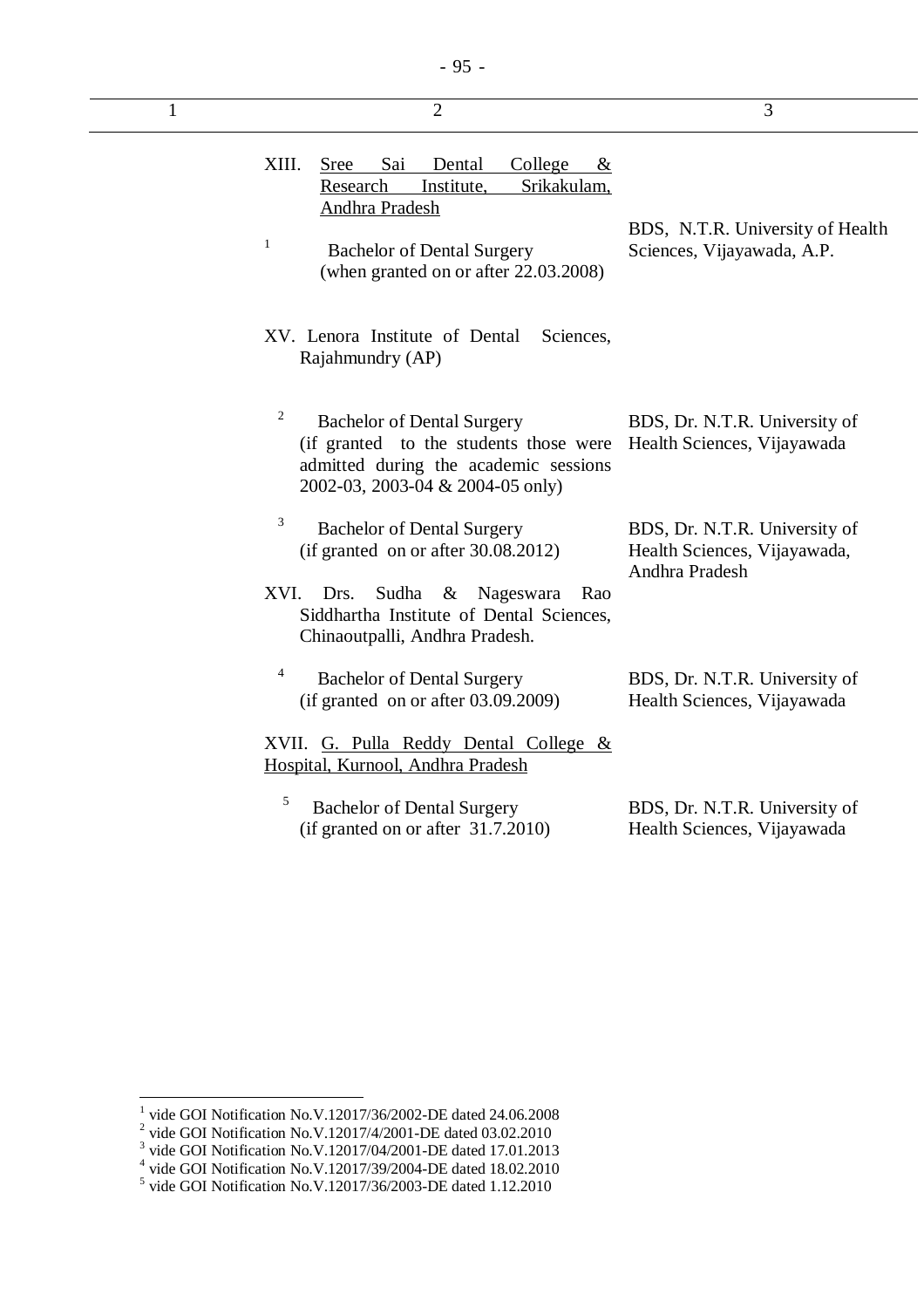| $\mathbf{1}$ | $\overline{2}$                                                                                                                                                                                                 | 3                                                                               |
|--------------|----------------------------------------------------------------------------------------------------------------------------------------------------------------------------------------------------------------|---------------------------------------------------------------------------------|
|              | XIII.<br>Sai<br>College<br><b>Sree</b><br>Dental<br>&<br>Research<br>Srikakulam,<br>Institute,<br>Andhra Pradesh<br>$\mathbf{1}$<br><b>Bachelor of Dental Surgery</b><br>(when granted on or after 22.03.2008) | BDS, N.T.R. University of Health<br>Sciences, Vijayawada, A.P.                  |
|              | XV. Lenora Institute of Dental<br>Sciences,<br>Rajahmundry (AP)                                                                                                                                                |                                                                                 |
|              | 2<br><b>Bachelor of Dental Surgery</b><br>(if granted to the students those were<br>admitted during the academic sessions<br>2002-03, 2003-04 & 2004-05 only)                                                  | BDS, Dr. N.T.R. University of<br>Health Sciences, Vijayawada                    |
|              | 3<br><b>Bachelor of Dental Surgery</b><br>(if granted on or after 30.08.2012)                                                                                                                                  | BDS, Dr. N.T.R. University of<br>Health Sciences, Vijayawada,<br>Andhra Pradesh |
|              | Nageswara<br>XVI.<br>Drs.<br>Sudha<br>$\&$<br>Rao<br>Siddhartha Institute of Dental Sciences,<br>Chinaoutpalli, Andhra Pradesh.                                                                                |                                                                                 |
|              | 4<br><b>Bachelor of Dental Surgery</b><br>(if granted on or after $03.09.2009$ )                                                                                                                               | BDS, Dr. N.T.R. University of<br>Health Sciences, Vijayawada                    |
|              | XVII. G. Pulla Reddy Dental College &<br>Hospital, Kurnool, Andhra Pradesh                                                                                                                                     |                                                                                 |
|              | 5<br><b>Bachelor of Dental Surgery</b><br>$(i$ f granted on or after 31.7.2010)                                                                                                                                | BDS, Dr. N.T.R. University of<br>Health Sciences, Vijayawada                    |

<sup>&</sup>lt;sup>1</sup> vide GOI Notification No.V.12017/36/2002-DE dated 24.06.2008<br>
<sup>2</sup> vide GOI Notification No.V.12017/4/2001-DE dated 03.02.2010<br>
<sup>3</sup> vide GOI Notification No.V.12017/04/2001-DE dated 17.01.2013<br>
<sup>4</sup> vide GOI Notificatio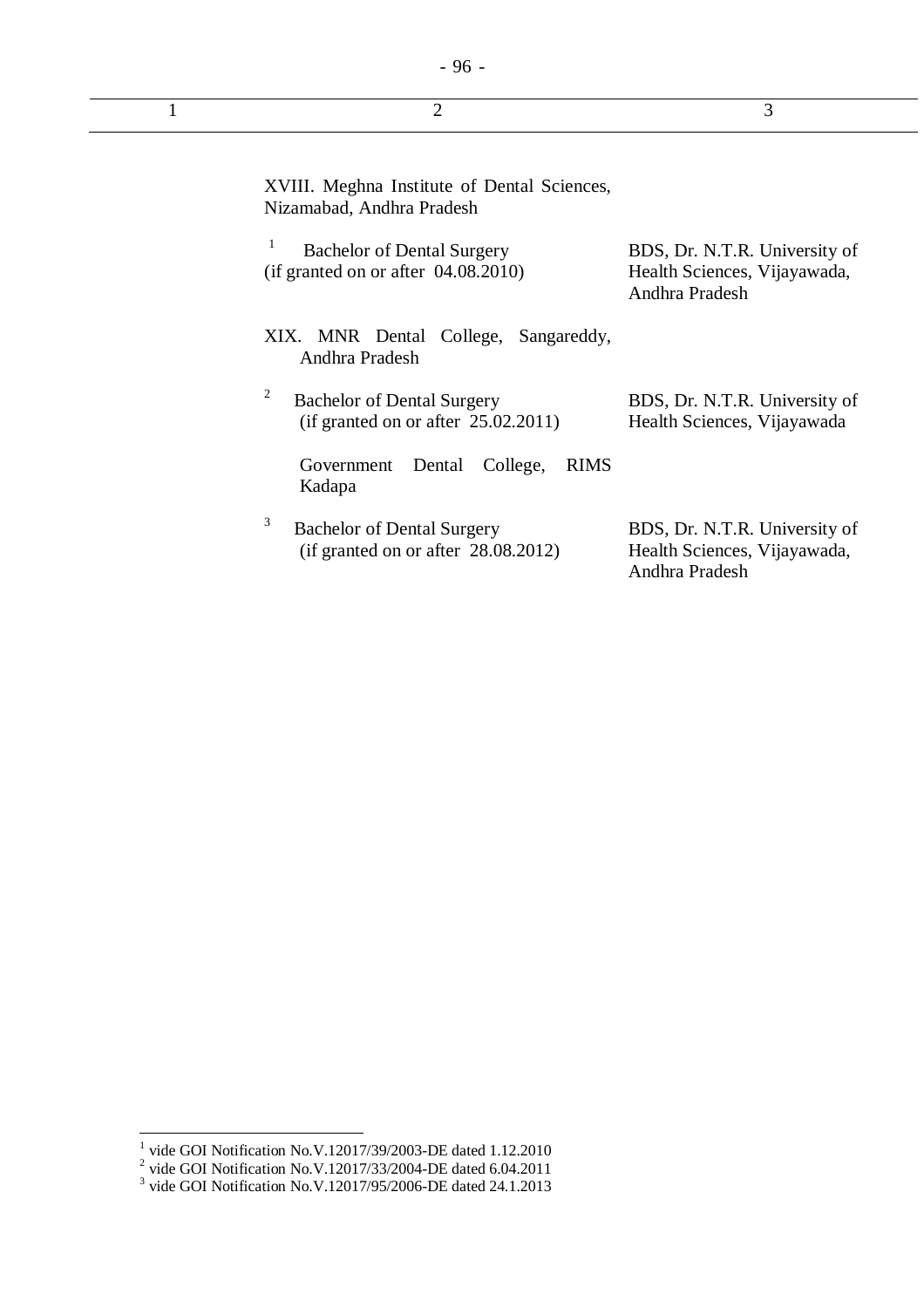| ٦<br>۰.<br>۰.<br>× |  |
|--------------------|--|
|--------------------|--|

(if granted on or after 28.08.2012)

| XVIII. Meghna Institute of Dental Sciences,<br>Nizamabad, Andhra Pradesh         |                                                                                 |
|----------------------------------------------------------------------------------|---------------------------------------------------------------------------------|
| 1<br><b>Bachelor of Dental Surgery</b><br>(if granted on or after 04.08.2010)    | BDS, Dr. N.T.R. University of<br>Health Sciences, Vijayawada,<br>Andhra Pradesh |
| XIX. MNR Dental College, Sangareddy,<br>Andhra Pradesh                           |                                                                                 |
| 2<br><b>Bachelor of Dental Surgery</b><br>(if granted on or after $25.02.2011$ ) | BDS, Dr. N.T.R. University of<br>Health Sciences, Vijayawada                    |
| Dental<br>College,<br><b>RIMS</b><br>Government<br>Kadapa                        |                                                                                 |
| 3<br><b>Bachelor of Dental Surgery</b>                                           | BDS, Dr. N.T.R. University of                                                   |

Health Sciences, Vijayawada,

Andhra Pradesh

<sup>&</sup>lt;sup>1</sup> vide GOI Notification No.V.12017/39/2003-DE dated 1.12.2010<br>
<sup>2</sup> vide GOI Notification No.V.12017/33/2004-DE dated 6.04.2011<br>
<sup>3</sup> vide GOI Notification No.V.12017/95/2006-DE dated 24.1.2013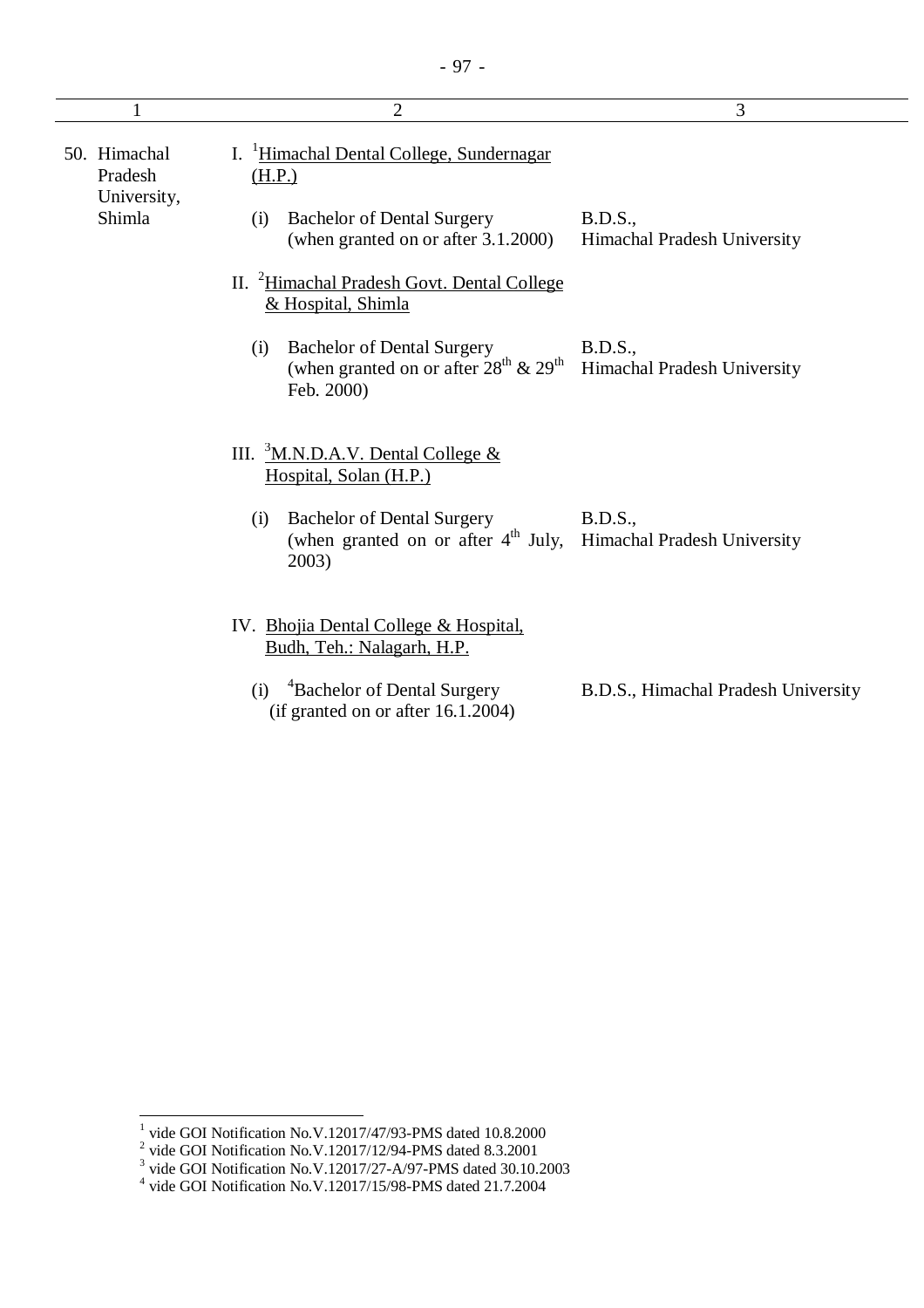| $\mathbf{1}$                           | $\overline{2}$                                                                                                          | 3                                              |
|----------------------------------------|-------------------------------------------------------------------------------------------------------------------------|------------------------------------------------|
| 50. Himachal<br>Pradesh<br>University, | I. <sup>1</sup> Himachal Dental College, Sundernagar<br>(H.P.)                                                          |                                                |
| Shimla                                 | <b>Bachelor of Dental Surgery</b><br>(i)<br>(when granted on or after 3.1.2000)                                         | <b>B.D.S.,</b><br>Himachal Pradesh University  |
|                                        | II. <sup>2</sup> Himachal Pradesh Govt. Dental College<br>& Hospital, Shimla                                            |                                                |
|                                        | <b>Bachelor of Dental Surgery</b><br>(i)<br>(when granted on or after $28^{\text{th}}$ & $29^{\text{th}}$<br>Feb. 2000) | <b>B.D.S.,</b><br>Himachal Pradesh University  |
|                                        | III. ${}^{3}$ M.N.D.A.V. Dental College &<br>Hospital, Solan (H.P.)                                                     |                                                |
|                                        | <b>Bachelor of Dental Surgery</b><br>(i)<br>(when granted on or after $4th$ July,<br>2003)                              | <b>B.D.S.</b> ,<br>Himachal Pradesh University |
|                                        | IV. Bhojia Dental College & Hospital.<br>Budh, Teh.: Nalagarh, H.P.                                                     |                                                |
|                                        | <sup>4</sup> Bachelor of Dental Surgery<br>(i)<br>(if granted on or after $16.1.2004$ )                                 | B.D.S., Himachal Pradesh University            |

<sup>&</sup>lt;sup>1</sup> vide GOI Notification No.V.12017/47/93-PMS dated 10.8.2000<br><sup>2</sup> vide GOI Notification No.V.12017/12/94-PMS dated 8.3.2001<br><sup>3</sup> vide GOI Notification No.V.12017/27-A/97-PMS dated 30.10.2003<br><sup>4</sup> vide GOI Notification No.V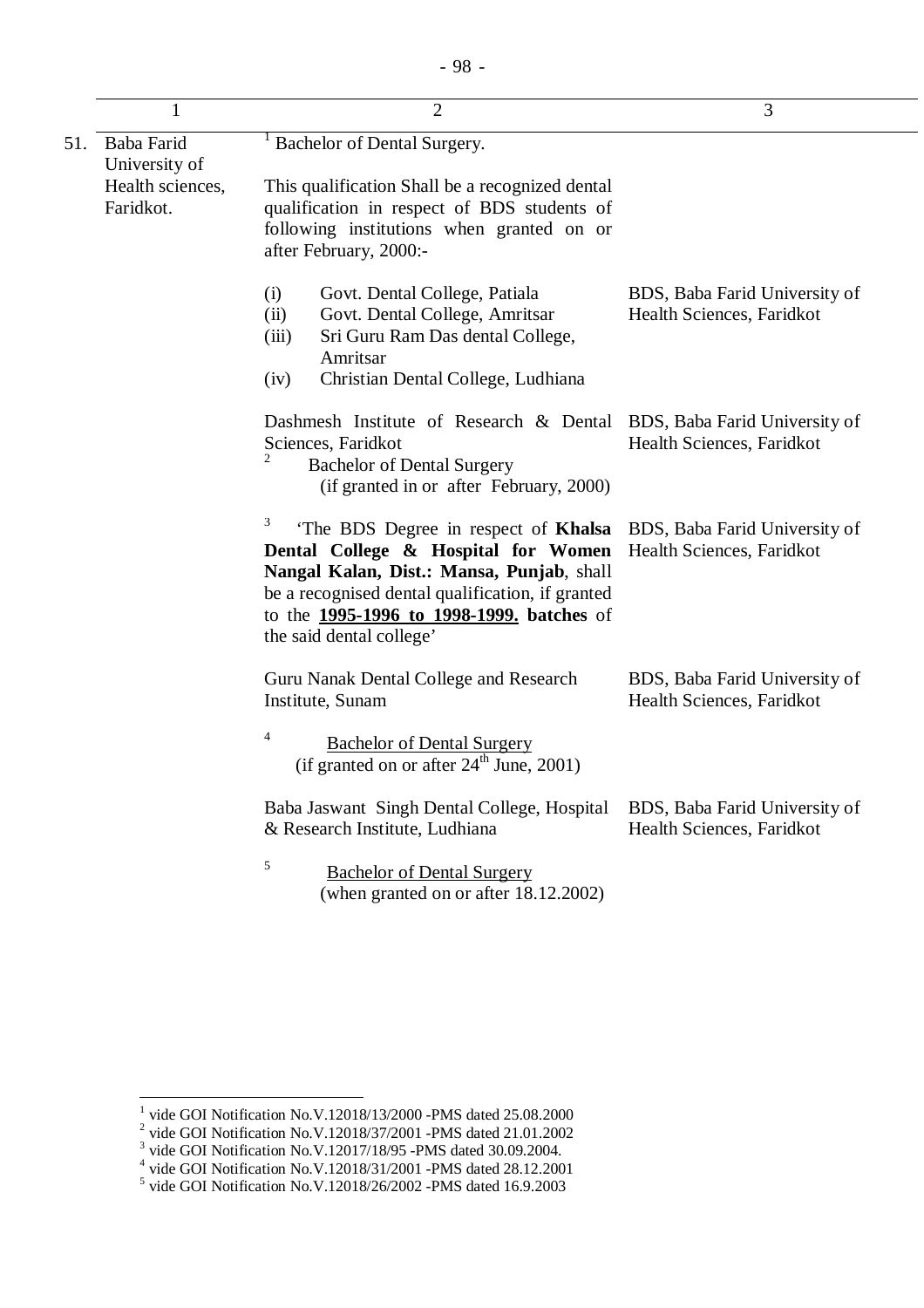|     | 1                                                            | $\overline{2}$                                                                                                                                                                                                                                                            | 3                                                          |
|-----|--------------------------------------------------------------|---------------------------------------------------------------------------------------------------------------------------------------------------------------------------------------------------------------------------------------------------------------------------|------------------------------------------------------------|
| 51. | Baba Farid<br>University of<br>Health sciences,<br>Faridkot. | Bachelor of Dental Surgery.<br>This qualification Shall be a recognized dental<br>qualification in respect of BDS students of<br>following institutions when granted on or<br>after February, 2000:-                                                                      |                                                            |
|     |                                                              | (i)<br>Govt. Dental College, Patiala<br>Govt. Dental College, Amritsar<br>(ii)<br>Sri Guru Ram Das dental College,<br>(iii)<br>Amritsar<br>Christian Dental College, Ludhiana<br>(iv)                                                                                     | BDS, Baba Farid University of<br>Health Sciences, Faridkot |
|     |                                                              | Dashmesh Institute of Research & Dental<br>Sciences, Faridkot<br><b>Bachelor of Dental Surgery</b><br>(if granted in or after February, 2000)                                                                                                                             | BDS, Baba Farid University of<br>Health Sciences, Faridkot |
|     |                                                              | 3<br>'The BDS Degree in respect of Khalsa<br>Dental College & Hospital for Women<br>Nangal Kalan, Dist.: Mansa, Punjab, shall<br>be a recognised dental qualification, if granted<br>to the <b>1995-1996 to 1998-1999</b> , <b>batches</b> of<br>the said dental college' | BDS, Baba Farid University of<br>Health Sciences, Faridkot |
|     |                                                              | Guru Nanak Dental College and Research<br>Institute, Sunam<br>$\overline{4}$<br><b>Bachelor of Dental Surgery</b><br>(if granted on or after $24^{\text{th}}$ June, 2001)                                                                                                 | BDS, Baba Farid University of<br>Health Sciences, Faridkot |
|     |                                                              | Baba Jaswant Singh Dental College, Hospital<br>& Research Institute, Ludhiana<br>5<br><b>Bachelor of Dental Surgery</b><br>(when granted on or after 18.12.2002)                                                                                                          | BDS, Baba Farid University of<br>Health Sciences, Faridkot |

<sup>&</sup>lt;sup>1</sup> vide GOI Notification No.V.12018/13/2000 -PMS dated 25.08.2000<br>
<sup>2</sup> vide GOI Notification No.V.12018/37/2001 -PMS dated 21.01.2002<br>
<sup>3</sup> vide GOI Notification No.V.12017/18/95 -PMS dated 30.09.2004.<br>
<sup>4</sup> vide GOI Notif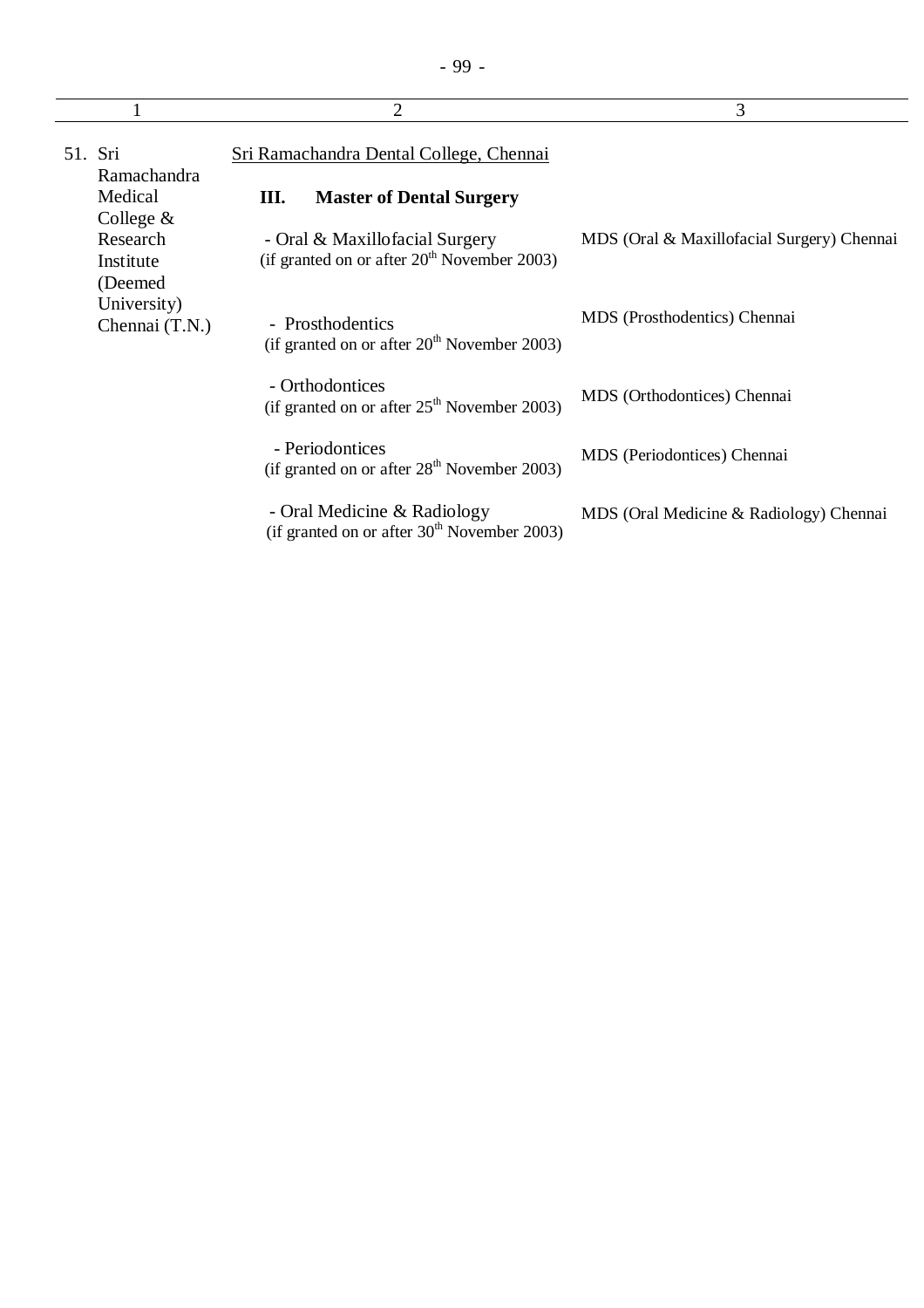|                                                  | 2                                                                               | 3                                          |
|--------------------------------------------------|---------------------------------------------------------------------------------|--------------------------------------------|
| 51. Sri<br>Ramachandra                           | Sri Ramachandra Dental College, Chennai                                         |                                            |
| Medical                                          | <b>Master of Dental Surgery</b><br>Ш.                                           |                                            |
| College $\&$<br>Research<br>Institute<br>(Deemed | - Oral & Maxillofacial Surgery<br>(if granted on or after $20th$ November 2003) | MDS (Oral & Maxillofacial Surgery) Chennai |
| University)<br>Chennai (T.N.)                    | - Prosthodentics<br>(if granted on or after $20th$ November 2003)               | MDS (Prosthodentics) Chennai               |
|                                                  | - Orthodontices<br>(if granted on or after $25th$ November 2003)                | MDS (Orthodontices) Chennai                |
|                                                  | - Periodontices<br>(if granted on or after 28 <sup>th</sup> November 2003)      | MDS (Periodontices) Chennai                |
|                                                  | - Oral Medicine & Radiology<br>(if granted on or after $30th$ November 2003)    | MDS (Oral Medicine & Radiology) Chennai    |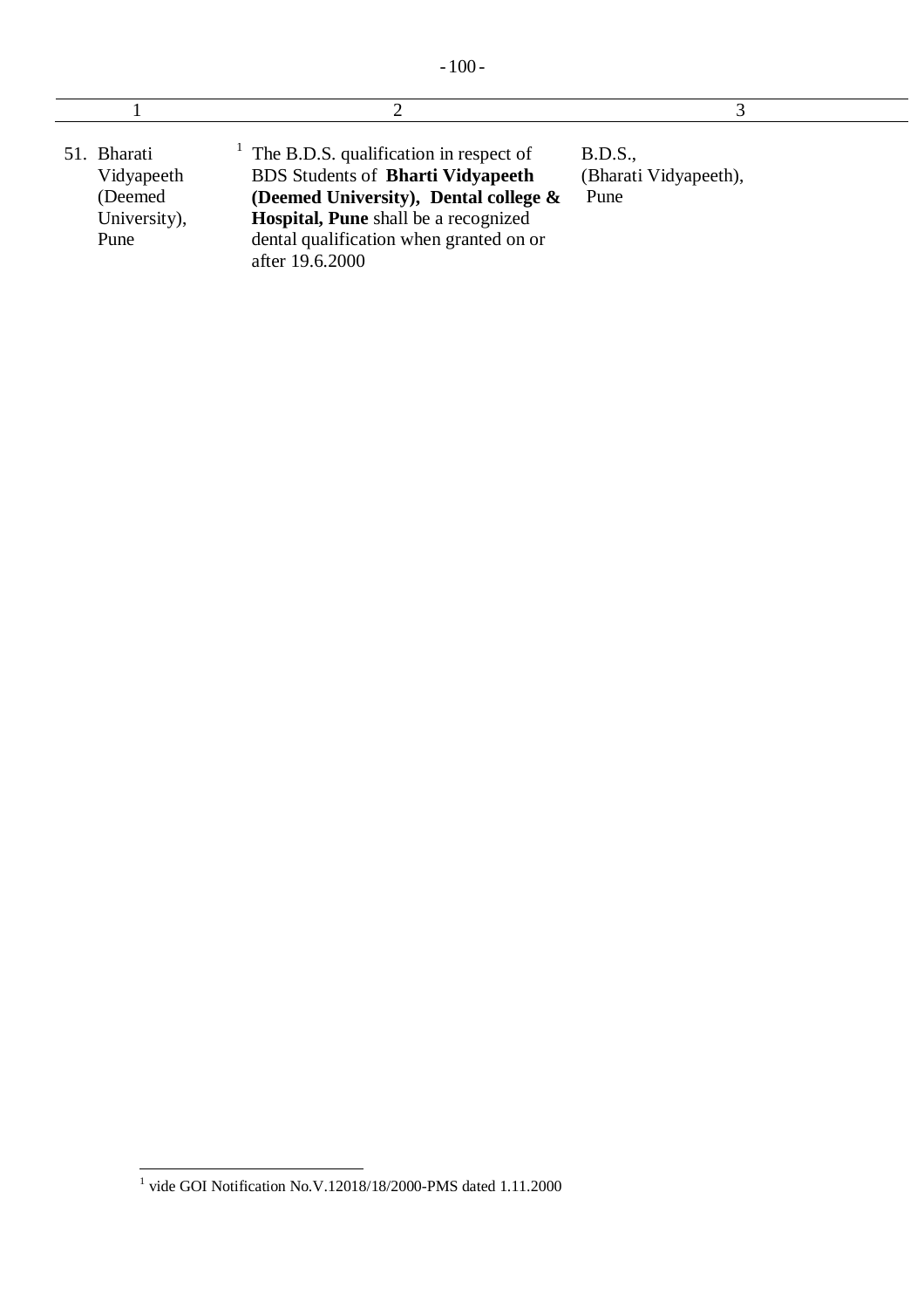| 51. Bharati<br>Vidyapeeth<br>(Deemed)<br>University),<br>Pune | The B.D.S. qualification in respect of<br><b>BDS</b> Students of <b>Bharti Vidyapeeth</b><br>(Deemed University), Dental college $\&$<br>Hospital, Pune shall be a recognized<br>dental qualification when granted on or<br>after 19.6.2000 | B.D.S.,<br>(Bharati Vidyapeeth),<br>Pune |  |
|---------------------------------------------------------------|---------------------------------------------------------------------------------------------------------------------------------------------------------------------------------------------------------------------------------------------|------------------------------------------|--|

 1 vide GOI Notification No.V.12018/18/2000-PMS dated 1.11.2000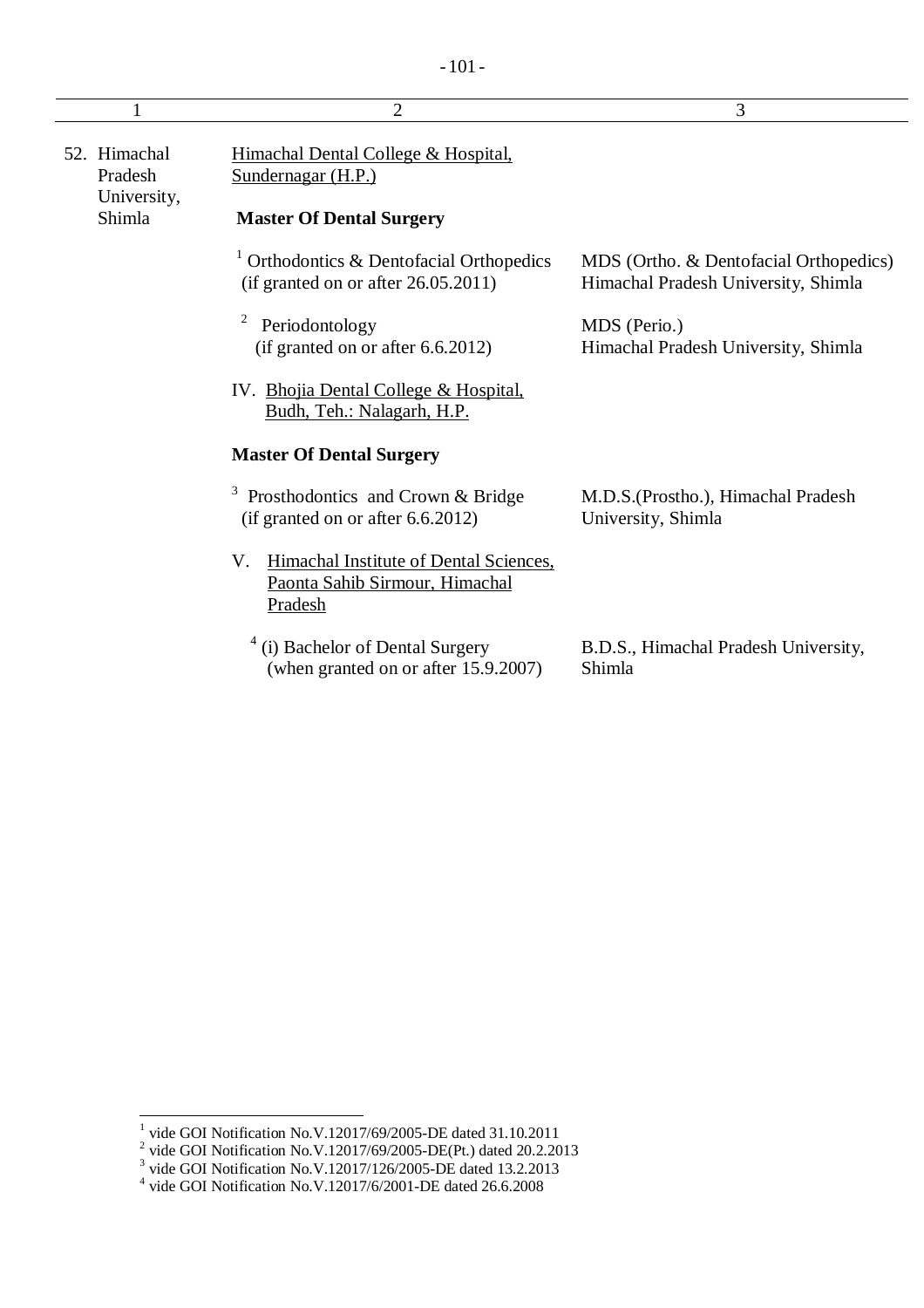|                                                  | 2                                                                                            | 3                                                                             |
|--------------------------------------------------|----------------------------------------------------------------------------------------------|-------------------------------------------------------------------------------|
| 52. Himachal<br>Pradesh<br>University,<br>Shimla | Himachal Dental College & Hospital,<br>Sundernagar (H.P.)<br><b>Master Of Dental Surgery</b> |                                                                               |
|                                                  | Orthodontics & Dentofacial Orthopedics<br>(if granted on or after $26.05.2011$ )             | MDS (Ortho. & Dentofacial Orthopedics)<br>Himachal Pradesh University, Shimla |
|                                                  | $\overline{c}$<br>Periodontology<br>(if granted on or after $6.6.2012$ )                     | MDS (Perio.)<br>Himachal Pradesh University, Shimla                           |
|                                                  | IV. Bhojia Dental College & Hospital.<br>Budh, Teh.: Nalagarh, H.P.                          |                                                                               |
|                                                  | <b>Master Of Dental Surgery</b>                                                              |                                                                               |
|                                                  | 3<br>Prosthodontics and Crown & Bridge<br>(if granted on or after 6.6.2012)                  | M.D.S. (Prostho.), Himachal Pradesh<br>University, Shimla                     |
|                                                  | Himachal Institute of Dental Sciences,<br>V.<br>Paonta Sahib Sirmour, Himachal<br>Pradesh    |                                                                               |
|                                                  | (i) Bachelor of Dental Surgery<br>(when granted on or after 15.9.2007)                       | B.D.S., Himachal Pradesh University,<br>Shimla                                |

<sup>&</sup>lt;sup>1</sup> vide GOI Notification No.V.12017/69/2005-DE dated 31.10.2011<br>
<sup>2</sup> vide GOI Notification No.V.12017/69/2005-DE(Pt.) dated 20.2.2013<br>
<sup>3</sup> vide GOI Notification No.V.12017/126/2005-DE dated 13.2.2013<br>
<sup>4</sup> vide GOI Notifi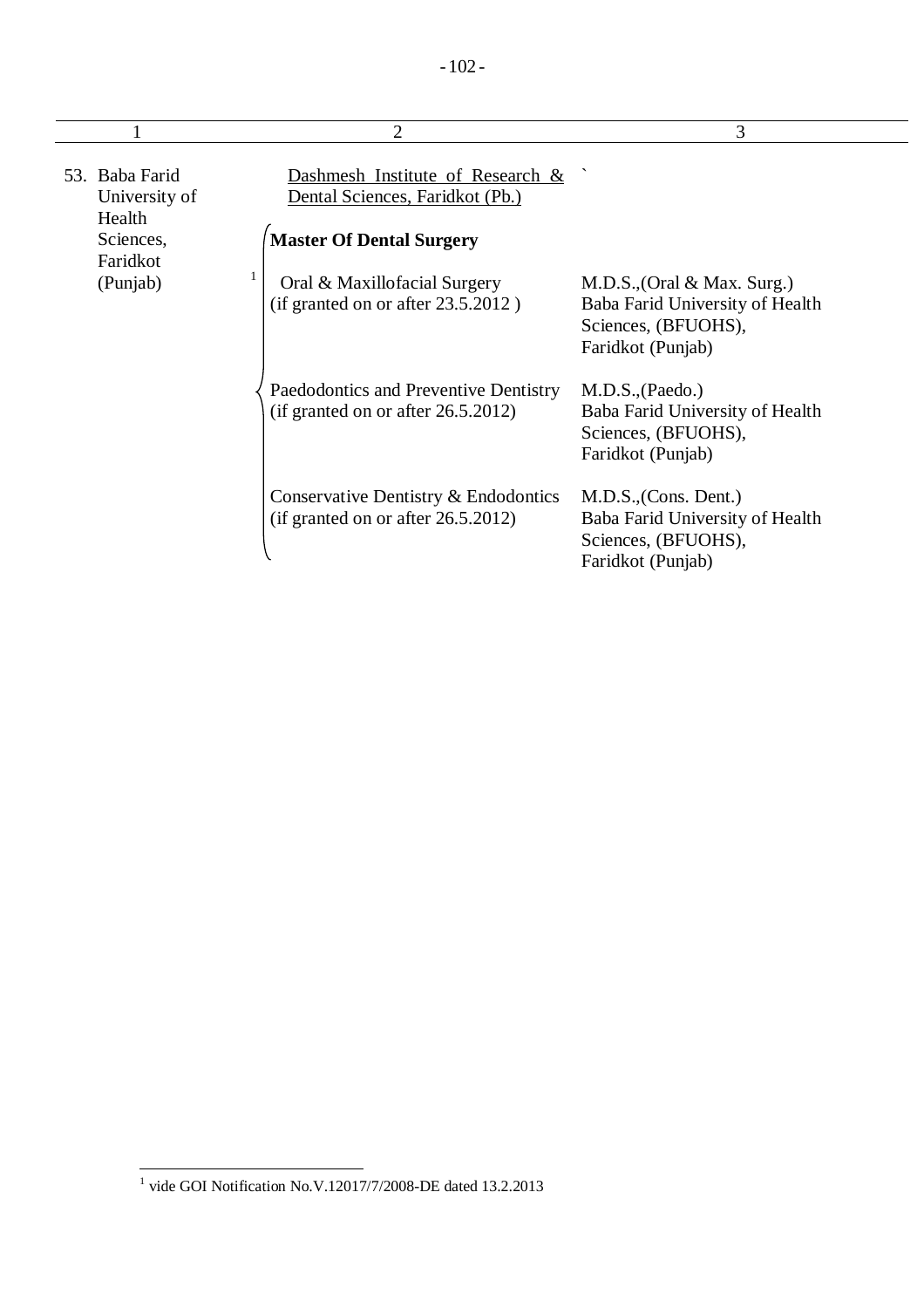|                                           |   | $\overline{2}$                                                                 | 3                                                                                                            |
|-------------------------------------------|---|--------------------------------------------------------------------------------|--------------------------------------------------------------------------------------------------------------|
| 53. Baba Farid<br>University of<br>Health |   | Dashmesh Institute of Research &<br>Dental Sciences, Faridkot (Pb.)            |                                                                                                              |
| Sciences,                                 |   | <b>Master Of Dental Surgery</b>                                                |                                                                                                              |
| Faridkot<br>(Punjab)                      | 1 | Oral & Maxillofacial Surgery<br>(if granted on or after $23.5.2012$ )          | $M.D.S., (Oral & Max. Surg.)$<br>Baba Farid University of Health<br>Sciences, (BFUOHS),<br>Faridkot (Punjab) |
|                                           |   | Paedodontics and Preventive Dentistry<br>(if granted on or after $26.5.2012$ ) | M.D.S., (Paedo.)<br>Baba Farid University of Health<br>Sciences, (BFUOHS),<br>Faridkot (Punjab)              |
|                                           |   | Conservative Dentistry & Endodontics<br>(if granted on or after $26.5.2012$ )  | M.D.S., (Cons. Dent.)<br>Baba Farid University of Health<br>Sciences, (BFUOHS),<br>Faridkot (Punjab)         |

 $\overline{\phantom{a}}$ 1 vide GOI Notification No.V.12017/7/2008-DE dated 13.2.2013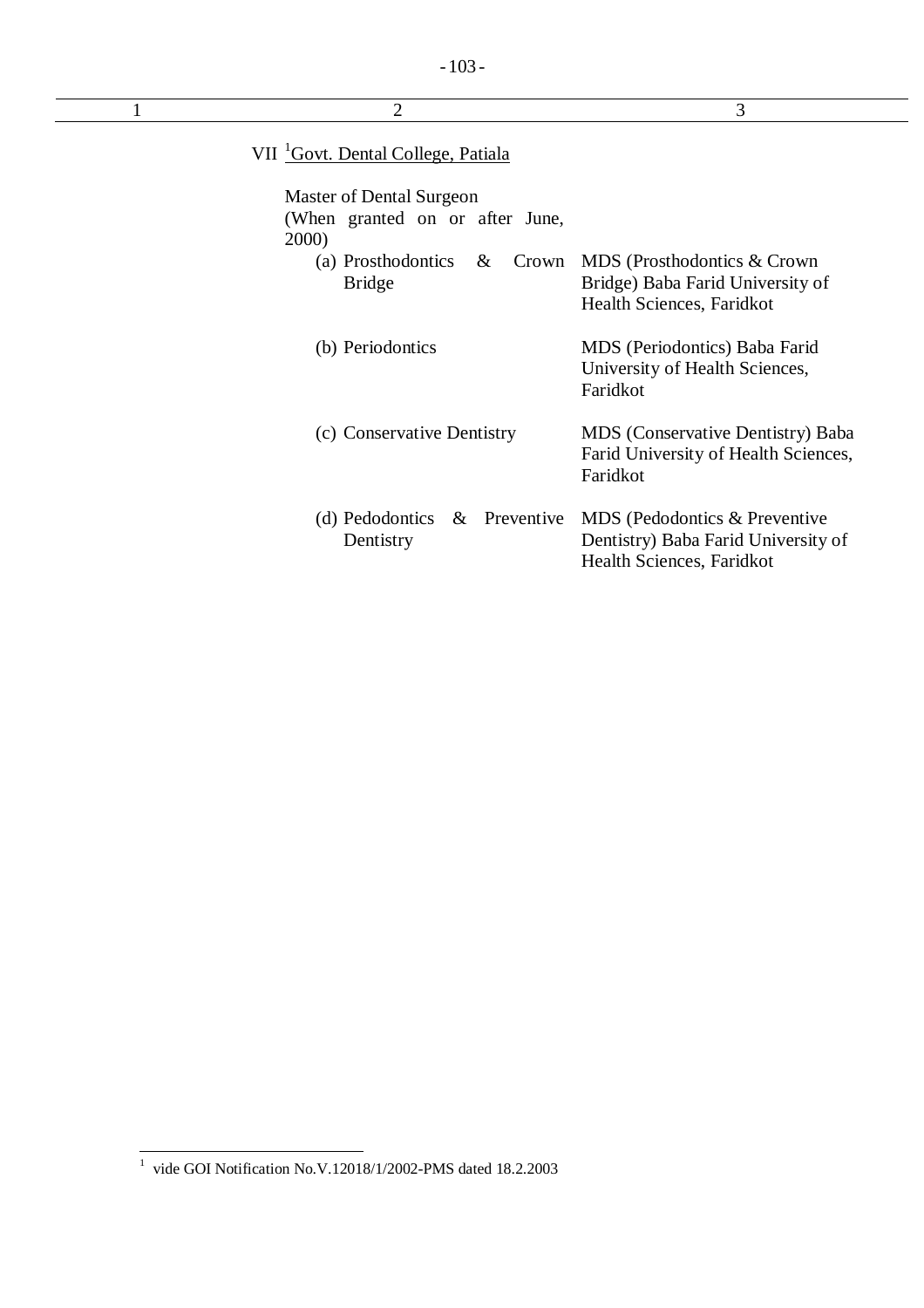| $\overline{2}$                                                       | 3                                                                                                  |
|----------------------------------------------------------------------|----------------------------------------------------------------------------------------------------|
| VII <sup>1</sup> Govt. Dental College, Patiala                       |                                                                                                    |
| Master of Dental Surgeon<br>(When granted on or after June,<br>2000) |                                                                                                    |
| (a) Prosthodontics<br>$\&$<br><b>Bridge</b>                          | Crown MDS (Prosthodontics & Crown<br>Bridge) Baba Farid University of<br>Health Sciences, Faridkot |
| (b) Periodontics                                                     | MDS (Periodontics) Baba Farid<br>University of Health Sciences,<br>Faridkot                        |
| (c) Conservative Dentistry                                           | MDS (Conservative Dentistry) Baba<br>Farid University of Health Sciences,<br>Faridkot              |
| (d) Pedodontics $\&$ Preventive<br>Dentistry                         | MDS (Pedodontics & Preventive<br>Dentistry) Baba Farid University of<br>Health Sciences, Faridkot  |

 1 vide GOI Notification No.V.12018/1/2002-PMS dated 18.2.2003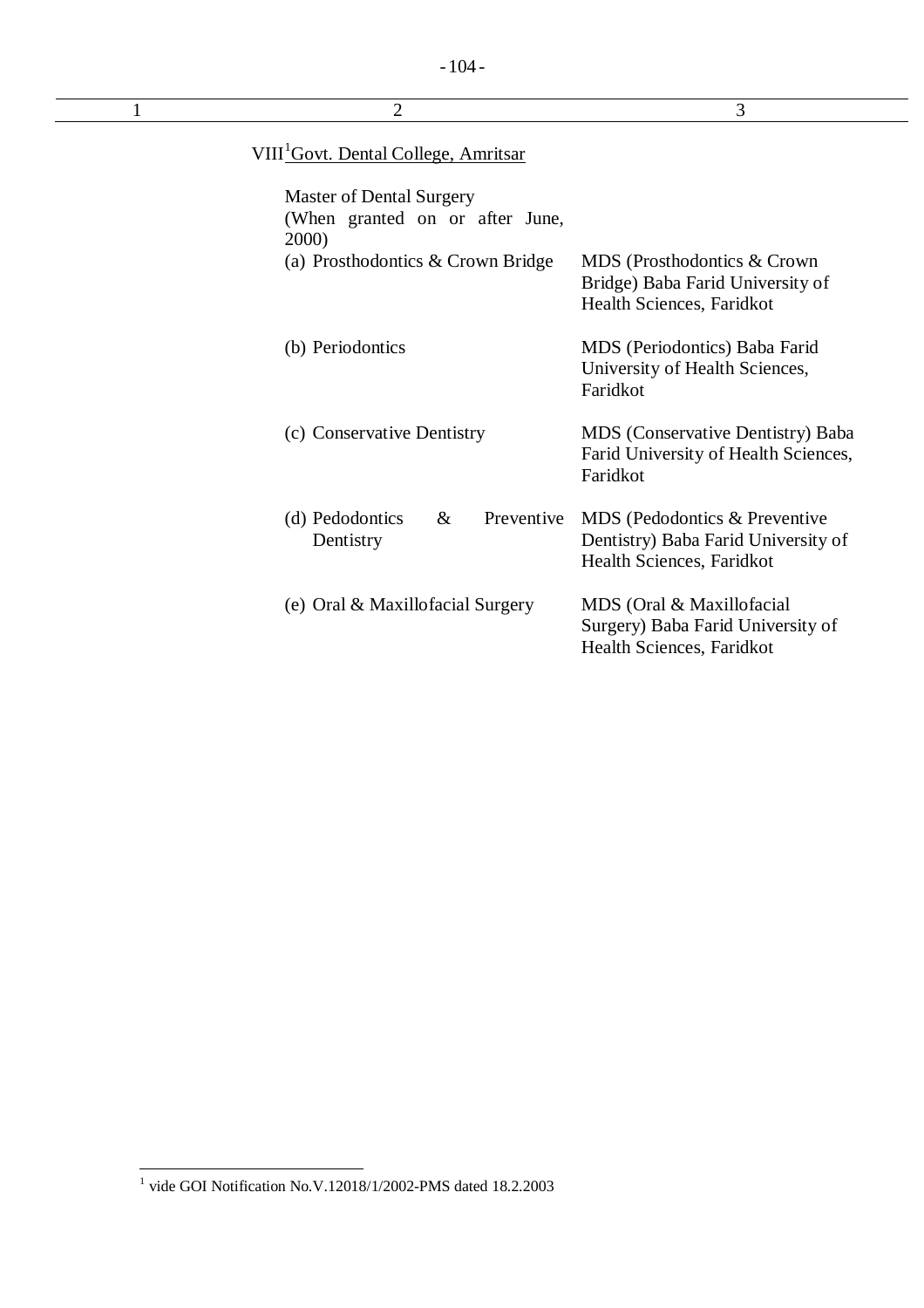| $\overline{2}$                                                                                            | 3                                                                                                 |
|-----------------------------------------------------------------------------------------------------------|---------------------------------------------------------------------------------------------------|
| VIII <sup>1</sup> Govt. Dental College, Amritsar                                                          |                                                                                                   |
| Master of Dental Surgery<br>(When granted on or after June,<br>2000)<br>(a) Prosthodontics & Crown Bridge | MDS (Prosthodontics & Crown                                                                       |
|                                                                                                           | Bridge) Baba Farid University of<br>Health Sciences, Faridkot                                     |
| (b) Periodontics                                                                                          | MDS (Periodontics) Baba Farid<br>University of Health Sciences,<br>Faridkot                       |
| (c) Conservative Dentistry                                                                                | MDS (Conservative Dentistry) Baba<br>Farid University of Health Sciences,<br>Faridkot             |
| (d) Pedodontics<br>Preventive<br>$\&$<br>Dentistry                                                        | MDS (Pedodontics & Preventive<br>Dentistry) Baba Farid University of<br>Health Sciences, Faridkot |
| (e) Oral & Maxillofacial Surgery                                                                          | MDS (Oral & Maxillofacial<br>Surgery) Baba Farid University of<br>Health Sciences, Faridkot       |

 $\overline{\phantom{a}}$ 

 1 vide GOI Notification No.V.12018/1/2002-PMS dated 18.2.2003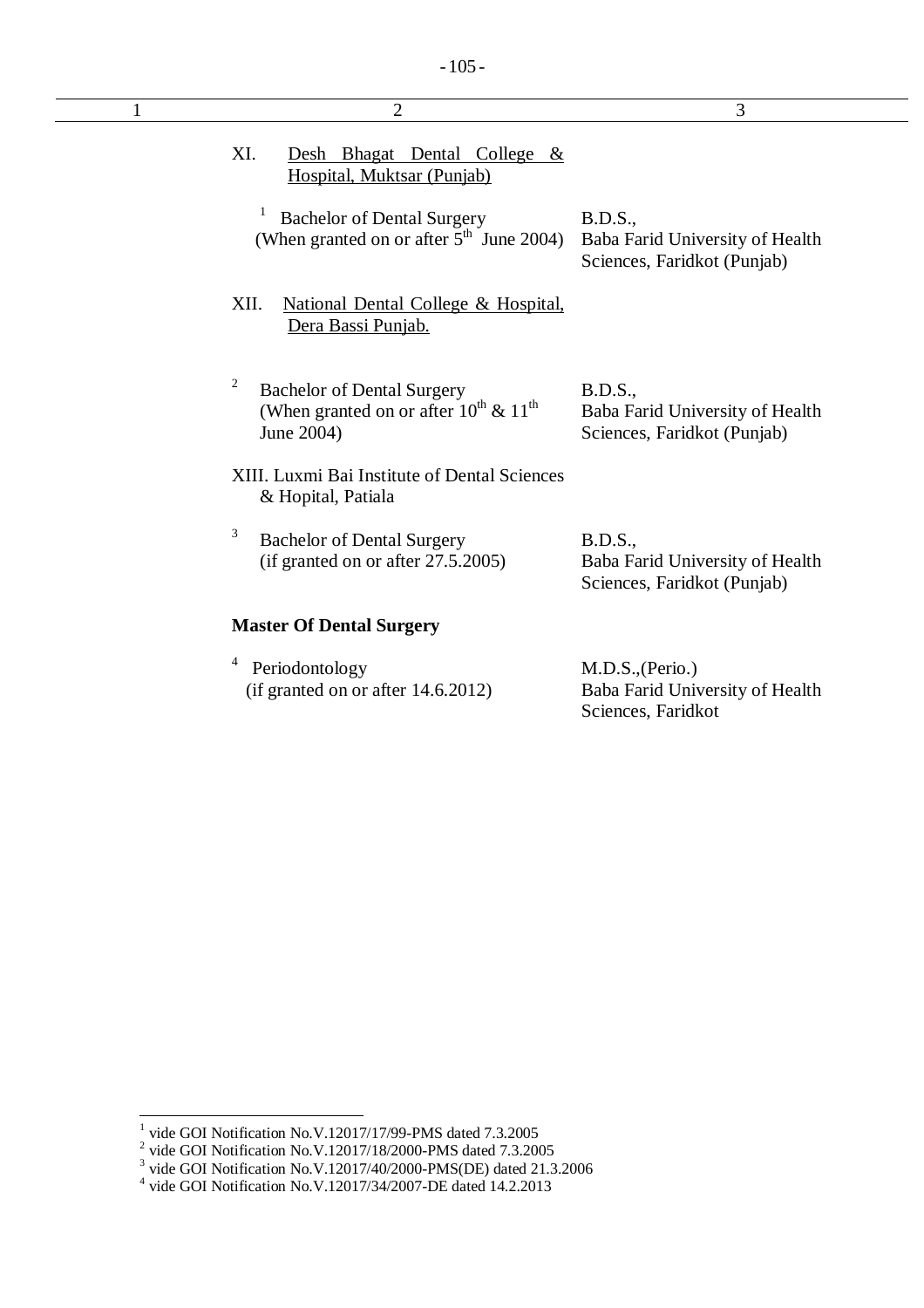| $\overline{2}$                                                                                          | 3                                                                                |
|---------------------------------------------------------------------------------------------------------|----------------------------------------------------------------------------------|
| XI.<br>Desh Bhagat Dental College &<br>Hospital, Muktsar (Punjab)                                       |                                                                                  |
| <b>Bachelor of Dental Surgery</b><br>(When granted on or after $5th$ June 2004)                         | <b>B.D.S.,</b><br>Baba Farid University of Health<br>Sciences, Faridkot (Punjab) |
| XII.<br>National Dental College & Hospital,<br>Dera Bassi Punjab.                                       |                                                                                  |
| 2<br><b>Bachelor of Dental Surgery</b><br>(When granted on or after $10^{th}$ & $11^{th}$<br>June 2004) | <b>B.D.S.,</b><br>Baba Farid University of Health<br>Sciences, Faridkot (Punjab) |
| XIII. Luxmi Bai Institute of Dental Sciences<br>& Hopital, Patiala                                      |                                                                                  |
| 3<br><b>Bachelor of Dental Surgery</b><br>(if granted on or after $27.5.2005$ )                         | B.D.S.,<br>Baba Farid University of Health<br>Sciences, Faridkot (Punjab)        |
| <b>Master Of Dental Surgery</b>                                                                         |                                                                                  |
| Periodontology<br>(if granted on or after 14.6.2012)                                                    | M.D.S., (Perio.)<br>Baba Farid University of Health<br>Sciences, Faridkot        |

<sup>&</sup>lt;sup>1</sup> vide GOI Notification No.V.12017/17/99-PMS dated 7.3.2005<br><sup>2</sup> vide GOI Notification No.V.12017/18/2000-PMS dated 7.3.2005<br><sup>3</sup> vide GOI Notification No.V.12017/40/2000-PMS(DE) dated 21.3.2006<br><sup>4</sup> vide GOI Notification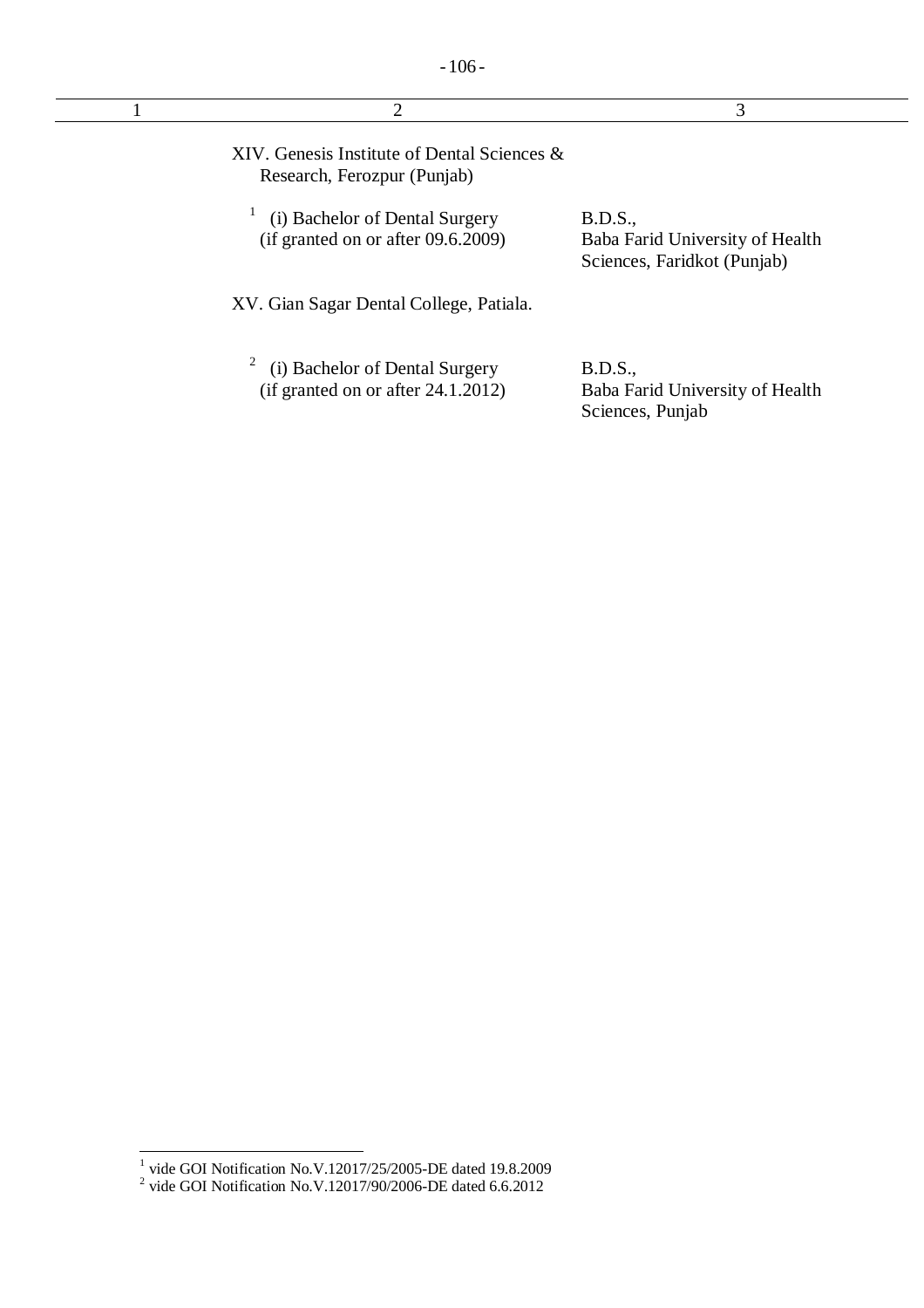| $\overline{2}$                                                                            | 3                                                                         |
|-------------------------------------------------------------------------------------------|---------------------------------------------------------------------------|
| XIV. Genesis Institute of Dental Sciences $\&$<br>Research, Ferozpur (Punjab)             |                                                                           |
| (i) Bachelor of Dental Surgery<br>(if granted on or after $09.6.2009$ )                   | B.D.S.,<br>Baba Farid University of Health<br>Sciences, Faridkot (Punjab) |
| XV. Gian Sagar Dental College, Patiala.                                                   |                                                                           |
| $\overline{c}$<br>(i) Bachelor of Dental Surgery<br>(if granted on or after $24.1.2012$ ) | <b>B.D.S.,</b><br>Baba Farid University of Health<br>Sciences, Punjab     |

 1 vide GOI Notification No.V.12017/25/2005-DE dated 19.8.2009 2 vide GOI Notification No.V.12017/90/2006-DE dated 6.6.2012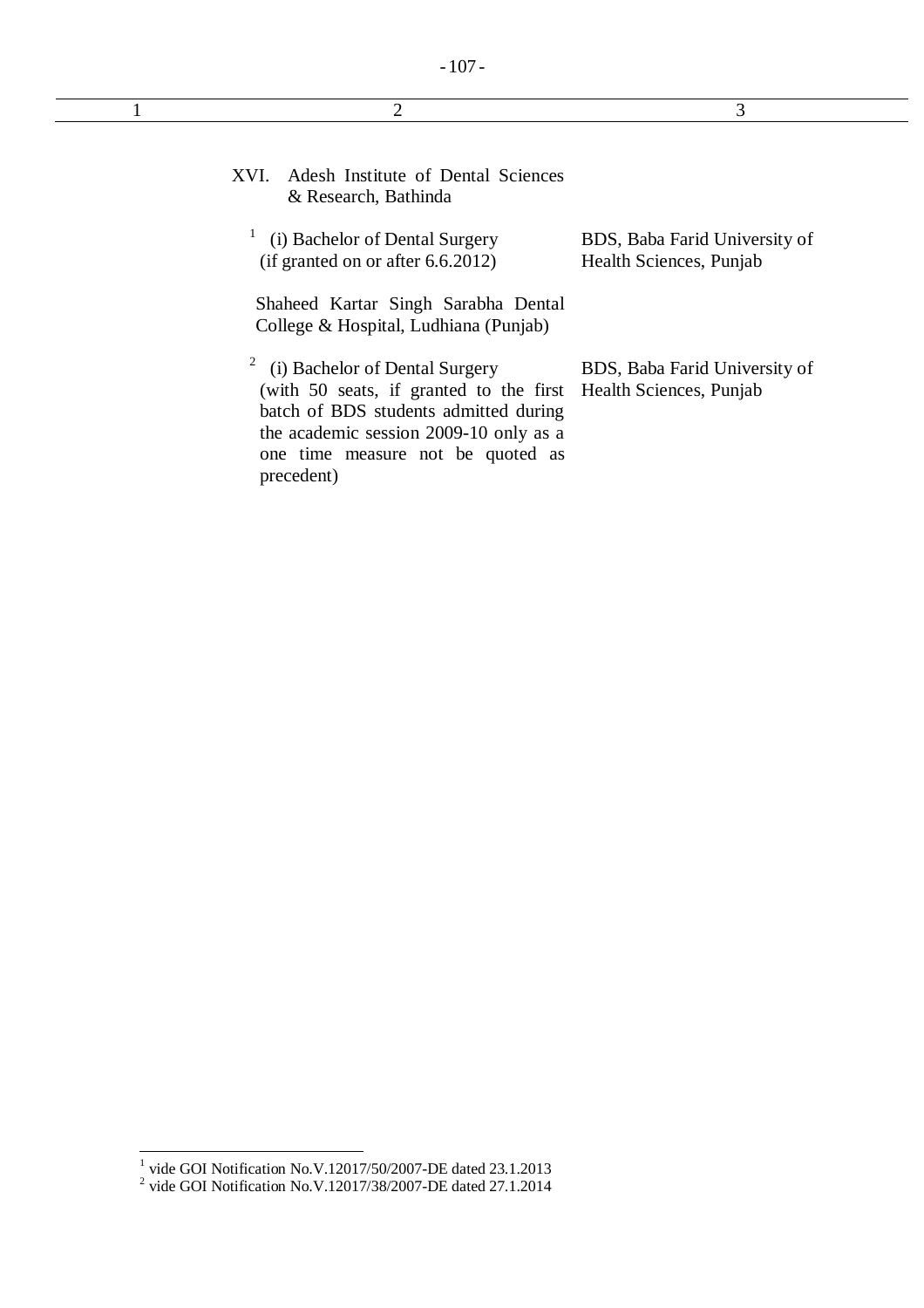| 2                                                                                                                                                                                                                                                       | 3                                                        |
|---------------------------------------------------------------------------------------------------------------------------------------------------------------------------------------------------------------------------------------------------------|----------------------------------------------------------|
| Adesh Institute of Dental Sciences<br>XVI.<br>& Research, Bathinda                                                                                                                                                                                      |                                                          |
| (i) Bachelor of Dental Surgery<br>(if granted on or after $6.6.2012$ )<br>Shaheed Kartar Singh Sarabha Dental<br>College & Hospital, Ludhiana (Punjab)                                                                                                  | BDS, Baba Farid University of<br>Health Sciences, Punjab |
| $\mathbf{Z}$<br>(i) Bachelor of Dental Surgery<br>(with 50 seats, if granted to the first Health Sciences, Punjab<br>batch of BDS students admitted during<br>the academic session 2009-10 only as a<br>one time measure not be quoted as<br>precedent) | BDS, Baba Farid University of                            |

 1 vide GOI Notification No.V.12017/50/2007-DE dated 23.1.2013 2 vide GOI Notification No.V.12017/38/2007-DE dated 27.1.2014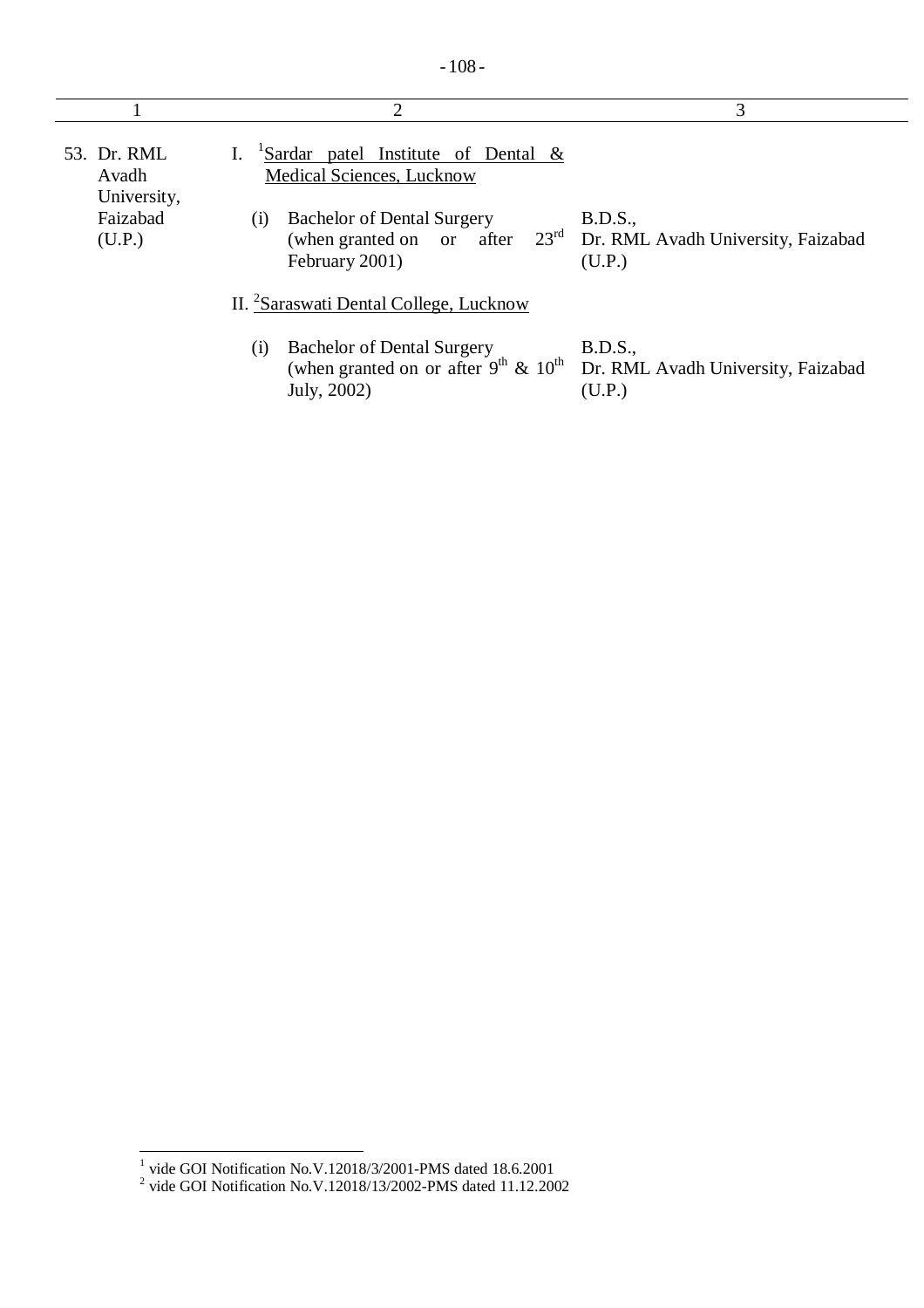|                                     | 2                                                                                                         | 3                                                                                           |
|-------------------------------------|-----------------------------------------------------------------------------------------------------------|---------------------------------------------------------------------------------------------|
| 53. Dr. RML<br>Avadh<br>University, | $\frac{1}{2}$ Sardar patel Institute of Dental &<br>Medical Sciences, Lucknow                             |                                                                                             |
| Faizabad<br>(U.P.)                  | <b>Bachelor of Dental Surgery</b><br>$\left( 1\right)$<br>February 2001)                                  | B.D.S.,<br>(when granted on or after $23^{rd}$ Dr. RML Avadh University, Faizabad<br>(U.P.) |
|                                     | II. <sup>2</sup> Saraswati Dental College, Lucknow                                                        |                                                                                             |
|                                     | <b>Bachelor of Dental Surgery</b><br>(i)<br>(when granted on or after $9^{th}$ & $10^{th}$<br>July, 2002) | B.D.S.,<br>Dr. RML Avadh University, Faizabad<br>(U.P.)                                     |

 1 vide GOI Notification No.V.12018/3/2001-PMS dated 18.6.2001 2 vide GOI Notification No.V.12018/13/2002-PMS dated 11.12.2002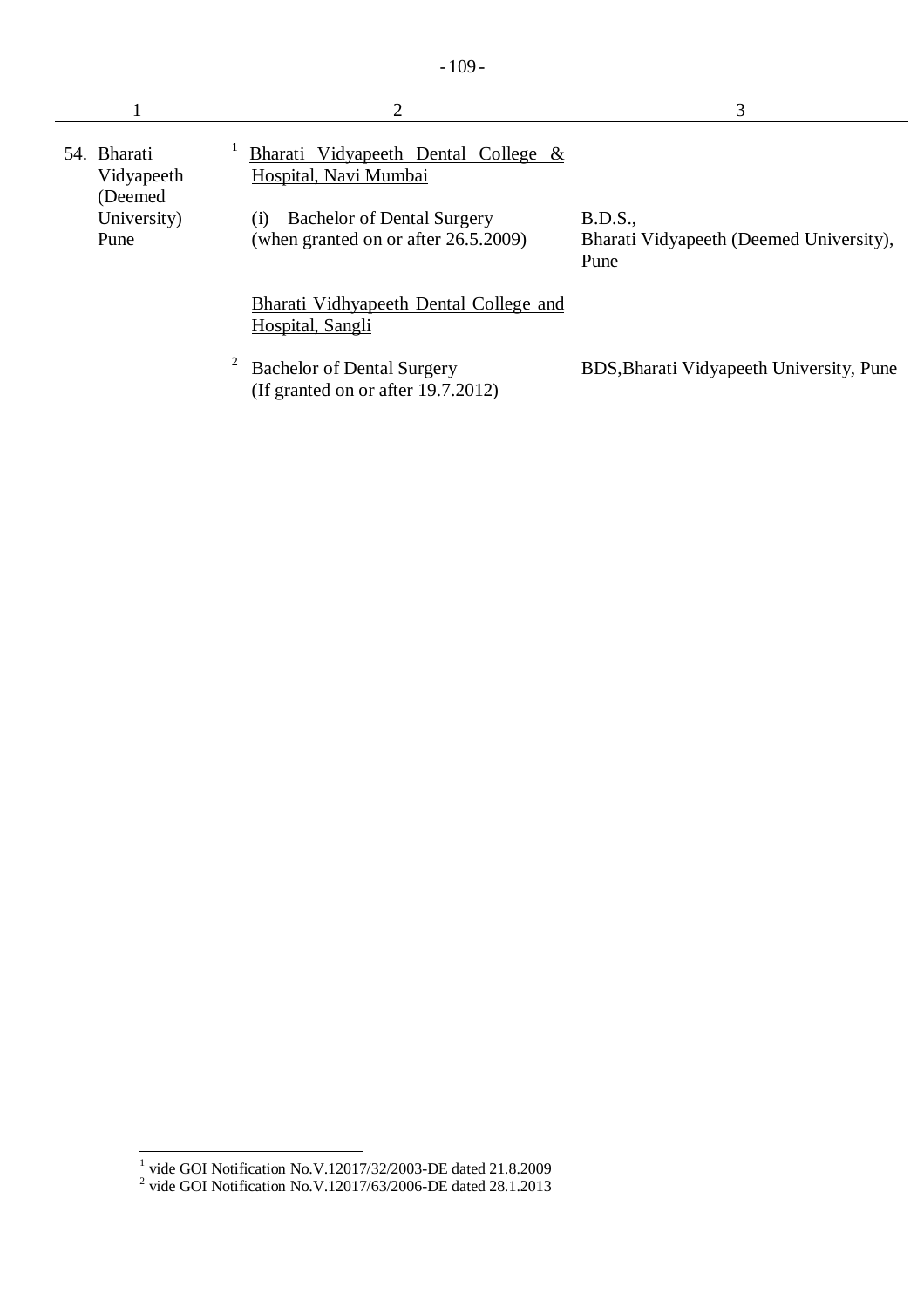|                                       | 2                                                                                                  | 3                                                          |
|---------------------------------------|----------------------------------------------------------------------------------------------------|------------------------------------------------------------|
| 54. Bharati<br>Vidyapeeth<br>(Deemed) | Bharati Vidyapeeth Dental College &<br>Hospital, Navi Mumbai                                       |                                                            |
| University)<br>Pune                   | <b>Bachelor of Dental Surgery</b><br>(1)<br>(when granted on or after 26.5.2009)                   | B.D.S.,<br>Bharati Vidyapeeth (Deemed University),<br>Pune |
|                                       | Bharati Vidhyapeeth Dental College and<br>Hospital, Sangli                                         |                                                            |
|                                       | $\overline{\mathbf{c}}$<br><b>Bachelor of Dental Surgery</b><br>(If granted on or after 19.7.2012) | BDS, Bharati Vidyapeeth University, Pune                   |

 1 vide GOI Notification No.V.12017/32/2003-DE dated 21.8.2009 2 vide GOI Notification No.V.12017/63/2006-DE dated 28.1.2013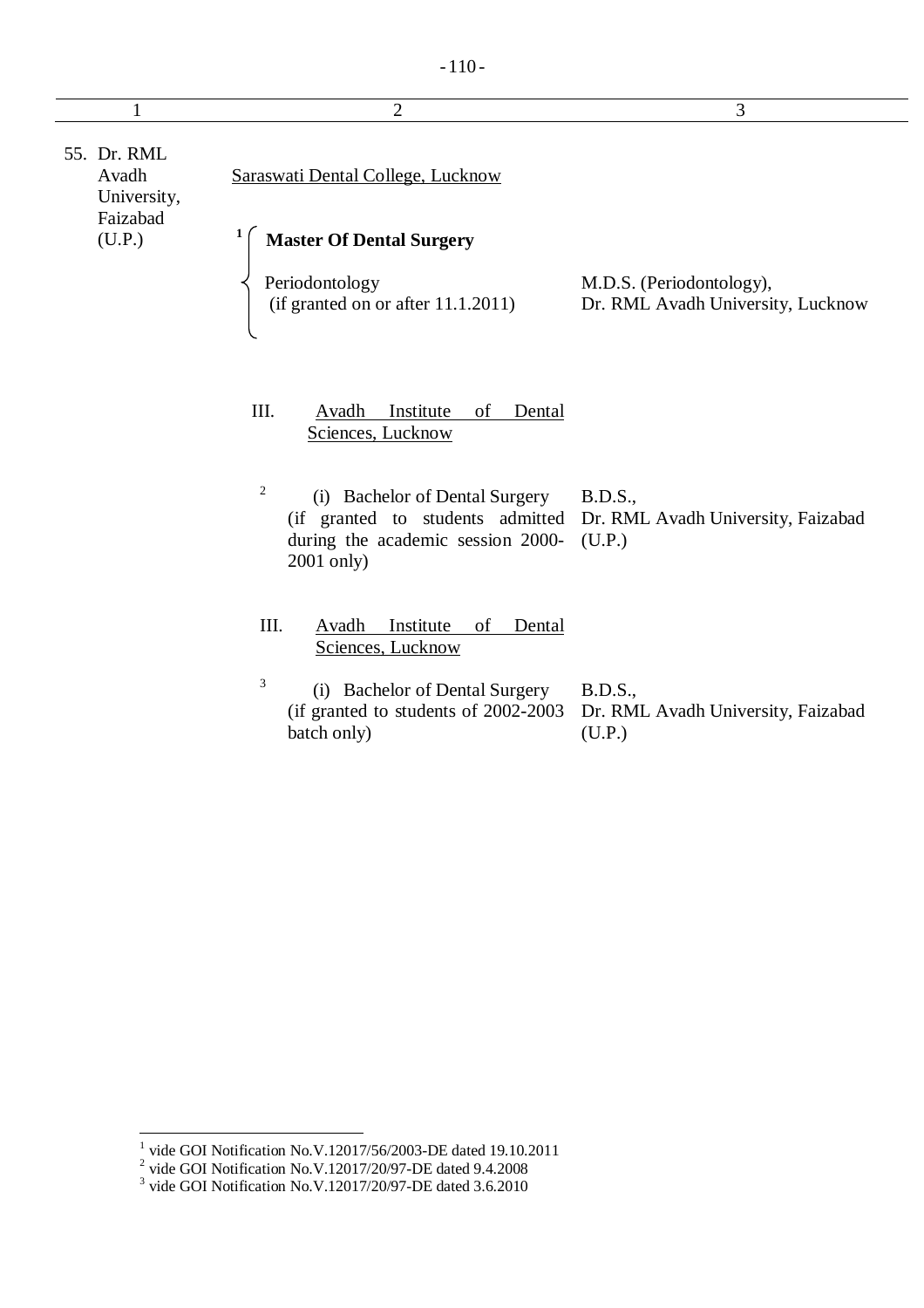|                                                 | $\overline{2}$                                                                                        | 3                                                                                               |
|-------------------------------------------------|-------------------------------------------------------------------------------------------------------|-------------------------------------------------------------------------------------------------|
| 55. Dr. RML<br>Avadh<br>University,<br>Faizabad | Saraswati Dental College, Lucknow                                                                     |                                                                                                 |
| (U.P.)                                          | <b>Master Of Dental Surgery</b><br>Periodontology<br>(if granted on or after $11.1.2011$ )            | M.D.S. (Periodontology),<br>Dr. RML Avadh University, Lucknow                                   |
|                                                 | III.<br>Avadh<br>Institute<br>of<br>Dental<br>Sciences, Lucknow                                       |                                                                                                 |
|                                                 | $\overline{c}$<br>(i) Bachelor of Dental Surgery<br>during the academic session 2000-<br>$2001$ only) | <b>B.D.S.,</b><br>(if granted to students admitted Dr. RML Avadh University, Faizabad<br>(U.P.) |
|                                                 | III.<br>Avadh<br>Institute<br>of<br>Dental<br>Sciences, Lucknow                                       |                                                                                                 |
|                                                 | 3<br>(i) Bachelor of Dental Surgery<br>(if granted to students of 2002-2003)<br>batch only)           | <b>B.D.S.,</b><br>Dr. RML Avadh University, Faizabad<br>(U.P.)                                  |

<sup>&</sup>lt;sup>1</sup> vide GOI Notification No.V.12017/56/2003-DE dated 19.10.2011<br>
<sup>2</sup> vide GOI Notification No.V.12017/20/97-DE dated 9.4.2008<br>
<sup>3</sup> vide GOI Notification No.V.12017/20/97-DE dated 3.6.2010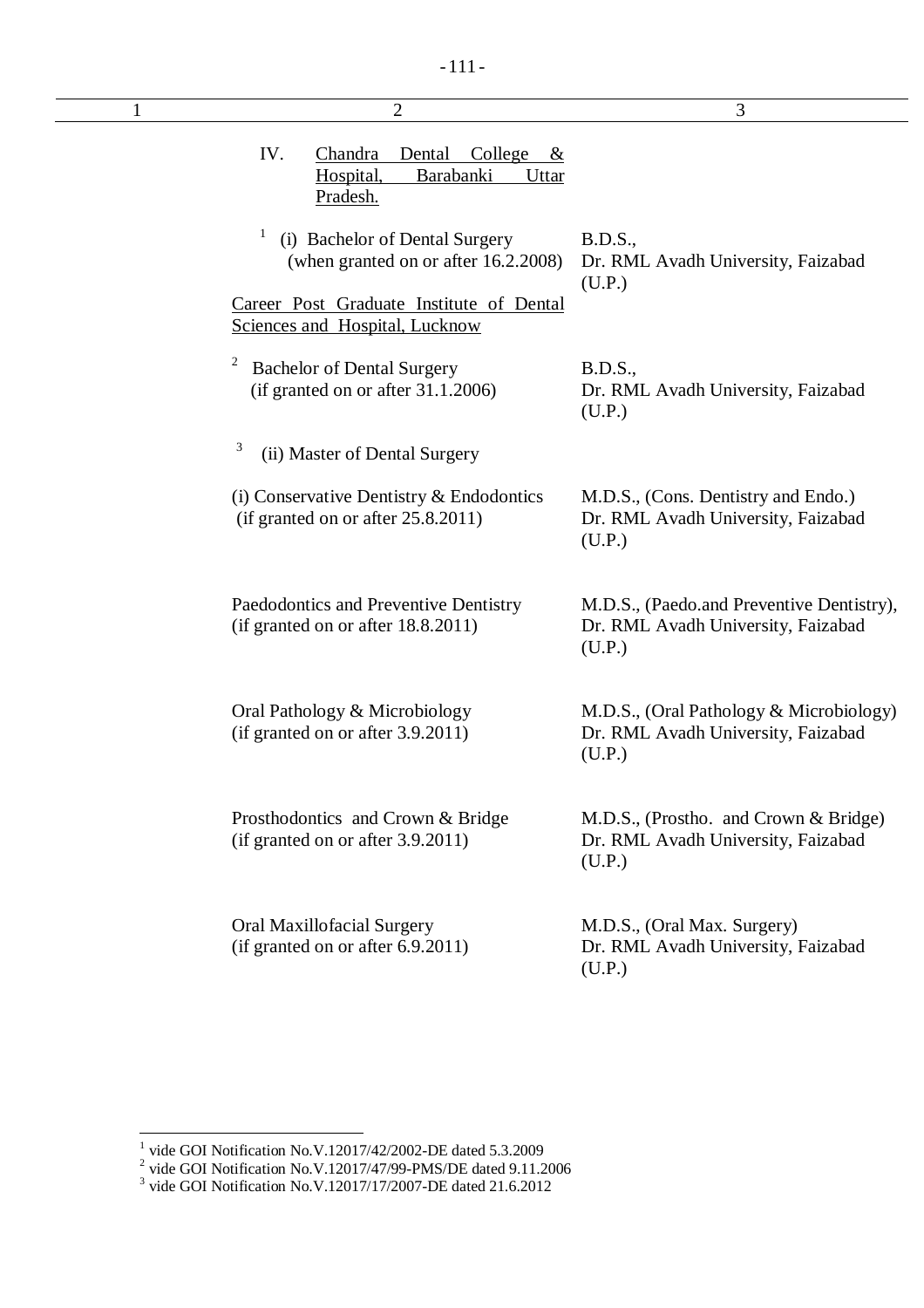| $\overline{2}$                                                                                                  | 3                                                                                         |
|-----------------------------------------------------------------------------------------------------------------|-------------------------------------------------------------------------------------------|
| IV.<br>Dental<br>College<br>Chandra<br>$\underline{\mathcal{X}}$<br>Barabanki<br>Hospital,<br>Uttar<br>Pradesh. |                                                                                           |
| 1<br>(i) Bachelor of Dental Surgery<br>(when granted on or after 16.2.2008)                                     | B.D.S.,<br>Dr. RML Avadh University, Faizabad<br>(U.P.)                                   |
| Career Post Graduate Institute of Dental<br>Sciences and Hospital, Lucknow                                      |                                                                                           |
| <b>Bachelor of Dental Surgery</b><br>(if granted on or after $31.1.2006$ )                                      | B.D.S.,<br>Dr. RML Avadh University, Faizabad<br>(U.P.)                                   |
| 3<br>(ii) Master of Dental Surgery                                                                              |                                                                                           |
| (i) Conservative Dentistry $&$ Endodontics<br>(if granted on or after 25.8.2011)                                | M.D.S., (Cons. Dentistry and Endo.)<br>Dr. RML Avadh University, Faizabad<br>(U.P.)       |
| Paedodontics and Preventive Dentistry<br>(if granted on or after 18.8.2011)                                     | M.D.S., (Paedo.and Preventive Dentistry),<br>Dr. RML Avadh University, Faizabad<br>(U.P.) |
| Oral Pathology & Microbiology<br>(if granted on or after 3.9.2011)                                              | M.D.S., (Oral Pathology & Microbiology)<br>Dr. RML Avadh University, Faizabad<br>(U.P.)   |
| Prosthodontics and Crown & Bridge<br>(if granted on or after 3.9.2011)                                          | M.D.S., (Prostho. and Crown & Bridge)<br>Dr. RML Avadh University, Faizabad<br>(U.P.)     |
| Oral Maxillofacial Surgery<br>(if granted on or after 6.9.2011)                                                 | M.D.S., (Oral Max. Surgery)<br>Dr. RML Avadh University, Faizabad<br>(U.P.)               |

<sup>&</sup>lt;sup>1</sup> vide GOI Notification No.V.12017/42/2002-DE dated 5.3.2009<br>
<sup>2</sup> vide GOI Notification No.V.12017/47/99-PMS/DE dated 9.11.2006<br>
<sup>3</sup> vide GOI Notification No.V.12017/17/2007-DE dated 21.6.2012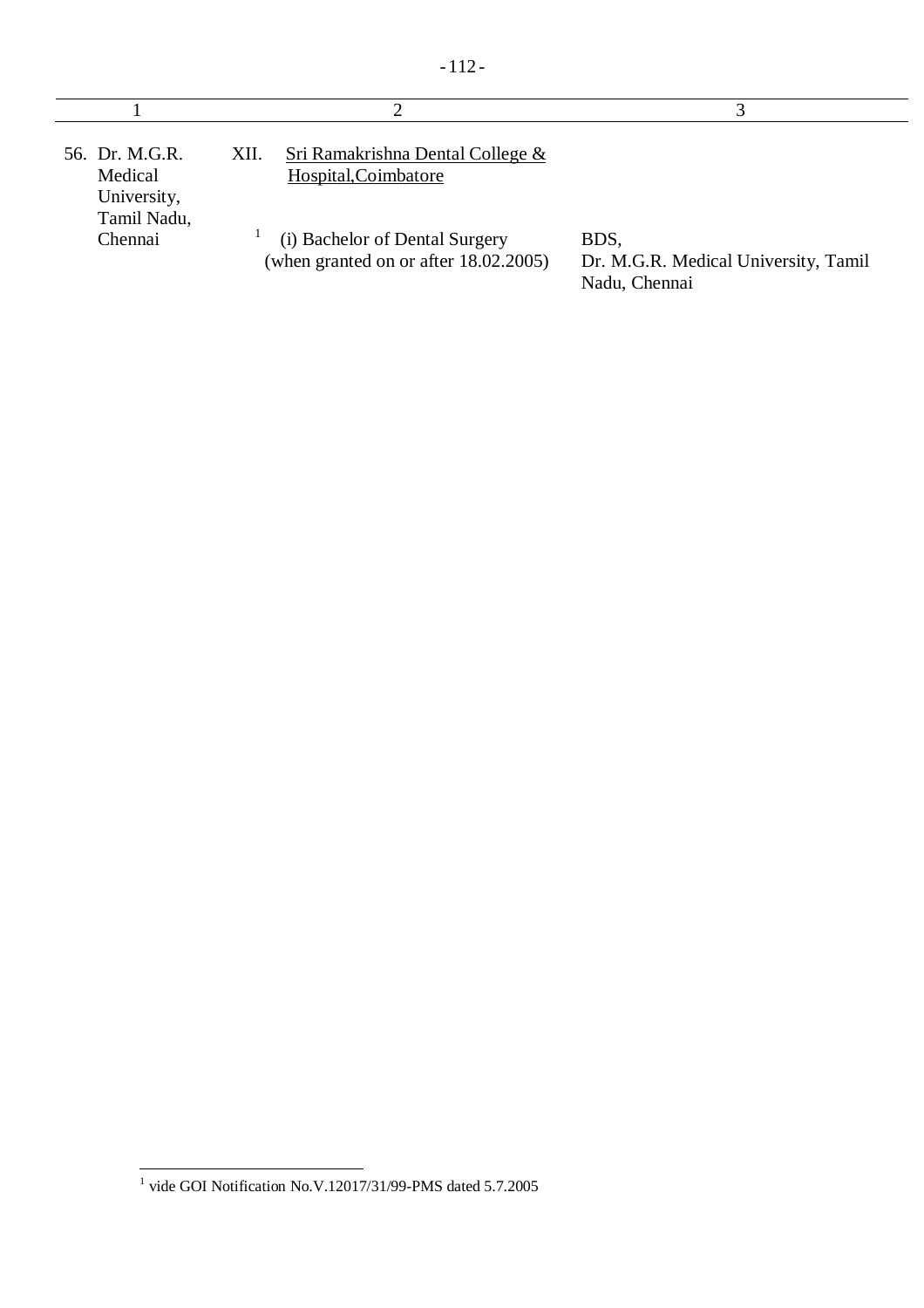|                                                         | ∍                                                                       |                                                               |
|---------------------------------------------------------|-------------------------------------------------------------------------|---------------------------------------------------------------|
| 56. Dr. M.G.R.<br>Medical<br>University,<br>Tamil Nadu, | Sri Ramakrishna Dental College &<br>XII.<br>Hospital, Coimbatore        |                                                               |
| Chennai                                                 | (i) Bachelor of Dental Surgery<br>(when granted on or after 18.02.2005) | BDS,<br>Dr. M.G.R. Medical University, Tamil<br>Nadu, Chennai |

 $\overline{\phantom{a}}$ 

 $-112-$ 

 $\overline{\phantom{a}}$ 

 1 vide GOI Notification No.V.12017/31/99-PMS dated 5.7.2005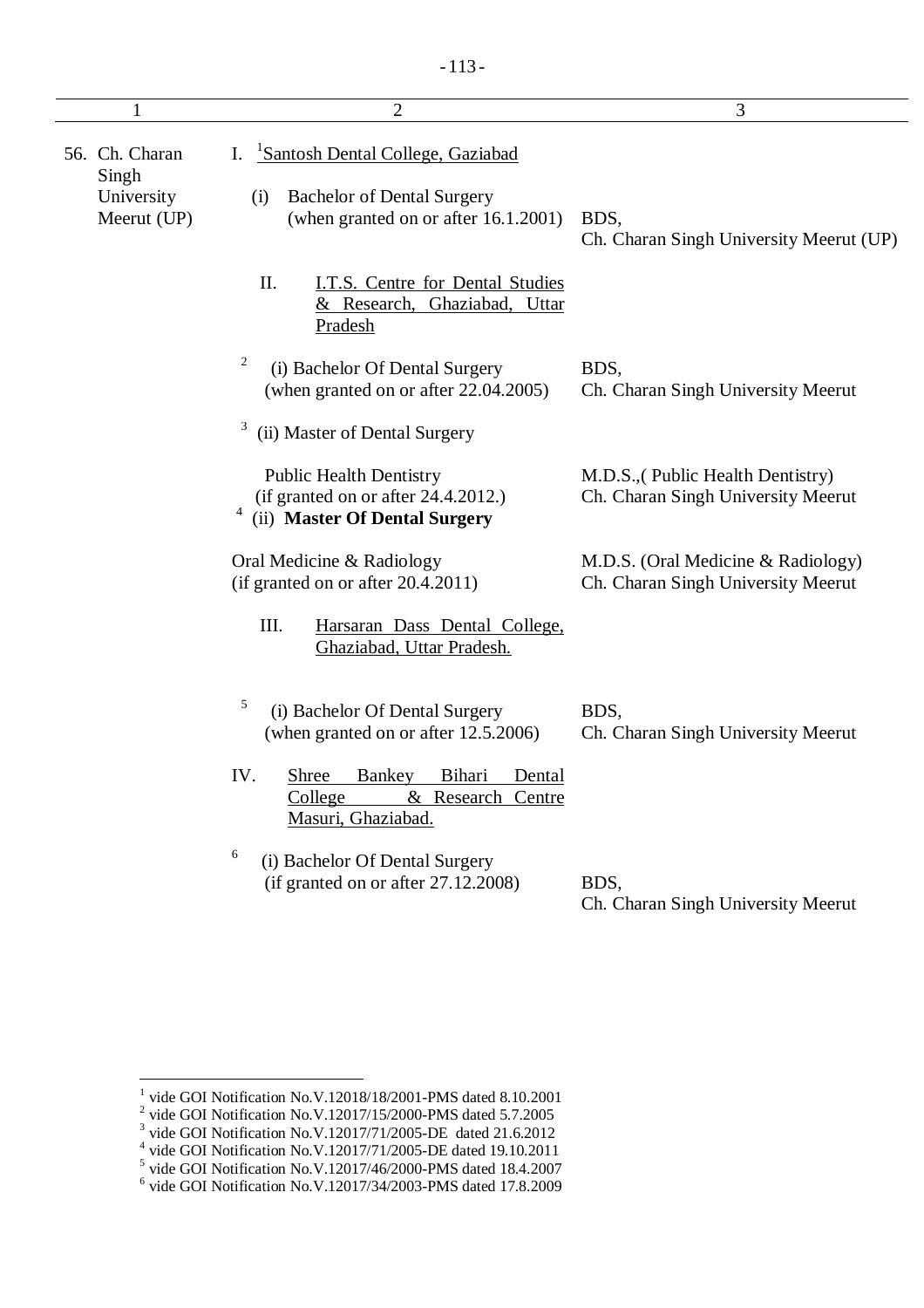|                         |                           | $\overline{2}$                                                                                                             | 3                                                                        |
|-------------------------|---------------------------|----------------------------------------------------------------------------------------------------------------------------|--------------------------------------------------------------------------|
| 56. Ch. Charan<br>Singh | University<br>Meerut (UP) | Santosh Dental College, Gaziabad<br>I.<br><b>Bachelor of Dental Surgery</b><br>(i)<br>(when granted on or after 16.1.2001) | BDS,<br>Ch. Charan Singh University Meerut (UP)                          |
|                         |                           | II.<br>I.T.S. Centre for Dental Studies<br>& Research, Ghaziabad, Uttar<br>Pradesh                                         |                                                                          |
|                         |                           | 2<br>(i) Bachelor Of Dental Surgery<br>(when granted on or after 22.04.2005)                                               | BDS,<br>Ch. Charan Singh University Meerut                               |
|                         |                           | 3<br>(ii) Master of Dental Surgery                                                                                         |                                                                          |
|                         |                           | <b>Public Health Dentistry</b><br>(if granted on or after 24.4.2012.)<br>(ii) Master Of Dental Surgery                     | M.D.S., (Public Health Dentistry)<br>Ch. Charan Singh University Meerut  |
|                         |                           | Oral Medicine & Radiology<br>(if granted on or after 20.4.2011)                                                            | M.D.S. (Oral Medicine & Radiology)<br>Ch. Charan Singh University Meerut |
|                         |                           | Ш.<br>Harsaran Dass Dental College,<br>Ghaziabad, Uttar Pradesh.                                                           |                                                                          |
|                         |                           | 5<br>(i) Bachelor Of Dental Surgery<br>(when granted on or after 12.5.2006)                                                | BDS,<br>Ch. Charan Singh University Meerut                               |
|                         |                           | IV.<br>Shree<br><b>Bankey</b><br><b>Bihari</b><br>Dental<br>College<br>& Research Centre<br>Masuri, Ghaziabad.             |                                                                          |
|                         |                           | 6<br>(i) Bachelor Of Dental Surgery<br>(if granted on or after 27.12.2008)                                                 | BDS,<br>Ch. Charan Singh University Meerut                               |

<sup>&</sup>lt;sup>1</sup> vide GOI Notification No.V.12018/18/2001-PMS dated 8.10.2001<br>
<sup>2</sup> vide GOI Notification No.V.12017/15/2000-PMS dated 5.7.2005<br>
<sup>3</sup> vide GOI Notification No.V.12017/11/2005-DE dated 21.6.2012<br>
<sup>4</sup> vide GOI Notification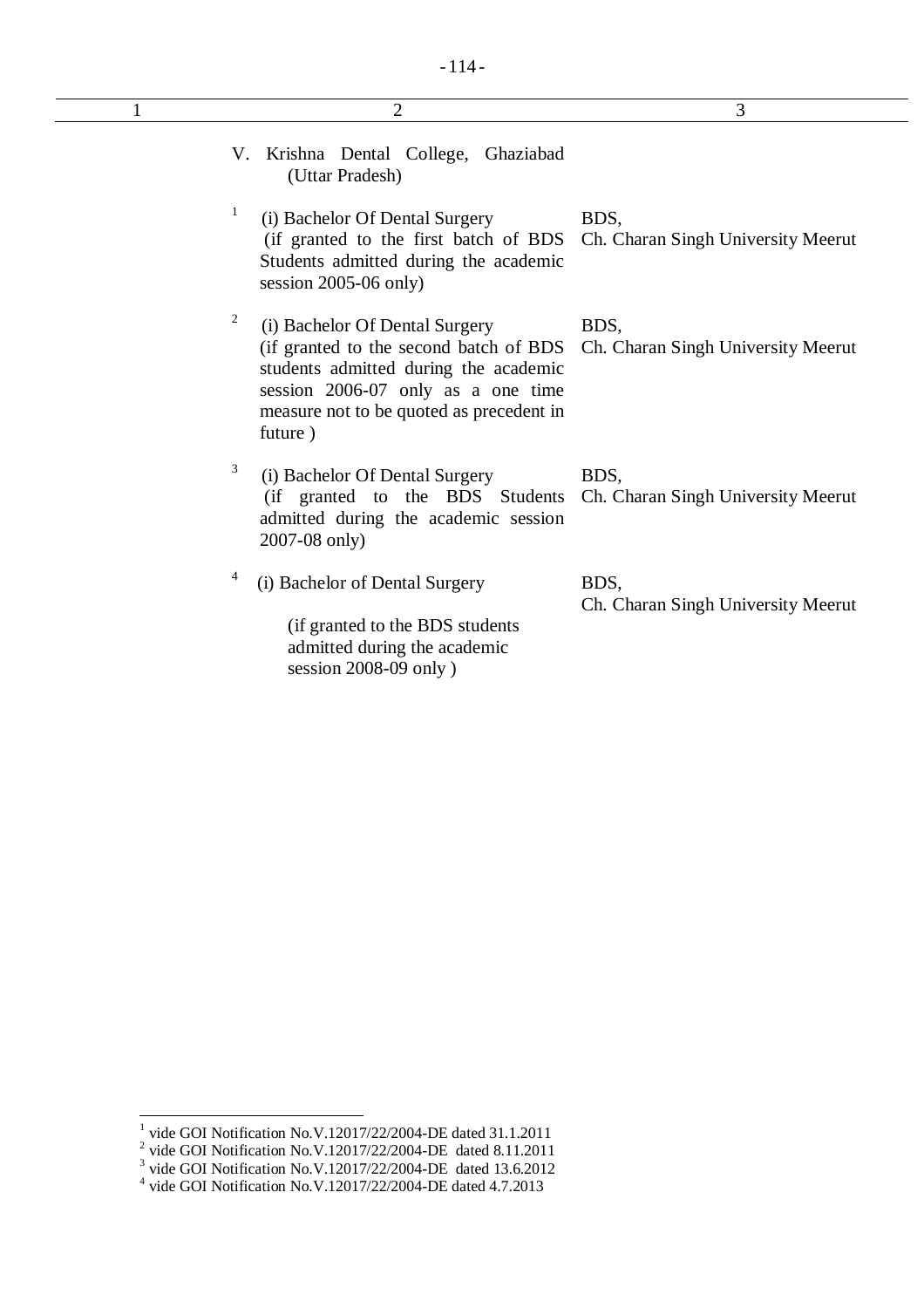|   | $\overline{2}$                                                                                                                                                                                                                                    | 3                                          |
|---|---------------------------------------------------------------------------------------------------------------------------------------------------------------------------------------------------------------------------------------------------|--------------------------------------------|
|   | V. Krishna Dental College, Ghaziabad<br>(Uttar Pradesh)                                                                                                                                                                                           |                                            |
| 1 | (i) Bachelor Of Dental Surgery<br>(if granted to the first batch of BDS Ch. Charan Singh University Meerut<br>Students admitted during the academic<br>session $2005-06$ only)                                                                    | BDS,                                       |
| 2 | (i) Bachelor Of Dental Surgery<br>(if granted to the second batch of BDS Ch. Charan Singh University Meerut<br>students admitted during the academic<br>session 2006-07 only as a one time<br>measure not to be quoted as precedent in<br>future) | BDS,                                       |
| 3 | (i) Bachelor Of Dental Surgery<br>(if granted to the BDS Students<br>admitted during the academic session<br>2007-08 only)                                                                                                                        | BDS,<br>Ch. Charan Singh University Meerut |
| 4 | (i) Bachelor of Dental Surgery<br>(if granted to the BDS students<br>admitted during the academic<br>session 2008-09 only)                                                                                                                        | BDS,<br>Ch. Charan Singh University Meerut |

<sup>&</sup>lt;sup>1</sup> vide GOI Notification No.V.12017/22/2004-DE dated 31.1.2011<br><sup>2</sup> vide GOI Notification No.V.12017/22/2004-DE dated 8.11.2011<br><sup>3</sup> vide GOI Notification No.V.12017/22/2004-DE dated 13.6.2012<br><sup>4</sup> vide GOI Notification No.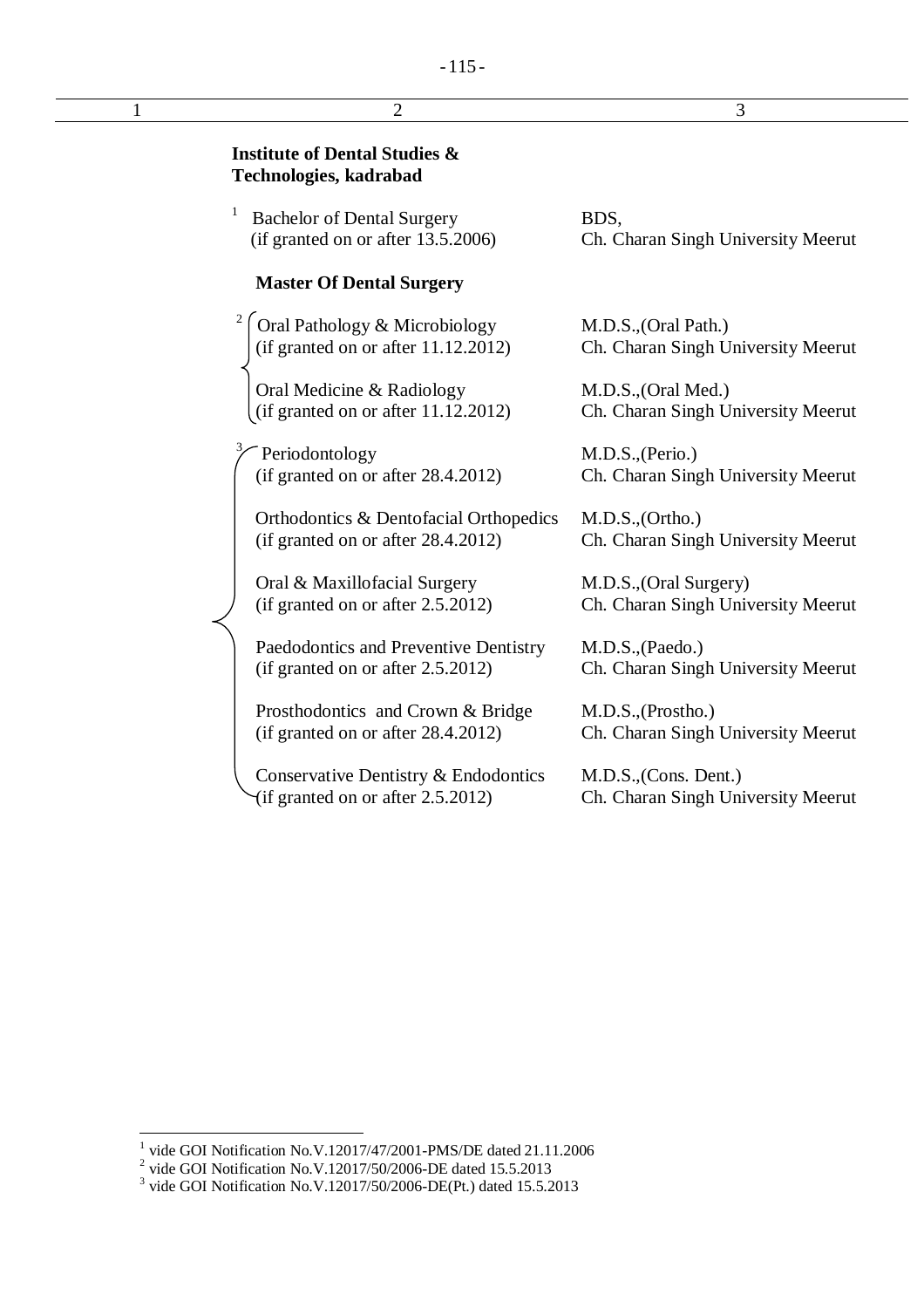## $-115-$

| $\overline{2}$                                                               | 3                                                            |
|------------------------------------------------------------------------------|--------------------------------------------------------------|
| <b>Institute of Dental Studies &amp;</b><br>Technologies, kadrabad           |                                                              |
| 1<br><b>Bachelor of Dental Surgery</b><br>(if granted on or after 13.5.2006) | BDS,<br>Ch. Charan Singh University Meerut                   |
| <b>Master Of Dental Surgery</b>                                              |                                                              |
| Oral Pathology & Microbiology<br>(if granted on or after $11.12.2012$ )      | M.D.S., (Oral Path.)<br>Ch. Charan Singh University Meerut   |
| Oral Medicine & Radiology<br>(if granted on or after 11.12.2012)             | M.D.S., (Oral Med.)<br>Ch. Charan Singh University Meerut    |
| Periodontology<br>(if granted on or after 28.4.2012)                         | M.D.S., (Perio.)<br>Ch. Charan Singh University Meerut       |
| Orthodontics & Dentofacial Orthopedics<br>(if granted on or after 28.4.2012) | M.D.S., (Ortho.)<br>Ch. Charan Singh University Meerut       |
| Oral & Maxillofacial Surgery<br>(if granted on or after 2.5.2012)            | M.D.S., (Oral Surgery)<br>Ch. Charan Singh University Meerut |
| Paedodontics and Preventive Dentistry<br>(if granted on or after 2.5.2012)   | M.D.S., (Paedo.)<br>Ch. Charan Singh University Meerut       |
| Prosthodontics and Crown & Bridge<br>(if granted on or after 28.4.2012)      | M.D.S., (Prostho.)<br>Ch. Charan Singh University Meerut     |

Conservative Dentistry & Endodontics  $\forall$  if granted on or after 2.5.2012)

M.D.S.,(Cons. Dent.) Ch. Charan Singh University Meerut

<sup>&</sup>lt;sup>1</sup> vide GOI Notification No.V.12017/47/2001-PMS/DE dated 21.11.2006<br>
<sup>2</sup> vide GOI Notification No.V.12017/50/2006-DE dated 15.5.2013<br>
<sup>3</sup> vide GOI Notification No.V.12017/50/2006-DE(Pt.) dated 15.5.2013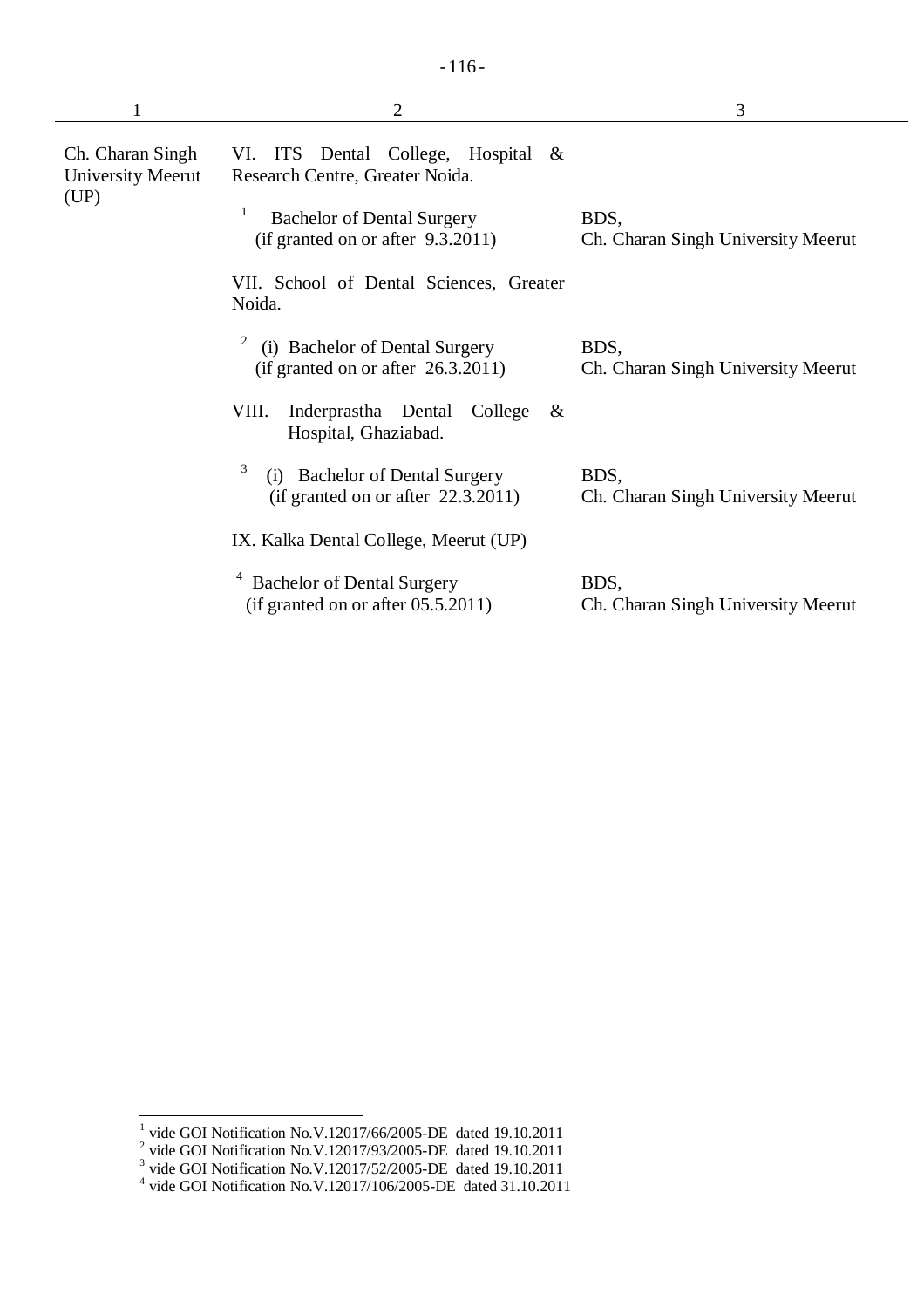|                                               | $\overline{2}$                                                                                             | 3                                          |
|-----------------------------------------------|------------------------------------------------------------------------------------------------------------|--------------------------------------------|
| Ch. Charan Singh<br>University Meerut<br>(UP) | VI. ITS Dental College, Hospital &<br>Research Centre, Greater Noida.<br><b>Bachelor of Dental Surgery</b> | BDS,                                       |
|                                               | (if granted on or after 9.3.2011)                                                                          | Ch. Charan Singh University Meerut         |
|                                               | VII. School of Dental Sciences, Greater<br>Noida.                                                          |                                            |
|                                               | $\overline{\mathbf{c}}$<br>(i) Bachelor of Dental Surgery<br>(if granted on or after 26.3.2011)            | BDS,<br>Ch. Charan Singh University Meerut |
|                                               | Inderprastha Dental<br>VIII.<br>College<br>&<br>Hospital, Ghaziabad.                                       |                                            |
|                                               | 3<br><b>Bachelor of Dental Surgery</b><br>(i)<br>(if granted on or after 22.3.2011)                        | BDS,<br>Ch. Charan Singh University Meerut |
|                                               | IX. Kalka Dental College, Meerut (UP)                                                                      |                                            |
|                                               | <b>Bachelor of Dental Surgery</b><br>(if granted on or after 05.5.2011)                                    | BDS,<br>Ch. Charan Singh University Meerut |

<sup>&</sup>lt;sup>1</sup> vide GOI Notification No.V.12017/66/2005-DE dated 19.10.2011<br><sup>2</sup> vide GOI Notification No.V.12017/93/2005-DE dated 19.10.2011<br><sup>3</sup> vide GOI Notification No.V.12017/52/2005-DE dated 19.10.2011<br><sup>4</sup> vide GOI Notification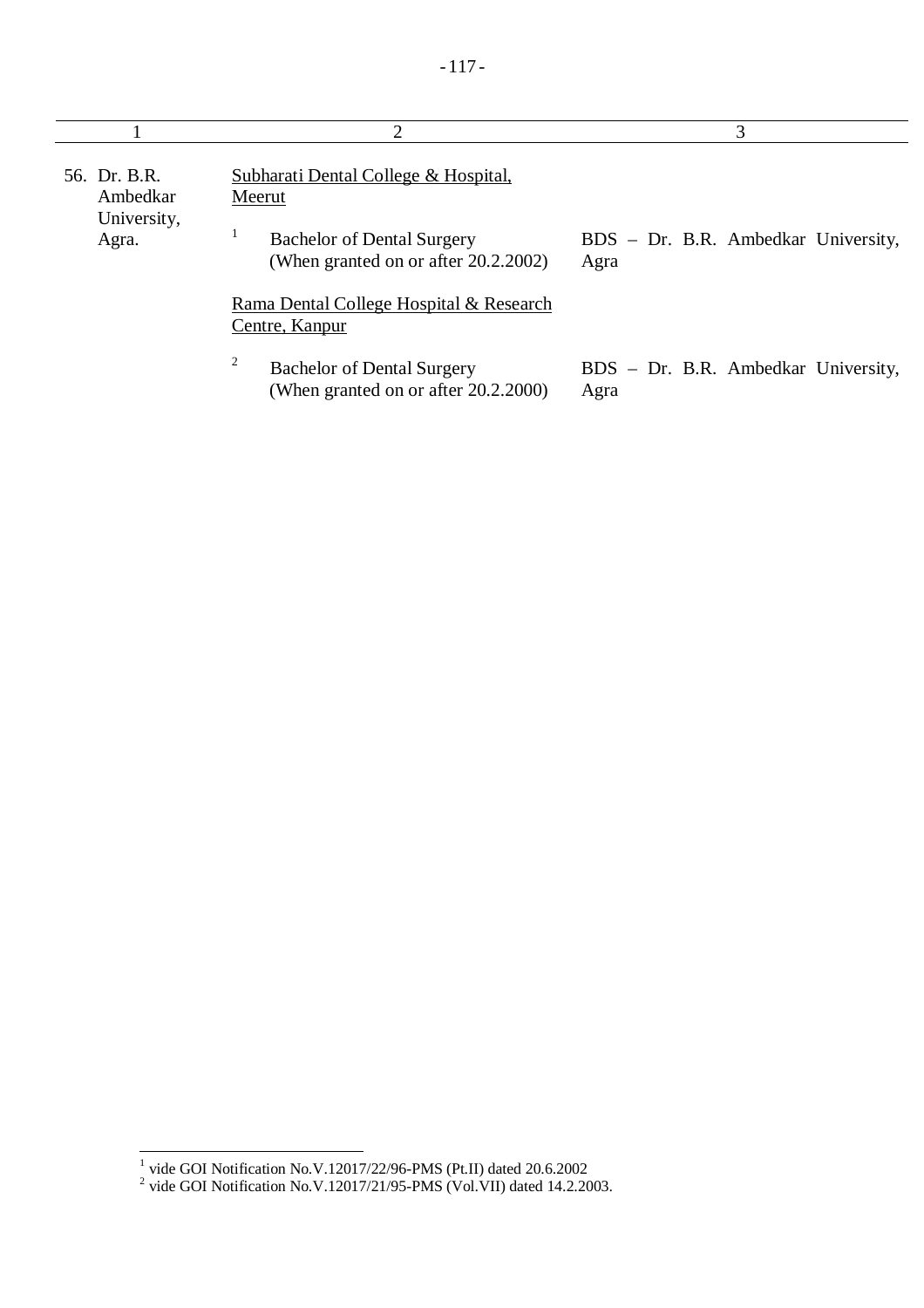|                                                  | $\mathcal{D}_{\cdot}$                                                                                                                                                                    | 3                                           |
|--------------------------------------------------|------------------------------------------------------------------------------------------------------------------------------------------------------------------------------------------|---------------------------------------------|
| 56. Dr. B.R.<br>Ambedkar<br>University,<br>Agra. | Subharati Dental College & Hospital,<br>Meerut<br><b>Bachelor of Dental Surgery</b><br>(When granted on or after 20.2.2002)<br>Rama Dental College Hospital & Research<br>Centre, Kanpur | BDS - Dr. B.R. Ambedkar University,<br>Agra |
|                                                  | 2<br><b>Bachelor of Dental Surgery</b><br>(When granted on or after 20.2.2000)                                                                                                           | BDS – Dr. B.R. Ambedkar University,<br>Agra |

<sup>&</sup>lt;sup>1</sup> vide GOI Notification No.V.12017/22/96-PMS (Pt.II) dated 20.6.2002<br><sup>2</sup> vide GOI Notification No.V.12017/21/95-PMS (Vol.VII) dated 14.2.2003.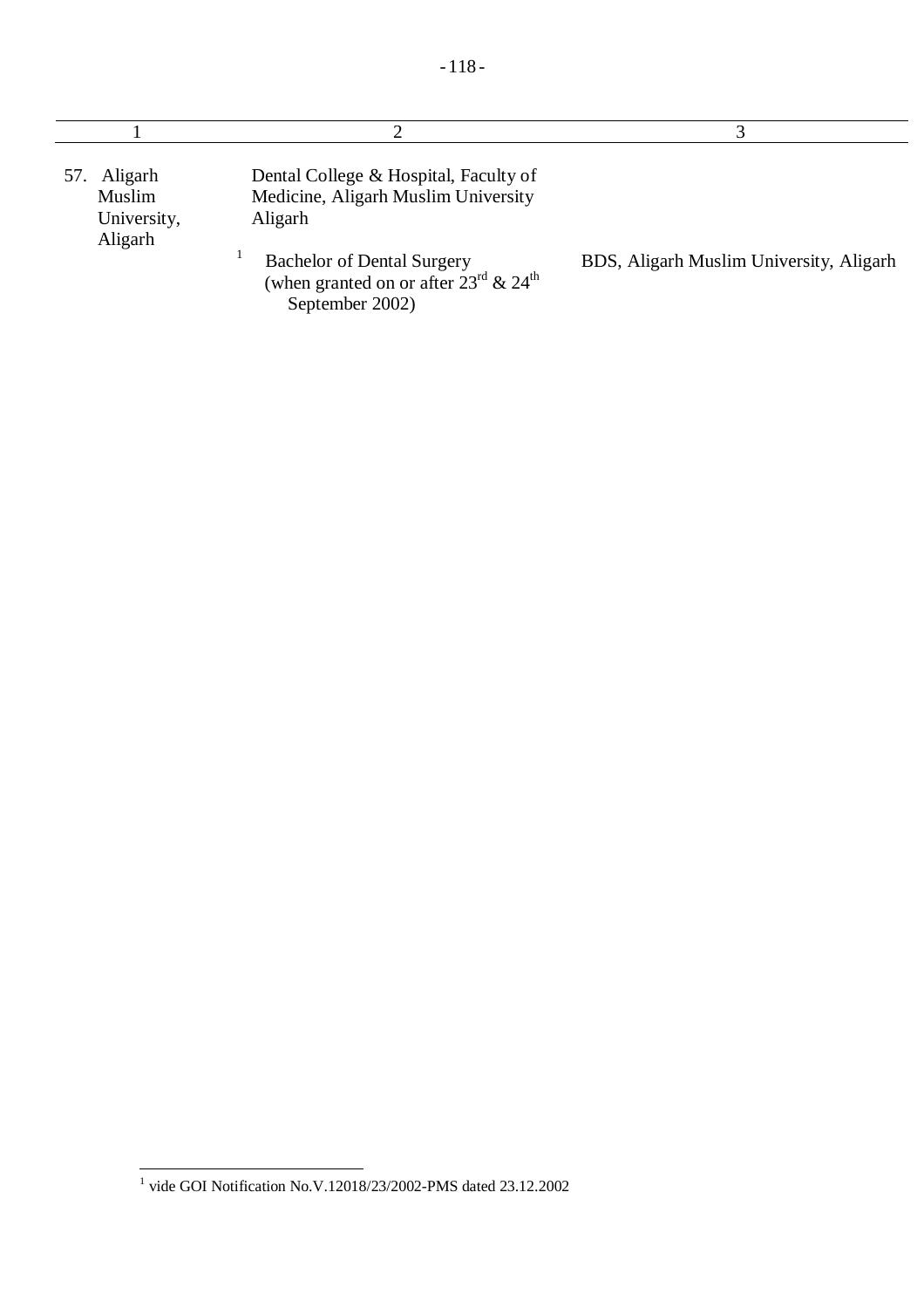| Aligarh<br>57.<br>Muslim<br>University,<br>Aligarh | Dental College & Hospital, Faculty of<br>Medicine, Aligarh Muslim University<br>Aligarh                               |                                         |
|----------------------------------------------------|-----------------------------------------------------------------------------------------------------------------------|-----------------------------------------|
|                                                    | <b>Bachelor of Dental Surgery</b><br>(when granted on or after $23^{\text{rd}}$ & $24^{\text{th}}$<br>September 2002) | BDS, Aligarh Muslim University, Aligarh |

 1 vide GOI Notification No.V.12018/23/2002-PMS dated 23.12.2002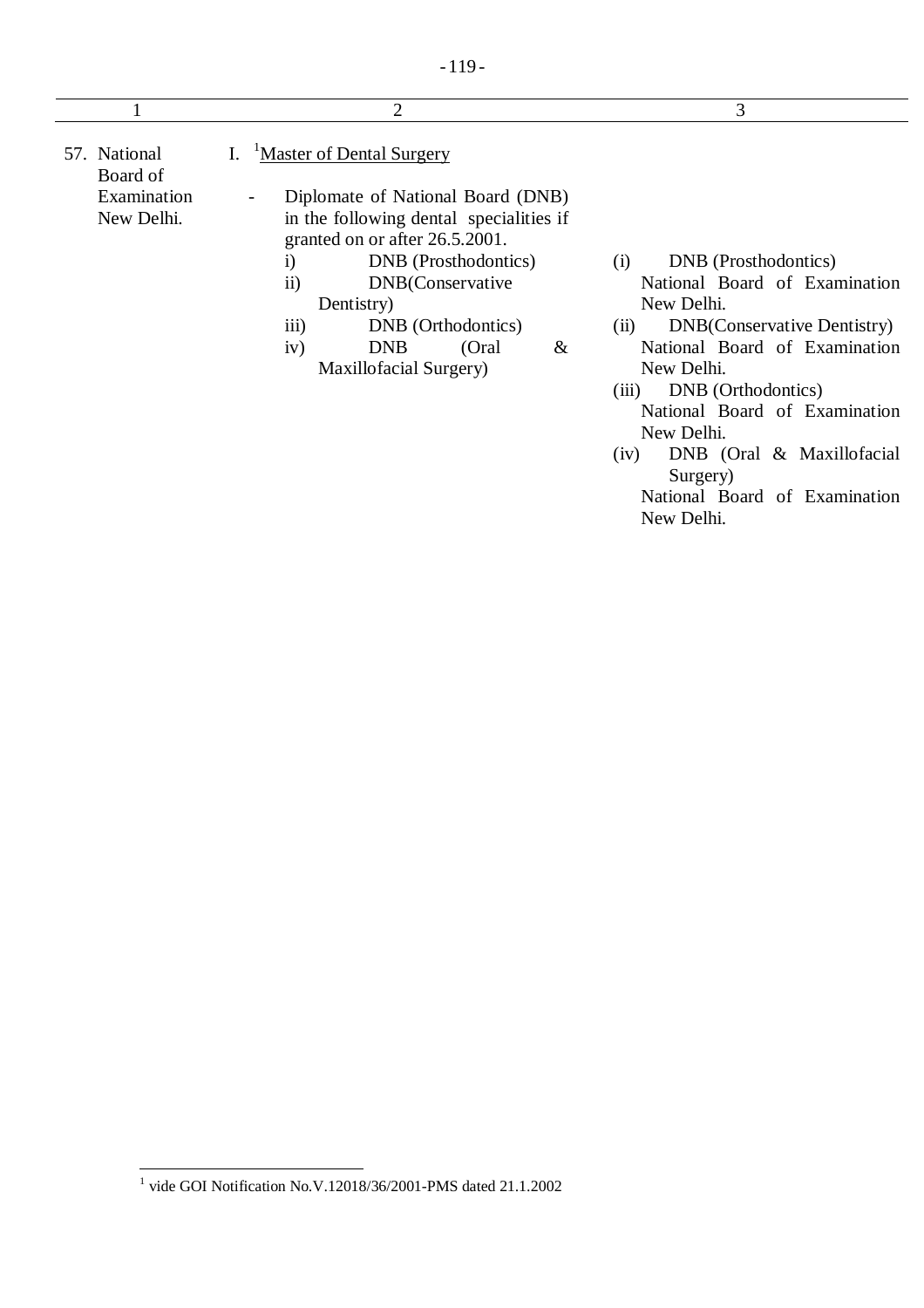|                           | 2                                                                                                                                                                                                                                                                                                       | 3                                                                                                                                                                                                                                        |
|---------------------------|---------------------------------------------------------------------------------------------------------------------------------------------------------------------------------------------------------------------------------------------------------------------------------------------------------|------------------------------------------------------------------------------------------------------------------------------------------------------------------------------------------------------------------------------------------|
| 57. National<br>Board of  | <sup>1</sup> Master of Dental Surgery                                                                                                                                                                                                                                                                   |                                                                                                                                                                                                                                          |
| Examination<br>New Delhi. | Diplomate of National Board (DNB)<br>-<br>in the following dental specialities if<br>granted on or after 26.5.2001.<br>DNB (Prosthodontics)<br>$\rm i)$<br>$\overline{ii}$<br>DNB(Conservative<br>Dentistry)<br>iii)<br>DNB (Orthodontics)<br>iv)<br>(Oral<br><b>DNB</b><br>&<br>Maxillofacial Surgery) | DNB (Prosthodontics)<br>(i)<br>National Board of Examination<br>New Delhi.<br><b>DNB</b> (Conservative Dentistry)<br>(ii)<br>National Board of Examination<br>New Delhi.<br>DNB (Orthodontics)<br>(111)<br>National Board of Examination |

New Delhi. (iv) DNB (Oral & Maxillofacial Surgery)

National Board of Examination New Delhi.

 1 vide GOI Notification No.V.12018/36/2001-PMS dated 21.1.2002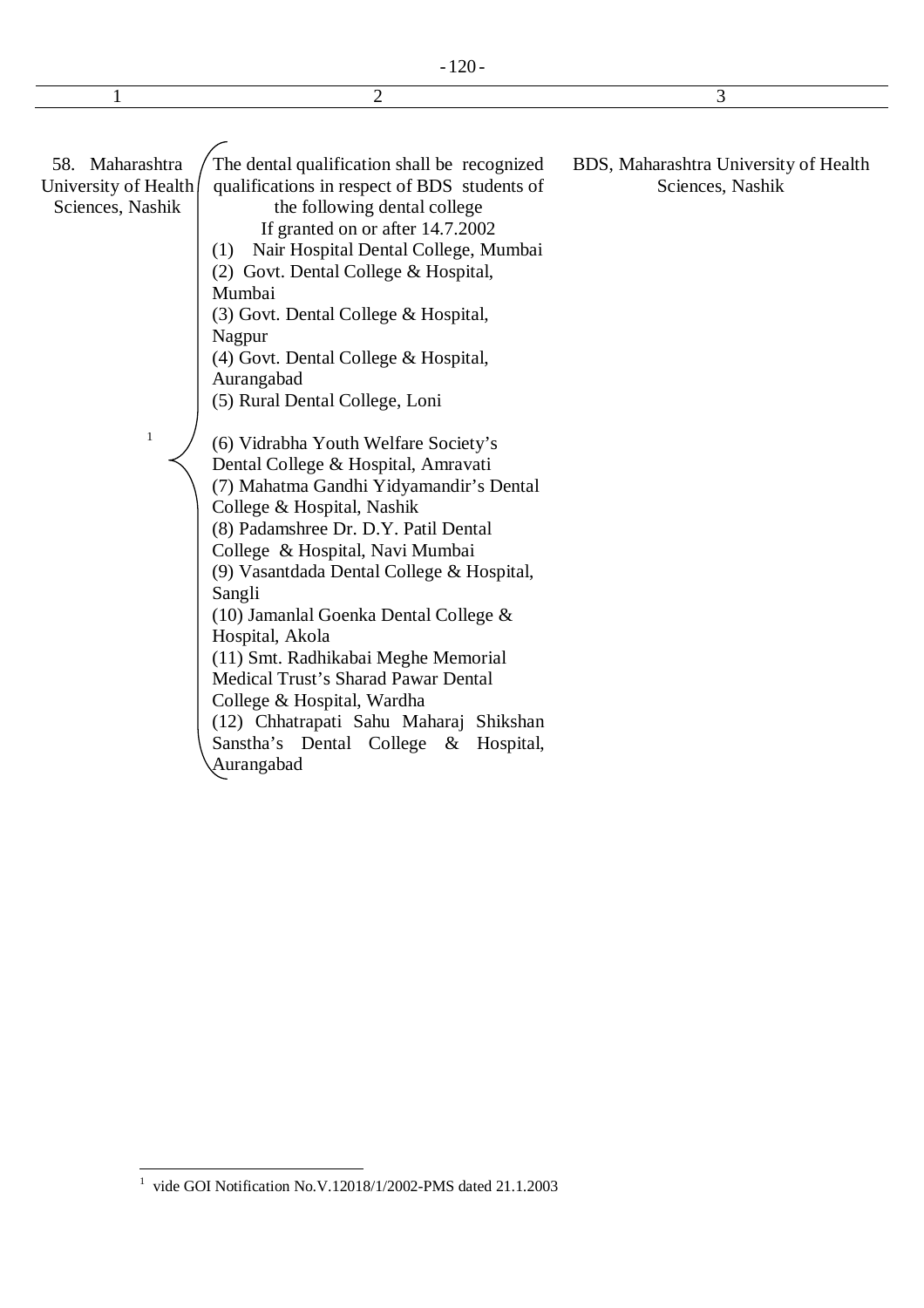$1$  2 3

58. Maharashtra University of Health Sciences, Nashik The dental qualification shall be recognized

1

qualifications in respect of BDS students of the following dental college If granted on or after 14.7.2002

(1) Nair Hospital Dental College, Mumbai

(2) Govt. Dental College & Hospital,

Mumbai

(3) Govt. Dental College & Hospital,

Nagpur

(4) Govt. Dental College & Hospital, Aurangabad

(5) Rural Dental College, Loni

(6) Vidrabha Youth Welfare Society's Dental College & Hospital, Amravati (7) Mahatma Gandhi Yidyamandir's Dental College & Hospital, Nashik (8) Padamshree Dr. D.Y. Patil Dental College & Hospital, Navi Mumbai (9) Vasantdada Dental College & Hospital, Sangli (10) Jamanlal Goenka Dental College & Hospital, Akola (11) Smt. Radhikabai Meghe Memorial Medical Trust's Sharad Pawar Dental College & Hospital, Wardha (12) Chhatrapati Sahu Maharaj Shikshan Sanstha's Dental College & Hospital, Aurangabad

BDS, Maharashtra University of Health Sciences, Nashik

 $\overline{a}$ 1 vide GOI Notification No.V.12018/1/2002-PMS dated 21.1.2003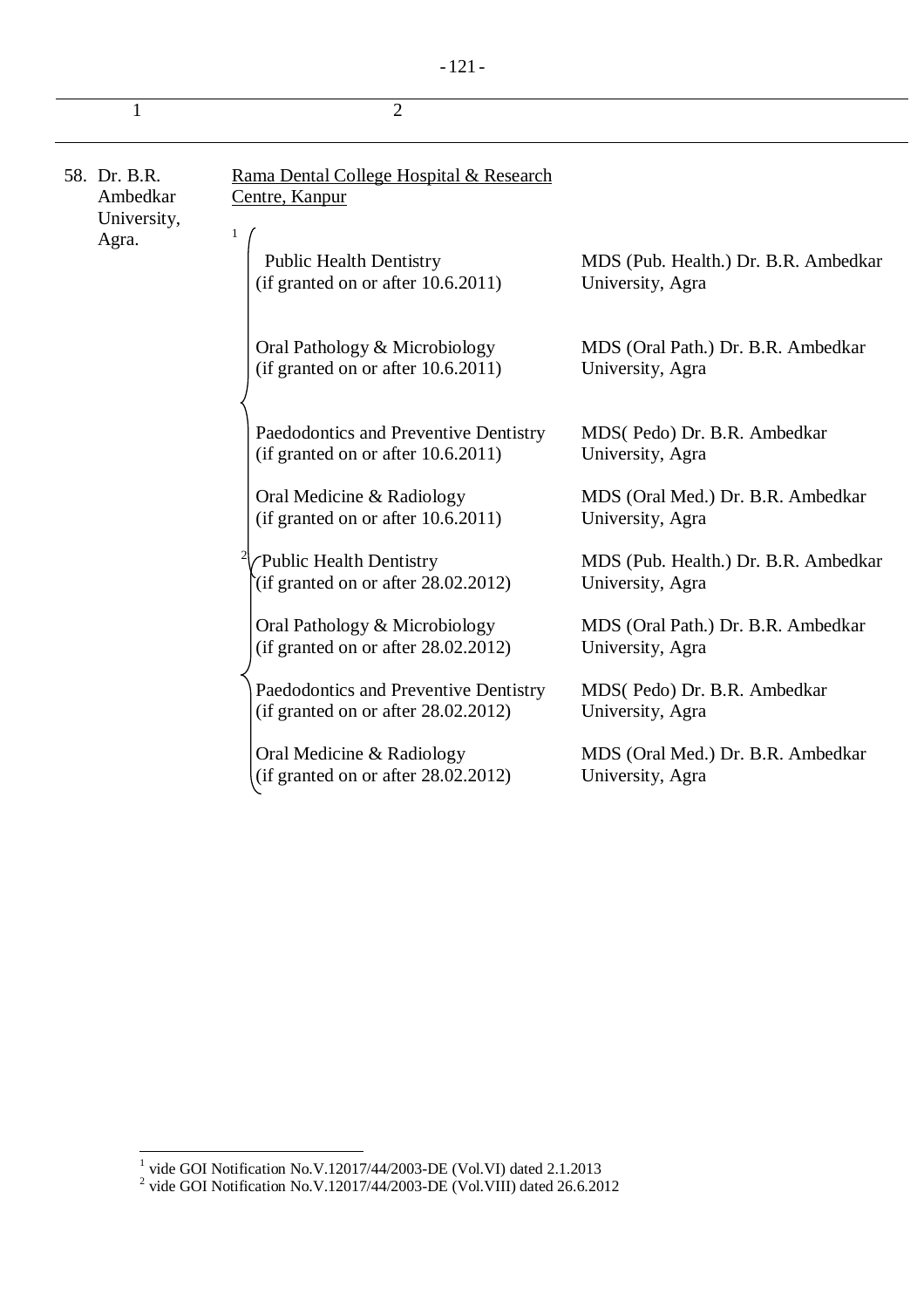|--|--|

|                                                  | $\overline{2}$                                                                  |                                                          |
|--------------------------------------------------|---------------------------------------------------------------------------------|----------------------------------------------------------|
| 58. Dr. B.R.<br>Ambedkar<br>University,<br>Agra. | Rama Dental College Hospital & Research<br>Centre, Kanpur<br>1                  |                                                          |
|                                                  | <b>Public Health Dentistry</b><br>(if granted on or after $10.6.2011$ )         | MDS (Pub. Health.) Dr. B.R. Ambedkar<br>University, Agra |
|                                                  | Oral Pathology & Microbiology<br>(if granted on or after 10.6.2011)             | MDS (Oral Path.) Dr. B.R. Ambedkar<br>University, Agra   |
|                                                  | Paedodontics and Preventive Dentistry<br>(if granted on or after $10.6.2011$ )  | MDS(Pedo) Dr. B.R. Ambedkar<br>University, Agra          |
|                                                  | Oral Medicine & Radiology<br>(if granted on or after $10.6.2011$ )              | MDS (Oral Med.) Dr. B.R. Ambedkar<br>University, Agra    |
|                                                  | Public Health Dentistry<br>$\hat{f}$ (if granted on or after 28.02.2012)        | MDS (Pub. Health.) Dr. B.R. Ambedkar<br>University, Agra |
|                                                  | Oral Pathology & Microbiology<br>(if granted on or after $28.02.2012$ )         | MDS (Oral Path.) Dr. B.R. Ambedkar<br>University, Agra   |
|                                                  | Paedodontics and Preventive Dentistry<br>(if granted on or after $28.02.2012$ ) | MDS(Pedo) Dr. B.R. Ambedkar<br>University, Agra          |
|                                                  | Oral Medicine & Radiology<br>(if granted on or after 28.02.2012)                | MDS (Oral Med.) Dr. B.R. Ambedkar<br>University, Agra    |

<sup>&</sup>lt;sup>1</sup> vide GOI Notification No.V.12017/44/2003-DE (Vol.VI) dated 2.1.2013<br><sup>2</sup> vide GOI Notification No.V.12017/44/2003-DE (Vol.VIII) dated 26.6.2012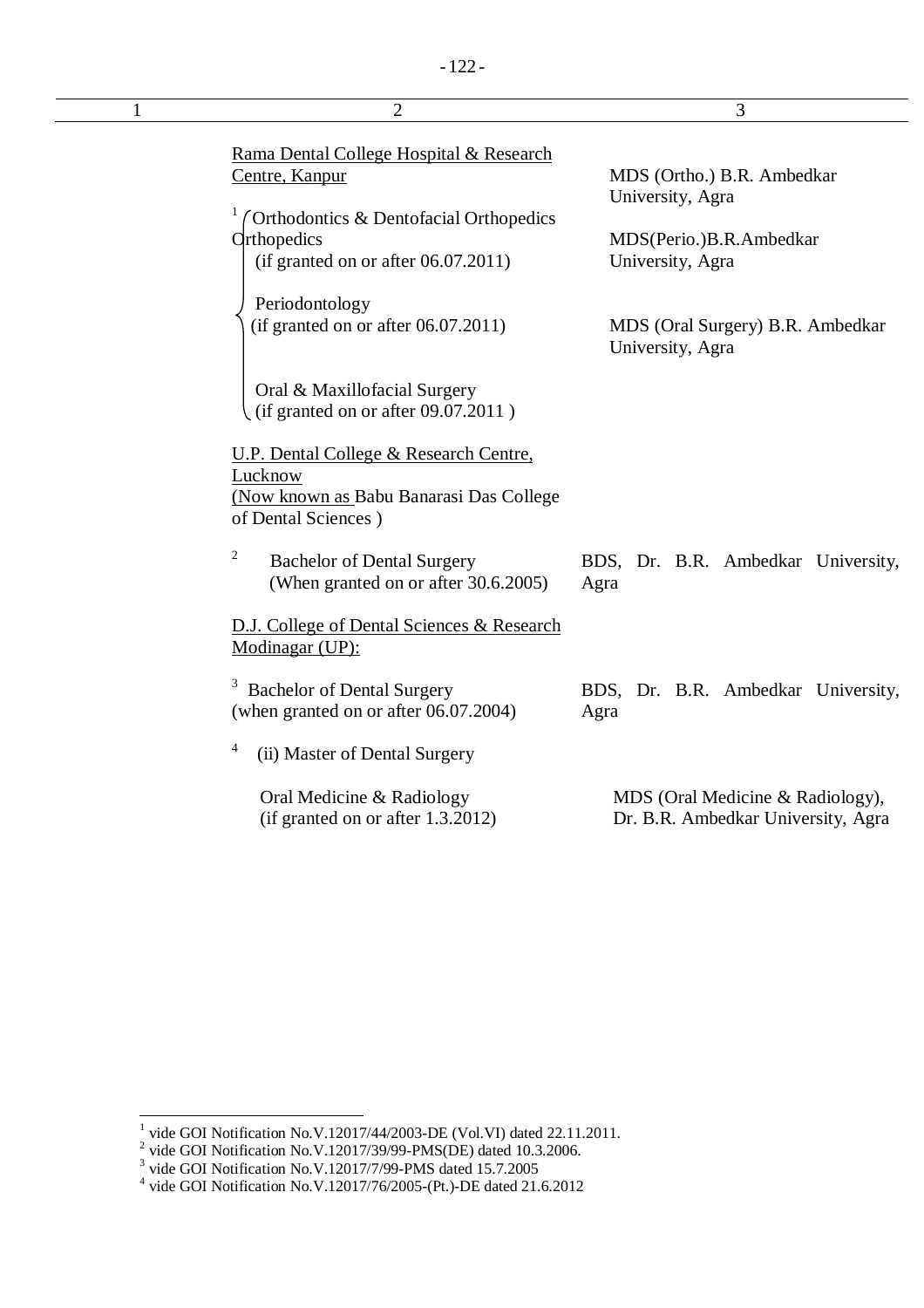| 1 | $\overline{2}$                                                                                                                                               | 3                                                                                             |
|---|--------------------------------------------------------------------------------------------------------------------------------------------------------------|-----------------------------------------------------------------------------------------------|
|   | Rama Dental College Hospital & Research<br>Centre, Kanpur<br>Orthodontics & Dentofacial Orthopedics<br>Orthopedics<br>(if granted on or after $06.07.2011$ ) | MDS (Ortho.) B.R. Ambedkar<br>University, Agra<br>MDS(Perio.)B.R.Ambedkar<br>University, Agra |
|   | Periodontology<br>(if granted on or after 06.07.2011)                                                                                                        | MDS (Oral Surgery) B.R. Ambedkar<br>University, Agra                                          |
|   | Oral & Maxillofacial Surgery<br>(if granted on or after 09.07.2011)                                                                                          |                                                                                               |
|   | U.P. Dental College & Research Centre,<br>Lucknow<br>(Now known as Babu Banarasi Das College<br>of Dental Sciences)                                          |                                                                                               |
|   | $\overline{c}$<br><b>Bachelor of Dental Surgery</b><br>(When granted on or after 30.6.2005)                                                                  | BDS, Dr. B.R. Ambedkar University,<br>Agra                                                    |
|   | D.J. College of Dental Sciences & Research<br>Modinagar (UP):                                                                                                |                                                                                               |
|   | <b>Bachelor of Dental Surgery</b><br>(when granted on or after 06.07.2004)                                                                                   | BDS, Dr. B.R. Ambedkar University,<br>Agra                                                    |
|   | 4<br>(ii) Master of Dental Surgery                                                                                                                           |                                                                                               |
|   | Oral Medicine & Radiology<br>(if granted on or after 1.3.2012)                                                                                               | MDS (Oral Medicine & Radiology),<br>Dr. B.R. Ambedkar University, Agra                        |

<sup>&</sup>lt;sup>1</sup> vide GOI Notification No.V.12017/44/2003-DE (Vol.VI) dated 22.11.2011.<br>
<sup>2</sup> vide GOI Notification No.V.12017/39/99-PMS(DE) dated 10.3.2006.<br>
<sup>3</sup> vide GOI Notification No.V.12017/7/99-PMS dated 15.7.2005<br>
<sup>4</sup> vide GOI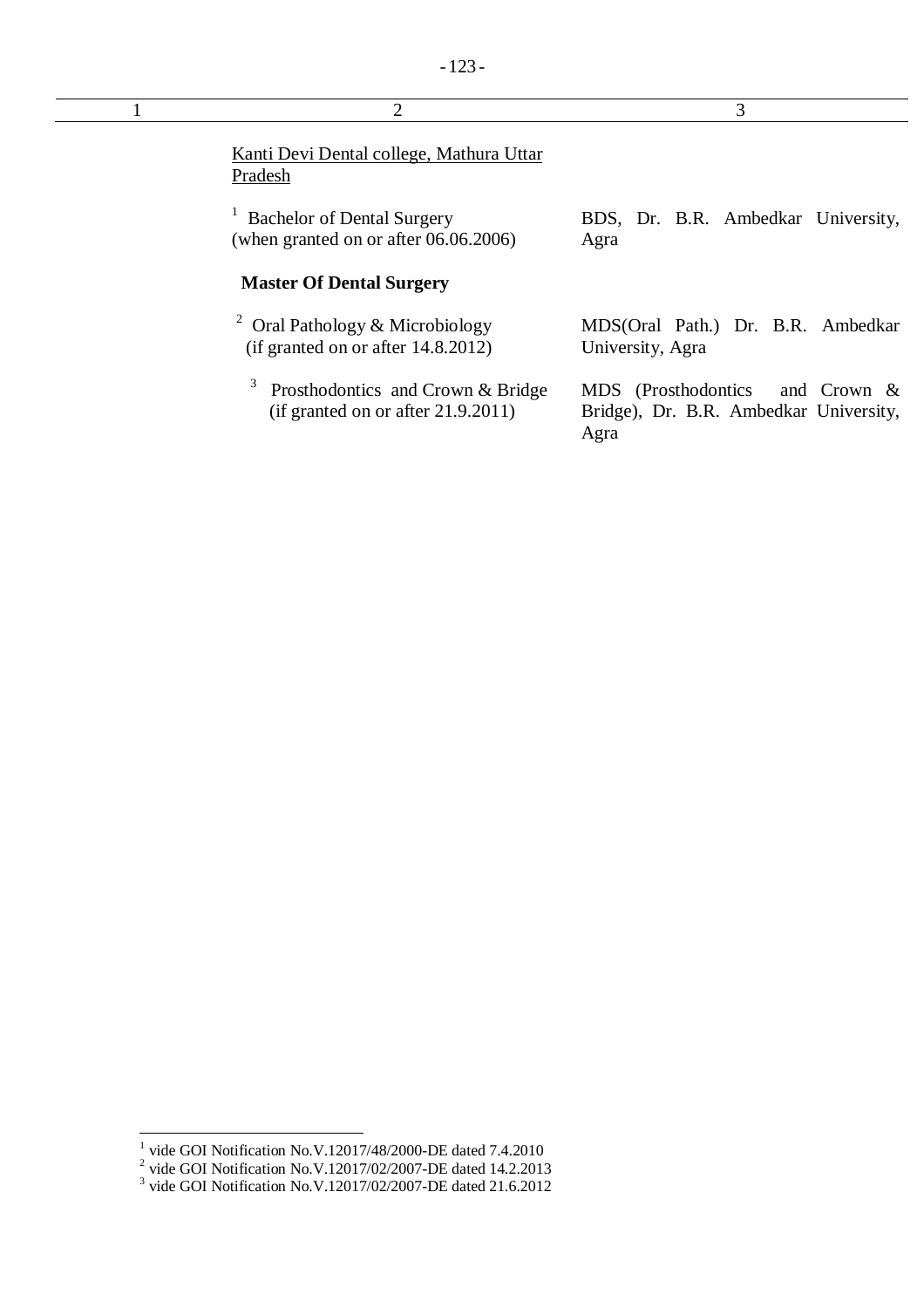| $\overline{2}$                                                                      | 3                                                     |
|-------------------------------------------------------------------------------------|-------------------------------------------------------|
| Kanti Devi Dental college, Mathura Uttar<br>Pradesh                                 |                                                       |
| <b>Bachelor of Dental Surgery</b><br>(when granted on or after $06.06.2006$ )       | BDS, Dr. B.R. Ambedkar University,<br>Agra            |
| <b>Master Of Dental Surgery</b>                                                     |                                                       |
| <sup>2</sup> Oral Pathology & Microbiology<br>(if granted on or after $14.8.2012$ ) | MDS(Oral Path.) Dr. B.R. Ambedkar<br>University, Agra |

3 Prosthodontics and Crown & Bridge (if granted on or after 21.9.2011) MDS (Prosthodontics and Crown & Bridge), Dr. B.R. Ambedkar University,

Agra

<sup>&</sup>lt;sup>1</sup> vide GOI Notification No.V.12017/48/2000-DE dated 7.4.2010<br>
<sup>2</sup> vide GOI Notification No.V.12017/02/2007-DE dated 14.2.2013<br>
<sup>3</sup> vide GOI Notification No.V.12017/02/2007-DE dated 21.6.2012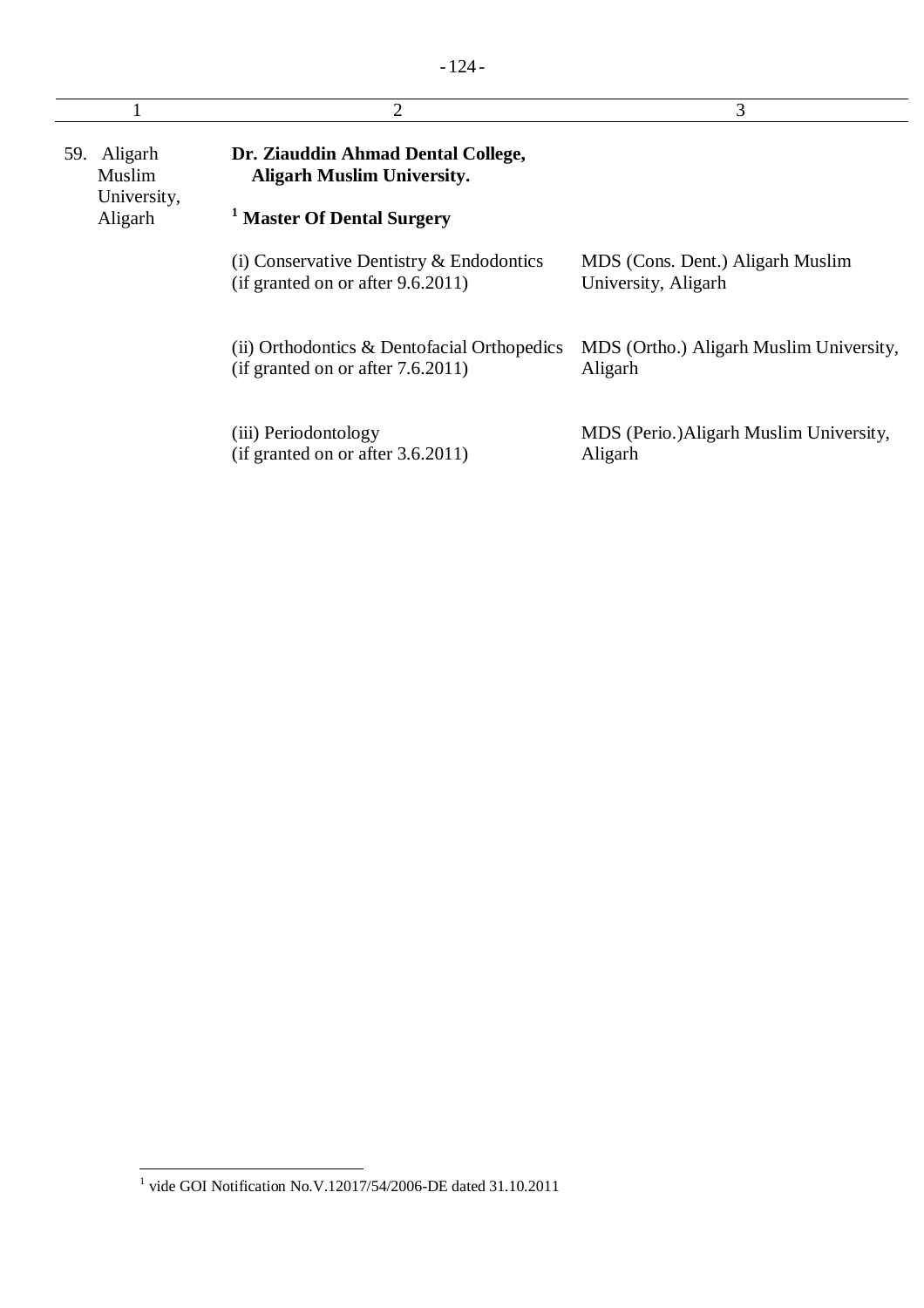|                                      | 2                                                                                   | 3                                                       |
|--------------------------------------|-------------------------------------------------------------------------------------|---------------------------------------------------------|
| 59. Aligarh<br>Muslim<br>University, | Dr. Ziauddin Ahmad Dental College,<br><b>Aligarh Muslim University.</b>             |                                                         |
| Aligarh                              | <sup>1</sup> Master Of Dental Surgery                                               |                                                         |
|                                      | (i) Conservative Dentistry $\&$ Endodontics<br>(if granted on or after $9.6.2011$ ) | MDS (Cons. Dent.) Aligarh Muslim<br>University, Aligarh |
|                                      | (ii) Orthodontics & Dentofacial Orthopedics<br>(if granted on or after $7.6.2011$ ) | MDS (Ortho.) Aligarh Muslim University,<br>Aligarh      |
|                                      | (iii) Periodontology<br>(if granted on or after 3.6.2011)                           | MDS (Perio.) Aligarh Muslim University,<br>Aligarh      |

 1 vide GOI Notification No.V.12017/54/2006-DE dated 31.10.2011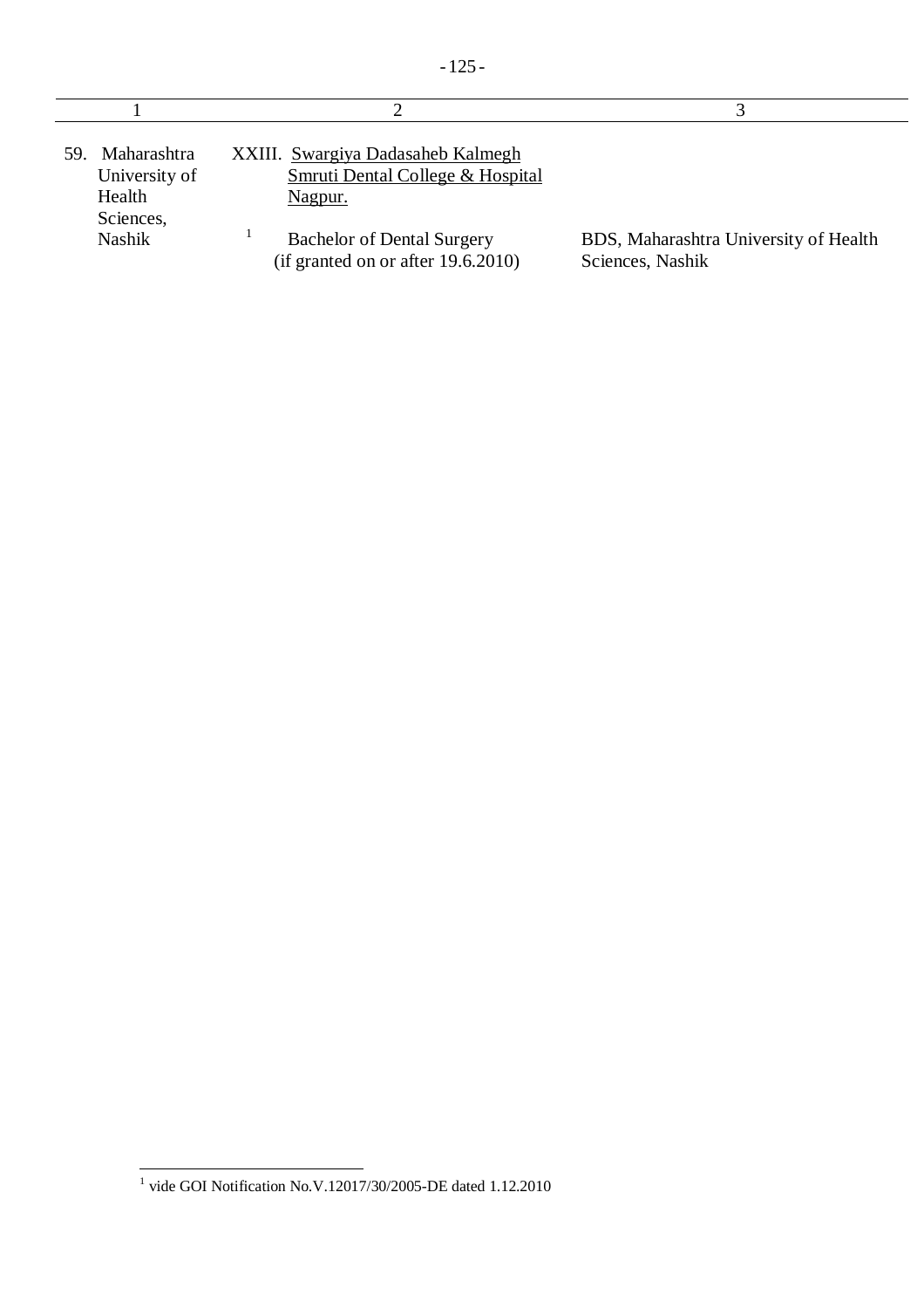| Maharashtra<br>59.<br>University of<br>Health<br>Sciences, | XXIII. Swargiya Dadasaheb Kalmegh<br>Smruti Dental College & Hospital<br><u>Nagpur.</u> |                                                           |
|------------------------------------------------------------|-----------------------------------------------------------------------------------------|-----------------------------------------------------------|
| Nashik                                                     | <b>Bachelor of Dental Surgery</b><br>(if granted on or after $19.6.2010$ )              | BDS, Maharashtra University of Health<br>Sciences, Nashik |

 1 vide GOI Notification No.V.12017/30/2005-DE dated 1.12.2010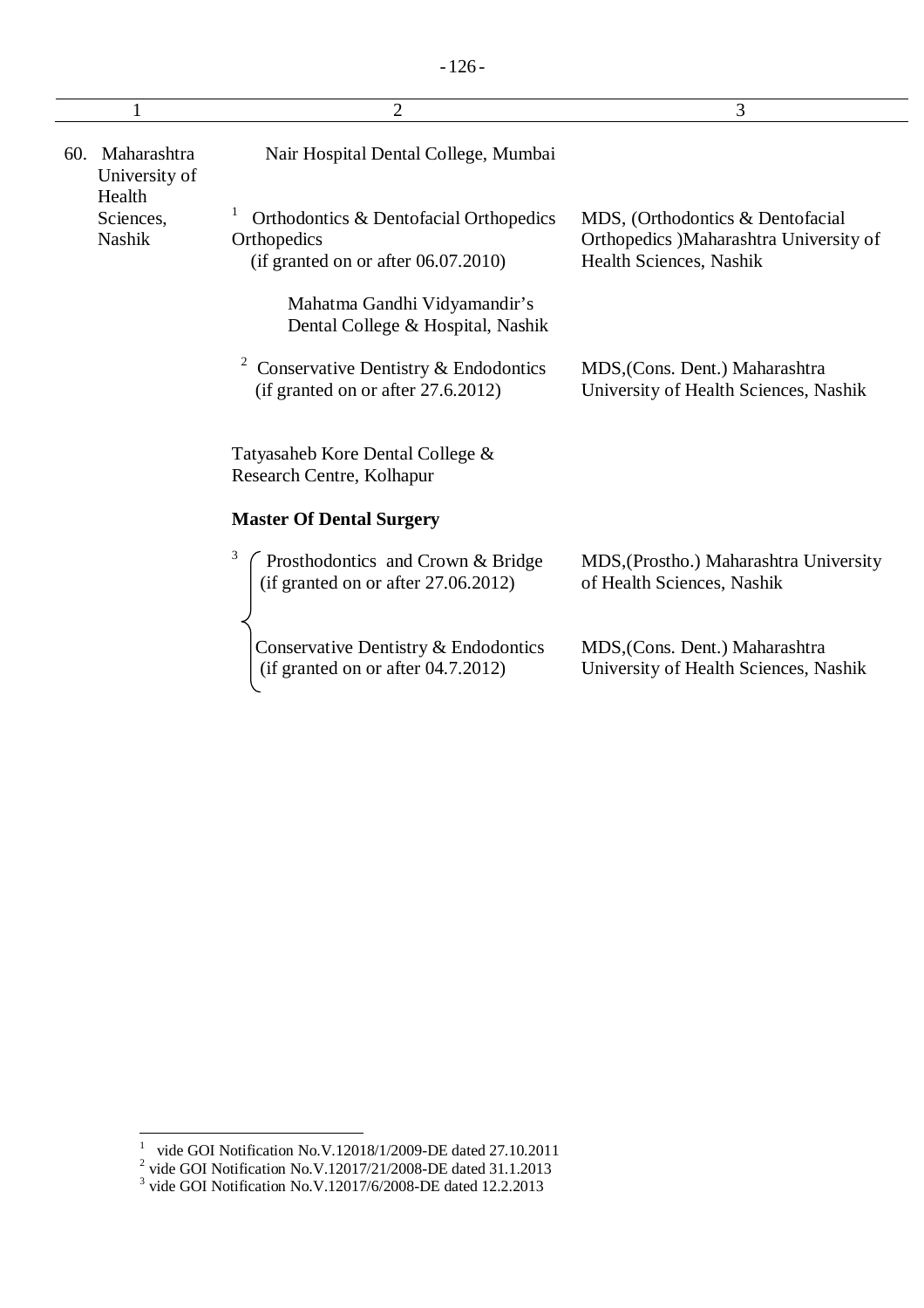|                                               | $\overline{2}$                                                                                  | 3                                                                                                     |
|-----------------------------------------------|-------------------------------------------------------------------------------------------------|-------------------------------------------------------------------------------------------------------|
| Maharashtra<br>60.<br>University of<br>Health | Nair Hospital Dental College, Mumbai                                                            |                                                                                                       |
| Sciences,<br><b>Nashik</b>                    | Orthodontics & Dentofacial Orthopedics<br>Orthopedics<br>(if granted on or after $06.07.2010$ ) | MDS, (Orthodontics & Dentofacial<br>Orthopedics )Maharashtra University of<br>Health Sciences, Nashik |
|                                               | Mahatma Gandhi Vidyamandir's<br>Dental College & Hospital, Nashik                               |                                                                                                       |
|                                               | Conservative Dentistry & Endodontics<br>(if granted on or after 27.6.2012)                      | MDS, (Cons. Dent.) Maharashtra<br>University of Health Sciences, Nashik                               |
|                                               | Tatyasaheb Kore Dental College &<br>Research Centre, Kolhapur                                   |                                                                                                       |
|                                               | <b>Master Of Dental Surgery</b>                                                                 |                                                                                                       |
|                                               | 3<br>Prosthodontics and Crown & Bridge<br>(if granted on or after $27.06.2012$ )                | MDS, (Prostho.) Maharashtra University<br>of Health Sciences, Nashik                                  |
|                                               | Conservative Dentistry & Endodontics<br>(if granted on or after 04.7.2012)                      | MDS, (Cons. Dent.) Maharashtra<br>University of Health Sciences, Nashik                               |

<sup>&</sup>lt;sup>1</sup> vide GOI Notification No.V.12018/1/2009-DE dated 27.10.2011<br>
<sup>2</sup> vide GOI Notification No.V.12017/21/2008-DE dated 31.1.2013<br>
<sup>3</sup> vide GOI Notification No.V.12017/6/2008-DE dated 12.2.2013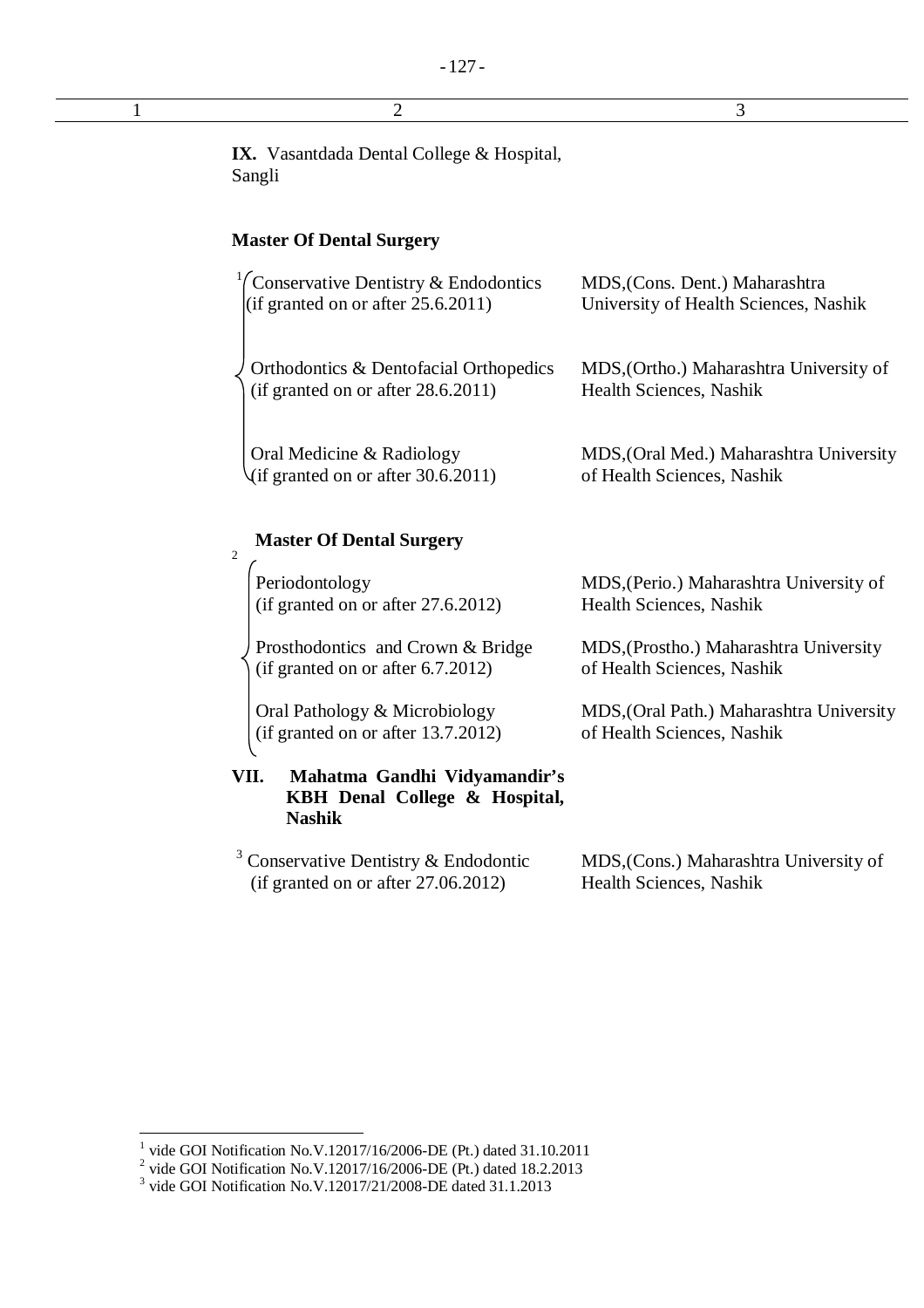$1$  2 3

**IX.** Vasantdada Dental College & Hospital, Sangli

## **Master Of Dental Surgery**

| <sup>1</sup> Conservative Dentistry & Endodontics<br>(if granted on or after $25.6.2011$ ) | MDS, (Cons. Dent.) Maharashtra<br>University of Health Sciences, Nashik   |
|--------------------------------------------------------------------------------------------|---------------------------------------------------------------------------|
| Orthodontics & Dentofacial Orthopedics<br>(if granted on or after 28.6.2011)               | MDS, (Ortho.) Maharashtra University of<br><b>Health Sciences, Nashik</b> |
| Oral Medicine & Radiology<br>$\sqrt{if$ granted on or after 30.6.2011)                     | MDS, (Oral Med.) Maharashtra University<br>of Health Sciences, Nashik     |

## **Master Of Dental Surgery**

2

Periodontology (if granted on or after 27.6.2012)

Prosthodontics and Crown & Bridge (if granted on or after 6.7.2012)

Oral Pathology & Microbiology (if granted on or after 13.7.2012)

**VII. Mahatma Gandhi Vidyamandir's KBH Denal College & Hospital, Nashik**

<sup>3</sup> Conservative Dentistry & Endodontic (if granted on or after 27.06.2012)

MDS,(Perio.) Maharashtra University of Health Sciences, Nashik

MDS,(Prostho.) Maharashtra University of Health Sciences, Nashik

MDS,(Oral Path.) Maharashtra University of Health Sciences, Nashik

MDS,(Cons.) Maharashtra University of Health Sciences, Nashik

 1 vide GOI Notification No.V.12017/16/2006-DE (Pt.) dated 31.10.2011

<sup>&</sup>lt;sup>2</sup> vide GOI Notification No.V.12017/16/2006-DE (Pt.) dated 18.2.2013

<sup>&</sup>lt;sup>3</sup> vide GOI Notification No.V.12017/21/2008-DE dated 31.1.2013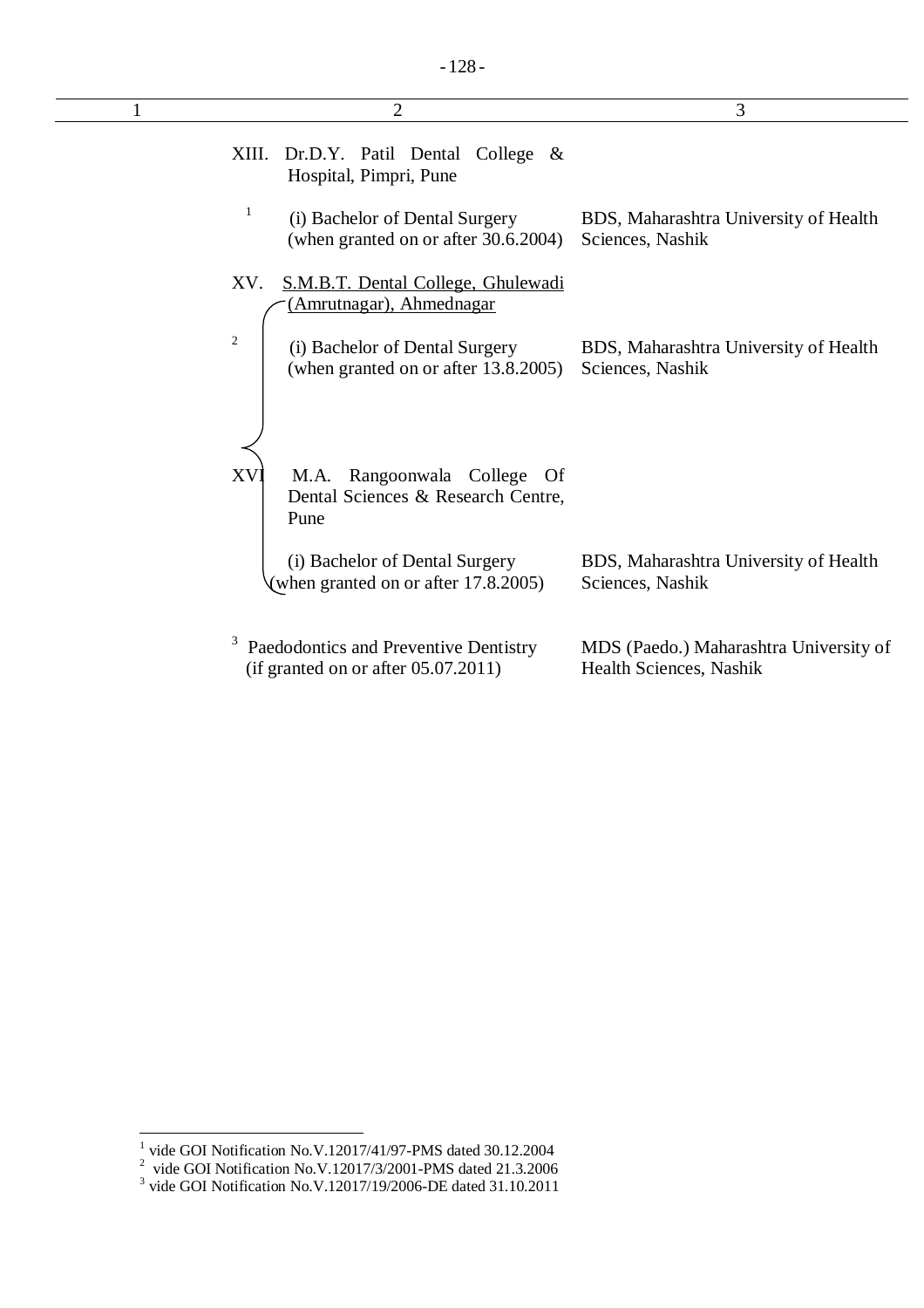| 2                                                                                        | 3                                                                 |
|------------------------------------------------------------------------------------------|-------------------------------------------------------------------|
| Dr.D.Y. Patil Dental<br>XIII.<br>College $\&$<br>Hospital, Pimpri, Pune                  |                                                                   |
| 1<br>(i) Bachelor of Dental Surgery<br>(when granted on or after 30.6.2004)              | BDS, Maharashtra University of Health<br>Sciences, Nashik         |
| XV.<br>S.M.B.T. Dental College, Ghulewadi<br>(Amrutnagar), Ahmednagar                    |                                                                   |
| $\mathfrak{2}$<br>(i) Bachelor of Dental Surgery<br>(when granted on or after 13.8.2005) | BDS, Maharashtra University of Health<br>Sciences, Nashik         |
|                                                                                          |                                                                   |
| XV<br>Rangoonwala College Of<br>M.A.<br>Dental Sciences & Research Centre,<br>Pune       |                                                                   |
| (i) Bachelor of Dental Surgery<br>(when granted on or after 17.8.2005)                   | BDS, Maharashtra University of Health<br>Sciences, Nashik         |
| Paedodontics and Preventive Dentistry<br>(if granted on or after 05.07.2011)             | MDS (Paedo.) Maharashtra University of<br>Health Sciences, Nashik |

<sup>&</sup>lt;sup>1</sup> vide GOI Notification No.V.12017/41/97-PMS dated 30.12.2004<br>
<sup>2</sup> vide GOI Notification No.V.12017/3/2001-PMS dated 21.3.2006<br>
<sup>3</sup> vide GOI Notification No.V.12017/19/2006-DE dated 31.10.2011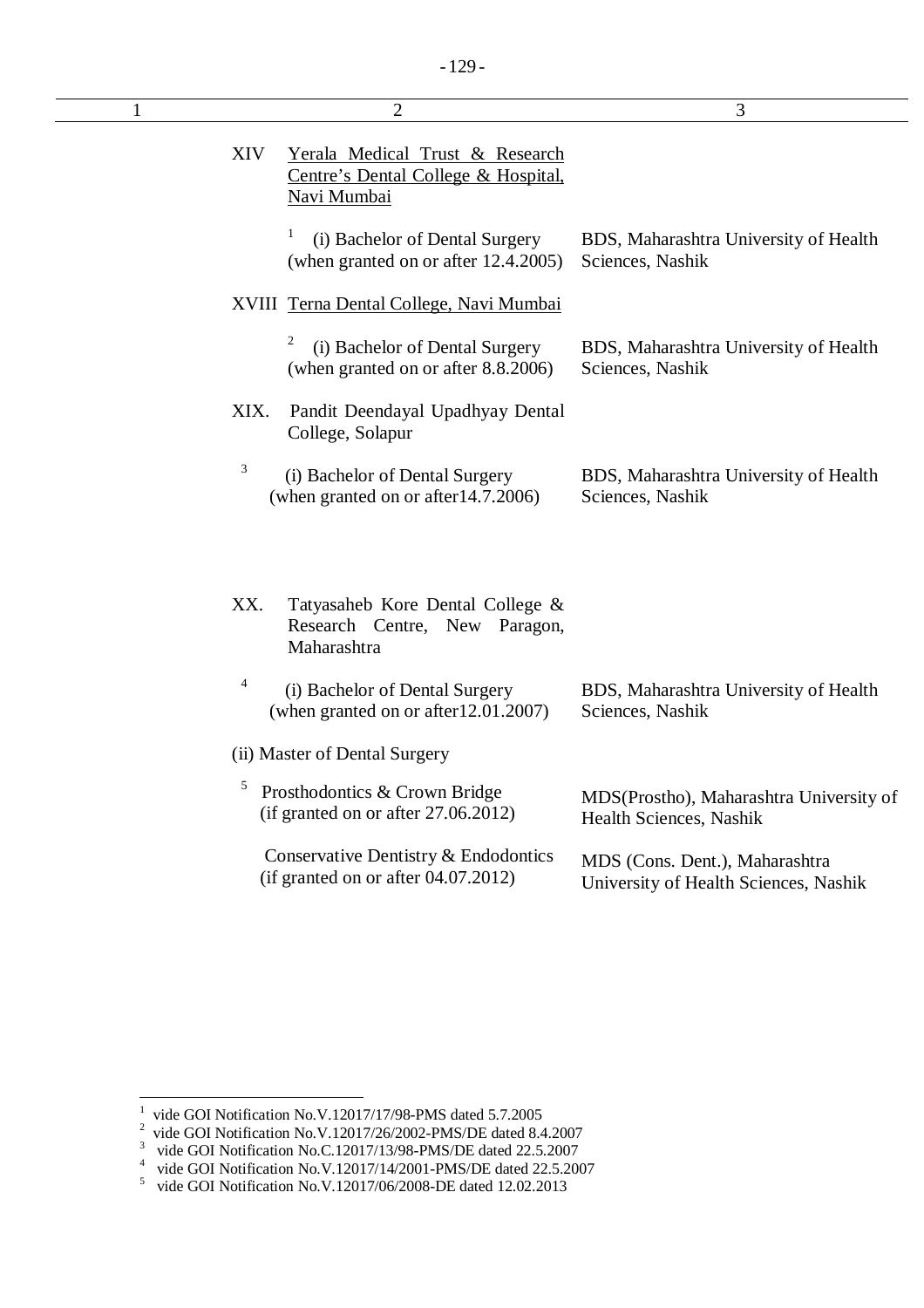| $\mathbf{1}$ | $\overline{2}$                                                                                      | 3                                                                       |
|--------------|-----------------------------------------------------------------------------------------------------|-------------------------------------------------------------------------|
|              | XIV<br>Yerala Medical Trust & Research<br>Centre's Dental College & Hospital,<br><b>Navi Mumbai</b> |                                                                         |
|              | 1<br>(i) Bachelor of Dental Surgery<br>(when granted on or after 12.4.2005)                         | BDS, Maharashtra University of Health<br>Sciences, Nashik               |
|              | XVIII Terna Dental College, Navi Mumbai                                                             |                                                                         |
|              | 2<br>(i) Bachelor of Dental Surgery<br>(when granted on or after 8.8.2006)                          | BDS, Maharashtra University of Health<br>Sciences, Nashik               |
|              | XIX.<br>Pandit Deendayal Upadhyay Dental<br>College, Solapur                                        |                                                                         |
|              | 3<br>(i) Bachelor of Dental Surgery<br>(when granted on or after 14.7.2006)                         | BDS, Maharashtra University of Health<br>Sciences, Nashik               |
|              | XX.<br>Tatyasaheb Kore Dental College &<br>Research Centre, New Paragon,<br>Maharashtra             |                                                                         |
|              | 4<br>(i) Bachelor of Dental Surgery<br>(when granted on or after 12.01.2007)                        | BDS, Maharashtra University of Health<br>Sciences, Nashik               |
|              | (ii) Master of Dental Surgery                                                                       |                                                                         |
|              | 5<br>Prosthodontics & Crown Bridge<br>(if granted on or after $27.06.2012$ )                        | MDS(Prostho), Maharashtra University of<br>Health Sciences, Nashik      |
|              | Conservative Dentistry & Endodontics<br>(if granted on or after 04.07.2012)                         | MDS (Cons. Dent.), Maharashtra<br>University of Health Sciences, Nashik |
|              |                                                                                                     |                                                                         |

 1 vide GOI Notification No.V.12017/17/98-PMS dated 5.7.2005

 $2^2$  vide GOI Notification No.V.12017/26/2002-PMS/DE dated 8.4.2007

<sup>&</sup>lt;sup>3</sup> vide GOI Notification No.C.12017/13/98-PMS/DE dated 22.5.2007

<sup>&</sup>lt;sup>4</sup> vide GOI Notification No.V.12017/14/2001-PMS/DE dated 22.5.2007<br><sup>5</sup> vide GOI Notification No.V.12017/06/2008-DE dated 12.02.2013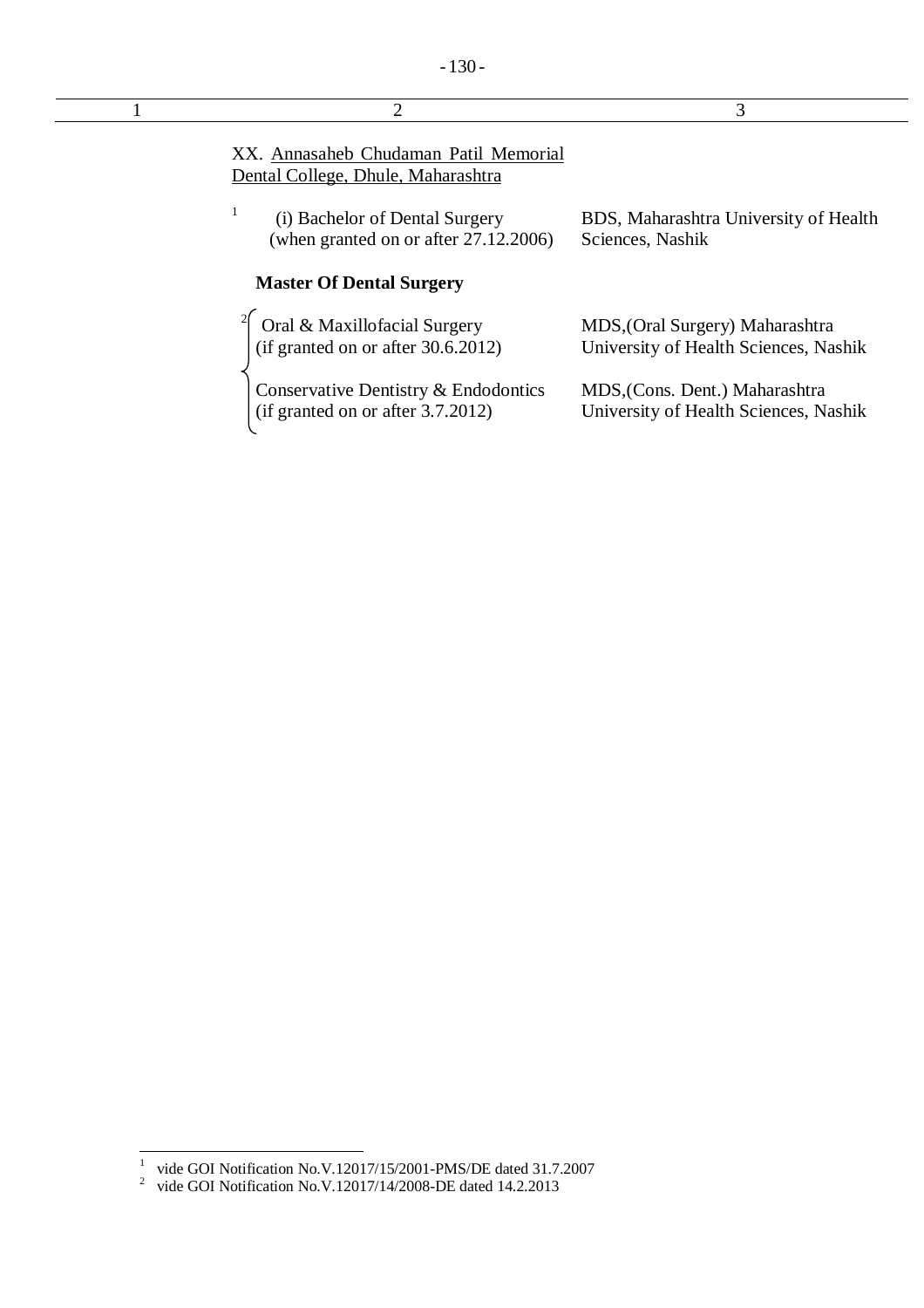| 2                                                                            | 3                                                                        |
|------------------------------------------------------------------------------|--------------------------------------------------------------------------|
| XX. Annasaheb Chudaman Patil Memorial<br>Dental College, Dhule, Maharashtra  |                                                                          |
| (i) Bachelor of Dental Surgery<br>(when granted on or after 27.12.2006)      | BDS, Maharashtra University of Health<br>Sciences, Nashik                |
| <b>Master Of Dental Surgery</b>                                              |                                                                          |
| Oral & Maxillofacial Surgery<br>(if granted on or after $30.6.2012$ )        | MDS, (Oral Surgery) Maharashtra<br>University of Health Sciences, Nashik |
| Conservative Dentistry & Endodontics<br>(if granted on or after $3.7.2012$ ) | MDS, (Cons. Dent.) Maharashtra<br>University of Health Sciences, Nashik  |

 1 vide GOI Notification No.V.12017/15/2001-PMS/DE dated 31.7.2007 2 vide GOI Notification No.V.12017/14/2008-DE dated 14.2.2013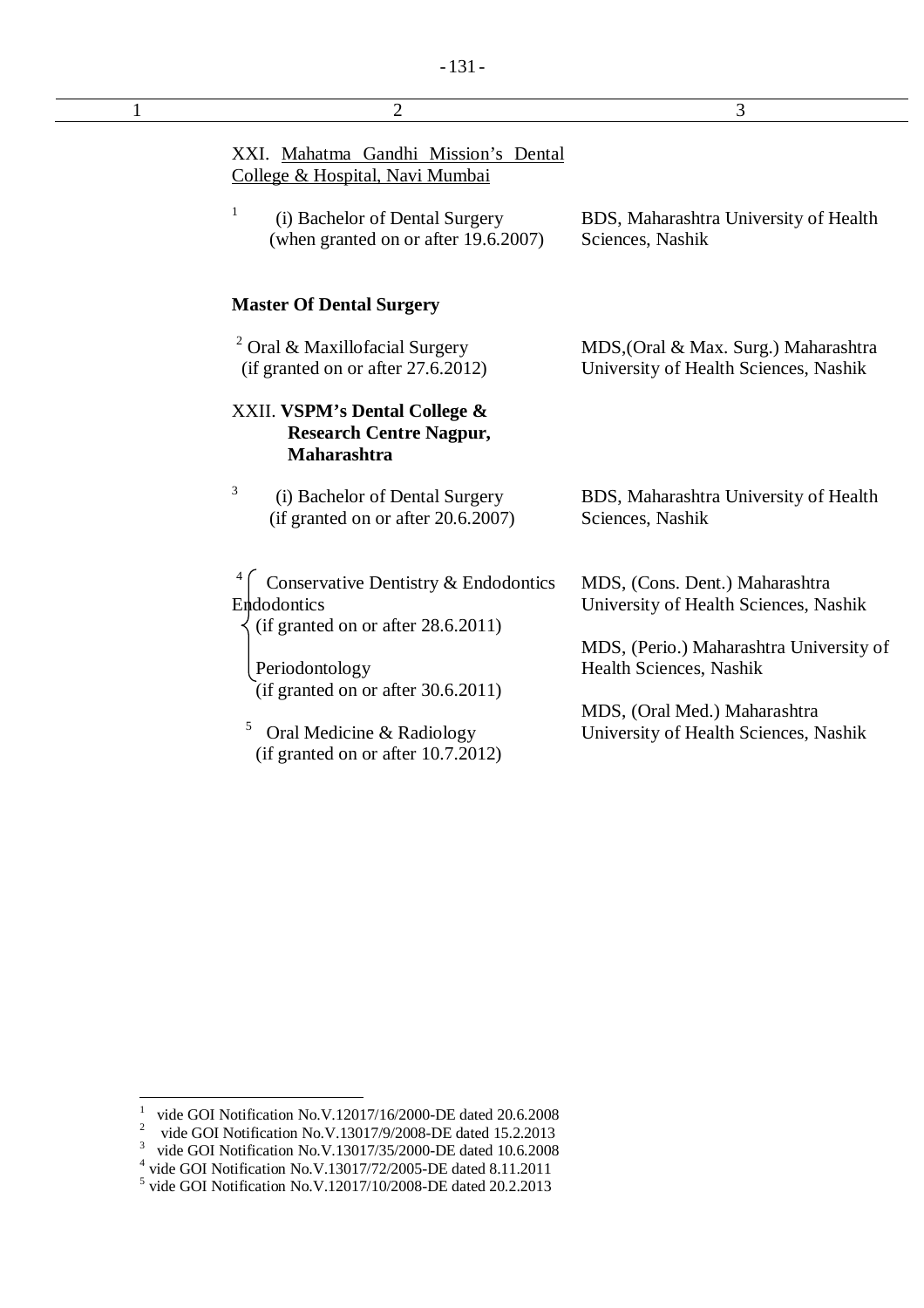| $\mathbf{1}$ | $\overline{2}$                                                                            | 3                                                                             |
|--------------|-------------------------------------------------------------------------------------------|-------------------------------------------------------------------------------|
|              | XXI. Mahatma Gandhi Mission's Dental<br>College & Hospital, Navi Mumbai                   |                                                                               |
|              | $\mathbf{1}$<br>(i) Bachelor of Dental Surgery<br>(when granted on or after 19.6.2007)    | BDS, Maharashtra University of Health<br>Sciences, Nashik                     |
|              | <b>Master Of Dental Surgery</b>                                                           |                                                                               |
|              | <sup>2</sup> Oral & Maxillofacial Surgery<br>(if granted on or after $27.6.2012$ )        | MDS, (Oral & Max. Surg.) Maharashtra<br>University of Health Sciences, Nashik |
|              | XXII. VSPM's Dental College &<br><b>Research Centre Nagpur,</b><br><b>Maharashtra</b>     |                                                                               |
|              | 3<br>(i) Bachelor of Dental Surgery<br>(if granted on or after 20.6.2007)                 | BDS, Maharashtra University of Health<br>Sciences, Nashik                     |
|              | Conservative Dentistry & Endodontics<br>Endodontics<br>(if granted on or after 28.6.2011) | MDS, (Cons. Dent.) Maharashtra<br>University of Health Sciences, Nashik       |
|              | Periodontology<br>(if granted on or after 30.6.2011)                                      | MDS, (Perio.) Maharashtra University of<br>Health Sciences, Nashik            |
|              | 5<br>Oral Medicine & Radiology<br>(if granted on or after $10.7.2012$ )                   | MDS, (Oral Med.) Maharashtra<br>University of Health Sciences, Nashik         |

 $\frac{1}{1}$ vide GOI Notification No.V.12017/16/2000-DE dated 20.6.2008

<sup>&</sup>lt;sup>2</sup> vide GOI Notification No.V.13017/9/2008-DE dated 15.2.2013<br>
<sup>3</sup> vide GOI Notification No.V.13017/35/2000-DE dated 10.6.2008<br>
<sup>4</sup> vide GOI Notification No.V.13017/72/2005-DE dated 8.11.2011<br>
<sup>5</sup> vide GOI Notification N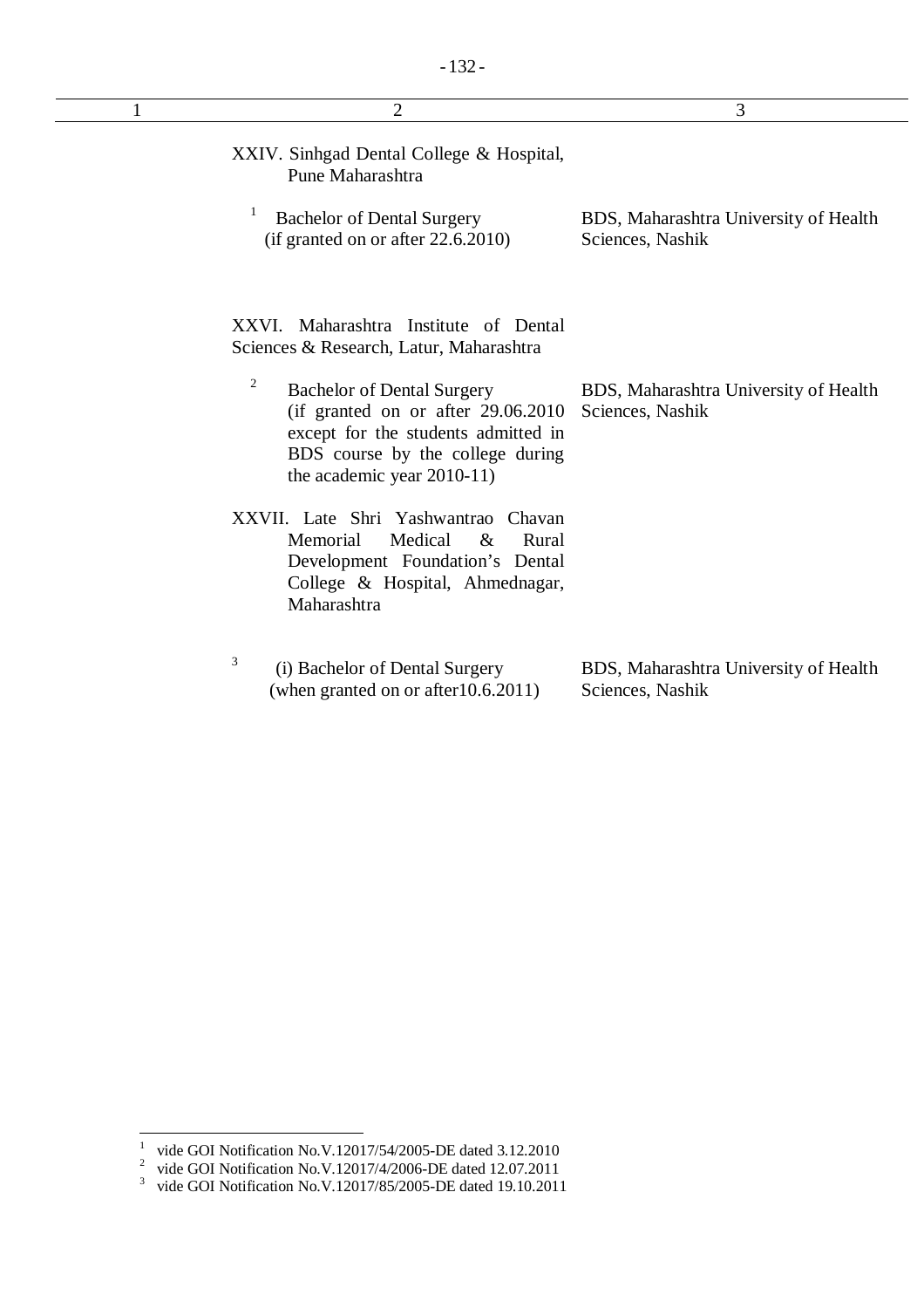| $\overline{2}$                                                                                                                                                                          | 3                                                         |
|-----------------------------------------------------------------------------------------------------------------------------------------------------------------------------------------|-----------------------------------------------------------|
| XXIV. Sinhgad Dental College & Hospital,<br>Pune Maharashtra                                                                                                                            |                                                           |
| <b>Bachelor of Dental Surgery</b><br>$(if$ granted on or after 22.6.2010)                                                                                                               | BDS, Maharashtra University of Health<br>Sciences, Nashik |
| XXVI. Maharashtra Institute of Dental<br>Sciences & Research, Latur, Maharashtra                                                                                                        |                                                           |
| 2<br><b>Bachelor of Dental Surgery</b><br>(if granted on or after $29.06.2010$<br>except for the students admitted in<br>BDS course by the college during<br>the academic year 2010-11) | BDS, Maharashtra University of Health<br>Sciences, Nashik |
| XXVII. Late Shri Yashwantrao<br>Chavan<br>Medical<br>Memorial<br>$\&$<br>Rural<br>Development Foundation's Dental<br>College & Hospital, Ahmednagar,<br>Maharashtra                     |                                                           |
| 3<br>(i) Bachelor of Dental Surgery<br>(when granted on or after 10.6.2011)                                                                                                             | BDS, Maharashtra University of Health<br>Sciences, Nashik |

 1 vide GOI Notification No.V.12017/54/2005-DE dated 3.12.2010

<sup>&</sup>lt;sup>2</sup> vide GOI Notification No.V.12017/4/2006-DE dated 12.07.2011<br><sup>3</sup> vide GOI Notification No.V.12017/85/2005-DE dated 19.10.2011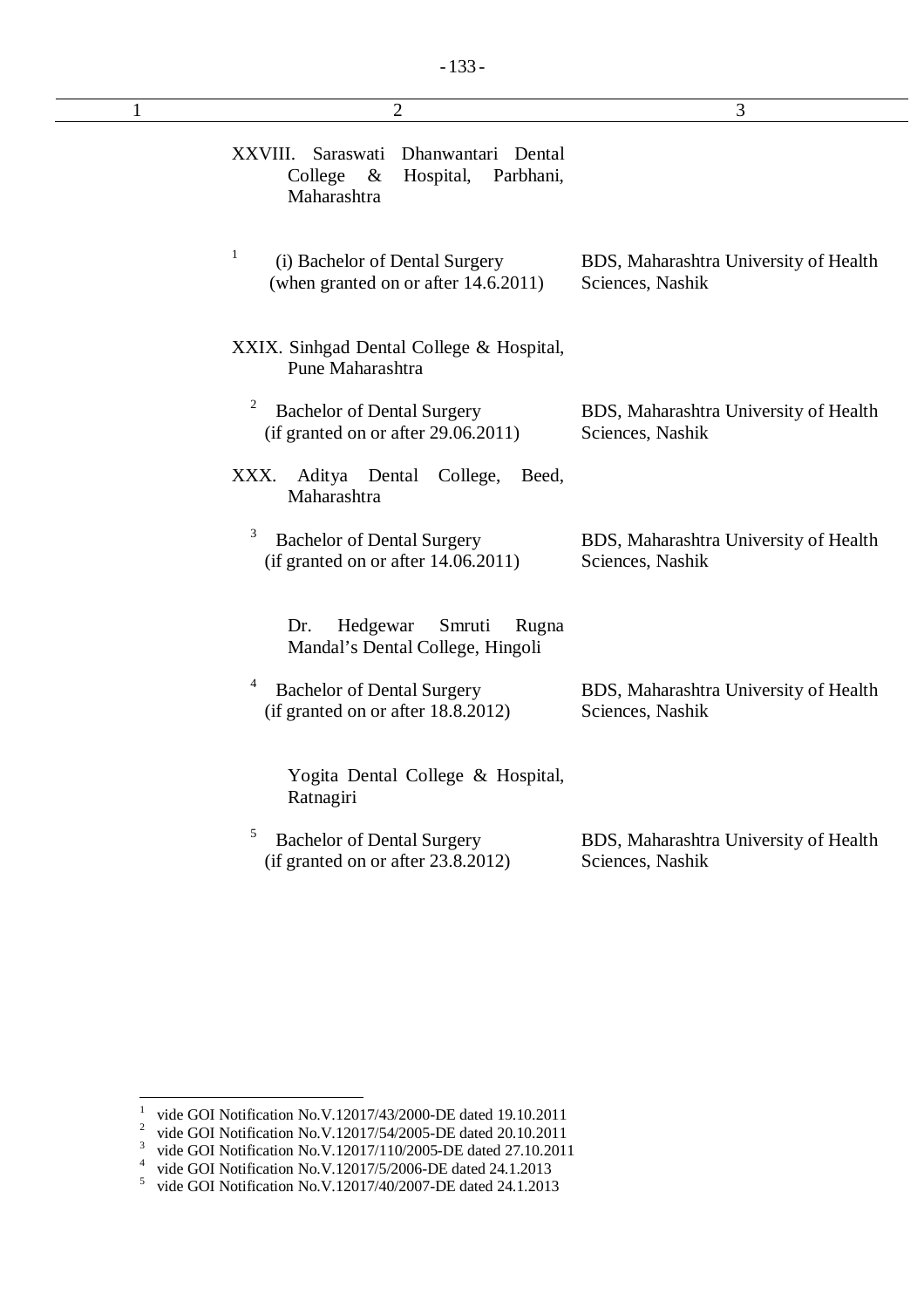| 1 | $\overline{2}$                                                                                         | 3                                                         |
|---|--------------------------------------------------------------------------------------------------------|-----------------------------------------------------------|
|   | XXVIII.<br>Saraswati<br>Dhanwantari Dental<br>College<br>$\&$<br>Hospital,<br>Parbhani,<br>Maharashtra |                                                           |
|   | 1<br>(i) Bachelor of Dental Surgery<br>(when granted on or after 14.6.2011)                            | BDS, Maharashtra University of Health<br>Sciences, Nashik |
|   | XXIX. Sinhgad Dental College & Hospital,<br>Pune Maharashtra                                           |                                                           |
|   | $\overline{c}$<br><b>Bachelor of Dental Surgery</b><br>(if granted on or after $29.06.2011$ )          | BDS, Maharashtra University of Health<br>Sciences, Nashik |
|   | Aditya Dental<br>College,<br>XXX.<br>Beed,<br>Maharashtra                                              |                                                           |
|   | 3<br><b>Bachelor of Dental Surgery</b><br>(if granted on or after $14.06.2011$ )                       | BDS, Maharashtra University of Health<br>Sciences, Nashik |
|   | Hedgewar<br>Smruti<br>Dr.<br>Rugna<br>Mandal's Dental College, Hingoli                                 |                                                           |
|   | 4<br><b>Bachelor of Dental Surgery</b><br>(if granted on or after 18.8.2012)                           | BDS, Maharashtra University of Health<br>Sciences, Nashik |
|   | Yogita Dental College & Hospital,<br>Ratnagiri                                                         |                                                           |
|   | 5<br><b>Bachelor of Dental Surgery</b><br>(if granted on or after 23.8.2012)                           | BDS, Maharashtra University of Health<br>Sciences, Nashik |

 1 vide GOI Notification No.V.12017/43/2000-DE dated 19.10.2011

<sup>&</sup>lt;sup>2</sup> vide GOI Notification No.V.12017/54/2005-DE dated 20.10.2011

<sup>&</sup>lt;sup>3</sup> vide GOI Notification No.V.12017/110/2005-DE dated 27.10.2011

<sup>&</sup>lt;sup>4</sup> vide GOI Notification No.V.12017/5/2006-DE dated 24.1.2013<br>
<sup>5</sup> vide GOI Notification No.V.12017/40/2007-DE dated 24.1.2013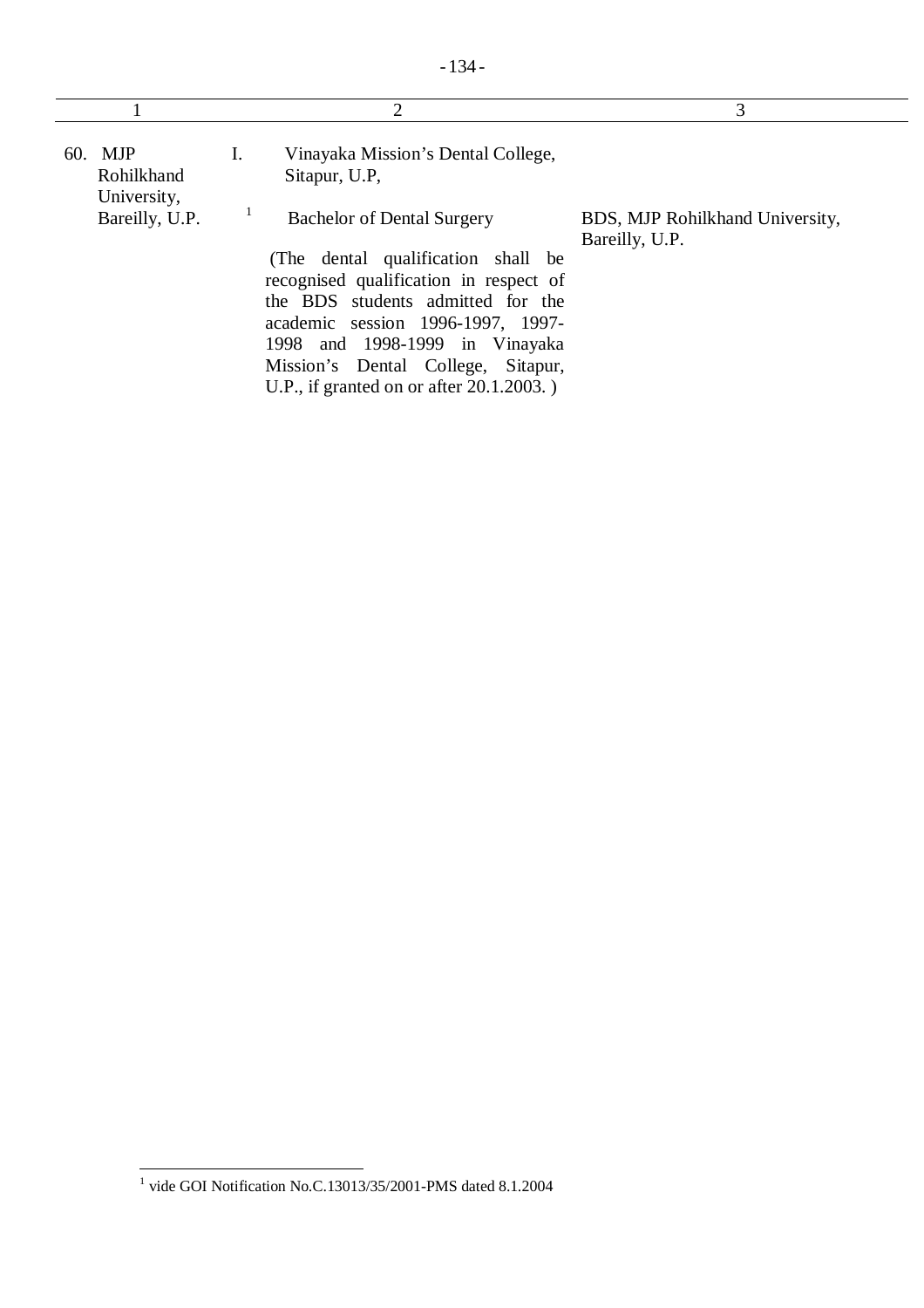| 60. MJP<br>Vinayaka Mission's Dental College,<br>Ι.<br>Rohilkhand<br>Sitapur, U.P.<br>University,<br>Bareilly, U.P.<br><b>Bachelor of Dental Surgery</b><br>BDS, MJP Rohilkhand University,<br>Bareilly, U.P.<br>(The dental qualification shall be<br>recognised qualification in respect of<br>the BDS students admitted for the<br>academic session 1996-1997, 1997-<br>1998 and 1998-1999 in Vinayaka<br>Mission's Dental College, Sitapur, | 2                                           | 3 |
|-------------------------------------------------------------------------------------------------------------------------------------------------------------------------------------------------------------------------------------------------------------------------------------------------------------------------------------------------------------------------------------------------------------------------------------------------|---------------------------------------------|---|
|                                                                                                                                                                                                                                                                                                                                                                                                                                                 | U.P., if granted on or after $20.1.2003$ .) |   |

 1 vide GOI Notification No.C.13013/35/2001-PMS dated 8.1.2004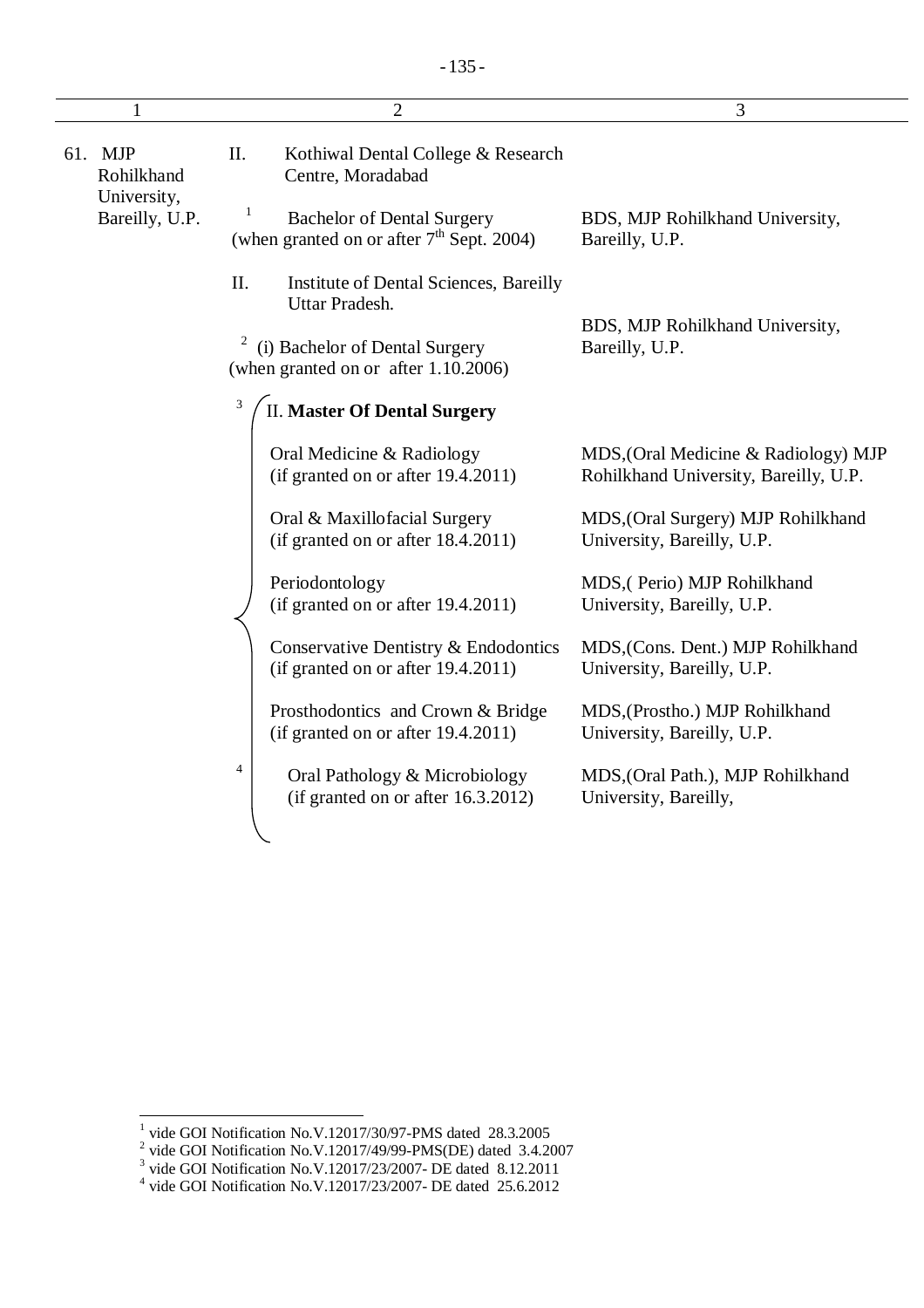|                                      | $\overline{2}$                                                                                    | 3                                                                             |
|--------------------------------------|---------------------------------------------------------------------------------------------------|-------------------------------------------------------------------------------|
| 61. MJP<br>Rohilkhand<br>University, | Π.<br>Kothiwal Dental College & Research<br>Centre, Moradabad                                     |                                                                               |
| Bareilly, U.P.                       | <b>Bachelor of Dental Surgery</b><br>(when granted on or after $7th$ Sept. 2004)                  | BDS, MJP Rohilkhand University,<br>Bareilly, U.P.                             |
|                                      | II.<br>Institute of Dental Sciences, Bareilly<br>Uttar Pradesh.                                   |                                                                               |
|                                      | $\overline{\mathbf{c}}$<br>(i) Bachelor of Dental Surgery<br>(when granted on or after 1.10.2006) | BDS, MJP Rohilkhand University,<br>Bareilly, U.P.                             |
|                                      | 3<br><b>II. Master Of Dental Surgery</b>                                                          |                                                                               |
|                                      | Oral Medicine & Radiology<br>(if granted on or after 19.4.2011)                                   | MDS, (Oral Medicine & Radiology) MJP<br>Rohilkhand University, Bareilly, U.P. |
|                                      | Oral & Maxillofacial Surgery<br>(if granted on or after 18.4.2011)                                | MDS, (Oral Surgery) MJP Rohilkhand<br>University, Bareilly, U.P.              |
|                                      | Periodontology<br>(if granted on or after 19.4.2011)                                              | MDS, (Perio) MJP Rohilkhand<br>University, Bareilly, U.P.                     |
|                                      | Conservative Dentistry & Endodontics<br>(if granted on or after 19.4.2011)                        | MDS, (Cons. Dent.) MJP Rohilkhand<br>University, Bareilly, U.P.               |
|                                      | Prosthodontics and Crown & Bridge<br>(if granted on or after 19.4.2011)                           | MDS, (Prostho.) MJP Rohilkhand<br>University, Bareilly, U.P.                  |
|                                      | $\overline{4}$<br>Oral Pathology & Microbiology<br>(if granted on or after 16.3.2012)             | MDS, (Oral Path.), MJP Rohilkhand<br>University, Bareilly,                    |
|                                      |                                                                                                   |                                                                               |

<sup>&</sup>lt;sup>1</sup> vide GOI Notification No.V.12017/30/97-PMS dated 28.3.2005<br><sup>2</sup> vide GOI Notification No.V.12017/49/99-PMS(DE) dated 3.4.2007<br><sup>3</sup> vide GOI Notification No.V.12017/23/2007- DE dated 8.12.2011<br><sup>4</sup> vide GOI Notification N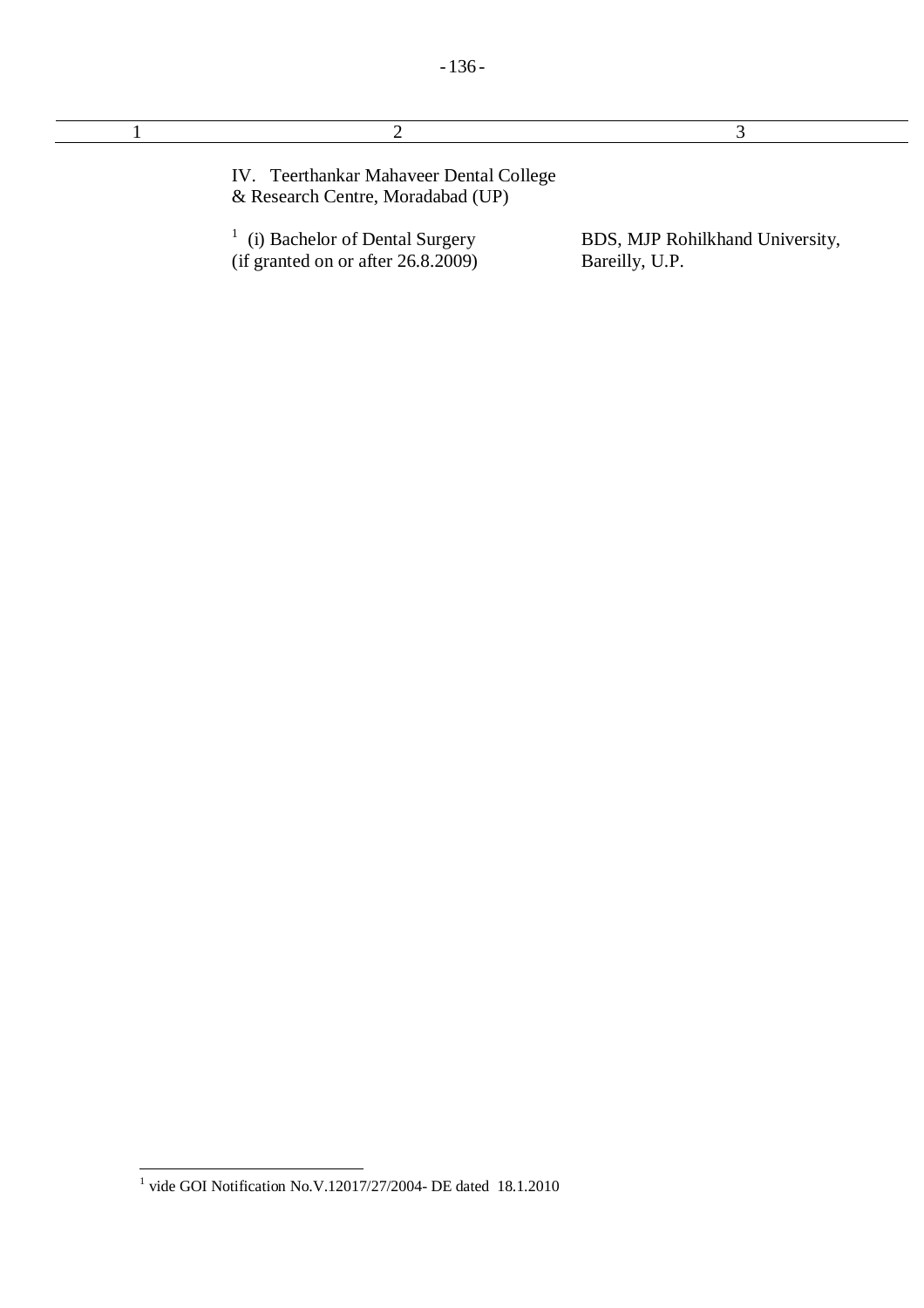| IV. Teerthankar Mahaveer Dental College<br>& Research Centre, Moradabad (UP) |                                                   |
|------------------------------------------------------------------------------|---------------------------------------------------|
| (i) Bachelor of Dental Surgery<br>(if granted on or after $26.8.2009$ )      | BDS, MJP Rohilkhand University,<br>Bareilly, U.P. |

- 136 -

 1 vide GOI Notification No.V.12017/27/2004- DE dated 18.1.2010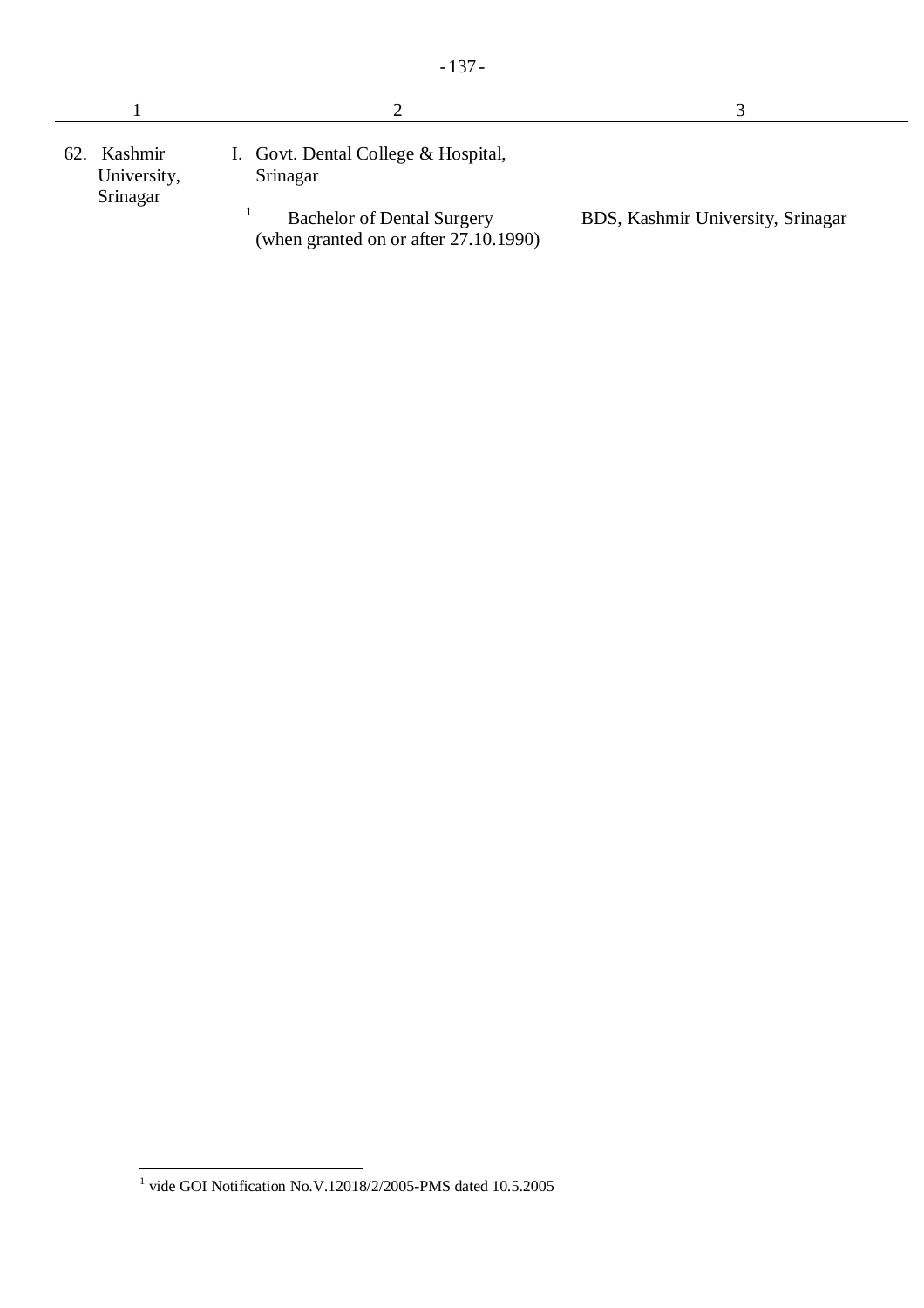| 62. Kashmir<br>University,<br>Srinagar | I. Govt. Dental College & Hospital,<br>Srinagar                            |                                   |
|----------------------------------------|----------------------------------------------------------------------------|-----------------------------------|
|                                        | <b>Bachelor of Dental Surgery</b><br>(when granted on or after 27.10.1990) | BDS, Kashmir University, Srinagar |

 $\overline{\phantom{a}}$ 1 vide GOI Notification No.V.12018/2/2005-PMS dated 10.5.2005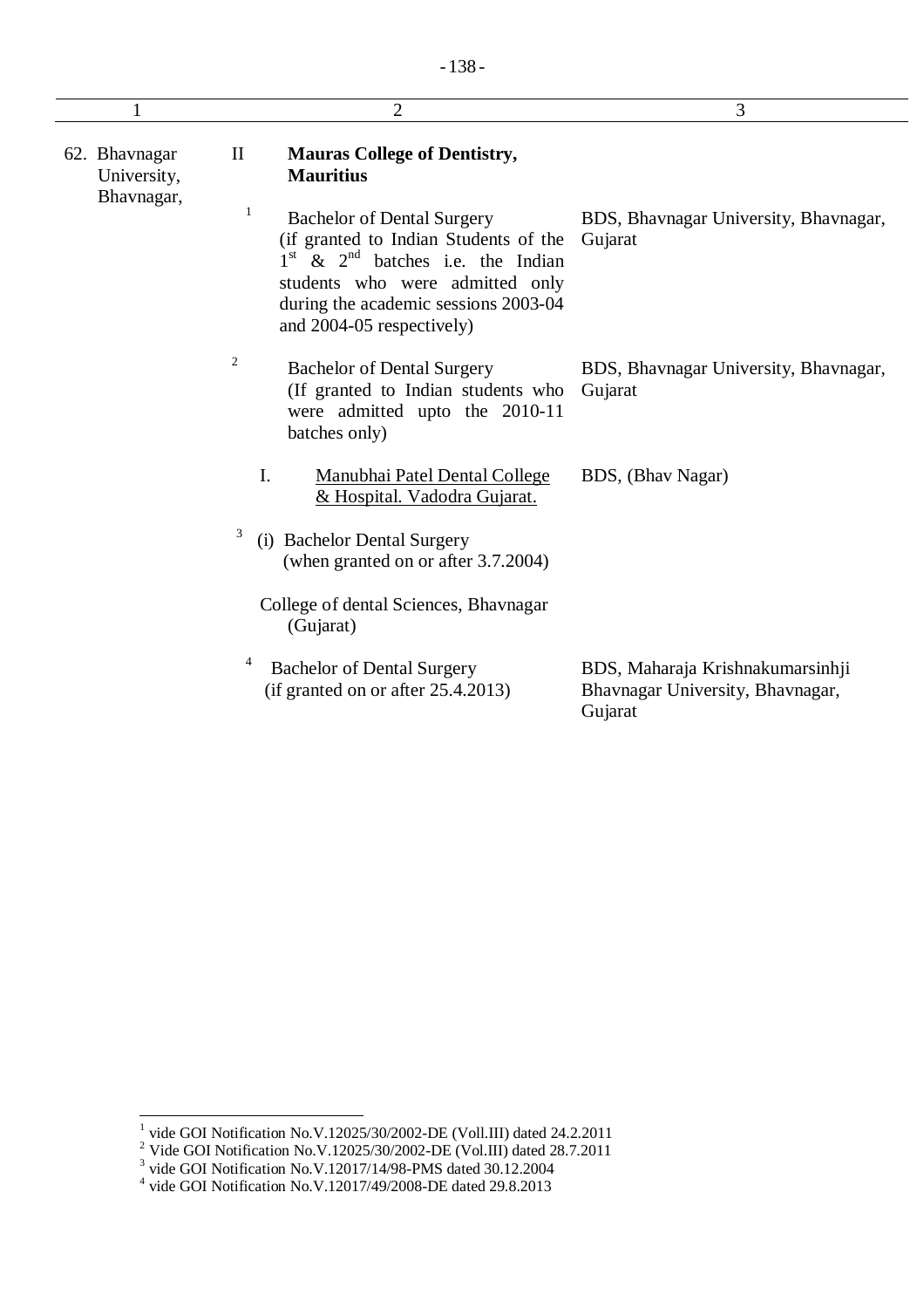|                                            |              | $\overline{2}$                                                                                                                                                                                                              | 3                                                                               |
|--------------------------------------------|--------------|-----------------------------------------------------------------------------------------------------------------------------------------------------------------------------------------------------------------------------|---------------------------------------------------------------------------------|
| 62. Bhavnagar<br>University,<br>Bhavnagar, | $\mathbf{I}$ | <b>Mauras College of Dentistry,</b><br><b>Mauritius</b>                                                                                                                                                                     |                                                                                 |
|                                            | 1            | <b>Bachelor of Dental Surgery</b><br>(if granted to Indian Students of the<br>$1st$ & $2nd$ batches i.e. the Indian<br>students who were admitted only<br>during the academic sessions 2003-04<br>and 2004-05 respectively) | BDS, Bhavnagar University, Bhavnagar,<br>Gujarat                                |
|                                            | 2            | <b>Bachelor of Dental Surgery</b><br>(If granted to Indian students who<br>were admitted upto the 2010-11<br>batches only)                                                                                                  | BDS, Bhavnagar University, Bhavnagar,<br>Gujarat                                |
|                                            | I.           | Manubhai Patel Dental College<br>& Hospital. Vadodra Gujarat.                                                                                                                                                               | BDS, (Bhav Nagar)                                                               |
|                                            | 3            | (i) Bachelor Dental Surgery<br>(when granted on or after 3.7.2004)                                                                                                                                                          |                                                                                 |
|                                            |              | College of dental Sciences, Bhavnagar<br>(Gujarat)                                                                                                                                                                          |                                                                                 |
|                                            |              | <b>Bachelor of Dental Surgery</b><br>(if granted on or after 25.4.2013)                                                                                                                                                     | BDS, Maharaja Krishnakumarsinhji<br>Bhavnagar University, Bhavnagar,<br>Gujarat |

 1 vide GOI Notification No.V.12025/30/2002-DE (Voll.III) dated 24.2.2011

<sup>&</sup>lt;sup>2</sup> Vide GOI Notification No.V.12025/30/2002-DE (Vol.III) dated 28.7.2011<br>
<sup>3</sup> vide GOI Notification No.V.12017/14/98-PMS dated 30.12.2004<br>
<sup>4</sup> vide GOI Notification No.V.12017/49/2008-DE dated 29.8.2013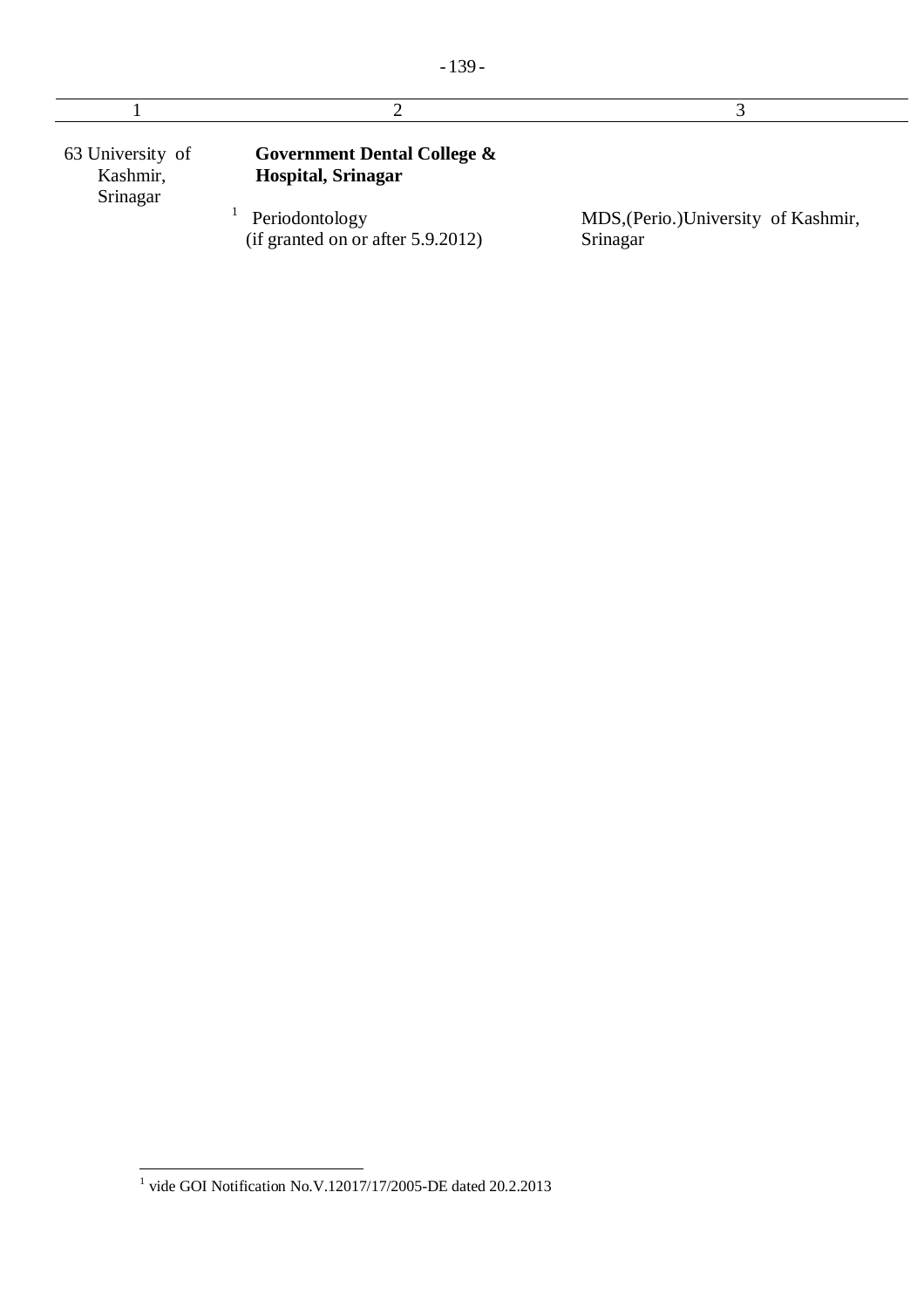| 63 University of<br>Kashmir,<br>Srinagar | <b>Government Dental College &amp;</b><br><b>Hospital, Srinagar</b> |                                                  |
|------------------------------------------|---------------------------------------------------------------------|--------------------------------------------------|
|                                          | Periodontology<br>(if granted on or after $5.9.2012$ )              | MDS, (Perio.) University of Kashmir,<br>Srinagar |

 1 vide GOI Notification No.V.12017/17/2005-DE dated 20.2.2013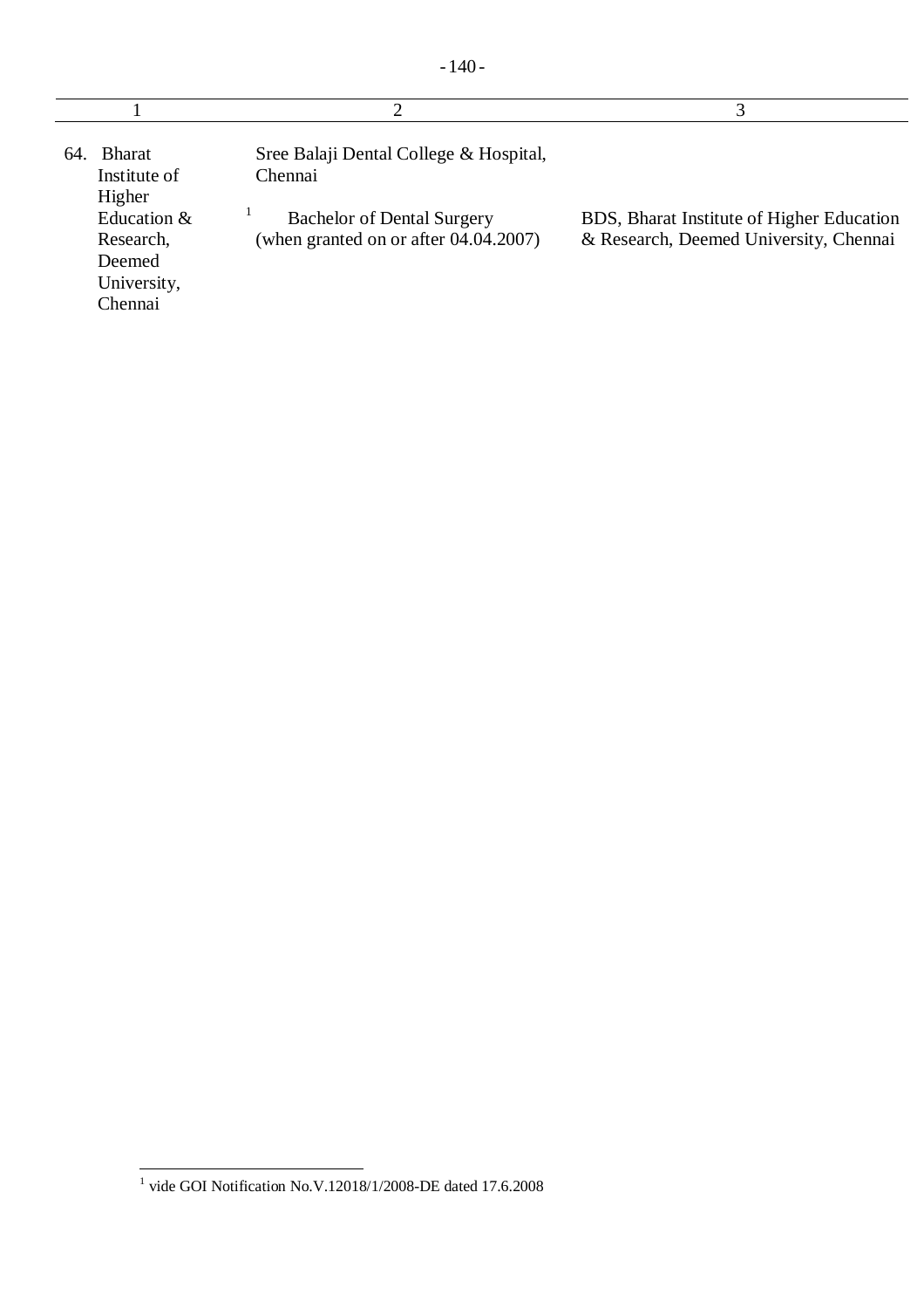| <b>Bharat</b><br>64<br>Institute of<br>Higher                | Sree Balaji Dental College & Hospital,<br>Chennai                          |                                                                                     |
|--------------------------------------------------------------|----------------------------------------------------------------------------|-------------------------------------------------------------------------------------|
| Education &<br>Research,<br>Deemed<br>University,<br>Chennai | <b>Bachelor of Dental Surgery</b><br>(when granted on or after 04.04.2007) | BDS, Bharat Institute of Higher Education<br>& Research, Deemed University, Chennai |

 1 vide GOI Notification No.V.12018/1/2008-DE dated 17.6.2008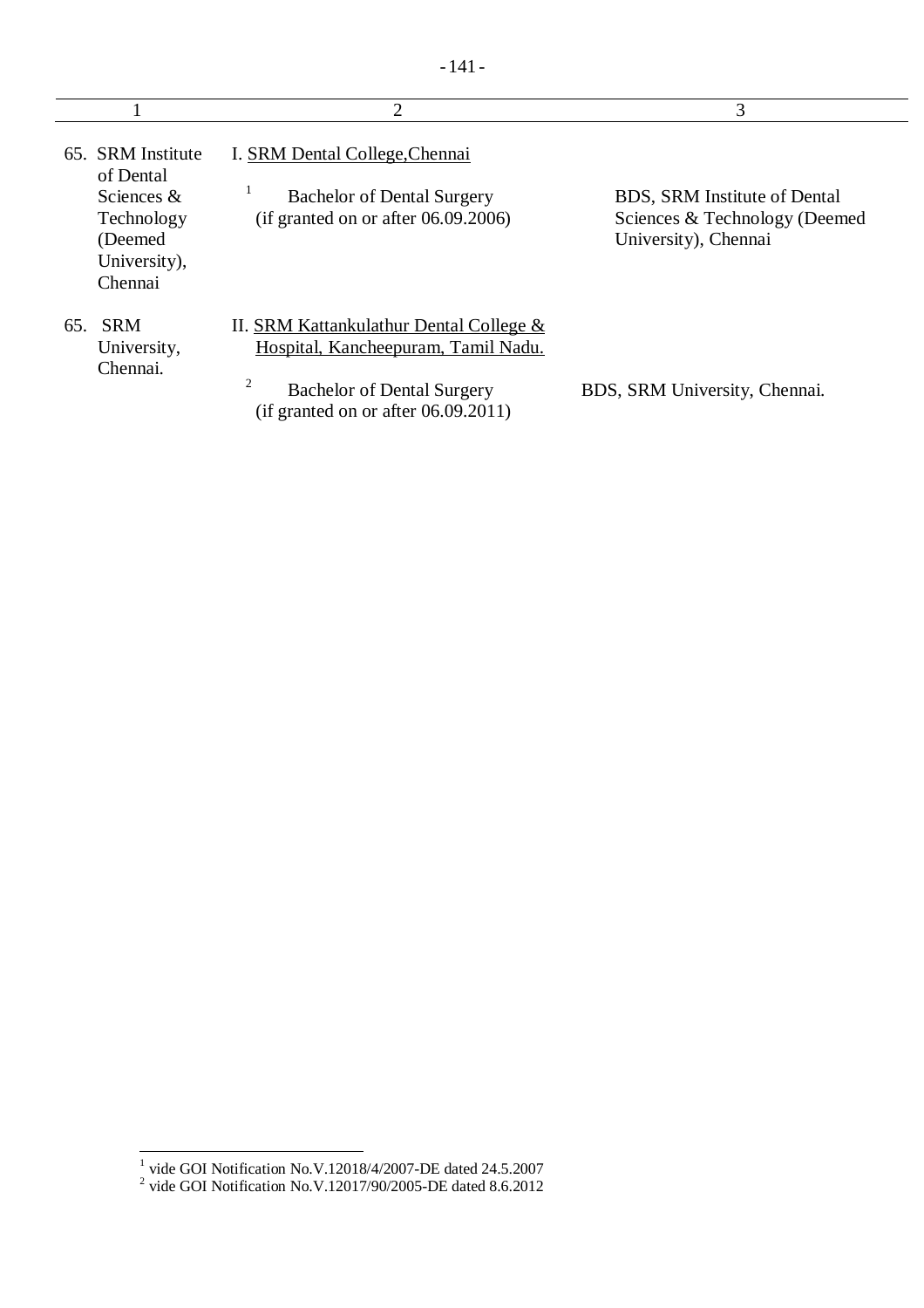|                                                                  | $\overline{2}$                                                                 | 3                                                                                            |
|------------------------------------------------------------------|--------------------------------------------------------------------------------|----------------------------------------------------------------------------------------------|
| 65. SRM Institute<br>of Dental                                   | I. SRM Dental College, Chennai                                                 |                                                                                              |
| Sciences $&$<br>Technology<br>(Deemed<br>University),<br>Chennai | <b>Bachelor of Dental Surgery</b><br>(if granted on or after $06.09.2006$ )    | <b>BDS, SRM Institute of Dental</b><br>Sciences & Technology (Deemed<br>University), Chennai |
| 65. SRM<br>University,<br>Chennai.                               | II. SRM Kattankulathur Dental College &<br>Hospital, Kancheepuram, Tamil Nadu. |                                                                                              |
|                                                                  | 2<br><b>Bachelor of Dental Surgery</b><br>(if granted on or after 06.09.2011)  | BDS, SRM University, Chennai.                                                                |

 1 vide GOI Notification No.V.12018/4/2007-DE dated 24.5.2007 2 vide GOI Notification No.V.12017/90/2005-DE dated 8.6.2012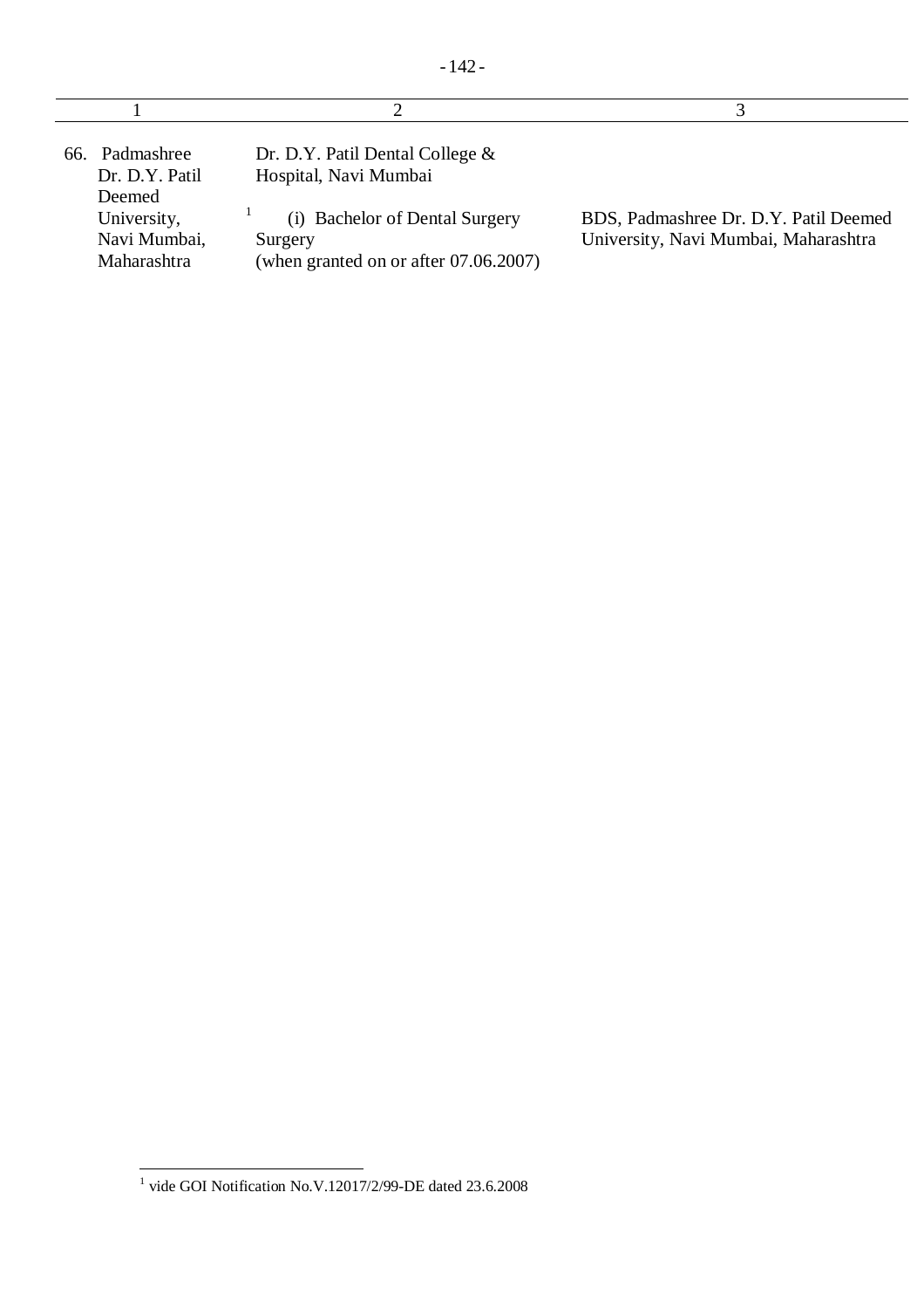| 66. Padmashree<br>Dr. D.Y. Patil<br>Deemed<br>University,<br>Navi Mumbai,<br>Maharashtra | Dr. D.Y. Patil Dental College $\&$<br>Hospital, Navi Mumbai<br>(i) Bachelor of Dental Surgery<br>Surgery<br>(when granted on or after $07.06.2007$ ) | BDS, Padmashree Dr. D.Y. Patil Deemed<br>University, Navi Mumbai, Maharashtra |
|------------------------------------------------------------------------------------------|------------------------------------------------------------------------------------------------------------------------------------------------------|-------------------------------------------------------------------------------|

 1 vide GOI Notification No.V.12017/2/99-DE dated 23.6.2008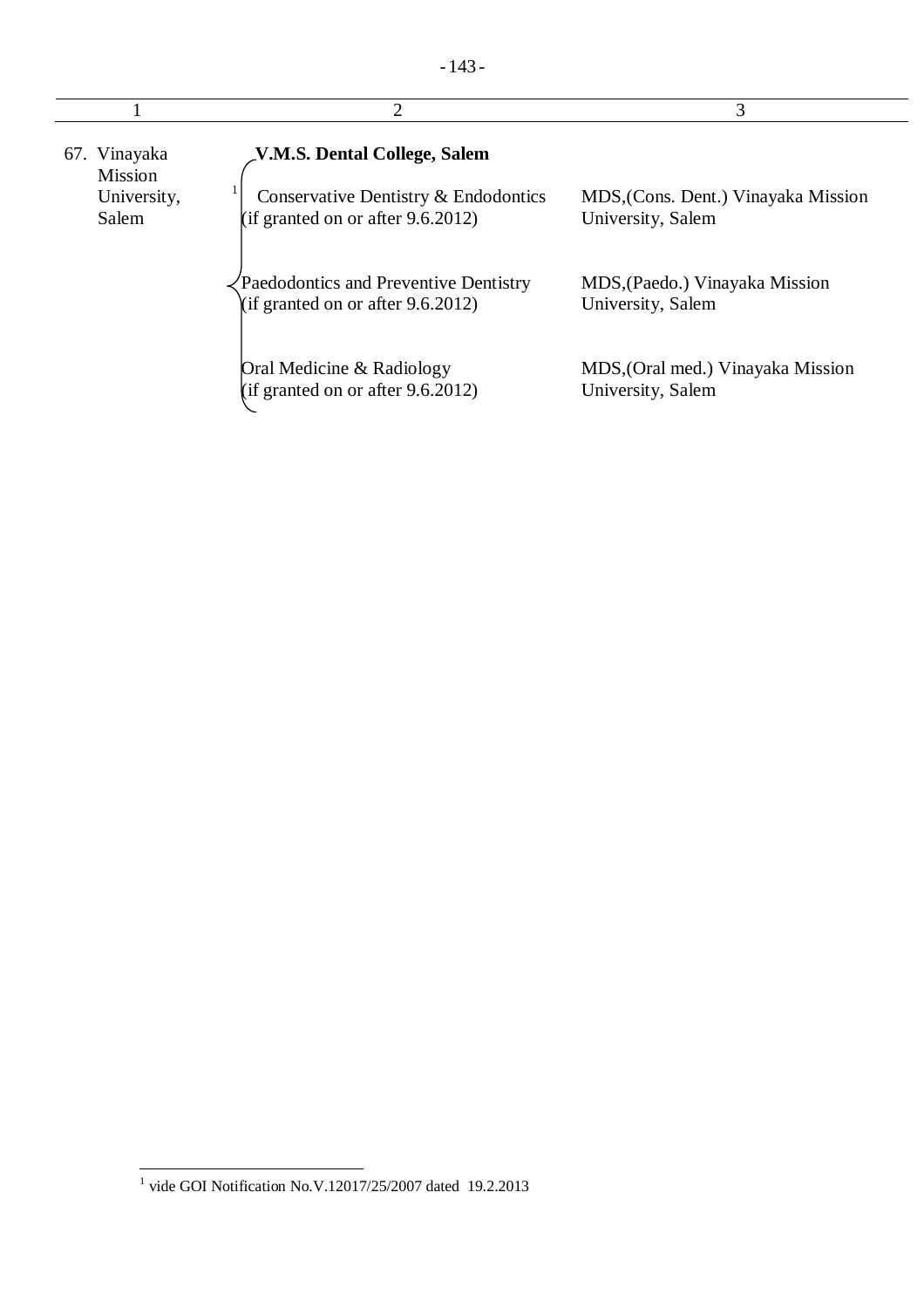|                                                        | $\overline{2}$                                                                                               | 3                                                        |
|--------------------------------------------------------|--------------------------------------------------------------------------------------------------------------|----------------------------------------------------------|
| 67. Vinayaka<br><b>Mission</b><br>University,<br>Salem | V.M.S. Dental College, Salem<br>Conservative Dentistry & Endodontics<br>(if granted on or after $9.6.2012$ ) | MDS, (Cons. Dent.) Vinayaka Mission<br>University, Salem |
|                                                        | Paedodontics and Preventive Dentistry<br>(if granted on or after $9.6.2012$ )                                | MDS, (Paedo.) Vinayaka Mission<br>University, Salem      |
|                                                        | Oral Medicine & Radiology<br>(if granted on or after $9.6.2012$ )                                            | MDS, (Oral med.) Vinayaka Mission<br>University, Salem   |

 1 vide GOI Notification No.V.12017/25/2007 dated 19.2.2013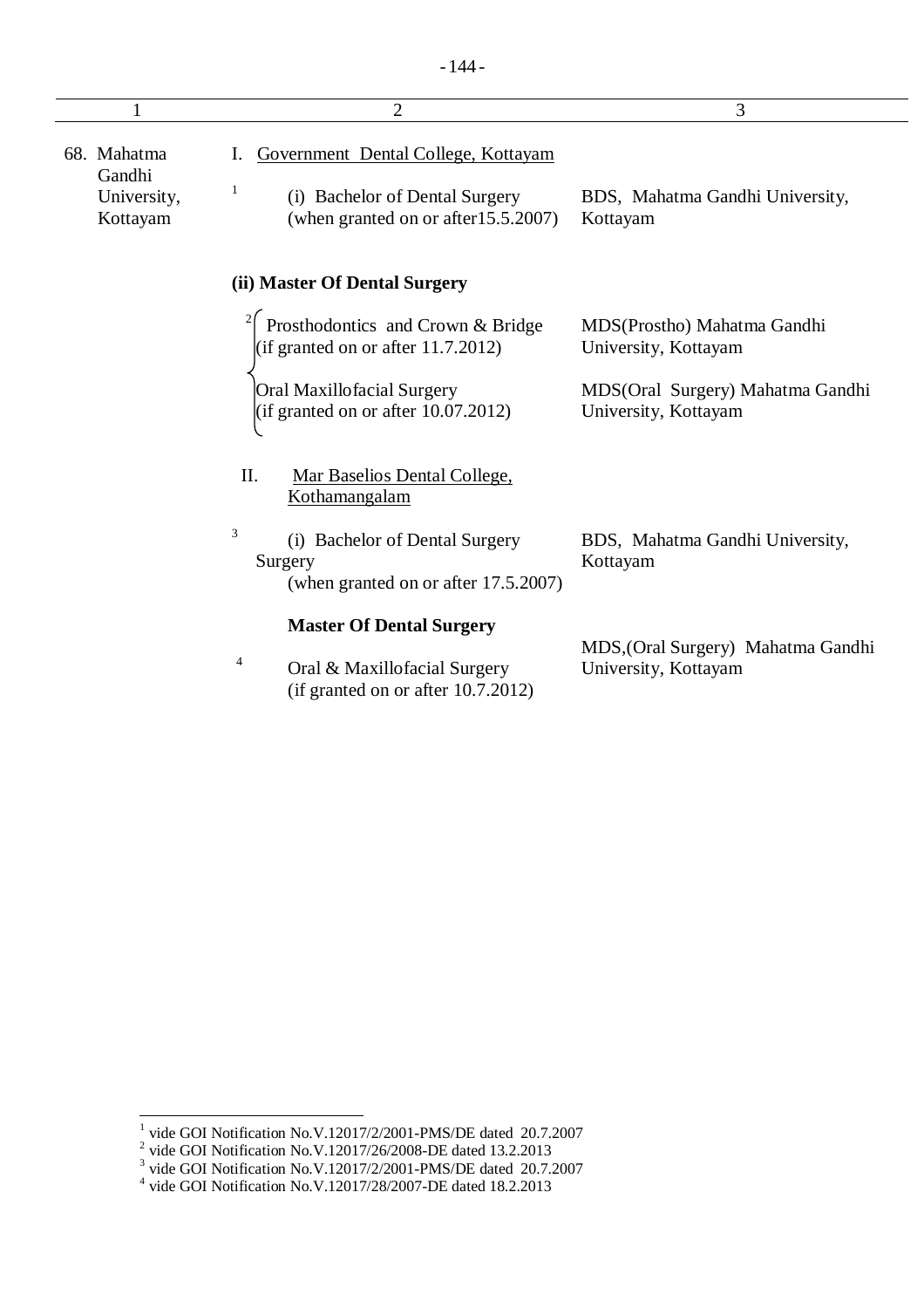|                                                  | $\overline{2}$                                                                                                     | 3                                                          |
|--------------------------------------------------|--------------------------------------------------------------------------------------------------------------------|------------------------------------------------------------|
| 68. Mahatma<br>Gandhi<br>University,<br>Kottayam | Government Dental College, Kottayam<br>1<br>(i) Bachelor of Dental Surgery<br>(when granted on or after 15.5.2007) | BDS, Mahatma Gandhi University,<br>Kottayam                |
|                                                  | (ii) Master Of Dental Surgery                                                                                      |                                                            |
|                                                  | <sup>2</sup> Prosthodontics and Crown & Bridge<br>(if granted on or after $11.7.2012$ )                            | MDS(Prostho) Mahatma Gandhi<br>University, Kottayam        |
|                                                  | Oral Maxillofacial Surgery<br>(if granted on or after $10.07.2012$ )                                               | MDS(Oral Surgery) Mahatma Gandhi<br>University, Kottayam   |
|                                                  | II.<br>Mar Baselios Dental College,<br>Kothamangalam                                                               |                                                            |
|                                                  | 3<br>(i) Bachelor of Dental Surgery<br>Surgery<br>(when granted on or after 17.5.2007)                             | BDS, Mahatma Gandhi University,<br>Kottayam                |
|                                                  | <b>Master Of Dental Surgery</b><br>4<br>Oral & Maxillofacial Surgery<br>(if granted on or after $10.7.2012$ )      | MDS, (Oral Surgery) Mahatma Gandhi<br>University, Kottayam |

<sup>&</sup>lt;sup>1</sup> vide GOI Notification No.V.12017/2/2001-PMS/DE dated 20.7.2007<br><sup>2</sup> vide GOI Notification No.V.12017/26/2008-DE dated 13.2.2013<br><sup>3</sup> vide GOI Notification No.V.12017/2/2001-PMS/DE dated 20.7.2007<br><sup>4</sup> vide GOI Notificati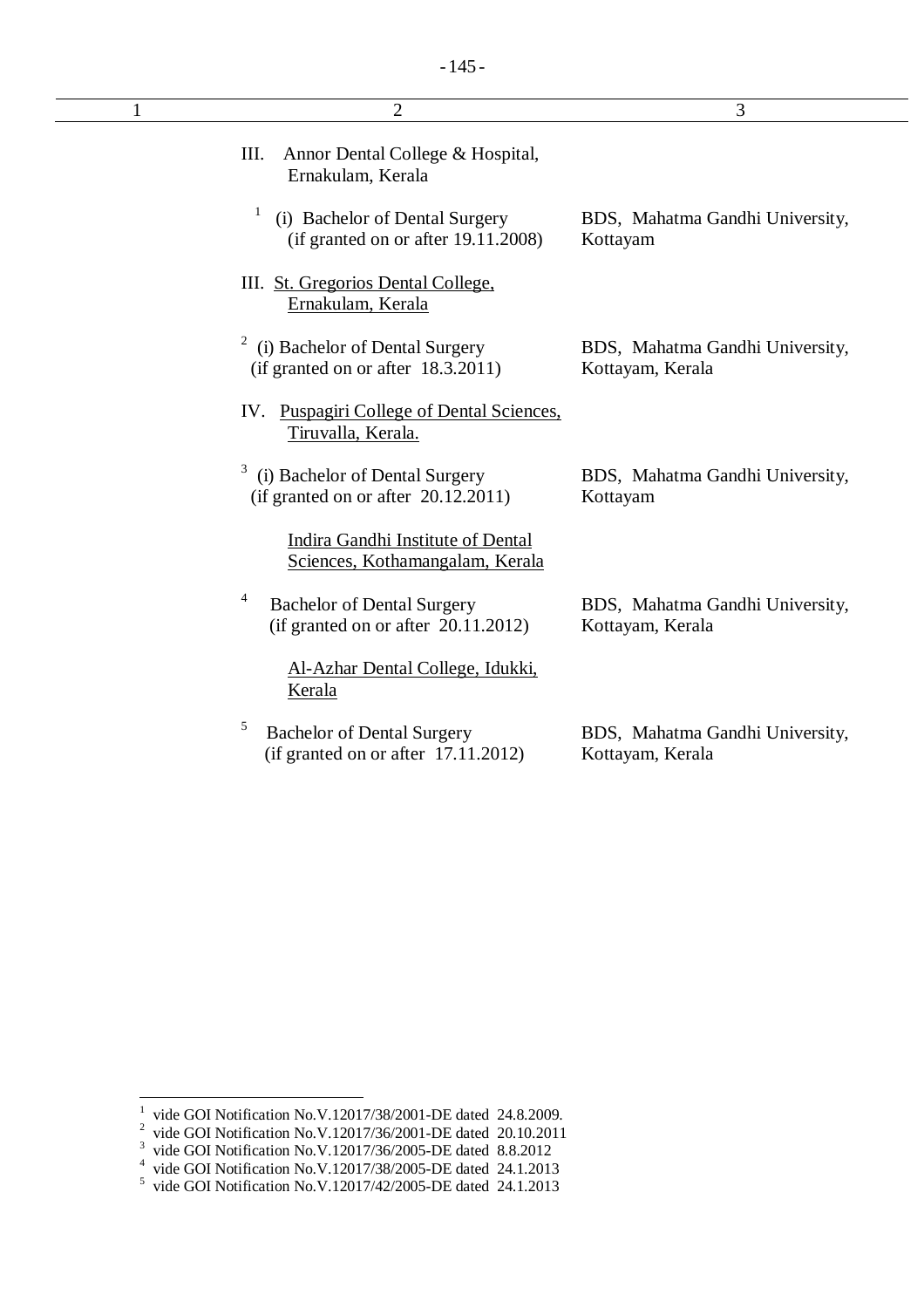| 1 | $\overline{2}$                                                                        | 3                                                   |
|---|---------------------------------------------------------------------------------------|-----------------------------------------------------|
|   | Ш.<br>Annor Dental College & Hospital,<br>Ernakulam, Kerala                           |                                                     |
|   | $\mathbf{1}$<br>(i) Bachelor of Dental Surgery<br>(if granted on or after 19.11.2008) | BDS, Mahatma Gandhi University,<br>Kottayam         |
|   | III. St. Gregorios Dental College,<br>Ernakulam, Kerala                               |                                                     |
|   | 2<br>(i) Bachelor of Dental Surgery<br>(if granted on or after 18.3.2011)             | BDS, Mahatma Gandhi University,<br>Kottayam, Kerala |
|   | IV. Puspagiri College of Dental Sciences.<br>Tiruvalla, Kerala.                       |                                                     |
|   | 3<br>(i) Bachelor of Dental Surgery<br>(if granted on or after $20.12.2011$ )         | BDS, Mahatma Gandhi University,<br>Kottayam         |
|   | Indira Gandhi Institute of Dental<br>Sciences, Kothamangalam, Kerala                  |                                                     |
|   | 4<br><b>Bachelor of Dental Surgery</b><br>(if granted on or after $20.11.2012$ )      | BDS, Mahatma Gandhi University,<br>Kottayam, Kerala |
|   | Al-Azhar Dental College, Idukki,<br>Kerala                                            |                                                     |
|   | 5<br><b>Bachelor of Dental Surgery</b><br>(if granted on or after $17.11.2012$ )      | BDS, Mahatma Gandhi University,<br>Kottayam, Kerala |
|   |                                                                                       |                                                     |

 1 vide GOI Notification No.V.12017/38/2001-DE dated 24.8.2009.

<sup>&</sup>lt;sup>2</sup> vide GOI Notification No.V.12017/36/2001-DE dated 20.10.2011

<sup>&</sup>lt;sup>3</sup> vide GOI Notification No.V.12017/36/2005-DE dated 8.8.2012<br>
<sup>4</sup> vide GOI Notification No.V.12017/38/2005-DE dated 24.1.2013<br>
<sup>5</sup> vide GOI Notification No.V.12017/42/2005-DE dated 24.1.2013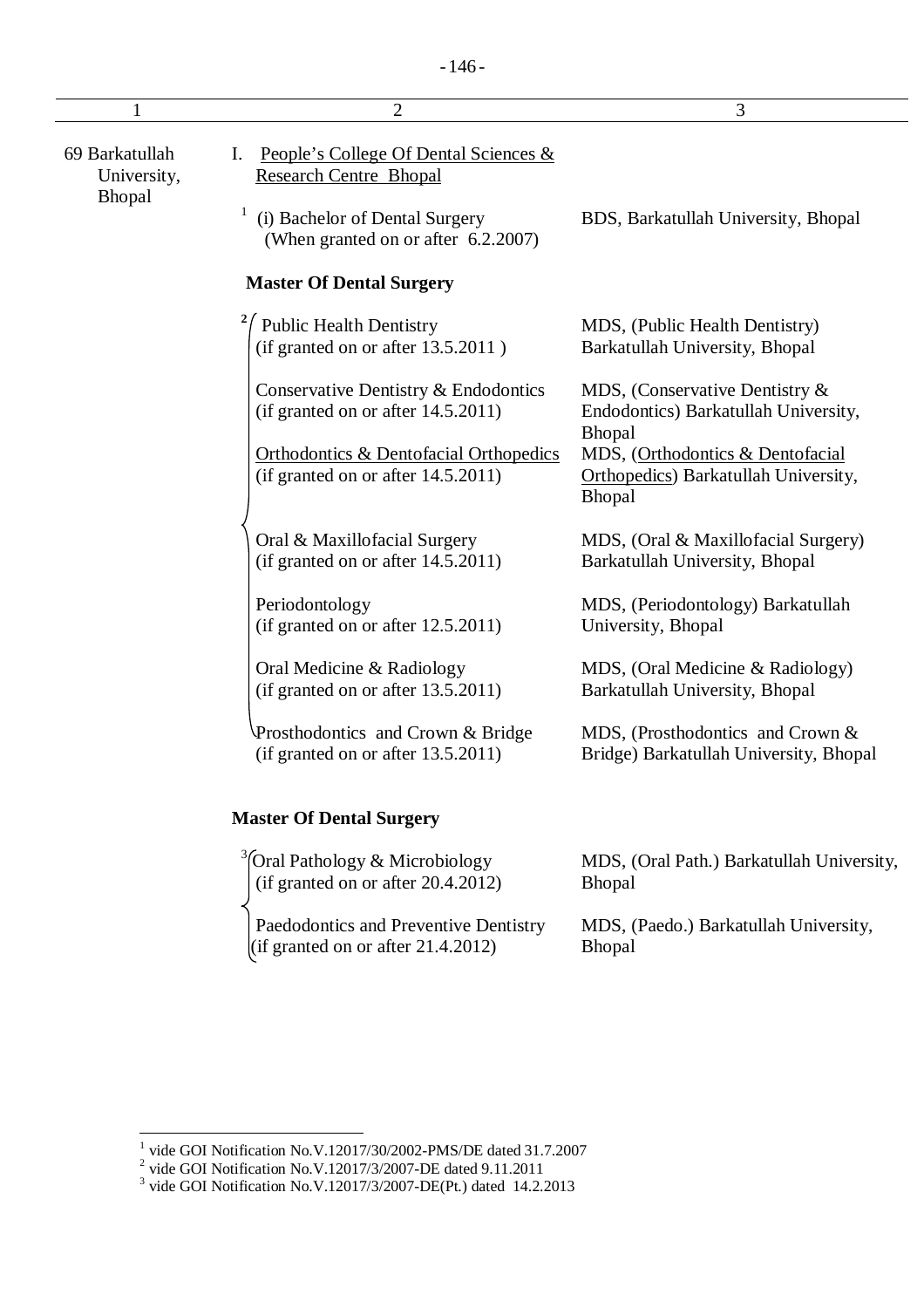| 1                                       | $\overline{2}$                                                                          | 3                                                                                  |
|-----------------------------------------|-----------------------------------------------------------------------------------------|------------------------------------------------------------------------------------|
| 69 Barkatullah<br>University,<br>Bhopal | People's College Of Dental Sciences &<br>Ι.<br><b>Research Centre Bhopal</b>            |                                                                                    |
|                                         | (i) Bachelor of Dental Surgery<br>(When granted on or after 6.2.2007)                   | BDS, Barkatullah University, Bhopal                                                |
|                                         | <b>Master Of Dental Surgery</b>                                                         |                                                                                    |
|                                         | <b>Public Health Dentistry</b><br>(if granted on or after 13.5.2011)                    | MDS, (Public Health Dentistry)<br>Barkatullah University, Bhopal                   |
|                                         | Conservative Dentistry & Endodontics<br>(if granted on or after 14.5.2011)              | MDS, (Conservative Dentistry &<br>Endodontics) Barkatullah University,<br>Bhopal   |
|                                         | <b>Orthodontics &amp; Dentofacial Orthopedics</b><br>(if granted on or after 14.5.2011) | MDS, (Orthodontics & Dentofacial<br>Orthopedics) Barkatullah University,<br>Bhopal |
|                                         | Oral & Maxillofacial Surgery<br>(if granted on or after $14.5.2011$ )                   | MDS, (Oral & Maxillofacial Surgery)<br>Barkatullah University, Bhopal              |
|                                         | Periodontology<br>(if granted on or after $12.5.2011$ )                                 | MDS, (Periodontology) Barkatullah<br>University, Bhopal                            |
|                                         | Oral Medicine & Radiology<br>(if granted on or after 13.5.2011)                         | MDS, (Oral Medicine & Radiology)<br>Barkatullah University, Bhopal                 |
|                                         | Prosthodontics and Crown & Bridge<br>(if granted on or after 13.5.2011)                 | MDS, (Prosthodontics and Crown &<br>Bridge) Barkatullah University, Bhopal         |
|                                         | <b>Master Of Dental Surgery</b>                                                         |                                                                                    |
|                                         | Oral Pathology & Microbiology<br>(if granted on or after 20.4.2012)                     | MDS, (Oral Path.) Barkatullah University,<br>Bhopal                                |
|                                         | Paedodontics and Preventive Dentistry                                                   | MDS, (Paedo.) Barkatullah University,                                              |

Bhopal

(if granted on or after 21.4.2012)

<sup>&</sup>lt;sup>1</sup> vide GOI Notification No.V.12017/30/2002-PMS/DE dated 31.7.2007<br>
<sup>2</sup> vide GOI Notification No.V.12017/3/2007-DE dated 9.11.2011<br>
<sup>3</sup> vide GOI Notification No.V.12017/3/2007-DE(Pt.) dated 14.2.2013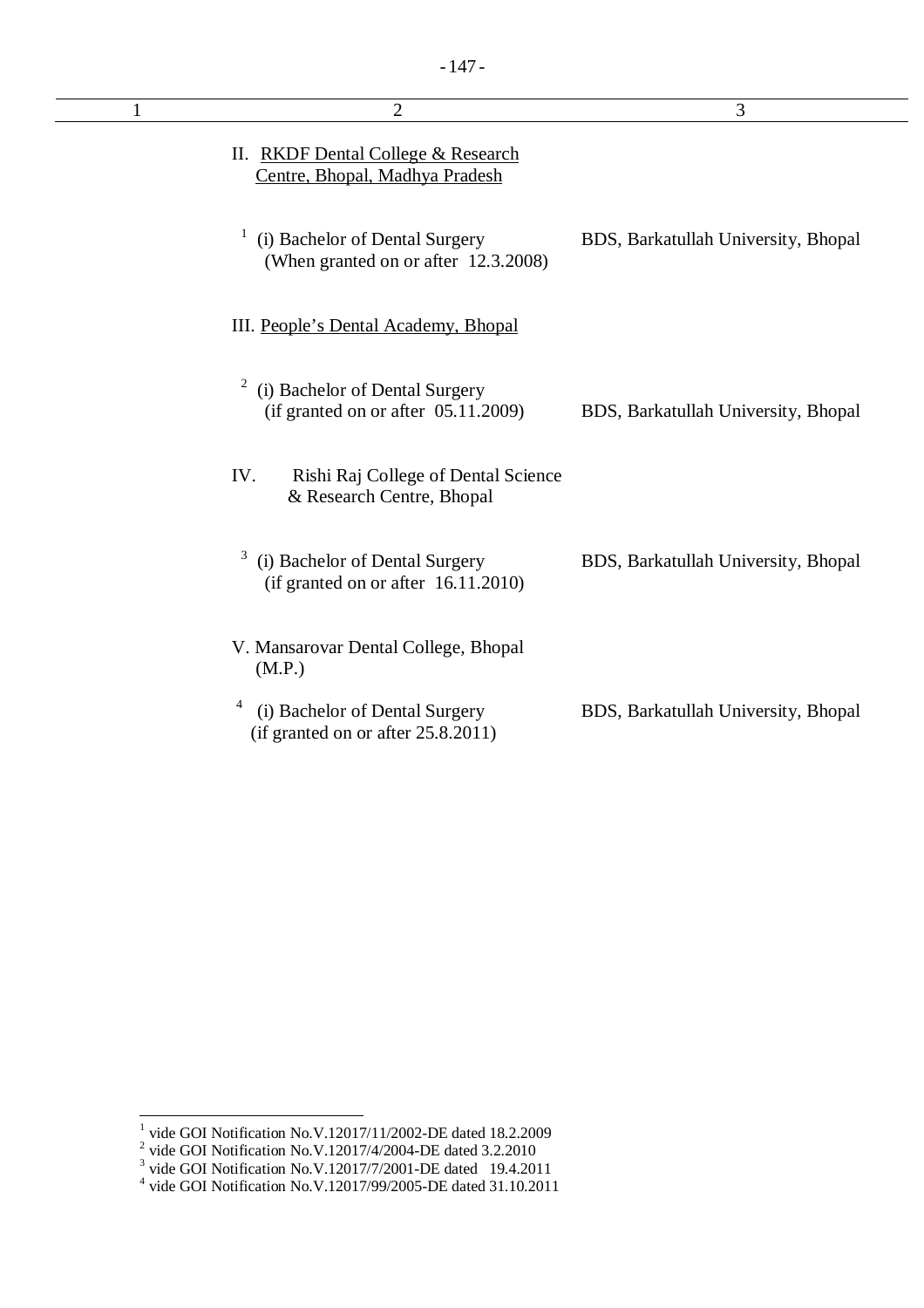| $\overline{2}$                                                                | 3                                   |
|-------------------------------------------------------------------------------|-------------------------------------|
| II. RKDF Dental College & Research<br>Centre, Bhopal, Madhya Pradesh          |                                     |
| (i) Bachelor of Dental Surgery<br>(When granted on or after 12.3.2008)        | BDS, Barkatullah University, Bhopal |
| III. People's Dental Academy, Bhopal                                          |                                     |
| (i) Bachelor of Dental Surgery<br>(if granted on or after $05.11.2009$ )      | BDS, Barkatullah University, Bhopal |
| IV.<br>Rishi Raj College of Dental Science<br>& Research Centre, Bhopal       |                                     |
| 3<br>(i) Bachelor of Dental Surgery<br>(if granted on or after $16.11.2010$ ) | BDS, Barkatullah University, Bhopal |
| V. Mansarovar Dental College, Bhopal<br>(M.P.)                                |                                     |
| 4<br>(i) Bachelor of Dental Surgery<br>(if granted on or after 25.8.2011)     | BDS, Barkatullah University, Bhopal |

<sup>&</sup>lt;sup>1</sup> vide GOI Notification No.V.12017/11/2002-DE dated 18.2.2009<br>
<sup>2</sup> vide GOI Notification No.V.12017/4/2004-DE dated 3.2.2010<br>
<sup>3</sup> vide GOI Notification No.V.12017/7/2001-DE dated 19.4.2011<br>
<sup>4</sup> vide GOI Notification No.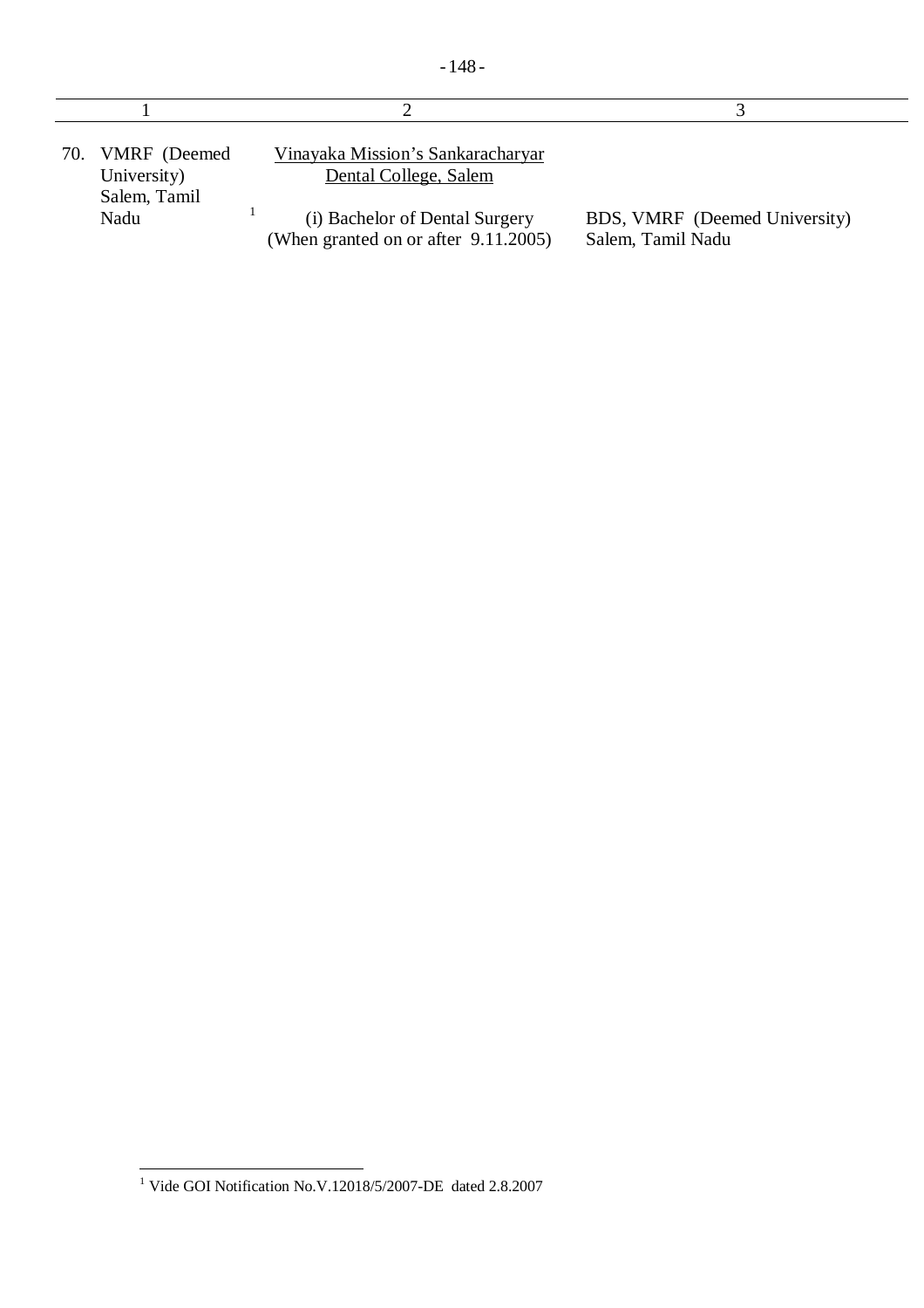| 70. | VMRF (Deemed<br>University)<br>Salem, Tamil | Vinayaka Mission's Sankaracharyar<br>Dental College, Salem             |                                                    |
|-----|---------------------------------------------|------------------------------------------------------------------------|----------------------------------------------------|
|     | Nadu                                        | (i) Bachelor of Dental Surgery<br>(When granted on or after 9.11.2005) | BDS, VMRF (Deemed University)<br>Salem, Tamil Nadu |

 $\overline{\phantom{a}}$  $\overline{a}$ <sup>1</sup> Vide GOI Notification No.V.12018/5/2007-DE dated 2.8.2007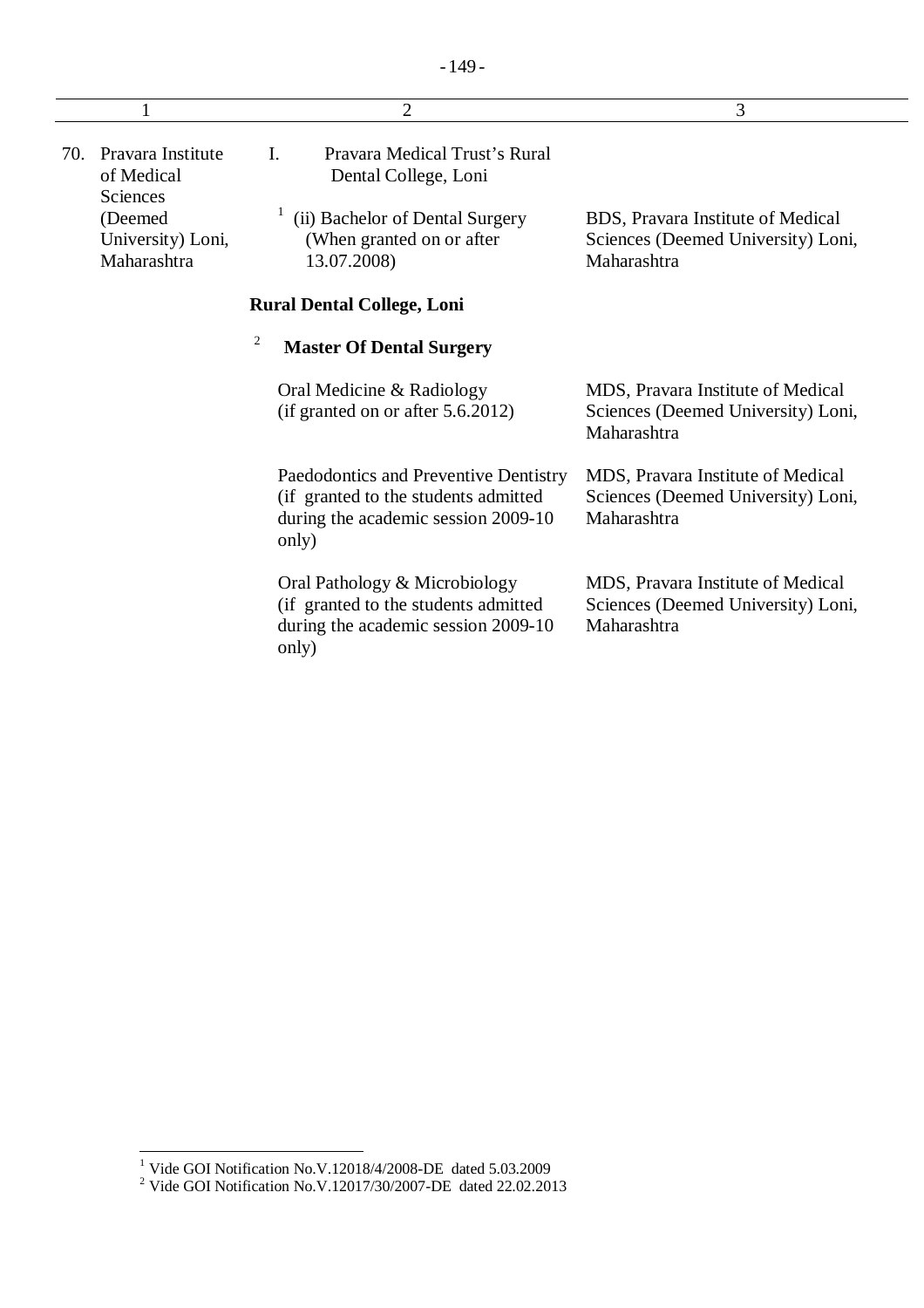|     |                                              | $\overline{2}$                                                                                                                 | 3                                                                                      |
|-----|----------------------------------------------|--------------------------------------------------------------------------------------------------------------------------------|----------------------------------------------------------------------------------------|
| 70. | Pravara Institute<br>of Medical<br>Sciences  | Pravara Medical Trust's Rural<br>L.<br>Dental College, Loni                                                                    |                                                                                        |
|     | (Deemed)<br>University) Loni,<br>Maharashtra | (ii) Bachelor of Dental Surgery<br>(When granted on or after)<br>13.07.2008)                                                   | BDS, Pravara Institute of Medical<br>Sciences (Deemed University) Loni,<br>Maharashtra |
|     |                                              | <b>Rural Dental College, Loni</b>                                                                                              |                                                                                        |
|     |                                              | $\overline{c}$<br><b>Master Of Dental Surgery</b>                                                                              |                                                                                        |
|     |                                              | Oral Medicine & Radiology<br>(if granted on or after 5.6.2012)                                                                 | MDS, Pravara Institute of Medical<br>Sciences (Deemed University) Loni,<br>Maharashtra |
|     |                                              | Paedodontics and Preventive Dentistry<br>(if granted to the students admitted)<br>during the academic session 2009-10<br>only) | MDS, Pravara Institute of Medical<br>Sciences (Deemed University) Loni,<br>Maharashtra |
|     |                                              | Oral Pathology & Microbiology<br>(if granted to the students admitted<br>during the academic session 2009-10                   | MDS, Pravara Institute of Medical<br>Sciences (Deemed University) Loni,<br>Maharashtra |

only)

 $\overline{a}$ <sup>1</sup> Vide GOI Notification No.V.12018/4/2008-DE dated 5.03.2009

<sup>&</sup>lt;sup>2</sup> Vide GOI Notification No.V.12017/30/2007-DE dated 22.02.2013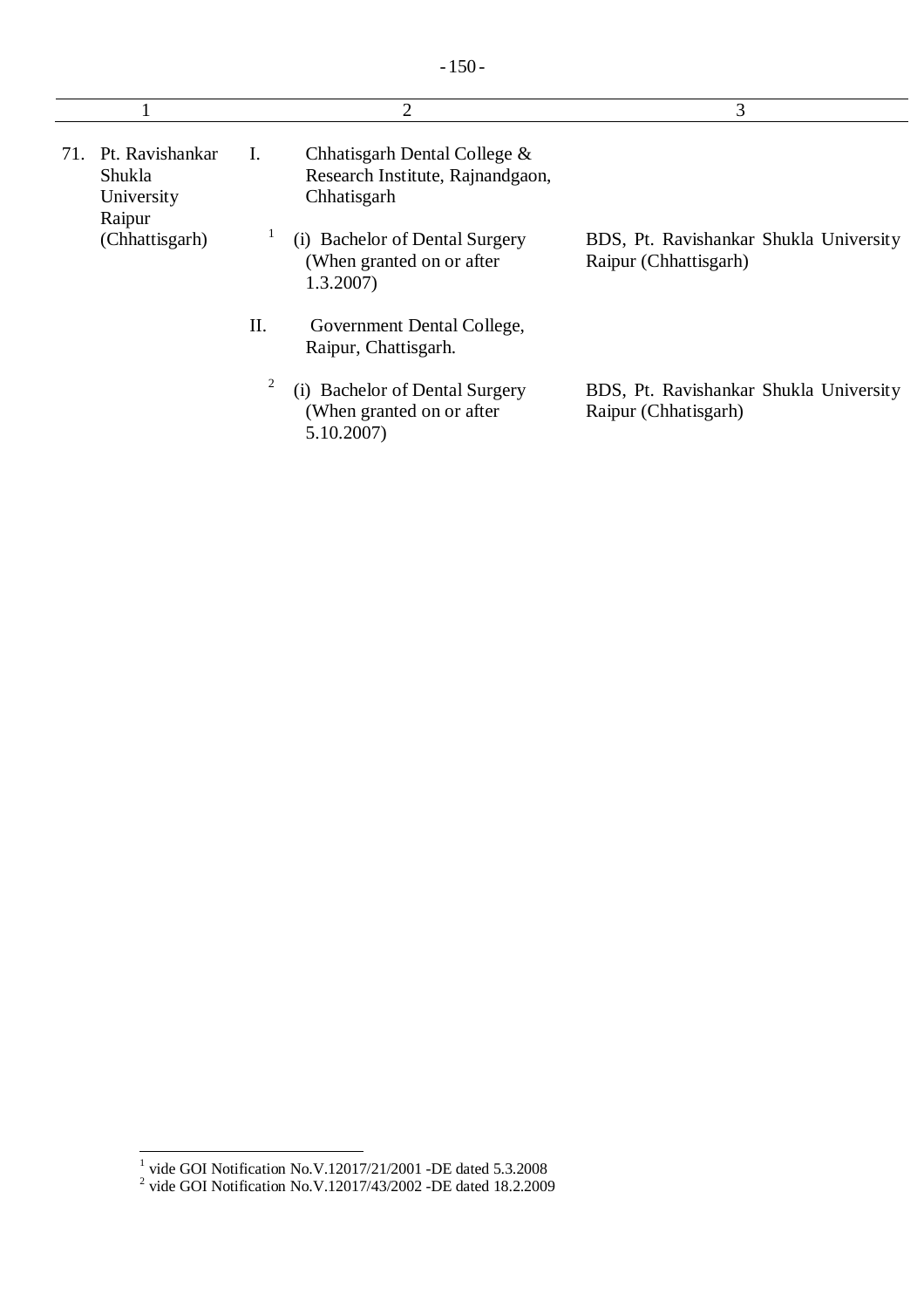|     |                                                   |     | $\overline{2}$                                                                  | 3                                                               |
|-----|---------------------------------------------------|-----|---------------------------------------------------------------------------------|-----------------------------------------------------------------|
| 71. | Pt. Ravishankar<br>Shukla<br>University<br>Raipur | I.  | Chhatisgarh Dental College &<br>Research Institute, Rajnandgaon,<br>Chhatisgarh |                                                                 |
|     | (Chhattisgarh)                                    |     | (i) Bachelor of Dental Surgery<br>(When granted on or after)<br>1.3.2007        | BDS, Pt. Ravishankar Shukla University<br>Raipur (Chhattisgarh) |
|     |                                                   | II. | Government Dental College,<br>Raipur, Chattisgarh.                              |                                                                 |
|     |                                                   | 2   | (i) Bachelor of Dental Surgery<br>(When granted on or after)<br>5.10.2007       | BDS, Pt. Ravishankar Shukla University<br>Raipur (Chhatisgarh)  |

<sup>&</sup>lt;sup>1</sup> vide GOI Notification No.V.12017/21/2001 -DE dated 5.3.2008<br><sup>2</sup> vide GOI Notification No.V.12017/43/2002 -DE dated 18.2.2009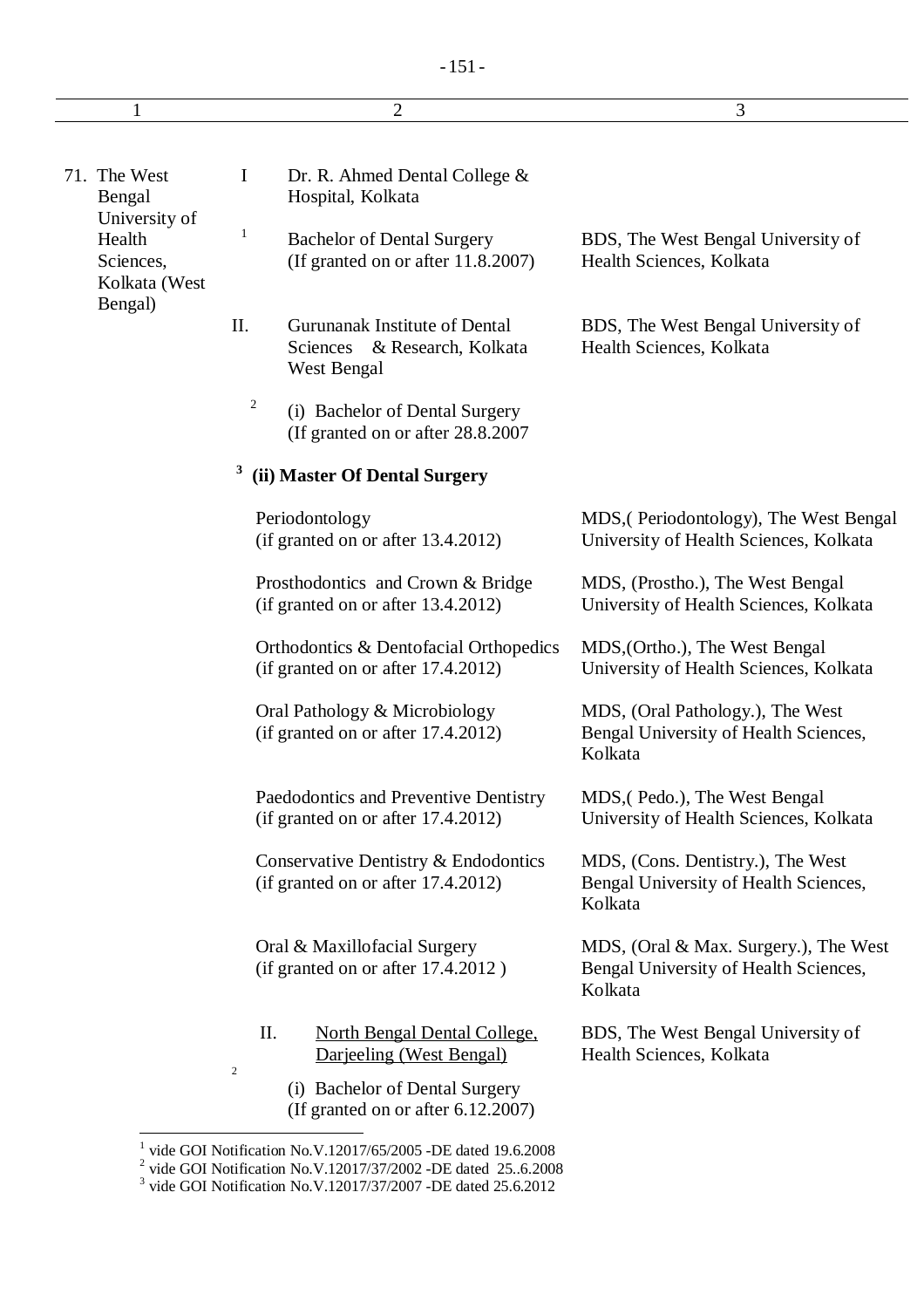| $\mathbf{1}$                                          |                         | 2                                                                            | 3                                                                                         |
|-------------------------------------------------------|-------------------------|------------------------------------------------------------------------------|-------------------------------------------------------------------------------------------|
|                                                       |                         |                                                                              |                                                                                           |
| 71. The West<br>Bengal                                | I                       | Dr. R. Ahmed Dental College &<br>Hospital, Kolkata                           |                                                                                           |
| University of<br>Health<br>Sciences,<br>Kolkata (West | 1                       | <b>Bachelor of Dental Surgery</b><br>(If granted on or after 11.8.2007)      | BDS, The West Bengal University of<br>Health Sciences, Kolkata                            |
| Bengal)                                               | II.                     | Gurunanak Institute of Dental<br>Sciences & Research, Kolkata<br>West Bengal | BDS, The West Bengal University of<br>Health Sciences, Kolkata                            |
|                                                       | 2                       | (i) Bachelor of Dental Surgery<br>(If granted on or after 28.8.2007)         |                                                                                           |
|                                                       | 3                       | (ii) Master Of Dental Surgery                                                |                                                                                           |
|                                                       |                         | Periodontology<br>(if granted on or after 13.4.2012)                         | MDS, (Periodontology), The West Bengal<br>University of Health Sciences, Kolkata          |
|                                                       |                         | Prosthodontics and Crown & Bridge<br>(if granted on or after 13.4.2012)      | MDS, (Prostho.), The West Bengal<br>University of Health Sciences, Kolkata                |
|                                                       |                         | Orthodontics & Dentofacial Orthopedics<br>(if granted on or after 17.4.2012) | MDS, (Ortho.), The West Bengal<br>University of Health Sciences, Kolkata                  |
|                                                       |                         | Oral Pathology & Microbiology<br>(if granted on or after 17.4.2012)          | MDS, (Oral Pathology.), The West<br>Bengal University of Health Sciences,<br>Kolkata      |
|                                                       |                         | Paedodontics and Preventive Dentistry<br>(if granted on or after 17.4.2012)  | MDS, (Pedo.), The West Bengal<br>University of Health Sciences, Kolkata                   |
|                                                       |                         | Conservative Dentistry & Endodontics<br>(if granted on or after 17.4.2012)   | MDS, (Cons. Dentistry.), The West<br>Bengal University of Health Sciences,<br>Kolkata     |
|                                                       |                         | Oral & Maxillofacial Surgery<br>(if granted on or after 17.4.2012)           | MDS, (Oral & Max. Surgery.), The West<br>Bengal University of Health Sciences,<br>Kolkata |
|                                                       | II.<br>$\boldsymbol{2}$ | <b>North Bengal Dental College,</b><br>Darjeeling (West Bengal)              | BDS, The West Bengal University of<br>Health Sciences, Kolkata                            |
|                                                       |                         | (i) Bachelor of Dental Surgery<br>(If granted on or after $6.12.2007$ )      |                                                                                           |

<sup>&</sup>lt;sup>1</sup> vide GOI Notification No.V.12017/65/2005 -DE dated 19.6.2008<br>
<sup>2</sup> vide GOI Notification No.V.12017/37/2002 -DE dated 25..6.2008<br>
<sup>3</sup> vide GOI Notification No.V.12017/37/2007 -DE dated 25.6.2012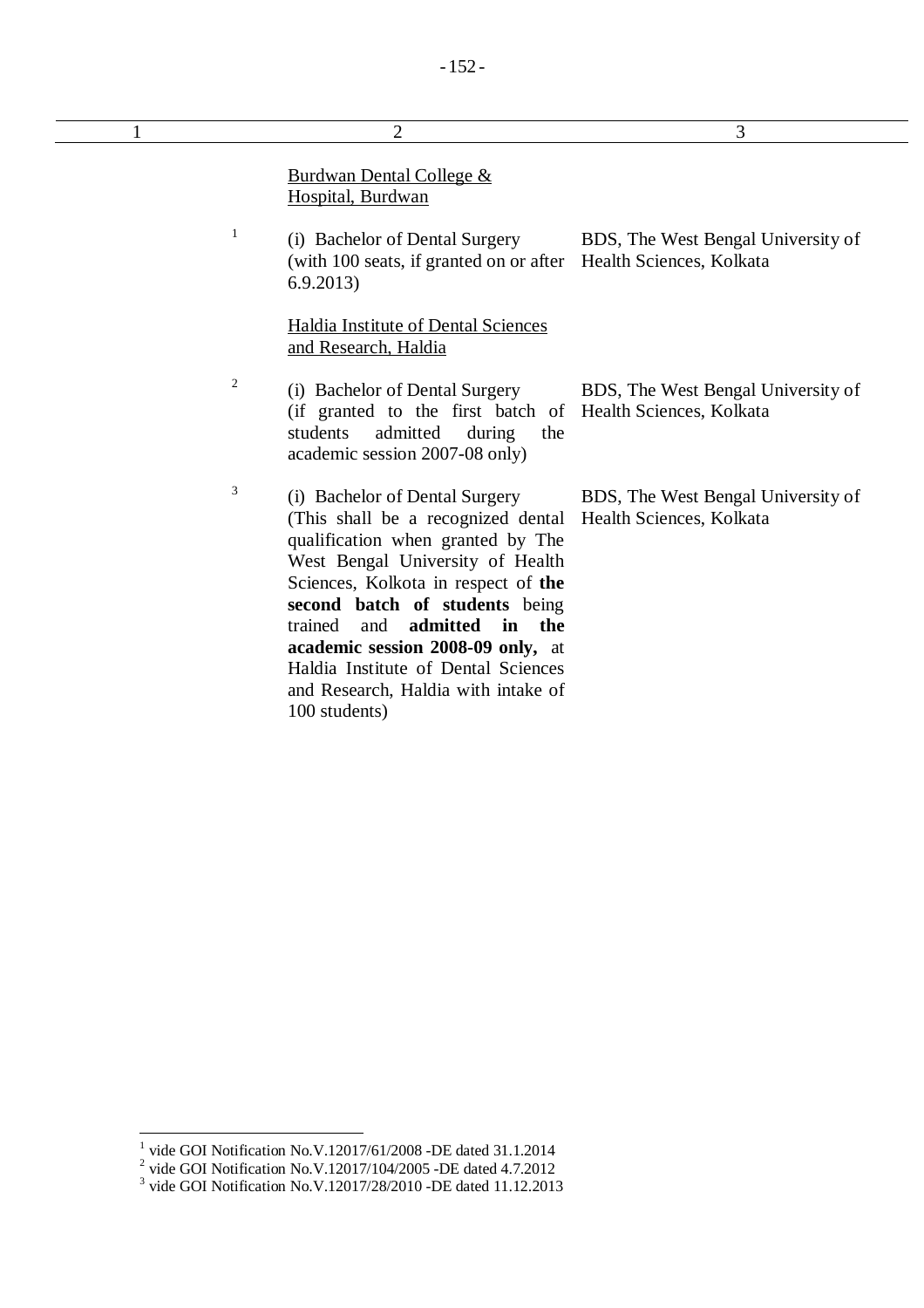| 1 | $\overline{2}$                                                                                                                                                                                                                                                                                                                                      | 3                                                              |
|---|-----------------------------------------------------------------------------------------------------------------------------------------------------------------------------------------------------------------------------------------------------------------------------------------------------------------------------------------------------|----------------------------------------------------------------|
|   | <b>Burdwan Dental College &amp;</b><br>Hospital, Burdwan                                                                                                                                                                                                                                                                                            |                                                                |
|   | $\mathbf{1}$<br>(i) Bachelor of Dental Surgery<br>(with 100 seats, if granted on or after<br>6.9.2013                                                                                                                                                                                                                                               | BDS, The West Bengal University of<br>Health Sciences, Kolkata |
|   | Haldia Institute of Dental Sciences<br>and Research, Haldia                                                                                                                                                                                                                                                                                         |                                                                |
|   | $\overline{2}$<br>(i) Bachelor of Dental Surgery<br>(if granted to the first batch of Health Sciences, Kolkata<br>students<br>admitted<br>during<br>the<br>academic session 2007-08 only)                                                                                                                                                           | BDS, The West Bengal University of                             |
|   | 3<br>(i) Bachelor of Dental Surgery<br>(This shall be a recognized dental)<br>qualification when granted by The<br>West Bengal University of Health<br>Sciences, Kolkota in respect of the<br>second batch of students being<br>admitted<br>the<br>trained<br>and<br>in<br>academic session 2008-09 only, at<br>Haldia Institute of Dental Sciences | BDS, The West Bengal University of<br>Health Sciences, Kolkata |

and Research, Haldia with intake of

100 students)

<sup>&</sup>lt;sup>1</sup> vide GOI Notification No.V.12017/61/2008 -DE dated 31.1.2014<br>
<sup>2</sup> vide GOI Notification No.V.12017/104/2005 -DE dated 4.7.2012<br>
<sup>3</sup> vide GOI Notification No.V.12017/28/2010 -DE dated 11.12.2013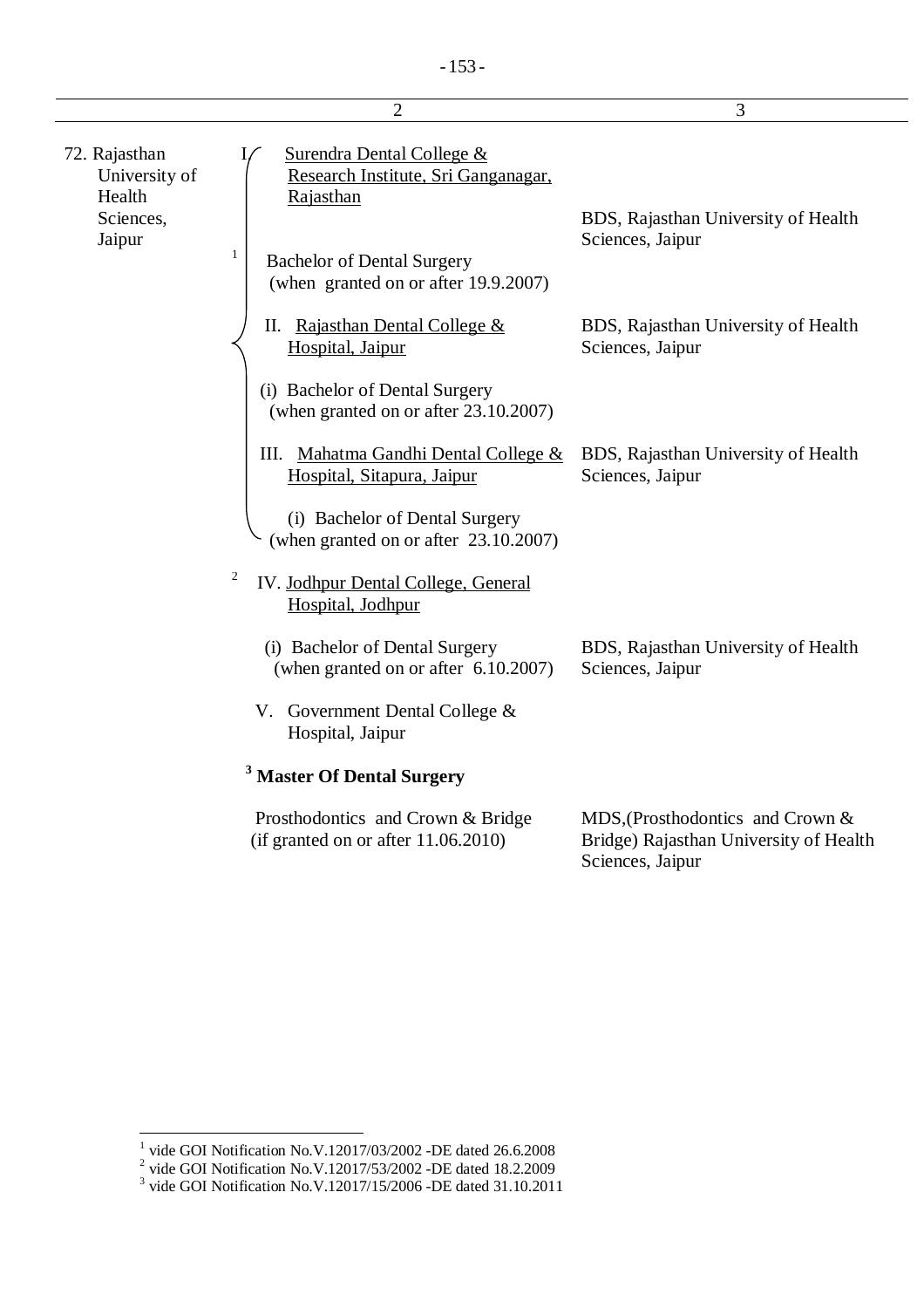|                                                                 | $\overline{2}$                                                                                                                                                                        | 3                                                                                              |
|-----------------------------------------------------------------|---------------------------------------------------------------------------------------------------------------------------------------------------------------------------------------|------------------------------------------------------------------------------------------------|
| 72. Rajasthan<br>University of<br>Health<br>Sciences,<br>Jaipur | <b>Surendra Dental College &amp;</b><br>Research Institute, Sri Ganganagar,<br>Rajasthan<br>$\mathbf{1}$<br><b>Bachelor of Dental Surgery</b><br>(when granted on or after 19.9.2007) | BDS, Rajasthan University of Health<br>Sciences, Jaipur                                        |
|                                                                 | II. Rajasthan Dental College &<br>Hospital, Jaipur                                                                                                                                    | BDS, Rajasthan University of Health<br>Sciences, Jaipur                                        |
|                                                                 | (i) Bachelor of Dental Surgery<br>(when granted on or after 23.10.2007)                                                                                                               |                                                                                                |
|                                                                 | III. Mahatma Gandhi Dental College &<br>Hospital, Sitapura, Jaipur                                                                                                                    | BDS, Rajasthan University of Health<br>Sciences, Jaipur                                        |
|                                                                 | (i) Bachelor of Dental Surgery<br>(when granted on or after 23.10.2007)                                                                                                               |                                                                                                |
|                                                                 | 2<br>IV. Jodhpur Dental College, General<br>Hospital, Jodhpur                                                                                                                         |                                                                                                |
|                                                                 | (i) Bachelor of Dental Surgery<br>(when granted on or after 6.10.2007)                                                                                                                | BDS, Rajasthan University of Health<br>Sciences, Jaipur                                        |
|                                                                 | V. Government Dental College $&$<br>Hospital, Jaipur                                                                                                                                  |                                                                                                |
|                                                                 | <sup>3</sup> Master Of Dental Surgery                                                                                                                                                 |                                                                                                |
|                                                                 | Prosthodontics and Crown & Bridge<br>(if granted on or after $11.06.2010$ )                                                                                                           | MDS, (Prosthodontics and Crown &<br>Bridge) Rajasthan University of Health<br>Sciences, Jaipur |

<sup>&</sup>lt;sup>1</sup> vide GOI Notification No.V.12017/03/2002 -DE dated 26.6.2008<br>
<sup>2</sup> vide GOI Notification No.V.12017/53/2002 -DE dated 18.2.2009<br>
<sup>3</sup> vide GOI Notification No.V.12017/15/2006 -DE dated 31.10.2011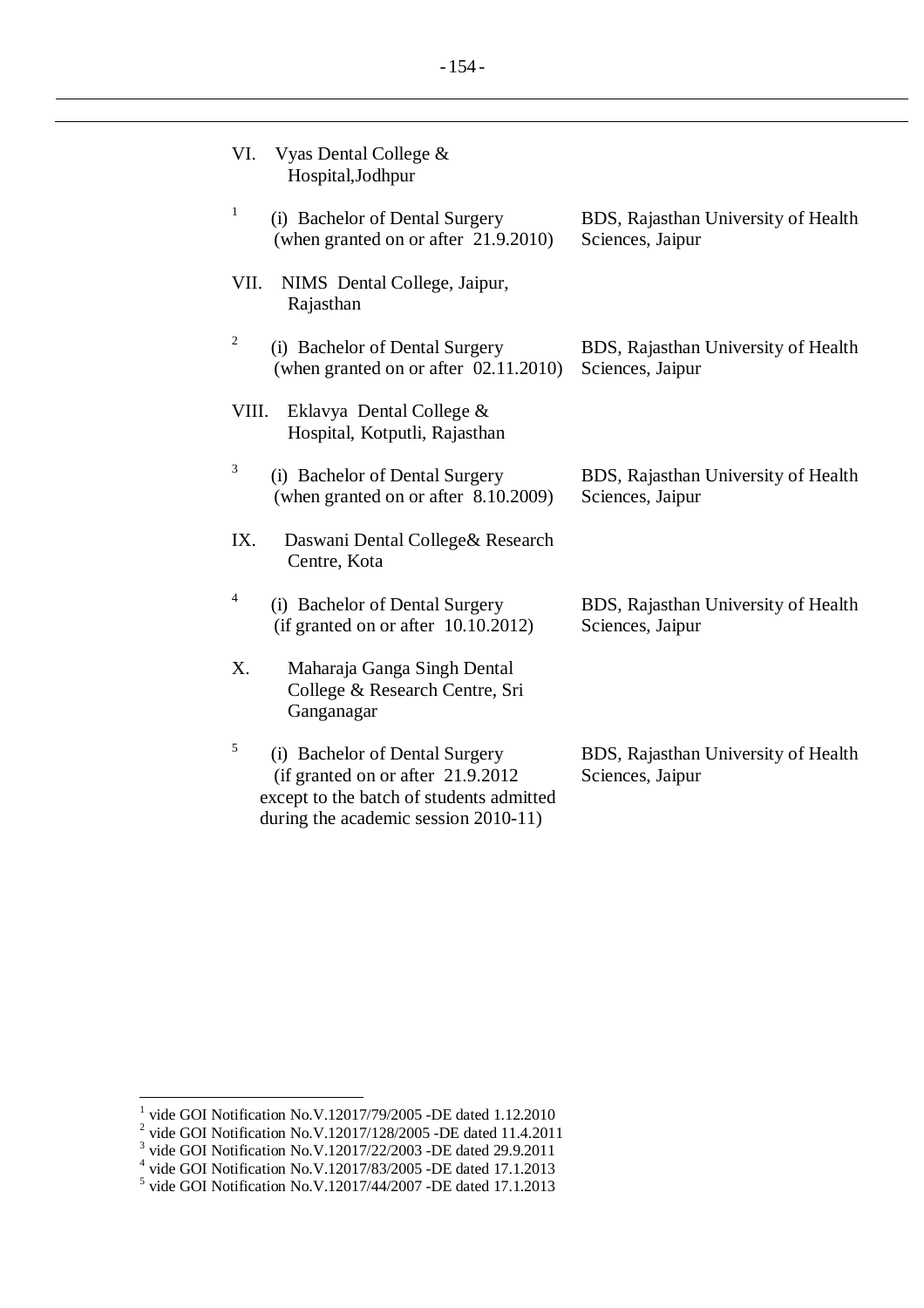| VI.            | Vyas Dental College &<br>Hospital, Jodhpur                                                                       |                                                         |
|----------------|------------------------------------------------------------------------------------------------------------------|---------------------------------------------------------|
| 1              | (i) Bachelor of Dental Surgery<br>(when granted on or after 21.9.2010)                                           | BDS, Rajasthan University of Health<br>Sciences, Jaipur |
| VII.           | NIMS Dental College, Jaipur,<br>Rajasthan                                                                        |                                                         |
| $\overline{c}$ | (i) Bachelor of Dental Surgery<br>(when granted on or after 02.11.2010)                                          | BDS, Rajasthan University of Health<br>Sciences, Jaipur |
| VIII.          | Eklavya Dental College &<br>Hospital, Kotputli, Rajasthan                                                        |                                                         |
| 3              | (i) Bachelor of Dental Surgery<br>(when granted on or after 8.10.2009)                                           | BDS, Rajasthan University of Health<br>Sciences, Jaipur |
| IX.            | Daswani Dental College & Research<br>Centre, Kota                                                                |                                                         |
| 4              | (i) Bachelor of Dental Surgery<br>(if granted on or after $10.10.2012$ )                                         | BDS, Rajasthan University of Health<br>Sciences, Jaipur |
| X.             | Maharaja Ganga Singh Dental<br>College & Research Centre, Sri<br>Ganganagar                                      |                                                         |
| 5              | (i) Bachelor of Dental Surgery<br>(if granted on or after 21.9.2012)<br>except to the batch of students admitted | BDS, Rajasthan University of Health<br>Sciences, Jaipur |

during the academic session 2010-11)

<sup>&</sup>lt;sup>1</sup> vide GOI Notification No.V.12017/79/2005 -DE dated 1.12.2010<br>
<sup>2</sup> vide GOI Notification No.V.12017/128/2005 -DE dated 11.4.2011<br>
<sup>3</sup> vide GOI Notification No.V.12017/22/2003 -DE dated 29.9.2011<br>
<sup>4</sup> vide GOI Notificat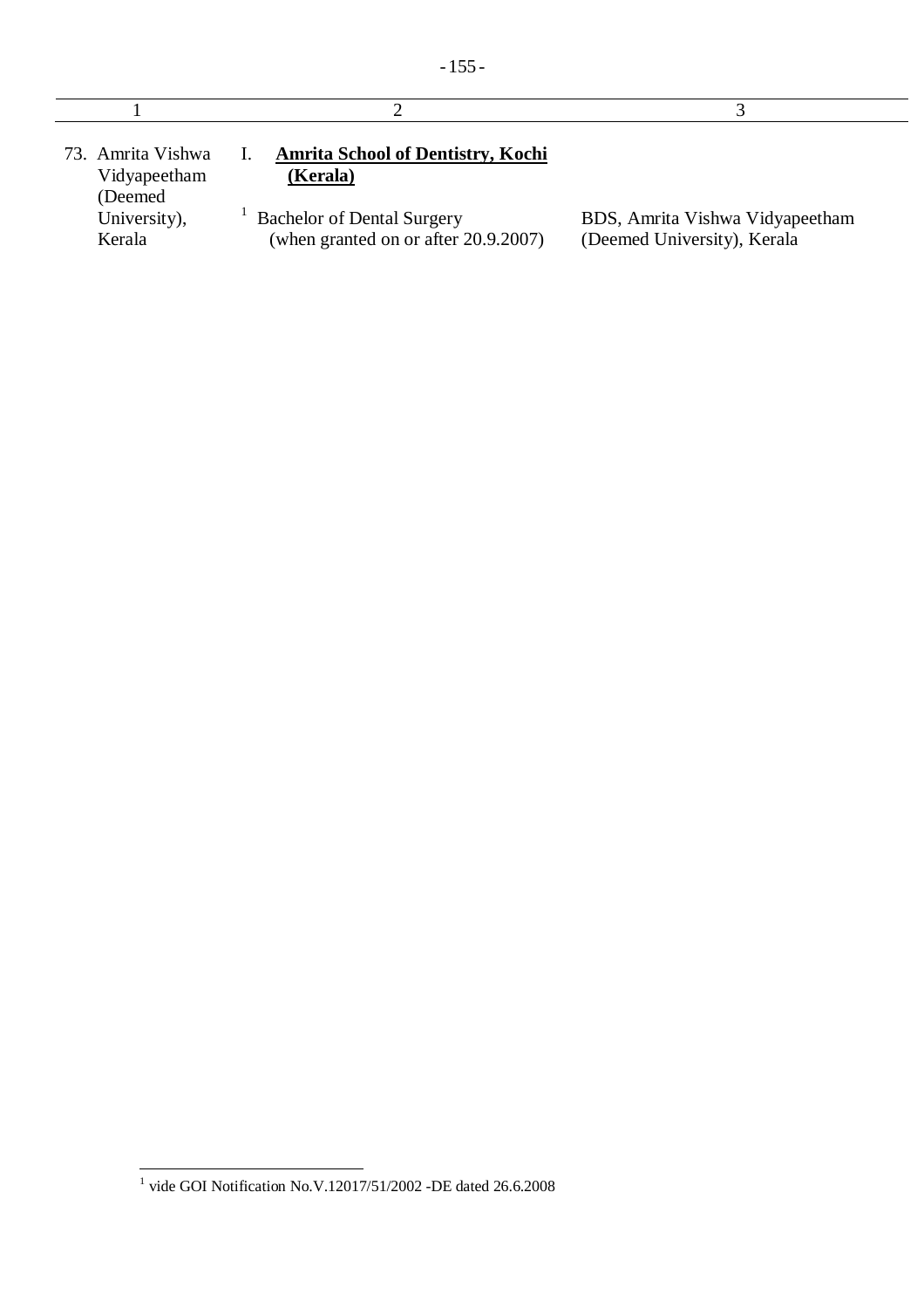| 73. Amrita Vishwa<br>Vidyapeetham<br>(Deemed | <b>Amrita School of Dentistry, Kochi</b><br>(Kerala)                      |                                                                |
|----------------------------------------------|---------------------------------------------------------------------------|----------------------------------------------------------------|
| University),<br>Kerala                       | <b>Bachelor of Dental Surgery</b><br>(when granted on or after 20.9.2007) | BDS, Amrita Vishwa Vidyapeetham<br>(Deemed University), Kerala |

 1 vide GOI Notification No.V.12017/51/2002 -DE dated 26.6.2008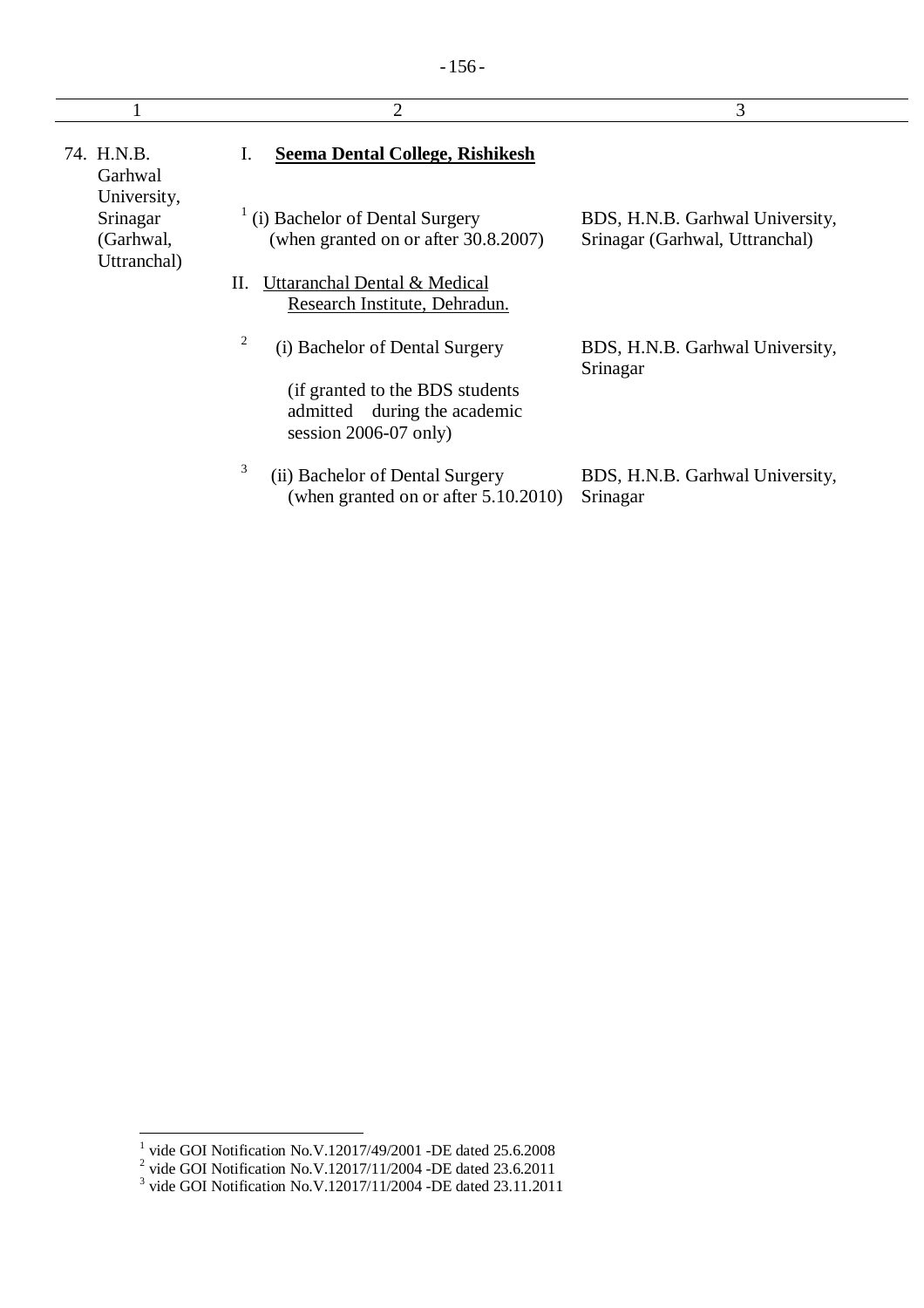|                                      | $\overline{2}$                                                                              | 3                                                                 |
|--------------------------------------|---------------------------------------------------------------------------------------------|-------------------------------------------------------------------|
| 74. H.N.B.<br>Garhwal<br>University, | <b>Seema Dental College, Rishikesh</b>                                                      |                                                                   |
| Srinagar<br>(Garhwal,<br>Uttranchal) | $\frac{1}{1}$ (i) Bachelor of Dental Surgery<br>(when granted on or after 30.8.2007)        | BDS, H.N.B. Garhwal University,<br>Srinagar (Garhwal, Uttranchal) |
|                                      | Uttaranchal Dental & Medical<br>П.<br>Research Institute, Dehradun.                         |                                                                   |
|                                      | 2<br>(i) Bachelor of Dental Surgery                                                         | BDS, H.N.B. Garhwal University,<br>Srinagar                       |
|                                      | (if granted to the BDS students)<br>admitted during the academic<br>session $2006-07$ only) |                                                                   |
|                                      | 3<br>(ii) Bachelor of Dental Surgery<br>(when granted on or after $5.10.2010$ )             | BDS, H.N.B. Garhwal University,<br>Srinagar                       |

<sup>&</sup>lt;sup>1</sup> vide GOI Notification No.V.12017/49/2001 -DE dated 25.6.2008<br>
<sup>2</sup> vide GOI Notification No.V.12017/11/2004 -DE dated 23.6.2011<br>
<sup>3</sup> vide GOI Notification No.V.12017/11/2004 -DE dated 23.11.2011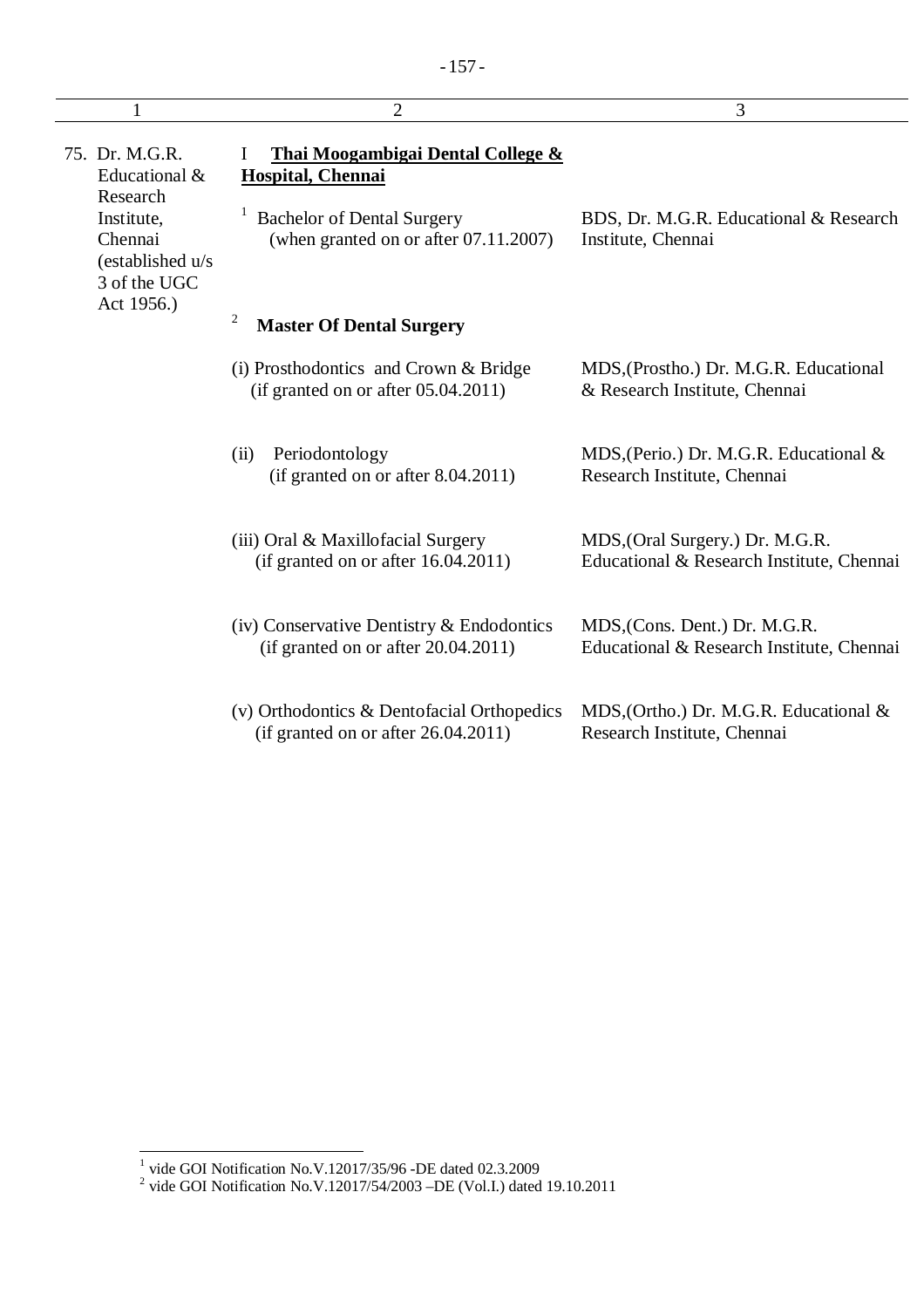| 1                                                         | $\overline{2}$                                                                           | 3                                                                            |
|-----------------------------------------------------------|------------------------------------------------------------------------------------------|------------------------------------------------------------------------------|
| 75. Dr. M.G.R.<br>Educational &<br>Research               | <b>Thai Moogambigai Dental College &amp;</b><br>$\mathbf{I}$<br><b>Hospital, Chennai</b> |                                                                              |
| Institute,<br>Chennai<br>(established u/s<br>3 of the UGC | <b>Bachelor of Dental Surgery</b><br>(when granted on or after $07.11.2007$ )            | BDS, Dr. M.G.R. Educational & Research<br>Institute, Chennai                 |
| Act 1956.)                                                | 2<br><b>Master Of Dental Surgery</b>                                                     |                                                                              |
|                                                           | (i) Prosthodontics and Crown & Bridge<br>(if granted on or after 05.04.2011)             | MDS, (Prostho.) Dr. M.G.R. Educational<br>& Research Institute, Chennai      |
|                                                           | Periodontology<br>(ii)<br>(if granted on or after $8.04.2011$ )                          | MDS, (Perio.) Dr. M.G.R. Educational &<br>Research Institute, Chennai        |
|                                                           | (iii) Oral & Maxillofacial Surgery<br>(if granted on or after $16.04.2011$ )             | MDS, (Oral Surgery.) Dr. M.G.R.<br>Educational & Research Institute, Chennai |
|                                                           | (iv) Conservative Dentistry $\&$ Endodontics<br>(if granted on or after $20.04.2011$ )   | MDS, (Cons. Dent.) Dr. M.G.R.<br>Educational & Research Institute, Chennai   |
|                                                           | (v) Orthodontics & Dentofacial Orthopedics<br>(if granted on or after 26.04.2011)        | MDS, (Ortho.) Dr. M.G.R. Educational &<br>Research Institute, Chennai        |

 1 vide GOI Notification No.V.12017/35/96 -DE dated 02.3.2009 2 vide GOI Notification No.V.12017/54/2003 –DE (Vol.I.) dated 19.10.2011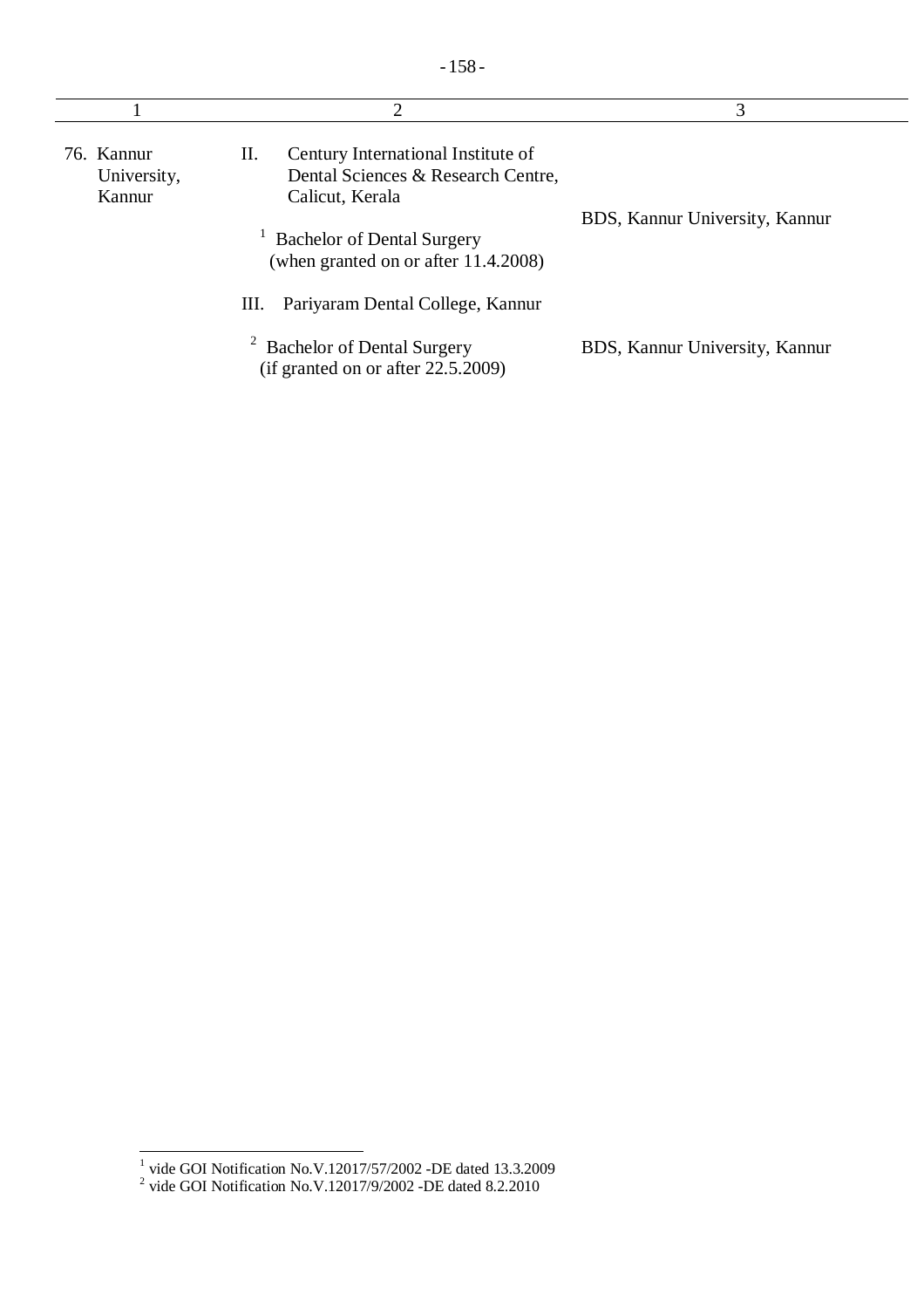| 2                                   |                                                                                                   | 3                              |  |
|-------------------------------------|---------------------------------------------------------------------------------------------------|--------------------------------|--|
| 76. Kannur<br>University,<br>Kannur | Century International Institute of<br>П.<br>Dental Sciences & Research Centre,<br>Calicut, Kerala |                                |  |
|                                     | <b>Bachelor of Dental Surgery</b><br>(when granted on or after 11.4.2008)                         | BDS, Kannur University, Kannur |  |
|                                     | Ш.<br>Pariyaram Dental College, Kannur                                                            |                                |  |
|                                     | <sup>2</sup> Bachelor of Dental Surgery<br>(if granted on or after $22.5.2009$ )                  | BDS, Kannur University, Kannur |  |

<sup>&</sup>lt;sup>1</sup> vide GOI Notification No.V.12017/57/2002 -DE dated 13.3.2009<br><sup>2</sup> vide GOI Notification No.V.12017/9/2002 -DE dated 8.2.2010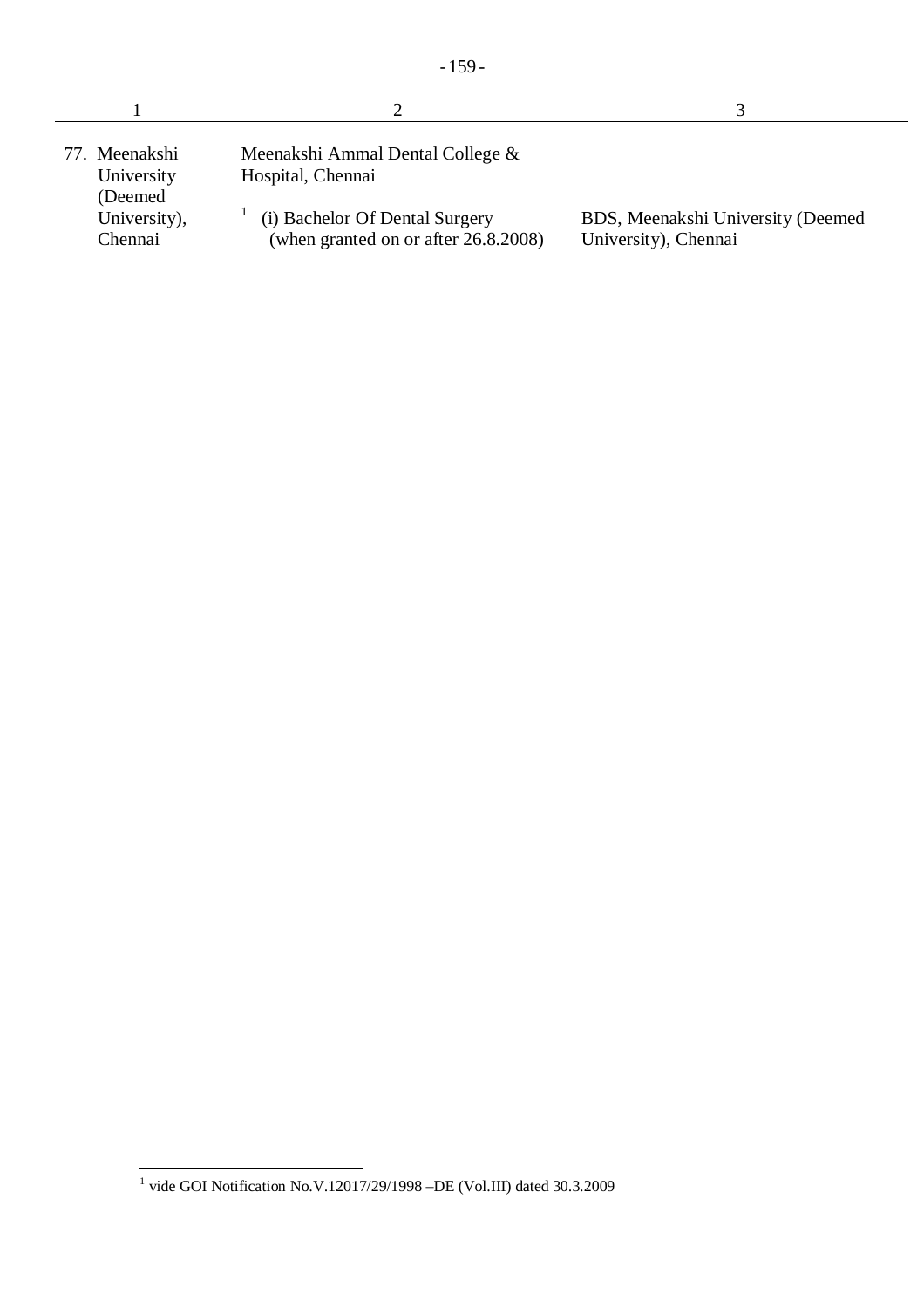| 77. Meenakshi<br>University<br>(Deemed) | Meenakshi Ammal Dental College &<br>Hospital, Chennai                  |                                                           |
|-----------------------------------------|------------------------------------------------------------------------|-----------------------------------------------------------|
| University),<br>Chennai                 | (i) Bachelor Of Dental Surgery<br>(when granted on or after 26.8.2008) | BDS, Meenakshi University (Deemed<br>University), Chennai |

 1 vide GOI Notification No.V.12017/29/1998 –DE (Vol.III) dated 30.3.2009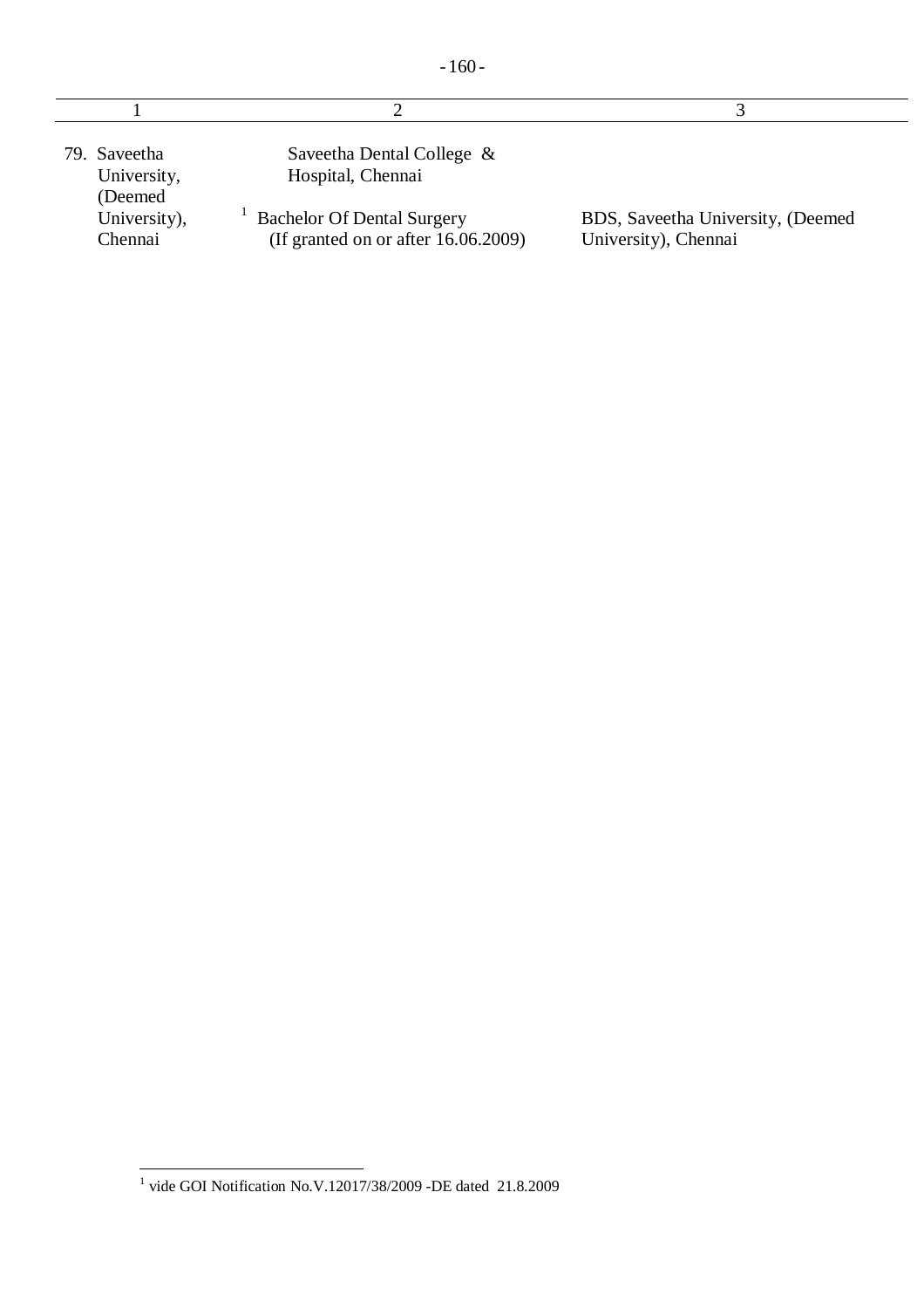| nı<br>ı |
|---------|
|---------|

| 79. Saveetha<br>University,<br>(Deemed) | Saveetha Dental College &<br>Hospital, Chennai                              |                                                           |
|-----------------------------------------|-----------------------------------------------------------------------------|-----------------------------------------------------------|
| University),<br>Chennai                 | <b>Bachelor Of Dental Surgery</b><br>(If granted on or after $16.06.2009$ ) | BDS, Saveetha University, (Deemed<br>University), Chennai |

 1 vide GOI Notification No.V.12017/38/2009 -DE dated 21.8.2009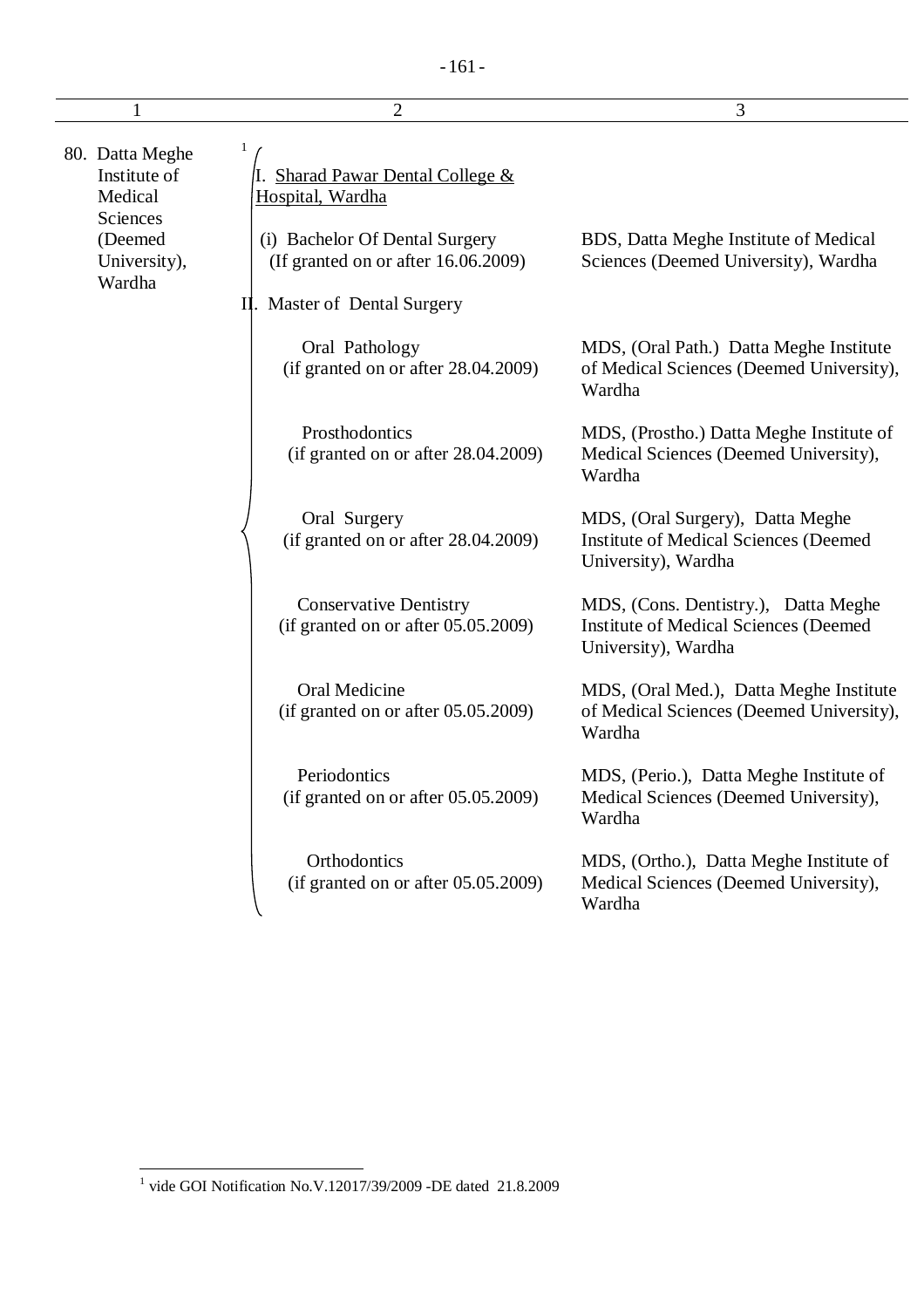|                                               | $\overline{2}$                                                          | 3                                                                                                           |  |
|-----------------------------------------------|-------------------------------------------------------------------------|-------------------------------------------------------------------------------------------------------------|--|
| 80. Datta Meghe<br>Institute of<br>Medical    | I. Sharad Pawar Dental College &<br>Hospital, Wardha                    |                                                                                                             |  |
| Sciences<br>(Deemed<br>University),<br>Wardha | (i) Bachelor Of Dental Surgery<br>(If granted on or after 16.06.2009)   | BDS, Datta Meghe Institute of Medical<br>Sciences (Deemed University), Wardha                               |  |
|                                               | II. Master of Dental Surgery                                            |                                                                                                             |  |
|                                               | Oral Pathology<br>(if granted on or after 28.04.2009)                   | MDS, (Oral Path.) Datta Meghe Institute<br>of Medical Sciences (Deemed University),<br>Wardha               |  |
|                                               | Prosthodontics<br>(if granted on or after 28.04.2009)                   | MDS, (Prostho.) Datta Meghe Institute of<br>Medical Sciences (Deemed University),<br>Wardha                 |  |
|                                               | Oral Surgery<br>(if granted on or after 28.04.2009)                     | MDS, (Oral Surgery), Datta Meghe<br><b>Institute of Medical Sciences (Deemed</b><br>University), Wardha     |  |
|                                               | <b>Conservative Dentistry</b><br>(if granted on or after $05.05.2009$ ) | MDS, (Cons. Dentistry.), Datta Meghe<br><b>Institute of Medical Sciences (Deemed</b><br>University), Wardha |  |
|                                               | Oral Medicine<br>(if granted on or after $05.05.2009$ )                 | MDS, (Oral Med.), Datta Meghe Institute<br>of Medical Sciences (Deemed University),<br>Wardha               |  |
|                                               | Periodontics<br>(if granted on or after 05.05.2009)                     | MDS, (Perio.), Datta Meghe Institute of<br>Medical Sciences (Deemed University),<br>Wardha                  |  |
|                                               | Orthodontics<br>(if granted on or after $05.05.2009$ )                  | MDS, (Ortho.), Datta Meghe Institute of<br>Medical Sciences (Deemed University),<br>Wardha                  |  |

 1 vide GOI Notification No.V.12017/39/2009 -DE dated 21.8.2009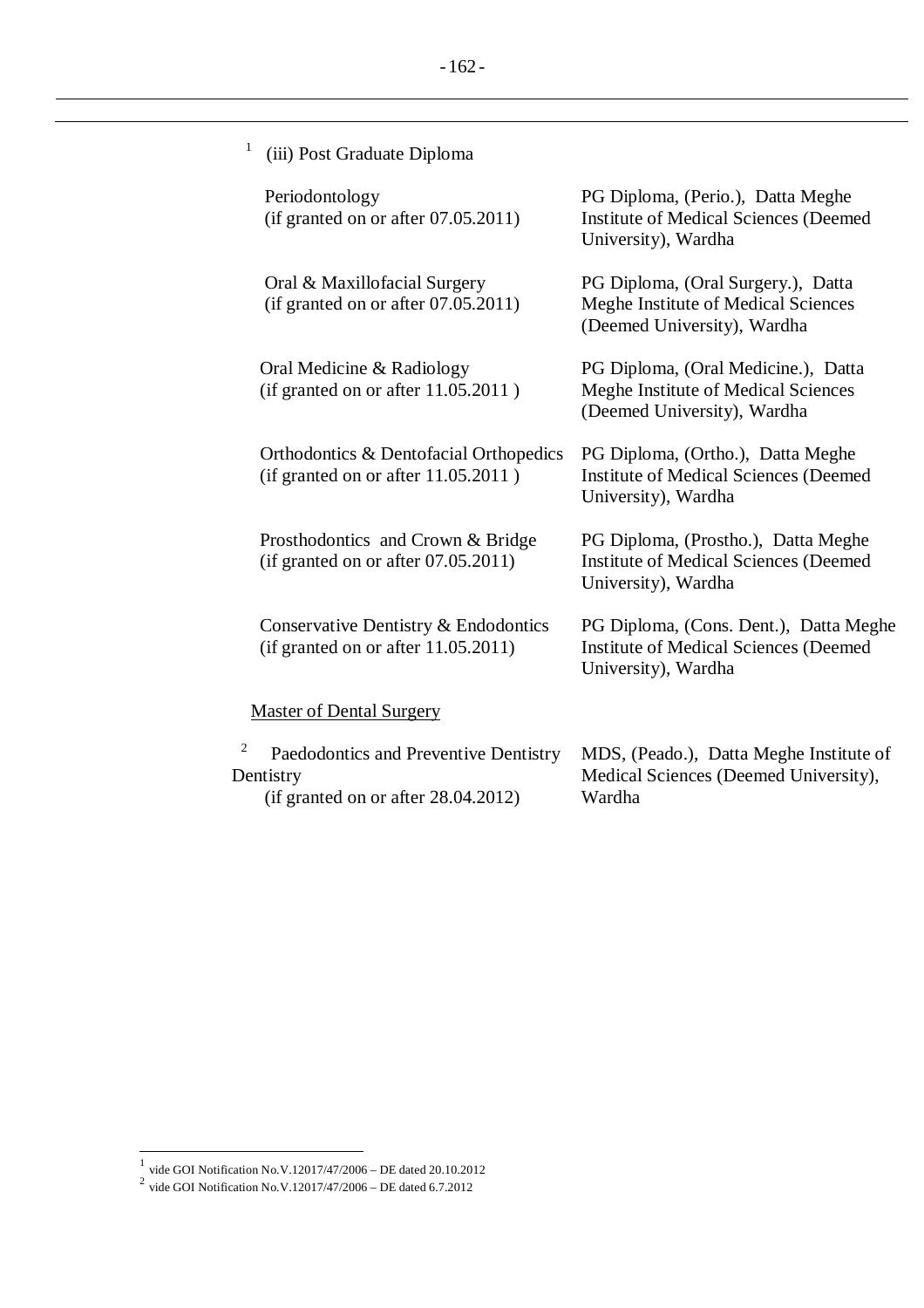| $\mathbf{1}$<br>(iii) Post Graduate Diploma                                                    |                                                                                                               |
|------------------------------------------------------------------------------------------------|---------------------------------------------------------------------------------------------------------------|
| Periodontology<br>(if granted on or after $07.05.2011$ )                                       | PG Diploma, (Perio.), Datta Meghe<br><b>Institute of Medical Sciences (Deemed</b><br>University), Wardha      |
| Oral & Maxillofacial Surgery<br>(if granted on or after 07.05.2011)                            | PG Diploma, (Oral Surgery.), Datta<br>Meghe Institute of Medical Sciences<br>(Deemed University), Wardha      |
| Oral Medicine & Radiology<br>(if granted on or after 11.05.2011)                               | PG Diploma, (Oral Medicine.), Datta<br>Meghe Institute of Medical Sciences<br>(Deemed University), Wardha     |
| Orthodontics & Dentofacial Orthopedics<br>(if granted on or after 11.05.2011)                  | PG Diploma, (Ortho.), Datta Meghe<br><b>Institute of Medical Sciences (Deemed</b><br>University), Wardha      |
| Prosthodontics and Crown & Bridge<br>(if granted on or after $07.05.2011$ )                    | PG Diploma, (Prostho.), Datta Meghe<br><b>Institute of Medical Sciences (Deemed)</b><br>University), Wardha   |
| Conservative Dentistry & Endodontics<br>(if granted on or after $11.05.2011$ )                 | PG Diploma, (Cons. Dent.), Datta Meghe<br><b>Institute of Medical Sciences (Deemed</b><br>University), Wardha |
| <b>Master of Dental Surgery</b>                                                                |                                                                                                               |
| 2<br>Paedodontics and Preventive Dentistry<br>Dentistry<br>(if granted on or after 28.04.2012) | MDS, (Peado.), Datta Meghe Institute of<br>Medical Sciences (Deemed University),<br>Wardha                    |

 1 vide GOI Notification No.V.12017/47/2006 – DE dated 20.10.2012 2 vide GOI Notification No.V.12017/47/2006 – DE dated 6.7.2012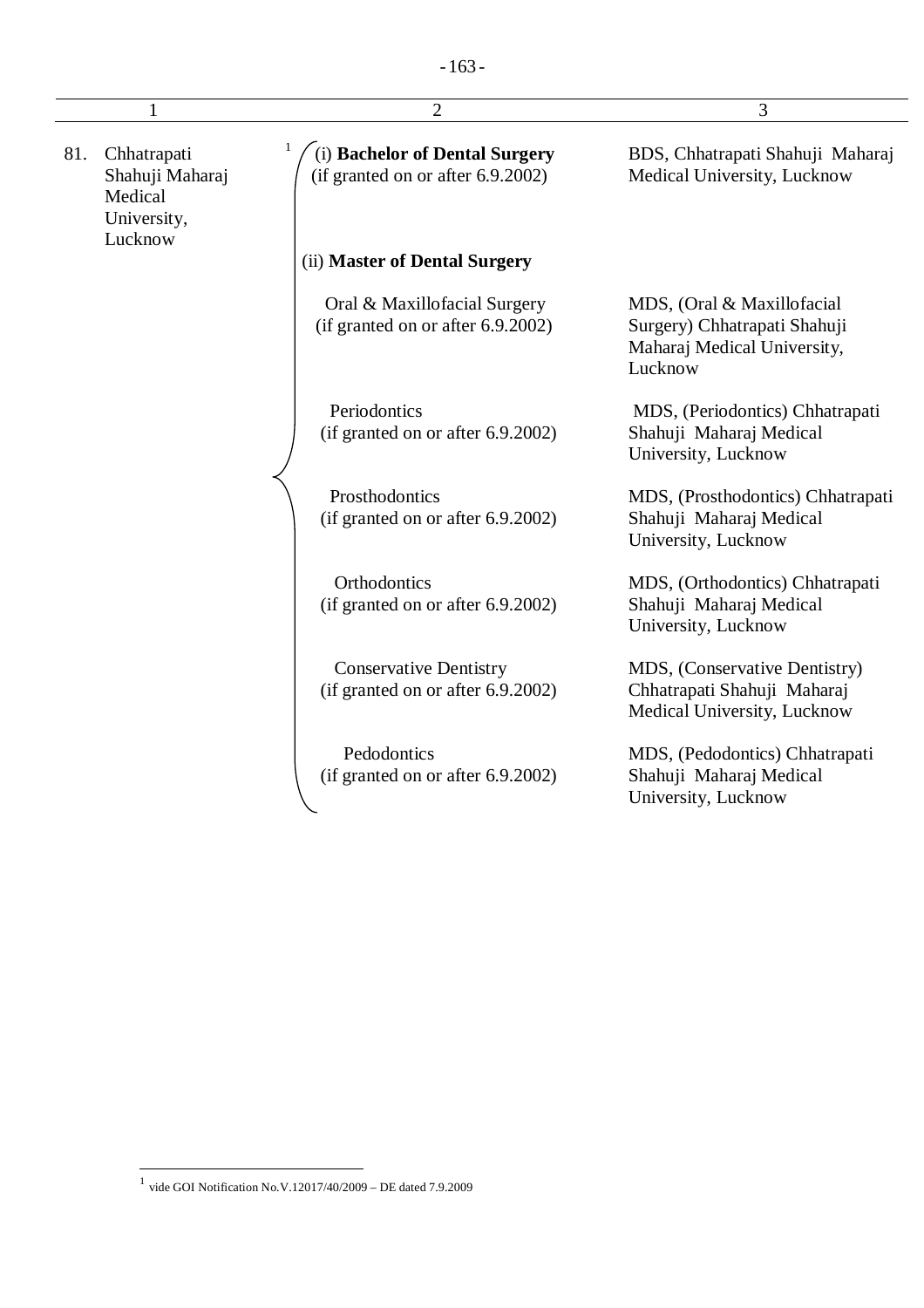| 1   |                                                                     | $\overline{2}$                                                      | 3                                                                                                    |
|-----|---------------------------------------------------------------------|---------------------------------------------------------------------|------------------------------------------------------------------------------------------------------|
| 81. | Chhatrapati<br>Shahuji Maharaj<br>Medical<br>University,<br>Lucknow | (i) Bachelor of Dental Surgery<br>(if granted on or after 6.9.2002) | BDS, Chhatrapati Shahuji Maharaj<br>Medical University, Lucknow                                      |
|     |                                                                     | (ii) Master of Dental Surgery                                       |                                                                                                      |
|     |                                                                     | Oral & Maxillofacial Surgery<br>(if granted on or after 6.9.2002)   | MDS, (Oral & Maxillofacial<br>Surgery) Chhatrapati Shahuji<br>Maharaj Medical University,<br>Lucknow |
|     |                                                                     | Periodontics<br>(if granted on or after 6.9.2002)                   | MDS, (Periodontics) Chhatrapati<br>Shahuji Maharaj Medical<br>University, Lucknow                    |
|     |                                                                     | Prosthodontics<br>(if granted on or after 6.9.2002)                 | MDS, (Prosthodontics) Chhatrapati<br>Shahuji Maharaj Medical<br>University, Lucknow                  |
|     |                                                                     | Orthodontics<br>(if granted on or after 6.9.2002)                   | MDS, (Orthodontics) Chhatrapati<br>Shahuji Maharaj Medical<br>University, Lucknow                    |
|     |                                                                     | <b>Conservative Dentistry</b><br>(if granted on or after 6.9.2002)  | MDS, (Conservative Dentistry)<br>Chhatrapati Shahuji Maharaj<br>Medical University, Lucknow          |
|     |                                                                     | Pedodontics<br>(if granted on or after 6.9.2002)                    | MDS, (Pedodontics) Chhatrapati<br>Shahuji Maharaj Medical<br>University, Lucknow                     |

 1 vide GOI Notification No.V.12017/40/2009 – DE dated 7.9.2009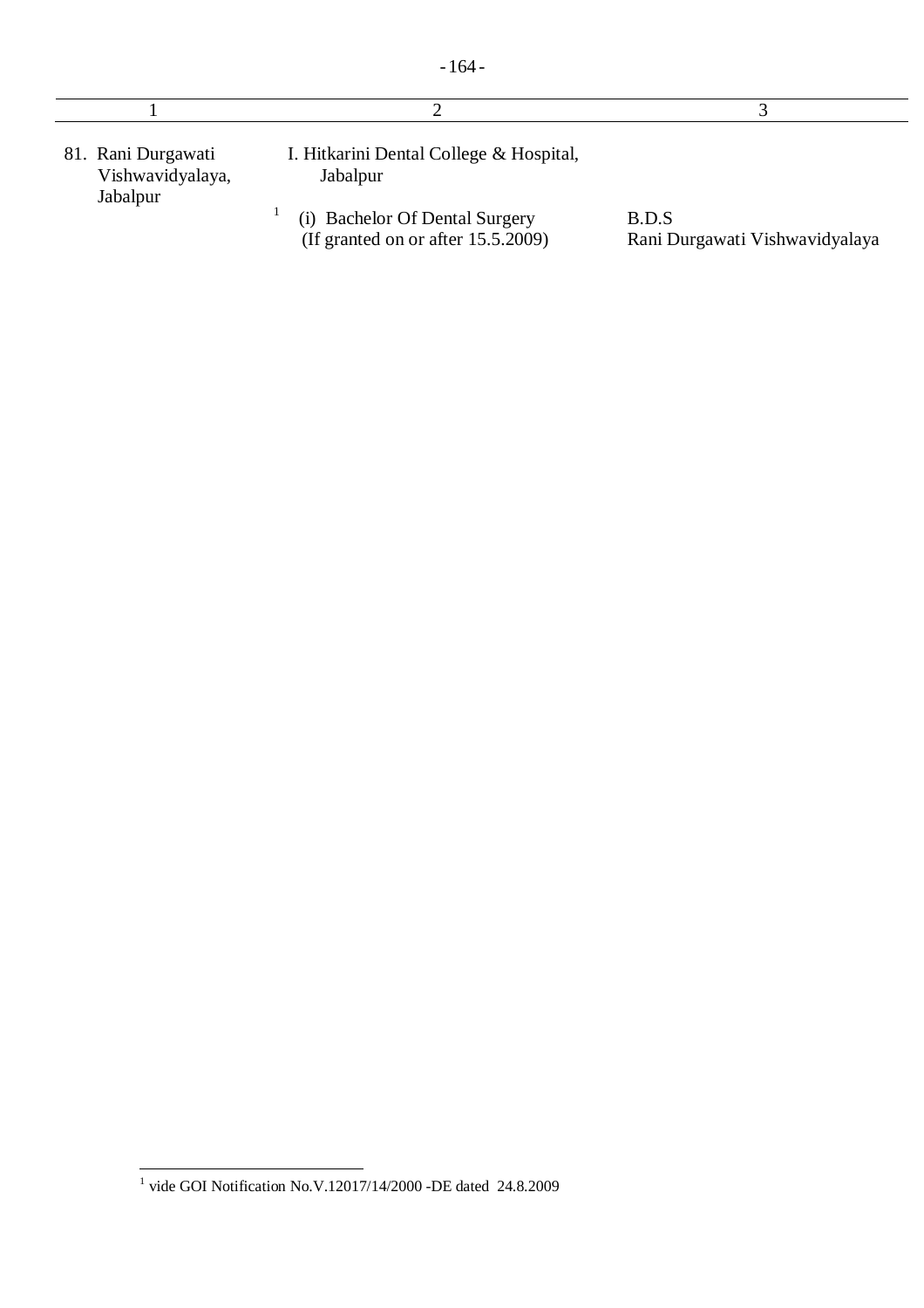|  |  | ×<br>۰, |  |  |
|--|--|---------|--|--|
|--|--|---------|--|--|

| 81. Rani Durgawati<br>Vishwavidyalaya,<br>Jabalpur | I. Hitkarini Dental College & Hospital,<br>Jabalpur                  |                                         |
|----------------------------------------------------|----------------------------------------------------------------------|-----------------------------------------|
|                                                    | (i) Bachelor Of Dental Surgery<br>(If granted on or after 15.5.2009) | B.D.S<br>Rani Durgawati Vishwavidyalaya |

 1 vide GOI Notification No.V.12017/14/2000 -DE dated 24.8.2009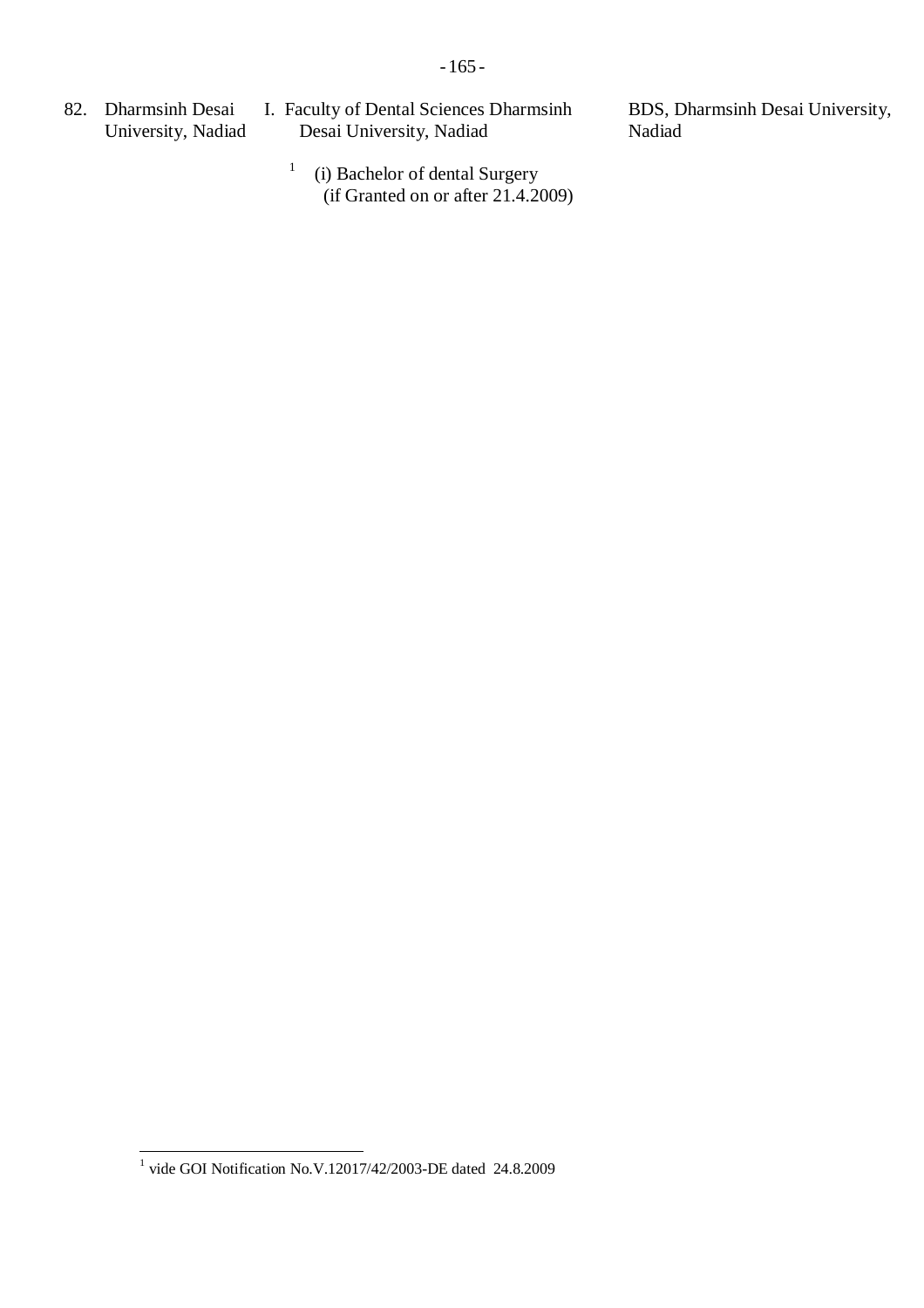82. Dharmsinh Desai University, Nadiad

1

- I. Faculty of Dental Sciences Dharmsinh Desai University, Nadiad
	- (i) Bachelor of dental Surgery (if Granted on or after 21.4.2009)

BDS, Dharmsinh Desai University, Nadiad

 1 vide GOI Notification No.V.12017/42/2003-DE dated 24.8.2009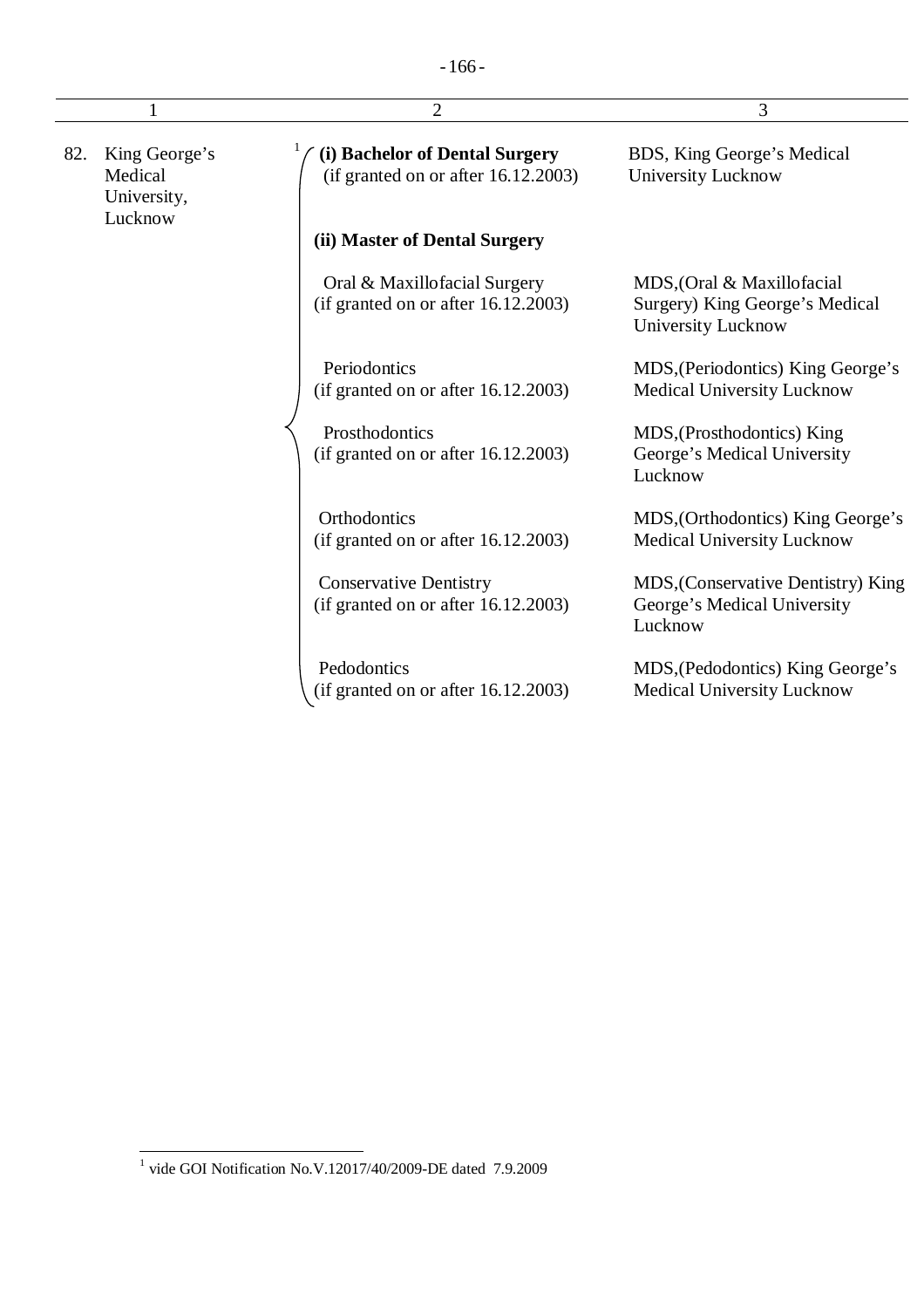| $\overline{2}$ |                                                    |                                                                          | 3                                                                                  |  |
|----------------|----------------------------------------------------|--------------------------------------------------------------------------|------------------------------------------------------------------------------------|--|
| 82.            | King George's<br>Medical<br>University,<br>Lucknow | (i) Bachelor of Dental Surgery<br>(if granted on or after $16.12.2003$ ) | BDS, King George's Medical<br><b>University Lucknow</b>                            |  |
|                |                                                    | (ii) Master of Dental Surgery                                            |                                                                                    |  |
|                |                                                    | Oral & Maxillofacial Surgery<br>(if granted on or after $16.12.2003$ )   | MDS, (Oral & Maxillofacial<br>Surgery) King George's Medical<br>University Lucknow |  |
|                |                                                    | Periodontics<br>(if granted on or after 16.12.2003)                      | MDS, (Periodontics) King George's<br><b>Medical University Lucknow</b>             |  |
|                |                                                    | Prosthodontics<br>(if granted on or after $16.12.2003$ )                 | MDS, (Prosthodontics) King<br>George's Medical University<br>Lucknow               |  |
|                |                                                    | Orthodontics<br>(if granted on or after $16.12.2003$ )                   | MDS, (Orthodontics) King George's<br><b>Medical University Lucknow</b>             |  |
|                |                                                    | <b>Conservative Dentistry</b><br>(if granted on or after 16.12.2003)     | MDS, (Conservative Dentistry) King<br>George's Medical University<br>Lucknow       |  |
|                |                                                    | Pedodontics<br>(if granted on or after 16.12.2003)                       | MDS, (Pedodontics) King George's<br><b>Medical University Lucknow</b>              |  |

 1 vide GOI Notification No.V.12017/40/2009-DE dated 7.9.2009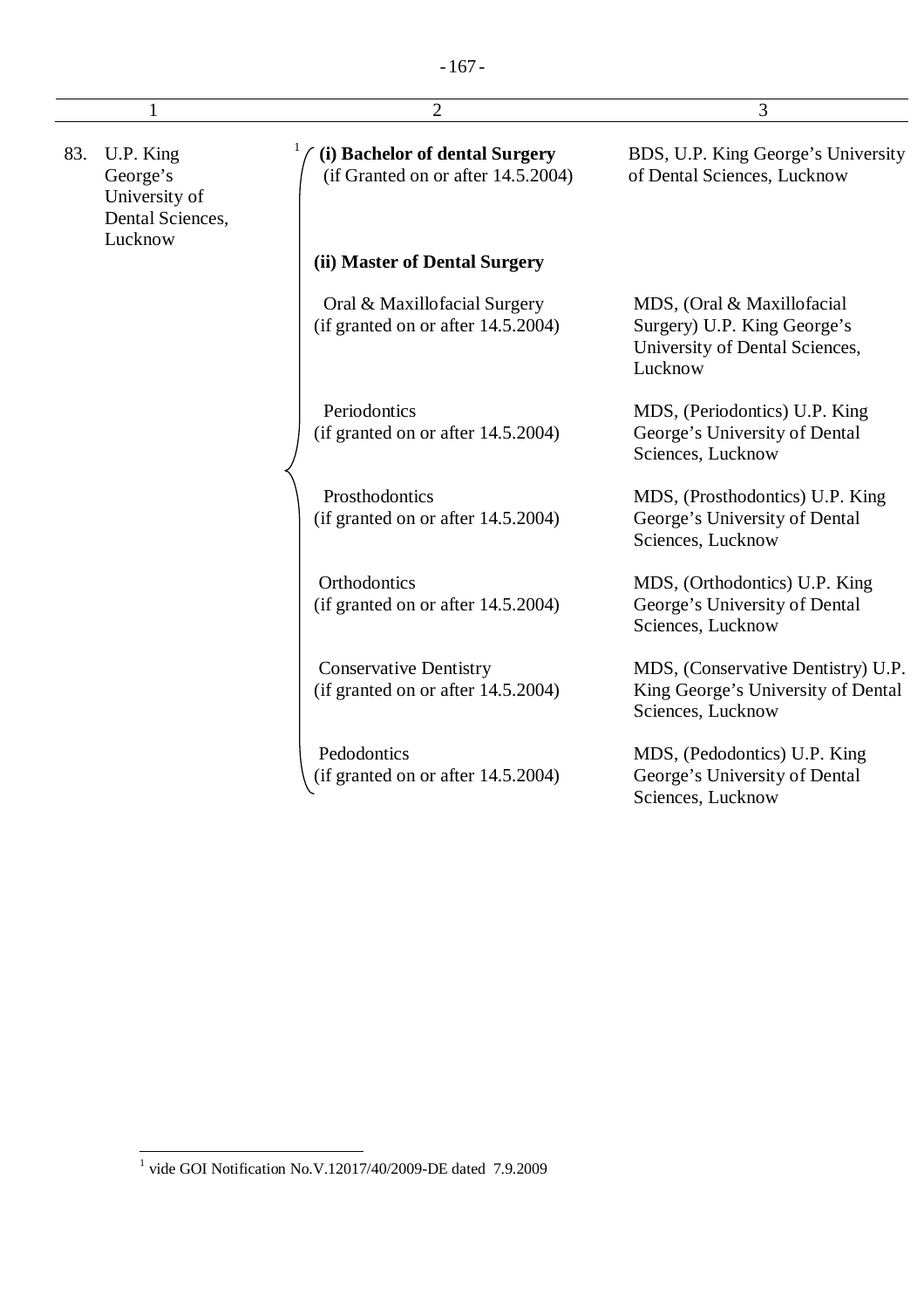| 1   |                                                                       | $\overline{2}$                                                         | 3                                                                                                      |  |
|-----|-----------------------------------------------------------------------|------------------------------------------------------------------------|--------------------------------------------------------------------------------------------------------|--|
| 83. | U.P. King<br>George's<br>University of<br>Dental Sciences,<br>Lucknow | (i) Bachelor of dental Surgery<br>(if Granted on or after 14.5.2004)   | BDS, U.P. King George's University<br>of Dental Sciences, Lucknow                                      |  |
|     |                                                                       | (ii) Master of Dental Surgery                                          |                                                                                                        |  |
|     |                                                                       | Oral & Maxillofacial Surgery<br>(if granted on or after $14.5.2004$ )  | MDS, (Oral & Maxillofacial<br>Surgery) U.P. King George's<br>University of Dental Sciences,<br>Lucknow |  |
|     |                                                                       | Periodontics<br>(if granted on or after 14.5.2004)                     | MDS, (Periodontics) U.P. King<br>George's University of Dental<br>Sciences, Lucknow                    |  |
|     |                                                                       | Prosthodontics<br>(if granted on or after $14.5.2004$ )                | MDS, (Prosthodontics) U.P. King<br>George's University of Dental<br>Sciences, Lucknow                  |  |
|     |                                                                       | Orthodontics<br>(if granted on or after 14.5.2004)                     | MDS, (Orthodontics) U.P. King<br>George's University of Dental<br>Sciences, Lucknow                    |  |
|     |                                                                       | <b>Conservative Dentistry</b><br>(if granted on or after $14.5.2004$ ) | MDS, (Conservative Dentistry) U.P.<br>King George's University of Dental<br>Sciences, Lucknow          |  |
|     |                                                                       | Pedodontics<br>(if granted on or after $14.5.2004$ )                   | MDS, (Pedodontics) U.P. King<br>George's University of Dental                                          |  |

Sciences, Lucknow

 1 vide GOI Notification No.V.12017/40/2009-DE dated 7.9.2009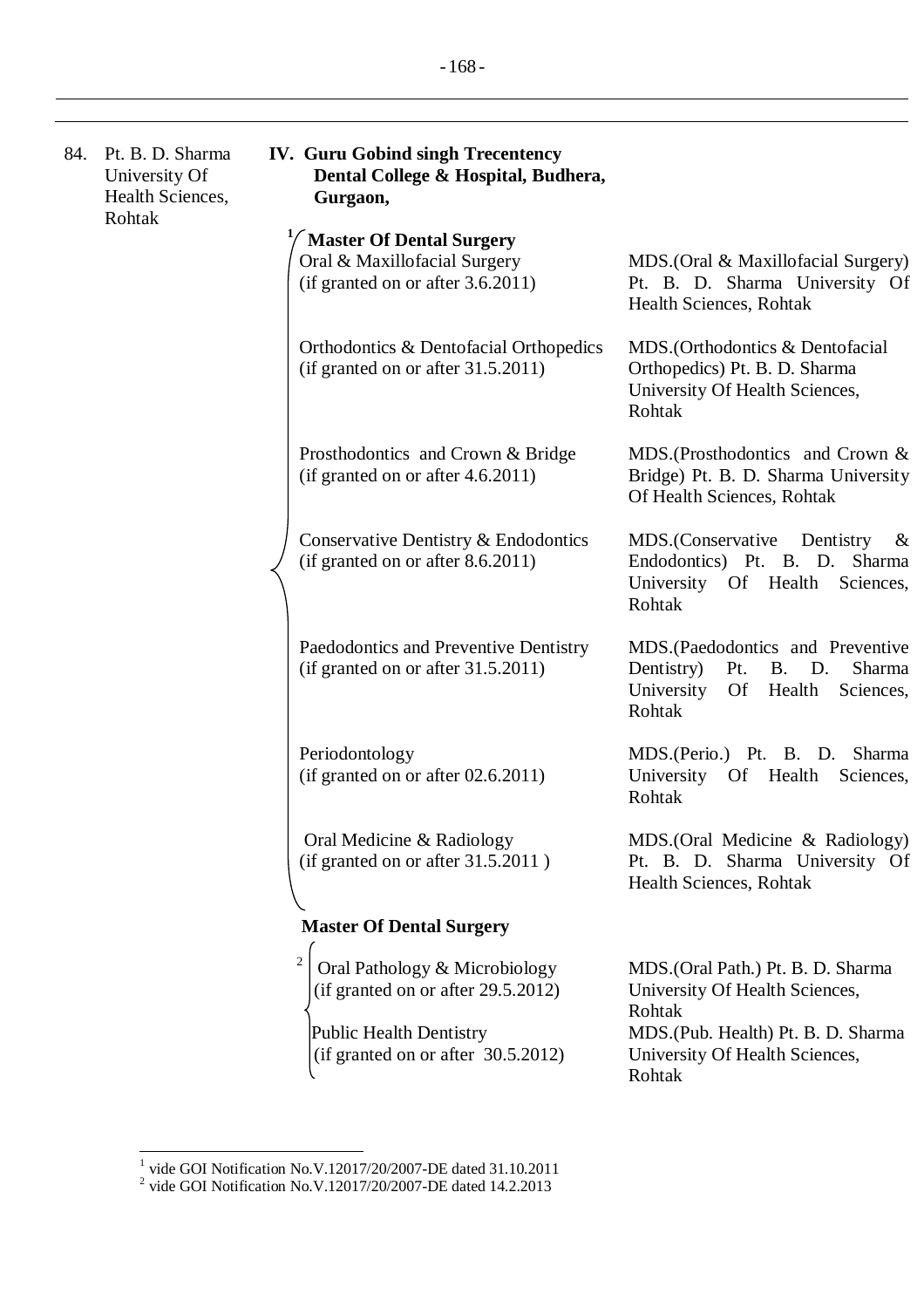| 84. | Pt. B. D. Sharma<br>University Of<br>Health Sciences,<br>Rohtak | <b>IV. Guru Gobind singh Trecentency</b><br>Dental College & Hospital, Budhera,<br>Gurgaon,                                                                      |                                                                                                                                                                   |
|-----|-----------------------------------------------------------------|------------------------------------------------------------------------------------------------------------------------------------------------------------------|-------------------------------------------------------------------------------------------------------------------------------------------------------------------|
|     |                                                                 | <b>Master Of Dental Surgery</b><br>Oral & Maxillofacial Surgery<br>(if granted on or after 3.6.2011)                                                             | MDS. (Oral & Maxillofacial Surgery)<br>Pt. B. D. Sharma University Of<br>Health Sciences, Rohtak                                                                  |
|     |                                                                 | Orthodontics & Dentofacial Orthopedics<br>(if granted on or after 31.5.2011)                                                                                     | MDS. (Orthodontics & Dentofacial<br>Orthopedics) Pt. B. D. Sharma<br>University Of Health Sciences,<br>Rohtak                                                     |
|     |                                                                 | Prosthodontics and Crown & Bridge<br>(if granted on or after 4.6.2011)                                                                                           | MDS.(Prosthodontics and Crown &<br>Bridge) Pt. B. D. Sharma University<br>Of Health Sciences, Rohtak                                                              |
|     |                                                                 | Conservative Dentistry & Endodontics<br>(if granted on or after 8.6.2011)                                                                                        | MDS.(Conservative Dentistry<br>&<br>Endodontics) Pt. B. D. Sharma<br>University Of Health<br>Sciences,<br>Rohtak                                                  |
|     |                                                                 | Paedodontics and Preventive Dentistry<br>(if granted on or after 31.5.2011)                                                                                      | MDS. (Paedodontics and Preventive<br>Sharma<br>Dentistry)<br>Pt.<br><b>B. D.</b><br>University<br>Of<br>Health<br>Sciences,<br>Rohtak                             |
|     |                                                                 | Periodontology<br>(if granted on or after 02.6.2011)                                                                                                             | Sharma<br>MDS.(Perio.) Pt. B. D.<br>University Of Health<br>Sciences,<br>Rohtak                                                                                   |
|     |                                                                 | Oral Medicine & Radiology<br>(if granted on or after 31.5.2011)                                                                                                  | MDS.(Oral Medicine & Radiology)<br>Pt. B. D. Sharma University Of<br>Health Sciences, Rohtak                                                                      |
|     |                                                                 | <b>Master Of Dental Surgery</b>                                                                                                                                  |                                                                                                                                                                   |
|     |                                                                 | $\overline{2}$<br>Oral Pathology & Microbiology<br>(if granted on or after 29.5.2012)<br><b>Public Health Dentistry</b><br>(if granted on or after $30.5.2012$ ) | MDS. (Oral Path.) Pt. B. D. Sharma<br>University Of Health Sciences,<br>Rohtak<br>MDS. (Pub. Health) Pt. B. D. Sharma<br>University Of Health Sciences,<br>Rohtak |

 1 vide GOI Notification No.V.12017/20/2007-DE dated 31.10.2011 2 vide GOI Notification No.V.12017/20/2007-DE dated 14.2.2013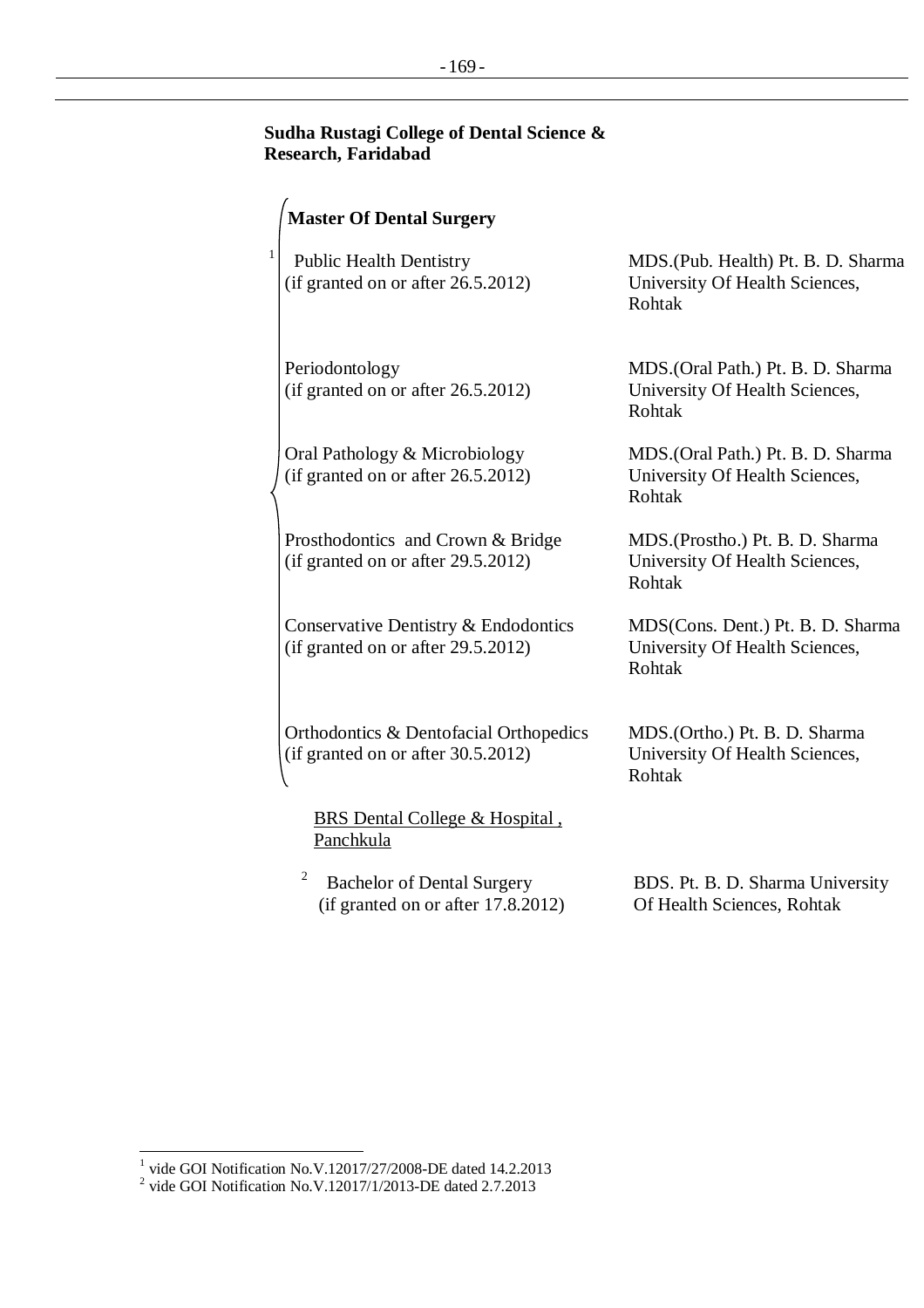## **Sudha Rustagi College of Dental Science & Research, Faridabad**

|              | <b>Master Of Dental Surgery</b>                                              |                                                                                 |
|--------------|------------------------------------------------------------------------------|---------------------------------------------------------------------------------|
| $\mathbf{1}$ | <b>Public Health Dentistry</b><br>(if granted on or after 26.5.2012)         | MDS. (Pub. Health) Pt. B. D. Sharma<br>University Of Health Sciences,<br>Rohtak |
|              | Periodontology<br>(if granted on or after 26.5.2012)                         | MDS. (Oral Path.) Pt. B. D. Sharma<br>University Of Health Sciences,<br>Rohtak  |
|              | Oral Pathology & Microbiology<br>(if granted on or after 26.5.2012)          | MDS.(Oral Path.) Pt. B. D. Sharma<br>University Of Health Sciences,<br>Rohtak   |
|              | Prosthodontics and Crown & Bridge<br>(if granted on or after 29.5.2012)      | MDS.(Prostho.) Pt. B. D. Sharma<br>University Of Health Sciences,<br>Rohtak     |
|              | Conservative Dentistry & Endodontics<br>(if granted on or after 29.5.2012)   | MDS(Cons. Dent.) Pt. B. D. Sharma<br>University Of Health Sciences,<br>Rohtak   |
|              | Orthodontics & Dentofacial Orthopedics<br>(if granted on or after 30.5.2012) | MDS.(Ortho.) Pt. B. D. Sharma<br>University Of Health Sciences,<br>Rohtak       |
|              | BRS Dental College & Hospital,<br>Panchkula                                  |                                                                                 |
|              | 2<br>Bachelor of Dental Surgery                                              | RDS Pt R D Sharma University                                                    |

Bachelor of Dental Surgery (if granted on or after 17.8.2012) Of Health Sciences, Rohtak

BDS. Pt. B. D. Sharma University

<sup>&</sup>lt;sup>1</sup> vide GOI Notification No.V.12017/27/2008-DE dated 14.2.2013<br><sup>2</sup> vide GOI Notification No.V.12017/1/2013-DE dated 2.7.2013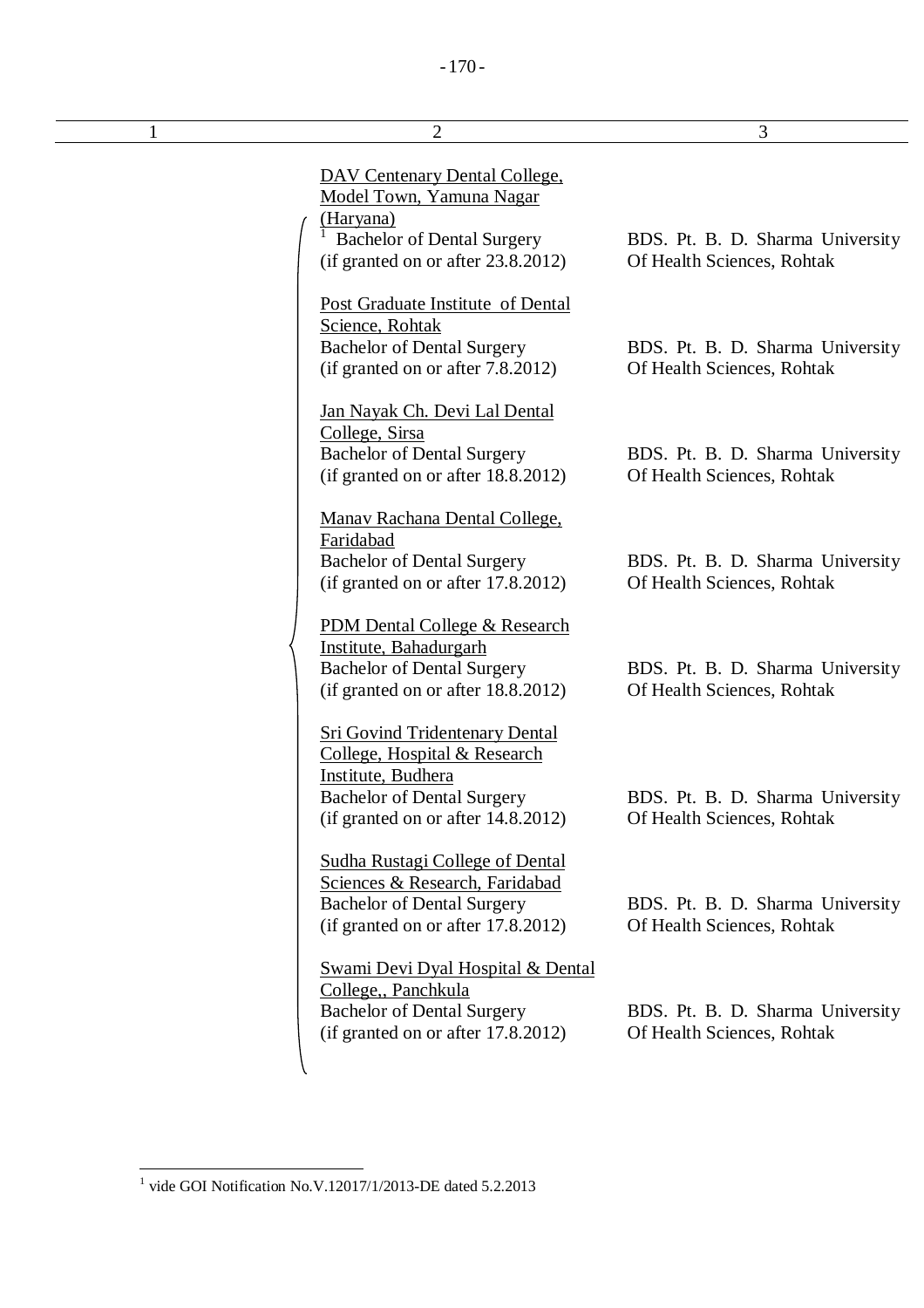| 1 | $\overline{2}$                                                                                                                                                            | 3                                                              |
|---|---------------------------------------------------------------------------------------------------------------------------------------------------------------------------|----------------------------------------------------------------|
|   | <b>DAV Centenary Dental College,</b><br>Model Town, Yamuna Nagar<br>(Haryana)                                                                                             |                                                                |
|   | <b>Bachelor of Dental Surgery</b><br>(if granted on or after 23.8.2012)                                                                                                   | BDS. Pt. B. D. Sharma University<br>Of Health Sciences, Rohtak |
|   | <b>Post Graduate Institute of Dental</b><br>Science, Rohtak<br><b>Bachelor of Dental Surgery</b><br>(if granted on or after 7.8.2012)                                     | BDS. Pt. B. D. Sharma University<br>Of Health Sciences, Rohtak |
|   | Jan Nayak Ch. Devi Lal Dental<br>College, Sirsa<br><b>Bachelor of Dental Surgery</b><br>(if granted on or after 18.8.2012)                                                | BDS. Pt. B. D. Sharma University<br>Of Health Sciences, Rohtak |
|   | <b>Manav Rachana Dental College,</b><br>Faridabad<br><b>Bachelor of Dental Surgery</b><br>(if granted on or after 17.8.2012)                                              | BDS. Pt. B. D. Sharma University<br>Of Health Sciences, Rohtak |
|   | PDM Dental College & Research<br>Institute, Bahadurgarh<br><b>Bachelor of Dental Surgery</b><br>(if granted on or after 18.8.2012)                                        | BDS. Pt. B. D. Sharma University<br>Of Health Sciences, Rohtak |
|   | <b>Sri Govind Tridentenary Dental</b><br>College, Hospital & Research<br>Institute, Budhera<br><b>Bachelor of Dental Surgery</b><br>(if granted on or after $14.8.2012$ ) | BDS. Pt. B. D. Sharma University<br>Of Health Sciences, Rohtak |
|   | Sudha Rustagi College of Dental<br>Sciences & Research, Faridabad<br><b>Bachelor of Dental Surgery</b><br>(if granted on or after 17.8.2012)                              | BDS. Pt. B. D. Sharma University<br>Of Health Sciences, Rohtak |
|   | <b>Swami Devi Dyal Hospital &amp; Dental</b><br>College, Panchkula<br><b>Bachelor of Dental Surgery</b><br>(if granted on or after 17.8.2012)                             | BDS. Pt. B. D. Sharma University<br>Of Health Sciences, Rohtak |

 1 vide GOI Notification No.V.12017/1/2013-DE dated 5.2.2013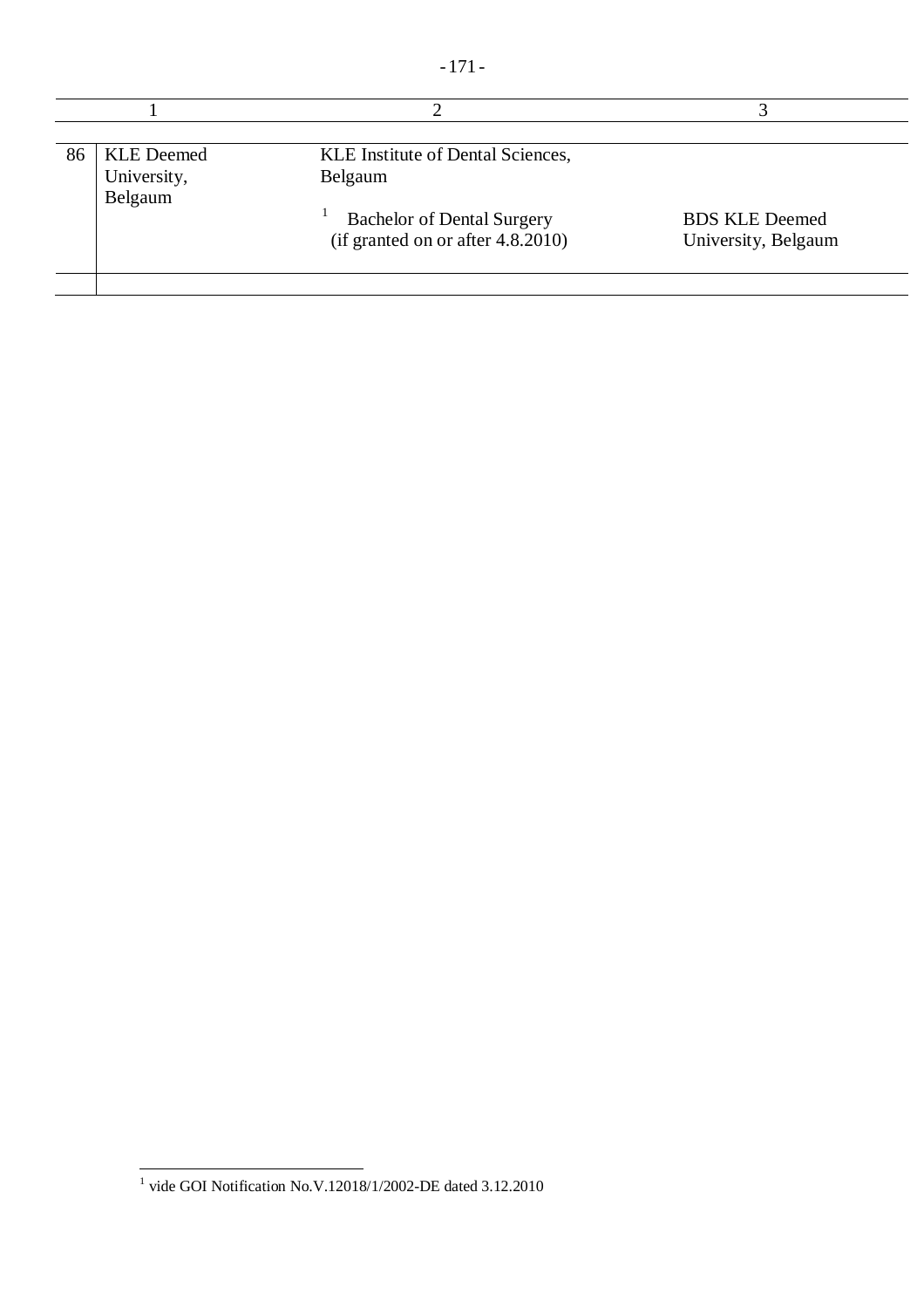|--|--|

| 86<br><b>KLE</b> Deemed<br>University, | KLE Institute of Dental Sciences,<br>Belgaum                              |                                              |
|----------------------------------------|---------------------------------------------------------------------------|----------------------------------------------|
| Belgaum                                | <b>Bachelor of Dental Surgery</b><br>(if granted on or after $4.8.2010$ ) | <b>BDS KLE Deemed</b><br>University, Belgaum |

 1 vide GOI Notification No.V.12018/1/2002-DE dated 3.12.2010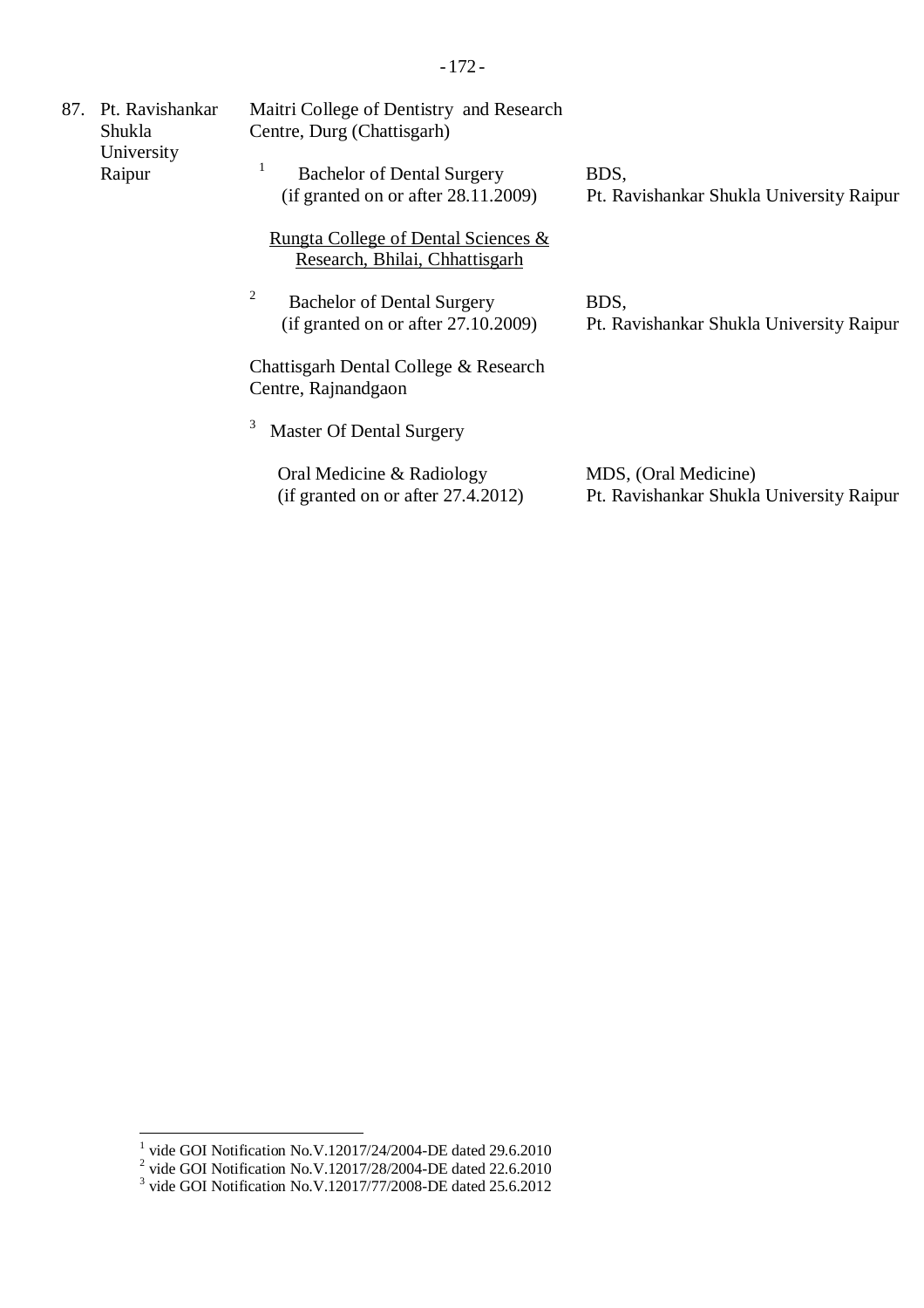| 87.                  | Pt. Ravishankar<br>Shukla | Maitri College of Dentistry and Research<br>Centre, Durg (Chattisgarh)           |                                                                  |
|----------------------|---------------------------|----------------------------------------------------------------------------------|------------------------------------------------------------------|
| University<br>Raipur |                           | <b>Bachelor of Dental Surgery</b><br>(if granted on or after $28.11.2009$ )      | BDS,<br>Pt. Ravishankar Shukla University Raipur                 |
|                      |                           | <u>Rungta College of Dental Sciences &amp;</u><br>Research, Bhilai, Chhattisgarh |                                                                  |
|                      |                           | 2<br><b>Bachelor of Dental Surgery</b><br>(if granted on or after $27.10.2009$ ) | BDS,<br>Pt. Ravishankar Shukla University Raipur                 |
|                      |                           | Chattisgarh Dental College & Research<br>Centre, Rajnandgaon                     |                                                                  |
|                      |                           | <b>Master Of Dental Surgery</b>                                                  |                                                                  |
|                      |                           | Oral Medicine & Radiology<br>(if granted on or after 27.4.2012)                  | MDS, (Oral Medicine)<br>Pt. Ravishankar Shukla University Raipur |

<sup>&</sup>lt;sup>1</sup> vide GOI Notification No.V.12017/24/2004-DE dated 29.6.2010<br>
<sup>2</sup> vide GOI Notification No.V.12017/28/2004-DE dated 22.6.2010<br>
<sup>3</sup> vide GOI Notification No.V.12017/77/2008-DE dated 25.6.2012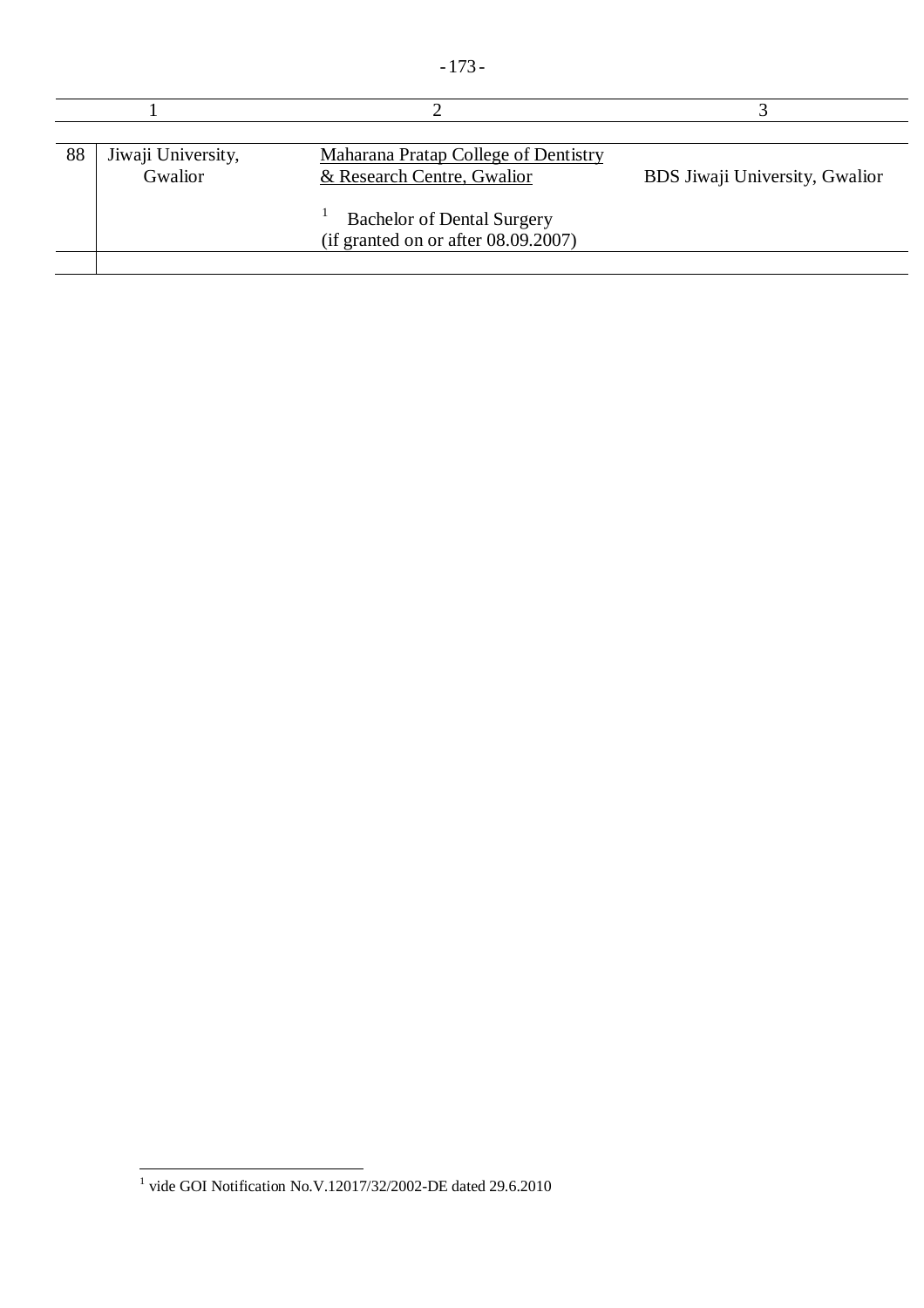| 88 | Jiwaji University,<br>Gwalior | <b>Maharana Pratap College of Dentistry</b><br>& Research Centre, Gwalior   | BDS Jiwaji University, Gwalior |
|----|-------------------------------|-----------------------------------------------------------------------------|--------------------------------|
|    |                               | <b>Bachelor of Dental Surgery</b><br>(if granted on or after $08.09.2007$ ) |                                |

 1 vide GOI Notification No.V.12017/32/2002-DE dated 29.6.2010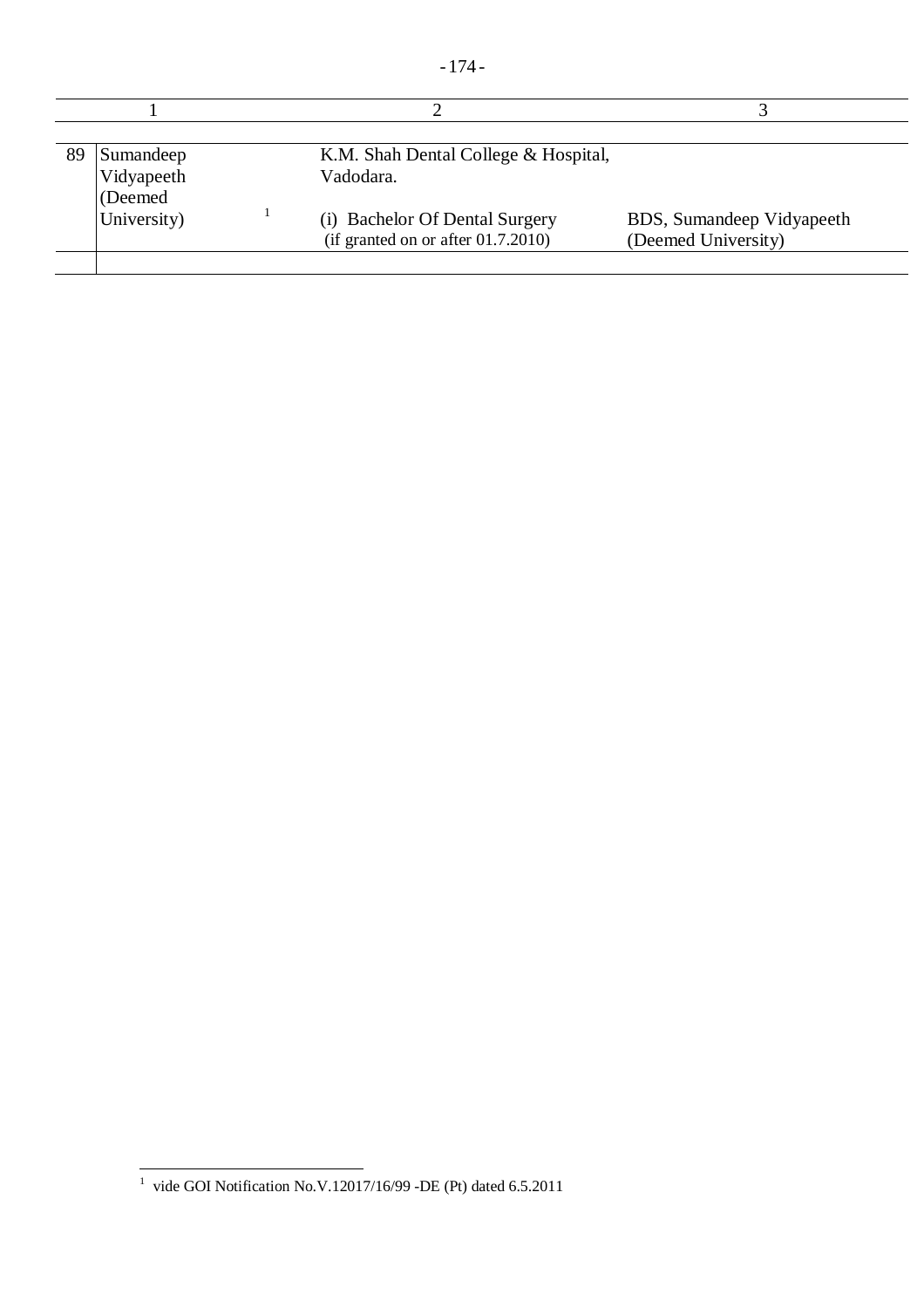| 89 | Sumandeep<br>Vidyapeeth<br>(Deemed) | K.M. Shah Dental College & Hospital,<br>Vadodara.                       |                                                  |
|----|-------------------------------------|-------------------------------------------------------------------------|--------------------------------------------------|
|    | University)                         | (i) Bachelor Of Dental Surgery<br>(if granted on or after $01.7.2010$ ) | BDS, Sumandeep Vidyapeeth<br>(Deemed University) |

 1 vide GOI Notification No.V.12017/16/99 -DE (Pt) dated 6.5.2011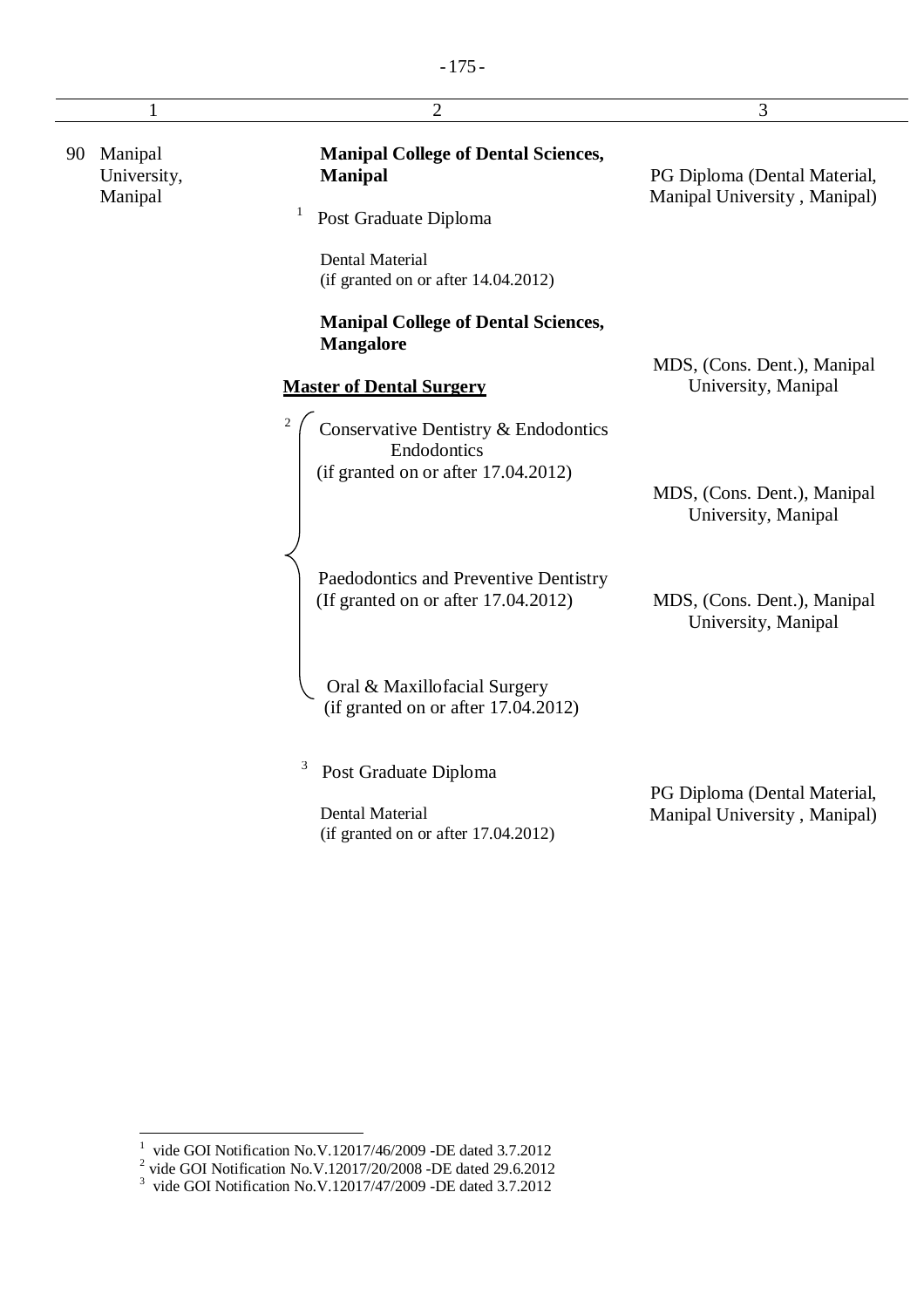|                                         | $\overline{2}$                                                                             | 3                                                            |
|-----------------------------------------|--------------------------------------------------------------------------------------------|--------------------------------------------------------------|
| Manipal<br>90<br>University,<br>Manipal | <b>Manipal College of Dental Sciences,</b><br><b>Manipal</b>                               | PG Diploma (Dental Material,<br>Manipal University, Manipal) |
|                                         | Post Graduate Diploma                                                                      |                                                              |
|                                         | <b>Dental Material</b><br>(if granted on or after 14.04.2012)                              |                                                              |
|                                         | <b>Manipal College of Dental Sciences,</b><br><b>Mangalore</b>                             |                                                              |
|                                         | <b>Master of Dental Surgery</b>                                                            | MDS, (Cons. Dent.), Manipal<br>University, Manipal           |
|                                         | Conservative Dentistry & Endodontics<br>Endodontics<br>(if granted on or after 17.04.2012) |                                                              |
|                                         |                                                                                            | MDS, (Cons. Dent.), Manipal<br>University, Manipal           |
|                                         | Paedodontics and Preventive Dentistry<br>(If granted on or after 17.04.2012)               | MDS, (Cons. Dent.), Manipal<br>University, Manipal           |
|                                         | Oral & Maxillofacial Surgery<br>(if granted on or after 17.04.2012)                        |                                                              |
|                                         | 3<br>Post Graduate Diploma                                                                 | PG Diploma (Dental Material,                                 |
|                                         | <b>Dental Material</b><br>(if granted on or after 17.04.2012)                              | Manipal University, Manipal)                                 |

<sup>&</sup>lt;sup>1</sup> vide GOI Notification No.V.12017/46/2009 -DE dated 3.7.2012<br>
<sup>2</sup> vide GOI Notification No.V.12017/20/2008 -DE dated 29.6.2012<br>
<sup>3</sup> vide GOI Notification No.V.12017/47/2009 -DE dated 3.7.2012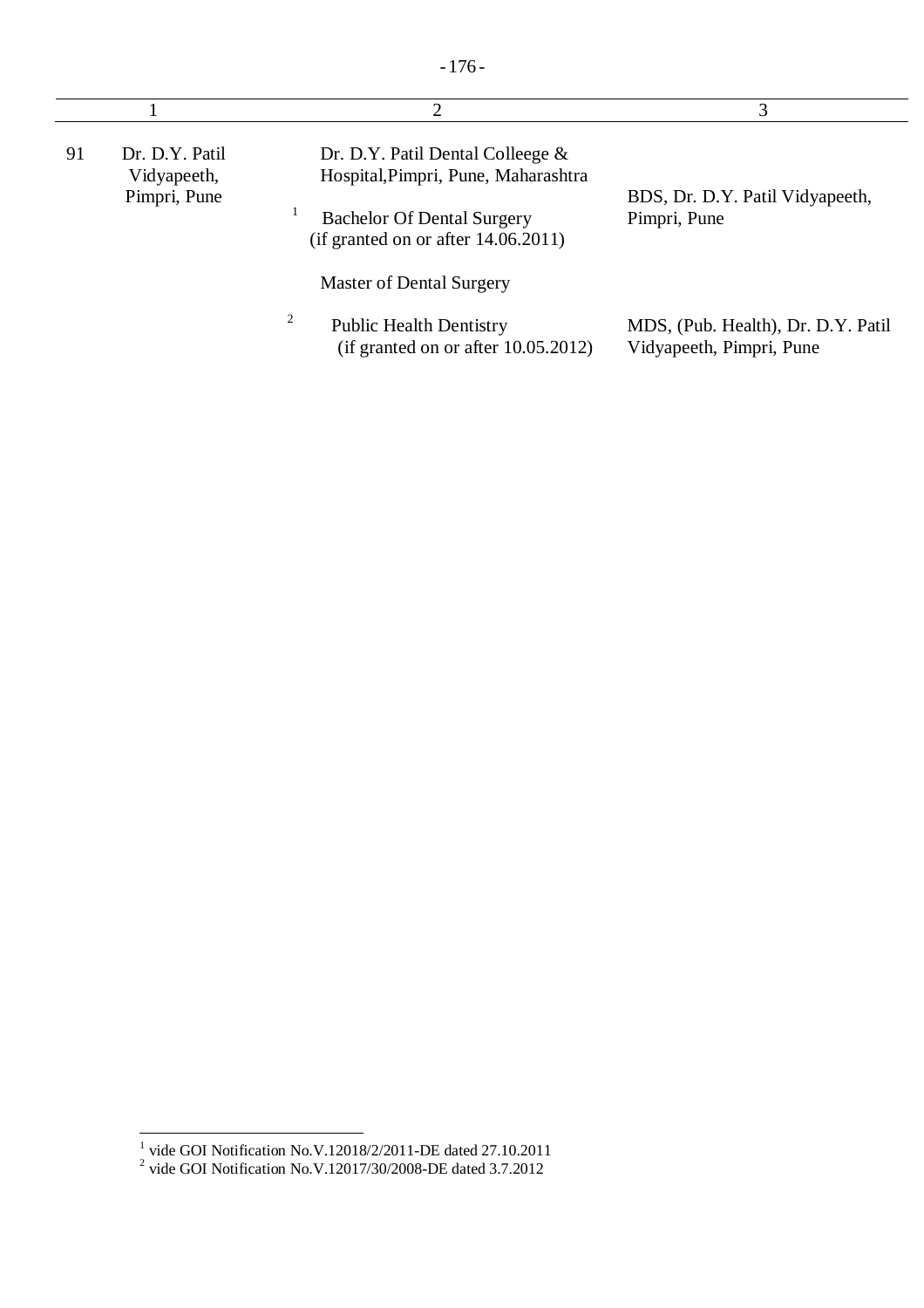|    |                                               | ∍                                                                                                                                                                                     | 3                                                              |
|----|-----------------------------------------------|---------------------------------------------------------------------------------------------------------------------------------------------------------------------------------------|----------------------------------------------------------------|
| 91 | Dr. D.Y. Patil<br>Vidyapeeth,<br>Pimpri, Pune | Dr. D.Y. Patil Dental Colleege $\&$<br>Hospital, Pimpri, Pune, Maharashtra<br><b>Bachelor Of Dental Surgery</b><br>(if granted on or after $14.06.2011$ )<br>Master of Dental Surgery | BDS, Dr. D.Y. Patil Vidyapeeth,<br>Pimpri, Pune                |
|    |                                               | $\overline{\mathbf{c}}$<br><b>Public Health Dentistry</b><br>(if granted on or after $10.05.2012$ )                                                                                   | MDS, (Pub. Health), Dr. D.Y. Patil<br>Vidyapeeth, Pimpri, Pune |

<sup>&</sup>lt;sup>1</sup> vide GOI Notification No.V.12018/2/2011-DE dated 27.10.2011<br>
<sup>2</sup> vide GOI Notification No.V.12017/30/2008-DE dated 3.7.2012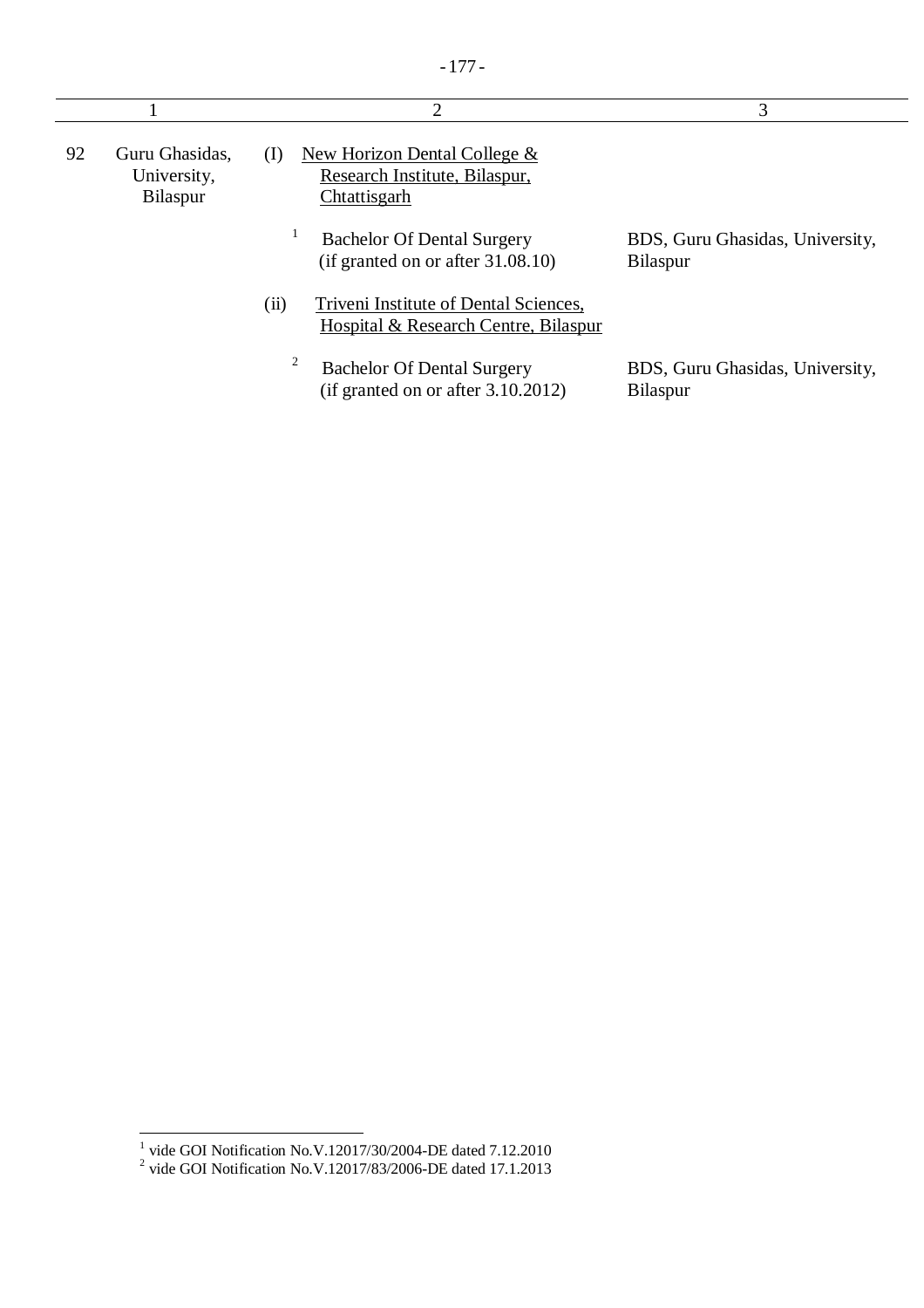|    |                                                  | $\overline{2}$                                                                        | 3                                                  |
|----|--------------------------------------------------|---------------------------------------------------------------------------------------|----------------------------------------------------|
| 92 | Guru Ghasidas.<br>University,<br><b>Bilaspur</b> | New Horizon Dental College &<br>(1)<br>Research Institute, Bilaspur,<br>Chtattisgarh  |                                                    |
|    |                                                  | Bachelor Of Dental Surgery<br>(if granted on or after $31.08.10$ )                    | BDS, Guru Ghasidas, University,<br><b>Bilaspur</b> |
|    |                                                  | (ii)<br>Triveni Institute of Dental Sciences,<br>Hospital & Research Centre, Bilaspur |                                                    |
|    |                                                  | 2<br>Bachelor Of Dental Surgery<br>(if granted on or after $3.10.2012$ )              | BDS, Guru Ghasidas, University,<br><b>Bilaspur</b> |

<sup>&</sup>lt;sup>1</sup> vide GOI Notification No.V.12017/30/2004-DE dated 7.12.2010<br><sup>2</sup> vide GOI Notification No.V.12017/83/2006-DE dated 17.1.2013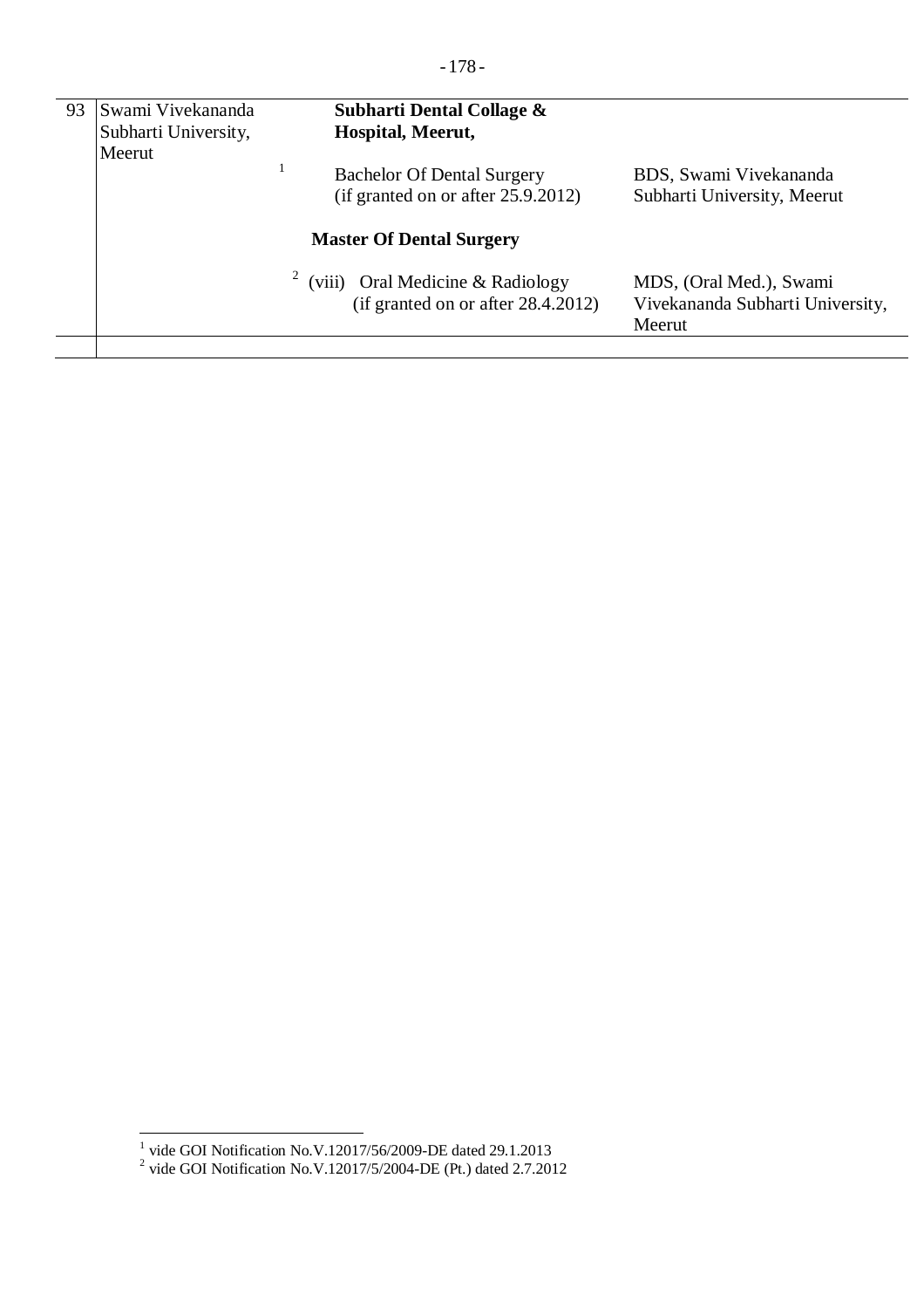| 93 | Swami Vivekananda<br>Subharti University,<br>Meerut | Subharti Dental Collage &<br>Hospital, Meerut,                             |                                                                       |
|----|-----------------------------------------------------|----------------------------------------------------------------------------|-----------------------------------------------------------------------|
|    |                                                     | <b>Bachelor Of Dental Surgery</b><br>(if granted on or after $25.9.2012$ ) | BDS, Swami Vivekananda<br>Subharti University, Meerut                 |
|    |                                                     | <b>Master Of Dental Surgery</b>                                            |                                                                       |
|    |                                                     | (viii) Oral Medicine & Radiology<br>(if granted on or after $28.4.2012$ )  | MDS, (Oral Med.), Swami<br>Vivekananda Subharti University,<br>Meerut |

<sup>&</sup>lt;sup>1</sup> vide GOI Notification No.V.12017/56/2009-DE dated 29.1.2013<br><sup>2</sup> vide GOI Notification No.V.12017/5/2004-DE (Pt.) dated 2.7.2012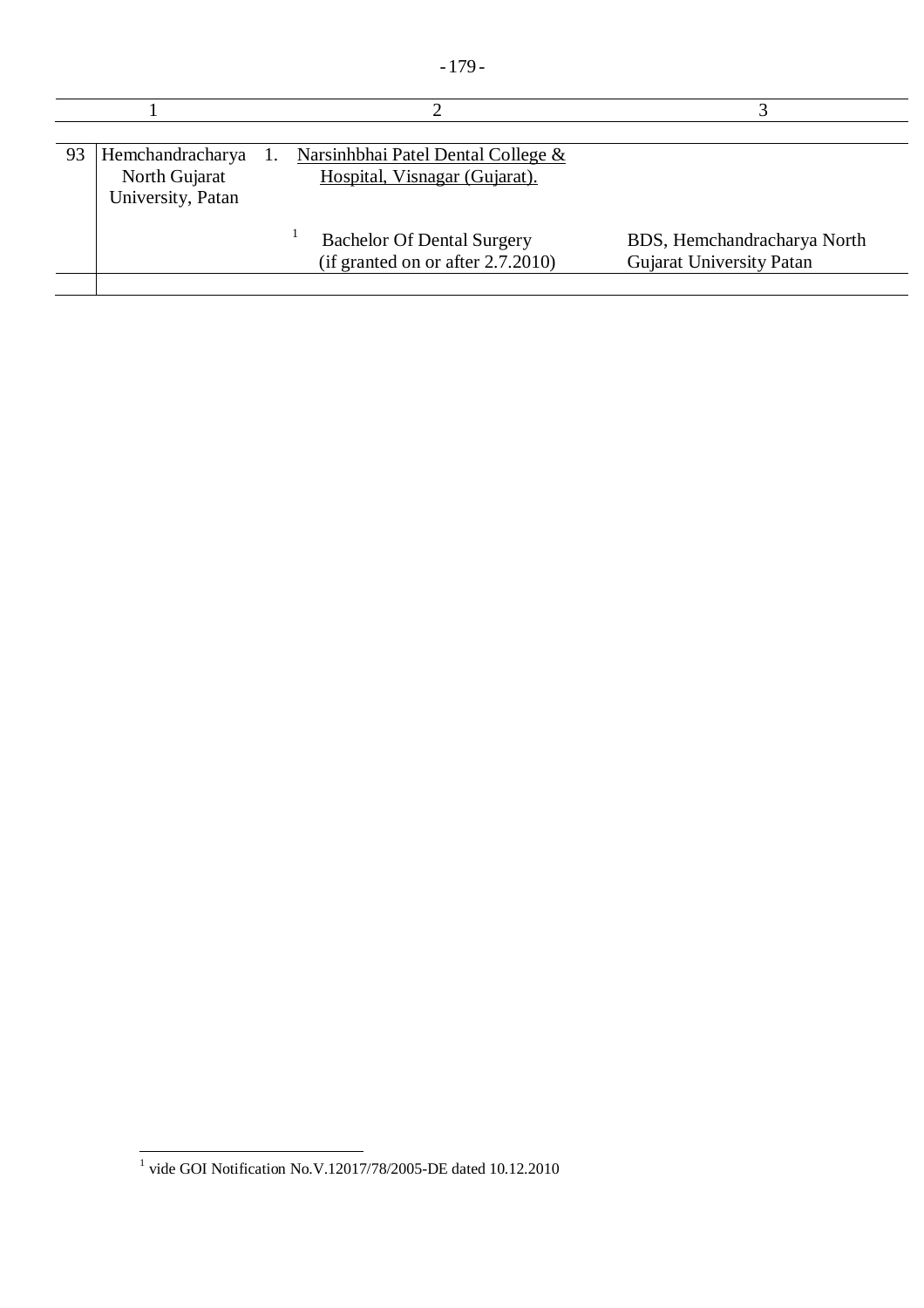| ۰. |
|----|
|----|

| 93 | Hemchandracharya<br>North Gujarat<br>University, Patan | Narsinhbhai Patel Dental College &<br>Hospital, Visnagar (Gujarat).       |                                                         |
|----|--------------------------------------------------------|---------------------------------------------------------------------------|---------------------------------------------------------|
|    |                                                        | <b>Bachelor Of Dental Surgery</b><br>(if granted on or after $2.7.2010$ ) | BDS, Hemchandracharya North<br>Gujarat University Patan |

 1 vide GOI Notification No.V.12017/78/2005-DE dated 10.12.2010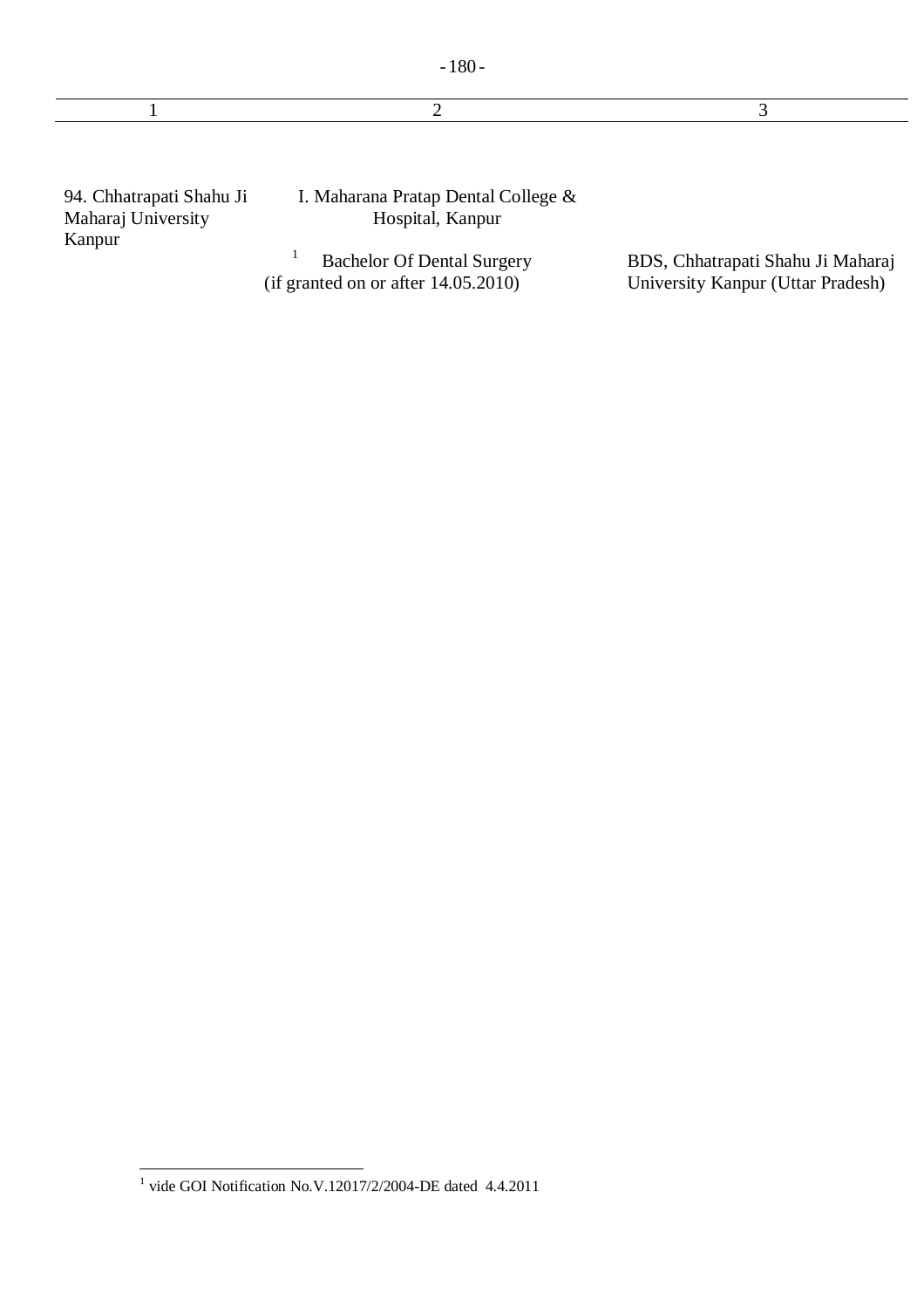|                                                          | ↑                                                                           | 3                                                                      |
|----------------------------------------------------------|-----------------------------------------------------------------------------|------------------------------------------------------------------------|
|                                                          |                                                                             |                                                                        |
| 94. Chhatrapati Shahu Ji<br>Maharaj University<br>Kanpur | I. Maharana Pratap Dental College &<br>Hospital, Kanpur                     |                                                                        |
|                                                          | <b>Bachelor Of Dental Surgery</b><br>(if granted on or after $14.05.2010$ ) | BDS, Chhatrapati Shahu Ji Maharaj<br>University Kanpur (Uttar Pradesh) |
|                                                          |                                                                             |                                                                        |

 1 vide GOI Notification No.V.12017/2/2004-DE dated 4.4.2011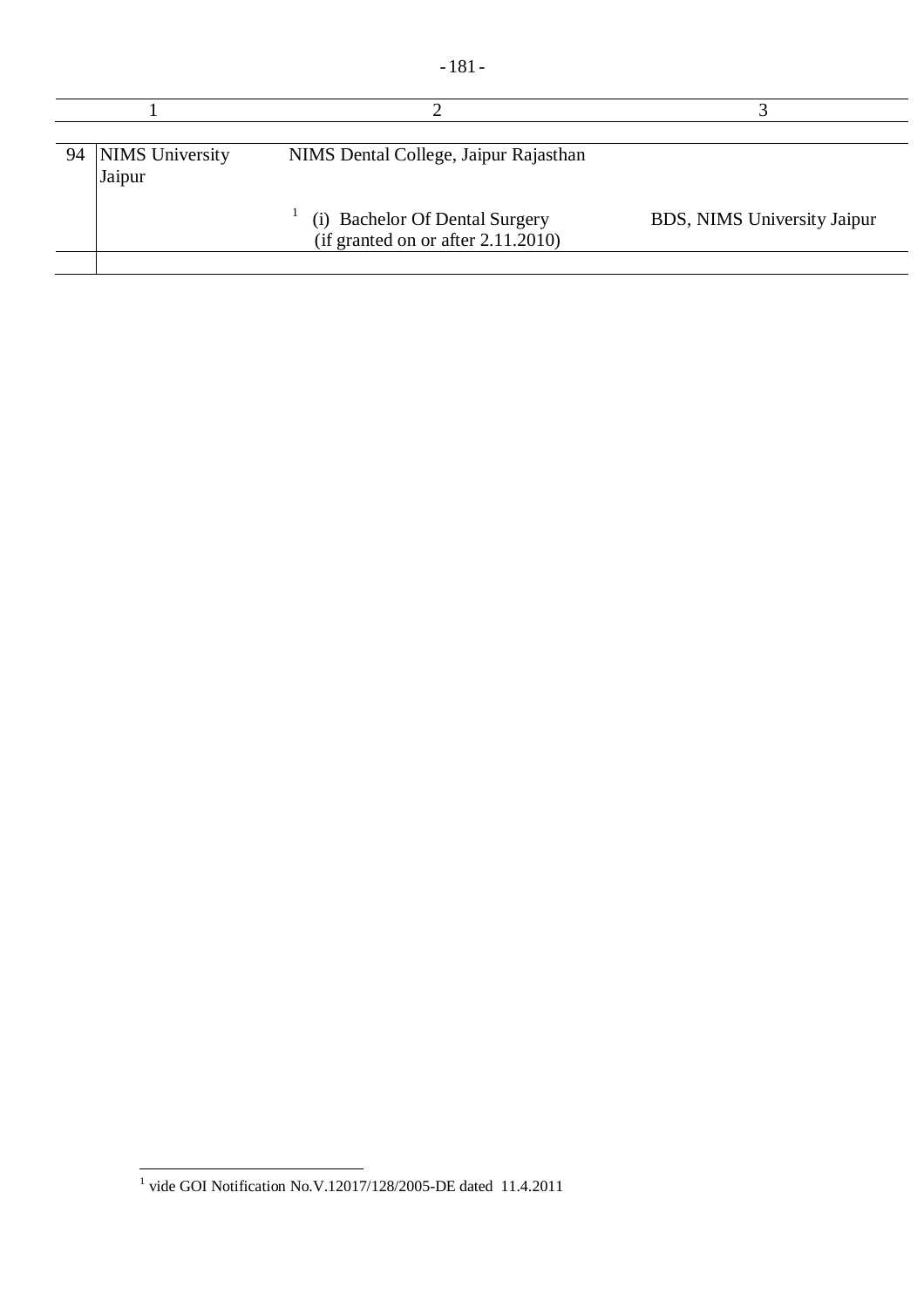| 94   NIMS University<br>Jaipur | NIMS Dental College, Jaipur Rajasthan                                   |                             |
|--------------------------------|-------------------------------------------------------------------------|-----------------------------|
|                                | (i) Bachelor Of Dental Surgery<br>(if granted on or after $2.11.2010$ ) | BDS, NIMS University Jaipur |

 1 vide GOI Notification No.V.12017/128/2005-DE dated 11.4.2011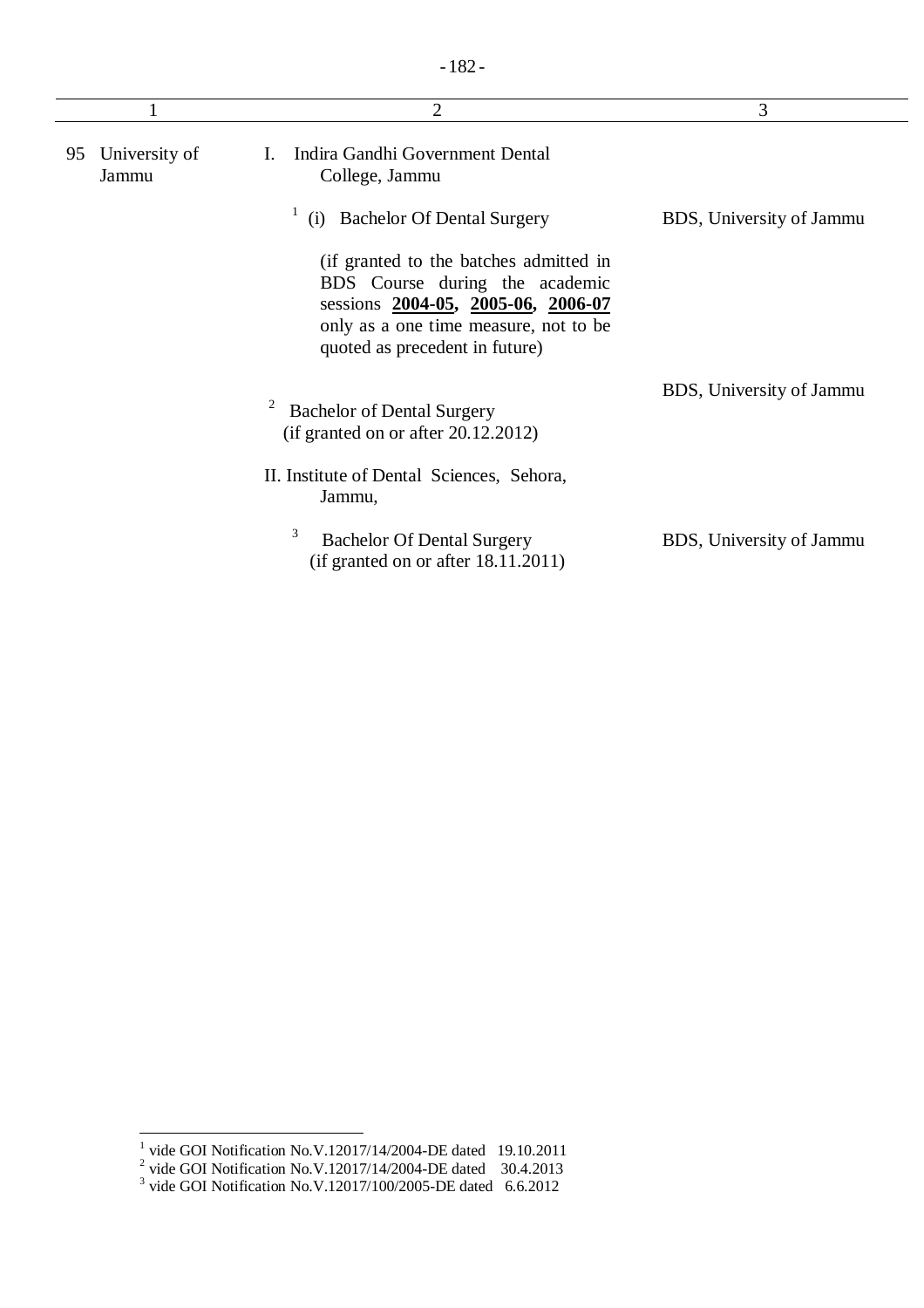|                              | $\overline{2}$                                                                                                                                                                            | 3                        |
|------------------------------|-------------------------------------------------------------------------------------------------------------------------------------------------------------------------------------------|--------------------------|
| University of<br>95<br>Jammu | Indira Gandhi Government Dental<br>L.<br>College, Jammu                                                                                                                                   |                          |
|                              | <b>Bachelor Of Dental Surgery</b><br>(i)                                                                                                                                                  | BDS, University of Jammu |
|                              | (if granted to the batches admitted in<br>BDS Course during the academic<br>sessions 2004-05, 2005-06, 2006-07<br>only as a one time measure, not to be<br>quoted as precedent in future) |                          |
|                              | <b>Bachelor of Dental Surgery</b><br>$(i$ f granted on or after 20.12.2012)                                                                                                               | BDS, University of Jammu |
|                              | II. Institute of Dental Sciences, Sehora,<br>Jammu,                                                                                                                                       |                          |
|                              | 3<br><b>Bachelor Of Dental Surgery</b><br>(if granted on or after 18.11.2011)                                                                                                             | BDS, University of Jammu |

<sup>&</sup>lt;sup>1</sup> vide GOI Notification No.V.12017/14/2004-DE dated 19.10.2011<br>
<sup>2</sup> vide GOI Notification No.V.12017/14/2004-DE dated 30.4.2013<br>
<sup>3</sup> vide GOI Notification No.V.12017/100/2005-DE dated 6.6.2012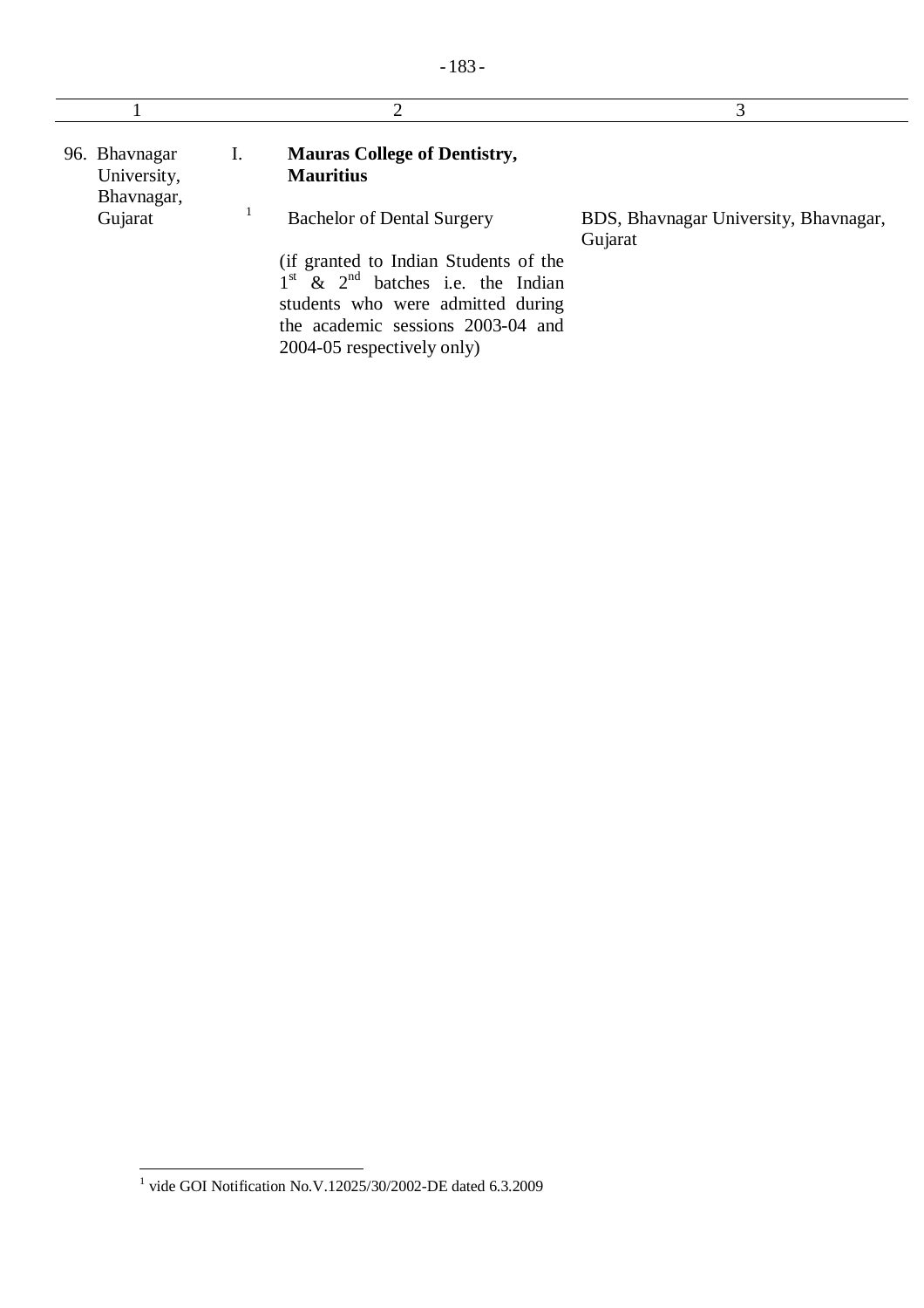|                              |    | 2                                                                                                                                                                                                                           | 3                                                |
|------------------------------|----|-----------------------------------------------------------------------------------------------------------------------------------------------------------------------------------------------------------------------------|--------------------------------------------------|
| 96. Bhavnagar<br>University, | 1. | <b>Mauras College of Dentistry,</b><br><b>Mauritius</b>                                                                                                                                                                     |                                                  |
| Bhavnagar,<br>Gujarat        |    | <b>Bachelor of Dental Surgery</b><br>(if granted to Indian Students of the<br>$1st$ & $2nd$ batches i.e. the Indian<br>students who were admitted during<br>the academic sessions 2003-04 and<br>2004-05 respectively only) | BDS, Bhavnagar University, Bhavnagar,<br>Gujarat |

 1 vide GOI Notification No.V.12025/30/2002-DE dated 6.3.2009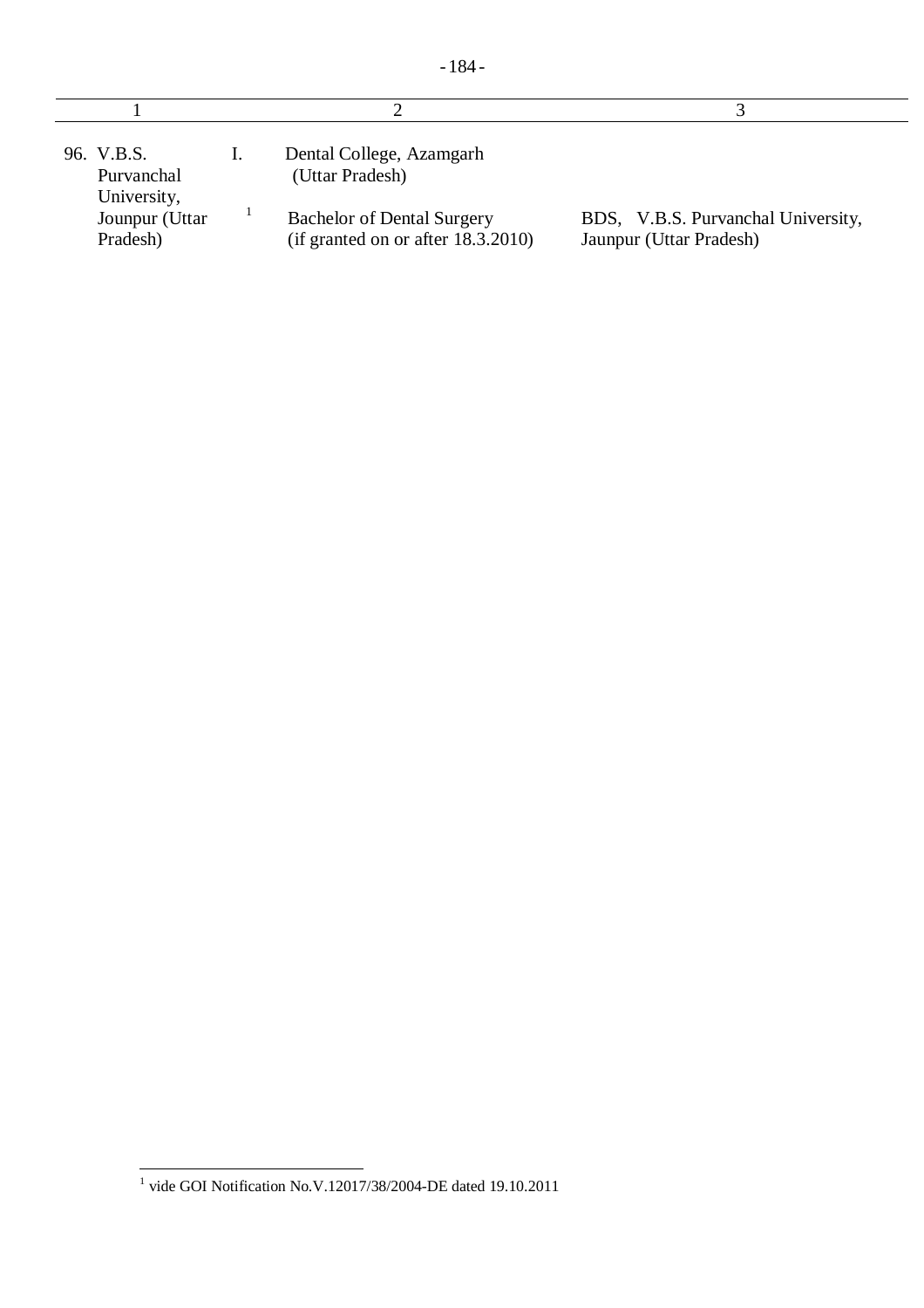| 96. V.B.S.<br>Purvanchal<br>University, | Dental College, Azamgarh<br>(Uttar Pradesh)                                |                                                               |
|-----------------------------------------|----------------------------------------------------------------------------|---------------------------------------------------------------|
| Jounpur (Uttar<br>Pradesh)              | <b>Bachelor of Dental Surgery</b><br>(if granted on or after $18.3.2010$ ) | BDS, V.B.S. Purvanchal University,<br>Jaunpur (Uttar Pradesh) |

 1 vide GOI Notification No.V.12017/38/2004-DE dated 19.10.2011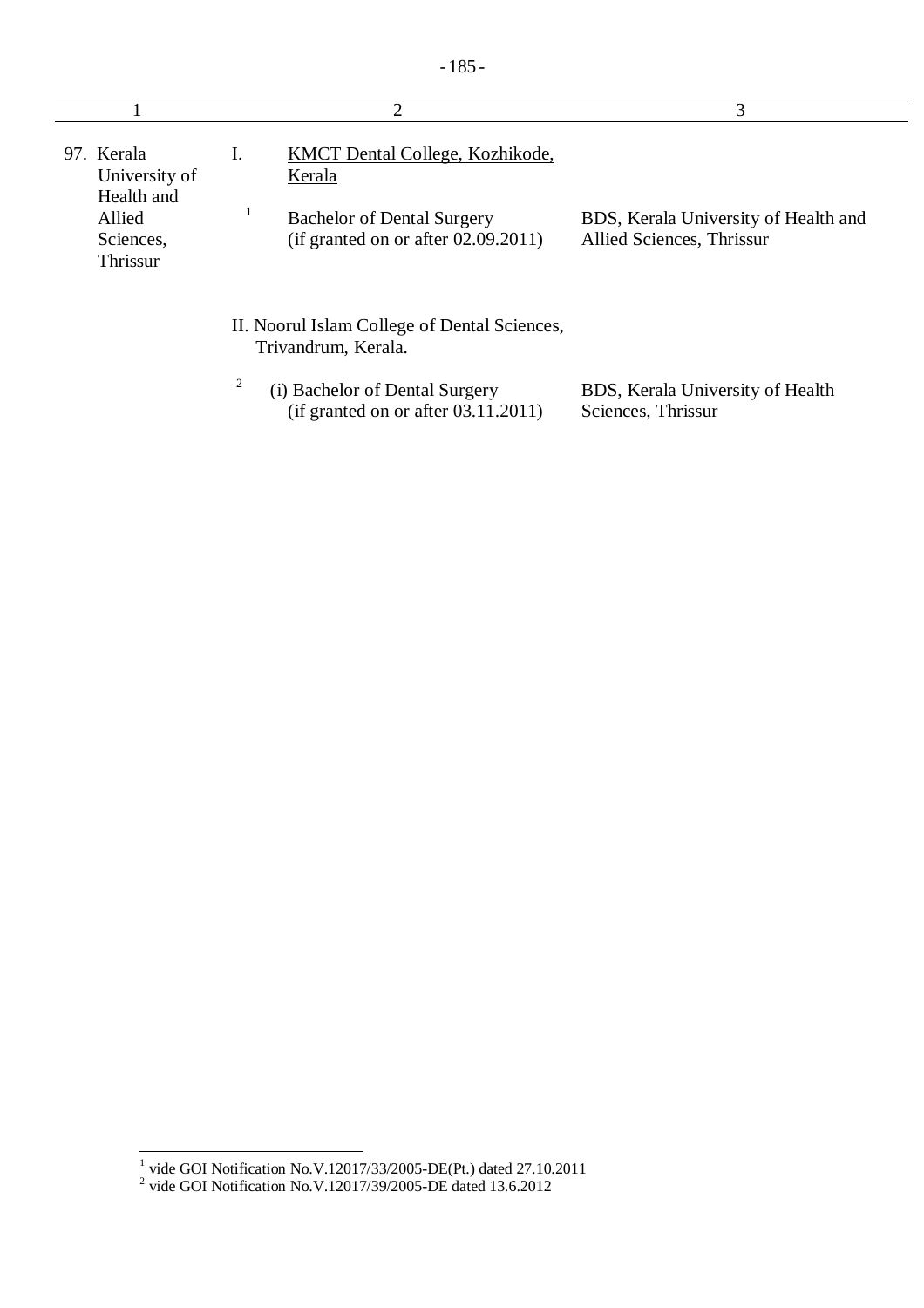|                                           | 2                                                                           | 3                                                                 |
|-------------------------------------------|-----------------------------------------------------------------------------|-------------------------------------------------------------------|
| 97. Kerala<br>University of<br>Health and | KMCT Dental College, Kozhikode,<br>Ι.<br>Kerala                             |                                                                   |
| Allied<br>Sciences,<br>Thrissur           | <b>Bachelor of Dental Surgery</b><br>(if granted on or after $02.09.2011$ ) | BDS, Kerala University of Health and<br>Allied Sciences, Thrissur |
|                                           | II. Noorul Islam College of Dental Sciences,<br>Trivandrum, Kerala.         |                                                                   |
|                                           | 2<br>(i) Bachelor of Dental Surgery<br>(if granted on or after 03.11.2011)  | BDS, Kerala University of Health<br>Sciences, Thrissur            |

 1 vide GOI Notification No.V.12017/33/2005-DE(Pt.) dated 27.10.2011 2 vide GOI Notification No.V.12017/39/2005-DE dated 13.6.2012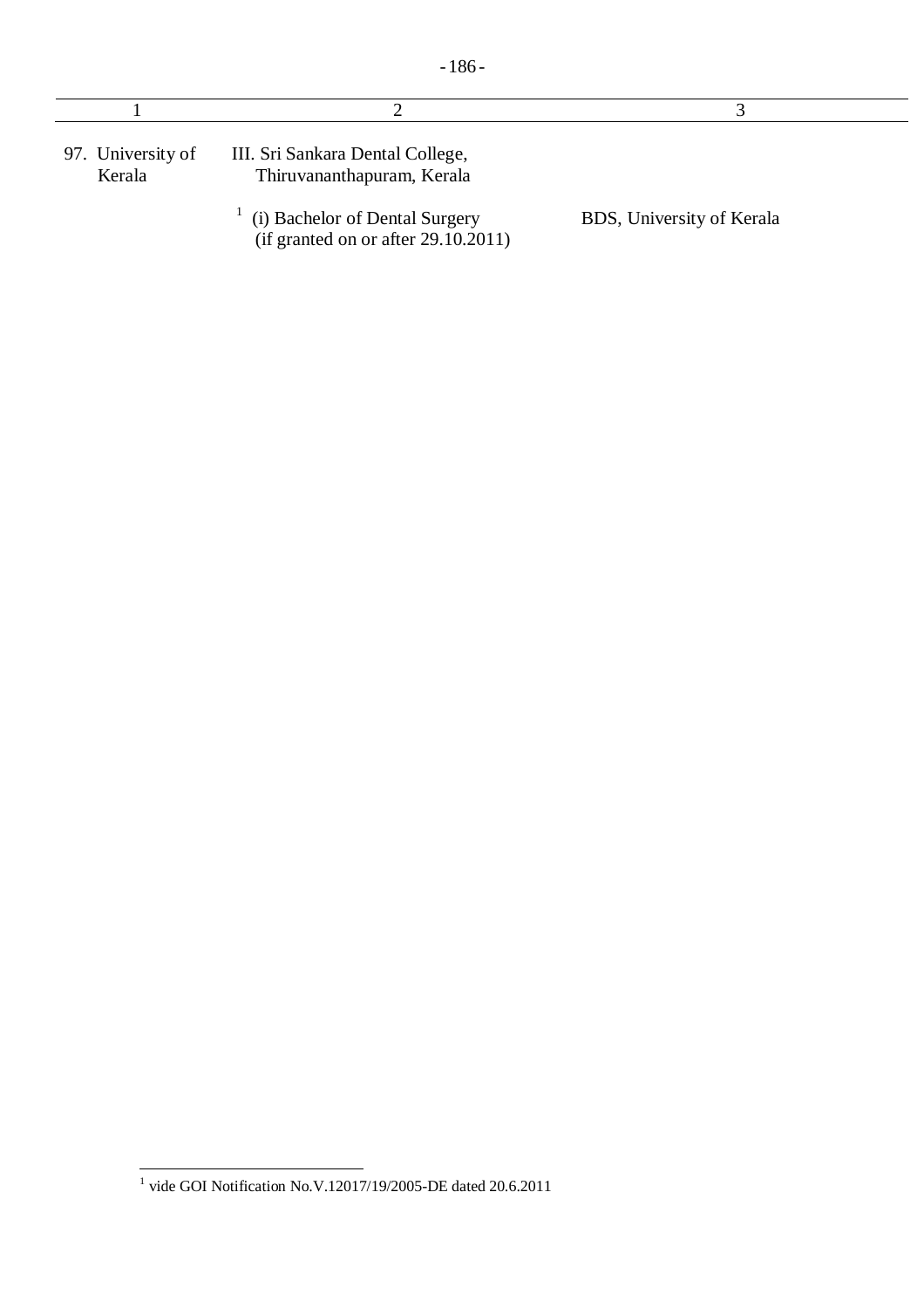| 97. University of<br>Kerala | III. Sri Sankara Dental College,<br>Thiruvananthapuram, Kerala        |                           |
|-----------------------------|-----------------------------------------------------------------------|---------------------------|
|                             | (i) Bachelor of Dental Surgery<br>(if granted on or after 29.10.2011) | BDS, University of Kerala |

 1 vide GOI Notification No.V.12017/19/2005-DE dated 20.6.2011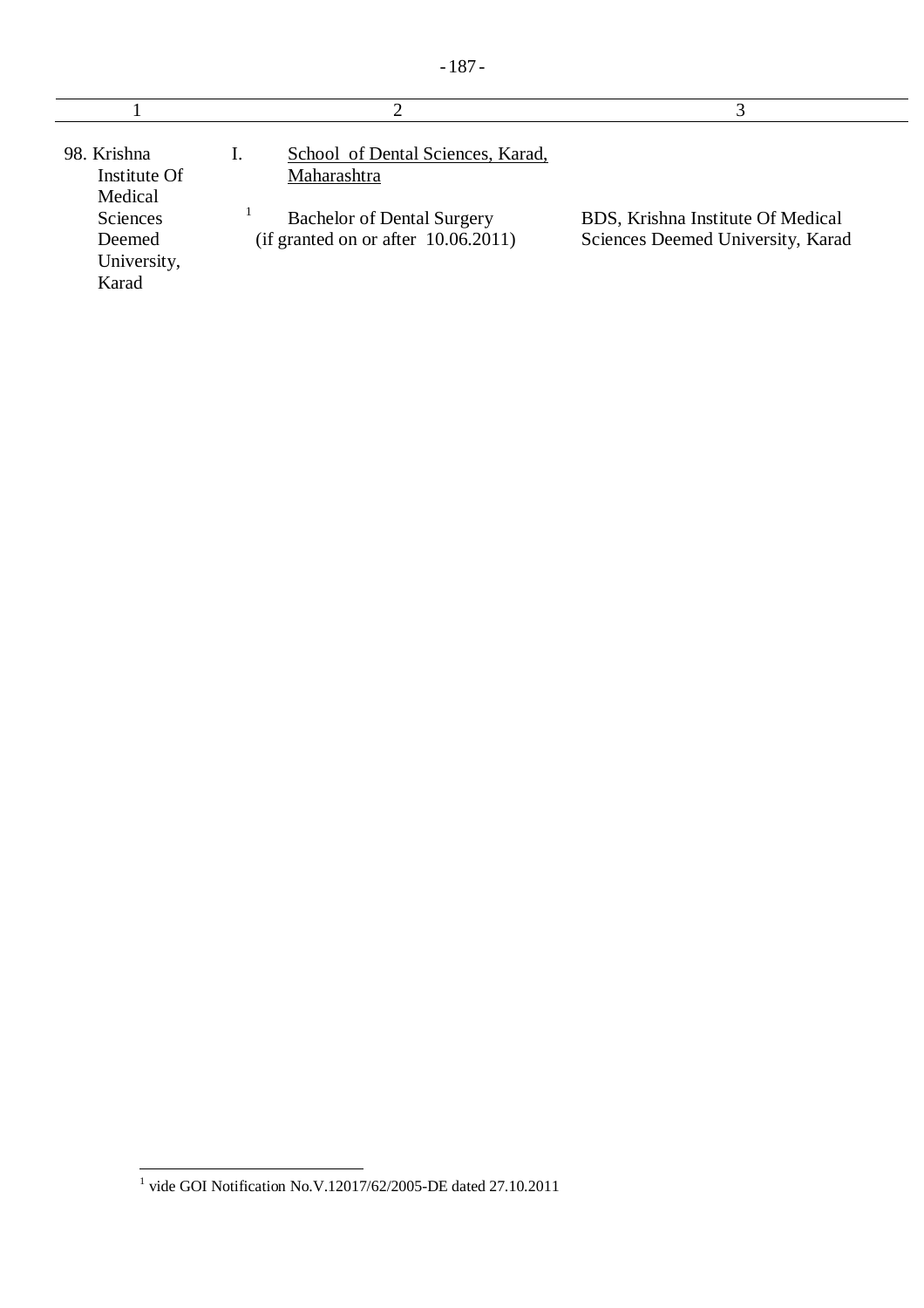| 98. Krishna<br>Institute Of<br>Medical<br>Sciences<br>Deemed<br>University,<br>Karad | School of Dental Sciences, Karad,<br>Maharashtra<br><b>Bachelor of Dental Surgery</b><br>(if granted on or after 10.06.2011) | BDS, Krishna Institute Of Medical<br>Sciences Deemed University, Karad |
|--------------------------------------------------------------------------------------|------------------------------------------------------------------------------------------------------------------------------|------------------------------------------------------------------------|

 1 vide GOI Notification No.V.12017/62/2005-DE dated 27.10.2011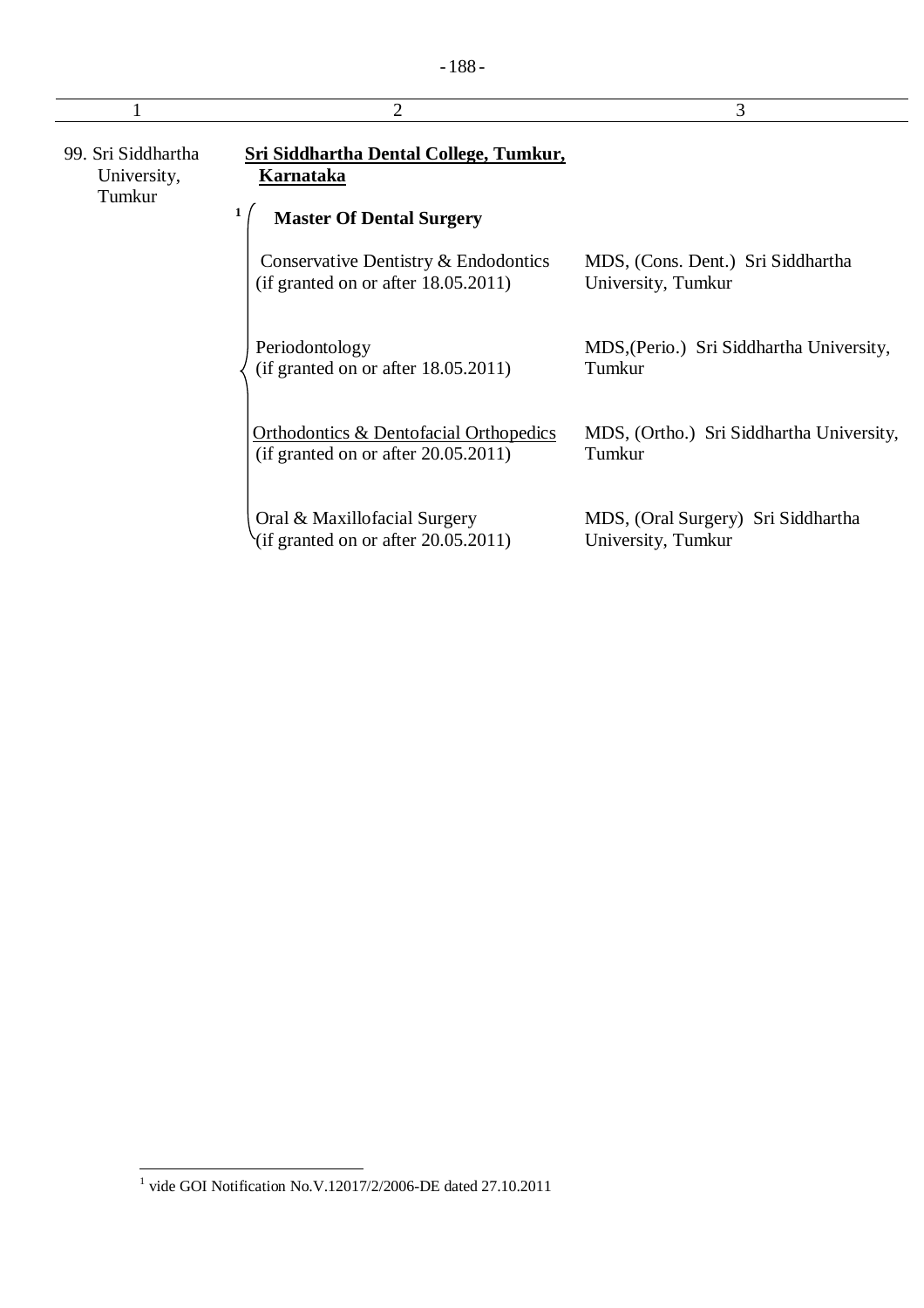|                                             | 2                                                                                                    | 3                                                        |
|---------------------------------------------|------------------------------------------------------------------------------------------------------|----------------------------------------------------------|
| 99. Sri Siddhartha<br>University,<br>Tumkur | <b>Sri Siddhartha Dental College, Tumkur,</b><br><b>Karnataka</b><br><b>Master Of Dental Surgery</b> |                                                          |
|                                             | Conservative Dentistry & Endodontics<br>(if granted on or after 18.05.2011)                          | MDS, (Cons. Dent.) Sri Siddhartha<br>University, Tumkur  |
|                                             | Periodontology<br>(if granted on or after 18.05.2011)                                                | MDS, (Perio.) Sri Siddhartha University,<br>Tumkur       |
|                                             | <b>Orthodontics &amp; Dentofacial Orthopedics</b><br>(if granted on or after 20.05.2011)             | MDS, (Ortho.) Sri Siddhartha University,<br>Tumkur       |
|                                             | Oral & Maxillofacial Surgery<br>(if granted on or after $20.05.2011$ )                               | MDS, (Oral Surgery) Sri Siddhartha<br>University, Tumkur |

 1 vide GOI Notification No.V.12017/2/2006-DE dated 27.10.2011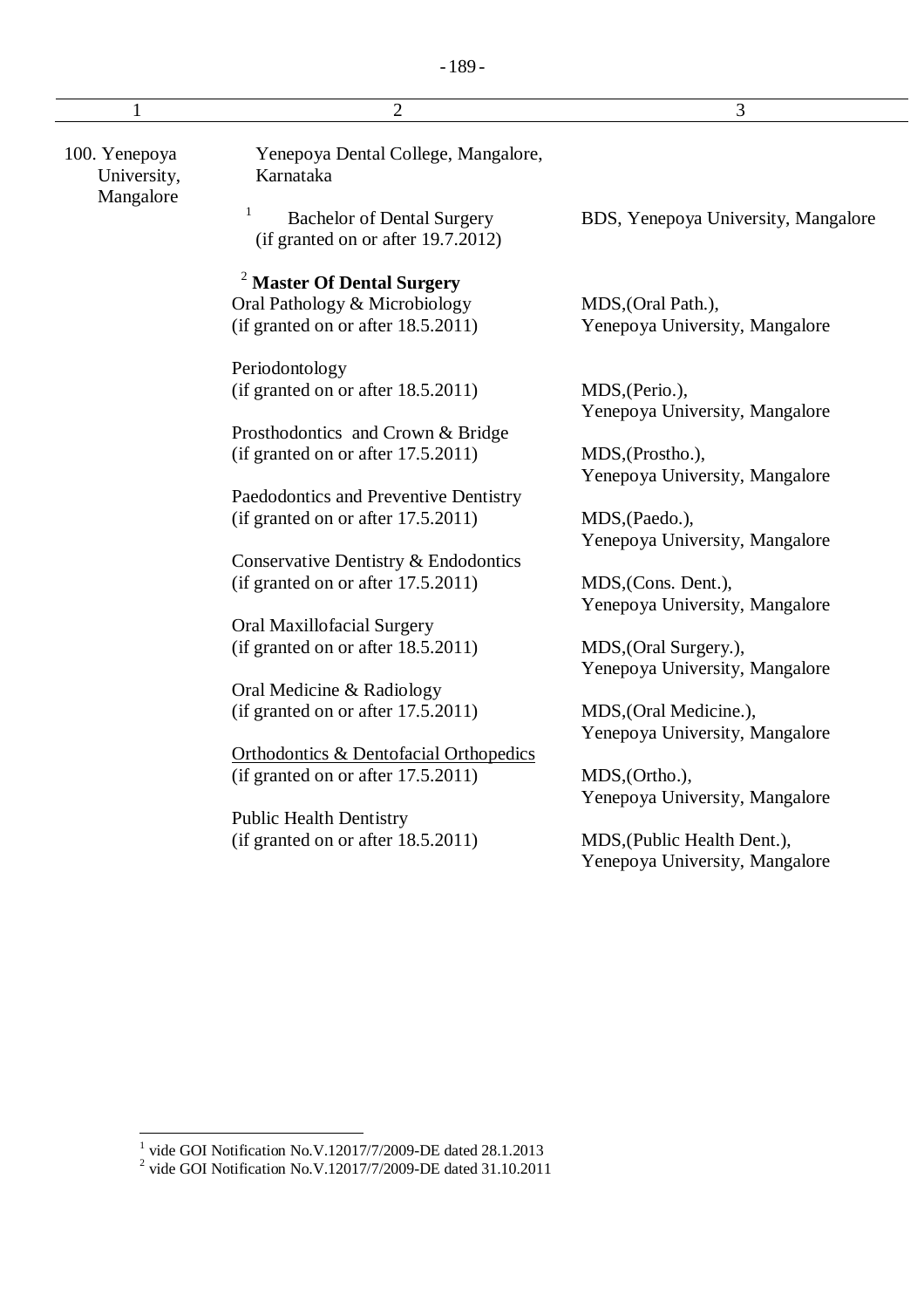|                              | $\overline{2}$                                                               | 3                                   |
|------------------------------|------------------------------------------------------------------------------|-------------------------------------|
| 100. Yenepoya<br>University, | Yenepoya Dental College, Mangalore,<br>Karnataka                             |                                     |
| Mangalore                    | 1<br><b>Bachelor of Dental Surgery</b><br>(if granted on or after 19.7.2012) | BDS, Yenepoya University, Mangalore |
|                              | <b>Master Of Dental Surgery</b>                                              |                                     |
|                              | Oral Pathology & Microbiology                                                | MDS, (Oral Path.),                  |
|                              | (if granted on or after 18.5.2011)                                           | Yenepoya University, Mangalore      |
|                              | Periodontology                                                               |                                     |
|                              | (if granted on or after 18.5.2011)                                           | MDS, (Perio.),                      |
|                              |                                                                              | Yenepoya University, Mangalore      |
|                              | Prosthodontics and Crown & Bridge                                            |                                     |
|                              | (if granted on or after 17.5.2011)                                           | MDS, (Prostho.),                    |
|                              |                                                                              | Yenepoya University, Mangalore      |
|                              | Paedodontics and Preventive Dentistry                                        |                                     |
|                              | (if granted on or after $17.5.2011$ )                                        | MDS, (Paedo.),                      |
|                              |                                                                              | Yenepoya University, Mangalore      |
|                              | Conservative Dentistry & Endodontics                                         |                                     |
|                              | (if granted on or after 17.5.2011)                                           | MDS, (Cons. Dent.),                 |
|                              |                                                                              | Yenepoya University, Mangalore      |
|                              | Oral Maxillofacial Surgery                                                   |                                     |
|                              | (if granted on or after 18.5.2011)                                           | MDS, (Oral Surgery.),               |
|                              |                                                                              | Yenepoya University, Mangalore      |
|                              | Oral Medicine & Radiology                                                    |                                     |
|                              | (if granted on or after 17.5.2011)                                           | MDS, (Oral Medicine.),              |
|                              |                                                                              | Yenepoya University, Mangalore      |
|                              | <b>Orthodontics &amp; Dentofacial Orthopedics</b>                            |                                     |
|                              | (if granted on or after $17.5.2011$ )                                        | MDS, (Ortho.),                      |
|                              |                                                                              | Yenepoya University, Mangalore      |
|                              | <b>Public Health Dentistry</b>                                               |                                     |
|                              | (if granted on or after 18.5.2011)                                           | MDS, (Public Health Dent.),         |
|                              |                                                                              | Yenepoya University, Mangalore      |
|                              |                                                                              |                                     |
|                              |                                                                              |                                     |

 1 vide GOI Notification No.V.12017/7/2009-DE dated 28.1.2013 2 vide GOI Notification No.V.12017/7/2009-DE dated 31.10.2011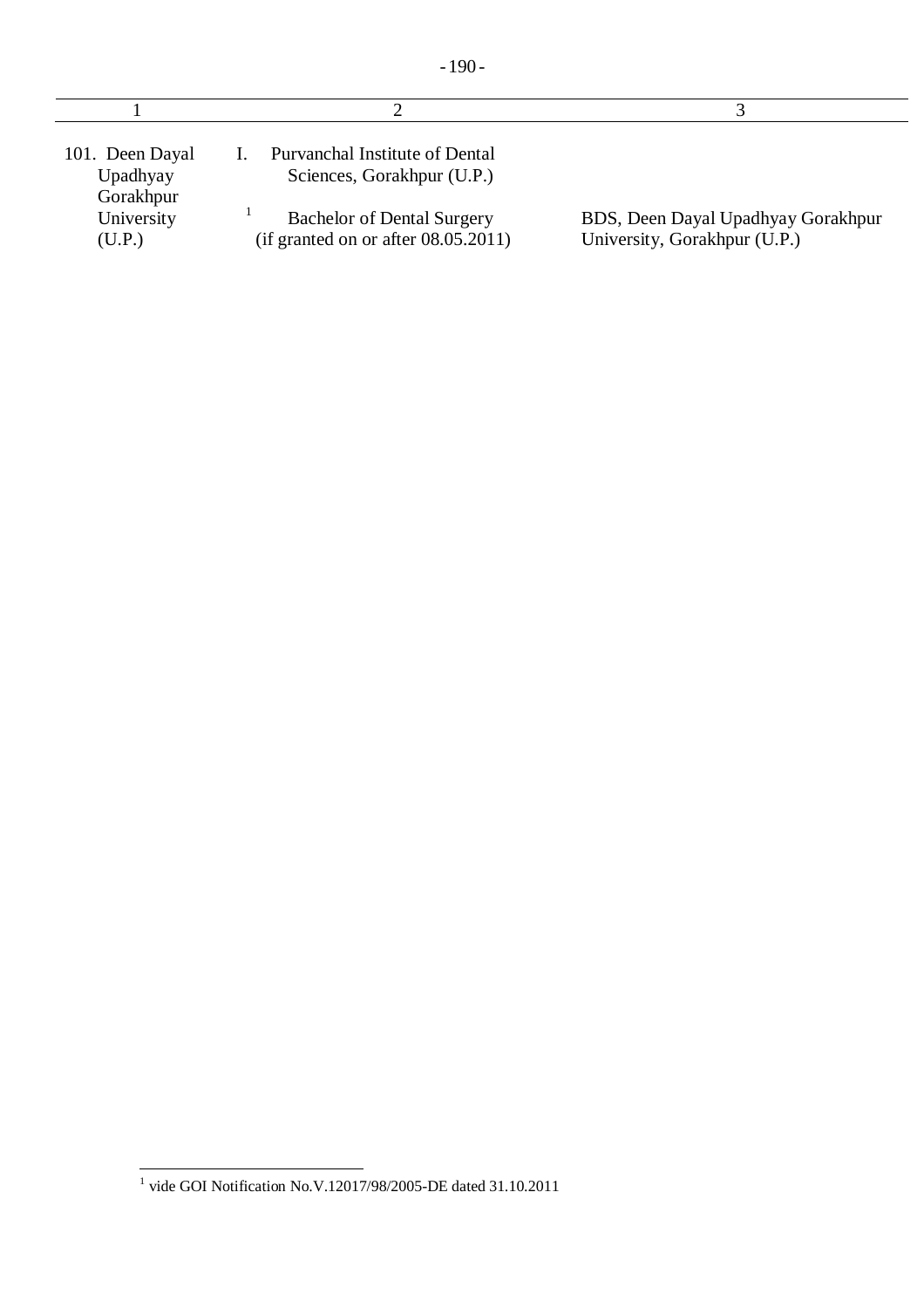| 101. Deen Dayal<br>Upadhyay<br>Gorakhpur | Purvanchal Institute of Dental<br>Sciences, Gorakhpur (U.P.)                |                                                                    |
|------------------------------------------|-----------------------------------------------------------------------------|--------------------------------------------------------------------|
| University<br>(U.P.)                     | <b>Bachelor of Dental Surgery</b><br>(if granted on or after $08.05.2011$ ) | BDS, Deen Dayal Upadhyay Gorakhpur<br>University, Gorakhpur (U.P.) |

 1 vide GOI Notification No.V.12017/98/2005-DE dated 31.10.2011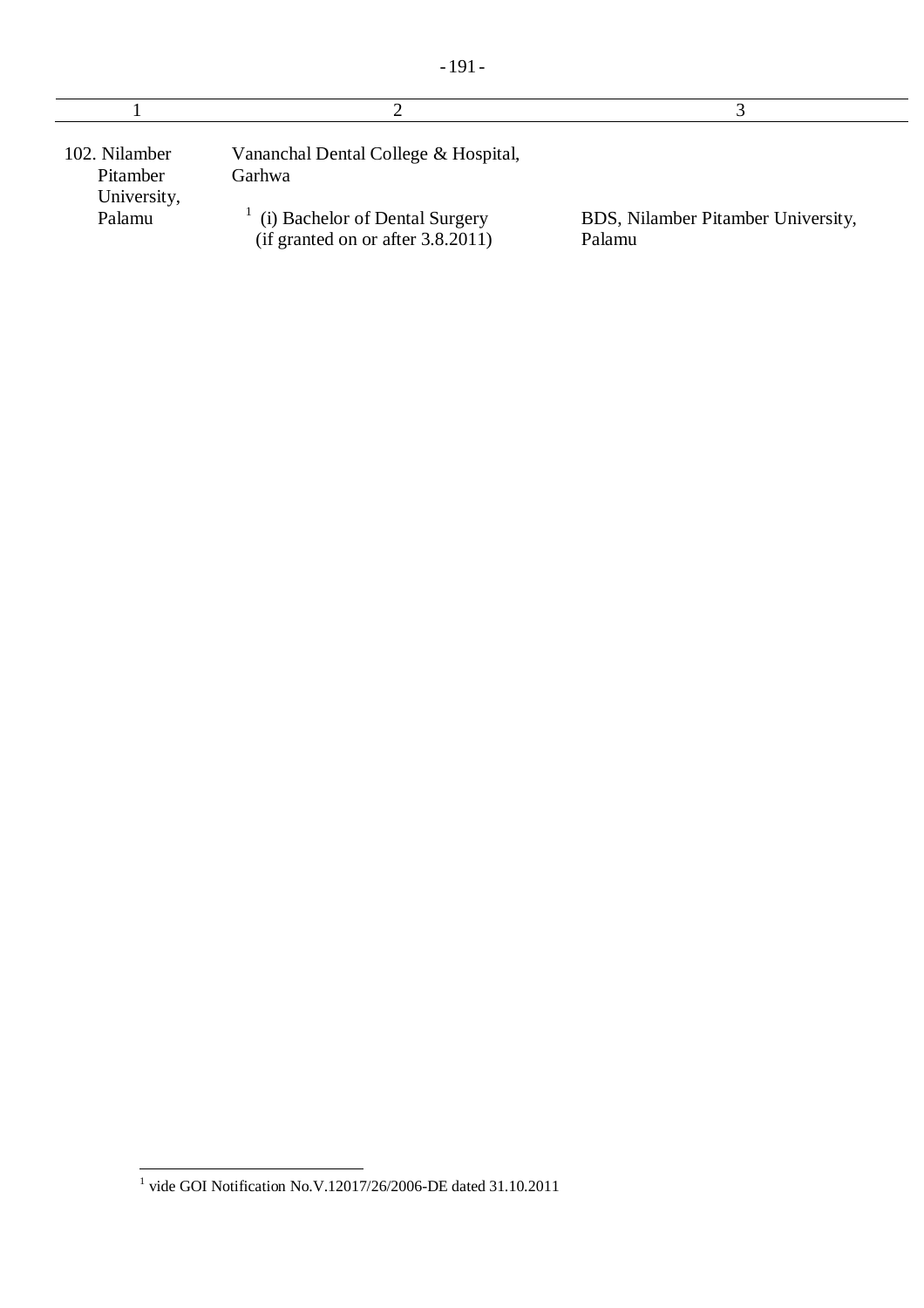| 102. Nilamber<br>Pitamber<br>University, | Vananchal Dental College & Hospital,<br>Garhwa                      |                                              |
|------------------------------------------|---------------------------------------------------------------------|----------------------------------------------|
| Palamu                                   | (i) Bachelor of Dental Surgery<br>(if granted on or after 3.8.2011) | BDS, Nilamber Pitamber University,<br>Palamu |

 1 vide GOI Notification No.V.12017/26/2006-DE dated 31.10.2011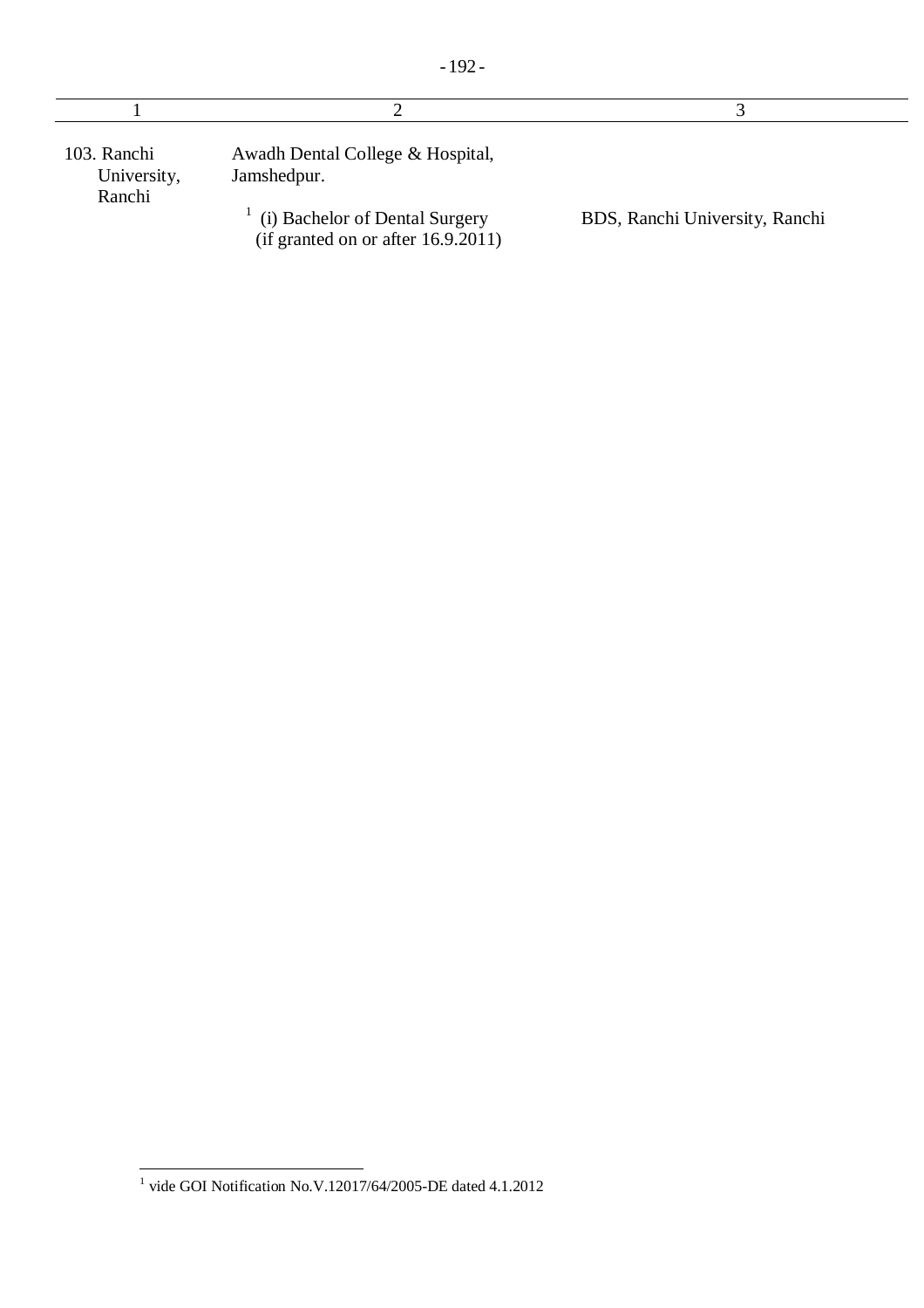| 103. Ranchi<br>University,<br>Ranchi | Awadh Dental College & Hospital,<br>Jamshedpur.                      |                                |
|--------------------------------------|----------------------------------------------------------------------|--------------------------------|
|                                      | (i) Bachelor of Dental Surgery<br>(if granted on or after 16.9.2011) | BDS, Ranchi University, Ranchi |

 1 vide GOI Notification No.V.12017/64/2005-DE dated 4.1.2012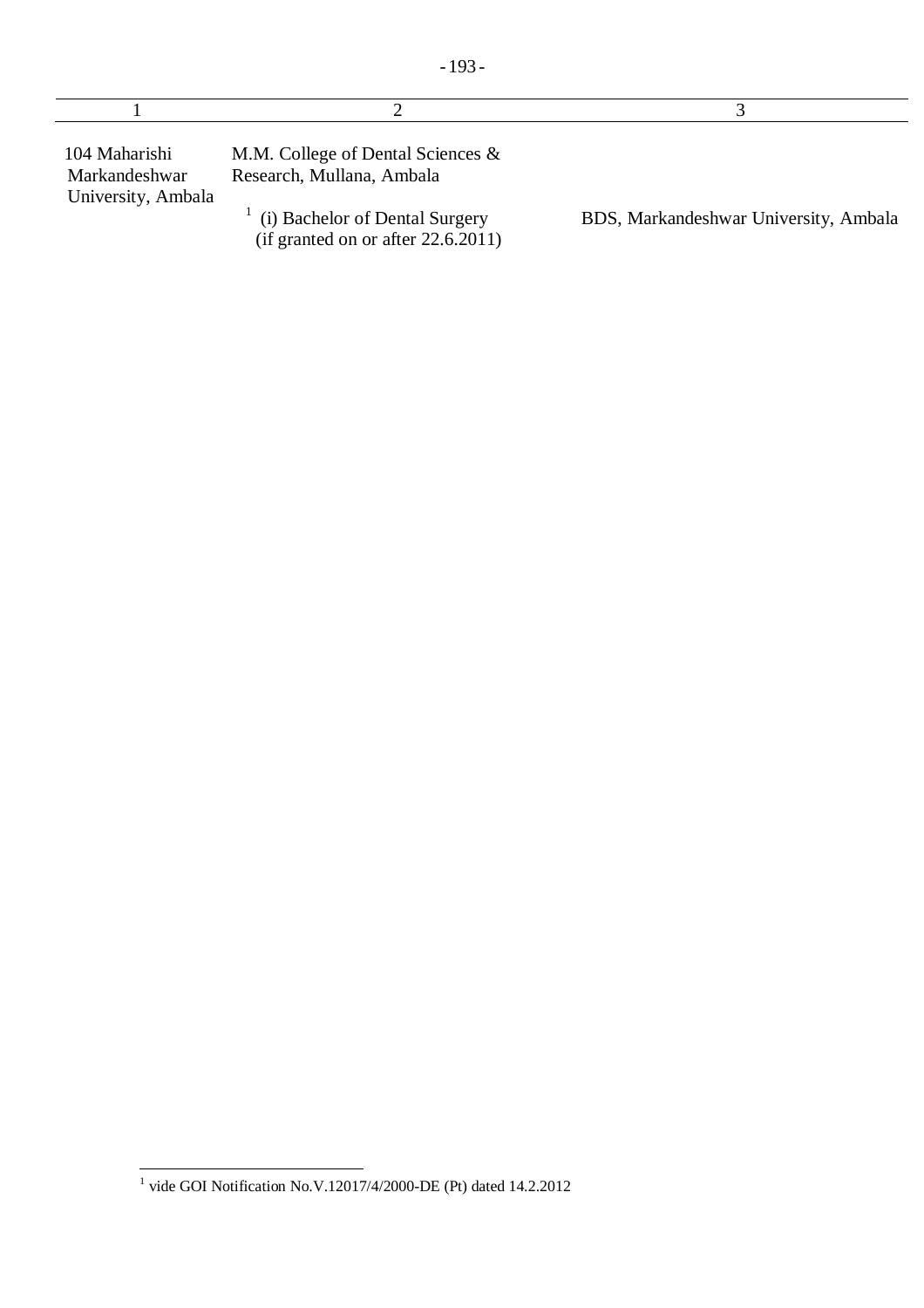| 104 Maharishi<br>Markandeshwar | M.M. College of Dental Sciences $\&$<br>Research, Mullana, Ambala |                                     |
|--------------------------------|-------------------------------------------------------------------|-------------------------------------|
| University, Ambala             |                                                                   |                                     |
|                                | $\bigoplus$ Dechalor of Dontal Curgowy                            | DDC Morkandochwor University Ambole |

(i) Bachelor of Dental Surgery (if granted on or after 22.6.2011)

÷

BDS, Markandeshwar University, Ambala

 1 vide GOI Notification No.V.12017/4/2000-DE (Pt) dated 14.2.2012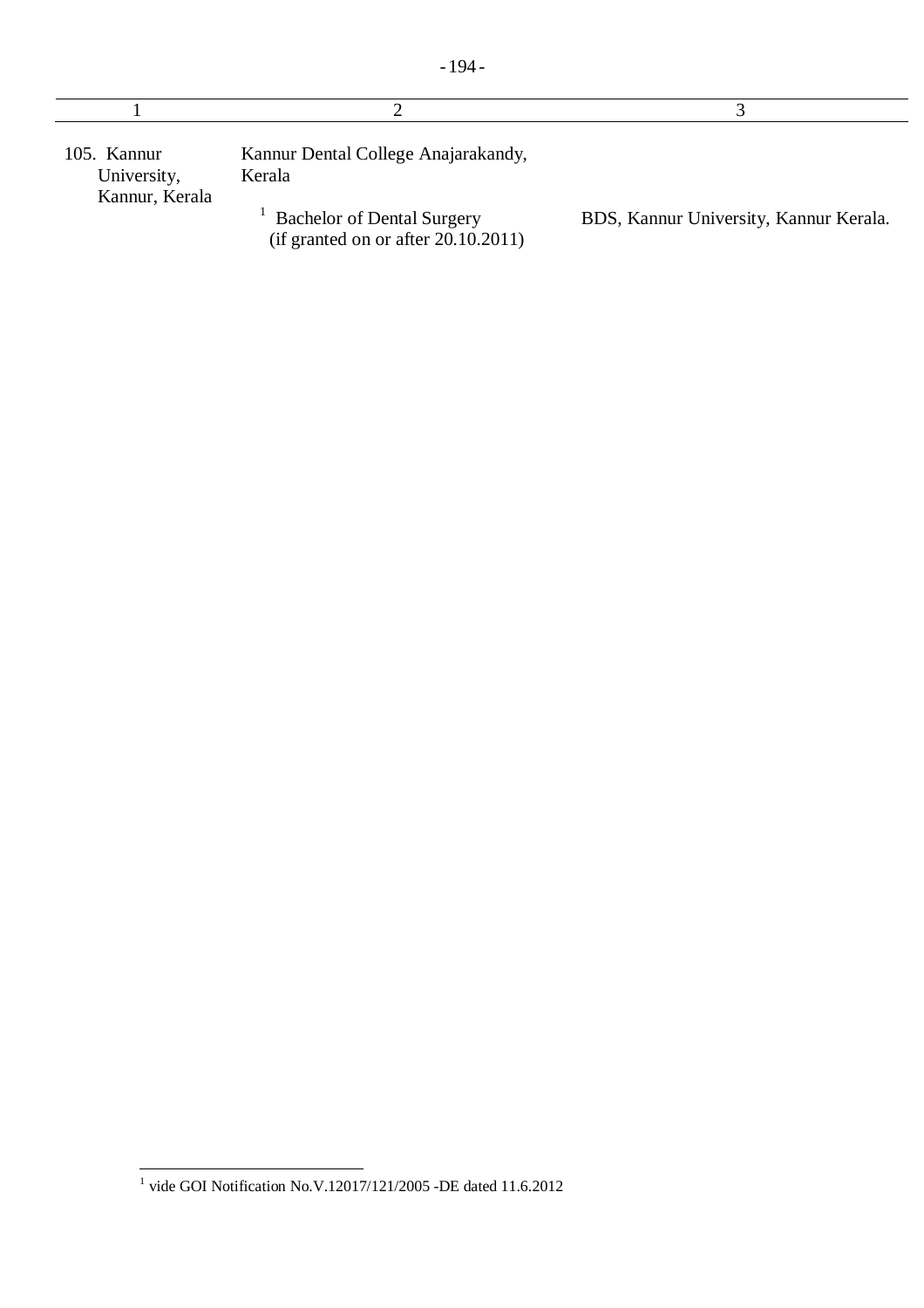| 105. Kannur<br>University,<br>Kannur, Kerala | Kannur Dental College Anajarakandy,<br>Kerala                            |                                        |
|----------------------------------------------|--------------------------------------------------------------------------|----------------------------------------|
|                                              | <b>Bachelor of Dental Surgery</b><br>(if granted on or after 20.10.2011) | BDS, Kannur University, Kannur Kerala. |

 1 vide GOI Notification No.V.12017/121/2005 -DE dated 11.6.2012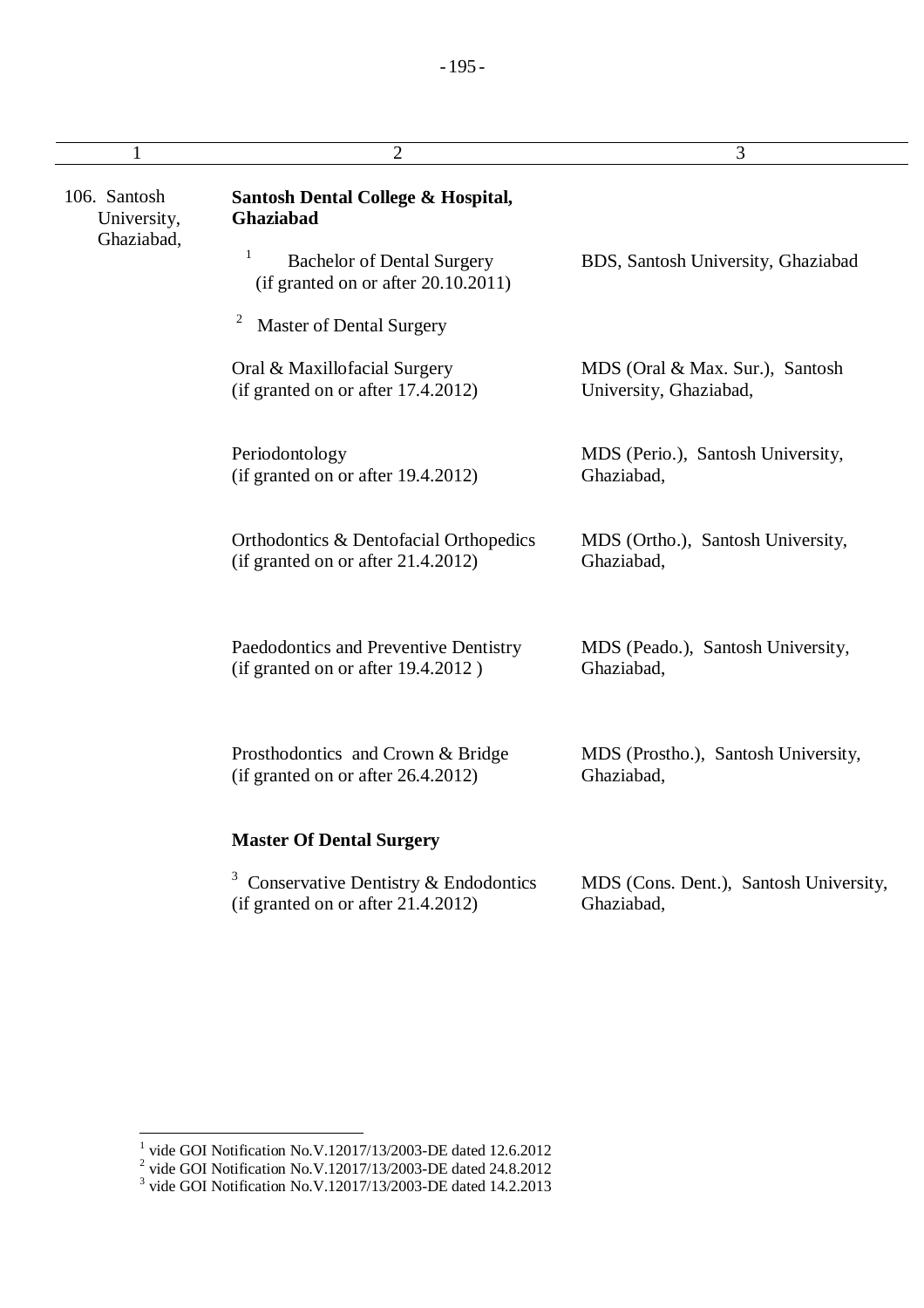| 1                                         | $\overline{2}$                                                                              | 3                                                         |
|-------------------------------------------|---------------------------------------------------------------------------------------------|-----------------------------------------------------------|
| 106. Santosh<br>University,<br>Ghaziabad, | Santosh Dental College & Hospital,<br>Ghaziabad                                             |                                                           |
|                                           | $\mathbf{1}$<br><b>Bachelor of Dental Surgery</b><br>(if granted on or after $20.10.2011$ ) | BDS, Santosh University, Ghaziabad                        |
|                                           | $\overline{c}$<br><b>Master of Dental Surgery</b>                                           |                                                           |
|                                           | Oral & Maxillofacial Surgery<br>(if granted on or after 17.4.2012)                          | MDS (Oral & Max. Sur.), Santosh<br>University, Ghaziabad, |
|                                           | Periodontology<br>(if granted on or after 19.4.2012)                                        | MDS (Perio.), Santosh University,<br>Ghaziabad,           |
|                                           | Orthodontics & Dentofacial Orthopedics<br>(if granted on or after 21.4.2012)                | MDS (Ortho.), Santosh University,<br>Ghaziabad,           |
|                                           | Paedodontics and Preventive Dentistry<br>(if granted on or after 19.4.2012)                 | MDS (Peado.), Santosh University,<br>Ghaziabad,           |
|                                           | Prosthodontics and Crown & Bridge<br>(if granted on or after 26.4.2012)                     | MDS (Prostho.), Santosh University,<br>Ghaziabad,         |
|                                           | <b>Master Of Dental Surgery</b>                                                             |                                                           |
|                                           | Conservative Dentistry & Endodontics<br>(if granted on or after 21.4.2012)                  | MDS (Cons. Dent.), Santosh University,<br>Ghaziabad,      |

<sup>&</sup>lt;sup>1</sup> vide GOI Notification No.V.12017/13/2003-DE dated 12.6.2012<br>
<sup>2</sup> vide GOI Notification No.V.12017/13/2003-DE dated 24.8.2012<br>
<sup>3</sup> vide GOI Notification No.V.12017/13/2003-DE dated 14.2.2013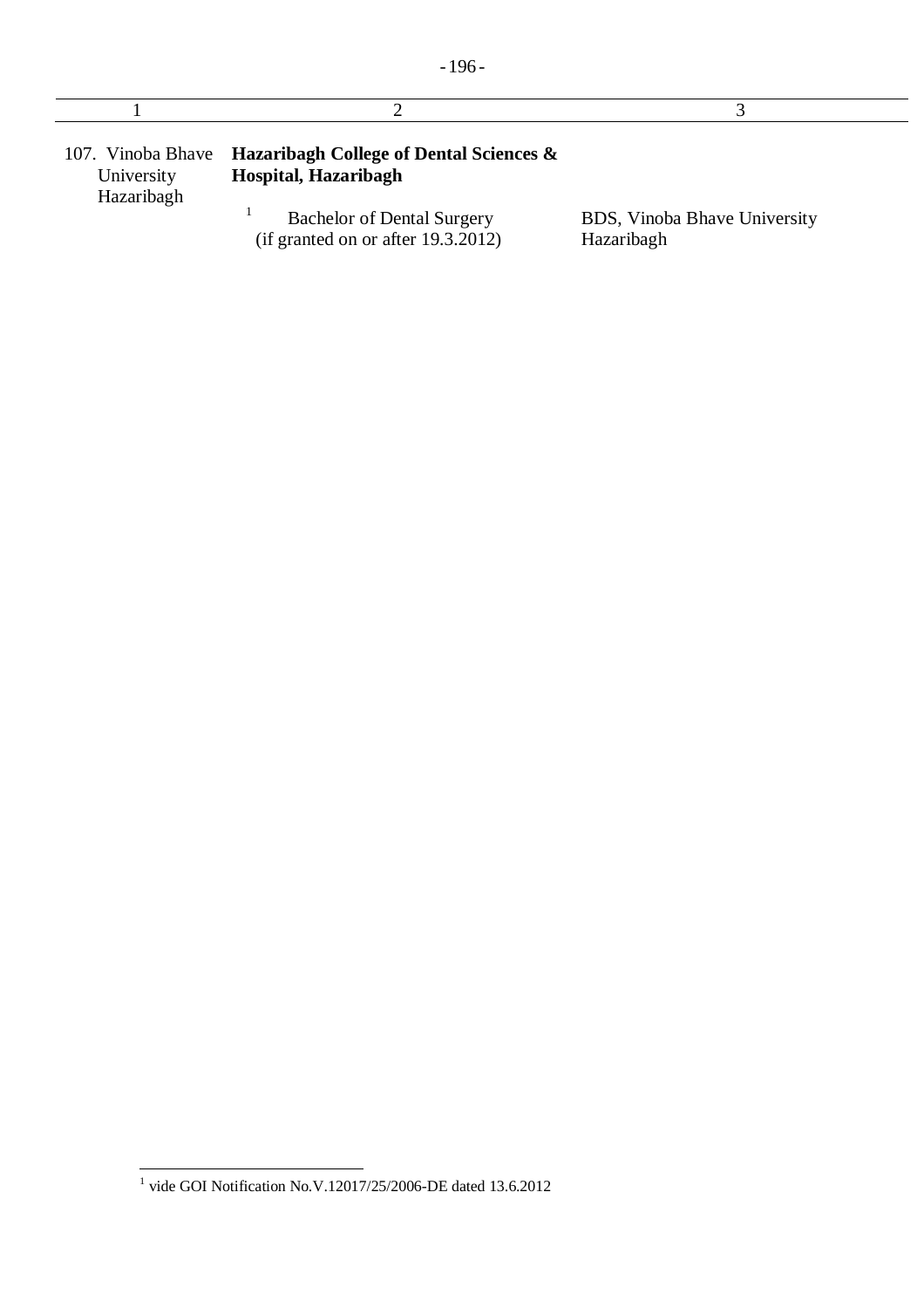| 107. Vinoba Bhave<br>University<br>Hazaribagh | <b>Hazaribagh College of Dental Sciences &amp;</b><br>Hospital, Hazaribagh |                                            |
|-----------------------------------------------|----------------------------------------------------------------------------|--------------------------------------------|
|                                               | <b>Bachelor of Dental Surgery</b><br>(if granted on or after $19.3.2012$ ) | BDS, Vinoba Bhave University<br>Hazaribagh |

 $\overline{\phantom{a}}$ 

 1 vide GOI Notification No.V.12017/25/2006-DE dated 13.6.2012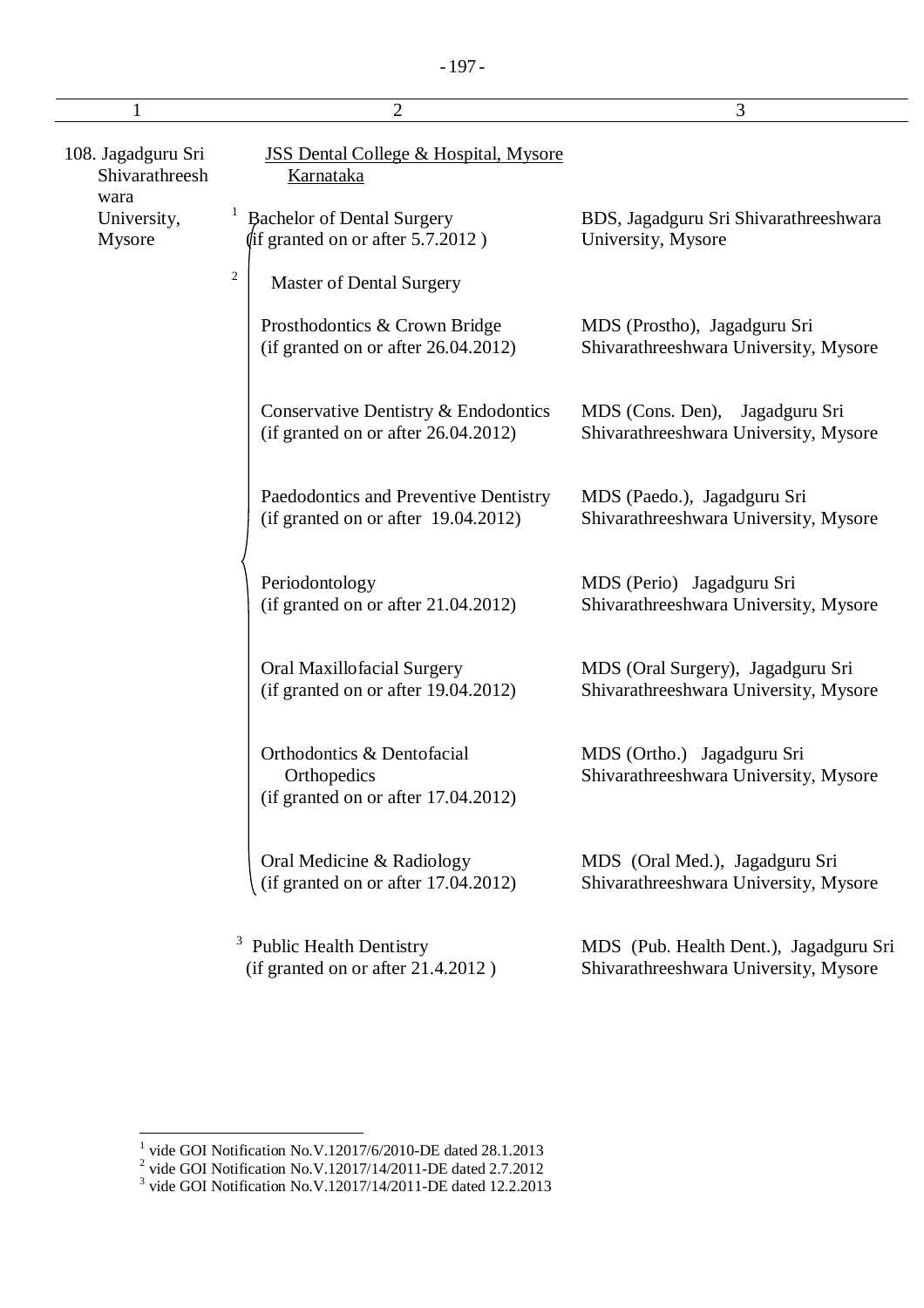|                                              | $\overline{2}$                                                                   | 3                                                                               |
|----------------------------------------------|----------------------------------------------------------------------------------|---------------------------------------------------------------------------------|
| 108. Jagadguru Sri<br>Shivarathreesh<br>wara | <b>JSS Dental College &amp; Hospital, Mysore</b><br><b>Karnataka</b>             |                                                                                 |
| University,<br>Mysore                        | <b>Bachelor of Dental Surgery</b><br>$\langle$ if granted on or after 5.7.2012)  | BDS, Jagadguru Sri Shivarathreeshwara<br>University, Mysore                     |
|                                              | $\sqrt{2}$<br><b>Master of Dental Surgery</b>                                    |                                                                                 |
|                                              | Prosthodontics & Crown Bridge<br>(if granted on or after $26.04.2012$ )          | MDS (Prostho), Jagadguru Sri<br>Shivarathreeshwara University, Mysore           |
|                                              | Conservative Dentistry & Endodontics<br>(if granted on or after $26.04.2012$ )   | MDS (Cons. Den),<br>Jagadguru Sri<br>Shivarathreeshwara University, Mysore      |
|                                              | Paedodontics and Preventive Dentistry<br>(if granted on or after $19.04.2012$ )  | MDS (Paedo.), Jagadguru Sri<br>Shivarathreeshwara University, Mysore            |
|                                              | Periodontology<br>(if granted on or after $21.04.2012$ )                         | MDS (Perio) Jagadguru Sri<br>Shivarathreeshwara University, Mysore              |
|                                              | Oral Maxillofacial Surgery<br>(if granted on or after 19.04.2012)                | MDS (Oral Surgery), Jagadguru Sri<br>Shivarathreeshwara University, Mysore      |
|                                              | Orthodontics & Dentofacial<br>Orthopedics<br>(if granted on or after 17.04.2012) | MDS (Ortho.) Jagadguru Sri<br>Shivarathreeshwara University, Mysore             |
|                                              | Oral Medicine & Radiology<br>(if granted on or after 17.04.2012)                 | MDS (Oral Med.), Jagadguru Sri<br>Shivarathreeshwara University, Mysore         |
|                                              | <b>Public Health Dentistry</b><br>(if granted on or after 21.4.2012)             | MDS (Pub. Health Dent.), Jagadguru Sri<br>Shivarathreeshwara University, Mysore |

<sup>&</sup>lt;sup>1</sup> vide GOI Notification No.V.12017/6/2010-DE dated 28.1.2013<br>
<sup>2</sup> vide GOI Notification No.V.12017/14/2011-DE dated 2.7.2012<br>
<sup>3</sup> vide GOI Notification No.V.12017/14/2011-DE dated 12.2.2013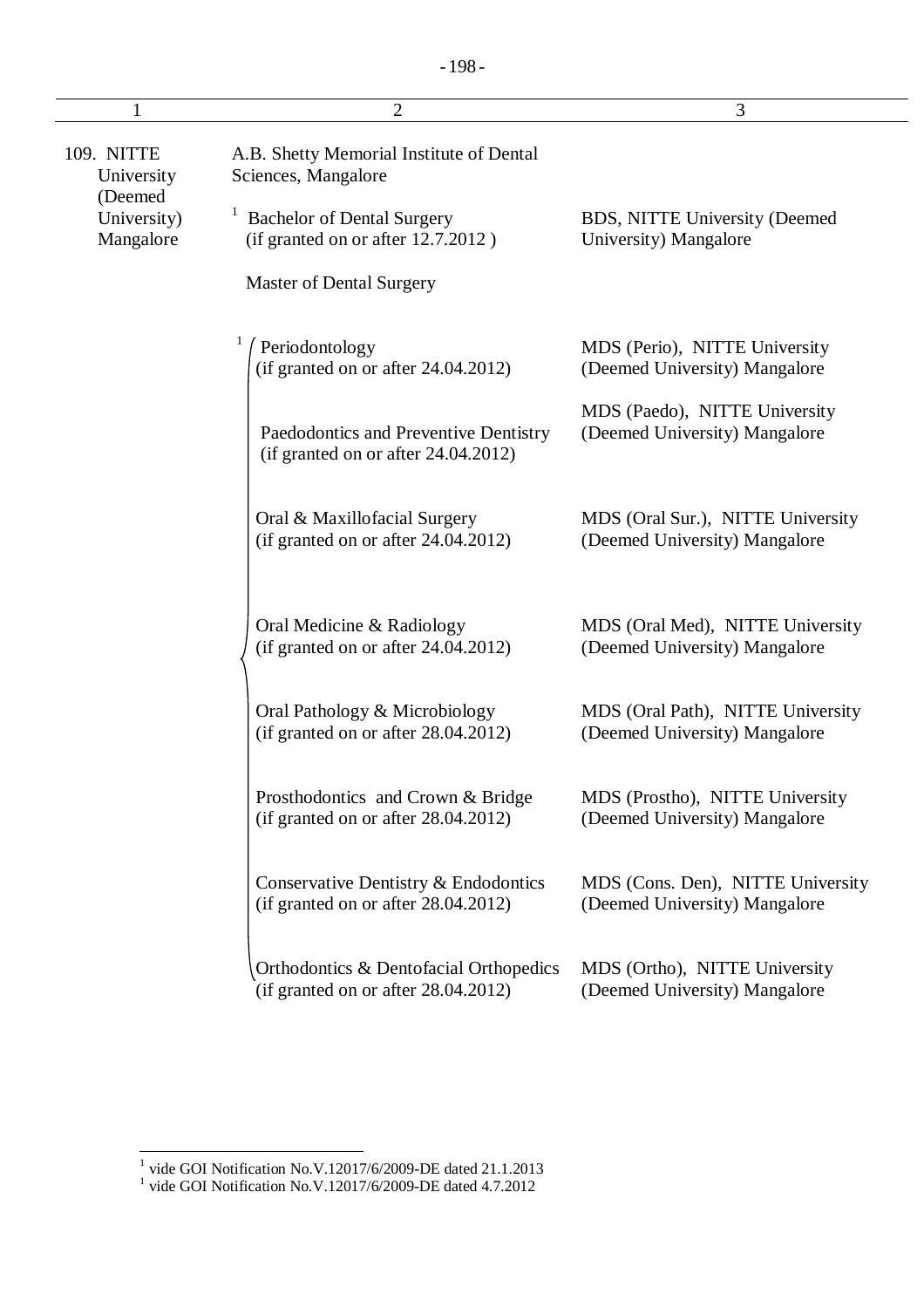|                                     | $\overline{2}$                                                                | 3                                                                  |
|-------------------------------------|-------------------------------------------------------------------------------|--------------------------------------------------------------------|
| 109. NITTE<br>University            | A.B. Shetty Memorial Institute of Dental<br>Sciences, Mangalore               |                                                                    |
| (Deemed<br>University)<br>Mangalore | <b>Bachelor of Dental Surgery</b><br>(if granted on or after 12.7.2012)       | BDS, NITTE University (Deemed<br>University) Mangalore             |
|                                     | Master of Dental Surgery                                                      |                                                                    |
|                                     | Periodontology<br>(if granted on or after 24.04.2012)                         | MDS (Perio), NITTE University<br>(Deemed University) Mangalore     |
|                                     | Paedodontics and Preventive Dentistry<br>(if granted on or after 24.04.2012)  | MDS (Paedo), NITTE University<br>(Deemed University) Mangalore     |
|                                     | Oral & Maxillofacial Surgery<br>(if granted on or after 24.04.2012)           | MDS (Oral Sur.), NITTE University<br>(Deemed University) Mangalore |
|                                     | Oral Medicine & Radiology<br>(if granted on or after 24.04.2012)              | MDS (Oral Med), NITTE University<br>(Deemed University) Mangalore  |
|                                     | Oral Pathology & Microbiology<br>(if granted on or after $28.04.2012$ )       | MDS (Oral Path), NITTE University<br>(Deemed University) Mangalore |
|                                     | Prosthodontics and Crown & Bridge<br>(if granted on or after $28.04.2012$ )   | MDS (Prostho), NITTE University<br>(Deemed University) Mangalore   |
|                                     | Conservative Dentistry & Endodontics<br>(if granted on or after 28.04.2012)   | MDS (Cons. Den), NITTE University<br>(Deemed University) Mangalore |
|                                     | Orthodontics & Dentofacial Orthopedics<br>(if granted on or after 28.04.2012) | MDS (Ortho), NITTE University<br>(Deemed University) Mangalore     |

 1 vide GOI Notification No.V.12017/6/2009-DE dated 21.1.2013 1 vide GOI Notification No.V.12017/6/2009-DE dated 4.7.2012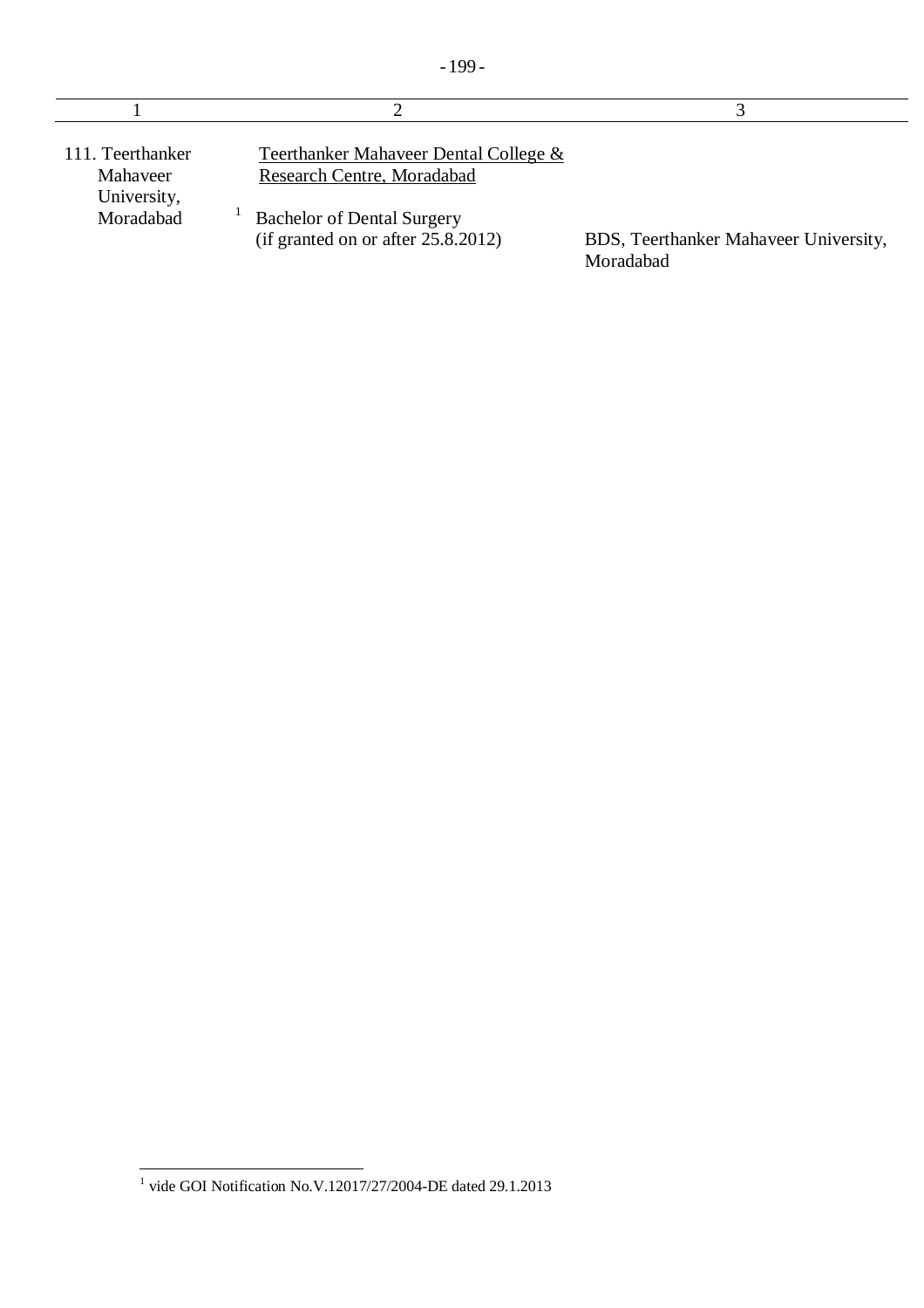| 111. Teerthanker<br>Mahaveer<br>University, | Teerthanker Mahaveer Dental College &<br>Research Centre, Moradabad        |                                                    |
|---------------------------------------------|----------------------------------------------------------------------------|----------------------------------------------------|
| Moradabad                                   | <b>Bachelor of Dental Surgery</b><br>(if granted on or after $25.8.2012$ ) | BDS, Teerthanker Mahaveer University,<br>Moradabad |

 1 vide GOI Notification No.V.12017/27/2004-DE dated 29.1.2013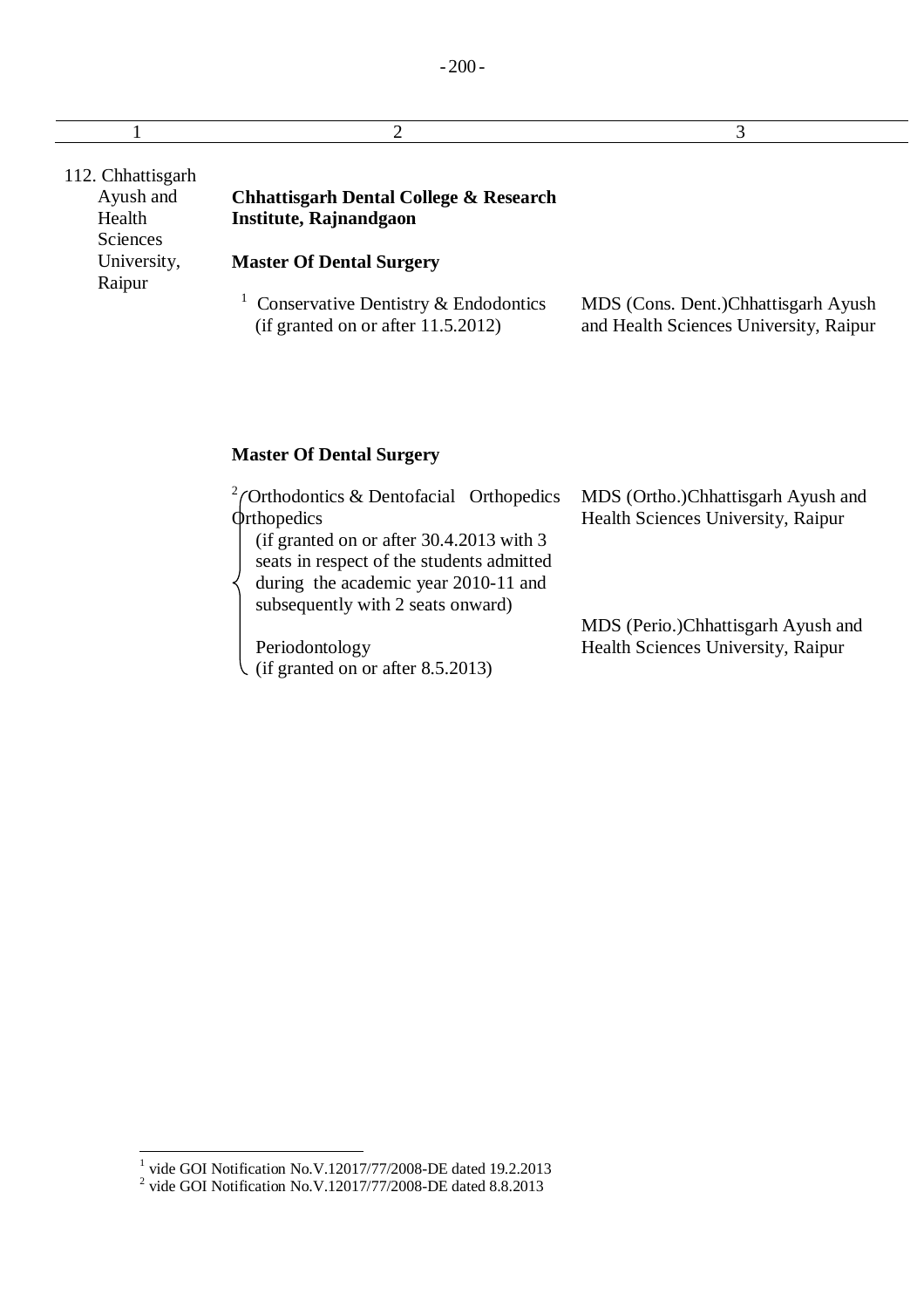| 112. Chhattisgarh<br>Ayush and<br>Health<br><b>Sciences</b> | <b>Chhattisgarh Dental College &amp; Research</b><br>Institute, Rajnandgaon   |                                                                               |
|-------------------------------------------------------------|-------------------------------------------------------------------------------|-------------------------------------------------------------------------------|
| University,<br>Raipur                                       | <b>Master Of Dental Surgery</b>                                               |                                                                               |
|                                                             | Conservative Dentistry & Endodontics<br>(if granted on or after $11.5.2012$ ) | MDS (Cons. Dent.)Chhattisgarh Ayush<br>and Health Sciences University, Raipur |

## **Master Of Dental Surgery**

| $2$ / Orthodontics & Dentofacial Orthopedics | MDS (Ortho.)Chhattisgarh Ayush and |
|----------------------------------------------|------------------------------------|
| <b>Orthopedics</b>                           | Health Sciences University, Raipur |
| (if granted on or after $30.4.2013$ with 3   |                                    |
| seats in respect of the students admitted    |                                    |
| during the academic year 2010-11 and         |                                    |
| subsequently with 2 seats onward)            |                                    |
|                                              | MDS (Perio.)Chhattisgarh Ayush and |
| Periodontology                               | Health Sciences University, Raipur |
| (if granted on or after $8.5.2013$ )         |                                    |

<sup>&</sup>lt;sup>1</sup> vide GOI Notification No.V.12017/77/2008-DE dated 19.2.2013<br><sup>2</sup> vide GOI Notification No.V.12017/77/2008-DE dated 8.8.2013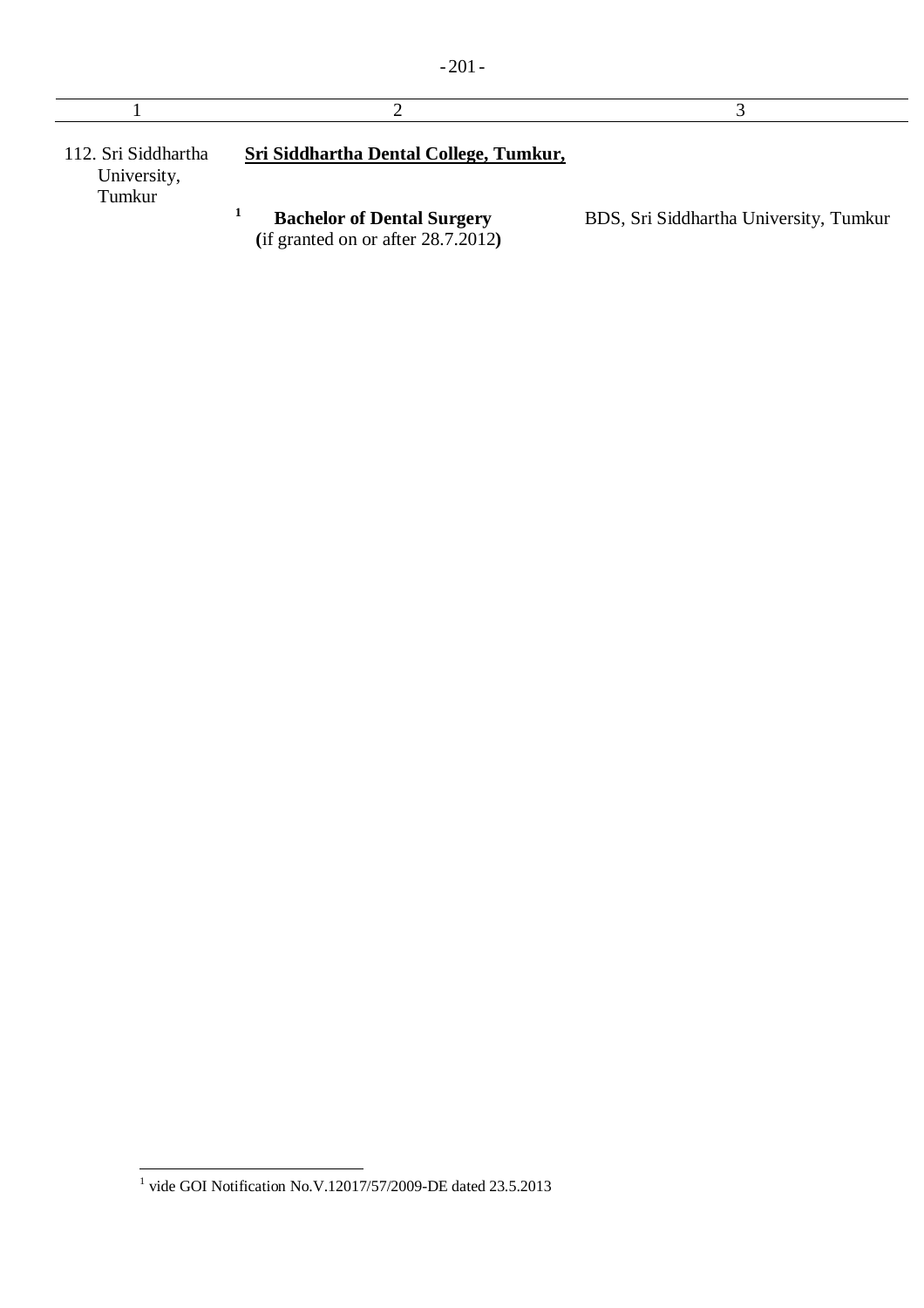| 112. Sri Siddhartha<br>University,<br>Tumkur | Sri Siddhartha Dental College, Tumkur,                                     |                                        |
|----------------------------------------------|----------------------------------------------------------------------------|----------------------------------------|
|                                              | <b>Bachelor of Dental Surgery</b><br>(if granted on or after $28.7.2012$ ) | BDS, Sri Siddhartha University, Tumkur |

- 201 -

 1 vide GOI Notification No.V.12017/57/2009-DE dated 23.5.2013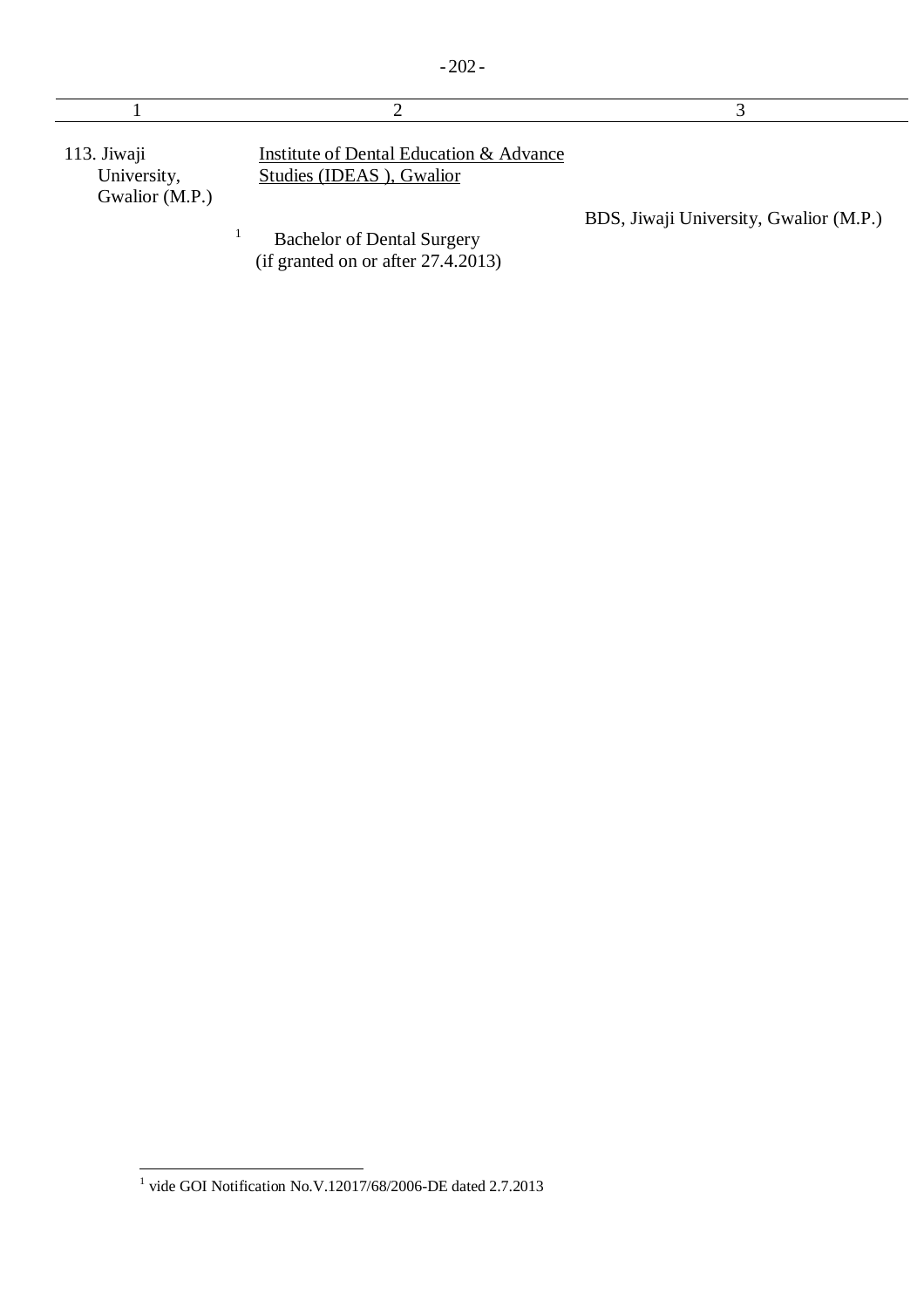113. Jiwaji University, Gwalior (M.P.)

1

Institute of Dental Education & Advance Studies (IDEAS ), Gwalior

BDS, Jiwaji University, Gwalior (M.P.)

 Bachelor of Dental Surgery (if granted on or after 27.4.2013)

 1 vide GOI Notification No.V.12017/68/2006-DE dated 2.7.2013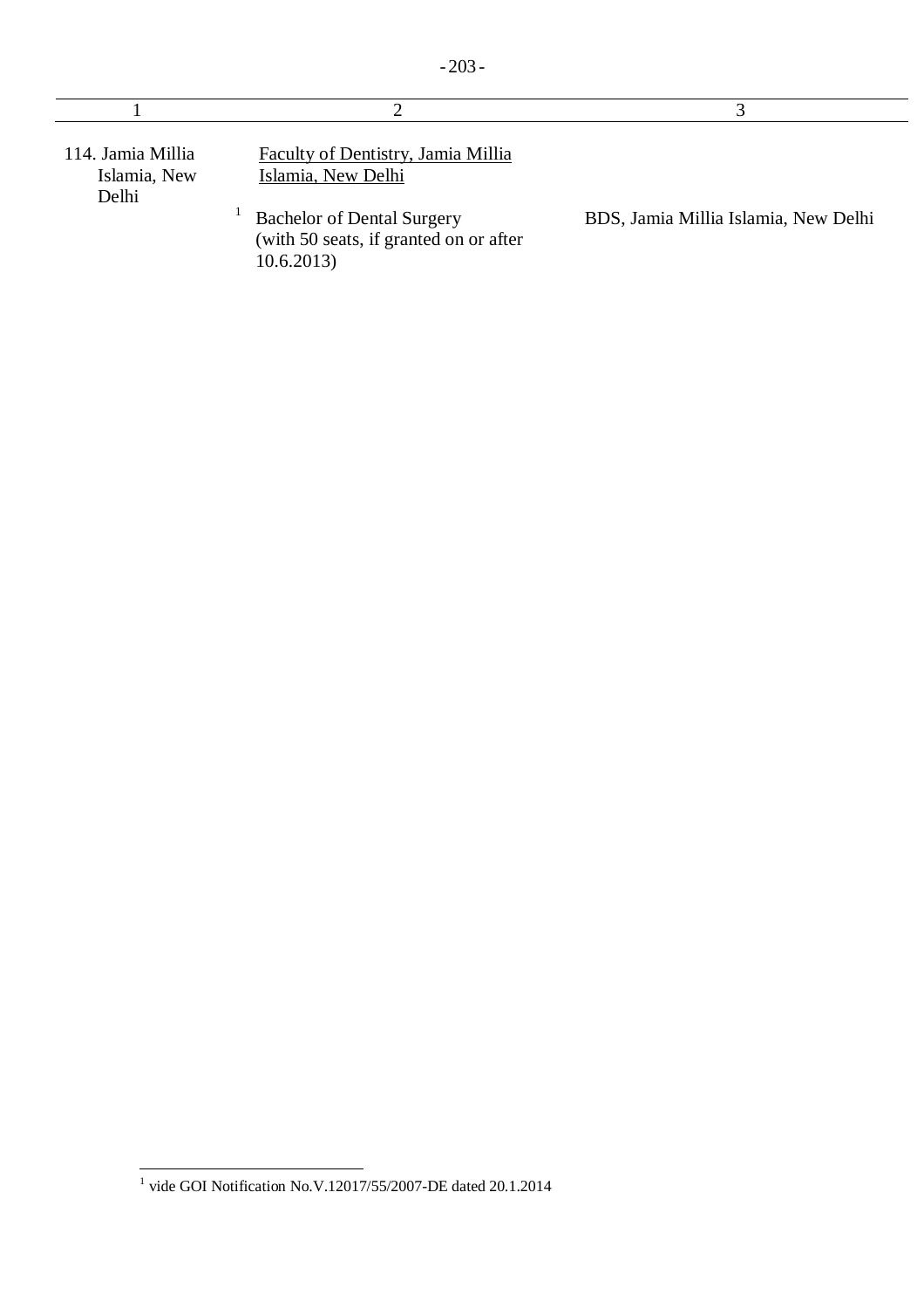| 114. Jamia Millia<br>Islamia, New<br>Delhi | Faculty of Dentistry, Jamia Millia<br>Islamia, New Delhi                                  |                                      |
|--------------------------------------------|-------------------------------------------------------------------------------------------|--------------------------------------|
|                                            | <b>Bachelor of Dental Surgery</b><br>(with 50 seats, if granted on or after<br>10.6.2013) | BDS, Jamia Millia Islamia, New Delhi |

 $\overline{\phantom{a}}$ 1 vide GOI Notification No.V.12017/55/2007-DE dated 20.1.2014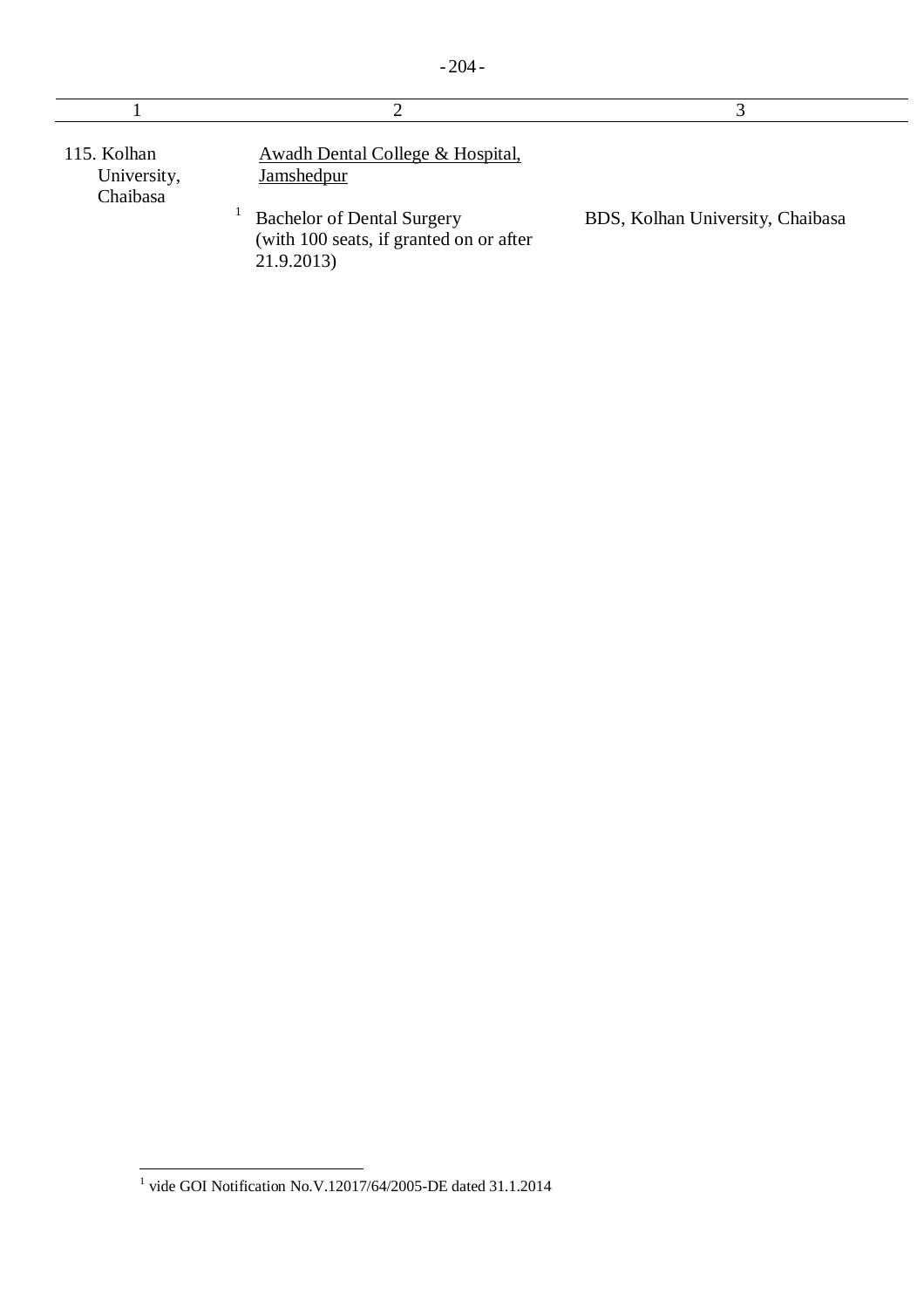|  | ×<br>۰. |  |  |
|--|---------|--|--|
|--|---------|--|--|

| 115. Kolhan<br>University,<br>Chaibasa | Awadh Dental College & Hospital,<br>Jamshedpur                                             |                                  |
|----------------------------------------|--------------------------------------------------------------------------------------------|----------------------------------|
|                                        | <b>Bachelor of Dental Surgery</b><br>(with 100 seats, if granted on or after<br>21.9.2013) | BDS, Kolhan University, Chaibasa |

 1 vide GOI Notification No.V.12017/64/2005-DE dated 31.1.2014